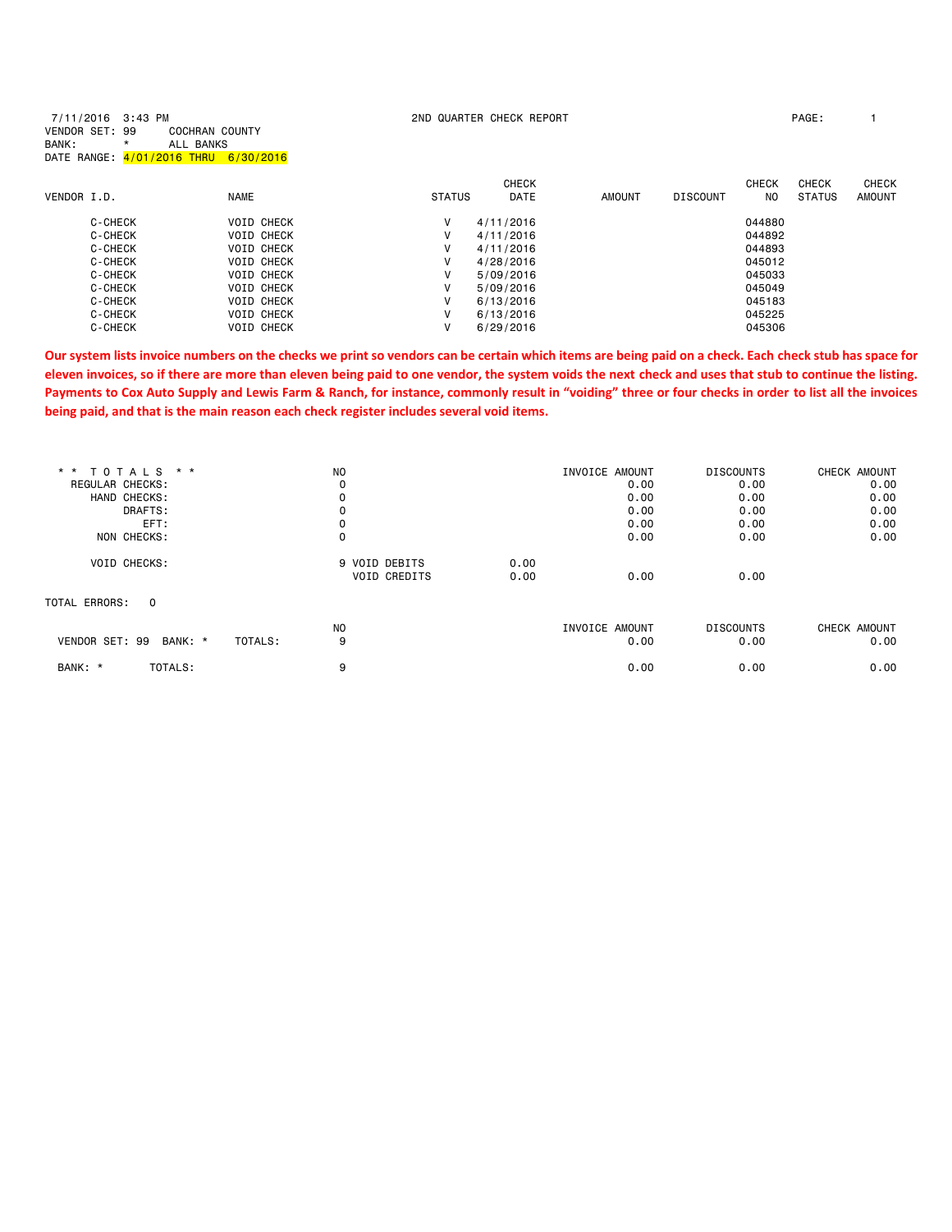| 7/11/2016 3:43 PM<br>VENDOR SET: 99<br>BANK: | <b>COCHRAN COUNTY</b><br>ALL BANKS<br>*<br>DATE RANGE: 4/01/2016 THRU 6/30/2016 |                   |               | 2ND QUARTER CHECK REPORT |        |                 |              | PAGE:         |               |
|----------------------------------------------|---------------------------------------------------------------------------------|-------------------|---------------|--------------------------|--------|-----------------|--------------|---------------|---------------|
|                                              |                                                                                 |                   |               | <b>CHECK</b>             |        |                 | <b>CHECK</b> | <b>CHECK</b>  | <b>CHECK</b>  |
| VENDOR I.D.                                  |                                                                                 | <b>NAME</b>       | <b>STATUS</b> | <b>DATE</b>              | AMOUNT | <b>DISCOUNT</b> | NO.          | <b>STATUS</b> | <b>AMOUNT</b> |
| C-CHECK                                      |                                                                                 | <b>VOID CHECK</b> | V             | 4/11/2016                |        |                 | 044880       |               |               |
| C-CHECK                                      |                                                                                 | <b>VOID CHECK</b> | $\vee$        | 4/11/2016                |        |                 | 044892       |               |               |
| C-CHECK                                      |                                                                                 | <b>VOID CHECK</b> | V             | 4/11/2016                |        |                 | 044893       |               |               |
| C-CHECK                                      |                                                                                 | <b>VOID CHECK</b> | v             | 4/28/2016                |        |                 | 045012       |               |               |
| C-CHECK                                      |                                                                                 | <b>VOID CHECK</b> | V             | 5/09/2016                |        |                 | 045033       |               |               |
| C-CHECK                                      |                                                                                 | <b>VOID CHECK</b> | v             | 5/09/2016                |        |                 | 045049       |               |               |
| C-CHECK                                      |                                                                                 | <b>VOID CHECK</b> | V             | 6/13/2016                |        |                 | 045183       |               |               |
| C-CHECK                                      |                                                                                 | <b>VOID CHECK</b> | v             | 6/13/2016                |        |                 | 045225       |               |               |
| C-CHECK                                      |                                                                                 | <b>VOID CHECK</b> | V             | 6/29/2016                |        |                 | 045306       |               |               |

**Our system lists invoice numbers on the checks we print so vendors can be certain which items are being paid on a check. Each check stub has space for eleven invoices, so if there are more than eleven being paid to one vendor, the system voids the next check and uses that stub to continue the listing. Payments to Cox Auto Supply and Lewis Farm & Ranch, for instance, commonly result in "voiding" three or four checks in order to list all the invoices being paid, and that is the main reason each check register includes several void items.**

| N <sub>O</sub>      |      |      | <b>DISCOUNTS</b>                 | CHECK AMOUNT |
|---------------------|------|------|----------------------------------|--------------|
| 0                   |      | 0.00 | 0.00                             | 0.00         |
| 0                   |      | 0.00 | 0.00                             | 0.00         |
| 0                   |      | 0.00 | 0.00                             | 0.00         |
|                     |      | 0.00 | 0.00                             | 0.00         |
| 0                   |      | 0.00 | 0.00                             | 0.00         |
| 9 VOID DEBITS       | 0.00 |      |                                  |              |
| <b>VOID CREDITS</b> | 0.00 | 0.00 | 0.00                             |              |
|                     |      |      |                                  |              |
| N <sub>O</sub>      |      |      | <b>DISCOUNTS</b>                 | CHECK AMOUNT |
| 9                   |      | 0.00 | 0.00                             | 0.00         |
| 9                   |      | 0.00 | 0.00                             | 0.00         |
|                     |      |      | INVOICE AMOUNT<br>INVOICE AMOUNT |              |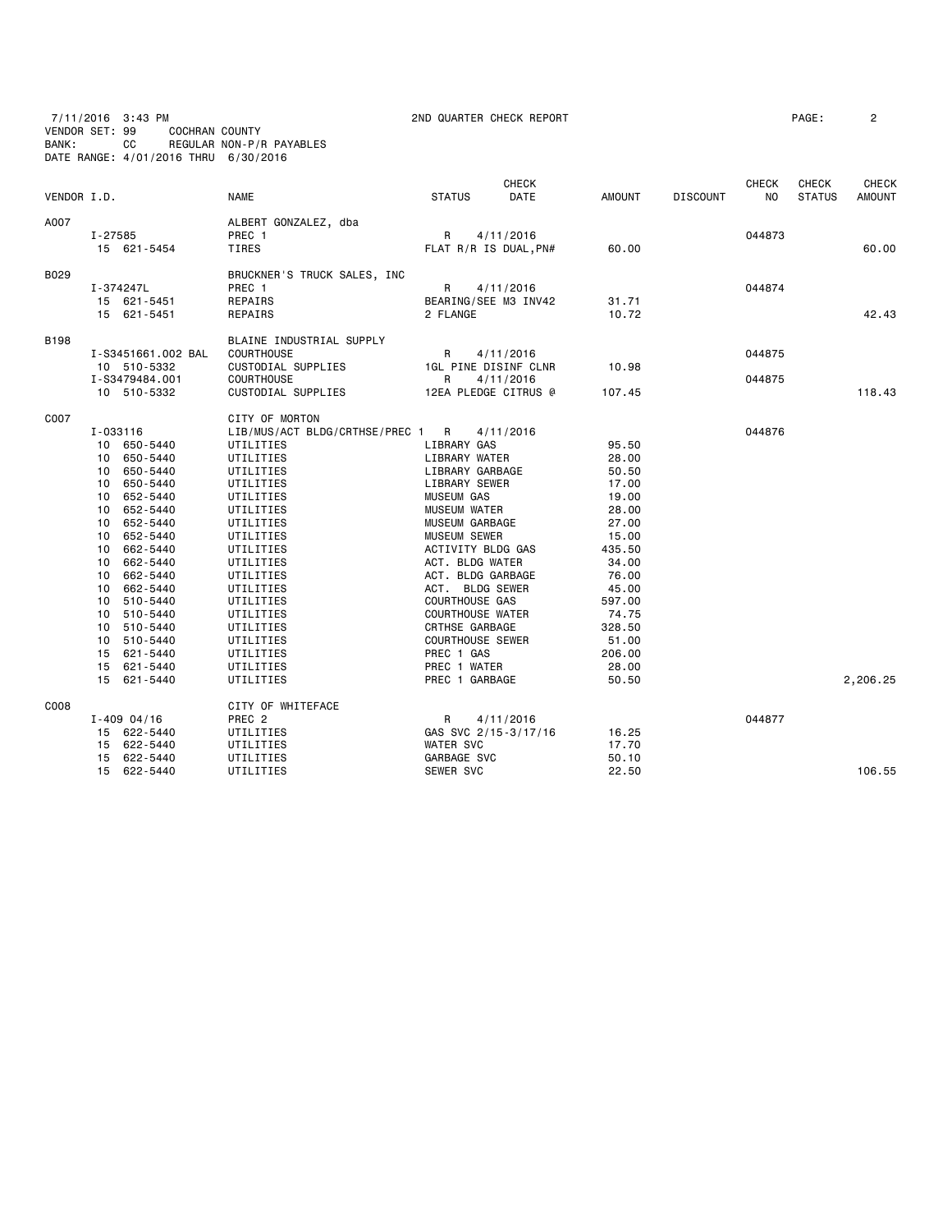7/11/2016 3:43 PM 2ND QUARTER CHECK REPORT PAGE: 2 VENDOR SET: 99 COCHRAN COUNTY BANK: CC REGULAR NON-P/R PAYABLES DATE RANGE: 4/01/2016 THRU 6/30/2016

| VENDOR I.D. |                                                                                                                                                                                                                                                                                                                         | <b>NAME</b>                                                                                                                                                                                                                                                                                             | <b>STATUS</b>                                                                                                                                                                                                                                                                                                                                                                        | CHECK<br>DATE          | <b>AMOUNT</b>                                                                                                                                                               | <b>DISCOUNT</b> | <b>CHECK</b><br>NO | <b>CHECK</b><br><b>STATUS</b> | <b>CHECK</b><br><b>AMOUNT</b> |
|-------------|-------------------------------------------------------------------------------------------------------------------------------------------------------------------------------------------------------------------------------------------------------------------------------------------------------------------------|---------------------------------------------------------------------------------------------------------------------------------------------------------------------------------------------------------------------------------------------------------------------------------------------------------|--------------------------------------------------------------------------------------------------------------------------------------------------------------------------------------------------------------------------------------------------------------------------------------------------------------------------------------------------------------------------------------|------------------------|-----------------------------------------------------------------------------------------------------------------------------------------------------------------------------|-----------------|--------------------|-------------------------------|-------------------------------|
| A007        | I-27585<br>15 621-5454                                                                                                                                                                                                                                                                                                  | ALBERT GONZALEZ, dba<br>PREC 1<br><b>TIRES</b>                                                                                                                                                                                                                                                          | R<br>FLAT R/R IS DUAL, PN#                                                                                                                                                                                                                                                                                                                                                           | 4/11/2016              | 60.00                                                                                                                                                                       |                 | 044873             |                               | 60.00                         |
| B029        | I-374247L<br>15 621-5451<br>15 621-5451                                                                                                                                                                                                                                                                                 | BRUCKNER'S TRUCK SALES, INC<br>PREC 1<br>REPAIRS<br>REPAIRS                                                                                                                                                                                                                                             | R<br>BEARING/SEE M3 INV42<br>2 FLANGE                                                                                                                                                                                                                                                                                                                                                | 4/11/2016              | 31.71<br>10.72                                                                                                                                                              |                 | 044874             |                               | 42.43                         |
| <b>B198</b> | I-S3451661.002 BAL<br>10 510-5332<br>I-S3479484.001<br>10 510-5332                                                                                                                                                                                                                                                      | BLAINE INDUSTRIAL SUPPLY<br><b>COURTHOUSE</b><br>CUSTODIAL SUPPLIES<br><b>COURTHOUSE</b><br>CUSTODIAL SUPPLIES                                                                                                                                                                                          | R<br>1GL PINE DISINF CLNR<br>R<br>12EA PLEDGE CITRUS @                                                                                                                                                                                                                                                                                                                               | 4/11/2016<br>4/11/2016 | 10.98<br>107.45                                                                                                                                                             |                 | 044875<br>044875   |                               | 118.43                        |
| C007        | I-033116<br>10 650-5440<br>10 650-5440<br>10 650-5440<br>10 650-5440<br>652-5440<br>10<br>652-5440<br>10<br>652-5440<br>10<br>10 652-5440<br>10 662-5440<br>10 662-5440<br>662-5440<br>10<br>662-5440<br>10<br>10 510-5440<br>10 510-5440<br>10 510-5440<br>510-5440<br>10<br>15 621-5440<br>15 621-5440<br>15 621-5440 | CITY OF MORTON<br>LIB/MUS/ACT BLDG/CRTHSE/PREC 1<br>UTILITIES<br>UTILITIES<br>UTILITIES<br>UTILITIES<br>UTILITIES<br>UTILITIES<br>UTILITIES<br>UTILITIES<br>UTILITIES<br>UTILITIES<br>UTILITIES<br>UTILITIES<br>UTILITIES<br>UTILITIES<br>UTILITIES<br>UTILITIES<br>UTILITIES<br>UTILITIES<br>UTILITIES | R<br>LIBRARY GAS<br>LIBRARY WATER<br>LIBRARY GARBAGE<br>LIBRARY SEWER<br><b>MUSEUM GAS</b><br><b>MUSEUM WATER</b><br>MUSEUM GARBAGE<br>MUSEUM SEWER<br>ACTIVITY BLDG GAS<br>ACT. BLDG WATER<br>ACT. BLDG GARBAGE<br>ACT. BLDG SEWER<br><b>COURTHOUSE GAS</b><br><b>COURTHOUSE WATER</b><br>CRTHSE GARBAGE<br><b>COURTHOUSE SEWER</b><br>PREC 1 GAS<br>PREC 1 WATER<br>PREC 1 GARBAGE | 4/11/2016              | 95.50<br>28.00<br>50.50<br>17.00<br>19.00<br>28.00<br>27.00<br>15.00<br>435.50<br>34.00<br>76.00<br>45.00<br>597.00<br>74.75<br>328.50<br>51.00<br>206.00<br>28.00<br>50.50 |                 | 044876             |                               | 2,206.25                      |
| C008        | $I - 409004/16$<br>15 622-5440<br>15 622-5440<br>15 622-5440<br>15 622-5440                                                                                                                                                                                                                                             | CITY OF WHITEFACE<br>PREC 2<br>UTILITIES<br>UTILITIES<br>UTILITIES<br>UTILITIES                                                                                                                                                                                                                         | R<br>GAS SVC 2/15-3/17/16<br><b>WATER SVC</b><br>GARBAGE SVC<br>SEWER SVC                                                                                                                                                                                                                                                                                                            | 4/11/2016              | 16.25<br>17.70<br>50.10<br>22.50                                                                                                                                            |                 | 044877             |                               | 106.55                        |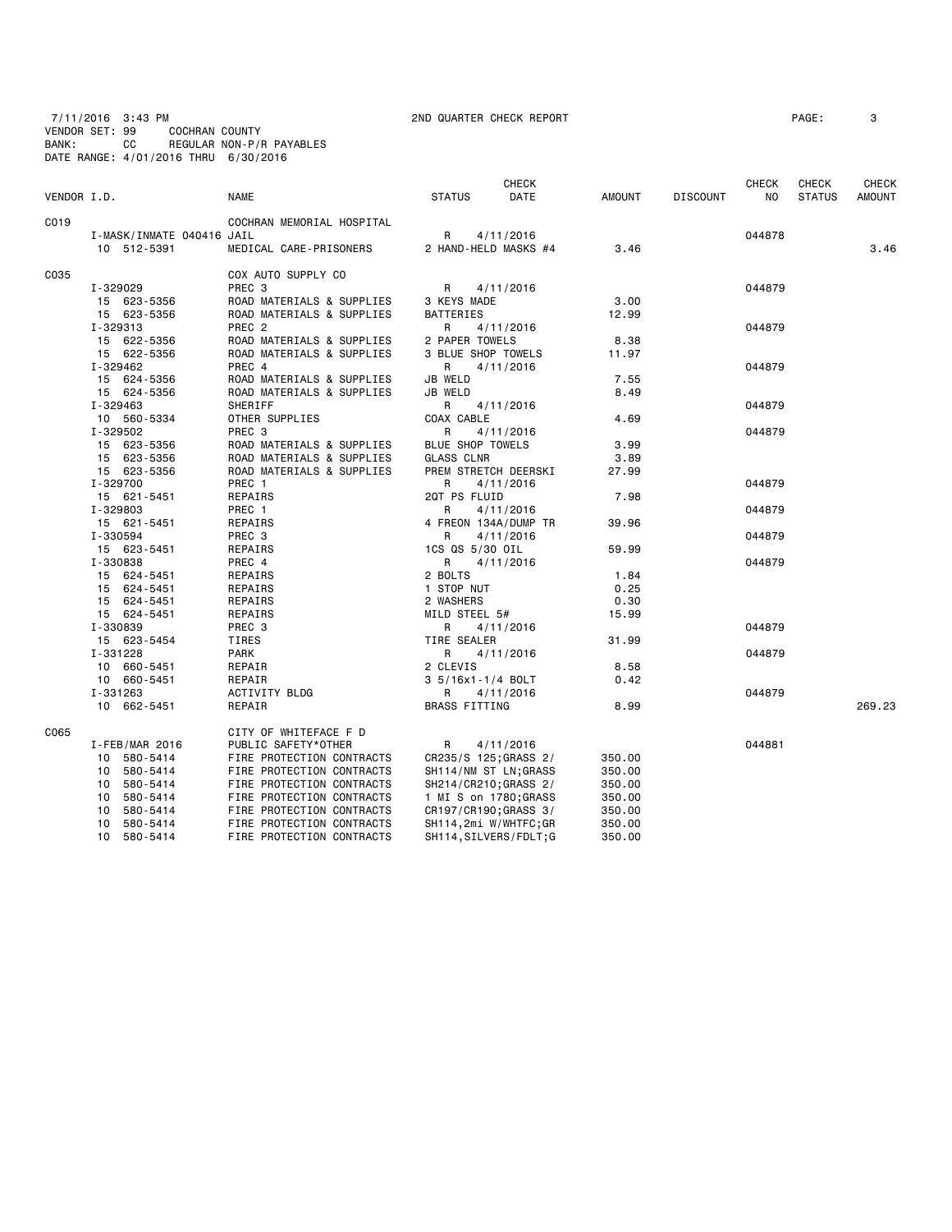7/11/2016 3:43 PM 2ND QUARTER CHECK REPORT PAGE: 3 VENDOR SET: 99 COCHRAN COUNTY BANK: CC REGULAR NON-P/R PAYABLES DATE RANGE: 4/01/2016 THRU 6/30/2016

| VENDOR I.D. |                           | <b>NAME</b>               | <b>STATUS</b>           | CHECK<br>DATE          | <b>AMOUNT</b> | <b>DISCOUNT</b> | CHECK<br>N <sub>0</sub> | CHECK<br><b>STATUS</b> | CHECK<br><b>AMOUNT</b> |
|-------------|---------------------------|---------------------------|-------------------------|------------------------|---------------|-----------------|-------------------------|------------------------|------------------------|
|             |                           |                           |                         |                        |               |                 |                         |                        |                        |
| C019        |                           | COCHRAN MEMORIAL HOSPITAL |                         |                        |               |                 |                         |                        |                        |
|             | I-MASK/INMATE 040416 JAIL |                           | R                       | 4/11/2016              |               |                 | 044878                  |                        |                        |
|             | 10 512-5391               | MEDICAL CARE-PRISONERS    |                         | 2 HAND-HELD MASKS #4   | 3.46          |                 |                         |                        | 3.46                   |
| C035        |                           | COX AUTO SUPPLY CO        |                         |                        |               |                 |                         |                        |                        |
|             | I-329029                  | PREC <sub>3</sub>         | R                       | 4/11/2016              |               |                 | 044879                  |                        |                        |
|             | 15 623-5356               | ROAD MATERIALS & SUPPLIES | 3 KEYS MADE             |                        | 3,00          |                 |                         |                        |                        |
|             | 15 623-5356               | ROAD MATERIALS & SUPPLIES | BATTERIES               |                        | 12.99         |                 |                         |                        |                        |
|             | I-329313                  | PREC <sub>2</sub>         | R                       | 4/11/2016              |               |                 | 044879                  |                        |                        |
|             | 15 622-5356               | ROAD MATERIALS & SUPPLIES | 2 PAPER TOWELS          |                        | 8.38          |                 |                         |                        |                        |
|             | 15 622-5356               | ROAD MATERIALS & SUPPLIES | 3 BLUE SHOP TOWELS      |                        | 11.97         |                 |                         |                        |                        |
|             | I-329462                  | PREC 4                    | R                       | 4/11/2016              |               |                 | 044879                  |                        |                        |
|             | 15 624-5356               | ROAD MATERIALS & SUPPLIES | <b>JB WELD</b>          |                        | 7.55          |                 |                         |                        |                        |
|             | 15 624-5356               | ROAD MATERIALS & SUPPLIES | <b>JB WELD</b>          |                        | 8.49          |                 |                         |                        |                        |
|             | I-329463                  | SHERIFF                   | R                       | 4/11/2016              |               |                 | 044879                  |                        |                        |
|             | 10 560-5334               | OTHER SUPPLIES            | COAX CABLE              |                        | 4.69          |                 |                         |                        |                        |
|             | I-329502                  | PREC <sub>3</sub>         | R                       | 4/11/2016              |               |                 | 044879                  |                        |                        |
|             | 15 623-5356               | ROAD MATERIALS & SUPPLIES | <b>BLUE SHOP TOWELS</b> |                        | 3.99          |                 |                         |                        |                        |
|             | 15 623-5356               | ROAD MATERIALS & SUPPLIES | <b>GLASS CLNR</b>       |                        | 3.89          |                 |                         |                        |                        |
|             | 15 623-5356               | ROAD MATERIALS & SUPPLIES |                         | PREM STRETCH DEERSKI   | 27.99         |                 |                         |                        |                        |
|             | I-329700                  | PREC 1                    | R                       | 4/11/2016              |               |                 | 044879                  |                        |                        |
|             | 15 621-5451               | REPAIRS                   | 2QT PS FLUID            |                        | 7.98          |                 |                         |                        |                        |
|             | I-329803                  | PREC 1                    | R                       | 4/11/2016              |               |                 | 044879                  |                        |                        |
|             | 15 621-5451               | REPAIRS                   |                         | 4 FREON 134A/DUMP TR   | 39.96         |                 |                         |                        |                        |
|             | I-330594                  | PREC <sub>3</sub>         | R                       | 4/11/2016              |               |                 | 044879                  |                        |                        |
|             | 15 623-5451               | REPAIRS                   | 1CS QS 5/30 OIL         |                        | 59.99         |                 |                         |                        |                        |
|             | I-330838                  | PREC 4                    | R                       | 4/11/2016              |               |                 | 044879                  |                        |                        |
|             | 15 624-5451               | REPAIRS                   | 2 BOLTS                 |                        | 1.84          |                 |                         |                        |                        |
|             | 15 624-5451               | REPAIRS                   | 1 STOP NUT              |                        | 0.25          |                 |                         |                        |                        |
|             | 15 624-5451               | REPAIRS                   | 2 WASHERS               |                        | 0.30          |                 |                         |                        |                        |
|             | 15 624-5451               | REPAIRS                   | MILD STEEL 5#           |                        | 15.99         |                 |                         |                        |                        |
|             | I-330839                  | PREC 3                    | R                       | 4/11/2016              |               |                 | 044879                  |                        |                        |
|             | 15 623-5454               | TIRES                     | TIRE SEALER             |                        | 31.99         |                 |                         |                        |                        |
|             | I-331228                  | PARK                      | R                       | 4/11/2016              |               |                 | 044879                  |                        |                        |
|             | 10 660-5451               | REPAIR                    | 2 CLEVIS                |                        | 8.58          |                 |                         |                        |                        |
|             | 10 660-5451               | REPAIR                    | 3 5/16x1-1/4 BOLT       |                        | 0.42          |                 |                         |                        |                        |
|             | I-331263                  | <b>ACTIVITY BLDG</b>      | R                       | 4/11/2016              |               |                 | 044879                  |                        |                        |
|             | 10 662-5451               | REPAIR                    | <b>BRASS FITTING</b>    |                        | 8.99          |                 |                         |                        | 269.23                 |
| C065        |                           | CITY OF WHITEFACE F D     |                         |                        |               |                 |                         |                        |                        |
|             | I-FEB/MAR 2016            | PUBLIC SAFETY*OTHER       | R                       | 4/11/2016              |               |                 | 044881                  |                        |                        |
|             | 10 580-5414               | FIRE PROTECTION CONTRACTS |                         | CR235/S 125; GRASS 2/  | 350.00        |                 |                         |                        |                        |
|             | 10 580-5414               | FIRE PROTECTION CONTRACTS |                         | SH114/NM ST LN; GRASS  | 350.00        |                 |                         |                        |                        |
|             | 10 580-5414               | FIRE PROTECTION CONTRACTS |                         | SH214/CR210; GRASS 2/  | 350.00        |                 |                         |                        |                        |
|             | 10 580-5414               | FIRE PROTECTION CONTRACTS |                         | 1 MI S on 1780;GRASS   | 350.00        |                 |                         |                        |                        |
|             | 580-5414<br>10            | FIRE PROTECTION CONTRACTS |                         | CR197/CR190;GRASS 3/   | 350.00        |                 |                         |                        |                        |
|             | 580-5414<br>10            | FIRE PROTECTION CONTRACTS |                         | SH114,2mi W/WHTFC;GR   | 350.00        |                 |                         |                        |                        |
|             | 10<br>580-5414            | FIRE PROTECTION CONTRACTS |                         | SH114, SILVERS/FDLT; G | 350.00        |                 |                         |                        |                        |
|             |                           |                           |                         |                        |               |                 |                         |                        |                        |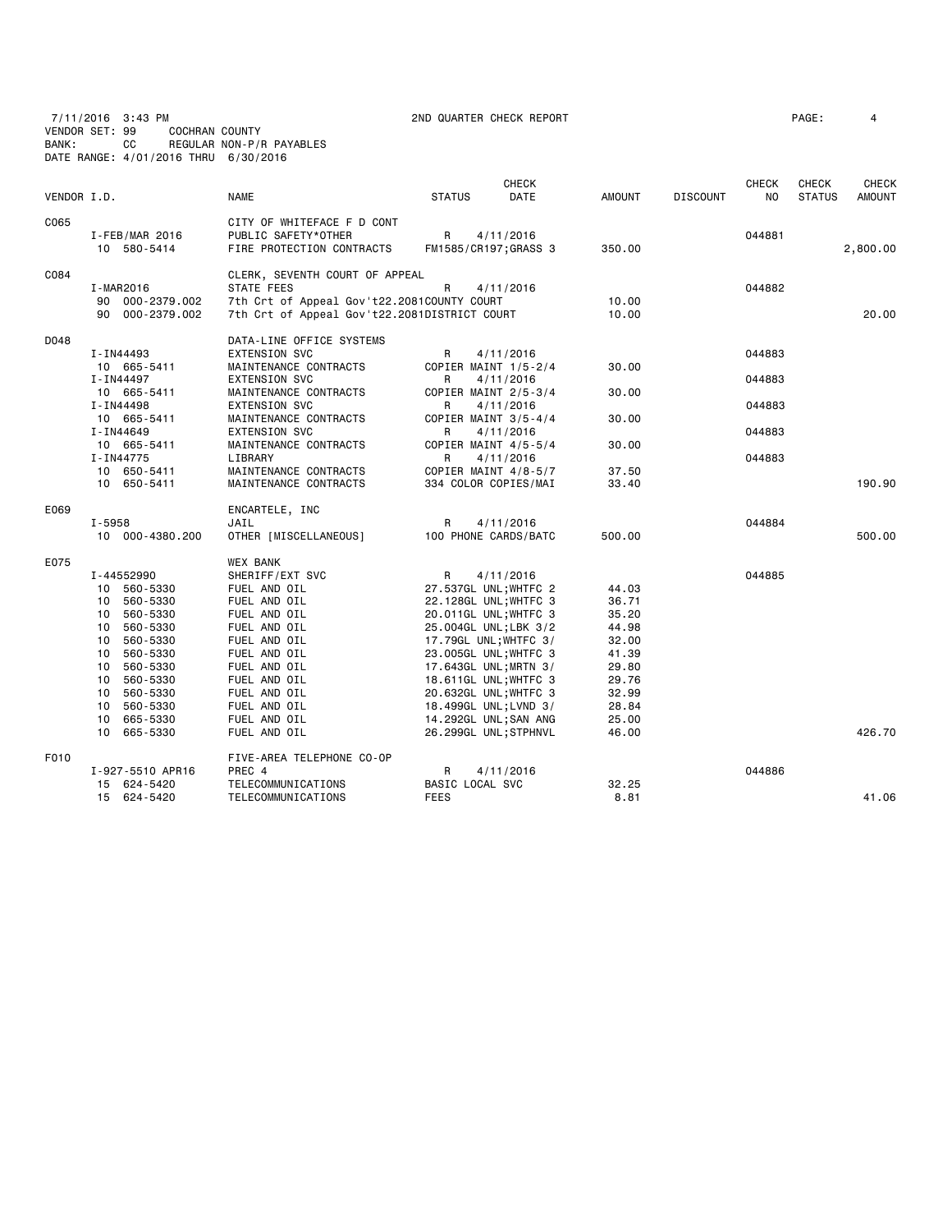7/11/2016 3:43 PM 2ND QUARTER CHECK REPORT PAGE: 4

VENDOR SET: 99 COCHRAN COUNTY

BANK: CC REGULAR NON-P/R PAYABLES DATE RANGE: 4/01/2016 THRU 6/30/2016

| VENDOR I.D. |                                  | <b>NAME</b>                                    | <b>STATUS</b>                                  | <b>CHECK</b><br>DATE | <b>AMOUNT</b>  | <b>DISCOUNT</b> | <b>CHECK</b><br>N <sub>O</sub> | <b>CHECK</b><br><b>STATUS</b> | <b>CHECK</b><br><b>AMOUNT</b> |
|-------------|----------------------------------|------------------------------------------------|------------------------------------------------|----------------------|----------------|-----------------|--------------------------------|-------------------------------|-------------------------------|
| C065        |                                  | CITY OF WHITEFACE F D CONT                     |                                                |                      |                |                 |                                |                               |                               |
|             | $I$ -FEB/MAR 2016                | PUBLIC SAFETY*OTHER                            | R                                              | 4/11/2016            |                |                 | 044881                         |                               |                               |
|             | 10 580-5414                      | FIRE PROTECTION CONTRACTS                      | FM1585/CR197; GRASS 3                          |                      | 350.00         |                 |                                |                               | 2,800.00                      |
| C084        |                                  | CLERK, SEVENTH COURT OF APPEAL                 |                                                |                      |                |                 |                                |                               |                               |
|             | I-MAR2016                        | STATE FEES                                     | R                                              | 4/11/2016            |                |                 | 044882                         |                               |                               |
|             | 90 000-2379.002                  | 7th Crt of Appeal Gov't22.2081COUNTY COURT     |                                                |                      | 10.00          |                 |                                |                               |                               |
|             | 90 000-2379.002                  | 7th Crt of Appeal Gov't22.2081DISTRICT COURT   |                                                |                      | 10.00          |                 |                                |                               | 20.00                         |
| D048        |                                  | DATA-LINE OFFICE SYSTEMS                       |                                                |                      |                |                 |                                |                               |                               |
|             | I-IN44493                        | <b>EXTENSION SVC</b>                           | R                                              | 4/11/2016            |                |                 | 044883                         |                               |                               |
|             | 10 665-5411                      | MAINTENANCE CONTRACTS                          | COPIER MAINT 1/5-2/4                           |                      | 30.00          |                 |                                |                               |                               |
|             | I-IN44497                        | <b>EXTENSION SVC</b>                           | R                                              | 4/11/2016            |                |                 | 044883                         |                               |                               |
|             | 10 665-5411                      | MAINTENANCE CONTRACTS                          | COPIER MAINT 2/5-3/4                           |                      | 30.00          |                 |                                |                               |                               |
|             | I-IN44498                        | <b>EXTENSION SVC</b>                           | R                                              | 4/11/2016            |                |                 | 044883                         |                               |                               |
|             | 10 665-5411                      | MAINTENANCE CONTRACTS                          | COPIER MAINT 3/5-4/4                           |                      | 30.00          |                 |                                |                               |                               |
|             | I-IN44649                        | <b>EXTENSION SVC</b>                           | R                                              | 4/11/2016            |                |                 | 044883                         |                               |                               |
|             | 10 665-5411                      | MAINTENANCE CONTRACTS                          | COPIER MAINT 4/5-5/4                           |                      | 30.00          |                 |                                |                               |                               |
|             | I-IN44775                        | LIBRARY                                        | R                                              | 4/11/2016            |                |                 | 044883                         |                               |                               |
|             | 10 650-5411<br>10 650-5411       | MAINTENANCE CONTRACTS<br>MAINTENANCE CONTRACTS | COPIER MAINT 4/8-5/7<br>334 COLOR COPIES/MAI   |                      | 37.50<br>33.40 |                 |                                |                               | 190.90                        |
|             |                                  |                                                |                                                |                      |                |                 |                                |                               |                               |
| E069        |                                  | ENCARTELE, INC                                 |                                                |                      |                |                 |                                |                               |                               |
|             | $I - 5958$                       | JAIL                                           | R                                              | 4/11/2016            |                |                 | 044884                         |                               |                               |
|             | 10 000-4380.200                  | OTHER [MISCELLANEOUS]                          | 100 PHONE CARDS/BATC                           |                      | 500.00         |                 |                                |                               | 500.00                        |
| E075        |                                  | <b>WEX BANK</b>                                |                                                |                      |                |                 |                                |                               |                               |
|             | I-44552990                       | SHERIFF/EXT SVC                                | R                                              | 4/11/2016            |                |                 | 044885                         |                               |                               |
|             | 10 560-5330                      | FUEL AND OIL                                   | 27.537GL UNL; WHTFC 2                          |                      | 44.03          |                 |                                |                               |                               |
|             | 560-5330<br>10                   | FUEL AND OIL                                   | 22.128GL UNL; WHTFC 3                          |                      | 36.71          |                 |                                |                               |                               |
|             | 560-5330<br>10                   | FUEL AND OIL                                   | 20.011GL UNL; WHTFC 3                          |                      | 35.20          |                 |                                |                               |                               |
|             | 560-5330<br>10                   | FUEL AND OIL                                   | 25.004GL UNL; LBK 3/2                          |                      | 44.98          |                 |                                |                               |                               |
|             | 560-5330<br>10                   | FUEL AND OIL<br>FUEL AND OIL                   | 17.79GL UNL; WHTFC 3/                          |                      | 32.00          |                 |                                |                               |                               |
|             | 560-5330<br>10<br>560-5330<br>10 | FUEL AND OIL                                   | 23.005GL UNL; WHTFC 3                          |                      | 41.39<br>29.80 |                 |                                |                               |                               |
|             | 560-5330<br>10                   | FUEL AND OIL                                   | 17.643GL UNL; MRTN 3/<br>18.611GL UNL; WHTFC 3 |                      | 29.76          |                 |                                |                               |                               |
|             | 560-5330<br>10                   | FUEL AND OIL                                   | 20.632GL UNL; WHTFC 3                          |                      | 32.99          |                 |                                |                               |                               |
|             | 560-5330<br>10                   | FUEL AND OIL                                   | 18.499GL UNL; LVND 3/                          |                      | 28.84          |                 |                                |                               |                               |
|             | 665-5330<br>10                   | FUEL AND OIL                                   | 14.292GL UNL; SAN ANG                          |                      | 25.00          |                 |                                |                               |                               |
|             | 665-5330<br>10                   | FUEL AND OIL                                   | 26.299GL UNL;STPHNVL                           |                      | 46.00          |                 |                                |                               | 426.70                        |
| F010        |                                  | FIVE-AREA TELEPHONE CO-OP                      |                                                |                      |                |                 |                                |                               |                               |
|             | I-927-5510 APR16                 | PREC 4                                         | R                                              | 4/11/2016            |                |                 | 044886                         |                               |                               |
|             | 15 624-5420                      | TELECOMMUNICATIONS                             | <b>BASIC LOCAL SVC</b>                         |                      | 32.25          |                 |                                |                               |                               |
|             | 15 624-5420                      | TELECOMMUNICATIONS                             | <b>FEES</b>                                    |                      | 8.81           |                 |                                |                               | 41.06                         |
|             |                                  |                                                |                                                |                      |                |                 |                                |                               |                               |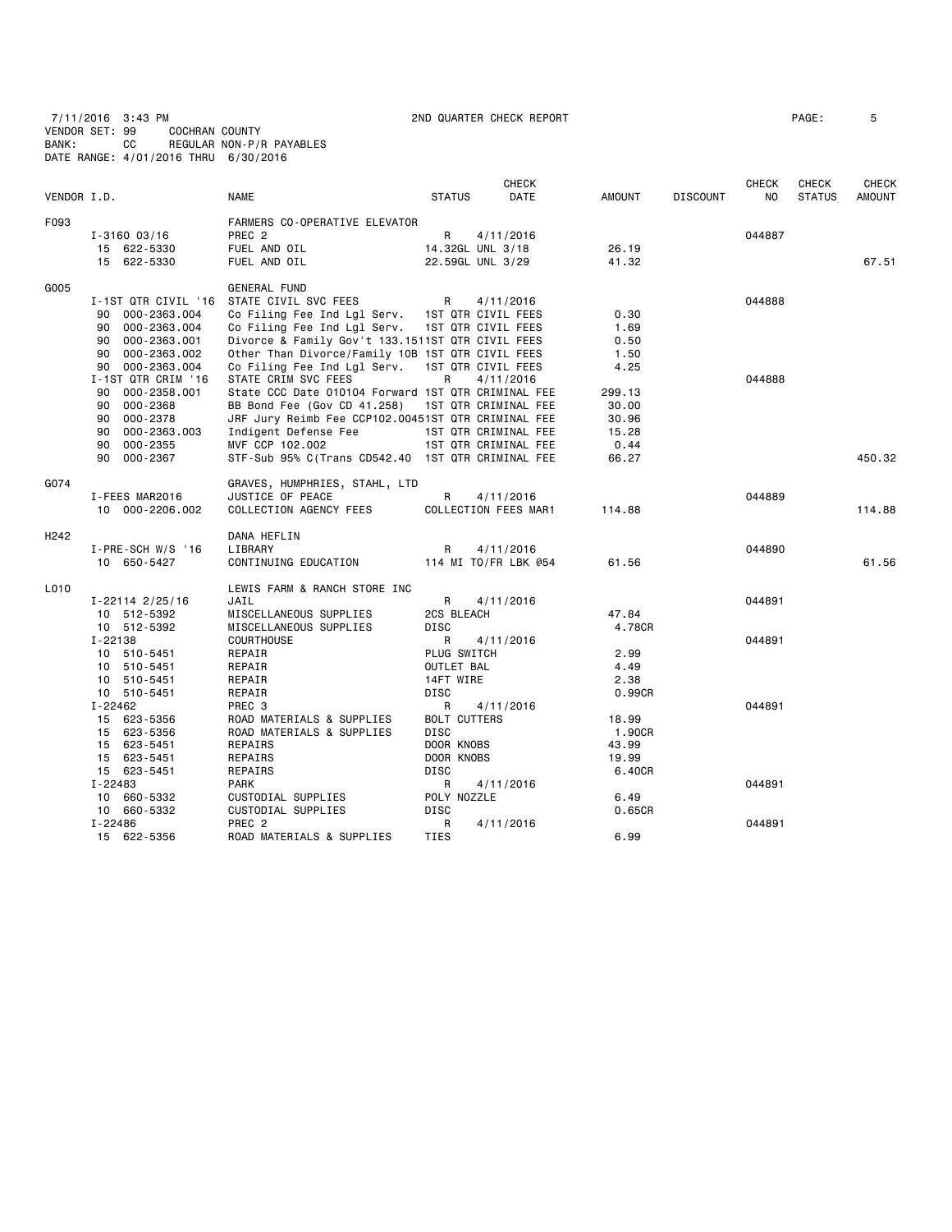7/11/2016 3:43 PM 2ND QUARTER CHECK REPORT PAGE: 5 VENDOR SET: 99 COCHRAN COUNTY BANK: CC REGULAR NON-P/R PAYABLES DATE RANGE: 4/01/2016 THRU 6/30/2016

| FARMERS CO-OPERATIVE ELEVATOR<br>PREC <sub>2</sub><br>R<br>044887<br>$I - 3160003/16$<br>4/11/2016<br>FUEL AND OIL<br>14.32GL UNL 3/18<br>15 622-5330<br>26.19<br>FUEL AND OIL<br>67.51<br>15 622-5330<br>22.59GL UNL 3/29<br>41.32<br><b>GENERAL FUND</b><br>I-1ST QTR CIVIL '16 STATE CIVIL SVC FEES<br>R<br>4/11/2016<br>044888<br>1ST QTR CIVIL FEES<br>0.30<br>000-2363.004<br>Co Filing Fee Ind Lgl Serv.<br>90<br>1ST QTR CIVIL FEES<br>1.69<br>90<br>000-2363.004<br>Co Filing Fee Ind Lgl Serv.<br>Divorce & Family Gov't 133.1511ST QTR CIVIL FEES<br>0.50<br>90<br>000-2363.001<br>Other Than Divorce/Family 10B 1ST QTR CIVIL FEES<br>000-2363.002<br>1.50<br>90<br>000-2363.004<br>Co Filing Fee Ind Lgl Serv.<br>1ST QTR CIVIL FEES<br>4.25<br>90<br>I-1ST QTR CRIM '16<br>STATE CRIM SVC FEES<br>R<br>4/11/2016<br>044888<br>State CCC Date 010104 Forward 1ST QTR CRIMINAL FEE<br>90 000-2358.001<br>299.13<br>1ST QTR CRIMINAL FEE<br>000-2368<br>BB Bond Fee (Gov CD 41.258)<br>30.00<br>90<br>JRF Jury Reimb Fee CCP102.00451ST QTR CRIMINAL FEE<br>000-2378<br>30.96<br>90<br>90<br>000-2363.003<br>Indigent Defense Fee<br>1ST QTR CRIMINAL FEE<br>15.28<br>000-2355<br>MVF CCP 102.002<br>1ST QTR CRIMINAL FEE<br>0.44<br>90<br>450.32<br>90 000-2367<br>STF-Sub 95% C(Trans CD542.40 1ST QTR CRIMINAL FEE<br>66.27<br>GRAVES, HUMPHRIES, STAHL, LTD<br>R<br>JUSTICE OF PEACE<br>4/11/2016<br>044889<br>I-FEES MAR2016<br>COLLECTION FEES MAR1<br>114.88<br>10 000-2206.002<br>COLLECTION AGENCY FEES<br>114.88<br>DANA HEFLIN<br>LIBRARY<br>R<br>$I-PRE-SCH W/S$ '16<br>4/11/2016<br>044890<br>114 MI TO/FR LBK @54<br>61.56<br>61.56<br>10 650-5427<br>CONTINUING EDUCATION<br>LEWIS FARM & RANCH STORE INC<br>R<br>JAIL<br>4/11/2016<br>044891<br>I-22114 2/25/16<br>47.84<br>MISCELLANEOUS SUPPLIES<br>2CS BLEACH<br>10 512-5392<br>4.78CR<br>10 512-5392<br>MISCELLANEOUS SUPPLIES<br><b>DISC</b><br>I-22138<br><b>COURTHOUSE</b><br>R<br>4/11/2016<br>044891<br>PLUG SWITCH<br>2.99<br>10 510-5451<br>REPAIR<br>OUTLET BAL<br>4.49<br>10 510-5451<br>REPAIR<br>10 510-5451<br>REPAIR<br>14FT WIRE<br>2.38<br>0.99CR<br>10 510-5451<br>REPAIR<br>DISC<br>$I - 22462$<br>PREC <sub>3</sub><br>R<br>4/11/2016<br>044891<br>15 623-5356<br><b>BOLT CUTTERS</b><br>18.99<br>ROAD MATERIALS & SUPPLIES<br>15 623-5356<br>ROAD MATERIALS & SUPPLIES<br><b>DISC</b><br>1.90CR<br>DOOR KNOBS<br>43.99<br>15 623-5451<br>REPAIRS<br>15 623-5451<br>REPAIRS<br>DOOR KNOBS<br>19.99<br>15 623-5451<br>REPAIRS<br>DISC<br>6.40CR<br>I-22483<br>044891<br>PARK<br>R<br>4/11/2016<br>10 660-5332<br>POLY NOZZLE<br>6.49<br>CUSTODIAL SUPPLIES<br>10 660-5332<br>CUSTODIAL SUPPLIES<br>DISC<br>0.65CR<br>I-22486<br>PREC <sub>2</sub><br>R<br>044891<br>4/11/2016<br>15 622-5356<br>ROAD MATERIALS & SUPPLIES<br>TIES<br>6.99 | VENDOR I.D. | <b>NAME</b> | <b>STATUS</b> | <b>CHECK</b><br>DATE | AMOUNT | <b>DISCOUNT</b> | <b>CHECK</b><br>NO | <b>CHECK</b><br><b>STATUS</b> | CHECK<br><b>AMOUNT</b> |
|-------------------------------------------------------------------------------------------------------------------------------------------------------------------------------------------------------------------------------------------------------------------------------------------------------------------------------------------------------------------------------------------------------------------------------------------------------------------------------------------------------------------------------------------------------------------------------------------------------------------------------------------------------------------------------------------------------------------------------------------------------------------------------------------------------------------------------------------------------------------------------------------------------------------------------------------------------------------------------------------------------------------------------------------------------------------------------------------------------------------------------------------------------------------------------------------------------------------------------------------------------------------------------------------------------------------------------------------------------------------------------------------------------------------------------------------------------------------------------------------------------------------------------------------------------------------------------------------------------------------------------------------------------------------------------------------------------------------------------------------------------------------------------------------------------------------------------------------------------------------------------------------------------------------------------------------------------------------------------------------------------------------------------------------------------------------------------------------------------------------------------------------------------------------------------------------------------------------------------------------------------------------------------------------------------------------------------------------------------------------------------------------------------------------------------------------------------------------------------------------------------------------------------------------------------------------------------------------------------------------------------------------------------------------------------------------------------------------------------------------------------------------------------------------------------------------------------------------|-------------|-------------|---------------|----------------------|--------|-----------------|--------------------|-------------------------------|------------------------|
|                                                                                                                                                                                                                                                                                                                                                                                                                                                                                                                                                                                                                                                                                                                                                                                                                                                                                                                                                                                                                                                                                                                                                                                                                                                                                                                                                                                                                                                                                                                                                                                                                                                                                                                                                                                                                                                                                                                                                                                                                                                                                                                                                                                                                                                                                                                                                                                                                                                                                                                                                                                                                                                                                                                                                                                                                                           | F093        |             |               |                      |        |                 |                    |                               |                        |
|                                                                                                                                                                                                                                                                                                                                                                                                                                                                                                                                                                                                                                                                                                                                                                                                                                                                                                                                                                                                                                                                                                                                                                                                                                                                                                                                                                                                                                                                                                                                                                                                                                                                                                                                                                                                                                                                                                                                                                                                                                                                                                                                                                                                                                                                                                                                                                                                                                                                                                                                                                                                                                                                                                                                                                                                                                           |             |             |               |                      |        |                 |                    |                               |                        |
|                                                                                                                                                                                                                                                                                                                                                                                                                                                                                                                                                                                                                                                                                                                                                                                                                                                                                                                                                                                                                                                                                                                                                                                                                                                                                                                                                                                                                                                                                                                                                                                                                                                                                                                                                                                                                                                                                                                                                                                                                                                                                                                                                                                                                                                                                                                                                                                                                                                                                                                                                                                                                                                                                                                                                                                                                                           |             |             |               |                      |        |                 |                    |                               |                        |
|                                                                                                                                                                                                                                                                                                                                                                                                                                                                                                                                                                                                                                                                                                                                                                                                                                                                                                                                                                                                                                                                                                                                                                                                                                                                                                                                                                                                                                                                                                                                                                                                                                                                                                                                                                                                                                                                                                                                                                                                                                                                                                                                                                                                                                                                                                                                                                                                                                                                                                                                                                                                                                                                                                                                                                                                                                           |             |             |               |                      |        |                 |                    |                               |                        |
|                                                                                                                                                                                                                                                                                                                                                                                                                                                                                                                                                                                                                                                                                                                                                                                                                                                                                                                                                                                                                                                                                                                                                                                                                                                                                                                                                                                                                                                                                                                                                                                                                                                                                                                                                                                                                                                                                                                                                                                                                                                                                                                                                                                                                                                                                                                                                                                                                                                                                                                                                                                                                                                                                                                                                                                                                                           | G005        |             |               |                      |        |                 |                    |                               |                        |
|                                                                                                                                                                                                                                                                                                                                                                                                                                                                                                                                                                                                                                                                                                                                                                                                                                                                                                                                                                                                                                                                                                                                                                                                                                                                                                                                                                                                                                                                                                                                                                                                                                                                                                                                                                                                                                                                                                                                                                                                                                                                                                                                                                                                                                                                                                                                                                                                                                                                                                                                                                                                                                                                                                                                                                                                                                           |             |             |               |                      |        |                 |                    |                               |                        |
|                                                                                                                                                                                                                                                                                                                                                                                                                                                                                                                                                                                                                                                                                                                                                                                                                                                                                                                                                                                                                                                                                                                                                                                                                                                                                                                                                                                                                                                                                                                                                                                                                                                                                                                                                                                                                                                                                                                                                                                                                                                                                                                                                                                                                                                                                                                                                                                                                                                                                                                                                                                                                                                                                                                                                                                                                                           |             |             |               |                      |        |                 |                    |                               |                        |
|                                                                                                                                                                                                                                                                                                                                                                                                                                                                                                                                                                                                                                                                                                                                                                                                                                                                                                                                                                                                                                                                                                                                                                                                                                                                                                                                                                                                                                                                                                                                                                                                                                                                                                                                                                                                                                                                                                                                                                                                                                                                                                                                                                                                                                                                                                                                                                                                                                                                                                                                                                                                                                                                                                                                                                                                                                           |             |             |               |                      |        |                 |                    |                               |                        |
|                                                                                                                                                                                                                                                                                                                                                                                                                                                                                                                                                                                                                                                                                                                                                                                                                                                                                                                                                                                                                                                                                                                                                                                                                                                                                                                                                                                                                                                                                                                                                                                                                                                                                                                                                                                                                                                                                                                                                                                                                                                                                                                                                                                                                                                                                                                                                                                                                                                                                                                                                                                                                                                                                                                                                                                                                                           |             |             |               |                      |        |                 |                    |                               |                        |
|                                                                                                                                                                                                                                                                                                                                                                                                                                                                                                                                                                                                                                                                                                                                                                                                                                                                                                                                                                                                                                                                                                                                                                                                                                                                                                                                                                                                                                                                                                                                                                                                                                                                                                                                                                                                                                                                                                                                                                                                                                                                                                                                                                                                                                                                                                                                                                                                                                                                                                                                                                                                                                                                                                                                                                                                                                           |             |             |               |                      |        |                 |                    |                               |                        |
|                                                                                                                                                                                                                                                                                                                                                                                                                                                                                                                                                                                                                                                                                                                                                                                                                                                                                                                                                                                                                                                                                                                                                                                                                                                                                                                                                                                                                                                                                                                                                                                                                                                                                                                                                                                                                                                                                                                                                                                                                                                                                                                                                                                                                                                                                                                                                                                                                                                                                                                                                                                                                                                                                                                                                                                                                                           |             |             |               |                      |        |                 |                    |                               |                        |
|                                                                                                                                                                                                                                                                                                                                                                                                                                                                                                                                                                                                                                                                                                                                                                                                                                                                                                                                                                                                                                                                                                                                                                                                                                                                                                                                                                                                                                                                                                                                                                                                                                                                                                                                                                                                                                                                                                                                                                                                                                                                                                                                                                                                                                                                                                                                                                                                                                                                                                                                                                                                                                                                                                                                                                                                                                           |             |             |               |                      |        |                 |                    |                               |                        |
|                                                                                                                                                                                                                                                                                                                                                                                                                                                                                                                                                                                                                                                                                                                                                                                                                                                                                                                                                                                                                                                                                                                                                                                                                                                                                                                                                                                                                                                                                                                                                                                                                                                                                                                                                                                                                                                                                                                                                                                                                                                                                                                                                                                                                                                                                                                                                                                                                                                                                                                                                                                                                                                                                                                                                                                                                                           |             |             |               |                      |        |                 |                    |                               |                        |
|                                                                                                                                                                                                                                                                                                                                                                                                                                                                                                                                                                                                                                                                                                                                                                                                                                                                                                                                                                                                                                                                                                                                                                                                                                                                                                                                                                                                                                                                                                                                                                                                                                                                                                                                                                                                                                                                                                                                                                                                                                                                                                                                                                                                                                                                                                                                                                                                                                                                                                                                                                                                                                                                                                                                                                                                                                           |             |             |               |                      |        |                 |                    |                               |                        |
|                                                                                                                                                                                                                                                                                                                                                                                                                                                                                                                                                                                                                                                                                                                                                                                                                                                                                                                                                                                                                                                                                                                                                                                                                                                                                                                                                                                                                                                                                                                                                                                                                                                                                                                                                                                                                                                                                                                                                                                                                                                                                                                                                                                                                                                                                                                                                                                                                                                                                                                                                                                                                                                                                                                                                                                                                                           |             |             |               |                      |        |                 |                    |                               |                        |
|                                                                                                                                                                                                                                                                                                                                                                                                                                                                                                                                                                                                                                                                                                                                                                                                                                                                                                                                                                                                                                                                                                                                                                                                                                                                                                                                                                                                                                                                                                                                                                                                                                                                                                                                                                                                                                                                                                                                                                                                                                                                                                                                                                                                                                                                                                                                                                                                                                                                                                                                                                                                                                                                                                                                                                                                                                           |             |             |               |                      |        |                 |                    |                               |                        |
|                                                                                                                                                                                                                                                                                                                                                                                                                                                                                                                                                                                                                                                                                                                                                                                                                                                                                                                                                                                                                                                                                                                                                                                                                                                                                                                                                                                                                                                                                                                                                                                                                                                                                                                                                                                                                                                                                                                                                                                                                                                                                                                                                                                                                                                                                                                                                                                                                                                                                                                                                                                                                                                                                                                                                                                                                                           |             |             |               |                      |        |                 |                    |                               |                        |
|                                                                                                                                                                                                                                                                                                                                                                                                                                                                                                                                                                                                                                                                                                                                                                                                                                                                                                                                                                                                                                                                                                                                                                                                                                                                                                                                                                                                                                                                                                                                                                                                                                                                                                                                                                                                                                                                                                                                                                                                                                                                                                                                                                                                                                                                                                                                                                                                                                                                                                                                                                                                                                                                                                                                                                                                                                           |             |             |               |                      |        |                 |                    |                               |                        |
|                                                                                                                                                                                                                                                                                                                                                                                                                                                                                                                                                                                                                                                                                                                                                                                                                                                                                                                                                                                                                                                                                                                                                                                                                                                                                                                                                                                                                                                                                                                                                                                                                                                                                                                                                                                                                                                                                                                                                                                                                                                                                                                                                                                                                                                                                                                                                                                                                                                                                                                                                                                                                                                                                                                                                                                                                                           | G074        |             |               |                      |        |                 |                    |                               |                        |
|                                                                                                                                                                                                                                                                                                                                                                                                                                                                                                                                                                                                                                                                                                                                                                                                                                                                                                                                                                                                                                                                                                                                                                                                                                                                                                                                                                                                                                                                                                                                                                                                                                                                                                                                                                                                                                                                                                                                                                                                                                                                                                                                                                                                                                                                                                                                                                                                                                                                                                                                                                                                                                                                                                                                                                                                                                           |             |             |               |                      |        |                 |                    |                               |                        |
|                                                                                                                                                                                                                                                                                                                                                                                                                                                                                                                                                                                                                                                                                                                                                                                                                                                                                                                                                                                                                                                                                                                                                                                                                                                                                                                                                                                                                                                                                                                                                                                                                                                                                                                                                                                                                                                                                                                                                                                                                                                                                                                                                                                                                                                                                                                                                                                                                                                                                                                                                                                                                                                                                                                                                                                                                                           |             |             |               |                      |        |                 |                    |                               |                        |
|                                                                                                                                                                                                                                                                                                                                                                                                                                                                                                                                                                                                                                                                                                                                                                                                                                                                                                                                                                                                                                                                                                                                                                                                                                                                                                                                                                                                                                                                                                                                                                                                                                                                                                                                                                                                                                                                                                                                                                                                                                                                                                                                                                                                                                                                                                                                                                                                                                                                                                                                                                                                                                                                                                                                                                                                                                           | H242        |             |               |                      |        |                 |                    |                               |                        |
|                                                                                                                                                                                                                                                                                                                                                                                                                                                                                                                                                                                                                                                                                                                                                                                                                                                                                                                                                                                                                                                                                                                                                                                                                                                                                                                                                                                                                                                                                                                                                                                                                                                                                                                                                                                                                                                                                                                                                                                                                                                                                                                                                                                                                                                                                                                                                                                                                                                                                                                                                                                                                                                                                                                                                                                                                                           |             |             |               |                      |        |                 |                    |                               |                        |
|                                                                                                                                                                                                                                                                                                                                                                                                                                                                                                                                                                                                                                                                                                                                                                                                                                                                                                                                                                                                                                                                                                                                                                                                                                                                                                                                                                                                                                                                                                                                                                                                                                                                                                                                                                                                                                                                                                                                                                                                                                                                                                                                                                                                                                                                                                                                                                                                                                                                                                                                                                                                                                                                                                                                                                                                                                           |             |             |               |                      |        |                 |                    |                               |                        |
|                                                                                                                                                                                                                                                                                                                                                                                                                                                                                                                                                                                                                                                                                                                                                                                                                                                                                                                                                                                                                                                                                                                                                                                                                                                                                                                                                                                                                                                                                                                                                                                                                                                                                                                                                                                                                                                                                                                                                                                                                                                                                                                                                                                                                                                                                                                                                                                                                                                                                                                                                                                                                                                                                                                                                                                                                                           | L010        |             |               |                      |        |                 |                    |                               |                        |
|                                                                                                                                                                                                                                                                                                                                                                                                                                                                                                                                                                                                                                                                                                                                                                                                                                                                                                                                                                                                                                                                                                                                                                                                                                                                                                                                                                                                                                                                                                                                                                                                                                                                                                                                                                                                                                                                                                                                                                                                                                                                                                                                                                                                                                                                                                                                                                                                                                                                                                                                                                                                                                                                                                                                                                                                                                           |             |             |               |                      |        |                 |                    |                               |                        |
|                                                                                                                                                                                                                                                                                                                                                                                                                                                                                                                                                                                                                                                                                                                                                                                                                                                                                                                                                                                                                                                                                                                                                                                                                                                                                                                                                                                                                                                                                                                                                                                                                                                                                                                                                                                                                                                                                                                                                                                                                                                                                                                                                                                                                                                                                                                                                                                                                                                                                                                                                                                                                                                                                                                                                                                                                                           |             |             |               |                      |        |                 |                    |                               |                        |
|                                                                                                                                                                                                                                                                                                                                                                                                                                                                                                                                                                                                                                                                                                                                                                                                                                                                                                                                                                                                                                                                                                                                                                                                                                                                                                                                                                                                                                                                                                                                                                                                                                                                                                                                                                                                                                                                                                                                                                                                                                                                                                                                                                                                                                                                                                                                                                                                                                                                                                                                                                                                                                                                                                                                                                                                                                           |             |             |               |                      |        |                 |                    |                               |                        |
|                                                                                                                                                                                                                                                                                                                                                                                                                                                                                                                                                                                                                                                                                                                                                                                                                                                                                                                                                                                                                                                                                                                                                                                                                                                                                                                                                                                                                                                                                                                                                                                                                                                                                                                                                                                                                                                                                                                                                                                                                                                                                                                                                                                                                                                                                                                                                                                                                                                                                                                                                                                                                                                                                                                                                                                                                                           |             |             |               |                      |        |                 |                    |                               |                        |
|                                                                                                                                                                                                                                                                                                                                                                                                                                                                                                                                                                                                                                                                                                                                                                                                                                                                                                                                                                                                                                                                                                                                                                                                                                                                                                                                                                                                                                                                                                                                                                                                                                                                                                                                                                                                                                                                                                                                                                                                                                                                                                                                                                                                                                                                                                                                                                                                                                                                                                                                                                                                                                                                                                                                                                                                                                           |             |             |               |                      |        |                 |                    |                               |                        |
|                                                                                                                                                                                                                                                                                                                                                                                                                                                                                                                                                                                                                                                                                                                                                                                                                                                                                                                                                                                                                                                                                                                                                                                                                                                                                                                                                                                                                                                                                                                                                                                                                                                                                                                                                                                                                                                                                                                                                                                                                                                                                                                                                                                                                                                                                                                                                                                                                                                                                                                                                                                                                                                                                                                                                                                                                                           |             |             |               |                      |        |                 |                    |                               |                        |
|                                                                                                                                                                                                                                                                                                                                                                                                                                                                                                                                                                                                                                                                                                                                                                                                                                                                                                                                                                                                                                                                                                                                                                                                                                                                                                                                                                                                                                                                                                                                                                                                                                                                                                                                                                                                                                                                                                                                                                                                                                                                                                                                                                                                                                                                                                                                                                                                                                                                                                                                                                                                                                                                                                                                                                                                                                           |             |             |               |                      |        |                 |                    |                               |                        |
|                                                                                                                                                                                                                                                                                                                                                                                                                                                                                                                                                                                                                                                                                                                                                                                                                                                                                                                                                                                                                                                                                                                                                                                                                                                                                                                                                                                                                                                                                                                                                                                                                                                                                                                                                                                                                                                                                                                                                                                                                                                                                                                                                                                                                                                                                                                                                                                                                                                                                                                                                                                                                                                                                                                                                                                                                                           |             |             |               |                      |        |                 |                    |                               |                        |
|                                                                                                                                                                                                                                                                                                                                                                                                                                                                                                                                                                                                                                                                                                                                                                                                                                                                                                                                                                                                                                                                                                                                                                                                                                                                                                                                                                                                                                                                                                                                                                                                                                                                                                                                                                                                                                                                                                                                                                                                                                                                                                                                                                                                                                                                                                                                                                                                                                                                                                                                                                                                                                                                                                                                                                                                                                           |             |             |               |                      |        |                 |                    |                               |                        |
|                                                                                                                                                                                                                                                                                                                                                                                                                                                                                                                                                                                                                                                                                                                                                                                                                                                                                                                                                                                                                                                                                                                                                                                                                                                                                                                                                                                                                                                                                                                                                                                                                                                                                                                                                                                                                                                                                                                                                                                                                                                                                                                                                                                                                                                                                                                                                                                                                                                                                                                                                                                                                                                                                                                                                                                                                                           |             |             |               |                      |        |                 |                    |                               |                        |
|                                                                                                                                                                                                                                                                                                                                                                                                                                                                                                                                                                                                                                                                                                                                                                                                                                                                                                                                                                                                                                                                                                                                                                                                                                                                                                                                                                                                                                                                                                                                                                                                                                                                                                                                                                                                                                                                                                                                                                                                                                                                                                                                                                                                                                                                                                                                                                                                                                                                                                                                                                                                                                                                                                                                                                                                                                           |             |             |               |                      |        |                 |                    |                               |                        |
|                                                                                                                                                                                                                                                                                                                                                                                                                                                                                                                                                                                                                                                                                                                                                                                                                                                                                                                                                                                                                                                                                                                                                                                                                                                                                                                                                                                                                                                                                                                                                                                                                                                                                                                                                                                                                                                                                                                                                                                                                                                                                                                                                                                                                                                                                                                                                                                                                                                                                                                                                                                                                                                                                                                                                                                                                                           |             |             |               |                      |        |                 |                    |                               |                        |
|                                                                                                                                                                                                                                                                                                                                                                                                                                                                                                                                                                                                                                                                                                                                                                                                                                                                                                                                                                                                                                                                                                                                                                                                                                                                                                                                                                                                                                                                                                                                                                                                                                                                                                                                                                                                                                                                                                                                                                                                                                                                                                                                                                                                                                                                                                                                                                                                                                                                                                                                                                                                                                                                                                                                                                                                                                           |             |             |               |                      |        |                 |                    |                               |                        |
|                                                                                                                                                                                                                                                                                                                                                                                                                                                                                                                                                                                                                                                                                                                                                                                                                                                                                                                                                                                                                                                                                                                                                                                                                                                                                                                                                                                                                                                                                                                                                                                                                                                                                                                                                                                                                                                                                                                                                                                                                                                                                                                                                                                                                                                                                                                                                                                                                                                                                                                                                                                                                                                                                                                                                                                                                                           |             |             |               |                      |        |                 |                    |                               |                        |
|                                                                                                                                                                                                                                                                                                                                                                                                                                                                                                                                                                                                                                                                                                                                                                                                                                                                                                                                                                                                                                                                                                                                                                                                                                                                                                                                                                                                                                                                                                                                                                                                                                                                                                                                                                                                                                                                                                                                                                                                                                                                                                                                                                                                                                                                                                                                                                                                                                                                                                                                                                                                                                                                                                                                                                                                                                           |             |             |               |                      |        |                 |                    |                               |                        |
|                                                                                                                                                                                                                                                                                                                                                                                                                                                                                                                                                                                                                                                                                                                                                                                                                                                                                                                                                                                                                                                                                                                                                                                                                                                                                                                                                                                                                                                                                                                                                                                                                                                                                                                                                                                                                                                                                                                                                                                                                                                                                                                                                                                                                                                                                                                                                                                                                                                                                                                                                                                                                                                                                                                                                                                                                                           |             |             |               |                      |        |                 |                    |                               |                        |
|                                                                                                                                                                                                                                                                                                                                                                                                                                                                                                                                                                                                                                                                                                                                                                                                                                                                                                                                                                                                                                                                                                                                                                                                                                                                                                                                                                                                                                                                                                                                                                                                                                                                                                                                                                                                                                                                                                                                                                                                                                                                                                                                                                                                                                                                                                                                                                                                                                                                                                                                                                                                                                                                                                                                                                                                                                           |             |             |               |                      |        |                 |                    |                               |                        |
|                                                                                                                                                                                                                                                                                                                                                                                                                                                                                                                                                                                                                                                                                                                                                                                                                                                                                                                                                                                                                                                                                                                                                                                                                                                                                                                                                                                                                                                                                                                                                                                                                                                                                                                                                                                                                                                                                                                                                                                                                                                                                                                                                                                                                                                                                                                                                                                                                                                                                                                                                                                                                                                                                                                                                                                                                                           |             |             |               |                      |        |                 |                    |                               |                        |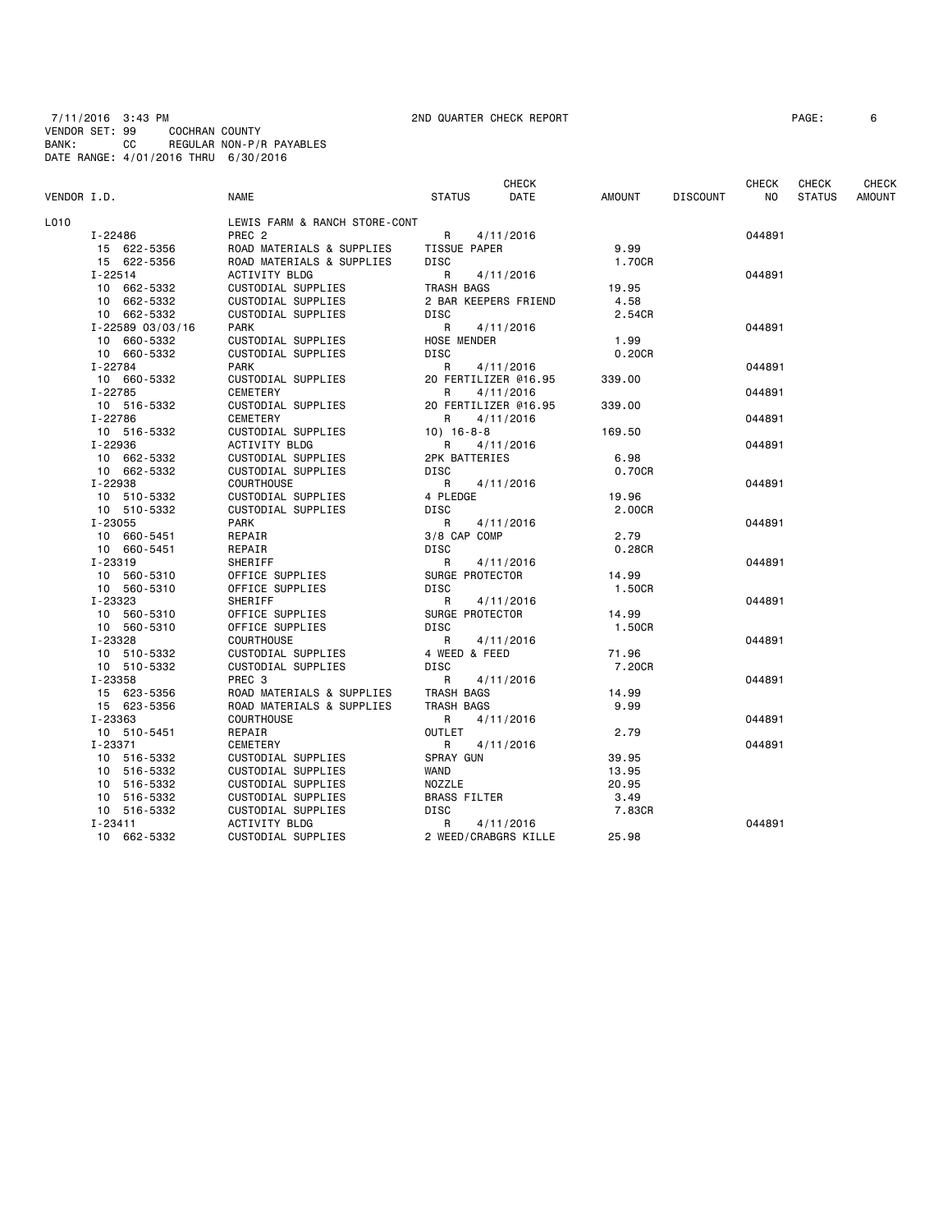7/11/2016 3:43 PM 2ND QUARTER CHECK REPORT PAGE: 6 VENDOR SET: 99 COCHRAN COUNTY BANK: CC REGULAR NON-P/R PAYABLES DATE RANGE: 4/01/2016 THRU 6/30/2016

|             |                            |                               |                               | CHECK                |               |                 | <b>CHECK</b> | CHECK         | CHECK         |
|-------------|----------------------------|-------------------------------|-------------------------------|----------------------|---------------|-----------------|--------------|---------------|---------------|
| VENDOR I.D. |                            | NAME                          | <b>STATUS</b>                 | DATE                 | AMOUNT        | <b>DISCOUNT</b> | NO           | <b>STATUS</b> | <b>AMOUNT</b> |
| L010        |                            | LEWIS FARM & RANCH STORE-CONT |                               |                      |               |                 |              |               |               |
|             | I-22486                    | PREC <sub>2</sub>             | R.                            | 4/11/2016            |               |                 | 044891       |               |               |
|             | 15 622-5356                | ROAD MATERIALS & SUPPLIES     | TISSUE PAPER                  |                      | 9.99          |                 |              |               |               |
|             | 15 622-5356                | ROAD MATERIALS & SUPPLIES     | DISC                          |                      | 1.70CR        |                 |              |               |               |
|             | $I - 22514$                | <b>ACTIVITY BLDG</b>          | R                             | 4/11/2016            |               |                 | 044891       |               |               |
|             | 10 662-5332                | CUSTODIAL SUPPLIES            | TRASH BAGS                    |                      | 19.95         |                 |              |               |               |
|             | 10 662-5332                | CUSTODIAL SUPPLIES            |                               | 2 BAR KEEPERS FRIEND | 4.58          |                 |              |               |               |
|             | 10 662-5332                | CUSTODIAL SUPPLIES            | DISC                          |                      | 2.54CR        |                 |              |               |               |
|             | I-22589 03/03/16           | <b>PARK</b>                   | R                             | 4/11/2016            |               |                 | 044891       |               |               |
|             | 10 660-5332                | CUSTODIAL SUPPLIES            | <b>HOSE MENDER</b>            |                      | 1.99          |                 |              |               |               |
|             | 10 660-5332                | CUSTODIAL SUPPLIES            | DISC                          |                      | 0.20CR        |                 |              |               |               |
|             | I-22784                    | <b>PARK</b>                   | R                             | 4/11/2016            |               |                 | 044891       |               |               |
|             | 10 660-5332                | CUSTODIAL SUPPLIES            |                               | 20 FERTILIZER @16.95 | 339.00        |                 |              |               |               |
|             | I-22785                    | CEMETERY                      | R                             | 4/11/2016            |               |                 | 044891       |               |               |
|             | 10 516-5332                | CUSTODIAL SUPPLIES            |                               | 20 FERTILIZER @16.95 | 339.00        |                 |              |               |               |
|             | $I - 22786$                | CEMETERY                      | R                             | 4/11/2016            |               |                 | 044891       |               |               |
|             | 10 516-5332                | CUSTODIAL SUPPLIES            | $10) 16 - 8 - 8$              |                      | 169.50        |                 |              |               |               |
|             | I-22936                    | <b>ACTIVITY BLDG</b>          | R                             | 4/11/2016            |               |                 | 044891       |               |               |
|             | 10 662-5332                | CUSTODIAL SUPPLIES            | 2PK BATTERIES                 |                      | 6.98          |                 |              |               |               |
|             | 10 662-5332                | CUSTODIAL SUPPLIES            | <b>DISC</b>                   |                      | 0.70CR        |                 |              |               |               |
|             | I-22938                    | <b>COURTHOUSE</b>             | R                             | 4/11/2016            |               |                 | 044891       |               |               |
|             | 10 510-5332                | CUSTODIAL SUPPLIES            | 4 PLEDGE                      |                      | 19.96         |                 |              |               |               |
|             | 10 510-5332                | CUSTODIAL SUPPLIES            | DISC                          |                      | 2.00CR        |                 |              |               |               |
|             | I-23055                    | <b>PARK</b>                   | R                             | 4/11/2016            |               |                 | 044891       |               |               |
|             | 10 660-5451                | REPAIR                        | 3/8 CAP COMP                  |                      | 2.79          |                 |              |               |               |
|             | 10 660-5451                | REPAIR                        | DISC                          |                      | $0.28$ CR     |                 |              |               |               |
|             | I-23319                    | SHERIFF                       | R                             | 4/11/2016            |               |                 | 044891       |               |               |
|             | 10 560-5310                | OFFICE SUPPLIES               | SURGE PROTECTOR               |                      | 14.99         |                 |              |               |               |
|             | 10 560-5310                | OFFICE SUPPLIES               | DISC                          |                      | 1.50CR        |                 |              |               |               |
|             | I-23323                    | SHERIFF                       | R                             | 4/11/2016            |               |                 | 044891       |               |               |
|             | 10 560-5310                | OFFICE SUPPLIES               | SURGE PROTECTOR               |                      | 14.99         |                 |              |               |               |
|             | 10 560-5310                | OFFICE SUPPLIES               | DISC                          |                      | 1.50CR        |                 |              |               |               |
|             | I-23328                    | <b>COURTHOUSE</b>             | R                             | 4/11/2016            |               |                 | 044891       |               |               |
|             | 10 510-5332                | CUSTODIAL SUPPLIES            | 4 WEED & FEED                 |                      | 71.96         |                 |              |               |               |
|             | 10 510-5332                | CUSTODIAL SUPPLIES            | <b>DISC</b>                   |                      | 7.20CR        |                 |              |               |               |
|             | I-23358                    | PREC <sub>3</sub>             | R                             | 4/11/2016            |               |                 | 044891       |               |               |
|             | 15 623-5356                | ROAD MATERIALS & SUPPLIES     | TRASH BAGS                    |                      | 14.99         |                 |              |               |               |
|             | 15 623-5356                | ROAD MATERIALS & SUPPLIES     | TRASH BAGS                    |                      | 9.99          |                 |              |               |               |
|             | I-23363                    | <b>COURTHOUSE</b>             | R                             | 4/11/2016            |               |                 | 044891       |               |               |
|             | 10 510-5451                | REPAIR                        | <b>OUTLET</b>                 |                      | 2.79          |                 |              |               |               |
|             | I-23371                    | CEMETERY                      | R                             | 4/11/2016            |               |                 | 044891       |               |               |
|             | 10 516-5332                | CUSTODIAL SUPPLIES            | SPRAY GUN                     |                      | 39.95         |                 |              |               |               |
|             | 10 516-5332                | CUSTODIAL SUPPLIES            | WAND                          |                      | 13.95         |                 |              |               |               |
|             |                            | CUSTODIAL SUPPLIES            |                               |                      |               |                 |              |               |               |
|             | 10 516-5332<br>10 516-5332 | CUSTODIAL SUPPLIES            | NOZZLE<br><b>BRASS FILTER</b> |                      | 20.95<br>3.49 |                 |              |               |               |
|             | 10 516-5332                | CUSTODIAL SUPPLIES            | <b>DISC</b>                   |                      | 7.83CR        |                 |              |               |               |
|             |                            |                               |                               |                      |               |                 |              |               |               |
|             | $I - 23411$                | ACTIVITY BLDG                 | R                             | 4/11/2016            |               |                 | 044891       |               |               |
|             | 10 662-5332                | CUSTODIAL SUPPLIES            |                               | 2 WEED/CRABGRS KILLE | 25.98         |                 |              |               |               |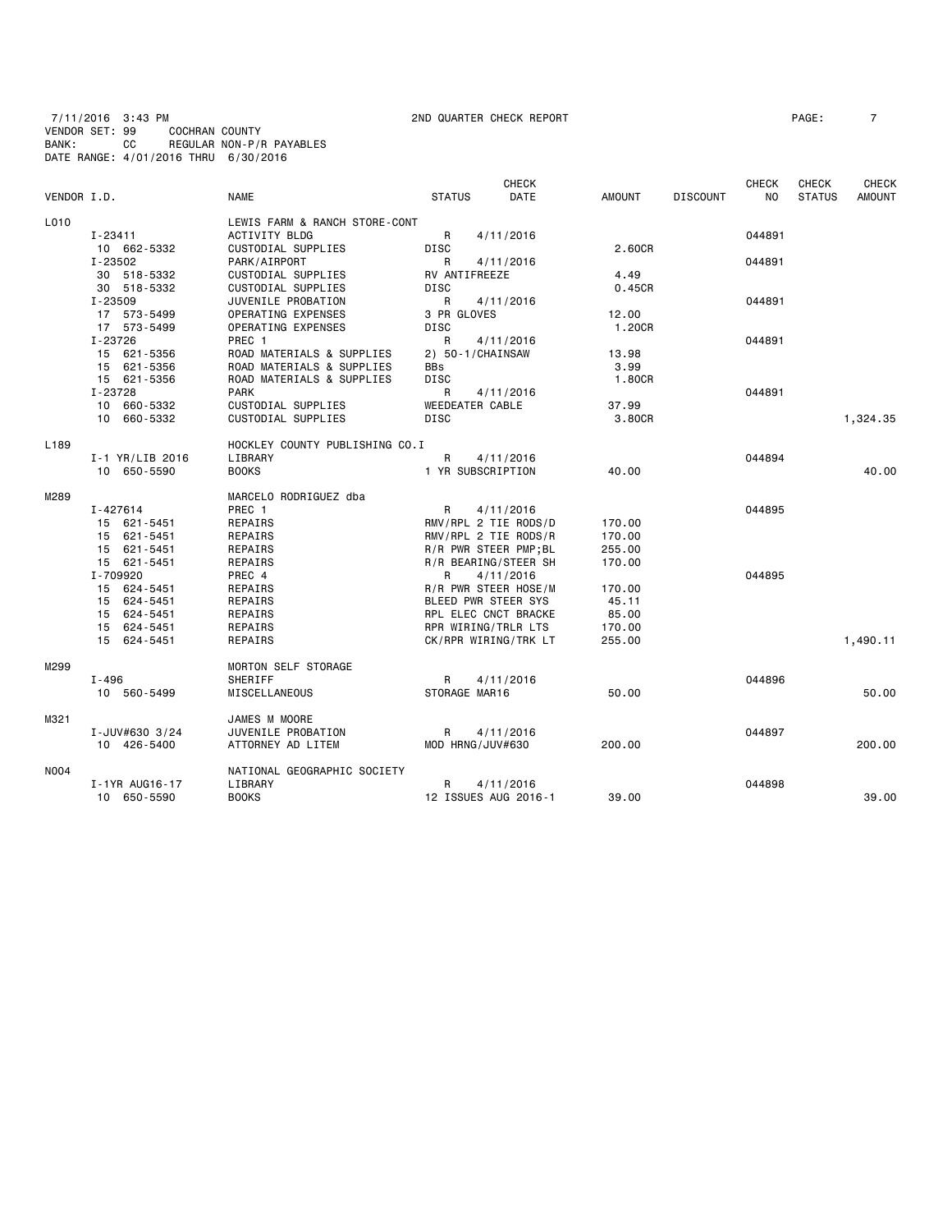7/11/2016 3:43 PM 2ND QUARTER CHECK REPORT PAGE: 7 VENDOR SET: 99 COCHRAN COUNTY BANK: CC REGULAR NON-P/R PAYABLES DATE RANGE: 4/01/2016 THRU 6/30/2016

| VENDOR I.D.      |                   | <b>NAME</b>                    | <b>STATUS</b>          | <b>CHECK</b><br><b>DATE</b> | AMOUNT | <b>DISCOUNT</b> | CHECK<br>N <sub>O</sub> | CHECK<br><b>STATUS</b> | <b>CHECK</b><br><b>AMOUNT</b> |
|------------------|-------------------|--------------------------------|------------------------|-----------------------------|--------|-----------------|-------------------------|------------------------|-------------------------------|
| L010             |                   | LEWIS FARM & RANCH STORE-CONT  |                        |                             |        |                 |                         |                        |                               |
|                  | $I - 23411$       | ACTIVITY BLDG                  | R                      | 4/11/2016                   |        |                 | 044891                  |                        |                               |
|                  | 10 662-5332       | CUSTODIAL SUPPLIES             | <b>DISC</b>            |                             | 2.60CR |                 |                         |                        |                               |
|                  | I-23502           | PARK/AIRPORT                   | R                      | 4/11/2016                   |        |                 | 044891                  |                        |                               |
|                  | 30 518-5332       | CUSTODIAL SUPPLIES             | RV ANTIFREEZE          |                             | 4.49   |                 |                         |                        |                               |
|                  | 30 518-5332       | CUSTODIAL SUPPLIES             | <b>DISC</b>            |                             | 0.45CR |                 |                         |                        |                               |
|                  | I-23509           | JUVENILE PROBATION             | R                      |                             |        |                 | 044891                  |                        |                               |
|                  |                   |                                |                        | 4/11/2016                   |        |                 |                         |                        |                               |
|                  | 17 573-5499       | OPERATING EXPENSES             | 3 PR GLOVES            |                             | 12.00  |                 |                         |                        |                               |
|                  | 17 573-5499       | OPERATING EXPENSES             | <b>DISC</b>            |                             | 1.20CR |                 |                         |                        |                               |
|                  | I-23726           | PREC 1                         | R                      | 4/11/2016                   |        |                 | 044891                  |                        |                               |
|                  | 15 621-5356       | ROAD MATERIALS & SUPPLIES      | 2) 50-1/CHAINSAW       |                             | 13.98  |                 |                         |                        |                               |
|                  | 15 621-5356       | ROAD MATERIALS & SUPPLIES      | <b>BBs</b>             |                             | 3.99   |                 |                         |                        |                               |
|                  | 15 621-5356       | ROAD MATERIALS & SUPPLIES      | <b>DISC</b>            |                             | 1.80CR |                 |                         |                        |                               |
|                  | I-23728           | <b>PARK</b>                    | R                      | 4/11/2016                   |        |                 | 044891                  |                        |                               |
|                  | 10 660-5332       | CUSTODIAL SUPPLIES             | <b>WEEDEATER CABLE</b> |                             | 37.99  |                 |                         |                        |                               |
|                  | 10 660-5332       | <b>CUSTODIAL SUPPLIES</b>      | <b>DISC</b>            |                             | 3.80CR |                 |                         |                        | 1,324.35                      |
| L <sub>189</sub> |                   | HOCKLEY COUNTY PUBLISHING CO.I |                        |                             |        |                 |                         |                        |                               |
|                  | $I-1$ YR/LIB 2016 | LIBRARY                        | R                      | 4/11/2016                   |        |                 | 044894                  |                        |                               |
|                  | 10 650-5590       | <b>BOOKS</b>                   | 1 YR SUBSCRIPTION      |                             | 40.00  |                 |                         |                        | 40.00                         |
| M289             |                   | MARCELO RODRIGUEZ dba          |                        |                             |        |                 |                         |                        |                               |
|                  | I-427614          | PREC 1                         | R                      | 4/11/2016                   |        |                 | 044895                  |                        |                               |
|                  | 15 621-5451       | REPAIRS                        |                        | RMV/RPL 2 TIE RODS/D        | 170.00 |                 |                         |                        |                               |
|                  | 15 621-5451       | REPAIRS                        |                        | RMV/RPL 2 TIE RODS/R        | 170.00 |                 |                         |                        |                               |
|                  | 15 621-5451       | REPAIRS                        |                        | R/R PWR STEER PMP; BL       | 255.00 |                 |                         |                        |                               |
|                  | 15 621-5451       | REPAIRS                        |                        | R/R BEARING/STEER SH        | 170.00 |                 |                         |                        |                               |
|                  | I-709920          | PREC 4                         | R                      | 4/11/2016                   |        |                 | 044895                  |                        |                               |
|                  | 15 624-5451       | REPAIRS                        |                        | R/R PWR STEER HOSE/M        | 170.00 |                 |                         |                        |                               |
|                  | 15 624-5451       | REPAIRS                        | BLEED PWR STEER SYS    |                             | 45.11  |                 |                         |                        |                               |
|                  | 15 624-5451       | REPAIRS                        |                        | RPL ELEC CNCT BRACKE        | 85.00  |                 |                         |                        |                               |
|                  | 15 624-5451       | REPAIRS                        | RPR WIRING/TRLR LTS    |                             | 170.00 |                 |                         |                        |                               |
|                  | 15 624-5451       |                                |                        |                             |        |                 |                         |                        |                               |
|                  |                   | REPAIRS                        |                        | CK/RPR WIRING/TRK LT        | 255,00 |                 |                         |                        | 1,490.11                      |
| M299             |                   | MORTON SELF STORAGE            |                        |                             |        |                 |                         |                        |                               |
|                  | $I - 496$         | SHERIFF                        | R                      | 4/11/2016                   |        |                 | 044896                  |                        |                               |
|                  | 10 560-5499       | <b>MISCELLANEOUS</b>           | STORAGE MAR16          |                             | 50.00  |                 |                         |                        | 50.00                         |
| M321             |                   | JAMES M MOORE                  |                        |                             |        |                 |                         |                        |                               |
|                  | I-JUV#630 3/24    | JUVENILE PROBATION             | R                      | 4/11/2016                   |        |                 | 044897                  |                        |                               |
|                  | 10 426-5400       | ATTORNEY AD LITEM              | MOD HRNG/JUV#630       |                             | 200.00 |                 |                         |                        | 200,00                        |
| <b>NO04</b>      |                   | NATIONAL GEOGRAPHIC SOCIETY    |                        |                             |        |                 |                         |                        |                               |
|                  | I-1YR AUG16-17    | LIBRARY                        | R                      | 4/11/2016                   |        |                 | 044898                  |                        |                               |
|                  | 10 650-5590       | <b>BOOKS</b>                   |                        | 12 ISSUES AUG 2016-1        | 39.00  |                 |                         |                        | 39.00                         |
|                  |                   |                                |                        |                             |        |                 |                         |                        |                               |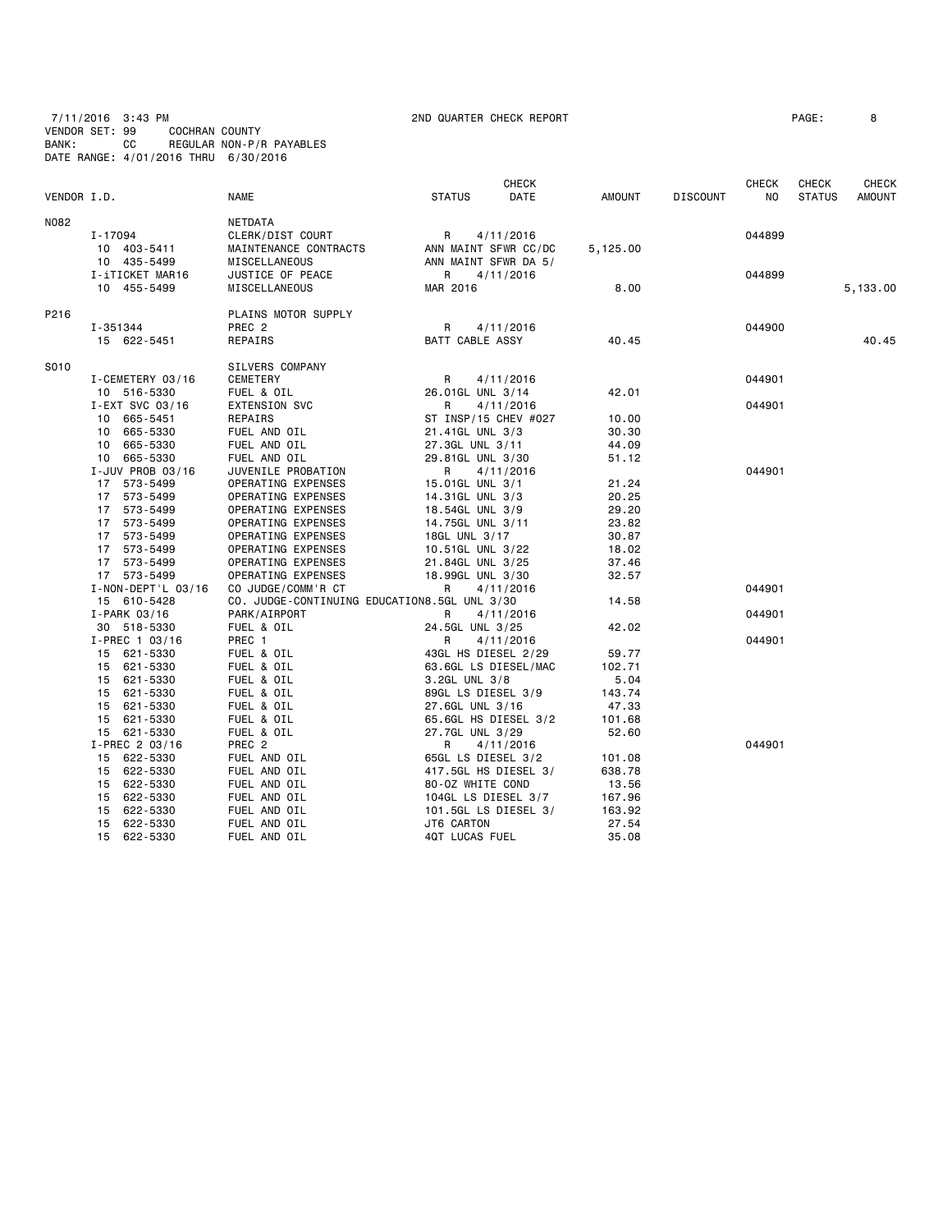7/11/2016 3:43 PM 2ND QUARTER CHECK REPORT PAGE: 8 VENDOR SET: 99 COCHRAN COUNTY BANK: CC REGULAR NON-P/R PAYABLES DATE RANGE: 4/01/2016 THRU 6/30/2016

|             |                            |                                              |                                         | CHECK     |                 |                 | <b>CHECK</b>   | CHECK         | CHECK         |
|-------------|----------------------------|----------------------------------------------|-----------------------------------------|-----------|-----------------|-----------------|----------------|---------------|---------------|
| VENDOR I.D. |                            | <b>NAME</b>                                  | <b>STATUS</b>                           | DATE      | AMOUNT          | <b>DISCOUNT</b> | N <sub>O</sub> | <b>STATUS</b> | <b>AMOUNT</b> |
| N082        |                            | NETDATA                                      |                                         |           |                 |                 |                |               |               |
|             | I-17094                    | CLERK/DIST COURT                             | R                                       | 4/11/2016 |                 |                 | 044899         |               |               |
|             | 10 403-5411                | MAINTENANCE CONTRACTS                        | ANN MAINT SFWR CC/DC                    |           | 5,125.00        |                 |                |               |               |
|             | 10 435-5499                | MISCELLANEOUS                                | ANN MAINT SFWR DA 5/                    |           |                 |                 |                |               |               |
|             | I-iTICKET MAR16            | JUSTICE OF PEACE                             | R                                       | 4/11/2016 |                 |                 | 044899         |               |               |
|             | 10 455-5499                | MISCELLANEOUS                                | MAR 2016                                |           | 8.00            |                 |                |               | 5,133.00      |
| P216        |                            | PLAINS MOTOR SUPPLY                          |                                         |           |                 |                 |                |               |               |
|             | I-351344                   | PREC <sub>2</sub>                            | R                                       | 4/11/2016 |                 |                 | 044900         |               |               |
|             | 15 622-5451                | REPAIRS                                      | BATT CABLE ASSY                         |           | 40.45           |                 |                |               | 40.45         |
| S010        |                            | SILVERS COMPANY                              |                                         |           |                 |                 |                |               |               |
|             | I-CEMETERY 03/16           | CEMETERY                                     | R                                       | 4/11/2016 |                 |                 | 044901         |               |               |
|             | 10 516-5330                | FUEL & OIL                                   | 26.01GL UNL 3/14                        |           | 42.01           |                 |                |               |               |
|             | I-EXT SVC 03/16            | EXTENSION SVC                                | R                                       | 4/11/2016 |                 |                 | 044901         |               |               |
|             | 10 665-5451                | REPAIRS                                      | ST INSP/15 CHEV #027                    |           | 10.00           |                 |                |               |               |
|             | 10 665-5330                | FUEL AND OIL                                 | 21.41GL UNL 3/3                         |           | 30.30           |                 |                |               |               |
|             | 10 665-5330                | FUEL AND OIL                                 | 27.3GL UNL 3/11                         |           | 44.09           |                 |                |               |               |
|             | 10 665-5330                | FUEL AND OIL                                 | 29.81GL UNL 3/30                        |           | 51.12           |                 |                |               |               |
|             | I-JUV PROB 03/16           | JUVENILE PROBATION                           | R                                       | 4/11/2016 |                 |                 | 044901         |               |               |
|             | 17 573-5499                | OPERATING EXPENSES                           | 15.01GL UNL 3/1                         |           | 21.24           |                 |                |               |               |
|             | 17<br>573-5499             | OPERATING EXPENSES                           | 14.31GL UNL 3/3                         |           | 20.25           |                 |                |               |               |
|             | 573-5499<br>17             | OPERATING EXPENSES                           | 18.54GL UNL 3/9                         |           | 29.20           |                 |                |               |               |
|             | 17 573-5499                | OPERATING EXPENSES                           | 14.75GL UNL 3/11                        |           | 23.82           |                 |                |               |               |
|             | 17 573-5499                | OPERATING EXPENSES                           | 18GL UNL 3/17                           |           | 30.87           |                 |                |               |               |
|             | 17 573-5499                | OPERATING EXPENSES                           | 10.51GL UNL 3/22                        |           | 18.02           |                 |                |               |               |
|             | 17 573-5499                | OPERATING EXPENSES                           | 21.84GL UNL 3/25                        |           | 37.46           |                 |                |               |               |
|             | 17 573-5499                | OPERATING EXPENSES                           | 18.99GL UNL 3/30                        |           | 32.57           |                 |                |               |               |
|             | $I - NON - DEPT'L 03/16$   | CO JUDGE/COMM'R CT                           | R                                       | 4/11/2016 |                 |                 | 044901         |               |               |
|             | 15 610-5428                | CO. JUDGE-CONTINUING EDUCATION8.5GL UNL 3/30 |                                         |           | 14.58           |                 |                |               |               |
|             | I-PARK 03/16               | PARK/AIRPORT                                 | R                                       | 4/11/2016 |                 |                 | 044901         |               |               |
|             | 30 518-5330                | FUEL & OIL                                   | 24.5GL UNL 3/25                         |           | 42.02           |                 |                |               |               |
|             | $I-PREC$ 1 03/16           | PREC 1                                       | R                                       | 4/11/2016 |                 |                 | 044901         |               |               |
|             | 15 621-5330                | FUEL & OIL                                   | 43GL HS DIESEL 2/29                     |           | 59.77           |                 |                |               |               |
|             | 15 621-5330                | FUEL & OIL                                   | 63.6GL LS DIESEL/MAC                    |           | 102.71          |                 |                |               |               |
|             | 621-5330<br>15             | FUEL & OIL                                   | 3.2GL UNL 3/8                           |           | 5.04            |                 |                |               |               |
|             | 15<br>621-5330<br>15       | FUEL & OIL<br>FUEL & OIL                     | 89GL LS DIESEL 3/9                      |           | 143.74          |                 |                |               |               |
|             | 621-5330<br>15<br>621-5330 | FUEL & OIL                                   | 27.6GL UNL 3/16<br>65.6GL HS DIESEL 3/2 |           | 47.33<br>101.68 |                 |                |               |               |
|             | 15 621-5330                | FUEL & OIL                                   | 27.7GL UNL 3/29                         |           | 52.60           |                 |                |               |               |
|             | I-PREC 2 03/16             | PREC <sub>2</sub>                            | R                                       | 4/11/2016 |                 |                 | 044901         |               |               |
|             | 15 622-5330                | FUEL AND OIL                                 | 65GL LS DIESEL 3/2                      |           | 101.08          |                 |                |               |               |
|             | 15 622-5330                | FUEL AND OIL                                 | 417.5GL HS DIESEL 3/                    |           | 638.78          |                 |                |               |               |
|             | 622-5330<br>15             | FUEL AND OIL                                 | 80-0Z WHITE COND                        |           | 13.56           |                 |                |               |               |
|             | 622-5330<br>15             | FUEL AND OIL                                 | 104GL LS DIESEL 3/7                     |           | 167.96          |                 |                |               |               |
|             | 622-5330<br>15             | FUEL AND OIL                                 | 101.5GL LS DIESEL 3/                    |           | 163.92          |                 |                |               |               |
|             | 15<br>622-5330             | FUEL AND OIL                                 | JT6 CARTON                              |           | 27.54           |                 |                |               |               |
|             | 15<br>622-5330             | FUEL AND OIL                                 | 4QT LUCAS FUEL                          |           | 35.08           |                 |                |               |               |
|             |                            |                                              |                                         |           |                 |                 |                |               |               |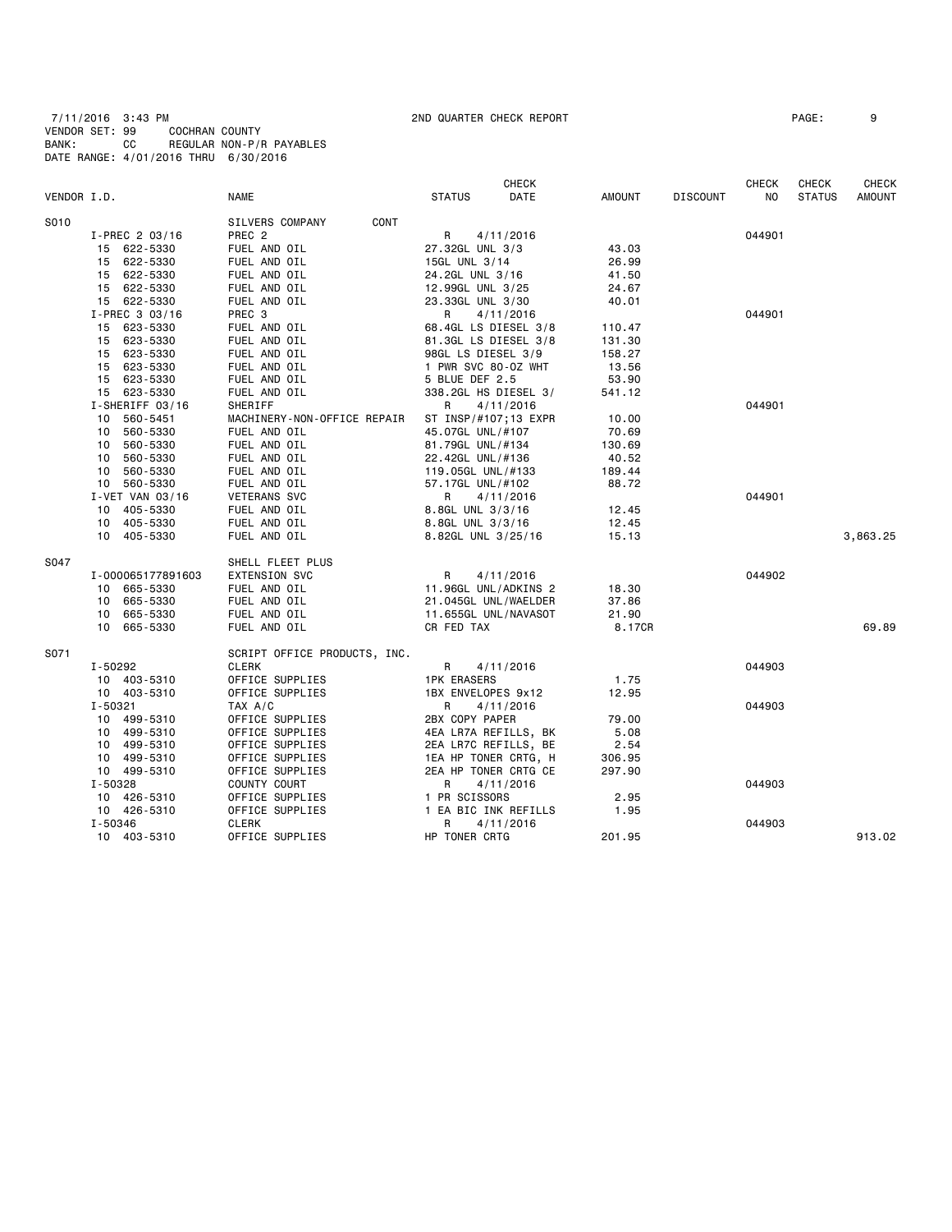7/11/2016 3:43 PM 2ND QUARTER CHECK REPORT PAGE: 9 VENDOR SET: 99 COCHRAN COUNTY BANK: CC REGULAR NON-P/R PAYABLES DATE RANGE: 4/01/2016 THRU 6/30/2016

|             |                   |                              | <b>CHECK</b>          |        |                 | <b>CHECK</b> | <b>CHECK</b>  | <b>CHECK</b>  |
|-------------|-------------------|------------------------------|-----------------------|--------|-----------------|--------------|---------------|---------------|
| VENDOR I.D. |                   | NAME                         | DATE<br><b>STATUS</b> | AMOUNT | <b>DISCOUNT</b> | NO.          | <b>STATUS</b> | <b>AMOUNT</b> |
| S010        |                   | CONT<br>SILVERS COMPANY      |                       |        |                 |              |               |               |
|             | I-PREC 2 03/16    | PREC <sub>2</sub>            | R<br>4/11/2016        |        |                 | 044901       |               |               |
|             | 15 622-5330       | FUEL AND OIL                 | 27.32GL UNL 3/3       | 43.03  |                 |              |               |               |
|             | 15 622-5330       | FUEL AND OIL                 | 15GL UNL 3/14         | 26.99  |                 |              |               |               |
|             | 15 622-5330       | FUEL AND OIL                 | 24.2GL UNL 3/16       | 41.50  |                 |              |               |               |
|             | 15 622-5330       | FUEL AND OIL                 | 12.99GL UNL 3/25      | 24.67  |                 |              |               |               |
|             | 15 622-5330       | FUEL AND OIL                 | 23.33GL UNL 3/30      | 40.01  |                 |              |               |               |
|             | I-PREC 3 03/16    | PREC <sub>3</sub>            | 4/11/2016<br>R        |        |                 | 044901       |               |               |
|             | 623-5330<br>15    | FUEL AND OIL                 | 68.4GL LS DIESEL 3/8  | 110.47 |                 |              |               |               |
|             | 623-5330<br>15    | FUEL AND OIL                 | 81.3GL LS DIESEL 3/8  | 131.30 |                 |              |               |               |
|             | 623-5330<br>15    | FUEL AND OIL                 | 98GL LS DIESEL 3/9    | 158.27 |                 |              |               |               |
|             | 623-5330<br>15    | FUEL AND OIL                 | 1 PWR SVC 80-0Z WHT   | 13.56  |                 |              |               |               |
|             |                   |                              | 5 BLUE DEF 2.5        |        |                 |              |               |               |
|             | 15 623-5330       | FUEL AND OIL<br>FUEL AND OIL |                       | 53.90  |                 |              |               |               |
|             | 15 623-5330       |                              | 338.2GL HS DIESEL 3/  | 541.12 |                 | 044901       |               |               |
|             | I-SHERIFF 03/16   | SHERIFF                      | R<br>4/11/2016        |        |                 |              |               |               |
|             | 560-5451<br>10    | MACHINERY-NON-OFFICE REPAIR  | ST INSP/#107;13 EXPR  | 10.00  |                 |              |               |               |
|             | 560-5330<br>10    | FUEL AND OIL                 | 45.07GL UNL/#107      | 70.69  |                 |              |               |               |
|             | 560-5330<br>10    | FUEL AND OIL                 | 81.79GL UNL/#134      | 130.69 |                 |              |               |               |
|             | 560-5330<br>10    | FUEL AND OIL                 | 22.42GL UNL/#136      | 40.52  |                 |              |               |               |
|             | 10 560-5330       | FUEL AND OIL                 | 119.05GL UNL/#133     | 189.44 |                 |              |               |               |
|             | 10 560-5330       | FUEL AND OIL                 | 57.17GL UNL/#102      | 88.72  |                 |              |               |               |
|             | I-VET VAN 03/16   | <b>VETERANS SVC</b>          | R<br>4/11/2016        |        |                 | 044901       |               |               |
|             | 405-5330<br>10    | FUEL AND OIL                 | 8.8GL UNL 3/3/16      | 12.45  |                 |              |               |               |
|             | 10 405-5330       | FUEL AND OIL                 | 8.8GL UNL 3/3/16      | 12.45  |                 |              |               |               |
|             | 10 405-5330       | FUEL AND OIL                 | 8.82GL UNL 3/25/16    | 15.13  |                 |              |               | 3,863.25      |
| S047        |                   | SHELL FLEET PLUS             |                       |        |                 |              |               |               |
|             | I-000065177891603 | <b>EXTENSION SVC</b>         | R<br>4/11/2016        |        |                 | 044902       |               |               |
|             | 10 665-5330       | FUEL AND OIL                 | 11.96GL UNL/ADKINS 2  | 18.30  |                 |              |               |               |
|             | 665-5330<br>10    | FUEL AND OIL                 | 21.045GL UNL/WAELDER  | 37.86  |                 |              |               |               |
|             | 10 665-5330       | FUEL AND OIL                 | 11.655GL UNL/NAVASOT  | 21.90  |                 |              |               |               |
|             | 10 665-5330       | FUEL AND OIL                 | CR FED TAX            | 8.17CR |                 |              |               | 69.89         |
| S071        |                   | SCRIPT OFFICE PRODUCTS, INC. |                       |        |                 |              |               |               |
|             | I-50292           | <b>CLERK</b>                 | R<br>4/11/2016        |        |                 | 044903       |               |               |
|             | 10 403-5310       | OFFICE SUPPLIES              | <b>1PK ERASERS</b>    | 1.75   |                 |              |               |               |
|             | 10 403-5310       | OFFICE SUPPLIES              | 1BX ENVELOPES 9x12    | 12.95  |                 |              |               |               |
|             | I-50321           | TAX A/C                      | R<br>4/11/2016        |        |                 | 044903       |               |               |
|             | 10 499-5310       | OFFICE SUPPLIES              | 2BX COPY PAPER        | 79.00  |                 |              |               |               |
|             | 10 499-5310       | OFFICE SUPPLIES              | 4EA LR7A REFILLS, BK  | 5.08   |                 |              |               |               |
|             | 10 499-5310       | OFFICE SUPPLIES              | 2EA LR7C REFILLS, BE  | 2.54   |                 |              |               |               |
|             | 10 499-5310       | OFFICE SUPPLIES              | 1EA HP TONER CRTG, H  | 306.95 |                 |              |               |               |
|             | 10 499-5310       | OFFICE SUPPLIES              | 2EA HP TONER CRTG CE  | 297.90 |                 |              |               |               |
|             | I-50328           | COUNTY COURT                 | R<br>4/11/2016        |        |                 | 044903       |               |               |
|             | 10 426-5310       | OFFICE SUPPLIES              | 1 PR SCISSORS         | 2.95   |                 |              |               |               |
|             | 10 426-5310       | OFFICE SUPPLIES              | 1 EA BIC INK REFILLS  | 1.95   |                 |              |               |               |
|             | I-50346           | <b>CLERK</b>                 | R<br>4/11/2016        |        |                 | 044903       |               |               |
|             | 10 403-5310       | OFFICE SUPPLIES              | HP TONER CRTG         | 201.95 |                 |              |               | 913.02        |
|             |                   |                              |                       |        |                 |              |               |               |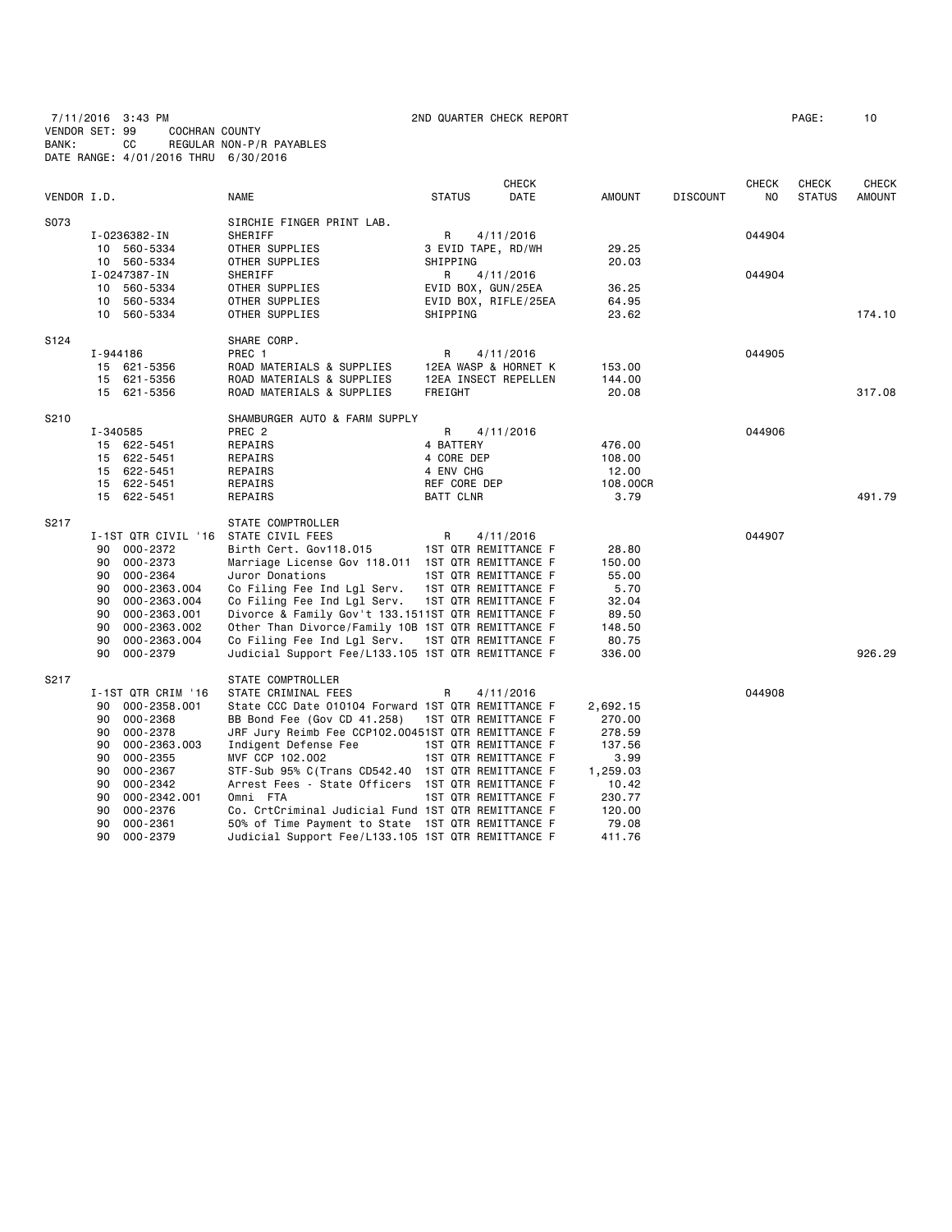7/11/2016 3:43 PM 2ND QUARTER CHECK REPORT PAGE: 10

VENDOR SET: 99 COCHRAN COUNTY

BANK: CC REGULAR NON-P/R PAYABLES

|             |          | DATE RANGE: 4/01/2016 THRU 6/30/2016 |                                                    |                  |                      |                 |                 |                     |                               |                        |
|-------------|----------|--------------------------------------|----------------------------------------------------|------------------|----------------------|-----------------|-----------------|---------------------|-------------------------------|------------------------|
| VENDOR I.D. |          |                                      | <b>NAME</b>                                        | <b>STATUS</b>    | <b>CHECK</b><br>DATE | AMOUNT          | <b>DISCOUNT</b> | <b>CHECK</b><br>NO. | <b>CHECK</b><br><b>STATUS</b> | <b>CHECK</b><br>AMOUNT |
| S073        |          |                                      | SIRCHIE FINGER PRINT LAB.                          |                  |                      |                 |                 |                     |                               |                        |
|             |          | I-0236382-IN                         | SHERIFF                                            | R                | 4/11/2016            |                 |                 | 044904              |                               |                        |
|             |          | 10 560-5334                          | OTHER SUPPLIES                                     |                  | 3 EVID TAPE, RD/WH   | 29.25           |                 |                     |                               |                        |
|             |          | 10 560-5334                          | OTHER SUPPLIES                                     | SHIPPING         |                      | 20.03           |                 |                     |                               |                        |
|             |          | I-0247387-IN                         | SHERIFF                                            | R                | 4/11/2016            |                 |                 | 044904              |                               |                        |
|             |          | 10 560-5334                          | OTHER SUPPLIES                                     |                  | EVID BOX, GUN/25EA   | 36.25           |                 |                     |                               |                        |
|             |          | 10 560-5334                          | OTHER SUPPLIES                                     |                  | EVID BOX, RIFLE/25EA | 64.95           |                 |                     |                               |                        |
|             |          | 10 560-5334                          | OTHER SUPPLIES                                     | SHIPPING         |                      | 23.62           |                 |                     |                               | 174.10                 |
| S124        |          |                                      | SHARE CORP.                                        |                  |                      |                 |                 |                     |                               |                        |
|             | I-944186 |                                      | PREC 1                                             | R                | 4/11/2016            |                 |                 | 044905              |                               |                        |
|             |          | 15 621-5356                          | ROAD MATERIALS & SUPPLIES                          |                  | 12EA WASP & HORNET K | 153.00          |                 |                     |                               |                        |
|             |          | 15 621-5356                          | ROAD MATERIALS & SUPPLIES                          |                  | 12EA INSECT REPELLEN | 144.00          |                 |                     |                               |                        |
|             |          | 15 621-5356                          | ROAD MATERIALS & SUPPLIES                          | FREIGHT          |                      | 20.08           |                 |                     |                               | 317.08                 |
| S210        |          |                                      | SHAMBURGER AUTO & FARM SUPPLY                      |                  |                      |                 |                 |                     |                               |                        |
|             | I-340585 |                                      | PREC 2                                             | R                | 4/11/2016            |                 |                 | 044906              |                               |                        |
|             |          | 15 622-5451                          | REPAIRS                                            | 4 BATTERY        |                      | 476.00          |                 |                     |                               |                        |
|             |          | 15 622-5451                          | REPAIRS                                            | 4 CORE DEP       |                      | 108.00          |                 |                     |                               |                        |
|             |          | 15 622-5451                          | REPAIRS                                            | 4 ENV CHG        |                      | 12.00           |                 |                     |                               |                        |
|             |          | 15 622-5451                          | REPAIRS                                            | REF CORE DEP     |                      | 108.00CR        |                 |                     |                               |                        |
|             |          | 15 622-5451                          | REPAIRS                                            | <b>BATT CLNR</b> |                      | 3.79            |                 |                     |                               | 491.79                 |
| S217        |          |                                      | STATE COMPTROLLER                                  |                  |                      |                 |                 |                     |                               |                        |
|             |          | I-1ST QTR CIVIL '16                  | STATE CIVIL FEES                                   | R                | 4/11/2016            |                 |                 | 044907              |                               |                        |
|             | 90       | 000-2372                             | Birth Cert. Gov118.015                             |                  | 1ST QTR REMITTANCE F | 28.80           |                 |                     |                               |                        |
|             | 90       | 000-2373                             | Marriage License Gov 118.011 1ST QTR REMITTANCE F  |                  |                      | 150.00          |                 |                     |                               |                        |
|             | 90       | 000-2364                             | Juror Donations                                    |                  | 1ST QTR REMITTANCE F | 55.00           |                 |                     |                               |                        |
|             | 90       | 000-2363.004                         | Co Filing Fee Ind Lgl Serv.                        |                  | 1ST QTR REMITTANCE F | 5.70            |                 |                     |                               |                        |
|             | 90       | 000-2363.004                         | Co Filing Fee Ind Lgl Serv.                        |                  | 1ST QTR REMITTANCE F | 32.04           |                 |                     |                               |                        |
|             | 90       | 000-2363.001                         | Divorce & Family Gov't 133.1511ST QTR REMITTANCE F |                  |                      | 89.50           |                 |                     |                               |                        |
|             | 90       | 000-2363.002                         | Other Than Divorce/Family 10B 1ST QTR REMITTANCE F |                  |                      | 148.50          |                 |                     |                               |                        |
|             | 90       | 000-2363.004                         | Co Filing Fee Ind Lgl Serv. 1ST QTR REMITTANCE F   |                  |                      | 80.75           |                 |                     |                               |                        |
|             | 90       | 000-2379                             | Judicial Support Fee/L133.105 1ST QTR REMITTANCE F |                  |                      | 336.00          |                 |                     |                               | 926.29                 |
| S217        |          |                                      | STATE COMPTROLLER                                  |                  |                      |                 |                 |                     |                               |                        |
|             |          | I-1ST QTR CRIM '16                   | STATE CRIMINAL FEES                                | R                | 4/11/2016            |                 |                 | 044908              |                               |                        |
|             | 90       | 000-2358.001                         | State CCC Date 010104 Forward 1ST QTR REMITTANCE F |                  |                      | 2,692.15        |                 |                     |                               |                        |
|             | 90       | 000-2368                             | BB Bond Fee (Gov CD 41.258)                        |                  | 1ST QTR REMITTANCE F | 270.00          |                 |                     |                               |                        |
|             | 90       | 000-2378                             | JRF Jury Reimb Fee CCP102.00451ST QTR REMITTANCE F |                  |                      | 278.59          |                 |                     |                               |                        |
|             | 90       | 000-2363.003                         | Indigent Defense Fee                               |                  | 1ST QTR REMITTANCE F | 137.56          |                 |                     |                               |                        |
|             | 90       | 000-2355                             | MVF CCP 102.002                                    |                  | 1ST QTR REMITTANCE F | 3.99            |                 |                     |                               |                        |
|             | 90       | 000-2367                             | STF-Sub 95% C(Trans CD542.40 1ST QTR REMITTANCE F  |                  |                      | 1,259.03        |                 |                     |                               |                        |
|             | 90       | 000-2342                             | Arrest Fees - State Officers 1ST QTR REMITTANCE F  |                  |                      | 10.42           |                 |                     |                               |                        |
|             | 90       | 000-2342.001                         | Omni FTA                                           |                  | 1ST QTR REMITTANCE F | 230.77          |                 |                     |                               |                        |
|             | 90<br>90 | 000-2376<br>000-2361                 | Co. CrtCriminal Judicial Fund 1ST QTR REMITTANCE F |                  |                      | 120.00<br>79.08 |                 |                     |                               |                        |
|             | 90       |                                      | 50% of Time Payment to State 1ST QTR REMITTANCE F  |                  |                      |                 |                 |                     |                               |                        |
|             |          | 000-2379                             | Judicial Support Fee/L133.105 1ST QTR REMITTANCE F |                  |                      | 411.76          |                 |                     |                               |                        |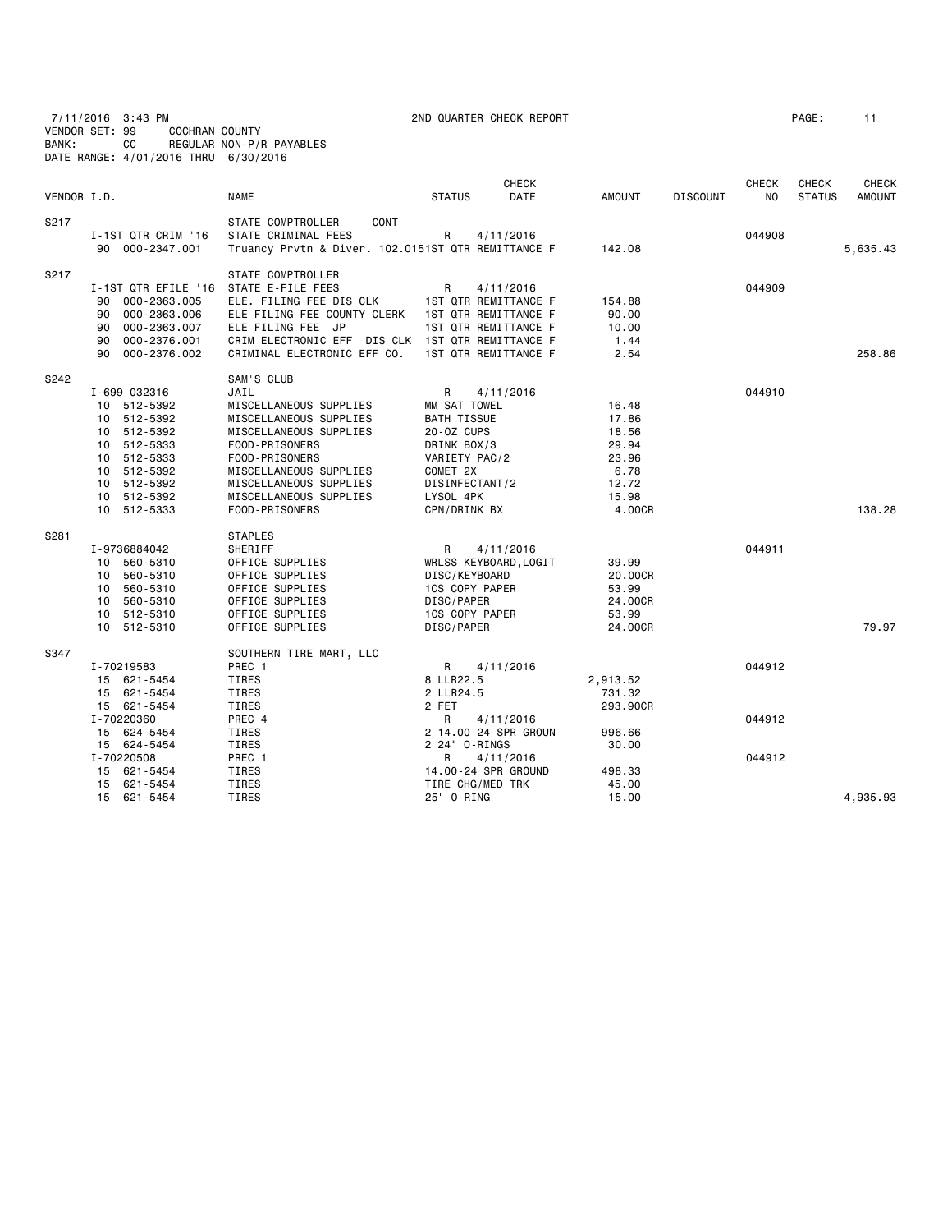| VENDOR SET: 99<br>BANK: |                            | 7/11/2016 3:43 PM<br>COCHRAN COUNTY<br>СC<br>DATE RANGE: 4/01/2016 THRU 6/30/2016                                                                   | REGULAR NON-P/R PAYABLES                                                                                                                                                                                                             | 2ND QUARTER CHECK REPORT                                                                                                                                                  |                                                                               |                 |                                | PAGE:                         | 11                            |
|-------------------------|----------------------------|-----------------------------------------------------------------------------------------------------------------------------------------------------|--------------------------------------------------------------------------------------------------------------------------------------------------------------------------------------------------------------------------------------|---------------------------------------------------------------------------------------------------------------------------------------------------------------------------|-------------------------------------------------------------------------------|-----------------|--------------------------------|-------------------------------|-------------------------------|
| VENDOR I.D.             |                            |                                                                                                                                                     | <b>NAME</b>                                                                                                                                                                                                                          | <b>CHECK</b><br><b>STATUS</b><br>DATE                                                                                                                                     | <b>AMOUNT</b>                                                                 | <b>DISCOUNT</b> | <b>CHECK</b><br>N <sub>O</sub> | <b>CHECK</b><br><b>STATUS</b> | <b>CHECK</b><br><b>AMOUNT</b> |
| S217                    |                            | I-1ST QTR CRIM '16<br>90 000-2347.001                                                                                                               | STATE COMPTROLLER<br>CONT<br>STATE CRIMINAL FEES<br>Truancy Prvtn & Diver. 102.0151ST QTR REMITTANCE F                                                                                                                               | R<br>4/11/2016                                                                                                                                                            | 142.08                                                                        |                 | 044908                         |                               | 5,635.43                      |
| S217                    | 90<br>90<br>90<br>90<br>90 | I-1ST QTR EFILE '16<br>000-2363.005<br>000-2363.006<br>000-2363.007<br>000-2376.001<br>000-2376.002                                                 | STATE COMPTROLLER<br>STATE E-FILE FEES<br>ELE. FILING FEE DIS CLK<br>ELE FILING FEE COUNTY CLERK<br>ELE FILING FEE JP<br>CRIM ELECTRONIC EFF DIS CLK 1ST QTR REMITTANCE F<br>CRIMINAL ELECTRONIC EFF CO.                             | R<br>4/11/2016<br>1ST QTR REMITTANCE F<br>1ST QTR REMITTANCE F<br>1ST QTR REMITTANCE F<br>1ST QTR REMITTANCE F                                                            | 154.88<br>90.00<br>10.00<br>1.44<br>2.54                                      |                 | 044909                         |                               | 258.86                        |
| S242                    |                            | I-699 032316<br>10 512-5392<br>10 512-5392<br>10 512-5392<br>10 512-5333<br>10 512-5333<br>10 512-5392<br>10 512-5392<br>10 512-5392<br>10 512-5333 | SAM'S CLUB<br>JAIL<br>MISCELLANEOUS SUPPLIES<br>MISCELLANEOUS SUPPLIES<br>MISCELLANEOUS SUPPLIES<br>FOOD-PRISONERS<br>FOOD-PRISONERS<br>MISCELLANEOUS SUPPLIES<br>MISCELLANEOUS SUPPLIES<br>MISCELLANEOUS SUPPLIES<br>FOOD-PRISONERS | R<br>4/11/2016<br>MM SAT TOWEL<br><b>BATH TISSUE</b><br>20-0Z CUPS<br>DRINK BOX/3<br>VARIETY PAC/2<br>COMET 2X<br>DISINFECTANT/2<br>LYSOL 4PK<br>CPN/DRINK BX             | 16.48<br>17.86<br>18.56<br>29.94<br>23.96<br>6.78<br>12.72<br>15.98<br>4.00CR |                 | 044910                         |                               | 138.28                        |
| S281                    |                            | I-9736884042<br>10 560-5310<br>10 560-5310<br>10 560-5310<br>10 560-5310<br>10 512-5310<br>10 512-5310                                              | <b>STAPLES</b><br>SHERIFF<br>OFFICE SUPPLIES<br>OFFICE SUPPLIES<br>OFFICE SUPPLIES<br>OFFICE SUPPLIES<br>OFFICE SUPPLIES<br>OFFICE SUPPLIES                                                                                          | R<br>4/11/2016<br>WRLSS KEYBOARD, LOGIT<br>DISC/KEYBOARD<br>1CS COPY PAPER<br>DISC/PAPER<br><b>1CS COPY PAPER</b><br>DISC/PAPER                                           | 39.99<br>20.00CR<br>53.99<br>24.00CR<br>53.99<br>24.00CR                      |                 | 044911                         |                               | 79.97                         |
| S347                    |                            | I-70219583<br>15 621-5454<br>15 621-5454<br>15 621-5454<br>I-70220360<br>15 624-5454<br>15 624-5454<br>I-70220508<br>15 621-5454<br>15 621-5454     | SOUTHERN TIRE MART, LLC<br>PREC 1<br>TIRES<br>TIRES<br>TIRES<br>PREC 4<br>TIRES<br>TIRES<br>PREC 1<br>TIRES<br>TIRES                                                                                                                 | 4/11/2016<br>R<br>8 LLR22.5<br>2 LLR24.5<br>2 FET<br>R<br>4/11/2016<br>2 14.00-24 SPR GROUN<br>2 24" 0-RINGS<br>R<br>4/11/2016<br>14.00-24 SPR GROUND<br>TIRE CHG/MED TRK | 2,913.52<br>731.32<br>293.90CR<br>996.66<br>30.00<br>498.33<br>45.00          |                 | 044912<br>044912<br>044912     |                               |                               |
|                         |                            | 15 621-5454                                                                                                                                         | TIRES                                                                                                                                                                                                                                | 25" 0-RING                                                                                                                                                                | 15.00                                                                         |                 |                                |                               | 4,935.93                      |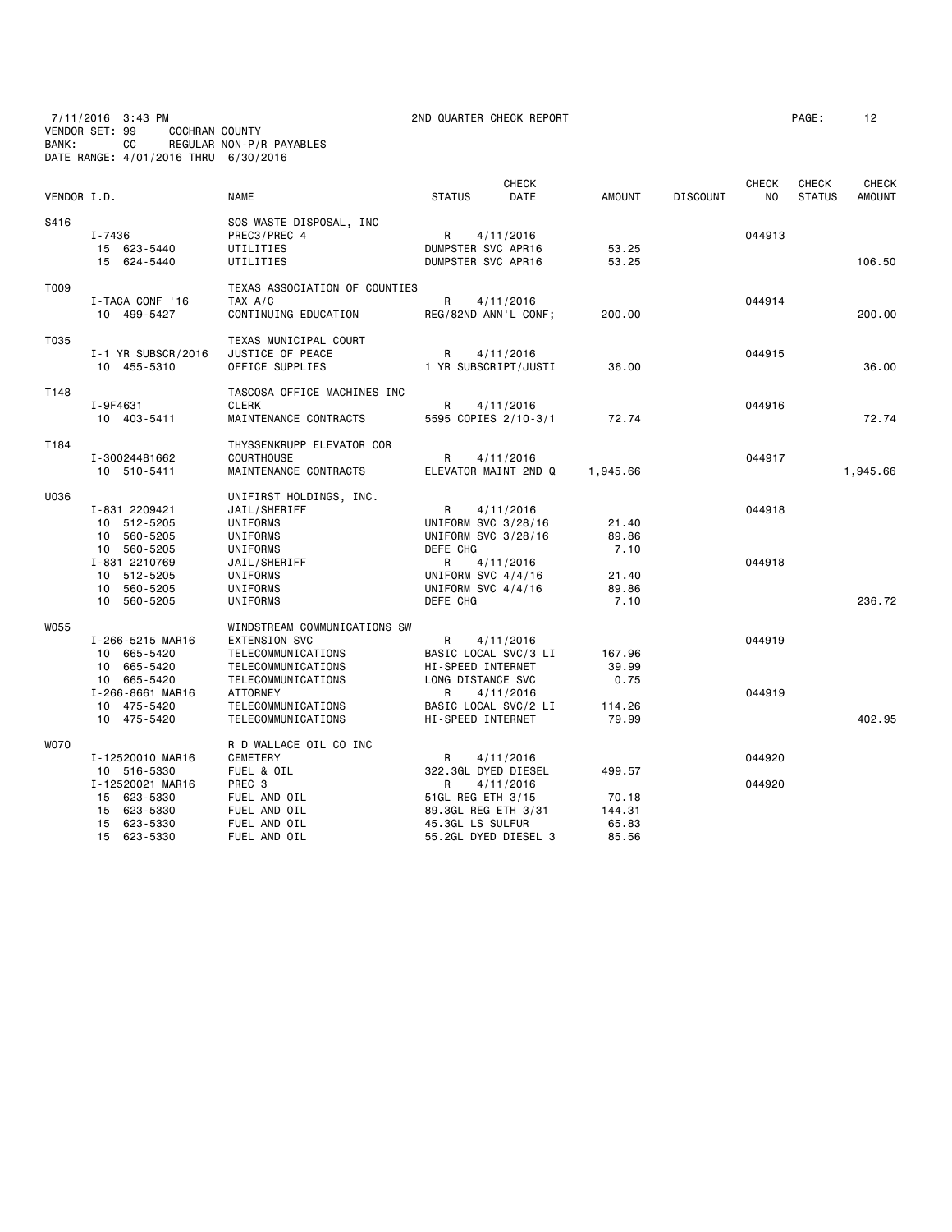7/11/2016 3:43 PM 2ND QUARTER CHECK REPORT PAGE: 12 VENDOR SET: 99 COCHRAN COUNTY BANK: CC REGULAR NON-P/R PAYABLES DATE RANGE: 4/01/2016 THRU 6/30/2016

| VENDOR I.D. |                                                                                                  | <b>NAME</b>                                                                                                                                              | <b>CHECK</b><br><b>STATUS</b>                                                                                              | DATE | AMOUNT                            | <b>DISCOUNT</b> | <b>CHECK</b><br>N <sub>0</sub> | <b>CHECK</b><br><b>STATUS</b> | <b>CHECK</b><br><b>AMOUNT</b> |
|-------------|--------------------------------------------------------------------------------------------------|----------------------------------------------------------------------------------------------------------------------------------------------------------|----------------------------------------------------------------------------------------------------------------------------|------|-----------------------------------|-----------------|--------------------------------|-------------------------------|-------------------------------|
| S416        | $I - 7436$<br>15 623-5440<br>15 624-5440                                                         | SOS WASTE DISPOSAL, INC<br>PREC3/PREC 4<br>UTILITIES<br>UTILITIES                                                                                        | R<br>4/11/2016<br>DUMPSTER SVC APR16<br>DUMPSTER SVC APR16                                                                 |      | 53.25<br>53.25                    |                 | 044913                         |                               | 106.50                        |
| T009        | I-TACA CONF '16<br>10 499-5427                                                                   | TEXAS ASSOCIATION OF COUNTIES<br>TAX A/C<br>CONTINUING EDUCATION                                                                                         | R<br>4/11/2016<br>REG/82ND ANN'L CONF;                                                                                     |      | 200.00                            |                 | 044914                         |                               | 200.00                        |
| T035        | I-1 YR SUBSCR/2016<br>10 455-5310                                                                | TEXAS MUNICIPAL COURT<br>JUSTICE OF PEACE<br>OFFICE SUPPLIES                                                                                             | R<br>4/11/2016<br>1 YR SUBSCRIPT/JUSTI                                                                                     |      | 36.00                             |                 | 044915                         |                               | 36,00                         |
| T148        | I-9F4631<br>10 403-5411                                                                          | TASCOSA OFFICE MACHINES INC<br><b>CLERK</b><br>MAINTENANCE CONTRACTS                                                                                     | 4/11/2016<br>R<br>5595 COPIES 2/10-3/1                                                                                     |      | 72.74                             |                 | 044916                         |                               | 72.74                         |
| T184        | I-30024481662<br>10 510-5411                                                                     | THYSSENKRUPP ELEVATOR COR<br><b>COURTHOUSE</b><br>MAINTENANCE CONTRACTS                                                                                  | R<br>4/11/2016<br>ELEVATOR MAINT 2ND Q                                                                                     |      | 1,945.66                          |                 | 044917                         |                               | 1,945.66                      |
| U036        | I-831 2209421<br>10 512-5205<br>10 560-5205<br>10 560-5205<br>I-831 2210769                      | UNIFIRST HOLDINGS, INC.<br>JAIL/SHERIFF<br>UNIFORMS<br>UNIFORMS<br>UNIFORMS<br>JAIL/SHERIFF                                                              | R<br>4/11/2016<br>UNIFORM SVC 3/28/16<br>UNIFORM SVC 3/28/16<br>DEFE CHG<br>R<br>4/11/2016                                 |      | 21.40<br>89.86<br>7.10            |                 | 044918<br>044918               |                               |                               |
|             | 10 512-5205<br>10 560-5205<br>10 560-5205                                                        | UNIFORMS<br>UNIFORMS<br>UNIFORMS                                                                                                                         | UNIFORM SVC 4/4/16<br>UNIFORM SVC 4/4/16<br>DEFE CHG                                                                       |      | 21.40<br>89.86<br>7.10            |                 |                                |                               | 236.72                        |
| <b>W055</b> | I-266-5215 MAR16<br>10 665-5420<br>10 665-5420<br>10 665-5420<br>I-266-8661 MAR16<br>10 475-5420 | WINDSTREAM COMMUNICATIONS SW<br><b>EXTENSION SVC</b><br>TELECOMMUNICATIONS<br>TELECOMMUNICATIONS<br>TELECOMMUNICATIONS<br>ATTORNEY<br>TELECOMMUNICATIONS | R<br>4/11/2016<br>BASIC LOCAL SVC/3 LI<br>HI-SPEED INTERNET<br>LONG DISTANCE SVC<br>R<br>4/11/2016<br>BASIC LOCAL SVC/2 LI |      | 167.96<br>39.99<br>0.75<br>114.26 |                 | 044919<br>044919               |                               |                               |
|             | 10 475-5420                                                                                      | TELECOMMUNICATIONS                                                                                                                                       | <b>HI-SPEED INTERNET</b>                                                                                                   |      | 79.99                             |                 |                                |                               | 402.95                        |
| <b>WO70</b> | I-12520010 MAR16<br>10 516-5330<br>I-12520021 MAR16<br>15 623-5330<br>15 623-5330                | R D WALLACE OIL CO INC<br>CEMETERY<br>FUEL & OIL<br>PREC 3<br>FUEL AND OIL<br>FUEL AND OIL                                                               | R<br>4/11/2016<br>322.3GL DYED DIESEL<br>R<br>4/11/2016<br>51GL REG ETH 3/15<br>89.3GL REG ETH 3/31                        |      | 499.57<br>70.18<br>144.31         |                 | 044920<br>044920               |                               |                               |
|             | 15 623-5330<br>15 623-5330                                                                       | FUEL AND OIL<br>FUEL AND OIL                                                                                                                             | 45.3GL LS SULFUR<br>55.2GL DYED DIESEL 3                                                                                   |      | 65.83<br>85.56                    |                 |                                |                               |                               |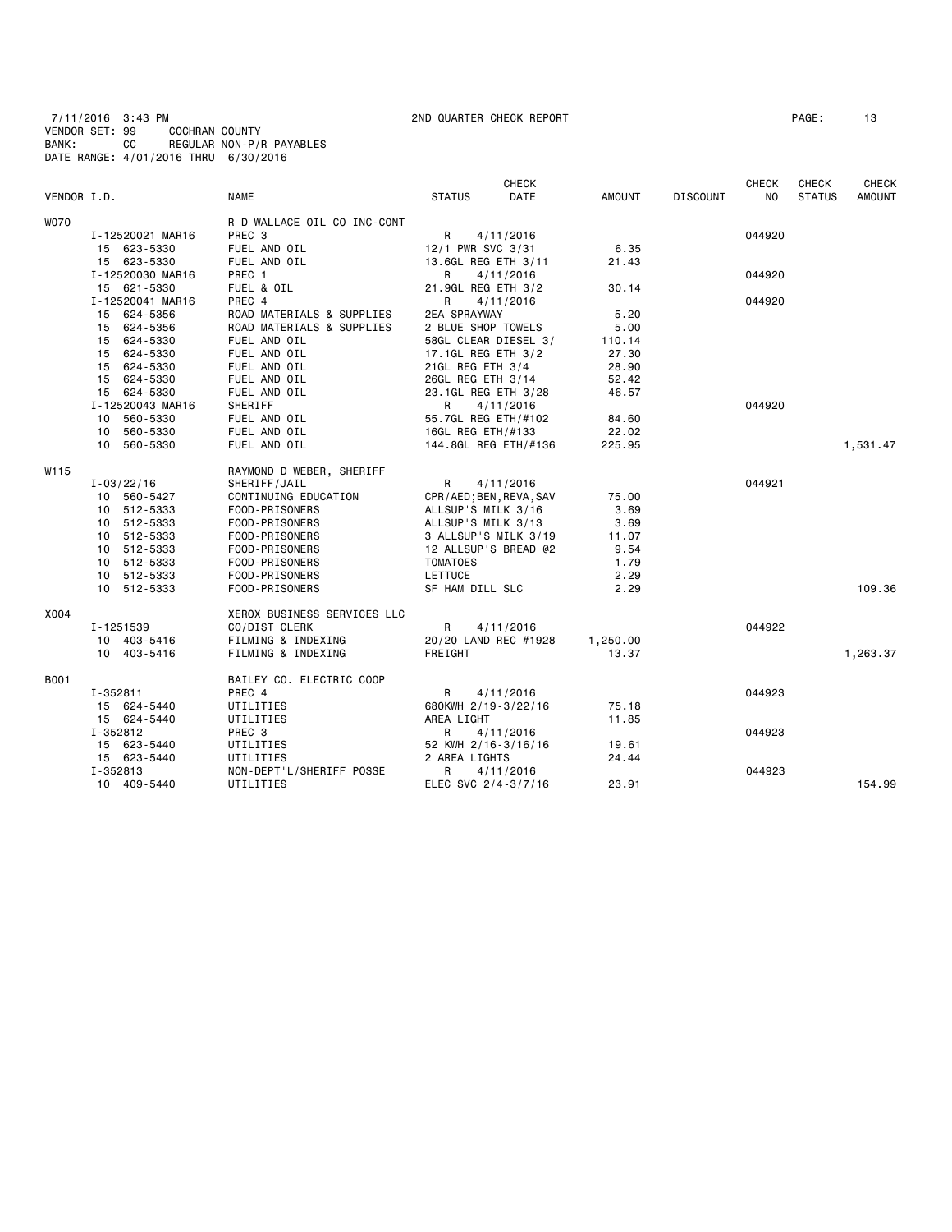7/11/2016 3:43 PM 2ND QUARTER CHECK REPORT PAGE: 13 VENDOR SET: 99 COCHRAN COUNTY BANK: CC REGULAR NON-P/R PAYABLES DATE RANGE: 4/01/2016 THRU 6/30/2016

|             |                  |                             |                         | <b>CHECK</b> |               |                 | <b>CHECK</b> | <b>CHECK</b>  | <b>CHECK</b>  |
|-------------|------------------|-----------------------------|-------------------------|--------------|---------------|-----------------|--------------|---------------|---------------|
| VENDOR I.D. |                  | <b>NAME</b>                 | <b>STATUS</b>           | DATE         | <b>AMOUNT</b> | <b>DISCOUNT</b> | NO.          | <b>STATUS</b> | <b>AMOUNT</b> |
| WO70        |                  | R D WALLACE OIL CO INC-CONT |                         |              |               |                 |              |               |               |
|             | I-12520021 MAR16 | PREC <sub>3</sub>           | $\mathsf{R}$            | 4/11/2016    |               |                 | 044920       |               |               |
|             | 15 623-5330      | FUEL AND OIL                | 12/1 PWR SVC 3/31       |              | 6.35          |                 |              |               |               |
|             | 15 623-5330      | FUEL AND OIL                | 13.6GL REG ETH 3/11     |              | 21.43         |                 |              |               |               |
|             | I-12520030 MAR16 | PREC 1                      | R                       | 4/11/2016    |               |                 | 044920       |               |               |
|             | 15 621-5330      | FUEL & OIL                  | 21.9GL REG ETH 3/2      |              | 30.14         |                 |              |               |               |
|             | I-12520041 MAR16 | PREC 4                      | R                       | 4/11/2016    |               |                 | 044920       |               |               |
|             | 15 624-5356      | ROAD MATERIALS & SUPPLIES   | <b>2EA SPRAYWAY</b>     |              | 5.20          |                 |              |               |               |
|             | 15 624-5356      | ROAD MATERIALS & SUPPLIES   | 2 BLUE SHOP TOWELS      |              | 5.00          |                 |              |               |               |
|             | 15 624-5330      | FUEL AND OIL                | 58GL CLEAR DIESEL 3/    |              | 110.14        |                 |              |               |               |
|             | 15 624-5330      | FUEL AND OIL                | 17.1GL REG ETH 3/2      |              | 27.30         |                 |              |               |               |
|             | 15 624-5330      | FUEL AND OIL                | 21GL REG ETH 3/4        |              | 28.90         |                 |              |               |               |
|             | 15 624-5330      | FUEL AND OIL                | 26GL REG ETH 3/14       |              | 52.42         |                 |              |               |               |
|             | 15 624-5330      | FUEL AND OIL                | 23.1GL REG ETH 3/28     |              | 46.57         |                 |              |               |               |
|             | I-12520043 MAR16 | SHERIFF                     | R                       | 4/11/2016    |               |                 | 044920       |               |               |
|             | 10 560-5330      | FUEL AND OIL                | 55.7GL REG ETH/#102     |              | 84.60         |                 |              |               |               |
|             | 10 560-5330      | FUEL AND OIL                | 16GL REG ETH/#133       |              | 22.02         |                 |              |               |               |
|             | 10 560-5330      | FUEL AND OIL                | 144.8GL REG ETH/#136    |              | 225.95        |                 |              |               | 1,531.47      |
| W115        |                  | RAYMOND D WEBER, SHERIFF    |                         |              |               |                 |              |               |               |
|             | $I - 03/22/16$   | SHERIFF/JAIL                | R                       | 4/11/2016    |               |                 | 044921       |               |               |
|             | 10 560-5427      | CONTINUING EDUCATION        | CPR/AED; BEN, REVA, SAV |              | 75.00         |                 |              |               |               |
|             | 10 512-5333      | FOOD-PRISONERS              | ALLSUP'S MILK 3/16      |              | 3.69          |                 |              |               |               |
|             | 10 512-5333      | FOOD-PRISONERS              | ALLSUP'S MILK 3/13      |              | 3.69          |                 |              |               |               |
|             | 10 512-5333      | FOOD-PRISONERS              | 3 ALLSUP'S MILK 3/19    |              | 11.07         |                 |              |               |               |
|             | 10 512-5333      | FOOD-PRISONERS              | 12 ALLSUP'S BREAD @2    |              | 9.54          |                 |              |               |               |
|             | 10 512-5333      | FOOD-PRISONERS              | <b>TOMATOES</b>         |              | 1.79          |                 |              |               |               |
|             | 10 512-5333      | FOOD-PRISONERS              | <b>LETTUCE</b>          |              | 2.29          |                 |              |               |               |
|             | 10 512-5333      | FOOD-PRISONERS              | SF HAM DILL SLC         |              | 2.29          |                 |              |               | 109.36        |
| X004        |                  | XEROX BUSINESS SERVICES LLC |                         |              |               |                 |              |               |               |
|             | I-1251539        | CO/DIST CLERK               | R                       | 4/11/2016    |               |                 | 044922       |               |               |
|             | 10 403-5416      | FILMING & INDEXING          | 20/20 LAND REC #1928    |              | 1,250.00      |                 |              |               |               |
|             | 10 403-5416      | FILMING & INDEXING          | FREIGHT                 |              | 13.37         |                 |              |               | 1,263.37      |
| B001        |                  | BAILEY CO. ELECTRIC COOP    |                         |              |               |                 |              |               |               |
|             | I-352811         | PREC 4                      | R                       | 4/11/2016    |               |                 | 044923       |               |               |
|             | 15 624-5440      | UTILITIES                   | 680KWH 2/19-3/22/16     |              | 75.18         |                 |              |               |               |
|             | 15 624-5440      | UTILITIES                   | AREA LIGHT              |              | 11.85         |                 |              |               |               |
|             | I-352812         | PREC 3                      | R                       | 4/11/2016    |               |                 | 044923       |               |               |
|             | 15 623-5440      | UTILITIES                   | 52 KWH 2/16-3/16/16     |              | 19.61         |                 |              |               |               |
|             | 15 623-5440      | UTILITIES                   | 2 AREA LIGHTS           |              | 24.44         |                 |              |               |               |
|             | I-352813         | NON-DEPT'L/SHERIFF POSSE    | R                       | 4/11/2016    |               |                 | 044923       |               |               |
|             | 10 409-5440      | UTILITIES                   | ELEC SVC 2/4-3/7/16     |              | 23.91         |                 |              |               | 154.99        |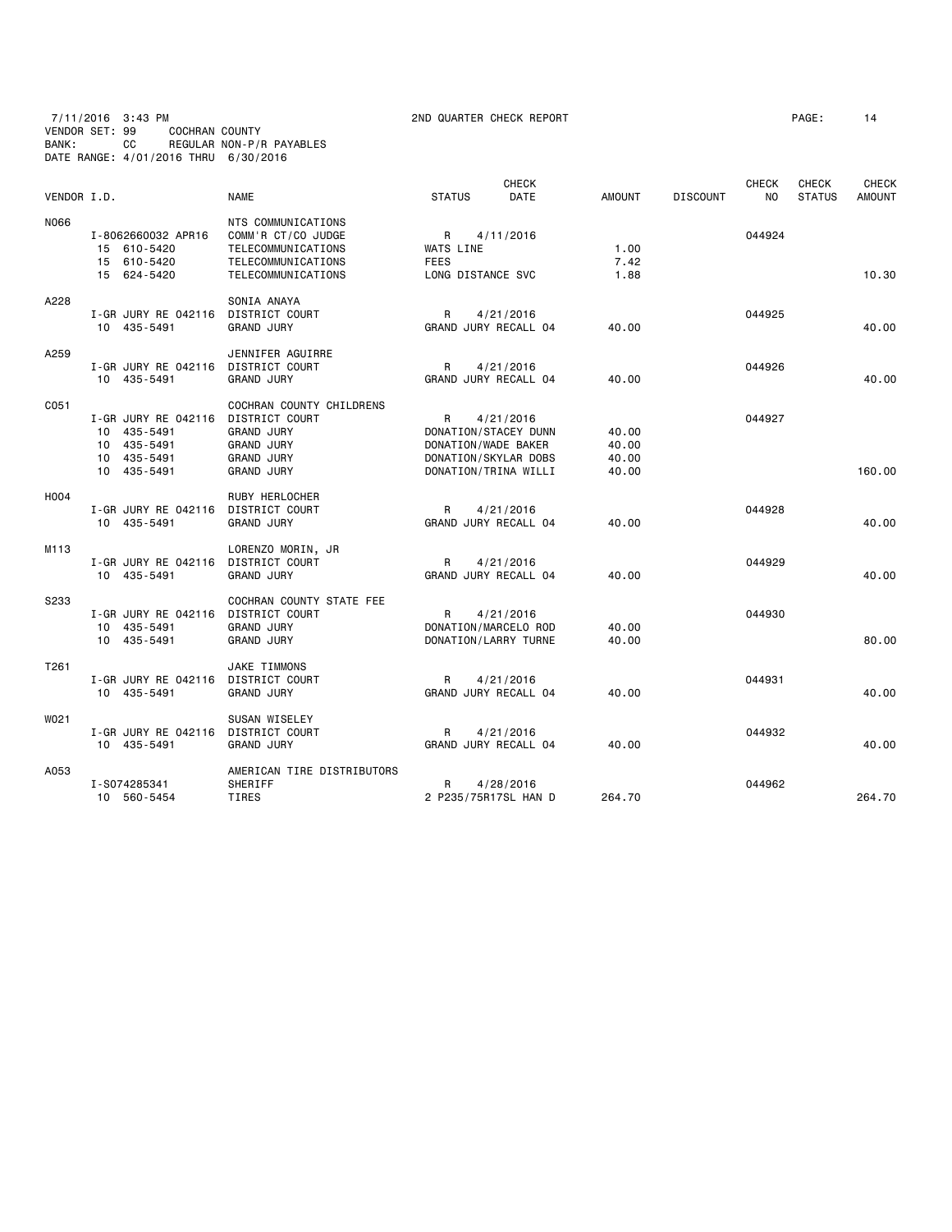7/11/2016 3:43 PM 2ND QUARTER CHECK REPORT PAGE: 14 VENDOR SET: 99 COCHRAN COUNTY BANK: CC REGULAR NON-P/R PAYABLES DATE RANGE: 4/01/2016 THRU 6/30/2016

|                  |                     |                            |                      | <b>CHECK</b>         |               |                 | <b>CHECK</b>   | <b>CHECK</b>  | <b>CHECK</b>  |
|------------------|---------------------|----------------------------|----------------------|----------------------|---------------|-----------------|----------------|---------------|---------------|
| VENDOR I.D.      |                     | <b>NAME</b>                | <b>STATUS</b>        | DATE                 | <b>AMOUNT</b> | <b>DISCOUNT</b> | N <sub>O</sub> | <b>STATUS</b> | <b>AMOUNT</b> |
| N066             |                     | NTS COMMUNICATIONS         |                      |                      |               |                 |                |               |               |
|                  | I-8062660032 APR16  | COMM'R CT/CO JUDGE         | R                    | 4/11/2016            |               |                 | 044924         |               |               |
|                  | 15 610-5420         | TELECOMMUNICATIONS         | WATS LINE            |                      | 1.00          |                 |                |               |               |
|                  | 15 610-5420         | TELECOMMUNICATIONS         | <b>FEES</b>          |                      | 7.42          |                 |                |               |               |
|                  | 15 624-5420         | TELECOMMUNICATIONS         | LONG DISTANCE SVC    |                      | 1.88          |                 |                |               | 10.30         |
| A228             |                     | SONIA ANAYA                |                      |                      |               |                 |                |               |               |
|                  | I-GR JURY RE 042116 | DISTRICT COURT             | R                    | 4/21/2016            |               |                 | 044925         |               |               |
|                  | 10 435-5491         | <b>GRAND JURY</b>          | GRAND JURY RECALL 04 |                      | 40.00         |                 |                |               | 40.00         |
| A259             |                     | JENNIFER AGUIRRE           |                      |                      |               |                 |                |               |               |
|                  | I-GR JURY RE 042116 | DISTRICT COURT             | R                    | 4/21/2016            |               |                 | 044926         |               |               |
|                  | 10 435-5491         | <b>GRAND JURY</b>          | GRAND JURY RECALL 04 |                      | 40.00         |                 |                |               | 40.00         |
| C051             |                     | COCHRAN COUNTY CHILDRENS   |                      |                      |               |                 |                |               |               |
|                  | I-GR JURY RE 042116 | DISTRICT COURT             | R                    | 4/21/2016            |               |                 | 044927         |               |               |
|                  | 10 435-5491         | <b>GRAND JURY</b>          | DONATION/STACEY DUNN |                      | 40.00         |                 |                |               |               |
|                  | 10 435-5491         | <b>GRAND JURY</b>          | DONATION/WADE BAKER  |                      | 40.00         |                 |                |               |               |
|                  | 10 435-5491         | <b>GRAND JURY</b>          | DONATION/SKYLAR DOBS |                      | 40.00         |                 |                |               |               |
|                  | 10 435-5491         | <b>GRAND JURY</b>          | DONATION/TRINA WILLI |                      | 40.00         |                 |                |               | 160.00        |
| H004             |                     | RUBY HERLOCHER             |                      |                      |               |                 |                |               |               |
|                  | I-GR JURY RE 042116 | DISTRICT COURT             | R                    | 4/21/2016            |               |                 | 044928         |               |               |
|                  | 10 435-5491         | <b>GRAND JURY</b>          | GRAND JURY RECALL 04 |                      | 40.00         |                 |                |               | 40.00         |
| M <sub>113</sub> |                     | LORENZO MORIN, JR          |                      |                      |               |                 |                |               |               |
|                  | I-GR JURY RE 042116 | DISTRICT COURT             | R                    | 4/21/2016            |               |                 | 044929         |               |               |
|                  | 10 435-5491         | <b>GRAND JURY</b>          | GRAND JURY RECALL 04 |                      | 40.00         |                 |                |               | 40.00         |
| S233             |                     | COCHRAN COUNTY STATE FEE   |                      |                      |               |                 |                |               |               |
|                  | I-GR JURY RE 042116 | <b>DISTRICT COURT</b>      | R                    | 4/21/2016            |               |                 | 044930         |               |               |
|                  | 10 435-5491         | <b>GRAND JURY</b>          | DONATION/MARCELO ROD |                      | 40.00         |                 |                |               |               |
|                  | 10 435-5491         | <b>GRAND JURY</b>          | DONATION/LARRY TURNE |                      | 40.00         |                 |                |               | 80.00         |
| T261             |                     | <b>JAKE TIMMONS</b>        |                      |                      |               |                 |                |               |               |
|                  | I-GR JURY RE 042116 | DISTRICT COURT             | R                    | 4/21/2016            |               |                 | 044931         |               |               |
|                  | 10 435-5491         | <b>GRAND JURY</b>          | GRAND JURY RECALL 04 |                      | 40.00         |                 |                |               | 40.00         |
| W021             |                     | <b>SUSAN WISELEY</b>       |                      |                      |               |                 |                |               |               |
|                  | I-GR JURY RE 042116 | DISTRICT COURT             | R                    | 4/21/2016            |               |                 | 044932         |               |               |
|                  | 10 435-5491         | <b>GRAND JURY</b>          | GRAND JURY RECALL 04 |                      | 40.00         |                 |                |               | 40.00         |
| A053             |                     | AMERICAN TIRE DISTRIBUTORS |                      |                      |               |                 |                |               |               |
|                  | I-S074285341        | SHERIFF                    | R                    | 4/28/2016            |               |                 | 044962         |               |               |
|                  | 10 560-5454         | <b>TIRES</b>               |                      | 2 P235/75R17SL HAN D | 264.70        |                 |                |               | 264.70        |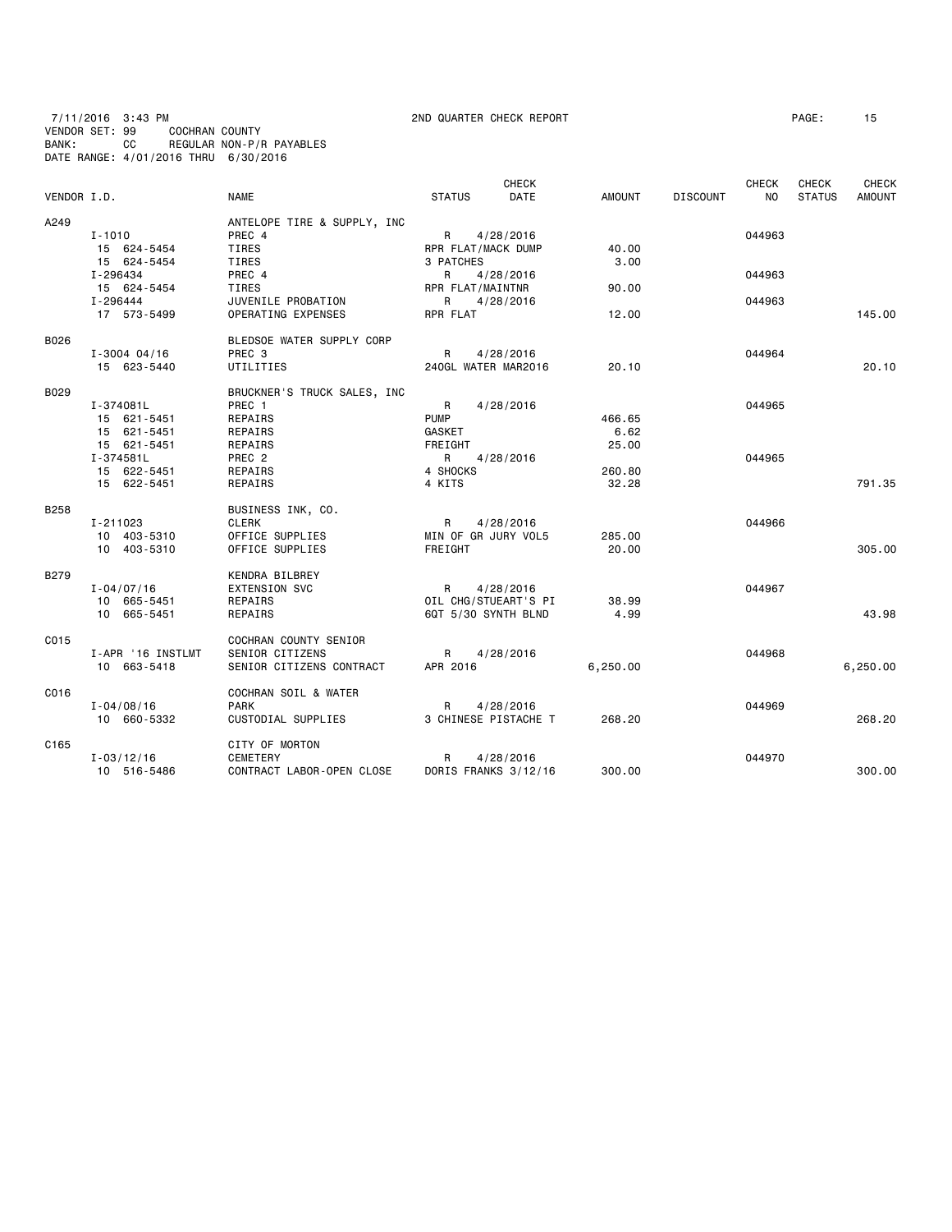7/11/2016 3:43 PM 2ND QUARTER CHECK REPORT PAGE: 15 VENDOR SET: 99 COCHRAN COUNTY BANK: CC REGULAR NON-P/R PAYABLES DATE RANGE: 4/01/2016 THRU 6/30/2016

| VENDOR I.D. |                   | <b>NAME</b>                 | <b>STATUS</b>       | <b>CHECK</b><br><b>DATE</b> | AMOUNT   | <b>DISCOUNT</b> | <b>CHECK</b><br><b>NO</b> | <b>CHECK</b><br><b>STATUS</b> | <b>CHECK</b><br><b>AMOUNT</b> |
|-------------|-------------------|-----------------------------|---------------------|-----------------------------|----------|-----------------|---------------------------|-------------------------------|-------------------------------|
| A249        |                   | ANTELOPE TIRE & SUPPLY, INC |                     |                             |          |                 |                           |                               |                               |
|             | $I - 1010$        | PREC 4                      | $R \Box$            | 4/28/2016                   |          |                 | 044963                    |                               |                               |
|             | 15 624-5454       | TIRES                       | RPR FLAT/MACK DUMP  |                             | 40.00    |                 |                           |                               |                               |
|             | 15 624-5454       | TIRES                       | 3 PATCHES           |                             | 3.00     |                 |                           |                               |                               |
|             | I-296434          | PREC 4                      | R                   | 4/28/2016                   |          |                 | 044963                    |                               |                               |
|             | 15 624-5454       | TIRES                       | RPR FLAT/MAINTNR    |                             | 90.00    |                 |                           |                               |                               |
|             | I-296444          | JUVENILE PROBATION          | R                   | 4/28/2016                   |          |                 | 044963                    |                               |                               |
|             | 17 573-5499       | OPERATING EXPENSES          | RPR FLAT            |                             | 12.00    |                 |                           |                               | 145.00                        |
| B026        |                   | BLEDSOE WATER SUPPLY CORP   |                     |                             |          |                 |                           |                               |                               |
|             | $I - 3004$ 04/16  | PREC 3                      | $R \Box$            | 4/28/2016                   |          |                 | 044964                    |                               |                               |
|             | 15 623-5440       | UTILITIES                   | 240GL WATER MAR2016 |                             | 20.10    |                 |                           |                               | 20.10                         |
| B029        |                   | BRUCKNER'S TRUCK SALES, INC |                     |                             |          |                 |                           |                               |                               |
|             | I-374081L         | PREC 1                      | R                   | 4/28/2016                   |          |                 | 044965                    |                               |                               |
|             | 15 621-5451       | REPAIRS                     | <b>PUMP</b>         |                             | 466.65   |                 |                           |                               |                               |
|             | 15 621-5451       | REPAIRS                     | GASKET              |                             | 6.62     |                 |                           |                               |                               |
|             | 15 621-5451       | REPAIRS                     | FREIGHT             |                             | 25,00    |                 |                           |                               |                               |
|             | I-374581L         | PREC 2                      | R                   | 4/28/2016                   |          |                 | 044965                    |                               |                               |
|             | 15 622-5451       | REPAIRS                     | 4 SHOCKS            |                             | 260.80   |                 |                           |                               |                               |
|             | 15 622-5451       | REPAIRS                     | 4 KITS              |                             | 32.28    |                 |                           |                               | 791.35                        |
| <b>B258</b> |                   | BUSINESS INK, CO.           |                     |                             |          |                 |                           |                               |                               |
|             | I-211023          | <b>CLERK</b>                | R                   | 4/28/2016                   |          |                 | 044966                    |                               |                               |
|             | 10 403-5310       | OFFICE SUPPLIES             | MIN OF GR JURY VOL5 |                             | 285.00   |                 |                           |                               |                               |
|             | 10 403-5310       | OFFICE SUPPLIES             | FREIGHT             |                             | 20.00    |                 |                           |                               | 305.00                        |
| B279        |                   | KENDRA BILBREY              |                     |                             |          |                 |                           |                               |                               |
|             | $I - 04/07/16$    | <b>EXTENSION SVC</b>        | R                   | 4/28/2016                   |          |                 | 044967                    |                               |                               |
|             | 10 665-5451       | REPAIRS                     |                     | OIL CHG/STUEART'S PI        | 38.99    |                 |                           |                               |                               |
|             | 10 665-5451       | REPAIRS                     | 6QT 5/30 SYNTH BLND |                             | 4.99     |                 |                           |                               | 43.98                         |
| C015        |                   | COCHRAN COUNTY SENIOR       |                     |                             |          |                 |                           |                               |                               |
|             | I-APR '16 INSTLMT | SENIOR CITIZENS             | R                   | 4/28/2016                   |          |                 | 044968                    |                               |                               |
|             | 10 663-5418       | SENIOR CITIZENS CONTRACT    | APR 2016            |                             | 6,250.00 |                 |                           |                               | 6,250.00                      |
| C016        |                   | COCHRAN SOIL & WATER        |                     |                             |          |                 |                           |                               |                               |
|             | $I - 04/08/16$    | <b>PARK</b>                 | R                   | 4/28/2016                   |          |                 | 044969                    |                               |                               |
|             | 10 660-5332       | CUSTODIAL SUPPLIES          |                     | 3 CHINESE PISTACHE T        | 268.20   |                 |                           |                               | 268.20                        |
| C165        |                   | CITY OF MORTON              |                     |                             |          |                 |                           |                               |                               |
|             | $I - 03/12/16$    | <b>CEMETERY</b>             | R                   | 4/28/2016                   |          |                 | 044970                    |                               |                               |
|             | 10 516-5486       | CONTRACT LABOR-OPEN CLOSE   |                     | DORIS FRANKS 3/12/16        | 300.00   |                 |                           |                               | 300.00                        |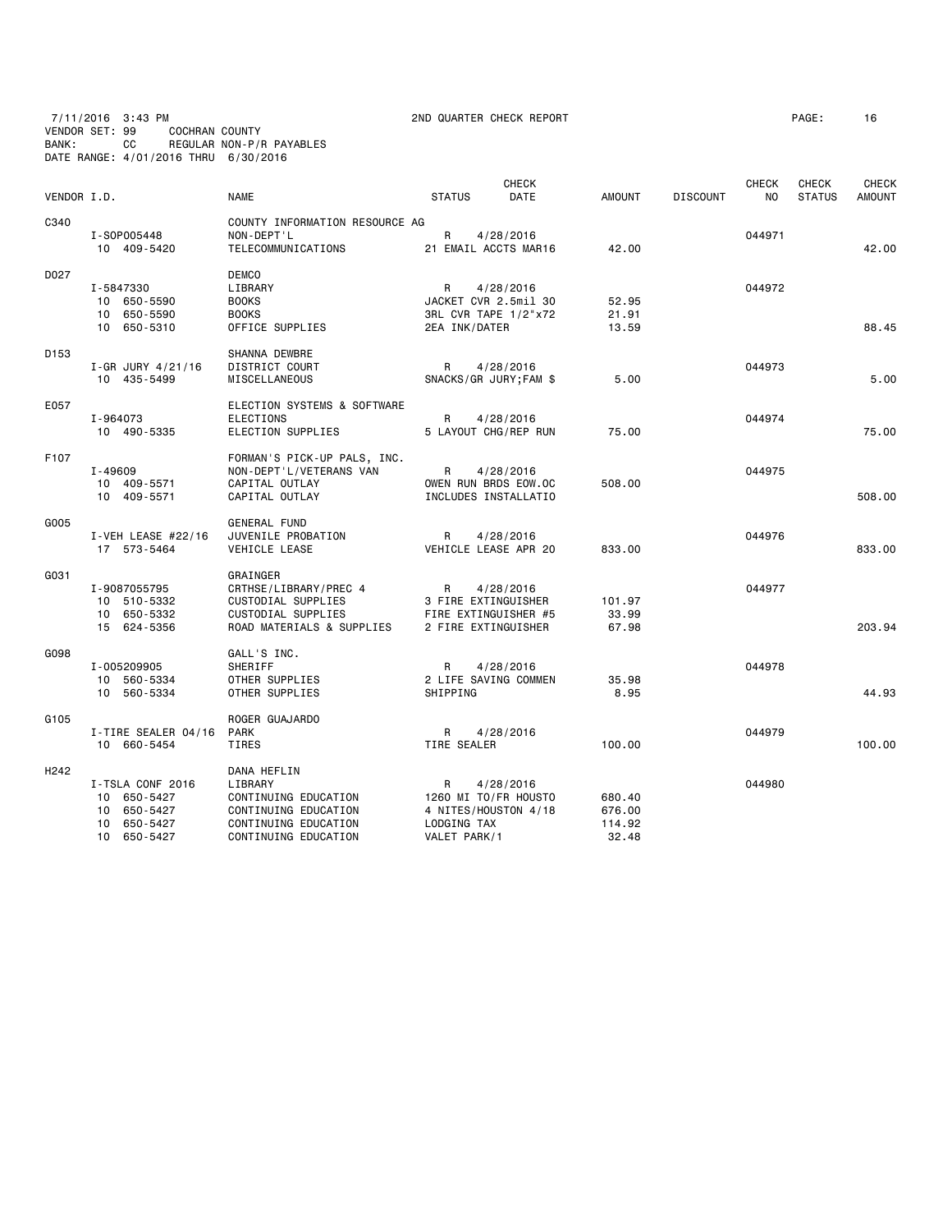7/11/2016 3:43 PM 2ND QUARTER CHECK REPORT PAGE: 16 VENDOR SET: 99 COCHRAN COUNTY BANK: CC REGULAR NON-P/R PAYABLES DATE RANGE: 4/01/2016 THRU 6/30/2016

| VENDOR I.D.      |                                                                                    | <b>NAME</b>                                                                                                            | <b>STATUS</b>                                   | <b>CHECK</b><br>DATE                                      | <b>AMOUNT</b>                       | <b>DISCOUNT</b> | <b>CHECK</b><br>NO | <b>CHECK</b><br><b>STATUS</b> | CHECK<br>AMOUNT |
|------------------|------------------------------------------------------------------------------------|------------------------------------------------------------------------------------------------------------------------|-------------------------------------------------|-----------------------------------------------------------|-------------------------------------|-----------------|--------------------|-------------------------------|-----------------|
| C340             | I-S0P005448<br>10 409-5420                                                         | COUNTY INFORMATION RESOURCE AG<br>NON-DEPT'L<br>TELECOMMUNICATIONS                                                     | R                                               | 4/28/2016<br>21 EMAIL ACCTS MAR16                         | 42.00                               |                 | 044971             |                               | 42.00           |
| D027             | I-5847330<br>10 650-5590<br>10 650-5590<br>10 650-5310                             | <b>DEMCO</b><br>LIBRARY<br><b>BOOKS</b><br><b>BOOKS</b><br>OFFICE SUPPLIES                                             | R<br>2EA INK/DATER                              | 4/28/2016<br>JACKET CVR 2.5mil 30<br>3RL CVR TAPE 1/2"x72 | 52.95<br>21.91<br>13.59             |                 | 044972             |                               | 88.45           |
| D <sub>153</sub> | $I-GR$ JURY $4/21/16$<br>10 435-5499                                               | SHANNA DEWBRE<br>DISTRICT COURT<br>MISCELLANEOUS                                                                       | R                                               | 4/28/2016<br>SNACKS/GR JURY; FAM \$                       | 5.00                                |                 | 044973             |                               | 5.00            |
| E057             | I-964073<br>10 490-5335                                                            | ELECTION SYSTEMS & SOFTWARE<br>ELECTIONS<br>ELECTION SUPPLIES                                                          | R                                               | 4/28/2016<br>5 LAYOUT CHG/REP RUN                         | 75.00                               |                 | 044974             |                               | 75.00           |
| F107             | $I - 49609$<br>10 409-5571<br>10 409-5571                                          | FORMAN'S PICK-UP PALS, INC.<br>NON-DEPT'L/VETERANS VAN<br>CAPITAL OUTLAY<br>CAPITAL OUTLAY                             | R                                               | 4/28/2016<br>OWEN RUN BRDS EOW.OC<br>INCLUDES INSTALLATIO | 508.00                              |                 | 044975             |                               | 508.00          |
| G005             | I-VEH LEASE $#22/16$<br>17 573-5464                                                | <b>GENERAL FUND</b><br>JUVENILE PROBATION<br>VEHICLE LEASE                                                             | R                                               | 4/28/2016<br>VEHICLE LEASE APR 20                         | 833.00                              |                 | 044976             |                               | 833,00          |
| G031             | I-9087055795<br>10 510-5332<br>10 650-5332<br>15 624-5356                          | GRAINGER<br>CRTHSE/LIBRARY/PREC 4<br>CUSTODIAL SUPPLIES<br>CUSTODIAL SUPPLIES<br>ROAD MATERIALS & SUPPLIES             | R<br>3 FIRE EXTINGUISHER<br>2 FIRE EXTINGUISHER | 4/28/2016<br>FIRE EXTINGUISHER #5                         | 101.97<br>33.99<br>67.98            |                 | 044977             |                               | 203.94          |
| G098             | I-005209905<br>10 560-5334<br>10 560-5334                                          | GALL'S INC.<br>SHERIFF<br>OTHER SUPPLIES<br>OTHER SUPPLIES                                                             | R<br>SHIPPING                                   | 4/28/2016<br>2 LIFE SAVING COMMEN                         | 35.98<br>8.95                       |                 | 044978             |                               | 44.93           |
| G105             | I-TIRE SEALER 04/16<br>10 660-5454                                                 | ROGER GUAJARDO<br><b>PARK</b><br>TIRES                                                                                 | R<br>TIRE SEALER                                | 4/28/2016                                                 | 100.00                              |                 | 044979             |                               | 100,00          |
| H242             | I-TSLA CONF 2016<br>10 650-5427<br>10<br>650-5427<br>650-5427<br>10<br>10 650-5427 | DANA HEFLIN<br>LIBRARY<br>CONTINUING EDUCATION<br>CONTINUING EDUCATION<br>CONTINUING EDUCATION<br>CONTINUING EDUCATION | R<br>LODGING TAX<br>VALET PARK/1                | 4/28/2016<br>1260 MI TO/FR HOUSTO<br>4 NITES/HOUSTON 4/18 | 680.40<br>676.00<br>114.92<br>32.48 |                 | 044980             |                               |                 |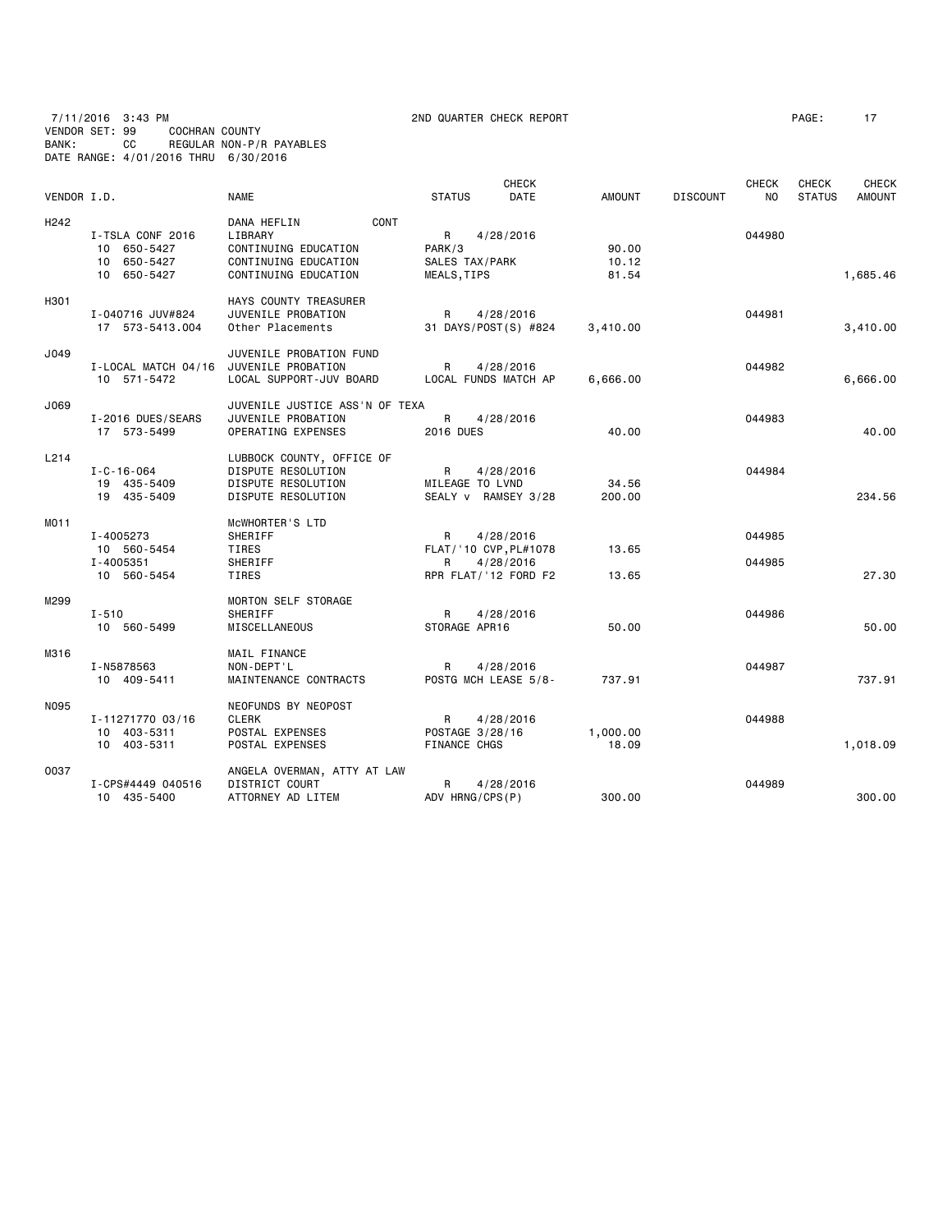7/11/2016 3:43 PM 2ND QUARTER CHECK REPORT PAGE: 17 VENDOR SET: 99 COCHRAN COUNTY BANK: CC REGULAR NON-P/R PAYABLES DATE RANGE: 4/01/2016 THRU 6/30/2016

| VENDOR I.D.      |                                                               | <b>NAME</b>                                                                                            | <b>STATUS</b>                                            | <b>CHECK</b><br><b>DATE</b> | <b>AMOUNT</b>           | <b>DISCOUNT</b> | <b>CHECK</b><br>N <sub>O</sub> | CHECK<br><b>STATUS</b> | <b>CHECK</b><br><b>AMOUNT</b> |
|------------------|---------------------------------------------------------------|--------------------------------------------------------------------------------------------------------|----------------------------------------------------------|-----------------------------|-------------------------|-----------------|--------------------------------|------------------------|-------------------------------|
| H <sub>242</sub> | I-TSLA CONF 2016<br>10 650-5427<br>10 650-5427<br>10 650-5427 | CONT<br>DANA HEFLIN<br>LIBRARY<br>CONTINUING EDUCATION<br>CONTINUING EDUCATION<br>CONTINUING EDUCATION | R<br>PARK/3<br>SALES TAX/PARK<br>MEALS, TIPS             | 4/28/2016                   | 90.00<br>10.12<br>81.54 |                 | 044980                         |                        | 1,685.46                      |
| H301             | I-040716 JUV#824<br>17 573-5413.004                           | HAYS COUNTY TREASURER<br>JUVENILE PROBATION<br>Other Placements                                        | R<br>31 DAYS/POST(S) #824                                | 4/28/2016                   | 3,410.00                |                 | 044981                         |                        | 3,410.00                      |
| J049             | I-LOCAL MATCH 04/16<br>10 571-5472                            | JUVENILE PROBATION FUND<br>JUVENILE PROBATION<br>LOCAL SUPPORT-JUV BOARD                               | R<br>LOCAL FUNDS MATCH AP                                | 4/28/2016                   | 6,666.00                |                 | 044982                         |                        | 6,666.00                      |
| J069             | I-2016 DUES/SEARS<br>17 573-5499                              | JUVENILE JUSTICE ASS'N OF TEXA<br>JUVENILE PROBATION<br>OPERATING EXPENSES                             | R<br><b>2016 DUES</b>                                    | 4/28/2016                   | 40.00                   |                 | 044983                         |                        | 40.00                         |
| L214             | $I - C - 16 - 064$<br>19 435-5409<br>19 435-5409              | LUBBOCK COUNTY, OFFICE OF<br>DISPUTE RESOLUTION<br>DISPUTE RESOLUTION<br>DISPUTE RESOLUTION            | $\mathsf{R}$<br>MILEAGE TO LVND<br>SEALY v RAMSEY 3/28   | 4/28/2016                   | 34.56<br>200.00         |                 | 044984                         |                        | 234.56                        |
| MO <sub>11</sub> | I-4005273<br>10 560-5454<br>I-4005351<br>10 560-5454          | MCWHORTER'S LTD<br>SHERIFF<br>TIRES<br>SHERIFF<br>TIRES                                                | R<br>FLAT/ '10 CVP, PL#1078<br>R<br>RPR FLAT/'12 FORD F2 | 4/28/2016<br>4/28/2016      | 13.65<br>13.65          |                 | 044985<br>044985               |                        | 27.30                         |
| M299             | $I - 510$<br>10 560-5499                                      | <b>MORTON SELF STORAGE</b><br>SHERIFF<br>MISCELLANEOUS                                                 | R<br>STORAGE APR16                                       | 4/28/2016                   | 50.00                   |                 | 044986                         |                        | 50.00                         |
| M316             | I-N5878563<br>10 409-5411                                     | MAIL FINANCE<br>NON-DEPT'L<br>MAINTENANCE CONTRACTS                                                    | R<br>POSTG MCH LEASE 5/8-                                | 4/28/2016                   | 737.91                  |                 | 044987                         |                        | 737.91                        |
| <b>N095</b>      | I-11271770 03/16<br>10 403-5311<br>10 403-5311                | NEOFUNDS BY NEOPOST<br><b>CLERK</b><br>POSTAL EXPENSES<br>POSTAL EXPENSES                              | $\mathsf{R}$<br>POSTAGE 3/28/16<br><b>FINANCE CHGS</b>   | 4/28/2016                   | 1,000.00<br>18.09       |                 | 044988                         |                        | 1,018.09                      |
| 0037             | I-CPS#4449 040516<br>10 435-5400                              | ANGELA OVERMAN, ATTY AT LAW<br>DISTRICT COURT<br>ATTORNEY AD LITEM                                     | R<br>ADV HRNG/CPS(P)                                     | 4/28/2016                   | 300.00                  |                 | 044989                         |                        | 300,00                        |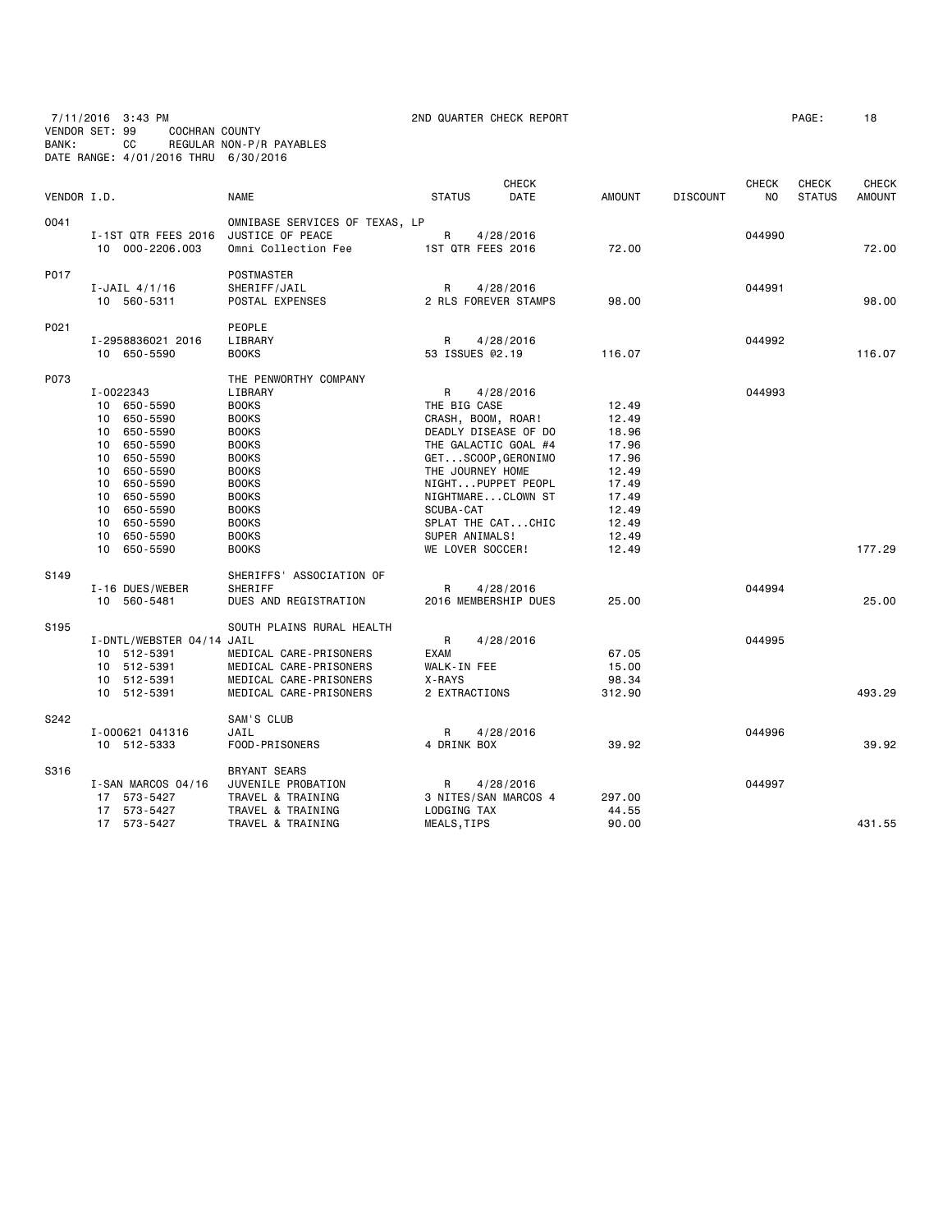7/11/2016 3:43 PM 2ND QUARTER CHECK REPORT PAGE: 18 VENDOR SET: 99 COCHRAN COUNTY BANK: CC REGULAR NON-P/R PAYABLES DATE RANGE: 4/01/2016 THRU 6/30/2016

| AGE: | 18 |  |
|------|----|--|
|------|----|--|

| VENDOR I.D.      |                                                                                                                                                                                                                    | <b>NAME</b>                                                                                                                                                                                                                      | <b>STATUS</b>                                                                                                  | <b>CHECK</b><br><b>DATE</b>                                                                                                                   | <b>AMOUNT</b>                                                                                            | <b>DISCOUNT</b> | CHECK<br>N <sub>O</sub> | <b>CHECK</b><br><b>STATUS</b> | <b>CHECK</b><br><b>AMOUNT</b> |
|------------------|--------------------------------------------------------------------------------------------------------------------------------------------------------------------------------------------------------------------|----------------------------------------------------------------------------------------------------------------------------------------------------------------------------------------------------------------------------------|----------------------------------------------------------------------------------------------------------------|-----------------------------------------------------------------------------------------------------------------------------------------------|----------------------------------------------------------------------------------------------------------|-----------------|-------------------------|-------------------------------|-------------------------------|
| 0041             | I-1ST QTR FEES 2016<br>10 000-2206.003                                                                                                                                                                             | OMNIBASE SERVICES OF TEXAS, LP<br>JUSTICE OF PEACE<br>Omni Collection Fee                                                                                                                                                        | R<br>1ST QTR FEES 2016                                                                                         | 4/28/2016                                                                                                                                     | 72.00                                                                                                    |                 | 044990                  |                               | 72.00                         |
| P017             | $I$ -JAIL 4/1/16<br>10 560-5311                                                                                                                                                                                    | POSTMASTER<br>SHERIFF/JAIL<br>POSTAL EXPENSES                                                                                                                                                                                    | R                                                                                                              | 4/28/2016<br>2 RLS FOREVER STAMPS                                                                                                             | 98.00                                                                                                    |                 | 044991                  |                               | 98,00                         |
| P021             | I-2958836021 2016<br>10 650-5590                                                                                                                                                                                   | PEOPLE<br>LIBRARY<br><b>BOOKS</b>                                                                                                                                                                                                | R<br>53 ISSUES @2.19                                                                                           | 4/28/2016                                                                                                                                     | 116.07                                                                                                   |                 | 044992                  |                               | 116.07                        |
| P073             | I-0022343<br>650-5590<br>10<br>650-5590<br>10<br>650-5590<br>10<br>650-5590<br>10<br>10 650-5590<br>10<br>650-5590<br>10 650-5590<br>10 650-5590<br>10 650-5590<br>650-5590<br>10<br>10<br>650-5590<br>10 650-5590 | THE PENWORTHY COMPANY<br>LIBRARY<br><b>BOOKS</b><br><b>BOOKS</b><br><b>BOOKS</b><br><b>BOOKS</b><br><b>BOOKS</b><br><b>BOOKS</b><br><b>BOOKS</b><br><b>BOOKS</b><br><b>BOOKS</b><br><b>BOOKS</b><br><b>BOOKS</b><br><b>BOOKS</b> | R<br>THE BIG CASE<br>CRASH, BOOM, ROAR!<br>THE JOURNEY HOME<br>SCUBA-CAT<br>SUPER ANIMALS!<br>WE LOVER SOCCER! | 4/28/2016<br>DEADLY DISEASE OF DO<br>THE GALACTIC GOAL #4<br>GETSCOOP,GERONIMO<br>NIGHTPUPPET PEOPL<br>NIGHTMARECLOWN ST<br>SPLAT THE CATCHIC | 12.49<br>12.49<br>18.96<br>17.96<br>17.96<br>12.49<br>17.49<br>17.49<br>12.49<br>12.49<br>12.49<br>12.49 |                 | 044993                  |                               | 177.29                        |
| S <sub>149</sub> | I-16 DUES/WEBER<br>10 560-5481                                                                                                                                                                                     | SHERIFFS' ASSOCIATION OF<br>SHERIFF<br>DUES AND REGISTRATION                                                                                                                                                                     | R                                                                                                              | 4/28/2016<br>2016 MEMBERSHIP DUES                                                                                                             | 25.00                                                                                                    |                 | 044994                  |                               | 25,00                         |
| S195             | I-DNTL/WEBSTER 04/14 JAIL<br>10 512-5391<br>10 512-5391<br>10 512-5391<br>10 512-5391                                                                                                                              | SOUTH PLAINS RURAL HEALTH<br>MEDICAL CARE-PRISONERS<br>MEDICAL CARE-PRISONERS<br>MEDICAL CARE-PRISONERS<br>MEDICAL CARE-PRISONERS                                                                                                | R<br><b>EXAM</b><br>WALK-IN FEE<br>X-RAYS<br>2 EXTRACTIONS                                                     | 4/28/2016                                                                                                                                     | 67.05<br>15.00<br>98.34<br>312.90                                                                        |                 | 044995                  |                               | 493.29                        |
| S242             | I-000621 041316<br>10 512-5333                                                                                                                                                                                     | SAM'S CLUB<br>JAIL<br>FOOD-PRISONERS                                                                                                                                                                                             | R<br>4 DRINK BOX                                                                                               | 4/28/2016                                                                                                                                     | 39.92                                                                                                    |                 | 044996                  |                               | 39.92                         |
| S316             | I-SAN MARCOS 04/16<br>17 573-5427<br>17 573-5427                                                                                                                                                                   | <b>BRYANT SEARS</b><br>JUVENILE PROBATION<br>TRAVEL & TRAINING                                                                                                                                                                   | R<br>LODGING TAX                                                                                               | 4/28/2016<br>3 NITES/SAN MARCOS 4                                                                                                             | 297.00<br>44.55                                                                                          |                 | 044997                  |                               |                               |
|                  | 17 573-5427                                                                                                                                                                                                        | TRAVEL & TRAINING<br>TRAVEL & TRAINING                                                                                                                                                                                           | MEALS, TIPS                                                                                                    |                                                                                                                                               | 90.00                                                                                                    |                 |                         |                               | 431.55                        |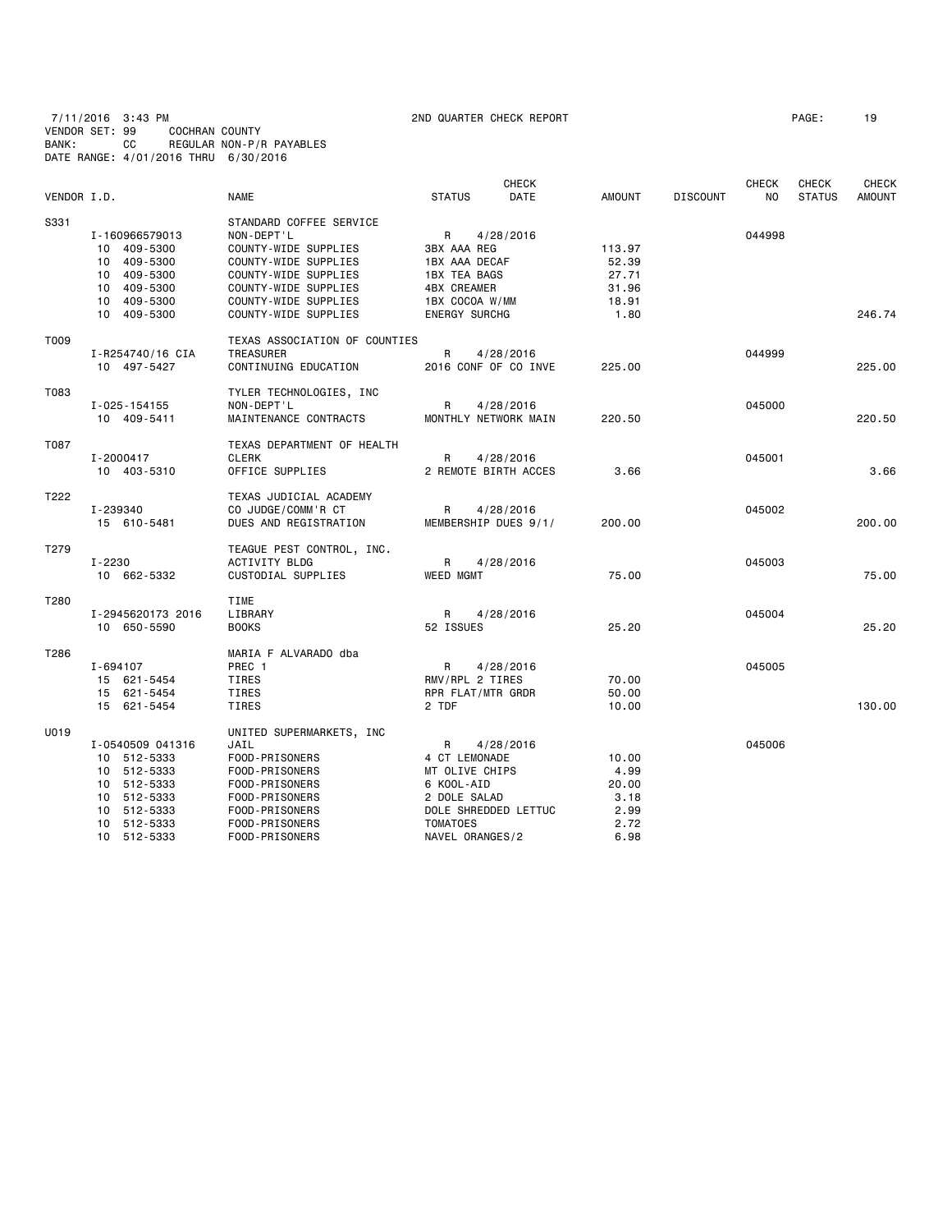7/11/2016 3:43 PM 2ND QUARTER CHECK REPORT PAGE: 19 VENDOR SET: 99 COCHRAN COUNTY BANK: CC REGULAR NON-P/R PAYABLES DATE RANGE: 4/01/2016 THRU 6/30/2016

|             |                   |                               |                      | <b>CHECK</b> |               |                 | <b>CHECK</b>   | <b>CHECK</b>  | <b>CHECK</b>  |
|-------------|-------------------|-------------------------------|----------------------|--------------|---------------|-----------------|----------------|---------------|---------------|
| VENDOR I.D. |                   | <b>NAME</b>                   | <b>STATUS</b>        | <b>DATE</b>  | <b>AMOUNT</b> | <b>DISCOUNT</b> | N <sub>O</sub> | <b>STATUS</b> | <b>AMOUNT</b> |
| S331        |                   | STANDARD COFFEE SERVICE       |                      |              |               |                 |                |               |               |
|             | I-160966579013    | NON-DEPT'L                    | R                    | 4/28/2016    |               |                 | 044998         |               |               |
|             | 10 409-5300       | COUNTY-WIDE SUPPLIES          | 3BX AAA REG          |              | 113.97        |                 |                |               |               |
|             | 10 409-5300       | COUNTY-WIDE SUPPLIES          | 1BX AAA DECAF        |              | 52.39         |                 |                |               |               |
|             | 10 409-5300       | COUNTY-WIDE SUPPLIES          | 1BX TEA BAGS         |              | 27.71         |                 |                |               |               |
|             | 409-5300<br>10    | COUNTY-WIDE SUPPLIES          | 4BX CREAMER          |              | 31.96         |                 |                |               |               |
|             | 10 409-5300       | COUNTY-WIDE SUPPLIES          | 1BX COCOA W/MM       |              | 18.91         |                 |                |               |               |
|             | 10 409-5300       | COUNTY-WIDE SUPPLIES          | <b>ENERGY SURCHG</b> |              | 1.80          |                 |                |               | 246.74        |
| T009        |                   | TEXAS ASSOCIATION OF COUNTIES |                      |              |               |                 |                |               |               |
|             | I-R254740/16 CIA  | <b>TREASURER</b>              | R                    | 4/28/2016    |               |                 | 044999         |               |               |
|             | 10 497-5427       | CONTINUING EDUCATION          | 2016 CONF OF CO INVE |              | 225,00        |                 |                |               | 225,00        |
| T083        |                   | TYLER TECHNOLOGIES, INC       |                      |              |               |                 |                |               |               |
|             | I-025-154155      | NON-DEPT'L                    | R                    | 4/28/2016    |               |                 | 045000         |               |               |
|             | 10 409-5411       | MAINTENANCE CONTRACTS         | MONTHLY NETWORK MAIN |              | 220.50        |                 |                |               | 220.50        |
| T087        |                   | TEXAS DEPARTMENT OF HEALTH    |                      |              |               |                 |                |               |               |
|             | I-2000417         | <b>CLERK</b>                  | R                    | 4/28/2016    |               |                 | 045001         |               |               |
|             | 10 403-5310       | OFFICE SUPPLIES               | 2 REMOTE BIRTH ACCES |              | 3.66          |                 |                |               | 3.66          |
| T222        |                   | TEXAS JUDICIAL ACADEMY        |                      |              |               |                 |                |               |               |
|             | I-239340          | CO JUDGE/COMM'R CT            | R                    | 4/28/2016    |               |                 | 045002         |               |               |
|             | 15 610-5481       | DUES AND REGISTRATION         | MEMBERSHIP DUES 9/1/ |              | 200.00        |                 |                |               | 200,00        |
| T279        |                   | TEAGUE PEST CONTROL, INC.     |                      |              |               |                 |                |               |               |
|             | $I - 2230$        | <b>ACTIVITY BLDG</b>          | R                    | 4/28/2016    |               |                 | 045003         |               |               |
|             | 10 662-5332       | CUSTODIAL SUPPLIES            | <b>WEED MGMT</b>     |              | 75.00         |                 |                |               | 75.00         |
| T280        |                   | TIME                          |                      |              |               |                 |                |               |               |
|             | I-2945620173 2016 | LIBRARY                       | R.                   | 4/28/2016    |               |                 | 045004         |               |               |
|             | 10 650-5590       | <b>BOOKS</b>                  | 52 ISSUES            |              | 25.20         |                 |                |               | 25.20         |
| T286        |                   | MARIA F ALVARADO dba          |                      |              |               |                 |                |               |               |
|             | I-694107          | PREC 1                        | R                    | 4/28/2016    |               |                 | 045005         |               |               |
|             | 15 621-5454       | TIRES                         | RMV/RPL 2 TIRES      |              | 70.00         |                 |                |               |               |
|             | 15 621-5454       | TIRES                         | RPR FLAT/MTR GRDR    |              | 50.00         |                 |                |               |               |
|             | 15 621-5454       | <b>TIRES</b>                  | 2 TDF                |              | 10.00         |                 |                |               | 130.00        |
| U019        |                   | UNITED SUPERMARKETS, INC      |                      |              |               |                 |                |               |               |
|             | I-0540509 041316  | JAIL                          | R                    | 4/28/2016    |               |                 | 045006         |               |               |
|             | 10 512-5333       | FOOD-PRISONERS                | 4 CT LEMONADE        |              | 10.00         |                 |                |               |               |
|             | 10 512-5333       | FOOD-PRISONERS                | MT OLIVE CHIPS       |              | 4.99          |                 |                |               |               |
|             | 10 512-5333       | FOOD-PRISONERS                | 6 KOOL-AID           |              | 20,00         |                 |                |               |               |
|             | 10 512-5333       | FOOD-PRISONERS                | 2 DOLE SALAD         |              | 3.18          |                 |                |               |               |
|             | 10 512-5333       | FOOD-PRISONERS                | DOLE SHREDDED LETTUC |              | 2.99          |                 |                |               |               |
|             | 10 512-5333       | FOOD-PRISONERS                | <b>TOMATOES</b>      |              | 2.72          |                 |                |               |               |
|             | 10 512-5333       | FOOD-PRISONERS                | NAVEL ORANGES/2      |              | 6.98          |                 |                |               |               |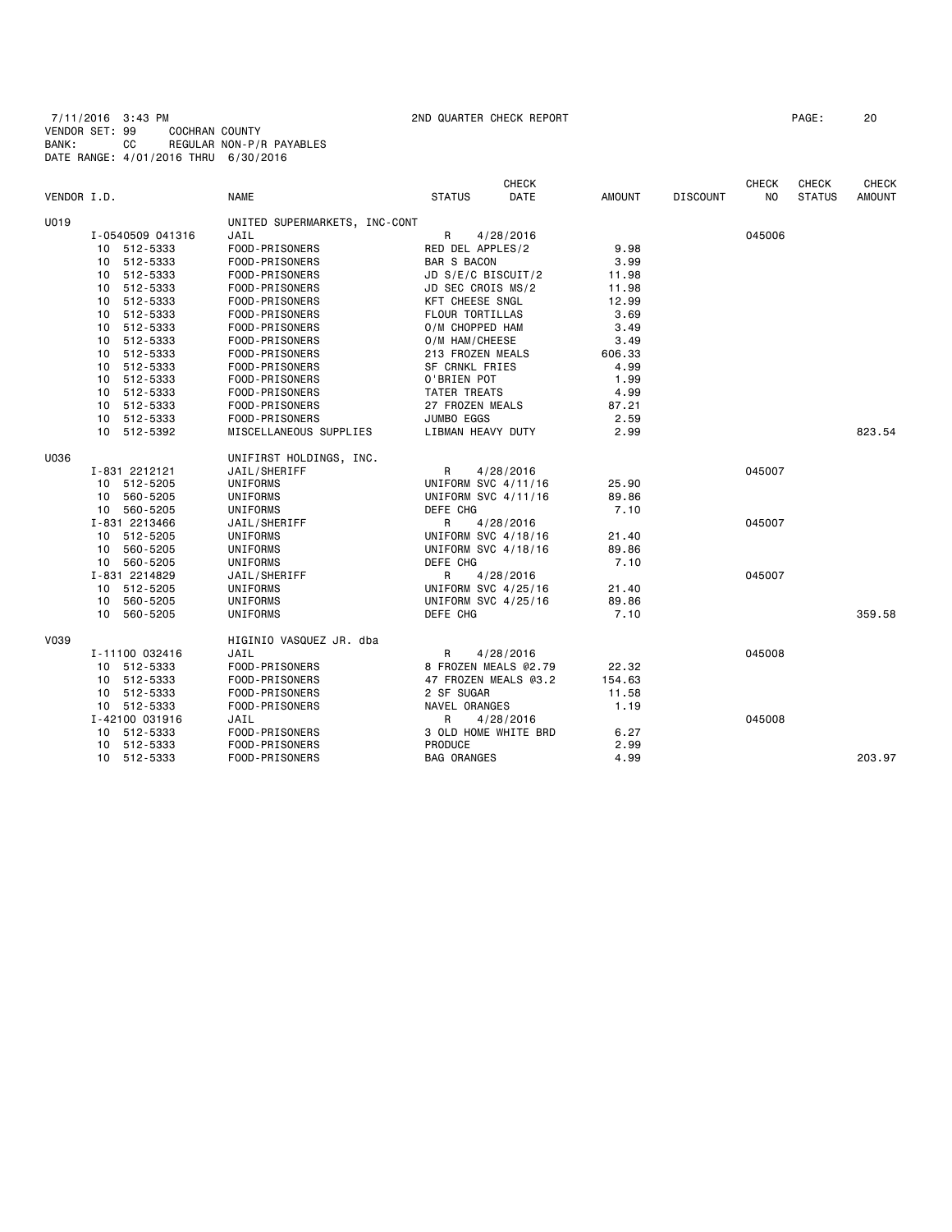7/11/2016 3:43 PM 2ND QUARTER CHECK REPORT PAGE: 20 VENDOR SET: 99 COCHRAN COUNTY BANK: CC REGULAR NON-P/R PAYABLES DATE RANGE: 4/01/2016 THRU 6/30/2016

|             |                  |                               | <b>CHECK</b>           |               |                 | <b>CHECK</b>   | <b>CHECK</b>  | <b>CHECK</b>  |
|-------------|------------------|-------------------------------|------------------------|---------------|-----------------|----------------|---------------|---------------|
| VENDOR I.D. |                  | <b>NAME</b>                   | <b>STATUS</b><br>DATE  | <b>AMOUNT</b> | <b>DISCOUNT</b> | N <sub>0</sub> | <b>STATUS</b> | <b>AMOUNT</b> |
| U019        |                  | UNITED SUPERMARKETS, INC-CONT |                        |               |                 |                |               |               |
|             | I-0540509 041316 | JAIL                          | R<br>4/28/2016         |               |                 | 045006         |               |               |
|             | 10 512-5333      | FOOD-PRISONERS                | RED DEL APPLES/2       | 9.98          |                 |                |               |               |
|             | 10 512-5333      | FOOD-PRISONERS                | <b>BAR S BACON</b>     | 3.99          |                 |                |               |               |
|             | 512-5333<br>10   | FOOD-PRISONERS                | JD S/E/C BISCUIT/2     | 11.98         |                 |                |               |               |
|             | 512-5333<br>10   | FOOD-PRISONERS                | JD SEC CROIS MS/2      | 11.98         |                 |                |               |               |
|             | 10 512-5333      | FOOD-PRISONERS                | <b>KFT CHEESE SNGL</b> | 12.99         |                 |                |               |               |
|             | 512-5333<br>10   | FOOD-PRISONERS                | FLOUR TORTILLAS        | 3.69          |                 |                |               |               |
|             | 10 512-5333      | FOOD-PRISONERS                | O/M CHOPPED HAM        | 3.49          |                 |                |               |               |
|             | 10 512-5333      | FOOD-PRISONERS                | O/M HAM/CHEESE         | 3.49          |                 |                |               |               |
|             | 512-5333<br>10   | FOOD-PRISONERS                | 213 FROZEN MEALS       | 606.33        |                 |                |               |               |
|             | 512-5333<br>10   | FOOD-PRISONERS                | SF CRNKL FRIES         | 4.99          |                 |                |               |               |
|             | 10 512-5333      | FOOD-PRISONERS                | O'BRIEN POT            | 1.99          |                 |                |               |               |
|             | 512-5333<br>10   | FOOD-PRISONERS                | TATER TREATS           | 4.99          |                 |                |               |               |
|             | 10 512-5333      | FOOD-PRISONERS                | 27 FROZEN MEALS        | 87.21         |                 |                |               |               |
|             | 10 512-5333      | FOOD-PRISONERS                | JUMBO EGGS             | 2.59          |                 |                |               |               |
|             | 10 512-5392      | MISCELLANEOUS SUPPLIES        | LIBMAN HEAVY DUTY      | 2.99          |                 |                |               | 823.54        |
| U036        |                  | UNIFIRST HOLDINGS, INC.       |                        |               |                 |                |               |               |
|             | I-831 2212121    | JAIL/SHERIFF                  | R<br>4/28/2016         |               |                 | 045007         |               |               |
|             | 10 512-5205      | UNIFORMS                      | UNIFORM SVC 4/11/16    | 25.90         |                 |                |               |               |
|             | 10 560-5205      | UNIFORMS                      | UNIFORM SVC 4/11/16    | 89.86         |                 |                |               |               |
|             | 10 560-5205      | UNIFORMS                      | DEFE CHG               | 7.10          |                 |                |               |               |
|             | I-831 2213466    | JAIL/SHERIFF                  | R<br>4/28/2016         |               |                 | 045007         |               |               |
|             | 10 512-5205      | UNIFORMS                      | UNIFORM SVC 4/18/16    | 21.40         |                 |                |               |               |
|             | 10 560-5205      | UNIFORMS                      | UNIFORM SVC 4/18/16    | 89.86         |                 |                |               |               |
|             | 10 560-5205      | UNIFORMS                      | DEFE CHG               | 7.10          |                 |                |               |               |
|             | I-831 2214829    | JAIL/SHERIFF                  | R<br>4/28/2016         |               |                 | 045007         |               |               |
|             | 10 512-5205      | UNIFORMS                      | UNIFORM SVC 4/25/16    | 21.40         |                 |                |               |               |
|             | 10 560-5205      | UNIFORMS                      | UNIFORM SVC 4/25/16    | 89.86         |                 |                |               |               |
|             | 10 560-5205      | UNIFORMS                      | DEFE CHG               | 7.10          |                 |                |               | 359.58        |
| V039        |                  | HIGINIO VASQUEZ JR. dba       |                        |               |                 |                |               |               |
|             | I-11100 032416   | JAIL                          | R<br>4/28/2016         |               |                 | 045008         |               |               |
|             | 512-5333<br>10   | FOOD-PRISONERS                | 8 FROZEN MEALS @2.79   | 22.32         |                 |                |               |               |
|             | 10 512-5333      | FOOD-PRISONERS                | 47 FROZEN MEALS @3.2   | 154.63        |                 |                |               |               |
|             | 10 512-5333      | FOOD-PRISONERS                | 2 SF SUGAR             | 11.58         |                 |                |               |               |
|             | 10 512-5333      | FOOD-PRISONERS                | NAVEL ORANGES          | 1.19          |                 |                |               |               |
|             | I-42100 031916   | JAIL                          | R<br>4/28/2016         |               |                 | 045008         |               |               |
|             | 10 512-5333      | FOOD-PRISONERS                | 3 OLD HOME WHITE BRD   | 6.27          |                 |                |               |               |
|             | 10 512-5333      | FOOD-PRISONERS                | <b>PRODUCE</b>         | 2.99          |                 |                |               |               |
|             | 10 512-5333      | FOOD-PRISONERS                | <b>BAG ORANGES</b>     | 4.99          |                 |                |               | 203.97        |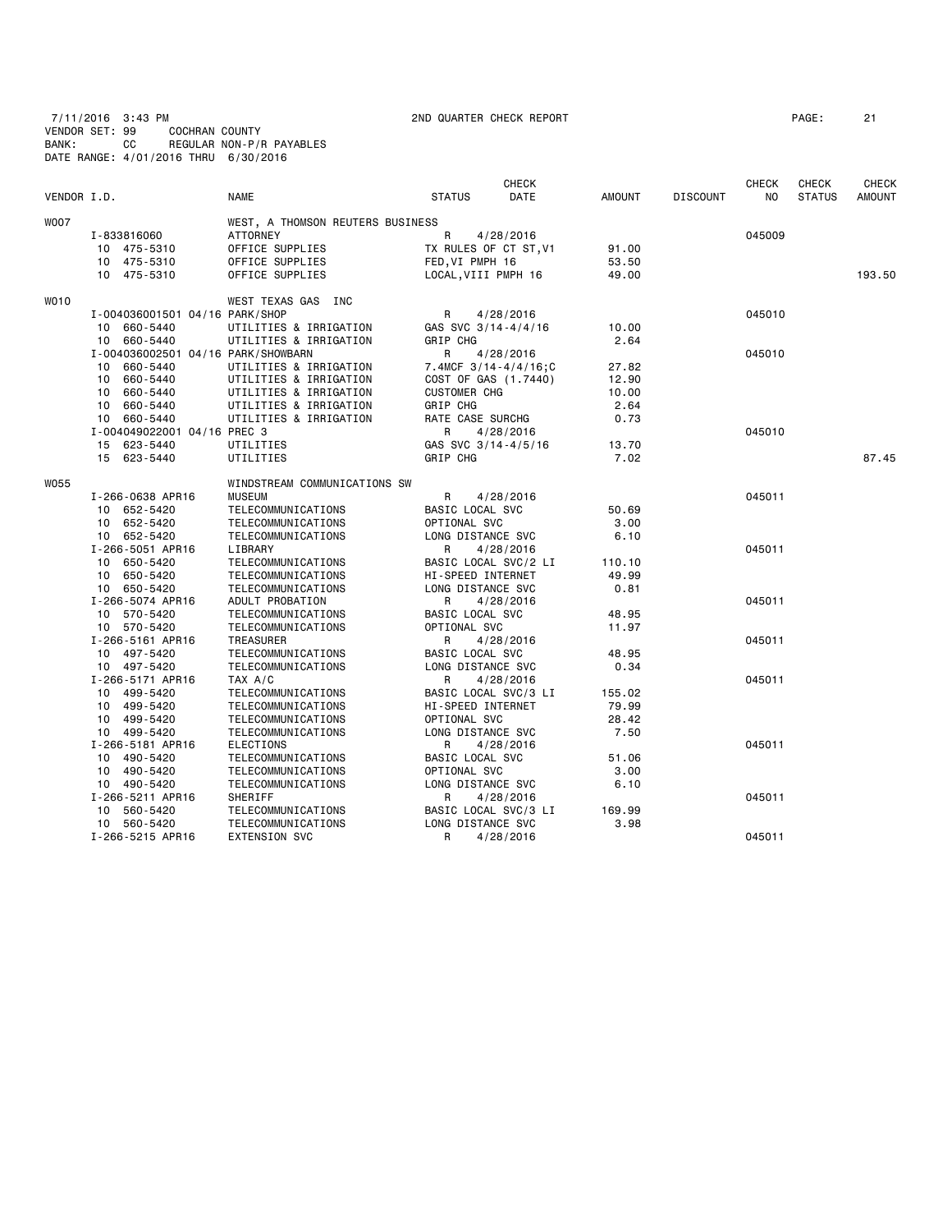7/11/2016 3:43 PM 2ND QUARTER CHECK REPORT PAGE: 21 VENDOR SET: 99 COCHRAN COUNTY BANK: CC REGULAR NON-P/R PAYABLES DATE RANGE: 4/01/2016 THRU 6/30/2016

| VENDOR I.D. |                                    | <b>NAME</b>                            | <b>STATUS</b>                     | CHECK<br>DATE              | <b>AMOUNT</b> | <b>DISCOUNT</b> | CHECK<br>NO | <b>CHECK</b><br><b>STATUS</b> | CHECK<br><b>AMOUNT</b> |
|-------------|------------------------------------|----------------------------------------|-----------------------------------|----------------------------|---------------|-----------------|-------------|-------------------------------|------------------------|
|             |                                    |                                        |                                   |                            |               |                 |             |                               |                        |
| <b>WOO7</b> |                                    | WEST, A THOMSON REUTERS BUSINESS       |                                   |                            |               |                 |             |                               |                        |
|             | I-833816060                        | <b>ATTORNEY</b>                        | R                                 | 4/28/2016                  |               |                 | 045009      |                               |                        |
|             | 10 475-5310                        | OFFICE SUPPLIES                        | TX RULES OF CT ST, V1             |                            | 91.00         |                 |             |                               |                        |
|             | 10 475-5310                        | OFFICE SUPPLIES                        | FED, VI PMPH 16                   |                            | 53.50         |                 |             |                               |                        |
|             | 10 475-5310                        | OFFICE SUPPLIES                        | LOCAL, VIII PMPH 16               |                            | 49.00         |                 |             |                               | 193.50                 |
| <b>WO10</b> |                                    | WEST TEXAS GAS INC                     |                                   |                            |               |                 |             |                               |                        |
|             | I-004036001501 04/16 PARK/SHOP     |                                        | R                                 | 4/28/2016                  |               |                 | 045010      |                               |                        |
|             | 10 660-5440                        | UTILITIES & IRRIGATION                 | GAS SVC 3/14-4/4/16               |                            | 10.00         |                 |             |                               |                        |
|             | 10 660-5440                        | UTILITIES & IRRIGATION                 | GRIP CHG                          |                            | 2.64          |                 |             |                               |                        |
|             | I-004036002501 04/16 PARK/SHOWBARN |                                        | R                                 | 4/28/2016                  |               |                 | 045010      |                               |                        |
|             | 10 660-5440                        | UTILITIES & IRRIGATION                 |                                   | 7.4MCF $3/14 - 4/4/16$ ; C | 27.82         |                 |             |                               |                        |
|             | 10 660-5440                        | UTILITIES & IRRIGATION                 |                                   | COST OF GAS (1.7440)       | 12.90         |                 |             |                               |                        |
|             | 10 660-5440                        | UTILITIES & IRRIGATION                 | <b>CUSTOMER CHG</b>               |                            | 10.00         |                 |             |                               |                        |
|             | 10 660-5440                        | UTILITIES & IRRIGATION                 | GRIP CHG                          |                            | 2.64          |                 |             |                               |                        |
|             | 10 660-5440                        | UTILITIES & IRRIGATION                 | RATE CASE SURCHG                  |                            | 0.73          |                 |             |                               |                        |
|             | I-004049022001 04/16 PREC 3        |                                        | R                                 | 4/28/2016                  |               |                 | 045010      |                               |                        |
|             | 15 623-5440                        | UTILITIES                              | GAS SVC 3/14-4/5/16               |                            | 13.70         |                 |             |                               |                        |
|             | 15 623-5440                        | UTILITIES                              | GRIP CHG                          |                            | 7.02          |                 |             |                               | 87.45                  |
| <b>W055</b> |                                    | WINDSTREAM COMMUNICATIONS SW           |                                   |                            |               |                 |             |                               |                        |
|             | I-266-0638 APR16                   | <b>MUSEUM</b>                          | R                                 | 4/28/2016                  |               |                 | 045011      |                               |                        |
|             | 10 652-5420                        | TELECOMMUNICATIONS                     | BASIC LOCAL SVC                   |                            | 50.69         |                 |             |                               |                        |
|             | 10 652-5420                        | TELECOMMUNICATIONS                     | OPTIONAL SVC                      |                            | 3.00          |                 |             |                               |                        |
|             | 10 652-5420                        | TELECOMMUNICATIONS                     | LONG DISTANCE SVC                 |                            | 6.10          |                 |             |                               |                        |
|             | I-266-5051 APR16                   | LIBRARY                                | R                                 | 4/28/2016                  |               |                 | 045011      |                               |                        |
|             | 10 650-5420                        | TELECOMMUNICATIONS                     |                                   | BASIC LOCAL SVC/2 LI       | 110.10        |                 |             |                               |                        |
|             | 10 650-5420                        | TELECOMMUNICATIONS                     | HI-SPEED INTERNET                 |                            | 49.99         |                 |             |                               |                        |
|             | 10 650-5420                        | TELECOMMUNICATIONS                     | LONG DISTANCE SVC                 |                            | 0.81          |                 |             |                               |                        |
|             | I-266-5074 APR16                   | ADULT PROBATION                        | R                                 | 4/28/2016                  |               |                 | 045011      |                               |                        |
|             | 10 570-5420                        | TELECOMMUNICATIONS                     | BASIC LOCAL SVC                   |                            | 48.95         |                 |             |                               |                        |
|             | 10 570-5420                        | TELECOMMUNICATIONS                     | OPTIONAL SVC                      |                            | 11.97         |                 |             |                               |                        |
|             | I-266-5161 APR16                   | TREASURER                              | R                                 | 4/28/2016                  |               |                 | 045011      |                               |                        |
|             | 10 497-5420                        | TELECOMMUNICATIONS                     | BASIC LOCAL SVC                   |                            | 48.95         |                 |             |                               |                        |
|             | 10 497-5420                        | TELECOMMUNICATIONS                     | LONG DISTANCE SVC                 |                            | 0.34          |                 |             |                               |                        |
|             | I-266-5171 APR16                   | TAX A/C                                | R                                 | 4/28/2016                  |               |                 | 045011      |                               |                        |
|             | 10 499-5420                        | TELECOMMUNICATIONS                     |                                   | BASIC LOCAL SVC/3 LI       | 155.02        |                 |             |                               |                        |
|             | 10 499-5420                        | TELECOMMUNICATIONS                     | HI-SPEED INTERNET                 |                            | 79.99         |                 |             |                               |                        |
|             | 10 499-5420                        | TELECOMMUNICATIONS                     | OPTIONAL SVC                      |                            | 28.42         |                 |             |                               |                        |
|             | 10 499-5420<br>I-266-5181 APR16    | TELECOMMUNICATIONS<br><b>ELECTIONS</b> | LONG DISTANCE SVC<br>R            |                            | 7.50          |                 | 045011      |                               |                        |
|             |                                    |                                        | BASIC LOCAL SVC                   | 4/28/2016                  |               |                 |             |                               |                        |
|             | 10 490-5420                        | TELECOMMUNICATIONS                     |                                   |                            | 51.06         |                 |             |                               |                        |
|             | 10 490-5420<br>10 490-5420         | TELECOMMUNICATIONS                     | OPTIONAL SVC<br>LONG DISTANCE SVC |                            | 3.00<br>6.10  |                 |             |                               |                        |
|             | I-266-5211 APR16                   | TELECOMMUNICATIONS<br>SHERIFF          | R                                 | 4/28/2016                  |               |                 | 045011      |                               |                        |
|             | 10 560-5420                        | TELECOMMUNICATIONS                     |                                   | BASIC LOCAL SVC/3 LI       | 169.99        |                 |             |                               |                        |
|             | 10 560-5420                        | TELECOMMUNICATIONS                     | LONG DISTANCE SVC                 |                            | 3.98          |                 |             |                               |                        |
|             | I-266-5215 APR16                   | <b>EXTENSION SVC</b>                   | R                                 | 4/28/2016                  |               |                 | 045011      |                               |                        |
|             |                                    |                                        |                                   |                            |               |                 |             |                               |                        |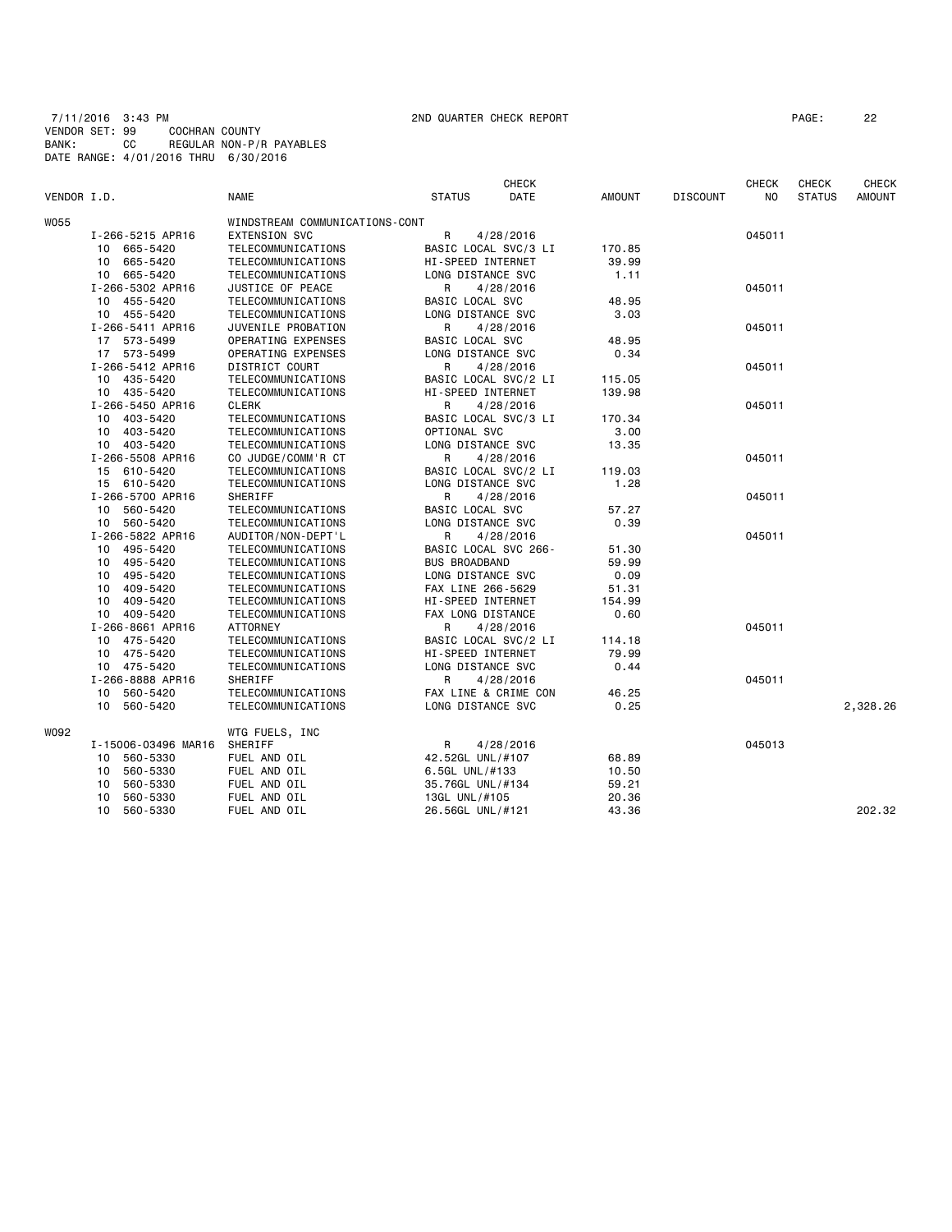7/11/2016 3:43 PM 2ND QUARTER CHECK REPORT PAGE: 22 VENDOR SET: 99 COCHRAN COUNTY BANK: CC REGULAR NON-P/R PAYABLES DATE RANGE: 4/01/2016 THRU 6/30/2016

|             |                     |                                |                      | <b>CHECK</b> |               |                 | <b>CHECK</b>   | <b>CHECK</b>  | <b>CHECK</b>  |
|-------------|---------------------|--------------------------------|----------------------|--------------|---------------|-----------------|----------------|---------------|---------------|
| VENDOR I.D. |                     | <b>NAME</b>                    | <b>STATUS</b>        | DATE         | <b>AMOUNT</b> | <b>DISCOUNT</b> | N <sub>O</sub> | <b>STATUS</b> | <b>AMOUNT</b> |
| W055        |                     | WINDSTREAM COMMUNICATIONS-CONT |                      |              |               |                 |                |               |               |
|             | I-266-5215 APR16    | <b>EXTENSION SVC</b>           | $\mathsf{R}$         | 4/28/2016    |               |                 | 045011         |               |               |
|             | 10 665-5420         | TELECOMMUNICATIONS             | BASIC LOCAL SVC/3 LI |              | 170.85        |                 |                |               |               |
|             | 665-5420<br>10      | TELECOMMUNICATIONS             | HI-SPEED INTERNET    |              | 39.99         |                 |                |               |               |
|             | 10 665-5420         | TELECOMMUNICATIONS             | LONG DISTANCE SVC    |              | 1.11          |                 |                |               |               |
|             | I-266-5302 APR16    | JUSTICE OF PEACE               | R                    | 4/28/2016    |               |                 | 045011         |               |               |
|             | 10 455-5420         | TELECOMMUNICATIONS             | BASIC LOCAL SVC      |              | 48.95         |                 |                |               |               |
|             | 10 455-5420         | TELECOMMUNICATIONS             | LONG DISTANCE SVC    |              | 3.03          |                 |                |               |               |
|             | I-266-5411 APR16    | JUVENILE PROBATION             | R                    | 4/28/2016    |               |                 | 045011         |               |               |
|             | 17 573-5499         | OPERATING EXPENSES             | BASIC LOCAL SVC      |              | 48.95         |                 |                |               |               |
|             | 17 573-5499         | OPERATING EXPENSES             | LONG DISTANCE SVC    |              | 0.34          |                 |                |               |               |
|             | I-266-5412 APR16    | DISTRICT COURT                 | R                    | 4/28/2016    |               |                 | 045011         |               |               |
|             | 10 435-5420         | TELECOMMUNICATIONS             | BASIC LOCAL SVC/2 LI |              | 115.05        |                 |                |               |               |
|             | 10 435-5420         | TELECOMMUNICATIONS             | HI-SPEED INTERNET    |              | 139.98        |                 |                |               |               |
|             | I-266-5450 APR16    | <b>CLERK</b>                   | R                    | 4/28/2016    |               |                 | 045011         |               |               |
|             | 10 403-5420         | TELECOMMUNICATIONS             | BASIC LOCAL SVC/3 LI |              | 170.34        |                 |                |               |               |
|             | 10 403-5420         | TELECOMMUNICATIONS             | OPTIONAL SVC         |              | 3.00          |                 |                |               |               |
|             | 10 403-5420         | TELECOMMUNICATIONS             | LONG DISTANCE SVC    |              | 13.35         |                 |                |               |               |
|             | I-266-5508 APR16    | CO JUDGE/COMM'R CT             | R                    | 4/28/2016    |               |                 | 045011         |               |               |
|             | 15 610-5420         | TELECOMMUNICATIONS             | BASIC LOCAL SVC/2 LI |              | 119.03        |                 |                |               |               |
|             | 15 610-5420         | TELECOMMUNICATIONS             | LONG DISTANCE SVC    |              | 1.28          |                 |                |               |               |
|             | I-266-5700 APR16    | SHERIFF                        | R                    | 4/28/2016    |               |                 | 045011         |               |               |
|             | 560-5420<br>10      | TELECOMMUNICATIONS             | BASIC LOCAL SVC      |              | 57.27         |                 |                |               |               |
|             | 10 560-5420         | TELECOMMUNICATIONS             | LONG DISTANCE SVC    |              | 0.39          |                 |                |               |               |
|             | I-266-5822 APR16    | AUDITOR/NON-DEPT'L             | R                    | 4/28/2016    |               |                 | 045011         |               |               |
|             | 10 495-5420         | TELECOMMUNICATIONS             | BASIC LOCAL SVC 266- |              | 51.30         |                 |                |               |               |
|             | 10 495-5420         | TELECOMMUNICATIONS             | <b>BUS BROADBAND</b> |              | 59.99         |                 |                |               |               |
|             | 10 495-5420         | TELECOMMUNICATIONS             | LONG DISTANCE SVC    |              | 0.09          |                 |                |               |               |
|             | 409-5420<br>10      | TELECOMMUNICATIONS             | FAX LINE 266-5629    |              | 51.31         |                 |                |               |               |
|             | 409-5420<br>10      | TELECOMMUNICATIONS             | HI-SPEED INTERNET    |              | 154.99        |                 |                |               |               |
|             | 10 409-5420         | TELECOMMUNICATIONS             | FAX LONG DISTANCE    |              | 0.60          |                 |                |               |               |
|             | I-266-8661 APR16    | ATTORNEY                       | R                    | 4/28/2016    |               |                 | 045011         |               |               |
|             | 10 475-5420         | TELECOMMUNICATIONS             | BASIC LOCAL SVC/2 LI |              | 114.18        |                 |                |               |               |
|             | 10 475-5420         | TELECOMMUNICATIONS             | HI-SPEED INTERNET    |              | 79.99         |                 |                |               |               |
|             | 10 475-5420         | TELECOMMUNICATIONS             | LONG DISTANCE SVC    |              | 0.44          |                 |                |               |               |
|             | I-266-8888 APR16    | SHERIFF                        | R                    | 4/28/2016    |               |                 | 045011         |               |               |
|             | 10 560-5420         | TELECOMMUNICATIONS             | FAX LINE & CRIME CON |              | 46.25         |                 |                |               |               |
|             | 10<br>560-5420      | TELECOMMUNICATIONS             | LONG DISTANCE SVC    |              | 0.25          |                 |                |               | 2,328.26      |
| W092        |                     | WTG FUELS, INC                 |                      |              |               |                 |                |               |               |
|             | I-15006-03496 MAR16 | SHERIFF                        | R                    | 4/28/2016    |               |                 | 045013         |               |               |
|             | 560-5330<br>10      | FUEL AND OIL                   | 42.52GL UNL/#107     |              | 68.89         |                 |                |               |               |
|             | 560-5330<br>10      | FUEL AND OIL                   | 6.5GL UNL/#133       |              | 10.50         |                 |                |               |               |
|             | 560-5330<br>10      | FUEL AND OIL                   | 35.76GL UNL/#134     |              | 59.21         |                 |                |               |               |
|             | 560-5330<br>10      | FUEL AND OIL                   | 13GL UNL/#105        |              | 20.36         |                 |                |               |               |
|             | 10<br>560-5330      | FUEL AND OIL                   | 26.56GL UNL/#121     |              | 43.36         |                 |                |               | 202.32        |
|             |                     |                                |                      |              |               |                 |                |               |               |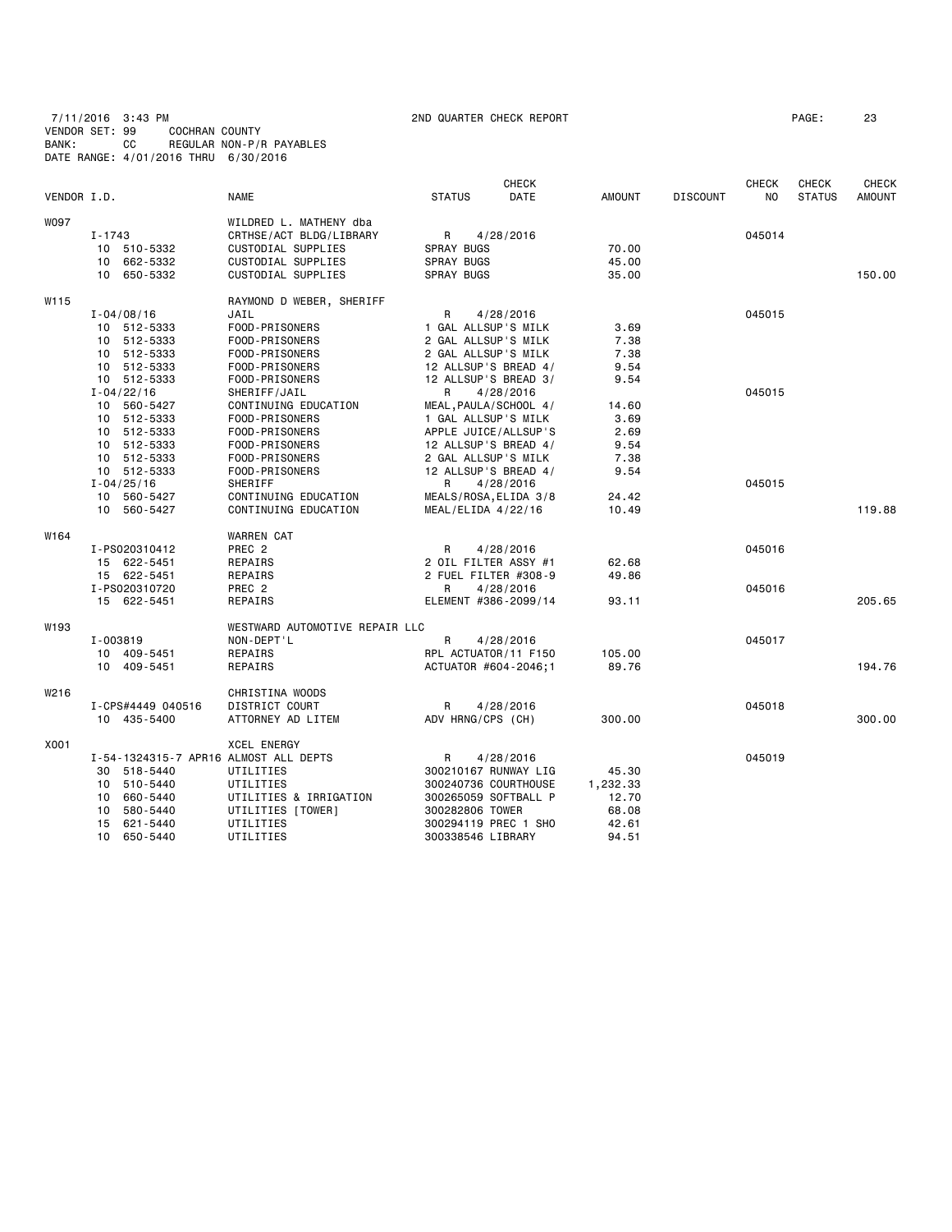7/11/2016 3:43 PM 2ND QUARTER CHECK REPORT PAGE: 23 VENDOR SET: 99 COCHRAN COUNTY BANK: CC REGULAR NON-P/R PAYABLES DATE RANGE: 4/01/2016 THRU 6/30/2016

| VENDOR I.D. |                                       | <b>NAME</b>                    | <b>STATUS</b>         | <b>CHECK</b><br><b>DATE</b> | <b>AMOUNT</b> | <b>DISCOUNT</b> | <b>CHECK</b><br>N <sub>O</sub> | <b>CHECK</b><br><b>STATUS</b> | <b>CHECK</b><br><b>AMOUNT</b> |
|-------------|---------------------------------------|--------------------------------|-----------------------|-----------------------------|---------------|-----------------|--------------------------------|-------------------------------|-------------------------------|
| <b>WO97</b> |                                       | WILDRED L. MATHENY dba         |                       |                             |               |                 |                                |                               |                               |
|             | $I - 1743$                            | CRTHSE/ACT BLDG/LIBRARY        | R                     | 4/28/2016                   |               |                 | 045014                         |                               |                               |
|             | 10 510-5332                           | CUSTODIAL SUPPLIES             | <b>SPRAY BUGS</b>     |                             | 70.00         |                 |                                |                               |                               |
|             | 10 662-5332                           | CUSTODIAL SUPPLIES             | <b>SPRAY BUGS</b>     |                             | 45.00         |                 |                                |                               |                               |
|             | 10 650-5332                           | CUSTODIAL SUPPLIES             | SPRAY BUGS            |                             | 35.00         |                 |                                |                               | 150.00                        |
| W115        |                                       | RAYMOND D WEBER, SHERIFF       |                       |                             |               |                 |                                |                               |                               |
|             | $I - 04/08/16$                        | JAIL                           | R                     | 4/28/2016                   |               |                 | 045015                         |                               |                               |
|             | 10 512-5333                           | FOOD-PRISONERS                 | 1 GAL ALLSUP'S MILK   |                             | 3.69          |                 |                                |                               |                               |
|             | 10 512-5333                           | FOOD-PRISONERS                 | 2 GAL ALLSUP'S MILK   |                             | 7.38          |                 |                                |                               |                               |
|             | 512-5333<br>10                        | FOOD-PRISONERS                 | 2 GAL ALLSUP'S MILK   |                             | 7.38          |                 |                                |                               |                               |
|             | 10 512-5333                           | FOOD-PRISONERS                 | 12 ALLSUP'S BREAD 4/  |                             | 9.54          |                 |                                |                               |                               |
|             | 10 512-5333                           | FOOD-PRISONERS                 | 12 ALLSUP'S BREAD 3/  |                             | 9.54          |                 |                                |                               |                               |
|             | $I - 04/22/16$                        | SHERIFF/JAIL                   | R                     | 4/28/2016                   |               |                 | 045015                         |                               |                               |
|             | 10 560-5427                           | CONTINUING EDUCATION           | MEAL, PAULA/SCHOOL 4/ |                             | 14.60         |                 |                                |                               |                               |
|             | 10 512-5333                           | FOOD-PRISONERS                 | 1 GAL ALLSUP'S MILK   |                             | 3.69          |                 |                                |                               |                               |
|             | 512-5333<br>10                        | FOOD-PRISONERS                 | APPLE JUICE/ALLSUP'S  |                             | 2.69          |                 |                                |                               |                               |
|             | 10 512-5333                           | FOOD-PRISONERS                 | 12 ALLSUP'S BREAD 4/  |                             | 9.54          |                 |                                |                               |                               |
|             | 10 512-5333                           | FOOD-PRISONERS                 | 2 GAL ALLSUP'S MILK   |                             | 7.38          |                 |                                |                               |                               |
|             | 10 512-5333                           | FOOD-PRISONERS                 | 12 ALLSUP'S BREAD 4/  |                             | 9.54          |                 |                                |                               |                               |
|             | $I - 04/25/16$                        | SHERIFF                        | R                     | 4/28/2016                   |               |                 | 045015                         |                               |                               |
|             | 10 560-5427                           | CONTINUING EDUCATION           | MEALS/ROSA, ELIDA 3/8 |                             | 24.42         |                 |                                |                               |                               |
|             | 10 560-5427                           | CONTINUING EDUCATION           | $MEAL/ELIDA$ 4/22/16  |                             | 10.49         |                 |                                |                               | 119.88                        |
| W164        |                                       | <b>WARREN CAT</b>              |                       |                             |               |                 |                                |                               |                               |
|             | I-PS020310412                         | PREC <sub>2</sub>              | R                     | 4/28/2016                   |               |                 | 045016                         |                               |                               |
|             | 15 622-5451                           | REPAIRS                        | 2 OIL FILTER ASSY #1  |                             | 62.68         |                 |                                |                               |                               |
|             | 15 622-5451                           | REPAIRS                        |                       | 2 FUEL FILTER #308-9        | 49.86         |                 |                                |                               |                               |
|             | I-PS020310720                         | PREC <sub>2</sub>              | R                     | 4/28/2016                   |               |                 | 045016                         |                               |                               |
|             | 15 622-5451                           | REPAIRS                        |                       | ELEMENT #386-2099/14        | 93.11         |                 |                                |                               | 205.65                        |
| W193        |                                       | WESTWARD AUTOMOTIVE REPAIR LLC |                       |                             |               |                 |                                |                               |                               |
|             | I-003819                              | NON-DEPT'L                     | R                     | 4/28/2016                   |               |                 | 045017                         |                               |                               |
|             | 10 409-5451                           | REPAIRS                        |                       | RPL ACTUATOR/11 F150        | 105.00        |                 |                                |                               |                               |
|             | 10 409-5451                           | REPAIRS                        | ACTUATOR #604-2046;1  |                             | 89.76         |                 |                                |                               | 194.76                        |
| W216        |                                       | CHRISTINA WOODS                |                       |                             |               |                 |                                |                               |                               |
|             | I-CPS#4449 040516                     | <b>DISTRICT COURT</b>          | R                     | 4/28/2016                   |               |                 | 045018                         |                               |                               |
|             | 10 435-5400                           | ATTORNEY AD LITEM              | ADV HRNG/CPS (CH)     |                             | 300,00        |                 |                                |                               | 300.00                        |
| X001        |                                       | <b>XCEL ENERGY</b>             |                       |                             |               |                 |                                |                               |                               |
|             | I-54-1324315-7 APR16 ALMOST ALL DEPTS |                                | R                     | 4/28/2016                   |               |                 | 045019                         |                               |                               |
|             | 518-5440<br>30                        | UTILITIES                      |                       | 300210167 RUNWAY LIG        | 45.30         |                 |                                |                               |                               |
|             | 10 510-5440                           | UTILITIES                      | 300240736 COURTHOUSE  |                             | 1,232.33      |                 |                                |                               |                               |
|             | 10<br>660-5440                        | UTILITIES & IRRIGATION         | 300265059 SOFTBALL P  |                             | 12.70         |                 |                                |                               |                               |
|             | 580-5440<br>10                        | UTILITIES [TOWER]              | 300282806 TOWER       |                             | 68.08         |                 |                                |                               |                               |
|             | 621-5440<br>15                        | UTILITIES                      | 300294119 PREC 1 SHO  |                             | 42.61         |                 |                                |                               |                               |
|             | 10<br>650-5440                        | UTILITIES                      | 300338546 LIBRARY     |                             | 94.51         |                 |                                |                               |                               |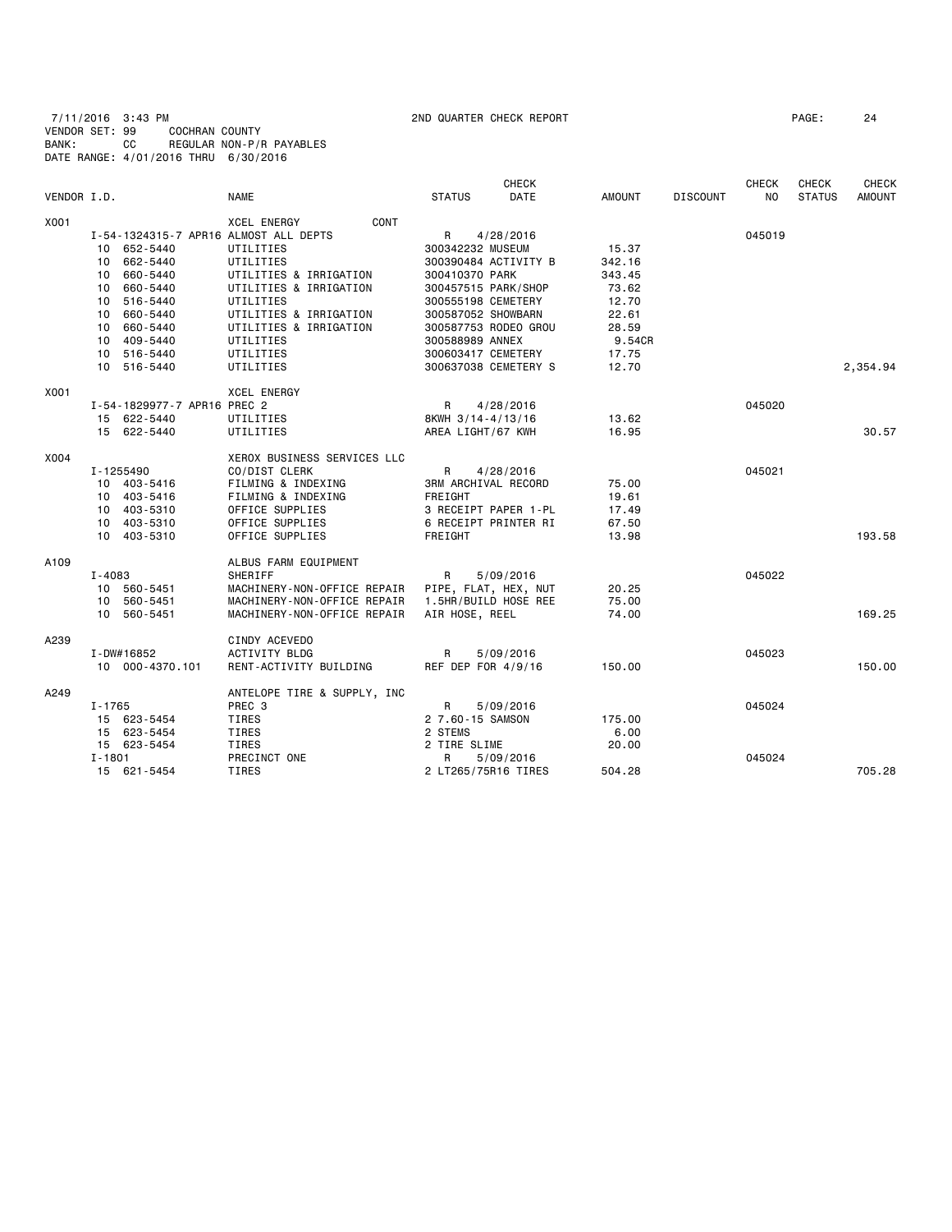7/11/2016 3:43 PM 2ND QUARTER CHECK REPORT PAGE: 24

RENT-ACTIVITY BUILDING REF DEP FOR 4/9/16 150.00 150.00 150.00

VENDOR SET: 99 COCHRAN COUNTY<br>BANK: CC REGULAR NON-P/F REGULAR NON-P/R PAYABLES DATE RANGE: 4/01/2016 THRU 6/30/2016 CHECK CHECK CHECK CHECK VENDOR I.D. NAME STATUS DATE AMOUNT DISCOUNT NO STATUS AMOUNT X001 XCEL ENERGY CONT I-54-1324315-7 APR16 ALMOST ALL DEPTS R 4/28/2016 045019 10 652-5440 UTILITIES 300342232 MUSEUM 15.37 10 662-5440 UTILITIES 300390484 ACTIVITY B 342.16<br>10 660-5440 UTILITIES & IRRIGATION 300410370 PARK 343.45 000-5440 UTILITIES & IRRIGATION 300410370 PARK 343.45<br>10 660-5440 UTILITIES & IRRIGATION 300457515 PARK/SHOP 73.62 10 660-5440 UTILITIES & IRRIGATION 300457515 PARK/SHOP 73.62 10 516-5440 UTILITIES - 10 500555198 CEMETERY 12.70<br>10 660-5440 UTILITIES & IRRIGATION 300587052 SHOWBARN 22.61 UTILITIES & IRRIGATION 300587052 SHOWBARN<br>UTILITIES & IRRIGATION 300587753 RODEO GROU 10 660-5440 UTILITIES & IRRIGATION 300587753 RODEO GROU 28.59 10 409-5440 UTILITIES 300588989 ANNEX 9.54CR<br>10 516-5440 UTILITIES 300603417 CEMETERY 17.75 10 516-5440 UTILITIES 300603417 CEMETERY 17.75 10 516-5440 UTILITY S 12.70<br>300637038 CEMETERY S 12.70 X001 XCEL ENERGY 1-54-1829977-7 APR16 PREC 2 R 4/28/2016<br>15 622-5440 UTILITIES 8KWH 3/14-4/13/16 13.62 15 622-5440 UTILITIES 8KWH 3/14-4/13/16 13.62<br>15 622-5440 UTILITIES AREA LIGHT/67 KWH 16.95 AREA LIGHT/67 KWH 16.95 30.57 X004 XEROX BUSINESS SERVICES LLC CO/DIST CLERK R 4/28/2016 R 4/28/2016 045021 10 403-5416 FILMING & INDEXING 3RM ARCHIVAL RECORD 75.00 10 403-5416 FILMING & INDEXING FREIGHT FREIGHT FREIGHT 19.61<br>10 403-5310 FICE SUPPLIES 3 RECEIPT PAPER 1-PL 17.49 10 403-5310 OFFICE SUPPLIES 3 RECEIPT PAPER 1-PL 17.49<br>10 403-5310 OFFICE SUPPLIES 6 RECEIPT PRINTER RI 67.50 10 403-5310 OFFICE SUPPLIES 6 RECEIPT PRINTER RI<br>10 403-5310 OFFICE SUPPLIES FRETGHT 10 403-5310 OFFICE SUPPLIES FREIGHT 13.98 193.58 A109 **ALBUS FARM EQUIPMENT**<br>SHERIFF **SHERIFF**  I-4083 SHERIFF R 5/09/2016 045022 10 560-5451 MACHINERY-NON-OFFICE REPAIR PIPE, FLAT, HEX, NUT 20.25 MACHINERY-NON-OFFICE REPAIR 1.5HR/BUILD HOSE REE 75.00 10 560-5451 MACHINERY-NON-OFFICE REPAIR AIR HOSE, REEL 74.00 169.25 A239 CINDY ACEVEDO<br>I-DW#16852 ACTIVITY BLDG I-DW#16852 ACTIVITY BLDG R 5/09/2016 045023

I-1765 PREC 3 R 5/09/2016 045024

I-1801 PRECINCT ONE R 5/09/2016 045024

15 621-5454 TIRES 2 LT265/75R16 TIRES 504.28 705.28

15 623-5454 TIRES 2 7.60-15 SAMSON 175.00

15 623-5454 TIRES 2 TIRE SLIME 20.00

15 623-5454 TIRES 2 STEMS 6.00

A249 **ANTELOPE TIRE & SUPPLY, INC**<br>
I-1765 **PREC 3**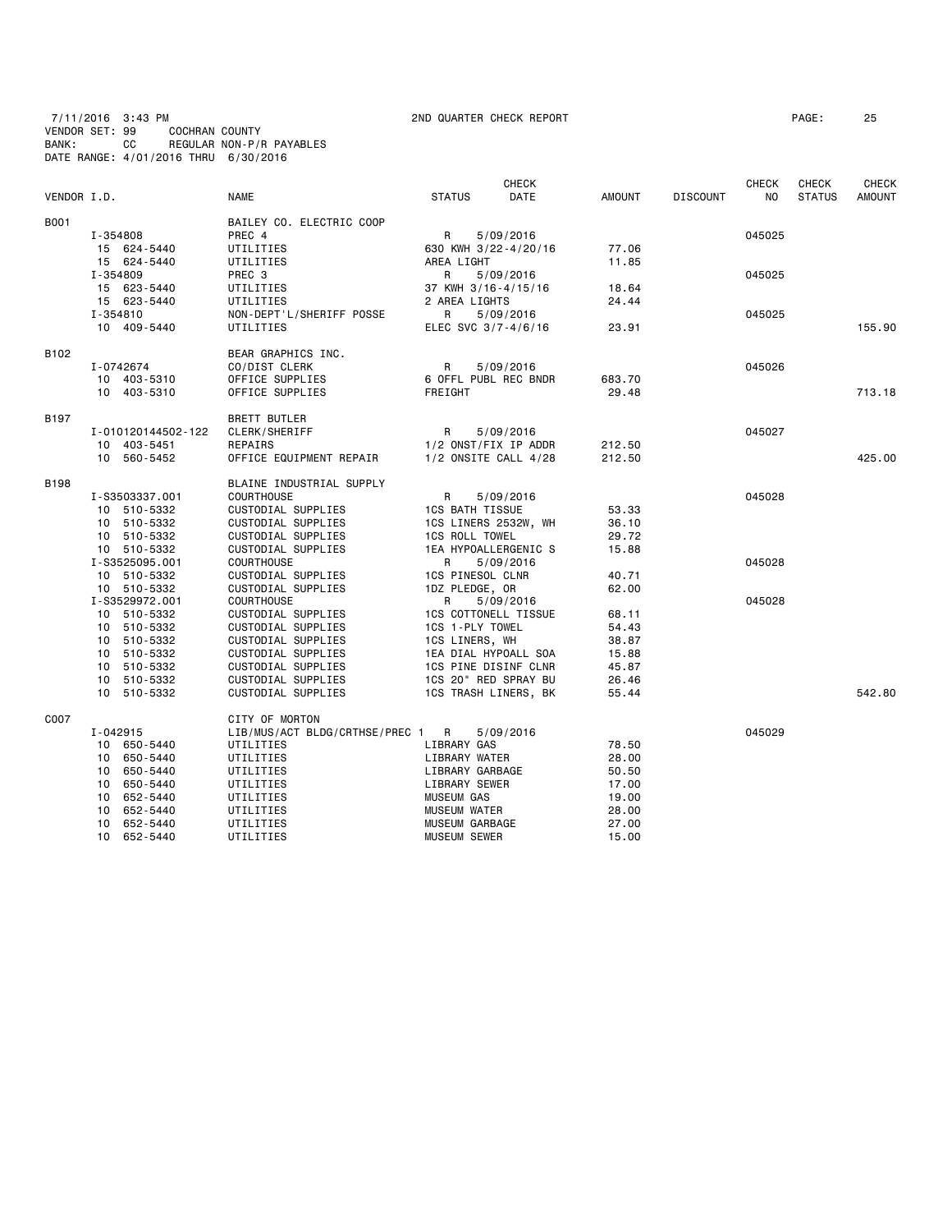# 7/11/2016 3:43 PM 2ND QUARTER CHECK REPORT PAGE: 25 VENDOR SET: 99 COCHRAN COUNTY BANK: CC REGULAR NON-P/R PAYABLES DATE RANGE: 4/01/2016 THRU 6/30/2016

| DATE<br>VENDOR I.D.<br><b>NAME</b><br><b>STATUS</b><br>AMOUNT<br><b>DISCOUNT</b><br>NO<br><b>STATUS</b><br><b>AMOUNT</b><br>BAILEY CO. ELECTRIC COOP<br>I-354808<br>PREC 4<br>R<br>5/09/2016<br>045025<br>630 KWH 3/22-4/20/16<br>15 624-5440<br>UTILITIES<br>77.06<br>AREA LIGHT<br>15 624-5440<br>UTILITIES<br>11.85<br>I-354809<br>R<br>PREC 3<br>5/09/2016<br>045025<br>15 623-5440<br>UTILITIES<br>37 KWH 3/16-4/15/16<br>18.64<br>15 623-5440<br>UTILITIES<br>2 AREA LIGHTS<br>24.44<br>I-354810<br>NON-DEPT'L/SHERIFF POSSE<br>R<br>045025<br>5/09/2016<br>10 409-5440<br>UTILITIES<br>ELEC SVC 3/7-4/6/16<br>23.91<br>155.90<br>BEAR GRAPHICS INC.<br>R<br>045026<br>I-0742674<br>CO/DIST CLERK<br>5/09/2016<br>6 OFFL PUBL REC BNDR<br>683.70<br>10 403-5310<br>OFFICE SUPPLIES<br>29.48<br>713.18<br>10 403-5310<br>OFFICE SUPPLIES<br>FREIGHT<br><b>BRETT BUTLER</b><br>R<br>045027<br>I-010120144502-122<br>CLERK/SHERIFF<br>5/09/2016<br>1/2 ONST/FIX IP ADDR<br>10 403-5451<br>REPAIRS<br>212.50<br>10 560-5452<br>OFFICE EQUIPMENT REPAIR<br>$1/2$ ONSITE CALL $4/28$<br>212.50<br>425.00<br>BLAINE INDUSTRIAL SUPPLY<br><b>COURTHOUSE</b><br>R<br>045028<br>I-S3503337.001<br>5/09/2016<br>10 510-5332<br>CUSTODIAL SUPPLIES<br><b>1CS BATH TISSUE</b><br>53.33<br>10 510-5332<br>CUSTODIAL SUPPLIES<br>1CS LINERS 2532W, WH<br>36.10<br>10 510-5332<br>CUSTODIAL SUPPLIES<br><b>1CS ROLL TOWEL</b><br>29.72<br>10 510-5332<br>CUSTODIAL SUPPLIES<br>1EA HYPOALLERGENIC S<br>15.88<br>045028<br>I-S3525095.001<br><b>COURTHOUSE</b><br>R<br>5/09/2016<br>10 510-5332<br>CUSTODIAL SUPPLIES<br><b>1CS PINESOL CLNR</b><br>40.71<br>10 510-5332<br>62.00<br>CUSTODIAL SUPPLIES<br>1DZ PLEDGE, OR<br>I-S3529972.001<br><b>COURTHOUSE</b><br>R<br>045028<br>5/09/2016<br>10 510-5332<br>CUSTODIAL SUPPLIES<br><b>1CS COTTONELL TISSUE</b><br>68.11<br>1CS 1-PLY TOWEL<br>10 510-5332<br>CUSTODIAL SUPPLIES<br>54.43<br>10 510-5332<br>CUSTODIAL SUPPLIES<br>1CS LINERS, WH<br>38.87<br>10 510-5332<br>1EA DIAL HYPOALL SOA<br>CUSTODIAL SUPPLIES<br>15.88<br>10 510-5332<br>CUSTODIAL SUPPLIES<br>1CS PINE DISINF CLNR<br>45.87<br>10 510-5332<br>CUSTODIAL SUPPLIES<br>1CS 20" RED SPRAY BU<br>26.46<br>542.80<br>1CS TRASH LINERS, BK<br>10 510-5332<br>CUSTODIAL SUPPLIES<br>55.44<br>CITY OF MORTON<br>045029<br>I-042915<br>LIB/MUS/ACT BLDG/CRTHSE/PREC 1<br>R<br>5/09/2016<br>LIBRARY GAS<br>10 650-5440<br>UTILITIES<br>78.50<br>28.00<br>10 650-5440<br>UTILITIES<br>LIBRARY WATER<br>10 650-5440<br>UTILITIES<br>LIBRARY GARBAGE<br>50.50<br>LIBRARY SEWER<br>650-5440<br>UTILITIES<br>17.00<br>10<br><b>MUSEUM GAS</b><br>10<br>652-5440<br>UTILITIES<br>19.00<br>652-5440<br><b>MUSEUM WATER</b><br>28.00<br>10<br>UTILITIES<br>10 652-5440<br>UTILITIES<br>MUSEUM GARBAGE<br>27.00<br>10 652-5440<br>UTILITIES<br><b>MUSEUM SEWER</b><br>15.00 |             |  | CHECK |  | <b>CHECK</b> | <b>CHECK</b> | CHECK |
|-------------------------------------------------------------------------------------------------------------------------------------------------------------------------------------------------------------------------------------------------------------------------------------------------------------------------------------------------------------------------------------------------------------------------------------------------------------------------------------------------------------------------------------------------------------------------------------------------------------------------------------------------------------------------------------------------------------------------------------------------------------------------------------------------------------------------------------------------------------------------------------------------------------------------------------------------------------------------------------------------------------------------------------------------------------------------------------------------------------------------------------------------------------------------------------------------------------------------------------------------------------------------------------------------------------------------------------------------------------------------------------------------------------------------------------------------------------------------------------------------------------------------------------------------------------------------------------------------------------------------------------------------------------------------------------------------------------------------------------------------------------------------------------------------------------------------------------------------------------------------------------------------------------------------------------------------------------------------------------------------------------------------------------------------------------------------------------------------------------------------------------------------------------------------------------------------------------------------------------------------------------------------------------------------------------------------------------------------------------------------------------------------------------------------------------------------------------------------------------------------------------------------------------------------------------------------------------------------------------------------------------------------------------------------------------------------------------------------------------------------------------------------------------------------------------------------------------------------------------------------|-------------|--|-------|--|--------------|--------------|-------|
|                                                                                                                                                                                                                                                                                                                                                                                                                                                                                                                                                                                                                                                                                                                                                                                                                                                                                                                                                                                                                                                                                                                                                                                                                                                                                                                                                                                                                                                                                                                                                                                                                                                                                                                                                                                                                                                                                                                                                                                                                                                                                                                                                                                                                                                                                                                                                                                                                                                                                                                                                                                                                                                                                                                                                                                                                                                                         |             |  |       |  |              |              |       |
|                                                                                                                                                                                                                                                                                                                                                                                                                                                                                                                                                                                                                                                                                                                                                                                                                                                                                                                                                                                                                                                                                                                                                                                                                                                                                                                                                                                                                                                                                                                                                                                                                                                                                                                                                                                                                                                                                                                                                                                                                                                                                                                                                                                                                                                                                                                                                                                                                                                                                                                                                                                                                                                                                                                                                                                                                                                                         | <b>B001</b> |  |       |  |              |              |       |
|                                                                                                                                                                                                                                                                                                                                                                                                                                                                                                                                                                                                                                                                                                                                                                                                                                                                                                                                                                                                                                                                                                                                                                                                                                                                                                                                                                                                                                                                                                                                                                                                                                                                                                                                                                                                                                                                                                                                                                                                                                                                                                                                                                                                                                                                                                                                                                                                                                                                                                                                                                                                                                                                                                                                                                                                                                                                         |             |  |       |  |              |              |       |
|                                                                                                                                                                                                                                                                                                                                                                                                                                                                                                                                                                                                                                                                                                                                                                                                                                                                                                                                                                                                                                                                                                                                                                                                                                                                                                                                                                                                                                                                                                                                                                                                                                                                                                                                                                                                                                                                                                                                                                                                                                                                                                                                                                                                                                                                                                                                                                                                                                                                                                                                                                                                                                                                                                                                                                                                                                                                         |             |  |       |  |              |              |       |
|                                                                                                                                                                                                                                                                                                                                                                                                                                                                                                                                                                                                                                                                                                                                                                                                                                                                                                                                                                                                                                                                                                                                                                                                                                                                                                                                                                                                                                                                                                                                                                                                                                                                                                                                                                                                                                                                                                                                                                                                                                                                                                                                                                                                                                                                                                                                                                                                                                                                                                                                                                                                                                                                                                                                                                                                                                                                         |             |  |       |  |              |              |       |
|                                                                                                                                                                                                                                                                                                                                                                                                                                                                                                                                                                                                                                                                                                                                                                                                                                                                                                                                                                                                                                                                                                                                                                                                                                                                                                                                                                                                                                                                                                                                                                                                                                                                                                                                                                                                                                                                                                                                                                                                                                                                                                                                                                                                                                                                                                                                                                                                                                                                                                                                                                                                                                                                                                                                                                                                                                                                         |             |  |       |  |              |              |       |
|                                                                                                                                                                                                                                                                                                                                                                                                                                                                                                                                                                                                                                                                                                                                                                                                                                                                                                                                                                                                                                                                                                                                                                                                                                                                                                                                                                                                                                                                                                                                                                                                                                                                                                                                                                                                                                                                                                                                                                                                                                                                                                                                                                                                                                                                                                                                                                                                                                                                                                                                                                                                                                                                                                                                                                                                                                                                         |             |  |       |  |              |              |       |
|                                                                                                                                                                                                                                                                                                                                                                                                                                                                                                                                                                                                                                                                                                                                                                                                                                                                                                                                                                                                                                                                                                                                                                                                                                                                                                                                                                                                                                                                                                                                                                                                                                                                                                                                                                                                                                                                                                                                                                                                                                                                                                                                                                                                                                                                                                                                                                                                                                                                                                                                                                                                                                                                                                                                                                                                                                                                         |             |  |       |  |              |              |       |
|                                                                                                                                                                                                                                                                                                                                                                                                                                                                                                                                                                                                                                                                                                                                                                                                                                                                                                                                                                                                                                                                                                                                                                                                                                                                                                                                                                                                                                                                                                                                                                                                                                                                                                                                                                                                                                                                                                                                                                                                                                                                                                                                                                                                                                                                                                                                                                                                                                                                                                                                                                                                                                                                                                                                                                                                                                                                         |             |  |       |  |              |              |       |
|                                                                                                                                                                                                                                                                                                                                                                                                                                                                                                                                                                                                                                                                                                                                                                                                                                                                                                                                                                                                                                                                                                                                                                                                                                                                                                                                                                                                                                                                                                                                                                                                                                                                                                                                                                                                                                                                                                                                                                                                                                                                                                                                                                                                                                                                                                                                                                                                                                                                                                                                                                                                                                                                                                                                                                                                                                                                         |             |  |       |  |              |              |       |
|                                                                                                                                                                                                                                                                                                                                                                                                                                                                                                                                                                                                                                                                                                                                                                                                                                                                                                                                                                                                                                                                                                                                                                                                                                                                                                                                                                                                                                                                                                                                                                                                                                                                                                                                                                                                                                                                                                                                                                                                                                                                                                                                                                                                                                                                                                                                                                                                                                                                                                                                                                                                                                                                                                                                                                                                                                                                         | B102        |  |       |  |              |              |       |
|                                                                                                                                                                                                                                                                                                                                                                                                                                                                                                                                                                                                                                                                                                                                                                                                                                                                                                                                                                                                                                                                                                                                                                                                                                                                                                                                                                                                                                                                                                                                                                                                                                                                                                                                                                                                                                                                                                                                                                                                                                                                                                                                                                                                                                                                                                                                                                                                                                                                                                                                                                                                                                                                                                                                                                                                                                                                         |             |  |       |  |              |              |       |
|                                                                                                                                                                                                                                                                                                                                                                                                                                                                                                                                                                                                                                                                                                                                                                                                                                                                                                                                                                                                                                                                                                                                                                                                                                                                                                                                                                                                                                                                                                                                                                                                                                                                                                                                                                                                                                                                                                                                                                                                                                                                                                                                                                                                                                                                                                                                                                                                                                                                                                                                                                                                                                                                                                                                                                                                                                                                         |             |  |       |  |              |              |       |
|                                                                                                                                                                                                                                                                                                                                                                                                                                                                                                                                                                                                                                                                                                                                                                                                                                                                                                                                                                                                                                                                                                                                                                                                                                                                                                                                                                                                                                                                                                                                                                                                                                                                                                                                                                                                                                                                                                                                                                                                                                                                                                                                                                                                                                                                                                                                                                                                                                                                                                                                                                                                                                                                                                                                                                                                                                                                         |             |  |       |  |              |              |       |
|                                                                                                                                                                                                                                                                                                                                                                                                                                                                                                                                                                                                                                                                                                                                                                                                                                                                                                                                                                                                                                                                                                                                                                                                                                                                                                                                                                                                                                                                                                                                                                                                                                                                                                                                                                                                                                                                                                                                                                                                                                                                                                                                                                                                                                                                                                                                                                                                                                                                                                                                                                                                                                                                                                                                                                                                                                                                         | <b>B197</b> |  |       |  |              |              |       |
|                                                                                                                                                                                                                                                                                                                                                                                                                                                                                                                                                                                                                                                                                                                                                                                                                                                                                                                                                                                                                                                                                                                                                                                                                                                                                                                                                                                                                                                                                                                                                                                                                                                                                                                                                                                                                                                                                                                                                                                                                                                                                                                                                                                                                                                                                                                                                                                                                                                                                                                                                                                                                                                                                                                                                                                                                                                                         |             |  |       |  |              |              |       |
|                                                                                                                                                                                                                                                                                                                                                                                                                                                                                                                                                                                                                                                                                                                                                                                                                                                                                                                                                                                                                                                                                                                                                                                                                                                                                                                                                                                                                                                                                                                                                                                                                                                                                                                                                                                                                                                                                                                                                                                                                                                                                                                                                                                                                                                                                                                                                                                                                                                                                                                                                                                                                                                                                                                                                                                                                                                                         |             |  |       |  |              |              |       |
|                                                                                                                                                                                                                                                                                                                                                                                                                                                                                                                                                                                                                                                                                                                                                                                                                                                                                                                                                                                                                                                                                                                                                                                                                                                                                                                                                                                                                                                                                                                                                                                                                                                                                                                                                                                                                                                                                                                                                                                                                                                                                                                                                                                                                                                                                                                                                                                                                                                                                                                                                                                                                                                                                                                                                                                                                                                                         |             |  |       |  |              |              |       |
|                                                                                                                                                                                                                                                                                                                                                                                                                                                                                                                                                                                                                                                                                                                                                                                                                                                                                                                                                                                                                                                                                                                                                                                                                                                                                                                                                                                                                                                                                                                                                                                                                                                                                                                                                                                                                                                                                                                                                                                                                                                                                                                                                                                                                                                                                                                                                                                                                                                                                                                                                                                                                                                                                                                                                                                                                                                                         | <b>B198</b> |  |       |  |              |              |       |
|                                                                                                                                                                                                                                                                                                                                                                                                                                                                                                                                                                                                                                                                                                                                                                                                                                                                                                                                                                                                                                                                                                                                                                                                                                                                                                                                                                                                                                                                                                                                                                                                                                                                                                                                                                                                                                                                                                                                                                                                                                                                                                                                                                                                                                                                                                                                                                                                                                                                                                                                                                                                                                                                                                                                                                                                                                                                         |             |  |       |  |              |              |       |
|                                                                                                                                                                                                                                                                                                                                                                                                                                                                                                                                                                                                                                                                                                                                                                                                                                                                                                                                                                                                                                                                                                                                                                                                                                                                                                                                                                                                                                                                                                                                                                                                                                                                                                                                                                                                                                                                                                                                                                                                                                                                                                                                                                                                                                                                                                                                                                                                                                                                                                                                                                                                                                                                                                                                                                                                                                                                         |             |  |       |  |              |              |       |
|                                                                                                                                                                                                                                                                                                                                                                                                                                                                                                                                                                                                                                                                                                                                                                                                                                                                                                                                                                                                                                                                                                                                                                                                                                                                                                                                                                                                                                                                                                                                                                                                                                                                                                                                                                                                                                                                                                                                                                                                                                                                                                                                                                                                                                                                                                                                                                                                                                                                                                                                                                                                                                                                                                                                                                                                                                                                         |             |  |       |  |              |              |       |
|                                                                                                                                                                                                                                                                                                                                                                                                                                                                                                                                                                                                                                                                                                                                                                                                                                                                                                                                                                                                                                                                                                                                                                                                                                                                                                                                                                                                                                                                                                                                                                                                                                                                                                                                                                                                                                                                                                                                                                                                                                                                                                                                                                                                                                                                                                                                                                                                                                                                                                                                                                                                                                                                                                                                                                                                                                                                         |             |  |       |  |              |              |       |
|                                                                                                                                                                                                                                                                                                                                                                                                                                                                                                                                                                                                                                                                                                                                                                                                                                                                                                                                                                                                                                                                                                                                                                                                                                                                                                                                                                                                                                                                                                                                                                                                                                                                                                                                                                                                                                                                                                                                                                                                                                                                                                                                                                                                                                                                                                                                                                                                                                                                                                                                                                                                                                                                                                                                                                                                                                                                         |             |  |       |  |              |              |       |
|                                                                                                                                                                                                                                                                                                                                                                                                                                                                                                                                                                                                                                                                                                                                                                                                                                                                                                                                                                                                                                                                                                                                                                                                                                                                                                                                                                                                                                                                                                                                                                                                                                                                                                                                                                                                                                                                                                                                                                                                                                                                                                                                                                                                                                                                                                                                                                                                                                                                                                                                                                                                                                                                                                                                                                                                                                                                         |             |  |       |  |              |              |       |
|                                                                                                                                                                                                                                                                                                                                                                                                                                                                                                                                                                                                                                                                                                                                                                                                                                                                                                                                                                                                                                                                                                                                                                                                                                                                                                                                                                                                                                                                                                                                                                                                                                                                                                                                                                                                                                                                                                                                                                                                                                                                                                                                                                                                                                                                                                                                                                                                                                                                                                                                                                                                                                                                                                                                                                                                                                                                         |             |  |       |  |              |              |       |
|                                                                                                                                                                                                                                                                                                                                                                                                                                                                                                                                                                                                                                                                                                                                                                                                                                                                                                                                                                                                                                                                                                                                                                                                                                                                                                                                                                                                                                                                                                                                                                                                                                                                                                                                                                                                                                                                                                                                                                                                                                                                                                                                                                                                                                                                                                                                                                                                                                                                                                                                                                                                                                                                                                                                                                                                                                                                         |             |  |       |  |              |              |       |
|                                                                                                                                                                                                                                                                                                                                                                                                                                                                                                                                                                                                                                                                                                                                                                                                                                                                                                                                                                                                                                                                                                                                                                                                                                                                                                                                                                                                                                                                                                                                                                                                                                                                                                                                                                                                                                                                                                                                                                                                                                                                                                                                                                                                                                                                                                                                                                                                                                                                                                                                                                                                                                                                                                                                                                                                                                                                         |             |  |       |  |              |              |       |
|                                                                                                                                                                                                                                                                                                                                                                                                                                                                                                                                                                                                                                                                                                                                                                                                                                                                                                                                                                                                                                                                                                                                                                                                                                                                                                                                                                                                                                                                                                                                                                                                                                                                                                                                                                                                                                                                                                                                                                                                                                                                                                                                                                                                                                                                                                                                                                                                                                                                                                                                                                                                                                                                                                                                                                                                                                                                         |             |  |       |  |              |              |       |
|                                                                                                                                                                                                                                                                                                                                                                                                                                                                                                                                                                                                                                                                                                                                                                                                                                                                                                                                                                                                                                                                                                                                                                                                                                                                                                                                                                                                                                                                                                                                                                                                                                                                                                                                                                                                                                                                                                                                                                                                                                                                                                                                                                                                                                                                                                                                                                                                                                                                                                                                                                                                                                                                                                                                                                                                                                                                         |             |  |       |  |              |              |       |
|                                                                                                                                                                                                                                                                                                                                                                                                                                                                                                                                                                                                                                                                                                                                                                                                                                                                                                                                                                                                                                                                                                                                                                                                                                                                                                                                                                                                                                                                                                                                                                                                                                                                                                                                                                                                                                                                                                                                                                                                                                                                                                                                                                                                                                                                                                                                                                                                                                                                                                                                                                                                                                                                                                                                                                                                                                                                         |             |  |       |  |              |              |       |
|                                                                                                                                                                                                                                                                                                                                                                                                                                                                                                                                                                                                                                                                                                                                                                                                                                                                                                                                                                                                                                                                                                                                                                                                                                                                                                                                                                                                                                                                                                                                                                                                                                                                                                                                                                                                                                                                                                                                                                                                                                                                                                                                                                                                                                                                                                                                                                                                                                                                                                                                                                                                                                                                                                                                                                                                                                                                         |             |  |       |  |              |              |       |
|                                                                                                                                                                                                                                                                                                                                                                                                                                                                                                                                                                                                                                                                                                                                                                                                                                                                                                                                                                                                                                                                                                                                                                                                                                                                                                                                                                                                                                                                                                                                                                                                                                                                                                                                                                                                                                                                                                                                                                                                                                                                                                                                                                                                                                                                                                                                                                                                                                                                                                                                                                                                                                                                                                                                                                                                                                                                         |             |  |       |  |              |              |       |
|                                                                                                                                                                                                                                                                                                                                                                                                                                                                                                                                                                                                                                                                                                                                                                                                                                                                                                                                                                                                                                                                                                                                                                                                                                                                                                                                                                                                                                                                                                                                                                                                                                                                                                                                                                                                                                                                                                                                                                                                                                                                                                                                                                                                                                                                                                                                                                                                                                                                                                                                                                                                                                                                                                                                                                                                                                                                         |             |  |       |  |              |              |       |
|                                                                                                                                                                                                                                                                                                                                                                                                                                                                                                                                                                                                                                                                                                                                                                                                                                                                                                                                                                                                                                                                                                                                                                                                                                                                                                                                                                                                                                                                                                                                                                                                                                                                                                                                                                                                                                                                                                                                                                                                                                                                                                                                                                                                                                                                                                                                                                                                                                                                                                                                                                                                                                                                                                                                                                                                                                                                         |             |  |       |  |              |              |       |
|                                                                                                                                                                                                                                                                                                                                                                                                                                                                                                                                                                                                                                                                                                                                                                                                                                                                                                                                                                                                                                                                                                                                                                                                                                                                                                                                                                                                                                                                                                                                                                                                                                                                                                                                                                                                                                                                                                                                                                                                                                                                                                                                                                                                                                                                                                                                                                                                                                                                                                                                                                                                                                                                                                                                                                                                                                                                         | C007        |  |       |  |              |              |       |
|                                                                                                                                                                                                                                                                                                                                                                                                                                                                                                                                                                                                                                                                                                                                                                                                                                                                                                                                                                                                                                                                                                                                                                                                                                                                                                                                                                                                                                                                                                                                                                                                                                                                                                                                                                                                                                                                                                                                                                                                                                                                                                                                                                                                                                                                                                                                                                                                                                                                                                                                                                                                                                                                                                                                                                                                                                                                         |             |  |       |  |              |              |       |
|                                                                                                                                                                                                                                                                                                                                                                                                                                                                                                                                                                                                                                                                                                                                                                                                                                                                                                                                                                                                                                                                                                                                                                                                                                                                                                                                                                                                                                                                                                                                                                                                                                                                                                                                                                                                                                                                                                                                                                                                                                                                                                                                                                                                                                                                                                                                                                                                                                                                                                                                                                                                                                                                                                                                                                                                                                                                         |             |  |       |  |              |              |       |
|                                                                                                                                                                                                                                                                                                                                                                                                                                                                                                                                                                                                                                                                                                                                                                                                                                                                                                                                                                                                                                                                                                                                                                                                                                                                                                                                                                                                                                                                                                                                                                                                                                                                                                                                                                                                                                                                                                                                                                                                                                                                                                                                                                                                                                                                                                                                                                                                                                                                                                                                                                                                                                                                                                                                                                                                                                                                         |             |  |       |  |              |              |       |
|                                                                                                                                                                                                                                                                                                                                                                                                                                                                                                                                                                                                                                                                                                                                                                                                                                                                                                                                                                                                                                                                                                                                                                                                                                                                                                                                                                                                                                                                                                                                                                                                                                                                                                                                                                                                                                                                                                                                                                                                                                                                                                                                                                                                                                                                                                                                                                                                                                                                                                                                                                                                                                                                                                                                                                                                                                                                         |             |  |       |  |              |              |       |
|                                                                                                                                                                                                                                                                                                                                                                                                                                                                                                                                                                                                                                                                                                                                                                                                                                                                                                                                                                                                                                                                                                                                                                                                                                                                                                                                                                                                                                                                                                                                                                                                                                                                                                                                                                                                                                                                                                                                                                                                                                                                                                                                                                                                                                                                                                                                                                                                                                                                                                                                                                                                                                                                                                                                                                                                                                                                         |             |  |       |  |              |              |       |
|                                                                                                                                                                                                                                                                                                                                                                                                                                                                                                                                                                                                                                                                                                                                                                                                                                                                                                                                                                                                                                                                                                                                                                                                                                                                                                                                                                                                                                                                                                                                                                                                                                                                                                                                                                                                                                                                                                                                                                                                                                                                                                                                                                                                                                                                                                                                                                                                                                                                                                                                                                                                                                                                                                                                                                                                                                                                         |             |  |       |  |              |              |       |
|                                                                                                                                                                                                                                                                                                                                                                                                                                                                                                                                                                                                                                                                                                                                                                                                                                                                                                                                                                                                                                                                                                                                                                                                                                                                                                                                                                                                                                                                                                                                                                                                                                                                                                                                                                                                                                                                                                                                                                                                                                                                                                                                                                                                                                                                                                                                                                                                                                                                                                                                                                                                                                                                                                                                                                                                                                                                         |             |  |       |  |              |              |       |
|                                                                                                                                                                                                                                                                                                                                                                                                                                                                                                                                                                                                                                                                                                                                                                                                                                                                                                                                                                                                                                                                                                                                                                                                                                                                                                                                                                                                                                                                                                                                                                                                                                                                                                                                                                                                                                                                                                                                                                                                                                                                                                                                                                                                                                                                                                                                                                                                                                                                                                                                                                                                                                                                                                                                                                                                                                                                         |             |  |       |  |              |              |       |
|                                                                                                                                                                                                                                                                                                                                                                                                                                                                                                                                                                                                                                                                                                                                                                                                                                                                                                                                                                                                                                                                                                                                                                                                                                                                                                                                                                                                                                                                                                                                                                                                                                                                                                                                                                                                                                                                                                                                                                                                                                                                                                                                                                                                                                                                                                                                                                                                                                                                                                                                                                                                                                                                                                                                                                                                                                                                         |             |  |       |  |              |              |       |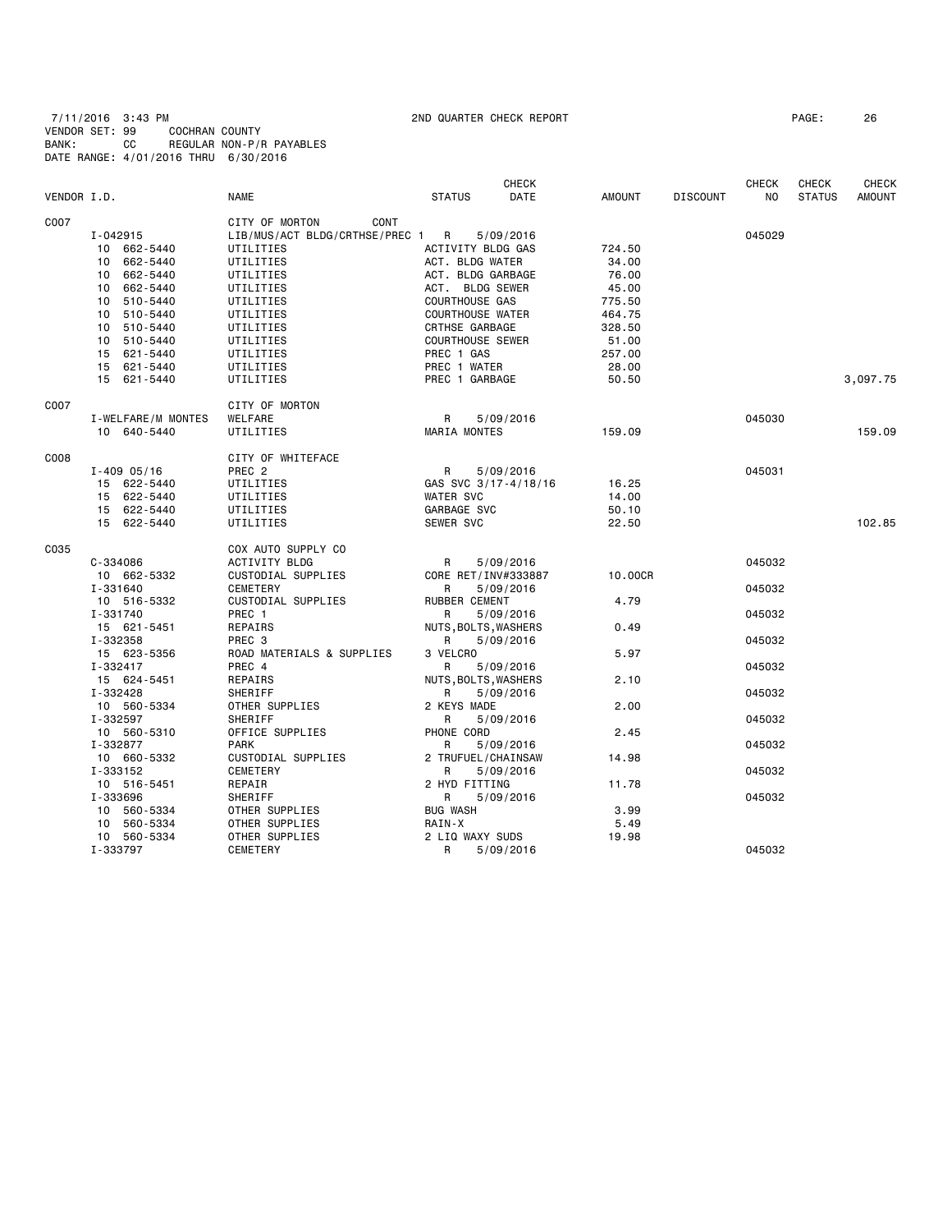7/11/2016 3:43 PM 2ND QUARTER CHECK REPORT PAGE: 26 VENDOR SET: 99 COCHRAN COUNTY BANK: CC REGULAR NON-P/R PAYABLES DATE RANGE: 4/01/2016 THRU 6/30/2016

| VENDOR I.D. |                         | <b>NAME</b>                    | <b>STATUS</b>             | <b>CHECK</b><br>DATE | <b>AMOUNT</b> | <b>DISCOUNT</b> | <b>CHECK</b><br>NO. | <b>CHECK</b><br><b>STATUS</b> | CHECK<br><b>AMOUNT</b> |
|-------------|-------------------------|--------------------------------|---------------------------|----------------------|---------------|-----------------|---------------------|-------------------------------|------------------------|
| C007        |                         | CITY OF MORTON<br>CONT         |                           |                      |               |                 |                     |                               |                        |
|             | I-042915                | LIB/MUS/ACT BLDG/CRTHSE/PREC 1 | R                         | 5/09/2016            |               |                 | 045029              |                               |                        |
|             | 10 662-5440             | UTILITIES                      | ACTIVITY BLDG GAS         |                      | 724.50        |                 |                     |                               |                        |
|             | 10 662-5440             | UTILITIES                      | ACT. BLDG WATER           |                      | 34.00         |                 |                     |                               |                        |
|             | 662-5440<br>10          | UTILITIES                      | ACT. BLDG GARBAGE         |                      | 76.00         |                 |                     |                               |                        |
|             | 662-5440<br>10          | UTILITIES                      | ACT. BLDG SEWER           |                      | 45.00         |                 |                     |                               |                        |
|             | 10 510-5440             | UTILITIES                      | COURTHOUSE GAS            |                      | 775.50        |                 |                     |                               |                        |
|             | 10 510-5440             | UTILITIES                      | <b>COURTHOUSE WATER</b>   |                      | 464.75        |                 |                     |                               |                        |
|             | 10 510-5440             | UTILITIES                      | CRTHSE GARBAGE            |                      | 328.50        |                 |                     |                               |                        |
|             | 10<br>510-5440          | UTILITIES                      | <b>COURTHOUSE SEWER</b>   |                      | 51.00         |                 |                     |                               |                        |
|             | 15 621-5440             | UTILITIES                      | PREC 1 GAS                |                      | 257.00        |                 |                     |                               |                        |
|             | 15 621-5440             | UTILITIES                      | PREC 1 WATER              |                      | 28.00         |                 |                     |                               |                        |
|             | 15 621-5440             | UTILITIES                      | PREC 1 GARBAGE            |                      | 50.50         |                 |                     |                               | 3,097.75               |
| C007        |                         | CITY OF MORTON                 |                           |                      |               |                 |                     |                               |                        |
|             | I-WELFARE/M MONTES      | WELFARE                        | R                         | 5/09/2016            |               |                 | 045030              |                               |                        |
|             | 10 640-5440             | UTILITIES                      | <b>MARIA MONTES</b>       |                      | 159.09        |                 |                     |                               | 159.09                 |
| C008        |                         | CITY OF WHITEFACE              |                           |                      |               |                 |                     |                               |                        |
|             | $I - 409005/16$         | PREC <sub>2</sub>              | R                         | 5/09/2016            |               |                 | 045031              |                               |                        |
|             | 15 622-5440             | UTILITIES                      | GAS SVC 3/17-4/18/16      |                      | 16.25         |                 |                     |                               |                        |
|             | 15 622-5440             | UTILITIES                      | <b>WATER SVC</b>          |                      | 14.00         |                 |                     |                               |                        |
|             | 15 622-5440             | UTILITIES                      | GARBAGE SVC               |                      | 50.10         |                 |                     |                               |                        |
|             | 15 622-5440             | UTILITIES                      | SEWER SVC                 |                      | 22.50         |                 |                     |                               | 102.85                 |
| C035        |                         | COX AUTO SUPPLY CO             |                           |                      |               |                 |                     |                               |                        |
|             | C-334086                | ACTIVITY BLDG                  | R                         | 5/09/2016            |               |                 | 045032              |                               |                        |
|             | 10 662-5332             | CUSTODIAL SUPPLIES             | CORE RET/INV#333887       |                      | 10,00CR       |                 |                     |                               |                        |
|             | I-331640                | CEMETERY                       | R                         | 5/09/2016            |               |                 | 045032              |                               |                        |
|             | 10 516-5332             | CUSTODIAL SUPPLIES             | RUBBER CEMENT             |                      | 4.79          |                 |                     |                               |                        |
|             | I-331740                | PREC 1                         | R                         | 5/09/2016            |               |                 | 045032              |                               |                        |
|             | 15 621-5451             | REPAIRS                        | NUTS, BOLTS, WASHERS      |                      | 0.49          |                 |                     |                               |                        |
|             | I-332358                | PREC <sub>3</sub>              | R                         | 5/09/2016            | 5.97          |                 | 045032              |                               |                        |
|             | 15 623-5356             | ROAD MATERIALS & SUPPLIES      | 3 VELCRO                  |                      |               |                 |                     |                               |                        |
|             | I-332417<br>15 624-5451 | PREC 4<br>REPAIRS              | R                         | 5/09/2016            | 2.10          |                 | 045032              |                               |                        |
|             | I-332428                | SHERIFF                        | NUTS, BOLTS, WASHERS<br>R | 5/09/2016            |               |                 | 045032              |                               |                        |
|             | 10 560-5334             | OTHER SUPPLIES                 | 2 KEYS MADE               |                      | 2.00          |                 |                     |                               |                        |
|             | I-332597                | SHERIFF                        | R                         | 5/09/2016            |               |                 | 045032              |                               |                        |
|             | 10 560-5310             | OFFICE SUPPLIES                | PHONE CORD                |                      | 2.45          |                 |                     |                               |                        |
|             | I-332877                | <b>PARK</b>                    | R                         | 5/09/2016            |               |                 | 045032              |                               |                        |
|             | 10 660-5332             | CUSTODIAL SUPPLIES             | 2 TRUFUEL/CHAINSAW        |                      | 14.98         |                 |                     |                               |                        |
|             | I-333152                | CEMETERY                       | R                         | 5/09/2016            |               |                 | 045032              |                               |                        |
|             | 10 516-5451             | REPAIR                         | 2 HYD FITTING             |                      | 11.78         |                 |                     |                               |                        |
|             | I-333696                | SHERIFF                        | R                         | 5/09/2016            |               |                 | 045032              |                               |                        |
|             | 10 560-5334             | OTHER SUPPLIES                 | <b>BUG WASH</b>           |                      | 3.99          |                 |                     |                               |                        |
|             | 10 560-5334             | OTHER SUPPLIES                 | RAIN-X                    |                      | 5.49          |                 |                     |                               |                        |
|             | 10 560-5334             | OTHER SUPPLIES                 | 2 LIQ WAXY SUDS           |                      | 19.98         |                 |                     |                               |                        |
|             | I-333797                | CEMETERY                       | R                         | 5/09/2016            |               |                 | 045032              |                               |                        |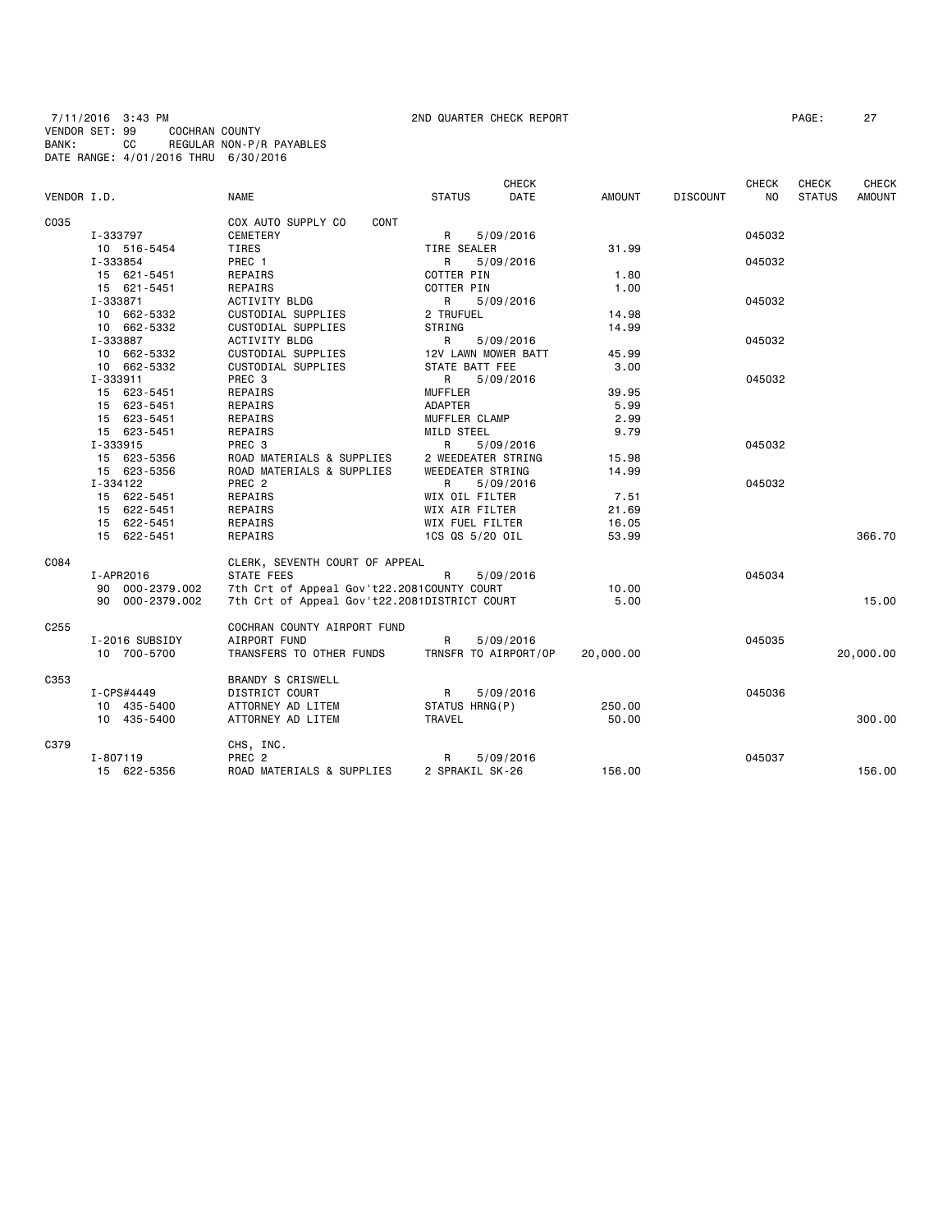7/11/2016 3:43 PM 2ND QUARTER CHECK REPORT PAGE: 27 VENDOR SET: 99 COCHRAN COUNTY BANK: CC REGULAR NON-P/R PAYABLES DATE RANGE: 4/01/2016 THRU 6/30/2016

| VENDOR I.D.      |                 | <b>NAME</b>                                  | <b>STATUS</b>        | <b>CHECK</b><br>DATE | <b>AMOUNT</b> | <b>DISCOUNT</b> | <b>CHECK</b><br>N <sub>O</sub> | <b>CHECK</b><br><b>STATUS</b> | <b>CHECK</b><br><b>AMOUNT</b> |
|------------------|-----------------|----------------------------------------------|----------------------|----------------------|---------------|-----------------|--------------------------------|-------------------------------|-------------------------------|
|                  |                 |                                              |                      |                      |               |                 |                                |                               |                               |
| C035             |                 | COX AUTO SUPPLY CO<br>CONT                   |                      |                      |               |                 |                                |                               |                               |
|                  | I-333797        | CEMETERY                                     | R                    | 5/09/2016            |               |                 | 045032                         |                               |                               |
|                  | 10 516-5454     | TIRES                                        | TIRE SEALER          |                      | 31.99         |                 |                                |                               |                               |
|                  | I-333854        | PREC 1                                       | R                    | 5/09/2016            |               |                 | 045032                         |                               |                               |
|                  | 15 621-5451     | REPAIRS                                      | COTTER PIN           |                      | 1.80          |                 |                                |                               |                               |
|                  | 15 621-5451     | REPAIRS                                      | COTTER PIN           |                      | 1.00          |                 |                                |                               |                               |
|                  | I-333871        | ACTIVITY BLDG                                | R                    | 5/09/2016            |               |                 | 045032                         |                               |                               |
|                  | 10 662-5332     | CUSTODIAL SUPPLIES                           | 2 TRUFUEL            |                      | 14.98         |                 |                                |                               |                               |
|                  | 10 662-5332     | CUSTODIAL SUPPLIES                           | STRING               |                      | 14.99         |                 |                                |                               |                               |
|                  | I-333887        | R                                            | 5/09/2016            |                      |               | 045032          |                                |                               |                               |
|                  | 10 662-5332     | ACTIVITY BLDG<br>CUSTODIAL SUPPLIES          | 12V LAWN MOWER BATT  |                      | 45.99         |                 |                                |                               |                               |
|                  | 10 662-5332     | CUSTODIAL SUPPLIES                           | STATE BATT FEE       |                      | 3.00          |                 |                                |                               |                               |
|                  | I-333911        | PREC 3                                       | R a                  | 5/09/2016            |               |                 | 045032                         |                               |                               |
|                  | 15 623-5451     | REPAIRS                                      | <b>MUFFLER</b>       |                      | 39.95         |                 |                                |                               |                               |
|                  | 15 623-5451     | REPAIRS                                      | ADAPTER              |                      | 5.99          |                 |                                |                               |                               |
|                  | 15 623-5451     | REPAIRS                                      | MUFFLER CLAMP        |                      | 2.99          |                 |                                |                               |                               |
|                  | 15 623-5451     | REPAIRS                                      | MILD STEEL           |                      | 9.79          |                 |                                |                               |                               |
|                  | I-333915        | PREC <sub>3</sub>                            |                      |                      |               |                 | 045032                         |                               |                               |
|                  |                 | ROAD MATERIALS & SUPPLIES                    | R                    | 5/09/2016            |               |                 |                                |                               |                               |
|                  | 15 623-5356     |                                              | 2 WEEDEATER STRING   |                      | 15.98         |                 |                                |                               |                               |
|                  | 15 623-5356     | ROAD MATERIALS & SUPPLIES                    | WEEDEATER STRING     |                      | 14.99         |                 |                                |                               |                               |
|                  | I-334122        | PREC 2                                       | R                    | 5/09/2016            |               |                 | 045032                         |                               |                               |
|                  | 15 622-5451     | REPAIRS                                      | WIX OIL FILTER       |                      | 7.51          |                 |                                |                               |                               |
|                  | 15 622-5451     | REPAIRS                                      | WIX AIR FILTER       |                      | 21.69         |                 |                                |                               |                               |
|                  | 15 622-5451     | REPAIRS                                      | WIX FUEL FILTER      |                      | 16.05         |                 |                                |                               |                               |
|                  | 15 622-5451     | REPAIRS                                      | 1CS QS 5/20 OIL      |                      | 53.99         |                 |                                |                               | 366.70                        |
| C084             |                 | CLERK, SEVENTH COURT OF APPEAL               |                      |                      |               |                 |                                |                               |                               |
|                  | I-APR2016       | <b>STATE FEES</b>                            | R                    | 5/09/2016            |               |                 | 045034                         |                               |                               |
|                  | 90 000-2379.002 | 7th Crt of Appeal Gov't22.2081COUNTY COURT   |                      |                      | 10.00         |                 |                                |                               |                               |
|                  | 90 000-2379.002 | 7th Crt of Appeal Gov't22.2081DISTRICT COURT |                      |                      | 5.00          |                 |                                |                               | 15.00                         |
| C <sub>255</sub> |                 | COCHRAN COUNTY AIRPORT FUND                  |                      |                      |               |                 |                                |                               |                               |
|                  | I-2016 SUBSIDY  | AIRPORT FUND                                 | R                    | 5/09/2016            |               |                 | 045035                         |                               |                               |
|                  | 10 700-5700     | TRANSFERS TO OTHER FUNDS                     | TRNSFR TO AIRPORT/OP |                      | 20,000.00     |                 |                                |                               | 20,000.00                     |
| C353             |                 | BRANDY S CRISWELL                            |                      |                      |               |                 |                                |                               |                               |
|                  | I-CPS#4449      | DISTRICT COURT                               | $\mathsf{R}$         | 5/09/2016            |               |                 | 045036                         |                               |                               |
|                  | 10 435-5400     | ATTORNEY AD LITEM                            | STATUS HRNG(P)       |                      | 250.00        |                 |                                |                               |                               |
|                  | 10 435-5400     | ATTORNEY AD LITEM                            | TRAVEL               |                      | 50.00         |                 |                                |                               | 300,00                        |
| C379             |                 | CHS, INC.                                    |                      |                      |               |                 |                                |                               |                               |
|                  | I-807119        | PREC <sub>2</sub>                            | R                    | 5/09/2016            |               |                 | 045037                         |                               |                               |
|                  | 15 622-5356     | ROAD MATERIALS & SUPPLIES                    | 2 SPRAKIL SK-26      |                      | 156.00        |                 |                                |                               | 156.00                        |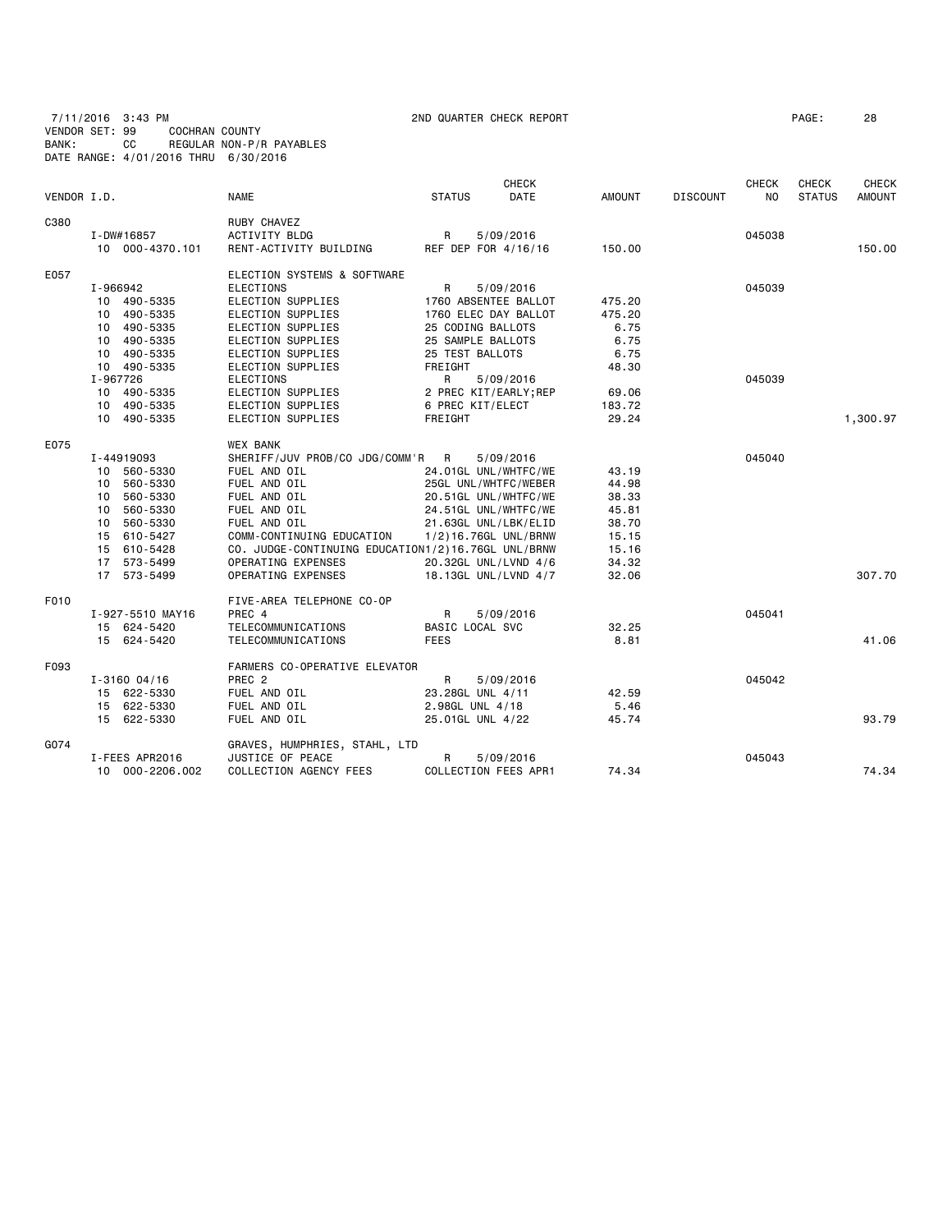7/11/2016 3:43 PM 2ND QUARTER CHECK REPORT PAGE: 28 VENDOR SET: 99 COCHRAN COUNTY BANK: CC REGULAR NON-P/R PAYABLES DATE RANGE: 4/01/2016 THRU 6/30/2016

|             |                  |                                                    |                  | <b>CHECK</b>          |               |                 | <b>CHECK</b>   | <b>CHECK</b>  | <b>CHECK</b>  |
|-------------|------------------|----------------------------------------------------|------------------|-----------------------|---------------|-----------------|----------------|---------------|---------------|
| VENDOR I.D. |                  | <b>NAME</b>                                        | <b>STATUS</b>    | DATE                  | <b>AMOUNT</b> | <b>DISCOUNT</b> | N <sub>O</sub> | <b>STATUS</b> | <b>AMOUNT</b> |
| C380        |                  | RUBY CHAVEZ                                        |                  |                       |               |                 |                |               |               |
|             | I-DW#16857       | <b>ACTIVITY BLDG</b>                               | R                | 5/09/2016             |               |                 | 045038         |               |               |
|             | 10 000-4370.101  | RENT-ACTIVITY BUILDING                             |                  | REF DEP FOR 4/16/16   | 150.00        |                 |                |               | 150.00        |
| E057        |                  | ELECTION SYSTEMS & SOFTWARE                        |                  |                       |               |                 |                |               |               |
|             | I-966942         | <b>ELECTIONS</b>                                   | R                | 5/09/2016             |               |                 | 045039         |               |               |
|             | 10 490-5335      | ELECTION SUPPLIES                                  |                  | 1760 ABSENTEE BALLOT  | 475.20        |                 |                |               |               |
|             | 10 490-5335      | ELECTION SUPPLIES                                  |                  | 1760 ELEC DAY BALLOT  | 475.20        |                 |                |               |               |
|             | 10 490-5335      | ELECTION SUPPLIES                                  |                  | 25 CODING BALLOTS     | 6.75          |                 |                |               |               |
|             | 10 490-5335      | ELECTION SUPPLIES                                  |                  | 25 SAMPLE BALLOTS     | 6.75          |                 |                |               |               |
|             | 10 490-5335      | ELECTION SUPPLIES                                  | 25 TEST BALLOTS  |                       | 6.75          |                 |                |               |               |
|             | 10 490-5335      | ELECTION SUPPLIES                                  | FREIGHT          |                       | 48.30         |                 |                |               |               |
|             | I-967726         | <b>ELECTIONS</b>                                   | R                | 5/09/2016             |               |                 | 045039         |               |               |
|             | 10 490-5335      | ELECTION SUPPLIES                                  |                  | 2 PREC KIT/EARLY; REP | 69.06         |                 |                |               |               |
|             | 10 490-5335      | ELECTION SUPPLIES                                  | 6 PREC KIT/ELECT |                       | 183.72        |                 |                |               |               |
|             | 10 490-5335      | ELECTION SUPPLIES                                  | FREIGHT          |                       | 29.24         |                 |                |               | 1,300.97      |
| E075        |                  | <b>WEX BANK</b>                                    |                  |                       |               |                 |                |               |               |
|             | I-44919093       | SHERIFF/JUV PROB/CO JDG/COMM'R R                   |                  | 5/09/2016             |               |                 | 045040         |               |               |
|             | 10 560-5330      | FUEL AND OIL                                       |                  | 24.01GL UNL/WHTFC/WE  | 43.19         |                 |                |               |               |
|             | 10 560-5330      | FUEL AND OIL                                       |                  | 25GL UNL/WHTFC/WEBER  | 44.98         |                 |                |               |               |
|             | 560-5330<br>10   | FUEL AND OIL                                       |                  | 20.51GL UNL/WHTFC/WE  | 38.33         |                 |                |               |               |
|             | 560-5330<br>10   | FUEL AND OIL                                       |                  | 24.51GL UNL/WHTFC/WE  | 45.81         |                 |                |               |               |
|             | 10 560-5330      | FUEL AND OIL                                       |                  | 21.63GL UNL/LBK/ELID  | 38.70         |                 |                |               |               |
|             | 15 610-5427      | COMM-CONTINUING EDUCATION                          |                  | 1/2)16.76GL UNL/BRNW  | 15.15         |                 |                |               |               |
|             | 15 610-5428      | CO. JUDGE-CONTINUING EDUCATION1/2)16.76GL UNL/BRNW |                  |                       | 15.16         |                 |                |               |               |
|             | 17 573-5499      | OPERATING EXPENSES                                 |                  | 20.32GL UNL/LVND 4/6  | 34.32         |                 |                |               |               |
|             | 17 573-5499      | OPERATING EXPENSES                                 |                  | 18.13GL UNL/LVND 4/7  | 32.06         |                 |                |               | 307.70        |
| F010        |                  | FIVE-AREA TELEPHONE CO-OP                          |                  |                       |               |                 |                |               |               |
|             | I-927-5510 MAY16 | PREC 4                                             | R                | 5/09/2016             |               |                 | 045041         |               |               |
|             | 15 624-5420      | TELECOMMUNICATIONS                                 | BASIC LOCAL SVC  |                       | 32.25         |                 |                |               |               |
|             | 15 624-5420      | TELECOMMUNICATIONS                                 | <b>FEES</b>      |                       | 8.81          |                 |                |               | 41.06         |
| F093        |                  | FARMERS CO-OPERATIVE ELEVATOR                      |                  |                       |               |                 |                |               |               |
|             | $I - 316004/16$  | PREC <sub>2</sub>                                  | R                | 5/09/2016             |               |                 | 045042         |               |               |
|             | 15 622-5330      | FUEL AND OIL                                       | 23.28GL UNL 4/11 |                       | 42.59         |                 |                |               |               |
|             | 15 622-5330      | FUEL AND OIL                                       | 2.98GL UNL 4/18  |                       | 5.46          |                 |                |               |               |
|             | 15 622-5330      | FUEL AND OIL                                       |                  | 25.01GL UNL 4/22      | 45.74         |                 |                |               | 93.79         |
| G074        |                  | GRAVES, HUMPHRIES, STAHL, LTD                      |                  |                       |               |                 |                |               |               |
|             | I-FEES APR2016   | JUSTICE OF PEACE                                   | R                | 5/09/2016             |               |                 | 045043         |               |               |
|             | 10 000-2206.002  | COLLECTION AGENCY FEES                             |                  | COLLECTION FEES APR1  | 74.34         |                 |                |               | 74.34         |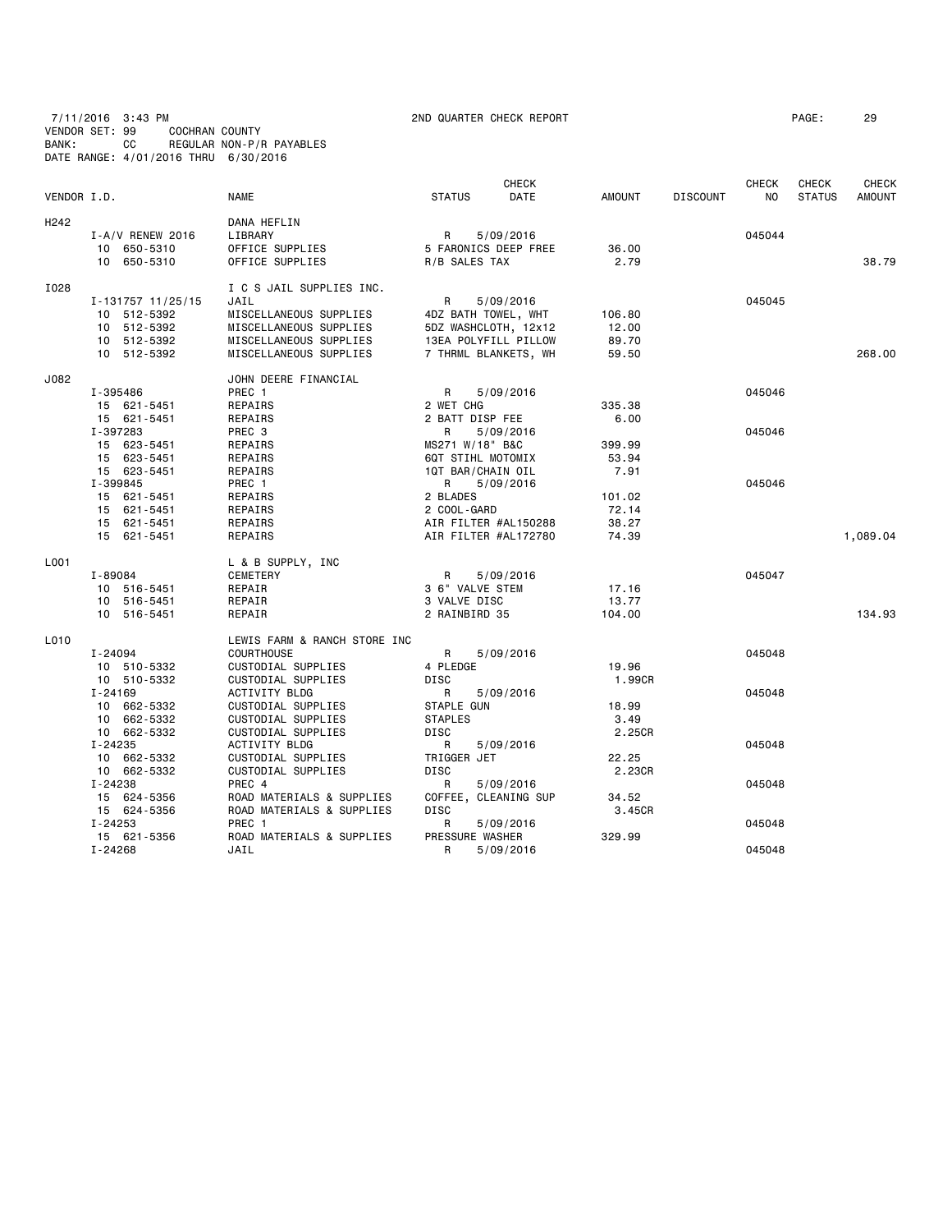# 7/11/2016 3:43 PM 2ND QUARTER CHECK REPORT PAGE: 29 VENDOR SET: 99 COCHRAN COUNTY BANK: CC REGULAR NON-P/R PAYABLES DATE RANGE: 4/01/2016 THRU 6/30/2016

| VENDOR I.D.      |                                                                                                   | <b>NAME</b>                                                                                                                                                               | <b>STATUS</b>                                                                                     | <b>CHECK</b><br>DATE                | <b>AMOUNT</b>                              | <b>DISCOUNT</b> | <b>CHECK</b><br>NO         | <b>CHECK</b><br><b>STATUS</b> | CHECK<br><b>AMOUNT</b> |
|------------------|---------------------------------------------------------------------------------------------------|---------------------------------------------------------------------------------------------------------------------------------------------------------------------------|---------------------------------------------------------------------------------------------------|-------------------------------------|--------------------------------------------|-----------------|----------------------------|-------------------------------|------------------------|
| H <sub>242</sub> | I-A/V RENEW 2016<br>10 650-5310<br>10 650-5310                                                    | DANA HEFLIN<br>LIBRARY<br>OFFICE SUPPLIES<br>OFFICE SUPPLIES                                                                                                              | $\mathsf{R}$<br>5 FARONICS DEEP FREE<br>R/B SALES TAX                                             | 5/09/2016                           | 36.00<br>2.79                              |                 | 045044                     |                               | 38.79                  |
| I028             | I-131757 11/25/15<br>10 512-5392<br>10 512-5392<br>10 512-5392<br>10 512-5392                     | I C S JAIL SUPPLIES INC.<br>JAIL<br>MISCELLANEOUS SUPPLIES<br>MISCELLANEOUS SUPPLIES<br>MISCELLANEOUS SUPPLIES<br>MISCELLANEOUS SUPPLIES                                  | R<br>4DZ BATH TOWEL, WHT<br>5DZ WASHCLOTH, 12x12<br>13EA POLYFILL PILLOW<br>7 THRML BLANKETS, WH  | 5/09/2016                           | 106.80<br>12.00<br>89.70<br>59.50          |                 | 045045                     |                               | 268,00                 |
| J082             | I-395486<br>15 621-5451<br>15 621-5451<br>I-397283<br>15 623-5451<br>15 623-5451                  | JOHN DEERE FINANCIAL<br>PREC 1<br>REPAIRS<br>REPAIRS<br>PREC 3<br>REPAIRS<br>REPAIRS                                                                                      | R<br>2 WET CHG<br>2 BATT DISP FEE<br>R<br>MS271 W/18" B&C<br>6QT STIHL MOTOMIX                    | 5/09/2016<br>5/09/2016              | 335.38<br>6.00<br>399.99<br>53.94          |                 | 045046<br>045046           |                               |                        |
|                  | 15 623-5451<br>I-399845<br>15 621-5451<br>15 621-5451<br>15 621-5451<br>15 621-5451               | REPAIRS<br>PREC 1<br>REPAIRS<br>REPAIRS<br>REPAIRS<br>REPAIRS                                                                                                             | 1QT BAR/CHAIN OIL<br>R<br>2 BLADES<br>2 COOL-GARD<br>AIR FILTER #AL150288<br>AIR FILTER #AL172780 | 5/09/2016                           | 7.91<br>101.02<br>72.14<br>38.27<br>74.39  |                 | 045046                     |                               | 1,089.04               |
| L001             | I-89084<br>10 516-5451<br>10 516-5451<br>10 516-5451                                              | L & B SUPPLY, INC<br><b>CEMETERY</b><br>REPAIR<br>REPAIR<br>REPAIR                                                                                                        | R<br>3 6" VALVE STEM<br>3 VALVE DISC<br>2 RAINBIRD 35                                             | 5/09/2016                           | 17.16<br>13.77<br>104.00                   |                 | 045047                     |                               | 134.93                 |
| L010             | I-24094<br>10 510-5332<br>10 510-5332<br>$I - 24169$<br>10 662-5332<br>10 662-5332<br>10 662-5332 | LEWIS FARM & RANCH STORE INC<br>COURTHOUSE<br>CUSTODIAL SUPPLIES<br>CUSTODIAL SUPPLIES<br>ACTIVITY BLDG<br>CUSTODIAL SUPPLIES<br>CUSTODIAL SUPPLIES<br>CUSTODIAL SUPPLIES | R<br>4 PLEDGE<br><b>DISC</b><br>R<br>STAPLE GUN<br><b>STAPLES</b><br><b>DISC</b>                  | 5/09/2016<br>5/09/2016              | 19.96<br>1.99CR<br>18.99<br>3.49<br>2.25CR |                 | 045048<br>045048           |                               |                        |
|                  | I-24235<br>10 662-5332<br>10 662-5332<br>I-24238<br>15 624-5356<br>15 624-5356<br>$I - 24253$     | ACTIVITY BLDG<br>CUSTODIAL SUPPLIES<br>CUSTODIAL SUPPLIES<br>PREC 4<br>ROAD MATERIALS & SUPPLIES<br>ROAD MATERIALS & SUPPLIES<br>PREC 1                                   | R<br>TRIGGER JET<br><b>DISC</b><br>R<br>COFFEE, CLEANING SUP<br><b>DISC</b><br>R                  | 5/09/2016<br>5/09/2016<br>5/09/2016 | 22.25<br>2.23CR<br>34.52<br>3.45CR         |                 | 045048<br>045048<br>045048 |                               |                        |
|                  | 15 621-5356<br>I-24268                                                                            | ROAD MATERIALS & SUPPLIES<br>JAIL                                                                                                                                         | PRESSURE WASHER<br>R                                                                              | 5/09/2016                           | 329.99                                     |                 | 045048                     |                               |                        |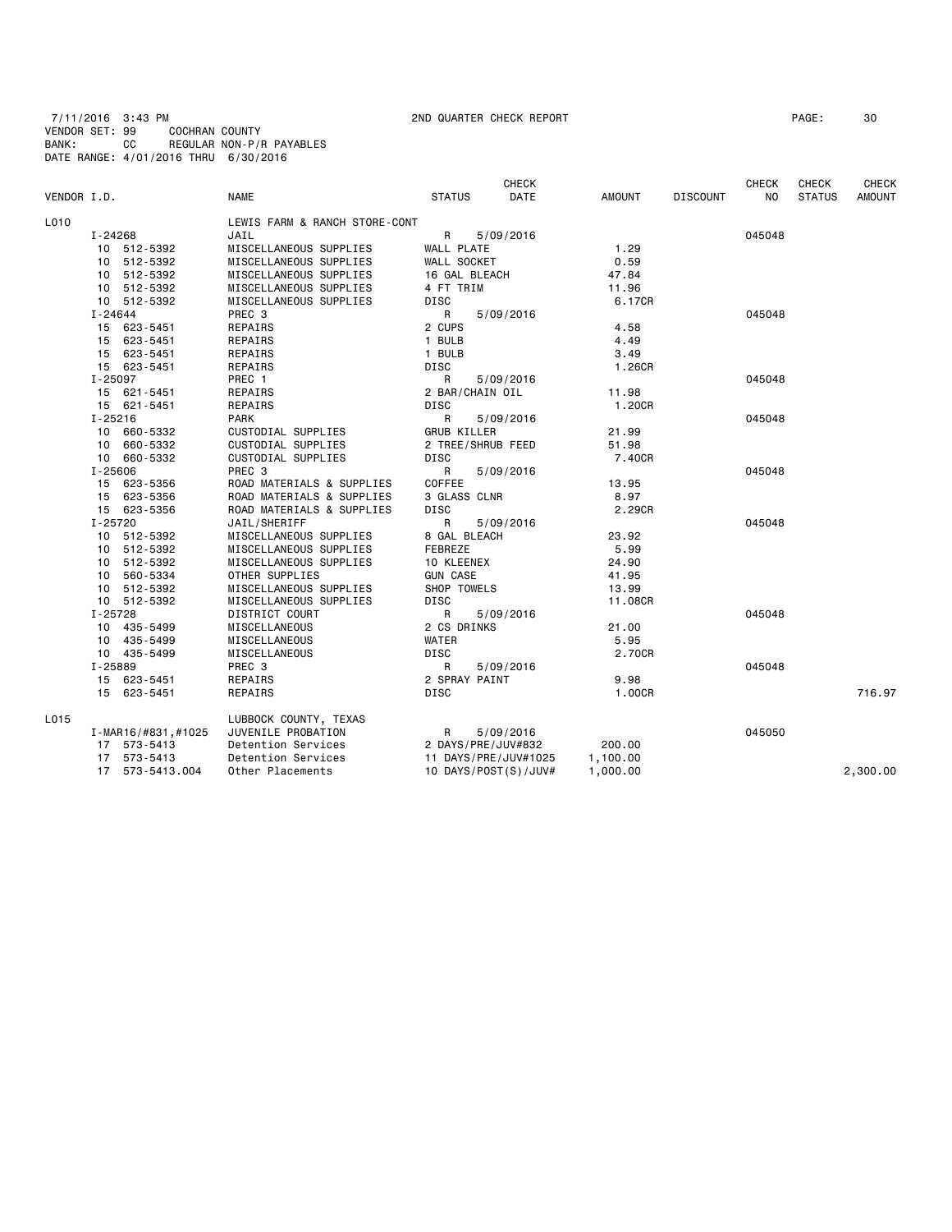7/11/2016 3:43 PM 2ND QUARTER CHECK REPORT PAGE: 30 VENDOR SET: 99 COCHRAN COUNTY BANK: CC REGULAR NON-P/R PAYABLES DATE RANGE: 4/01/2016 THRU 6/30/2016

| PAGE :<br>30 |  |
|--------------|--|
|              |  |

| VENDOR I.D. |             |                    | <b>NAME</b>                   | <b>STATUS</b>      | <b>CHECK</b><br>DATE | <b>AMOUNT</b> | <b>DISCOUNT</b> | <b>CHECK</b><br>NO. | <b>CHECK</b><br><b>STATUS</b> | <b>CHECK</b><br><b>AMOUNT</b> |
|-------------|-------------|--------------------|-------------------------------|--------------------|----------------------|---------------|-----------------|---------------------|-------------------------------|-------------------------------|
| L010        |             |                    | LEWIS FARM & RANCH STORE-CONT |                    |                      |               |                 |                     |                               |                               |
|             | I-24268     |                    | JAIL                          | R                  | 5/09/2016            |               |                 | 045048              |                               |                               |
|             |             | 10 512-5392        | MISCELLANEOUS SUPPLIES        | WALL PLATE         |                      | 1.29          |                 |                     |                               |                               |
|             |             | 10 512-5392        | MISCELLANEOUS SUPPLIES        | WALL SOCKET        |                      | 0.59          |                 |                     |                               |                               |
|             |             | 10 512-5392        | MISCELLANEOUS SUPPLIES        | 16 GAL BLEACH      |                      | 47.84         |                 |                     |                               |                               |
|             |             | 10 512-5392        | MISCELLANEOUS SUPPLIES        | 4 FT TRIM          |                      | 11.96         |                 |                     |                               |                               |
|             |             |                    |                               |                    |                      | 6.17CR        |                 |                     |                               |                               |
|             |             | 10 512-5392        | MISCELLANEOUS SUPPLIES        | DISC               |                      |               |                 |                     |                               |                               |
|             | I-24644     |                    | PREC 3                        | R                  | 5/09/2016            |               |                 | 045048              |                               |                               |
|             |             | 15 623-5451        | REPAIRS                       | 2 CUPS             |                      | 4.58          |                 |                     |                               |                               |
|             |             | 15 623-5451        | REPAIRS                       | 1 BULB             |                      | 4.49          |                 |                     |                               |                               |
|             |             | 15 623-5451        | REPAIRS                       | 1 BULB             |                      | 3.49          |                 |                     |                               |                               |
|             |             | 15 623-5451        | REPAIRS                       | DISC               |                      | 1.26CR        |                 |                     |                               |                               |
|             | I-25097     |                    | PREC 1                        | R                  | 5/09/2016            |               |                 | 045048              |                               |                               |
|             |             | 15 621-5451        | REPAIRS                       | 2 BAR/CHAIN OIL    |                      | 11.98         |                 |                     |                               |                               |
|             |             | 15 621-5451        | REPAIRS                       | <b>DISC</b>        |                      | 1.20CR        |                 |                     |                               |                               |
|             | I-25216     |                    | <b>PARK</b>                   | R                  | 5/09/2016            |               |                 | 045048              |                               |                               |
|             |             | 10 660-5332        | CUSTODIAL SUPPLIES            | <b>GRUB KILLER</b> |                      | 21.99         |                 |                     |                               |                               |
|             |             | 10 660-5332        | CUSTODIAL SUPPLIES            |                    | 2 TREE/SHRUB FEED    | 51.98         |                 |                     |                               |                               |
|             |             | 10 660-5332        | CUSTODIAL SUPPLIES            | DISC               |                      | 7.40CR        |                 |                     |                               |                               |
|             | $I - 25606$ |                    | PREC <sub>3</sub>             | R                  | 5/09/2016            |               |                 | 045048              |                               |                               |
|             |             | 15 623-5356        | ROAD MATERIALS & SUPPLIES     | COFFEE             |                      | 13.95         |                 |                     |                               |                               |
|             |             | 15 623-5356        | ROAD MATERIALS & SUPPLIES     | 3 GLASS CLNR       |                      | 8.97          |                 |                     |                               |                               |
|             |             | 15 623-5356        | ROAD MATERIALS & SUPPLIES     | <b>DISC</b>        |                      | 2.29CR        |                 |                     |                               |                               |
|             | I-25720     |                    | JAIL/SHERIFF                  | R                  | 5/09/2016            |               |                 | 045048              |                               |                               |
|             |             | 10 512-5392        | MISCELLANEOUS SUPPLIES        | 8 GAL BLEACH       |                      | 23.92         |                 |                     |                               |                               |
|             |             | 10 512-5392        | MISCELLANEOUS SUPPLIES        | FEBREZE            |                      | 5.99          |                 |                     |                               |                               |
|             |             | 10 512-5392        | MISCELLANEOUS SUPPLIES        | 10 KLEENEX         |                      | 24.90         |                 |                     |                               |                               |
|             |             | 10 560-5334        | OTHER SUPPLIES                | <b>GUN CASE</b>    |                      | 41.95         |                 |                     |                               |                               |
|             |             | 10 512-5392        | MISCELLANEOUS SUPPLIES        | SHOP TOWELS        |                      | 13.99         |                 |                     |                               |                               |
|             |             | 10 512-5392        | MISCELLANEOUS SUPPLIES        | <b>DISC</b>        |                      | 11.08CR       |                 |                     |                               |                               |
|             | I-25728     |                    | DISTRICT COURT                | R                  | 5/09/2016            |               |                 | 045048              |                               |                               |
|             |             | 10 435-5499        | MISCELLANEOUS                 | 2 CS DRINKS        |                      | 21.00         |                 |                     |                               |                               |
|             |             | 10 435-5499        | MISCELLANEOUS                 | WATER              |                      | 5.95          |                 |                     |                               |                               |
|             |             | 10 435-5499        | MISCELLANEOUS                 | <b>DISC</b>        |                      | 2.70CR        |                 |                     |                               |                               |
|             | I-25889     |                    | PREC 3                        | R                  | 5/09/2016            |               |                 | 045048              |                               |                               |
|             |             | 15 623-5451        | REPAIRS                       | 2 SPRAY PAINT      |                      | 9.98          |                 |                     |                               |                               |
|             |             | 15 623-5451        | REPAIRS                       | DISC               |                      | 1.00CR        |                 |                     |                               | 716.97                        |
| L015        |             |                    | LUBBOCK COUNTY, TEXAS         |                    |                      |               |                 |                     |                               |                               |
|             |             | I-MAR16/#831,#1025 | JUVENILE PROBATION            | $\mathsf{R}$       | 5/09/2016            |               |                 | 045050              |                               |                               |
|             |             | 17 573-5413        | Detention Services            |                    | 2 DAYS/PRE/JUV#832   | 200.00        |                 |                     |                               |                               |
|             |             | 17 573-5413        | Detention Services            |                    | 11 DAYS/PRE/JUV#1025 | 1,100.00      |                 |                     |                               |                               |
|             |             | 17 573-5413.004    | Other Placements              |                    | 10 DAYS/POST(S)/JUV# | 1,000.00      |                 |                     |                               | 2,300.00                      |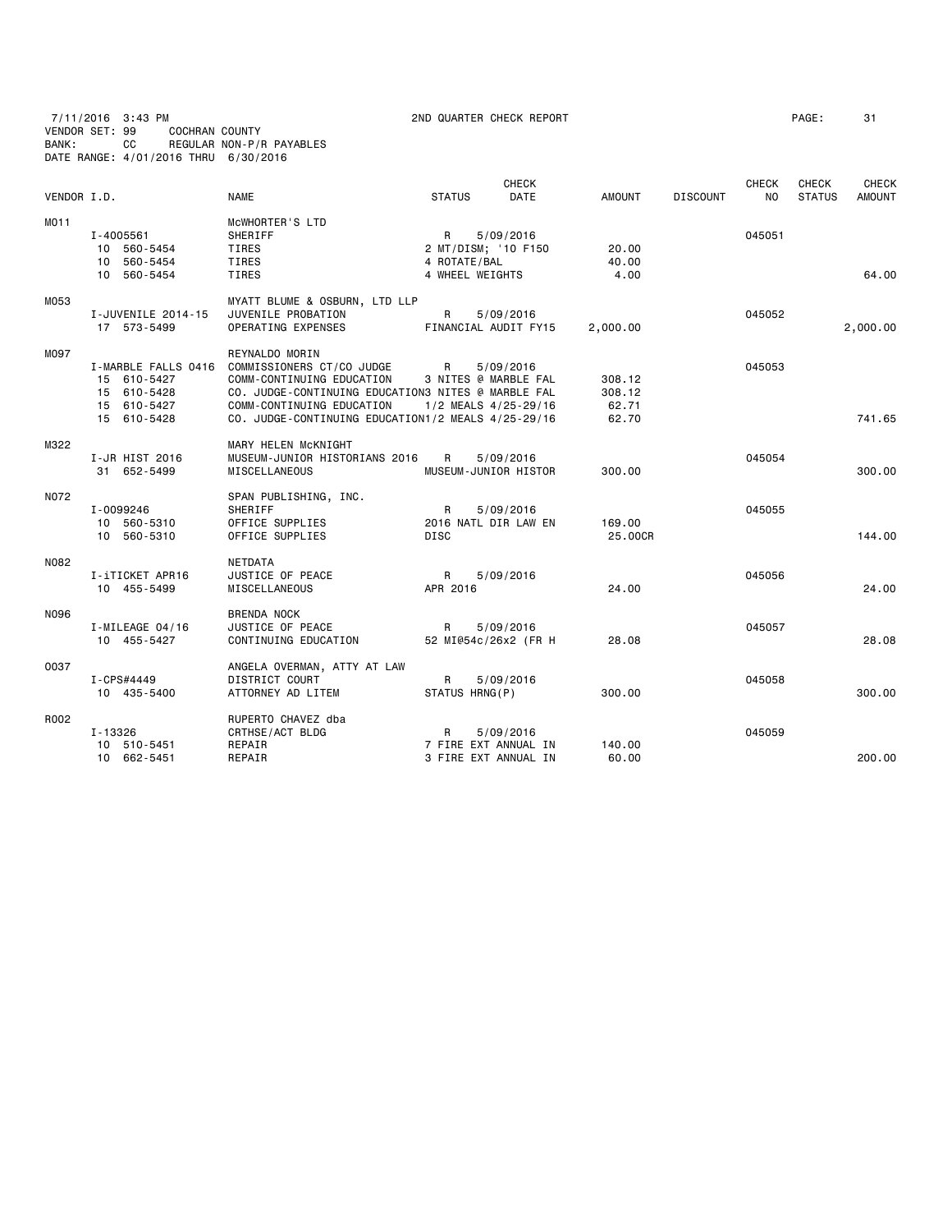7/11/2016 3:43 PM 2ND QUARTER CHECK REPORT PAGE: 31

| VENDOR I.D. |                                                                                 | <b>NAME</b>                                                                                                                                                                                                       | <b>STATUS</b>                                               | <b>CHECK</b><br><b>DATE</b> | <b>AMOUNT</b>                      | <b>DISCOUNT</b> | <b>CHECK</b><br>NO. | <b>CHECK</b><br><b>STATUS</b> | <b>CHECK</b><br><b>AMOUNT</b> |
|-------------|---------------------------------------------------------------------------------|-------------------------------------------------------------------------------------------------------------------------------------------------------------------------------------------------------------------|-------------------------------------------------------------|-----------------------------|------------------------------------|-----------------|---------------------|-------------------------------|-------------------------------|
| MO11        | I-4005561<br>10 560-5454<br>10 560-5454<br>10 560-5454                          | MCWHORTER'S LTD<br>SHERIFF<br>TIRES<br>TIRES<br>TIRES                                                                                                                                                             | R<br>2 MT/DISM; '10 F150<br>4 ROTATE/BAL<br>4 WHEEL WEIGHTS | 5/09/2016                   | 20.00<br>40.00<br>4.00             |                 | 045051              |                               | 64.00                         |
| M053        | I-JUVENILE 2014-15<br>17 573-5499                                               | MYATT BLUME & OSBURN, LTD LLP<br>JUVENILE PROBATION<br>OPERATING EXPENSES                                                                                                                                         | R<br>FINANCIAL AUDIT FY15                                   | 5/09/2016                   | 2,000.00                           |                 | 045052              |                               | 2,000.00                      |
| M097        | I-MARBLE FALLS 0416<br>15 610-5427<br>15 610-5428<br>15 610-5427<br>15 610-5428 | REYNALDO MORIN<br>COMMISSIONERS CT/CO JUDGE<br>COMM-CONTINUING EDUCATION<br>CO. JUDGE-CONTINUING EDUCATION3 NITES @ MARBLE FAL<br>COMM-CONTINUING EDUCATION<br>CO. JUDGE-CONTINUING EDUCATION1/2 MEALS 4/25-29/16 | R<br>3 NITES @ MARBLE FAL<br>1/2 MEALS 4/25-29/16           | 5/09/2016                   | 308.12<br>308.12<br>62.71<br>62.70 |                 | 045053              |                               | 741.65                        |
| M322        | I-JR HIST 2016<br>31 652-5499                                                   | MARY HELEN MCKNIGHT<br>MUSEUM-JUNIOR HISTORIANS 2016<br><b>MISCELLANEOUS</b>                                                                                                                                      | R<br>MUSEUM-JUNIOR HISTOR                                   | 5/09/2016                   | 300.00                             |                 | 045054              |                               | 300.00                        |
| N072        | I-0099246<br>10 560-5310<br>10 560-5310                                         | SPAN PUBLISHING, INC.<br>SHERIFF<br>OFFICE SUPPLIES<br>OFFICE SUPPLIES                                                                                                                                            | R<br>2016 NATL DIR LAW EN<br><b>DISC</b>                    | 5/09/2016                   | 169,00<br>25,00CR                  |                 | 045055              |                               | 144.00                        |
| N082        | I-iTICKET APR16<br>10 455-5499                                                  | NETDATA<br>JUSTICE OF PEACE<br>MISCELLANEOUS                                                                                                                                                                      | R<br>APR 2016                                               | 5/09/2016                   | 24,00                              |                 | 045056              |                               | 24.00                         |
| N096        | I-MILEAGE 04/16<br>10 455-5427                                                  | <b>BRENDA NOCK</b><br>JUSTICE OF PEACE<br>CONTINUING EDUCATION                                                                                                                                                    | R<br>52 MI@54c/26x2 (FR H                                   | 5/09/2016                   | 28,08                              |                 | 045057              |                               | 28,08                         |
| 0037        | I-CPS#4449<br>10 435-5400                                                       | ANGELA OVERMAN, ATTY AT LAW<br><b>DISTRICT COURT</b><br>ATTORNEY AD LITEM                                                                                                                                         | R<br>STATUS HRNG(P)                                         | 5/09/2016                   | 300.00                             |                 | 045058              |                               | 300.00                        |
| R002        | I-13326<br>10 510-5451<br>10 662-5451                                           | RUPERTO CHAVEZ dba<br>CRTHSE/ACT BLDG<br>REPAIR<br>REPAIR                                                                                                                                                         | R<br>7 FIRE EXT ANNUAL IN<br>3 FIRE EXT ANNUAL IN           | 5/09/2016                   | 140.00<br>60.00                    |                 | 045059              |                               | 200.00                        |

BANK: CC REGULAR NON-P/R PAYABLES DATE RANGE: 4/01/2016 THRU 6/30/2016

VENDOR SET: 99 COCHRAN COUNTY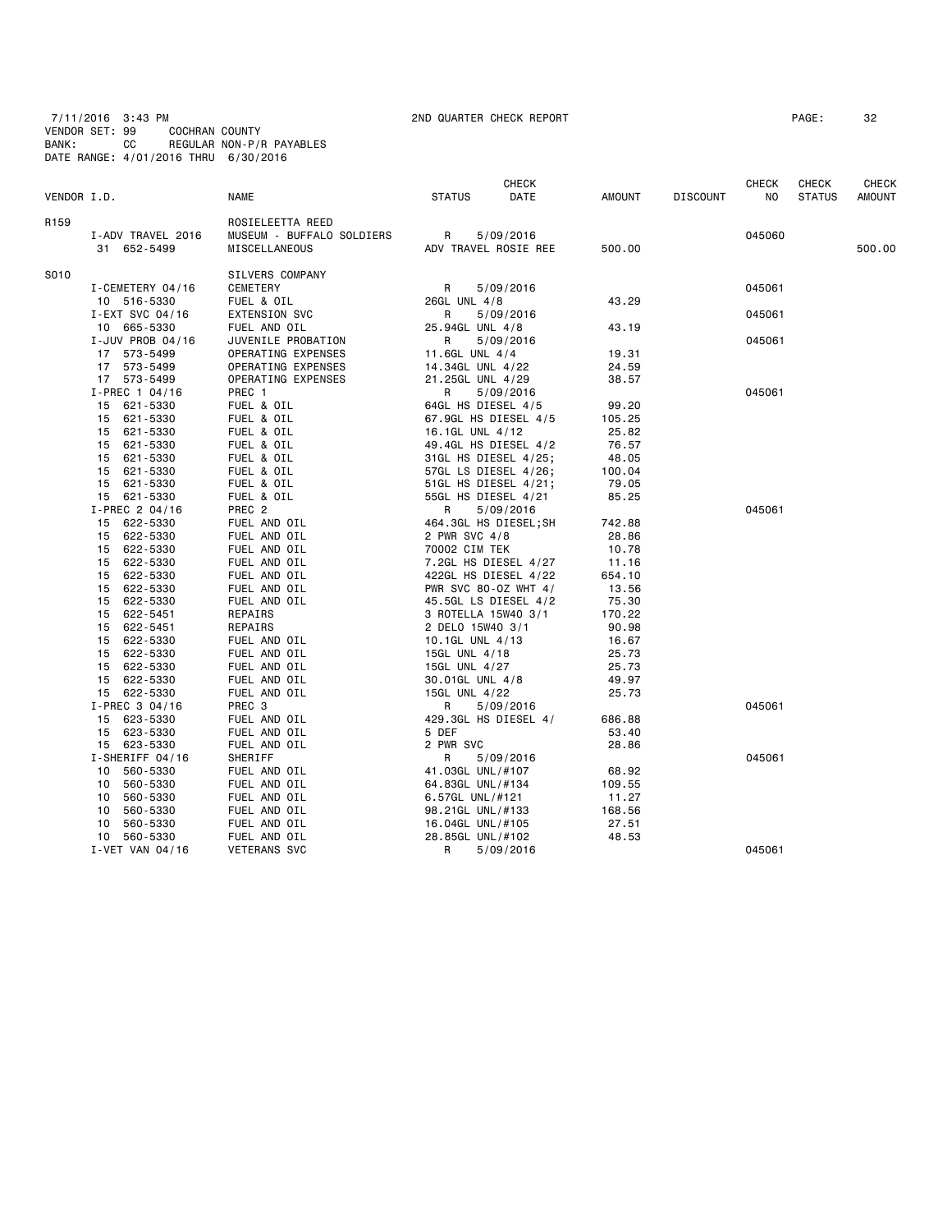7/11/2016 3:43 PM 2ND QUARTER CHECK REPORT PAGE: 32 VENDOR SET: 99 COCHRAN COUNTY BANK: CC REGULAR NON-P/R PAYABLES DATE RANGE: 4/01/2016 THRU 6/30/2016

|                  |                   |                           | CHECK               |                       |        |                 | <b>CHECK</b> | <b>CHECK</b>  | CHECK         |
|------------------|-------------------|---------------------------|---------------------|-----------------------|--------|-----------------|--------------|---------------|---------------|
| VENDOR I.D.      |                   | NAME                      | <b>STATUS</b>       | DATE                  | AMOUNT | <b>DISCOUNT</b> | NO.          | <b>STATUS</b> | <b>AMOUNT</b> |
| R <sub>159</sub> |                   | ROSIELEETTA REED          |                     |                       |        |                 |              |               |               |
|                  | I-ADV TRAVEL 2016 | MUSEUM - BUFFALO SOLDIERS | R                   | 5/09/2016             |        |                 | 045060       |               |               |
|                  | 31 652-5499       | MISCELLANEOUS             |                     | ADV TRAVEL ROSIE REE  | 500.00 |                 |              |               | 500.00        |
| S010             |                   | SILVERS COMPANY           |                     |                       |        |                 |              |               |               |
|                  | I-CEMETERY 04/16  | CEMETERY                  | R                   | 5/09/2016             |        |                 | 045061       |               |               |
|                  | 10 516-5330       | FUEL & OIL                | 26GL UNL 4/8        |                       | 43.29  |                 |              |               |               |
|                  | I-EXT SVC 04/16   | <b>EXTENSION SVC</b>      | R                   | 5/09/2016             |        |                 | 045061       |               |               |
|                  | 10 665-5330       | FUEL AND OIL              | 25.94GL UNL 4/8     |                       | 43.19  |                 |              |               |               |
|                  | I-JUV PROB 04/16  | JUVENILE PROBATION        | R                   | 5/09/2016             |        |                 | 045061       |               |               |
|                  | 17 573-5499       | OPERATING EXPENSES        | 11.6GL UNL 4/4      |                       | 19.31  |                 |              |               |               |
|                  | 17 573-5499       | OPERATING EXPENSES        | 14.34GL UNL 4/22    |                       | 24.59  |                 |              |               |               |
|                  | 17 573-5499       | OPERATING EXPENSES        | 21.25GL UNL 4/29    |                       | 38.57  |                 |              |               |               |
|                  | $I-PREC$ 1 04/16  | PREC 1                    | R                   | 5/09/2016             |        |                 | 045061       |               |               |
|                  | 15 621-5330       | FUEL & OIL                | 64GL HS DIESEL 4/5  |                       | 99.20  |                 |              |               |               |
|                  | 621-5330<br>15    | FUEL & OIL                |                     | 67.9GL HS DIESEL 4/5  | 105.25 |                 |              |               |               |
|                  | 621-5330<br>15    | FUEL & OIL                | 16.1GL UNL 4/12     |                       | 25.82  |                 |              |               |               |
|                  | 621-5330<br>15    | FUEL & OIL                |                     | 49.4GL HS DIESEL 4/2  | 76.57  |                 |              |               |               |
|                  | 15<br>621-5330    | FUEL & OIL                |                     | 31GL HS DIESEL 4/25;  | 48.05  |                 |              |               |               |
|                  | 15<br>621-5330    | FUEL & OIL                |                     | 57GL LS DIESEL 4/26;  | 100.04 |                 |              |               |               |
|                  | 621-5330<br>15    | FUEL & OIL                |                     | 51GL HS DIESEL 4/21;  | 79.05  |                 |              |               |               |
|                  | 15 621-5330       | FUEL & OIL                | 55GL HS DIESEL 4/21 |                       | 85.25  |                 |              |               |               |
|                  | I-PREC 2 04/16    | PREC <sub>2</sub>         | R                   | 5/09/2016             |        |                 | 045061       |               |               |
|                  | 15 622-5330       | FUEL AND OIL              |                     | 464.3GL HS DIESEL; SH | 742.88 |                 |              |               |               |
|                  | 622-5330<br>15    | FUEL AND OIL              | 2 PWR SVC 4/8       |                       | 28.86  |                 |              |               |               |
|                  | 15<br>622-5330    | FUEL AND OIL              | 70002 CIM TEK       |                       | 10.78  |                 |              |               |               |
|                  | 622-5330<br>15    | FUEL AND OIL              |                     | 7.2GL HS DIESEL 4/27  | 11.16  |                 |              |               |               |
|                  | 15<br>622-5330    | FUEL AND OIL              |                     | 422GL HS DIESEL 4/22  | 654.10 |                 |              |               |               |
|                  | 622-5330<br>15    | FUEL AND OIL              |                     | PWR SVC 80-0Z WHT 4/  | 13.56  |                 |              |               |               |
|                  | 622-5330<br>15    | FUEL AND OIL              |                     | 45.5GL LS DIESEL 4/2  | 75.30  |                 |              |               |               |
|                  | 15<br>622-5451    | REPAIRS                   | 3 ROTELLA 15W40 3/1 |                       | 170.22 |                 |              |               |               |
|                  | 622-5451<br>15    | REPAIRS                   | 2 DELO 15W40 3/1    |                       | 90.98  |                 |              |               |               |
|                  | 15<br>622-5330    | FUEL AND OIL              | 10.1GL UNL 4/13     |                       | 16.67  |                 |              |               |               |
|                  | 15<br>622-5330    | FUEL AND OIL              | 15GL UNL 4/18       |                       | 25.73  |                 |              |               |               |
|                  | 622-5330<br>15    | FUEL AND OIL              | 15GL UNL 4/27       |                       | 25.73  |                 |              |               |               |
|                  | 622-5330<br>15    | FUEL AND OIL              | 30.01GL UNL 4/8     |                       | 49.97  |                 |              |               |               |
|                  | 15 622-5330       | FUEL AND OIL              | 15GL UNL 4/22       |                       | 25.73  |                 |              |               |               |
|                  | I-PREC 3 04/16    | PREC 3                    | R                   | 5/09/2016             |        |                 | 045061       |               |               |
|                  | 15 623-5330       | FUEL AND OIL              |                     | 429.3GL HS DIESEL 4/  | 686.88 |                 |              |               |               |
|                  | 15 623-5330       | FUEL AND OIL              | 5 DEF               |                       | 53.40  |                 |              |               |               |
|                  | 15 623-5330       | FUEL AND OIL              | 2 PWR SVC           |                       | 28.86  |                 |              |               |               |
|                  | I-SHERIFF 04/16   | SHERIFF                   | R                   | 5/09/2016             |        |                 | 045061       |               |               |
|                  | 560-5330<br>10    | FUEL AND OIL              | 41.03GL UNL/#107    |                       | 68.92  |                 |              |               |               |
|                  | 560-5330<br>10    | FUEL AND OIL              | 64.83GL UNL/#134    |                       | 109.55 |                 |              |               |               |
|                  | 560-5330<br>10    | FUEL AND OIL              | 6.57GL UNL/#121     |                       | 11.27  |                 |              |               |               |
|                  | 10<br>560-5330    | FUEL AND OIL              | 98.21GL UNL/#133    |                       | 168.56 |                 |              |               |               |
|                  | 10<br>560-5330    | FUEL AND OIL              | 16.04GL UNL/#105    |                       | 27.51  |                 |              |               |               |
|                  | 560-5330<br>10    | FUEL AND OIL              | 28.85GL UNL/#102    |                       | 48.53  |                 |              |               |               |
|                  | I-VET VAN 04/16   | <b>VETERANS SVC</b>       | R                   | 5/09/2016             |        |                 | 045061       |               |               |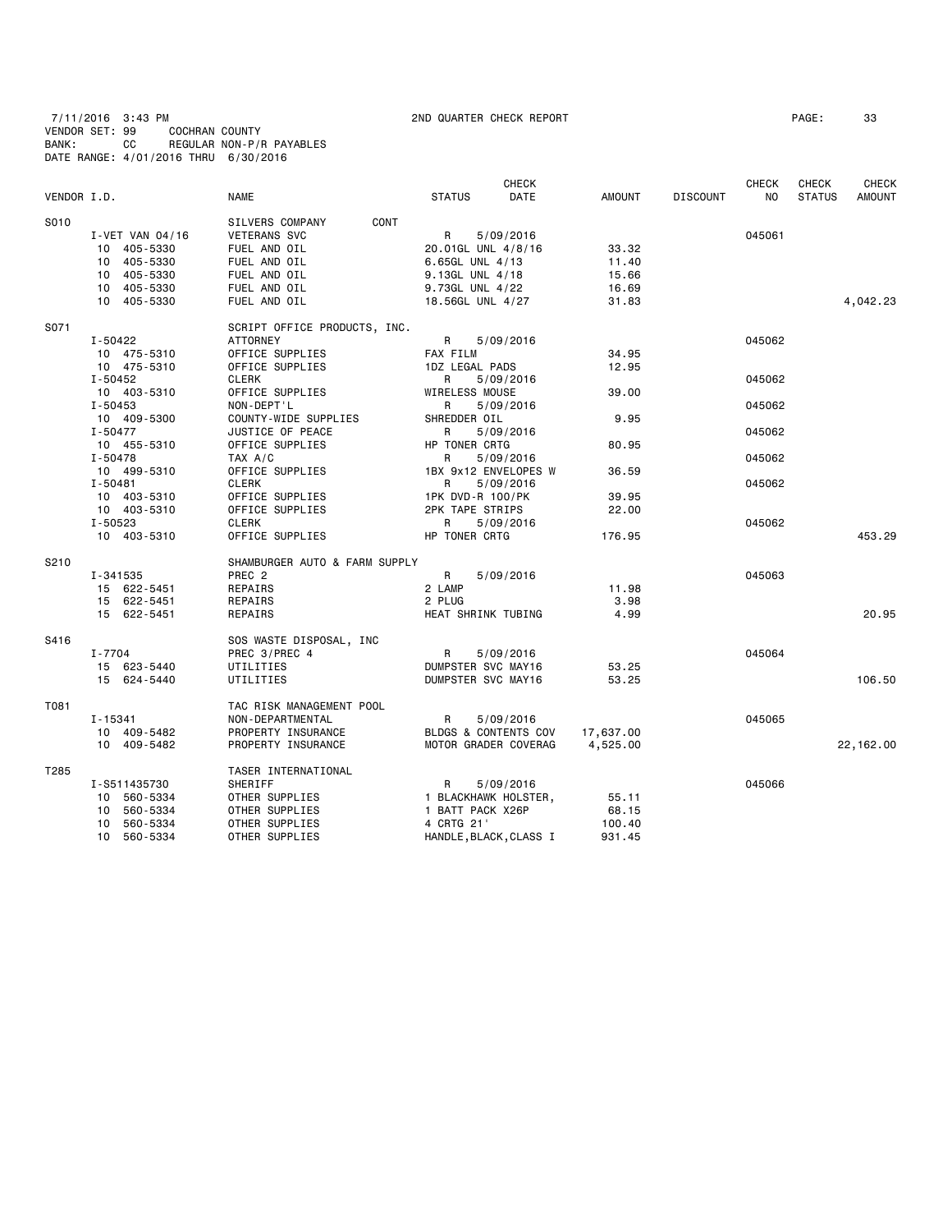7/11/2016 3:43 PM 2ND QUARTER CHECK REPORT PAGE: 33 VENDOR SET: 99 COCHRAN COUNTY BANK: CC REGULAR NON-P/R PAYABLES DATE RANGE: 4/01/2016 THRU 6/30/2016

|             |                 |                               |                        | CHECK       |               |                 | CHECK          | <b>CHECK</b>  | <b>CHECK</b>  |
|-------------|-----------------|-------------------------------|------------------------|-------------|---------------|-----------------|----------------|---------------|---------------|
| VENDOR I.D. |                 | <b>NAME</b>                   | <b>STATUS</b>          | <b>DATE</b> | <b>AMOUNT</b> | <b>DISCOUNT</b> | N <sub>O</sub> | <b>STATUS</b> | <b>AMOUNT</b> |
| S010        |                 | SILVERS COMPANY<br>CONT       |                        |             |               |                 |                |               |               |
|             | I-VET VAN 04/16 | <b>VETERANS SVC</b>           | $\mathsf{R}$           | 5/09/2016   |               |                 | 045061         |               |               |
|             | 10 405-5330     | FUEL AND OIL                  | 20.01GL UNL 4/8/16     |             | 33.32         |                 |                |               |               |
|             | 10 405-5330     | FUEL AND OIL                  | 6.65GL UNL 4/13        |             | 11.40         |                 |                |               |               |
|             | 10 405-5330     | FUEL AND OIL                  | 9.13GL UNL 4/18        |             | 15.66         |                 |                |               |               |
|             | 10 405-5330     | FUEL AND OIL                  | 9.73GL UNL 4/22        |             | 16.69         |                 |                |               |               |
|             | 10 405-5330     | FUEL AND OIL                  | 18.56GL UNL 4/27       |             | 31.83         |                 |                |               | 4,042.23      |
| S071        |                 | SCRIPT OFFICE PRODUCTS, INC.  |                        |             |               |                 |                |               |               |
|             | I-50422         | <b>ATTORNEY</b>               | R                      | 5/09/2016   |               |                 | 045062         |               |               |
|             | 10 475-5310     | OFFICE SUPPLIES               | <b>FAX FILM</b>        |             | 34.95         |                 |                |               |               |
|             | 10 475-5310     | OFFICE SUPPLIES               | 1DZ LEGAL PADS         |             | 12.95         |                 |                |               |               |
|             | I-50452         | CLERK                         | R.                     | 5/09/2016   |               |                 | 045062         |               |               |
|             | 10 403-5310     | OFFICE SUPPLIES               | WIRELESS MOUSE         |             | 39.00         |                 |                |               |               |
|             | $I - 50453$     | NON-DEPT'L                    | R                      | 5/09/2016   |               |                 | 045062         |               |               |
|             | 10 409-5300     | COUNTY-WIDE SUPPLIES          | SHREDDER OIL           |             | 9.95          |                 |                |               |               |
|             | I-50477         | JUSTICE OF PEACE              | R                      | 5/09/2016   |               |                 | 045062         |               |               |
|             | 10 455-5310     | OFFICE SUPPLIES               | HP TONER CRTG          |             | 80.95         |                 |                |               |               |
|             | I-50478         | TAX A/C                       | R                      | 5/09/2016   |               |                 | 045062         |               |               |
|             | 10 499-5310     | OFFICE SUPPLIES               | 1BX 9x12 ENVELOPES W   |             | 36.59         |                 |                |               |               |
|             | $I - 50481$     | <b>CLERK</b>                  | R                      | 5/09/2016   |               |                 | 045062         |               |               |
|             | 10 403-5310     | OFFICE SUPPLIES               | 1PK DVD-R 100/PK       |             | 39.95         |                 |                |               |               |
|             | 10 403-5310     | OFFICE SUPPLIES               | 2PK TAPE STRIPS        |             | 22.00         |                 |                |               |               |
|             | I-50523         | CLERK                         | R                      | 5/09/2016   |               |                 | 045062         |               |               |
|             | 10 403-5310     | OFFICE SUPPLIES               | HP TONER CRTG          |             | 176.95        |                 |                |               | 453.29        |
| S210        |                 | SHAMBURGER AUTO & FARM SUPPLY |                        |             |               |                 |                |               |               |
|             | I-341535        | PREC <sub>2</sub>             | R                      | 5/09/2016   |               |                 | 045063         |               |               |
|             | 15 622-5451     | REPAIRS                       | 2 LAMP                 |             | 11.98         |                 |                |               |               |
|             | 15 622-5451     | REPAIRS                       | 2 PLUG                 |             | 3.98          |                 |                |               |               |
|             | 15 622-5451     | REPAIRS                       | HEAT SHRINK TUBING     |             | 4.99          |                 |                |               | 20.95         |
| S416        |                 | SOS WASTE DISPOSAL, INC       |                        |             |               |                 |                |               |               |
|             | I-7704          | PREC 3/PREC 4                 | R                      | 5/09/2016   |               |                 | 045064         |               |               |
|             | 15 623-5440     | UTILITIES                     | DUMPSTER SVC MAY16     |             | 53.25         |                 |                |               |               |
|             | 15 624-5440     | UTILITIES                     | DUMPSTER SVC MAY16     |             | 53.25         |                 |                |               | 106.50        |
| T081        |                 | TAC RISK MANAGEMENT POOL      |                        |             |               |                 |                |               |               |
|             | I-15341         | NON-DEPARTMENTAL              | R                      | 5/09/2016   |               |                 | 045065         |               |               |
|             | 10 409-5482     | PROPERTY INSURANCE            | BLDGS & CONTENTS COV   |             | 17,637.00     |                 |                |               |               |
|             | 10 409-5482     | PROPERTY INSURANCE            | MOTOR GRADER COVERAG   |             | 4,525.00      |                 |                |               | 22,162.00     |
| T285        |                 | TASER INTERNATIONAL           |                        |             |               |                 |                |               |               |
|             | I-S511435730    | SHERIFF                       | R                      | 5/09/2016   |               |                 | 045066         |               |               |
|             | 10 560-5334     | OTHER SUPPLIES                | 1 BLACKHAWK HOLSTER,   |             | 55.11         |                 |                |               |               |
|             | 10 560-5334     | OTHER SUPPLIES                | 1 BATT PACK X26P       |             | 68.15         |                 |                |               |               |
|             | 10 560-5334     | OTHER SUPPLIES                | 4 CRTG 21'             |             | 100.40        |                 |                |               |               |
|             | 10 560-5334     | OTHER SUPPLIES                | HANDLE, BLACK, CLASS I |             | 931.45        |                 |                |               |               |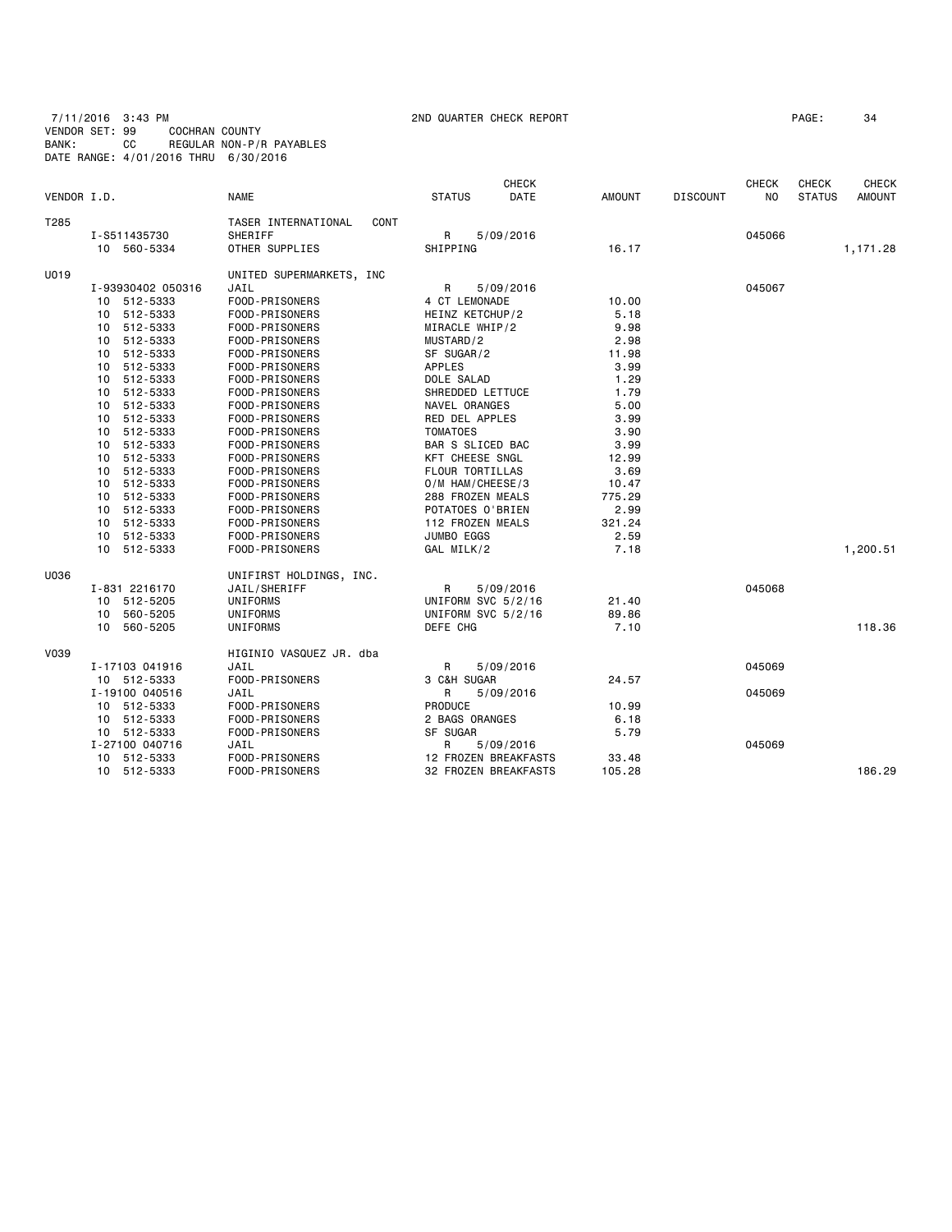7/11/2016 3:43 PM 2ND QUARTER CHECK REPORT PAGE: 34 VENDOR SET: 99 COCHRAN COUNTY BANK: CC REGULAR NON-P/R PAYABLES DATE RANGE: 4/01/2016 THRU 6/30/2016

|             |                   |                             |                      | <b>CHECK</b> |        |                 | <b>CHECK</b> | <b>CHECK</b>  | <b>CHECK</b>  |
|-------------|-------------------|-----------------------------|----------------------|--------------|--------|-----------------|--------------|---------------|---------------|
| VENDOR I.D. |                   | <b>NAME</b>                 | <b>STATUS</b>        | DATE         | AMOUNT | <b>DISCOUNT</b> | NO.          | <b>STATUS</b> | <b>AMOUNT</b> |
| T285        |                   | TASER INTERNATIONAL<br>CONT |                      |              |        |                 |              |               |               |
|             | I-S511435730      | SHERIFF                     | R                    | 5/09/2016    |        |                 | 045066       |               |               |
|             | 10 560-5334       | OTHER SUPPLIES              | SHIPPING             |              | 16.17  |                 |              |               | 1,171.28      |
| U019        |                   | UNITED SUPERMARKETS, INC    |                      |              |        |                 |              |               |               |
|             | I-93930402 050316 | JAIL                        | R                    | 5/09/2016    |        |                 | 045067       |               |               |
|             | 10 512-5333       | FOOD-PRISONERS              | 4 CT LEMONADE        |              | 10.00  |                 |              |               |               |
|             | 512-5333<br>10    | FOOD-PRISONERS              | HEINZ KETCHUP/2      |              | 5.18   |                 |              |               |               |
|             | 10 512-5333       | FOOD-PRISONERS              | MIRACLE WHIP/2       |              | 9.98   |                 |              |               |               |
|             | 512-5333<br>10    | FOOD-PRISONERS              | MUSTARD/2            |              | 2.98   |                 |              |               |               |
|             | 512-5333<br>10    | FOOD-PRISONERS              | SF SUGAR/2           |              | 11.98  |                 |              |               |               |
|             | 512-5333<br>10    | FOOD-PRISONERS              | <b>APPLES</b>        |              | 3.99   |                 |              |               |               |
|             | 512-5333<br>10    | FOOD-PRISONERS              | DOLE SALAD           |              | 1.29   |                 |              |               |               |
|             | 10 512-5333       | FOOD-PRISONERS              | SHREDDED LETTUCE     |              | 1.79   |                 |              |               |               |
|             | 512-5333<br>10    | FOOD-PRISONERS              | NAVEL ORANGES        |              | 5.00   |                 |              |               |               |
|             | 512-5333<br>10    | FOOD-PRISONERS              | RED DEL APPLES       |              | 3.99   |                 |              |               |               |
|             | 512-5333<br>10    | FOOD-PRISONERS              | <b>TOMATOES</b>      |              | 3.90   |                 |              |               |               |
|             | 512-5333<br>10    | FOOD-PRISONERS              | BAR S SLICED BAC     |              | 3.99   |                 |              |               |               |
|             | 512-5333<br>10    | FOOD-PRISONERS              | KFT CHEESE SNGL      |              | 12.99  |                 |              |               |               |
|             | 512-5333<br>10    | FOOD-PRISONERS              | FLOUR TORTILLAS      |              | 3.69   |                 |              |               |               |
|             | 512-5333<br>10    | FOOD-PRISONERS              | O/M HAM/CHEESE/3     |              | 10.47  |                 |              |               |               |
|             | 512-5333<br>10    | FOOD-PRISONERS              | 288 FROZEN MEALS     |              | 775.29 |                 |              |               |               |
|             | 512-5333<br>10    | FOOD-PRISONERS              | POTATOES O'BRIEN     |              | 2.99   |                 |              |               |               |
|             | 512-5333<br>10    | FOOD-PRISONERS              | 112 FROZEN MEALS     |              | 321.24 |                 |              |               |               |
|             | 512-5333<br>10    | FOOD-PRISONERS              | JUMBO EGGS           |              | 2.59   |                 |              |               |               |
|             | 10<br>512-5333    | FOOD-PRISONERS              | GAL MILK/2           |              | 7.18   |                 |              |               | 1,200.51      |
| U036        |                   | UNIFIRST HOLDINGS, INC.     |                      |              |        |                 |              |               |               |
|             | I-831 2216170     | JAIL/SHERIFF                | R                    | 5/09/2016    |        |                 | 045068       |               |               |
|             | 512-5205<br>10    | UNIFORMS                    | UNIFORM SVC 5/2/16   |              | 21.40  |                 |              |               |               |
|             | 560-5205<br>10    | UNIFORMS                    | UNIFORM SVC 5/2/16   |              | 89.86  |                 |              |               |               |
|             | 10 560-5205       | UNIFORMS                    | DEFE CHG             |              | 7.10   |                 |              |               | 118.36        |
| V039        |                   | HIGINIO VASQUEZ JR. dba     |                      |              |        |                 |              |               |               |
|             | I-17103 041916    | JAIL                        | R                    | 5/09/2016    |        |                 | 045069       |               |               |
|             | 10 512-5333       | FOOD-PRISONERS              | 3 C&H SUGAR          |              | 24.57  |                 |              |               |               |
|             | I-19100 040516    | JAIL                        | R                    | 5/09/2016    |        |                 | 045069       |               |               |
|             | 10 512-5333       | FOOD-PRISONERS              | PRODUCE              |              | 10.99  |                 |              |               |               |
|             | 10 512-5333       | FOOD-PRISONERS              | 2 BAGS ORANGES       |              | 6.18   |                 |              |               |               |
|             | 10 512-5333       | FOOD-PRISONERS              | SF SUGAR             |              | 5.79   |                 |              |               |               |
|             | I-27100 040716    | JAIL                        | R                    | 5/09/2016    |        |                 | 045069       |               |               |
|             | 10 512-5333       | FOOD-PRISONERS              | 12 FROZEN BREAKFASTS |              | 33.48  |                 |              |               |               |
|             | 10 512-5333       | FOOD-PRISONERS              | 32 FROZEN BREAKFASTS |              | 105.28 |                 |              |               | 186.29        |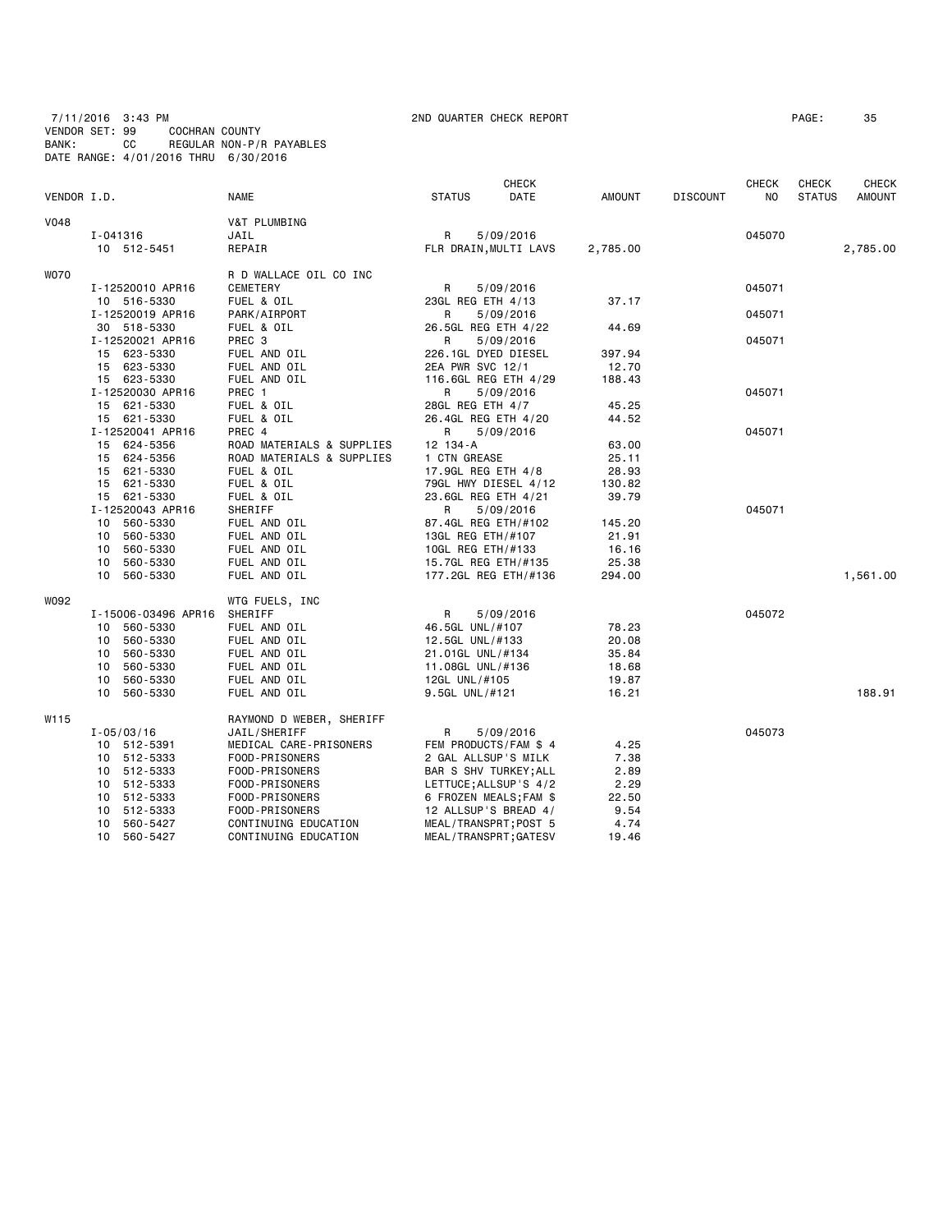7/11/2016 3:43 PM 2ND QUARTER CHECK REPORT PAGE: 35 VENDOR SET: 99 COCHRAN COUNTY BANK: CC REGULAR NON-P/R PAYABLES DATE RANGE: 4/01/2016 THRU 6/30/2016

|             |                     |                           |                     | <b>CHECK</b>           |               |                 |                |               | <b>CHECK</b>  |
|-------------|---------------------|---------------------------|---------------------|------------------------|---------------|-----------------|----------------|---------------|---------------|
| VENDOR I.D. |                     | <b>NAME</b>               | <b>STATUS</b>       | DATE                   | <b>AMOUNT</b> | <b>DISCOUNT</b> | N <sub>O</sub> | <b>STATUS</b> | <b>AMOUNT</b> |
| <b>V048</b> |                     | V&T PLUMBING              |                     |                        |               |                 |                |               |               |
|             | I-041316            | JAIL                      | R                   | 5/09/2016              |               |                 | 045070         |               |               |
|             | 10 512-5451         | REPAIR                    |                     | FLR DRAIN, MULTI LAVS  | 2,785.00      |                 |                |               | 2,785.00      |
| <b>WO70</b> |                     | R D WALLACE OIL CO INC    |                     |                        |               |                 |                |               |               |
|             | I-12520010 APR16    | CEMETERY                  | R                   | 5/09/2016              |               |                 | 045071         |               |               |
|             | 10 516-5330         | FUEL & OIL                | 23GL REG ETH 4/13   |                        | 37.17         |                 |                |               |               |
|             | I-12520019 APR16    | PARK/AIRPORT              | R                   | 5/09/2016              |               |                 | 045071         |               |               |
|             | 30 518-5330         | FUEL & OIL                | 26.5GL REG ETH 4/22 |                        | 44.69         |                 |                |               |               |
|             | I-12520021 APR16    | PREC <sub>3</sub>         | R                   | 5/09/2016              |               |                 | 045071         |               |               |
|             | 15 623-5330         | FUEL AND OIL              | 226.1GL DYED DIESEL |                        | 397.94        |                 |                |               |               |
|             | 15 623-5330         | FUEL AND OIL              | 2EA PWR SVC 12/1    |                        | 12.70         |                 |                |               |               |
|             | 15 623-5330         | FUEL AND OIL              |                     | 116.6GL REG ETH 4/29   | 188.43        |                 |                |               |               |
|             | I-12520030 APR16    | PREC 1                    | R                   | 5/09/2016              |               |                 | 045071         |               |               |
|             | 15 621-5330         | FUEL & OIL                | 28GL REG ETH 4/7    |                        | 45.25         |                 |                |               |               |
|             | 15 621-5330         | FUEL & OIL                | 26.4GL REG ETH 4/20 |                        | 44.52         |                 |                |               |               |
|             | I-12520041 APR16    | PREC 4                    | R                   | 5/09/2016              |               |                 | 045071         |               |               |
|             | 15 624-5356         | ROAD MATERIALS & SUPPLIES | 12 134-A            |                        | 63.00         |                 |                |               |               |
|             | 15 624-5356         | ROAD MATERIALS & SUPPLIES | 1 CTN GREASE        |                        | 25.11         |                 |                |               |               |
|             | 15 621-5330         | FUEL & OIL                | 17.9GL REG ETH 4/8  |                        | 28.93         |                 |                |               |               |
|             | 15 621-5330         | FUEL & OIL                |                     | 79GL HWY DIESEL 4/12   | 130.82        |                 |                |               |               |
|             | 15 621-5330         | FUEL & OIL                | 23.6GL REG ETH 4/21 |                        | 39.79         |                 |                |               |               |
|             | I-12520043 APR16    | SHERIFF                   | R                   | 5/09/2016              |               |                 | 045071         |               |               |
|             | 560-5330<br>10      | FUEL AND OIL              | 87.4GL REG ETH/#102 |                        | 145.20        |                 |                |               |               |
|             | 560-5330<br>10      | FUEL AND OIL              | 13GL REG ETH/#107   |                        | 21.91         |                 |                |               |               |
|             | 10 560-5330         | FUEL AND OIL              | 10GL REG ETH/#133   |                        | 16.16         |                 |                |               |               |
|             | 10 560-5330         | FUEL AND OIL              | 15.7GL REG ETH/#135 |                        | 25.38         |                 |                |               |               |
|             | 10 560-5330         | FUEL AND OIL              |                     | 177.2GL REG ETH/#136   | 294.00        |                 |                |               | 1,561.00      |
| W092        |                     | WTG FUELS, INC            |                     |                        |               |                 |                |               |               |
|             | I-15006-03496 APR16 | SHERIFF                   | $\mathsf{R}$        | 5/09/2016              |               |                 | 045072         |               |               |
|             | 10 560-5330         | FUEL AND OIL              | 46.5GL UNL/#107     |                        | 78.23         |                 |                |               |               |
|             | 10 560-5330         | FUEL AND OIL              | 12.5GL UNL/#133     |                        | 20.08         |                 |                |               |               |
|             | 10 560-5330         | FUEL AND OIL              | 21.01GL UNL/#134    |                        | 35.84         |                 |                |               |               |
|             | 10<br>560-5330      | FUEL AND OIL              | 11.08GL UNL/#136    |                        | 18.68         |                 |                |               |               |
|             | 560-5330<br>10      | FUEL AND OIL              | 12GL UNL/#105       |                        | 19.87         |                 |                |               |               |
|             | 10 560-5330         | FUEL AND OIL              | 9.5GL UNL/#121      |                        | 16.21         |                 |                |               | 188.91        |
| W115        |                     | RAYMOND D WEBER, SHERIFF  |                     |                        |               |                 |                |               |               |
|             | $I - 05/03/16$      | JAIL/SHERIFF              | R                   | 5/09/2016              |               |                 | 045073         |               |               |
|             | 10 512-5391         | MEDICAL CARE-PRISONERS    |                     | FEM PRODUCTS/FAM \$ 4  | 4.25          |                 |                |               |               |
|             | 10 512-5333         | FOOD-PRISONERS            | 2 GAL ALLSUP'S MILK |                        | 7.38          |                 |                |               |               |
|             | 10 512-5333         | FOOD-PRISONERS            |                     | BAR S SHV TURKEY; ALL  | 2.89          |                 |                |               |               |
|             | 512-5333<br>10      | FOOD-PRISONERS            |                     | LETTUCE; ALLSUP 'S 4/2 | 2.29          |                 |                |               |               |
|             | 10 512-5333         | FOOD-PRISONERS            |                     | 6 FROZEN MEALS;FAM \$  | 22.50         |                 |                |               |               |
|             | 512-5333<br>10      | FOOD-PRISONERS            |                     | 12 ALLSUP'S BREAD 4/   | 9.54          |                 |                |               |               |
|             | 10 560-5427         | CONTINUING EDUCATION      |                     | MEAL/TRANSPRT; POST 5  | 4.74          |                 |                |               |               |
|             | 10 560-5427         | CONTINUING EDUCATION      |                     | MEAL/TRANSPRT; GATESV  | 19.46         |                 |                |               |               |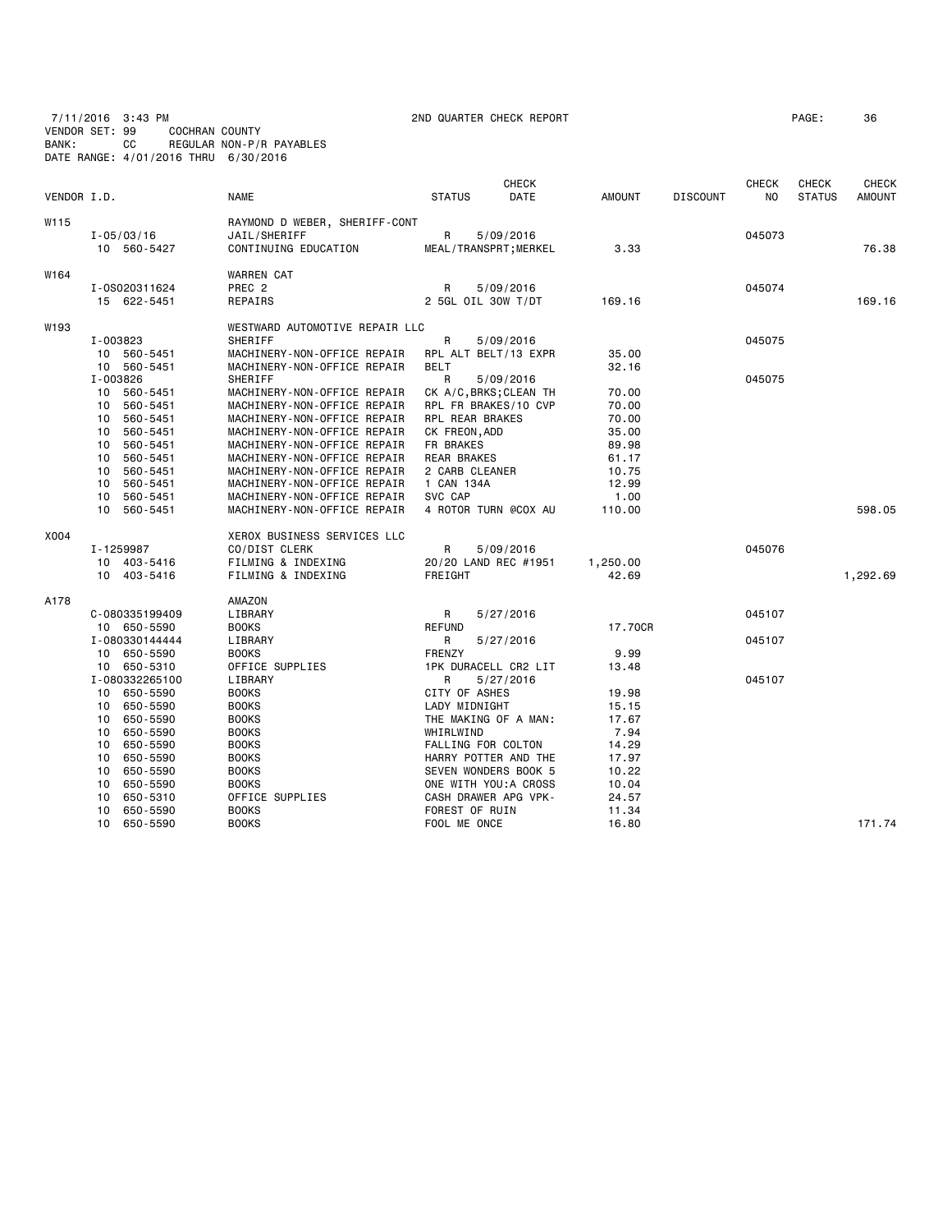7/11/2016 3:43 PM 2ND QUARTER CHECK REPORT PAGE: 36 VENDOR SET: 99 COCHRAN COUNTY BANK: CC REGULAR NON-P/R PAYABLES DATE RANGE: 4/01/2016 THRU 6/30/2016

| VENDOR I.D. |                               | <b>NAME</b>                                                | <b>CHECK</b><br>DATE<br><b>STATUS</b>         | <b>AMOUNT</b>  | <b>DISCOUNT</b> | <b>CHECK</b><br>NO | CHECK<br><b>STATUS</b> | <b>CHECK</b><br><b>AMOUNT</b> |
|-------------|-------------------------------|------------------------------------------------------------|-----------------------------------------------|----------------|-----------------|--------------------|------------------------|-------------------------------|
| W115        |                               | RAYMOND D WEBER, SHERIFF-CONT                              |                                               |                |                 |                    |                        |                               |
|             | $I - 05/03/16$                | JAIL/SHERIFF                                               | R<br>5/09/2016                                |                |                 | 045073             |                        |                               |
|             | 10 560-5427                   | CONTINUING EDUCATION                                       | MEAL/TRANSPRT; MERKEL                         | 3.33           |                 |                    |                        | 76.38                         |
| W164        |                               | <b>WARREN CAT</b>                                          |                                               |                |                 |                    |                        |                               |
|             | I-0S020311624                 | PREC <sub>2</sub>                                          | R<br>5/09/2016                                |                |                 | 045074             |                        |                               |
|             | 15 622-5451                   | REPAIRS                                                    | 2 5GL OIL 30W T/DT                            | 169.16         |                 |                    |                        | 169.16                        |
| W193        |                               | WESTWARD AUTOMOTIVE REPAIR LLC                             |                                               |                |                 |                    |                        |                               |
|             | I-003823                      | SHERIFF                                                    | R<br>5/09/2016                                |                |                 | 045075             |                        |                               |
|             | 10 560-5451                   | MACHINERY-NON-OFFICE REPAIR                                | RPL ALT BELT/13 EXPR                          | 35.00          |                 |                    |                        |                               |
|             | 10 560-5451                   | MACHINERY-NON-OFFICE REPAIR                                | <b>BELT</b>                                   | 32.16          |                 |                    |                        |                               |
|             | I-003826                      | SHERIFF                                                    | R<br>5/09/2016                                |                |                 | 045075             |                        |                               |
|             | 10<br>560-5451                | MACHINERY-NON-OFFICE REPAIR                                | CK A/C, BRKS; CLEAN TH                        | 70.00          |                 |                    |                        |                               |
|             | 560-5451<br>10                | MACHINERY-NON-OFFICE REPAIR                                | RPL FR BRAKES/10 CVP                          | 70.00          |                 |                    |                        |                               |
|             | 560-5451<br>10                | MACHINERY-NON-OFFICE REPAIR                                | RPL REAR BRAKES                               | 70.00          |                 |                    |                        |                               |
|             | 560-5451<br>10                | MACHINERY-NON-OFFICE REPAIR                                | CK FREON, ADD                                 | 35.00          |                 |                    |                        |                               |
|             | 10<br>560-5451                | MACHINERY-NON-OFFICE REPAIR                                | FR BRAKES                                     | 89.98          |                 |                    |                        |                               |
|             | 560-5451<br>10                | MACHINERY-NON-OFFICE REPAIR                                | REAR BRAKES                                   | 61.17          |                 |                    |                        |                               |
|             | 560-5451<br>10                | MACHINERY-NON-OFFICE REPAIR                                | 2 CARB CLEANER                                | 10.75          |                 |                    |                        |                               |
|             | 10<br>560-5451                | MACHINERY-NON-OFFICE REPAIR                                | 1 CAN 134A<br>SVC CAP                         | 12.99          |                 |                    |                        |                               |
|             | 10<br>560-5451<br>10 560-5451 | MACHINERY-NON-OFFICE REPAIR<br>MACHINERY-NON-OFFICE REPAIR | 4 ROTOR TURN @COX AU                          | 1.00<br>110.00 |                 |                    |                        | 598.05                        |
|             |                               |                                                            |                                               |                |                 |                    |                        |                               |
| X004        |                               | XEROX BUSINESS SERVICES LLC                                |                                               |                |                 |                    |                        |                               |
|             | I-1259987                     | CO/DIST CLERK                                              | R<br>5/09/2016                                |                |                 | 045076             |                        |                               |
|             | 10 403-5416                   | FILMING & INDEXING                                         | 20/20 LAND REC #1951                          | 1,250.00       |                 |                    |                        |                               |
|             | 10 403-5416                   | FILMING & INDEXING                                         | FREIGHT                                       | 42.69          |                 |                    |                        | 1,292.69                      |
| A178        |                               | AMAZON                                                     |                                               |                |                 |                    |                        |                               |
|             | C-080335199409                | LIBRARY                                                    | R<br>5/27/2016                                |                |                 | 045107             |                        |                               |
|             | 10 650-5590                   | <b>BOOKS</b>                                               | <b>REFUND</b>                                 | 17.70CR        |                 |                    |                        |                               |
|             | I-080330144444                | LIBRARY                                                    | R<br>5/27/2016                                |                |                 | 045107             |                        |                               |
|             | 10 650-5590                   | <b>BOOKS</b>                                               | <b>FRENZY</b>                                 | 9.99           |                 |                    |                        |                               |
|             | 10 650-5310                   | OFFICE SUPPLIES                                            | 1PK DURACELL CR2 LIT                          | 13.48          |                 |                    |                        |                               |
|             | I-080332265100                | LIBRARY                                                    | R<br>5/27/2016                                |                |                 | 045107             |                        |                               |
|             | 10 650-5590                   | <b>BOOKS</b>                                               | CITY OF ASHES                                 | 19.98          |                 |                    |                        |                               |
|             | 650-5590<br>10                | <b>BOOKS</b>                                               | LADY MIDNIGHT                                 | 15.15          |                 |                    |                        |                               |
|             | 650-5590<br>10                | <b>BOOKS</b>                                               | THE MAKING OF A MAN:                          | 17.67          |                 |                    |                        |                               |
|             | 650-5590<br>10                | <b>BOOKS</b>                                               | WHIRLWIND                                     | 7.94           |                 |                    |                        |                               |
|             | 650-5590<br>10                | <b>BOOKS</b>                                               | FALLING FOR COLTON                            | 14.29          |                 |                    |                        |                               |
|             | 10<br>650-5590                | <b>BOOKS</b>                                               | HARRY POTTER AND THE                          | 17.97          |                 |                    |                        |                               |
|             | 10<br>650-5590                | <b>BOOKS</b>                                               | SEVEN WONDERS BOOK 5                          | 10.22          |                 |                    |                        |                               |
|             | 650-5590<br>10<br>10          | <b>BOOKS</b><br>OFFICE SUPPLIES                            | ONE WITH YOU: A CROSS<br>CASH DRAWER APG VPK- | 10.04          |                 |                    |                        |                               |
|             | 650-5310<br>650-5590<br>10    | <b>BOOKS</b>                                               | FOREST OF RUIN                                | 24.57          |                 |                    |                        |                               |
|             | 10<br>650-5590                | <b>BOOKS</b>                                               | FOOL ME ONCE                                  | 11.34<br>16.80 |                 |                    |                        | 171.74                        |
|             |                               |                                                            |                                               |                |                 |                    |                        |                               |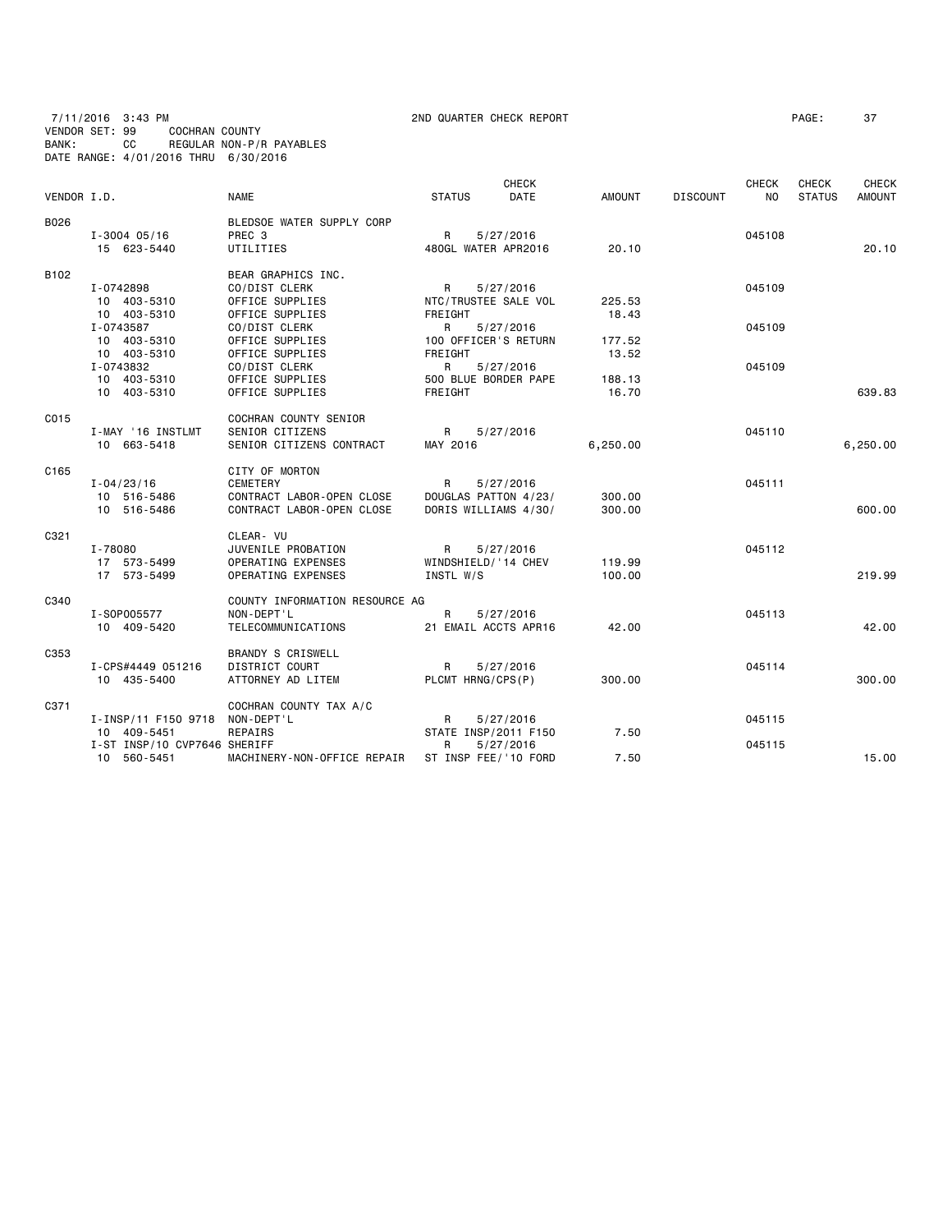7/11/2016 3:43 PM 2ND QUARTER CHECK REPORT PAGE: 37 VENDOR SET: 99 COCHRAN COUNTY BANK: CC REGULAR NON-P/R PAYABLES DATE RANGE: 4/01/2016 THRU 6/30/2016

|             |                              |                                |                      | CHECK       |               |                 | <b>CHECK</b> | <b>CHECK</b>  | <b>CHECK</b>  |
|-------------|------------------------------|--------------------------------|----------------------|-------------|---------------|-----------------|--------------|---------------|---------------|
| VENDOR I.D. |                              | <b>NAME</b>                    | <b>STATUS</b>        | <b>DATE</b> | <b>AMOUNT</b> | <b>DISCOUNT</b> | <b>NO</b>    | <b>STATUS</b> | <b>AMOUNT</b> |
| B026        |                              | BLEDSOE WATER SUPPLY CORP      |                      |             |               |                 |              |               |               |
|             | $I - 3004 05/16$             | PREC <sub>3</sub>              | R                    | 5/27/2016   |               |                 | 045108       |               |               |
|             | 15 623-5440                  | UTILITIES                      | 480GL WATER APR2016  |             | 20.10         |                 |              |               | 20.10         |
| B102        |                              | BEAR GRAPHICS INC.             |                      |             |               |                 |              |               |               |
|             | I-0742898                    | CO/DIST CLERK                  | R                    | 5/27/2016   |               |                 | 045109       |               |               |
|             | 10 403-5310                  | OFFICE SUPPLIES                | NTC/TRUSTEE SALE VOL |             | 225.53        |                 |              |               |               |
|             | 10 403-5310                  | OFFICE SUPPLIES                | FREIGHT              |             | 18.43         |                 |              |               |               |
|             | I-0743587                    | CO/DIST CLERK                  | R                    | 5/27/2016   |               |                 | 045109       |               |               |
|             | 10 403-5310                  | OFFICE SUPPLIES                | 100 OFFICER'S RETURN |             | 177.52        |                 |              |               |               |
|             | 10 403-5310                  | OFFICE SUPPLIES                | FREIGHT              |             | 13.52         |                 |              |               |               |
|             | I-0743832                    | CO/DIST CLERK                  | R                    | 5/27/2016   |               |                 | 045109       |               |               |
|             | 10 403-5310                  | OFFICE SUPPLIES                | 500 BLUE BORDER PAPE |             | 188.13        |                 |              |               |               |
|             | 10 403-5310                  | OFFICE SUPPLIES                | FREIGHT              |             | 16.70         |                 |              |               | 639.83        |
| C015        |                              | COCHRAN COUNTY SENIOR          |                      |             |               |                 |              |               |               |
|             | I-MAY '16 INSTLMT            | SENIOR CITIZENS                | R                    | 5/27/2016   |               |                 | 045110       |               |               |
|             | 10 663-5418                  | SENIOR CITIZENS CONTRACT       | MAY 2016             |             | 6,250.00      |                 |              |               | 6,250.00      |
| C165        |                              | CITY OF MORTON                 |                      |             |               |                 |              |               |               |
|             | $I - 04/23/16$               | <b>CEMETERY</b>                | R                    | 5/27/2016   |               |                 | 045111       |               |               |
|             | 10 516-5486                  | CONTRACT LABOR-OPEN CLOSE      | DOUGLAS PATTON 4/23/ |             | 300.00        |                 |              |               |               |
|             | 10 516-5486                  | CONTRACT LABOR-OPEN CLOSE      | DORIS WILLIAMS 4/30/ |             | 300.00        |                 |              |               | 600.00        |
| C321        |                              | CLEAR- VU                      |                      |             |               |                 |              |               |               |
|             | I-78080                      | JUVENILE PROBATION             | R                    | 5/27/2016   |               |                 | 045112       |               |               |
|             | 17 573-5499                  | OPERATING EXPENSES             | WINDSHIELD/'14 CHEV  |             | 119.99        |                 |              |               |               |
|             | 17 573-5499                  | OPERATING EXPENSES             | INSTL W/S            |             | 100.00        |                 |              |               | 219.99        |
| C340        |                              | COUNTY INFORMATION RESOURCE AG |                      |             |               |                 |              |               |               |
|             | I-S0P005577                  | NON-DEPT'L                     | R                    | 5/27/2016   |               |                 | 045113       |               |               |
|             | 10 409-5420                  | TELECOMMUNICATIONS             | 21 EMAIL ACCTS APR16 |             | 42.00         |                 |              |               | 42.00         |
| C353        |                              | <b>BRANDY S CRISWELL</b>       |                      |             |               |                 |              |               |               |
|             | I-CPS#4449 051216            | <b>DISTRICT COURT</b>          | R                    | 5/27/2016   |               |                 | 045114       |               |               |
|             | 10 435-5400                  | ATTORNEY AD LITEM              | PLCMT HRNG/CPS(P)    |             | 300.00        |                 |              |               | 300,00        |
| C371        |                              | COCHRAN COUNTY TAX A/C         |                      |             |               |                 |              |               |               |
|             | I-INSP/11 F150 9718          | NON-DEPT'L                     | R                    | 5/27/2016   |               |                 | 045115       |               |               |
|             | 10 409-5451                  | REPAIRS                        | STATE INSP/2011 F150 |             | 7.50          |                 |              |               |               |
|             | I-ST INSP/10 CVP7646 SHERIFF |                                | R                    | 5/27/2016   |               |                 | 045115       |               |               |
|             | 10<br>560-5451               | MACHINERY-NON-OFFICE REPAIR    | ST INSP FEE/'10 FORD |             | 7.50          |                 |              |               | 15.00         |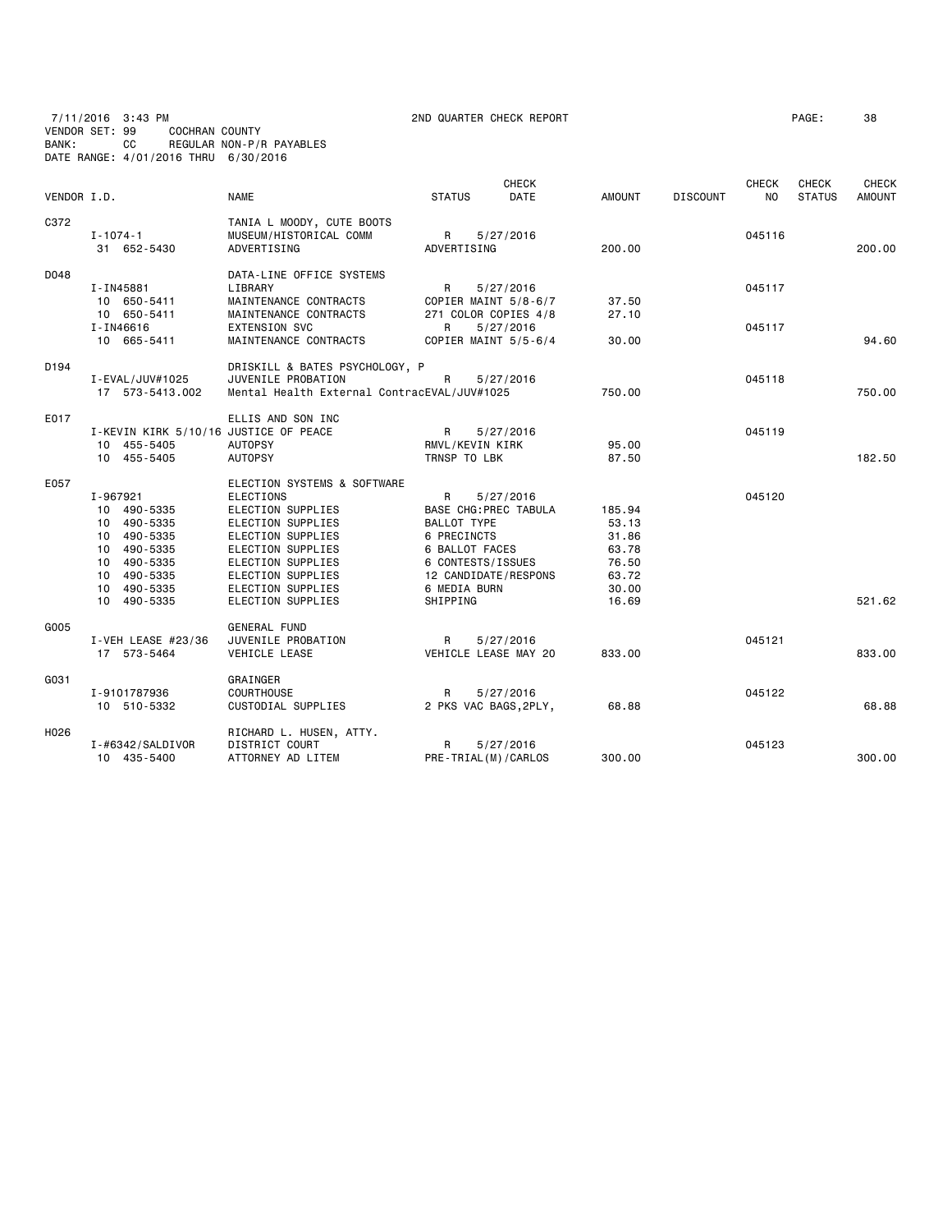7/11/2016 3:43 PM 2ND QUARTER CHECK REPORT PAGE: 38 VENDOR SET: 99 COCHRAN COUNTY BANK: CC REGULAR NON-P/R PAYABLES DATE RANGE: 4/01/2016 THRU 6/30/2016

| VENDOR I.D. |                                       | <b>NAME</b>                                                        | <b>STATUS</b>                | CHECK<br>DATE | <b>AMOUNT</b> | <b>DISCOUNT</b> | <b>CHECK</b><br>N <sub>O</sub> | <b>CHECK</b><br><b>STATUS</b> | <b>CHECK</b><br><b>AMOUNT</b> |
|-------------|---------------------------------------|--------------------------------------------------------------------|------------------------------|---------------|---------------|-----------------|--------------------------------|-------------------------------|-------------------------------|
| C372        | $I - 1074 - 1$<br>31 652-5430         | TANIA L MOODY, CUTE BOOTS<br>MUSEUM/HISTORICAL COMM<br>ADVERTISING | R<br>ADVERTISING             | 5/27/2016     | 200.00        |                 | 045116                         |                               | 200.00                        |
| D048        |                                       | DATA-LINE OFFICE SYSTEMS                                           |                              |               |               |                 |                                |                               |                               |
|             | I-IN45881                             | LIBRARY                                                            | R                            | 5/27/2016     |               |                 | 045117                         |                               |                               |
|             | 10 650-5411                           | MAINTENANCE CONTRACTS                                              | COPIER MAINT 5/8-6/7         |               | 37.50         |                 |                                |                               |                               |
|             | 10 650-5411                           | MAINTENANCE CONTRACTS                                              | 271 COLOR COPIES 4/8         |               | 27.10         |                 |                                |                               |                               |
|             | I-IN46616                             | <b>EXTENSION SVC</b>                                               | R                            | 5/27/2016     |               |                 | 045117                         |                               |                               |
|             | 10 665-5411                           | MAINTENANCE CONTRACTS                                              | COPIER MAINT 5/5-6/4         |               | 30.00         |                 |                                |                               | 94.60                         |
| D194        |                                       | DRISKILL & BATES PSYCHOLOGY, P                                     |                              |               |               |                 |                                |                               |                               |
|             | I-EVAL/JUV#1025                       | JUVENILE PROBATION                                                 | R                            | 5/27/2016     |               |                 | 045118                         |                               |                               |
|             | 17 573-5413.002                       | Mental Health External ContracEVAL/JUV#1025                        |                              |               | 750.00        |                 |                                |                               | 750.00                        |
| E017        |                                       | ELLIS AND SON INC                                                  |                              |               |               |                 |                                |                               |                               |
|             | I-KEVIN KIRK 5/10/16 JUSTICE OF PEACE |                                                                    | R                            | 5/27/2016     |               |                 | 045119                         |                               |                               |
|             | 10 455-5405                           | <b>AUTOPSY</b>                                                     | RMVL/KEVIN KIRK              |               | 95.00         |                 |                                |                               |                               |
|             | 10 455-5405                           | <b>AUTOPSY</b>                                                     | TRNSP TO LBK                 |               | 87.50         |                 |                                |                               | 182.50                        |
| E057        |                                       | ELECTION SYSTEMS & SOFTWARE                                        |                              |               |               |                 |                                |                               |                               |
|             | I-967921                              | <b>ELECTIONS</b>                                                   | R                            | 5/27/2016     |               |                 | 045120                         |                               |                               |
|             | 10 490-5335                           | ELECTION SUPPLIES                                                  | <b>BASE CHG: PREC TABULA</b> |               | 185.94        |                 |                                |                               |                               |
|             | 10 490-5335                           | ELECTION SUPPLIES                                                  | BALLOT TYPE                  |               | 53.13         |                 |                                |                               |                               |
|             | 10 490-5335                           | ELECTION SUPPLIES                                                  | 6 PRECINCTS                  |               | 31.86         |                 |                                |                               |                               |
|             | 10 490-5335                           | ELECTION SUPPLIES                                                  | 6 BALLOT FACES               |               | 63.78         |                 |                                |                               |                               |
|             | 10 490-5335                           | ELECTION SUPPLIES                                                  | 6 CONTESTS/ISSUES            |               | 76.50         |                 |                                |                               |                               |
|             | 10 490-5335                           | ELECTION SUPPLIES                                                  | 12 CANDIDATE/RESPONS         |               | 63.72         |                 |                                |                               |                               |
|             | 10 490-5335                           | ELECTION SUPPLIES                                                  | 6 MEDIA BURN                 |               | 30.00         |                 |                                |                               |                               |
|             | 10 490-5335                           | ELECTION SUPPLIES                                                  | SHIPPING                     |               | 16.69         |                 |                                |                               | 521.62                        |
| G005        |                                       | GENERAL FUND                                                       |                              |               |               |                 |                                |                               |                               |
|             | I-VEH LEASE $#23/36$                  | JUVENILE PROBATION                                                 | R                            | 5/27/2016     |               |                 | 045121                         |                               |                               |
|             | 17 573-5464                           | VEHICLE LEASE                                                      | VEHICLE LEASE MAY 20         |               | 833.00        |                 |                                |                               | 833,00                        |
| G031        |                                       | GRAINGER                                                           |                              |               |               |                 |                                |                               |                               |
|             | I-9101787936                          | <b>COURTHOUSE</b>                                                  | R                            | 5/27/2016     |               |                 | 045122                         |                               |                               |
|             | 10 510-5332                           | CUSTODIAL SUPPLIES                                                 | 2 PKS VAC BAGS, 2PLY,        |               | 68.88         |                 |                                |                               | 68.88                         |
| H026        |                                       | RICHARD L. HUSEN, ATTY.                                            |                              |               |               |                 |                                |                               |                               |
|             | $I - #6342/SALDIVOR$                  | DISTRICT COURT                                                     | R                            | 5/27/2016     |               |                 | 045123                         |                               |                               |
|             | 10 435-5400                           | ATTORNEY AD LITEM                                                  | PRE-TRIAL(M)/CARLOS          |               | 300.00        |                 |                                |                               | 300.00                        |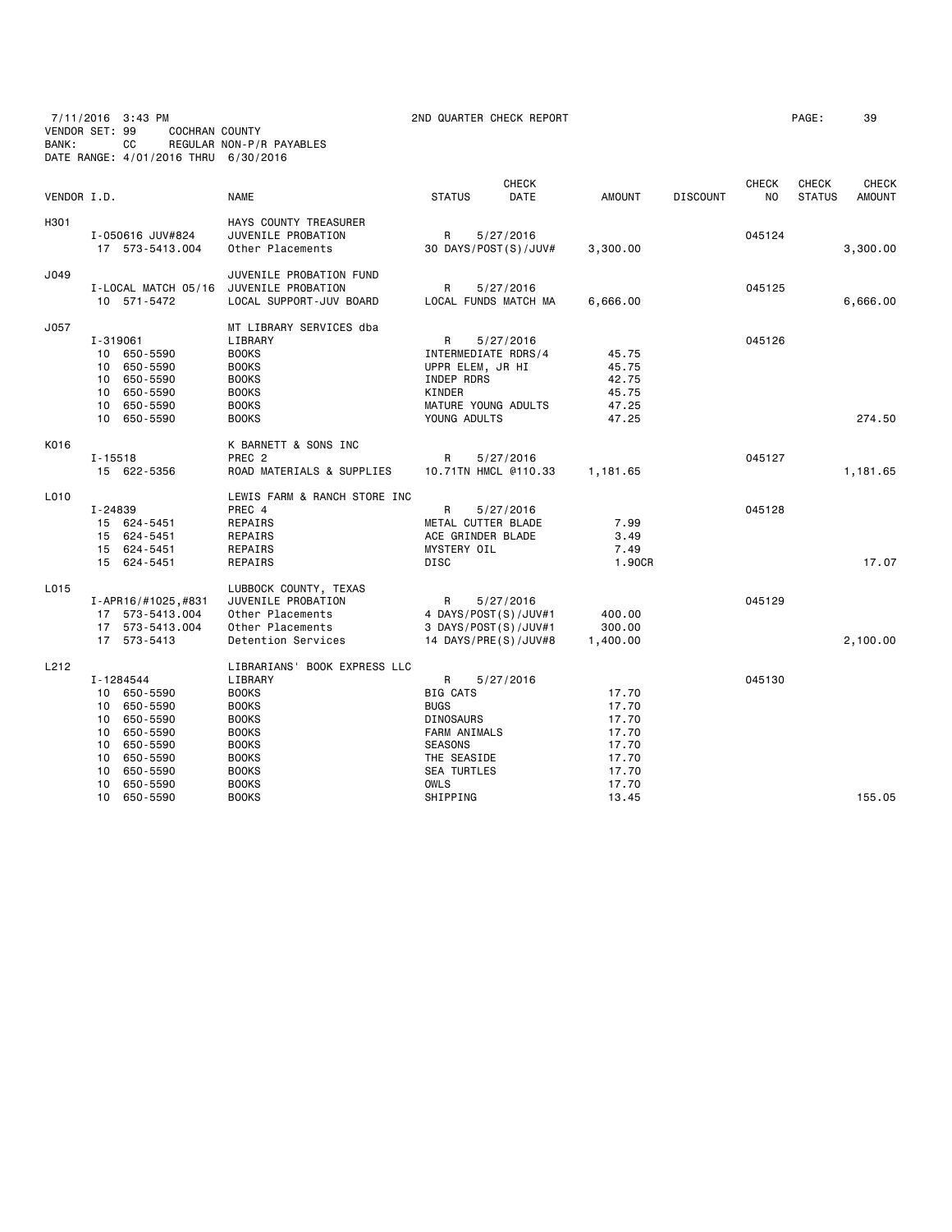7/11/2016 3:43 PM 2ND QUARTER CHECK REPORT PAGE: 39 VENDOR SET: 99 COCHRAN COUNTY BANK: CC REGULAR NON-P/R PAYABLES DATE RANGE: 4/01/2016 THRU 6/30/2016

| VENDOR I.D.                                                                                                                                                                  | <b>NAME</b>                                                                                                                                                                             | <b>CHECK</b><br><b>STATUS</b><br>DATE                                                                                                                                         | AMOUNT                                                                        | <b>DISCOUNT</b> | <b>CHECK</b><br>NO. | <b>CHECK</b><br><b>STATUS</b> | <b>CHECK</b><br><b>AMOUNT</b> |
|------------------------------------------------------------------------------------------------------------------------------------------------------------------------------|-----------------------------------------------------------------------------------------------------------------------------------------------------------------------------------------|-------------------------------------------------------------------------------------------------------------------------------------------------------------------------------|-------------------------------------------------------------------------------|-----------------|---------------------|-------------------------------|-------------------------------|
| I-050616 JUV#824<br>17 573-5413.004                                                                                                                                          | HAYS COUNTY TREASURER<br>JUVENILE PROBATION<br>Other Placements                                                                                                                         | R<br>5/27/2016<br>30 DAYS/POST(S)/JUV#                                                                                                                                        | 3,300.00                                                                      |                 | 045124              |                               | 3,300.00                      |
| 10 571-5472                                                                                                                                                                  | JUVENILE PROBATION FUND<br>LOCAL SUPPORT-JUV BOARD                                                                                                                                      | R<br>5/27/2016<br>LOCAL FUNDS MATCH MA                                                                                                                                        | 6,666.00                                                                      |                 | 045125              |                               | 6,666.00                      |
| I-319061<br>10 650-5590<br>10 650-5590<br>10 650-5590<br>10 650-5590<br>650-5590<br>10<br>10 650-5590                                                                        | MT LIBRARY SERVICES dba<br>LIBRARY<br><b>BOOKS</b><br><b>BOOKS</b><br><b>BOOKS</b><br><b>BOOKS</b><br><b>BOOKS</b><br><b>BOOKS</b>                                                      | R<br>5/27/2016<br>INTERMEDIATE RDRS/4<br>UPPR ELEM, JR HI<br>INDEP RDRS<br>KINDER<br>MATURE YOUNG ADULTS<br>YOUNG ADULTS                                                      | 45.75<br>45.75<br>42.75<br>45.75<br>47.25<br>47.25                            |                 | 045126              |                               | 274.50                        |
| I-15518<br>15 622-5356                                                                                                                                                       | K BARNETT & SONS INC<br>PREC <sub>2</sub><br>ROAD MATERIALS & SUPPLIES                                                                                                                  | R<br>5/27/2016<br>10.71TN HMCL @110.33                                                                                                                                        | 1,181.65                                                                      |                 | 045127              |                               | 1,181.65                      |
| I-24839<br>15 624-5451<br>15 624-5451<br>15 624-5451<br>15 624-5451                                                                                                          | LEWIS FARM & RANCH STORE INC<br>PREC 4<br>REPAIRS<br>REPAIRS<br>REPAIRS<br>REPAIRS                                                                                                      | R<br>5/27/2016<br>METAL CUTTER BLADE<br>ACE GRINDER BLADE<br>MYSTERY OIL<br><b>DISC</b>                                                                                       | 7.99<br>3.49<br>7.49<br>1.90CR                                                |                 | 045128              |                               | 17.07                         |
| I-APR16/#1025,#831<br>17 573-5413.004<br>17 573-5413.004<br>17 573-5413                                                                                                      | LUBBOCK COUNTY, TEXAS<br>JUVENILE PROBATION<br>Other Placements<br>Other Placements<br>Detention Services                                                                               | R<br>5/27/2016<br>4 DAYS/POST(S)/JUV#1<br>3 DAYS/POST(S)/JUV#1<br>14 DAYS/PRE(S)/JUV#8                                                                                        | 400.00<br>300.00<br>1,400.00                                                  |                 | 045129              |                               | 2,100.00                      |
| I-1284544<br>10 650-5590<br>10 650-5590<br>10 650-5590<br>10<br>650-5590<br>10 650-5590<br>10<br>650-5590<br>10<br>650-5590<br>10 <sup>1</sup><br>650-5590<br>10<br>650-5590 | LIBRARIANS' BOOK EXPRESS LLC<br>LIBRARY<br><b>BOOKS</b><br><b>BOOKS</b><br><b>BOOKS</b><br><b>BOOKS</b><br><b>BOOKS</b><br><b>BOOKS</b><br><b>BOOKS</b><br><b>BOOKS</b><br><b>BOOKS</b> | R<br>5/27/2016<br><b>BIG CATS</b><br><b>BUGS</b><br><b>DINOSAURS</b><br><b>FARM ANIMALS</b><br><b>SEASONS</b><br>THE SEASIDE<br><b>SEA TURTLES</b><br><b>OWLS</b><br>SHIPPING | 17.70<br>17.70<br>17.70<br>17.70<br>17.70<br>17.70<br>17.70<br>17.70<br>13.45 |                 | 045130              |                               | 155.05                        |
|                                                                                                                                                                              |                                                                                                                                                                                         | I-LOCAL MATCH 05/16 JUVENILE PROBATION                                                                                                                                        |                                                                               |                 |                     |                               |                               |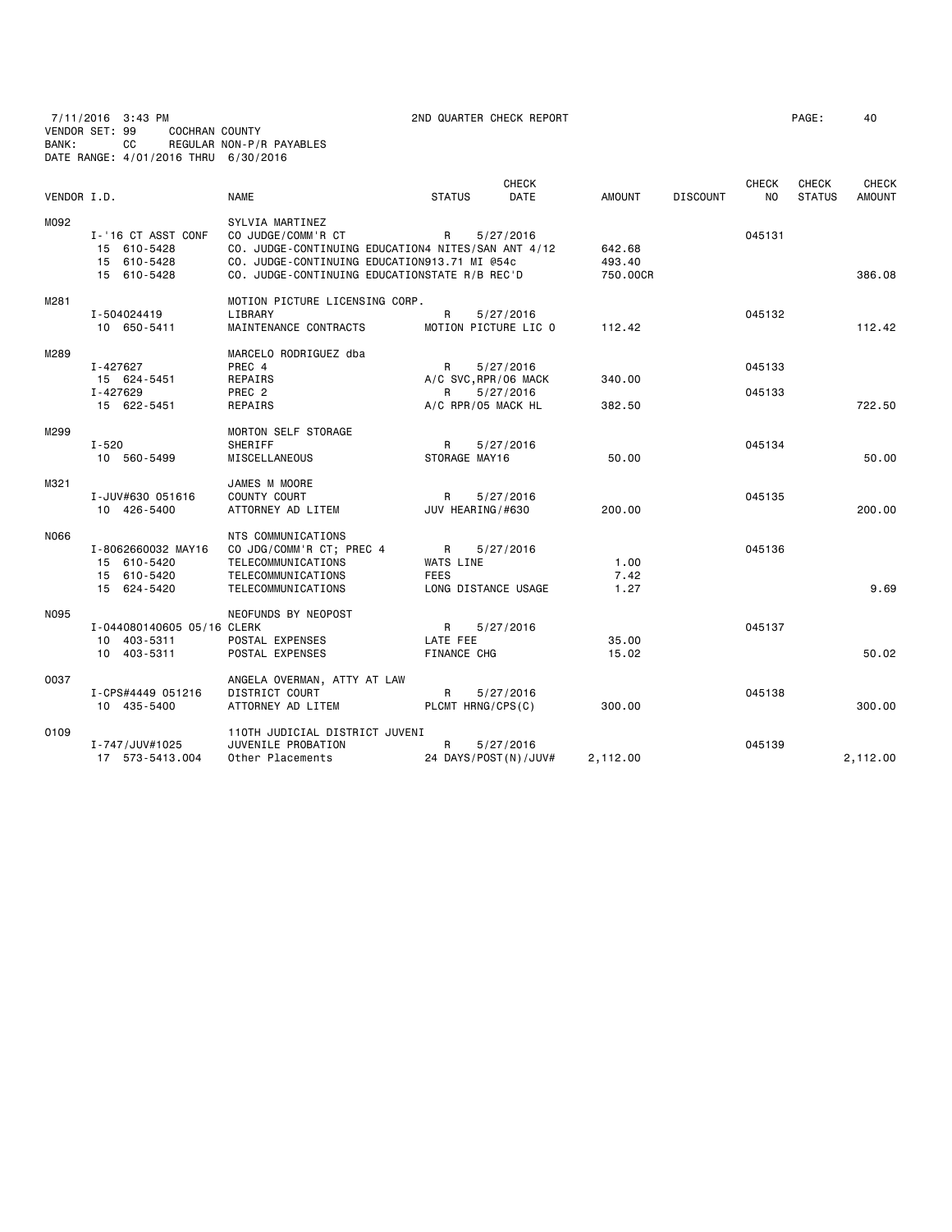7/11/2016 3:43 PM 2ND QUARTER CHECK REPORT PAGE: 40 VENDOR SET: 99 COCHRAN COUNTY BANK: CC REGULAR NON-P/R PAYABLES DATE RANGE: 4/01/2016 THRU 6/30/2016

| VENDOR I.D. |                                                                 | <b>NAME</b>                                                                                                                                                                                  | <b>STATUS</b>                                                          | <b>CHECK</b><br><b>DATE</b> | <b>AMOUNT</b>                | <b>DISCOUNT</b> | <b>CHECK</b><br>NO. | <b>CHECK</b><br><b>STATUS</b> | <b>CHECK</b><br><b>AMOUNT</b> |
|-------------|-----------------------------------------------------------------|----------------------------------------------------------------------------------------------------------------------------------------------------------------------------------------------|------------------------------------------------------------------------|-----------------------------|------------------------------|-----------------|---------------------|-------------------------------|-------------------------------|
|             |                                                                 |                                                                                                                                                                                              |                                                                        |                             |                              |                 |                     |                               |                               |
| M092        | I-'16 CT ASST CONF<br>15 610-5428<br>15 610-5428<br>15 610-5428 | SYLVIA MARTINEZ<br>CO JUDGE/COMM'R CT<br>CO. JUDGE-CONTINUING EDUCATION4 NITES/SAN ANT 4/12<br>CO. JUDGE-CONTINUING EDUCATION913.71 MI @54c<br>CO. JUDGE-CONTINUING EDUCATIONSTATE R/B REC'D | R                                                                      | 5/27/2016                   | 642.68<br>493.40<br>750.00CR |                 | 045131              |                               | 386.08                        |
| M281        | I-504024419<br>10 650-5411                                      | MOTION PICTURE LICENSING CORP.<br>LIBRARY<br>MAINTENANCE CONTRACTS                                                                                                                           | R<br>MOTION PICTURE LIC O                                              | 5/27/2016                   | 112.42                       |                 | 045132              |                               | 112.42                        |
| M289        | I-427627<br>15 624-5451<br>I-427629<br>15 622-5451              | MARCELO RODRIGUEZ dba<br>PREC 4<br>REPAIRS<br>PREC 2<br>REPAIRS                                                                                                                              | R<br>A/C SVC, RPR/06 MACK<br>R<br>A/C RPR/05 MACK HL                   | 5/27/2016<br>5/27/2016      | 340.00<br>382.50             |                 | 045133<br>045133    |                               | 722.50                        |
| M299        | I-520<br>10 560-5499                                            | MORTON SELF STORAGE<br>SHERIFF<br>MISCELLANEOUS                                                                                                                                              | R<br>STORAGE MAY16                                                     | 5/27/2016                   | 50.00                        |                 | 045134              |                               | 50.00                         |
| M321        | I-JUV#630 051616<br>10 426-5400                                 | JAMES M MOORE<br>COUNTY COURT<br>ATTORNEY AD LITEM                                                                                                                                           | R<br>JUV HEARING/#630                                                  | 5/27/2016                   | 200.00                       |                 | 045135              |                               | 200,00                        |
| N066        | I-8062660032 MAY16<br>15 610-5420<br>15 610-5420<br>15 624-5420 | NTS COMMUNICATIONS<br>CO JDG/COMM'R CT; PREC 4<br>TELECOMMUNICATIONS<br>TELECOMMUNICATIONS<br>TELECOMMUNICATIONS                                                                             | $\mathsf{R}$<br><b>WATS LINE</b><br><b>FEES</b><br>LONG DISTANCE USAGE | 5/27/2016                   | 1.00<br>7.42<br>1.27         |                 | 045136              |                               | 9.69                          |
| N095        | I-044080140605 05/16 CLERK<br>10 403-5311<br>10 403-5311        | NEOFUNDS BY NEOPOST<br>POSTAL EXPENSES<br>POSTAL EXPENSES                                                                                                                                    | $\mathsf{R}$<br>LATE FEE<br><b>FINANCE CHG</b>                         | 5/27/2016                   | 35.00<br>15.02               |                 | 045137              |                               | 50.02                         |
| 0037        | I-CPS#4449 051216<br>10 435-5400                                | ANGELA OVERMAN, ATTY AT LAW<br>DISTRICT COURT<br>ATTORNEY AD LITEM                                                                                                                           | R<br>PLCMT HRNG/CPS(C)                                                 | 5/27/2016                   | 300.00                       |                 | 045138              |                               | 300.00                        |
| 0109        | I-747/JUV#1025<br>17 573-5413.004                               | 110TH JUDICIAL DISTRICT JUVENI<br>JUVENILE PROBATION<br>Other Placements                                                                                                                     | R<br>24 DAYS/POST(N)/JUV#                                              | 5/27/2016                   | 2,112.00                     |                 | 045139              |                               | 2,112.00                      |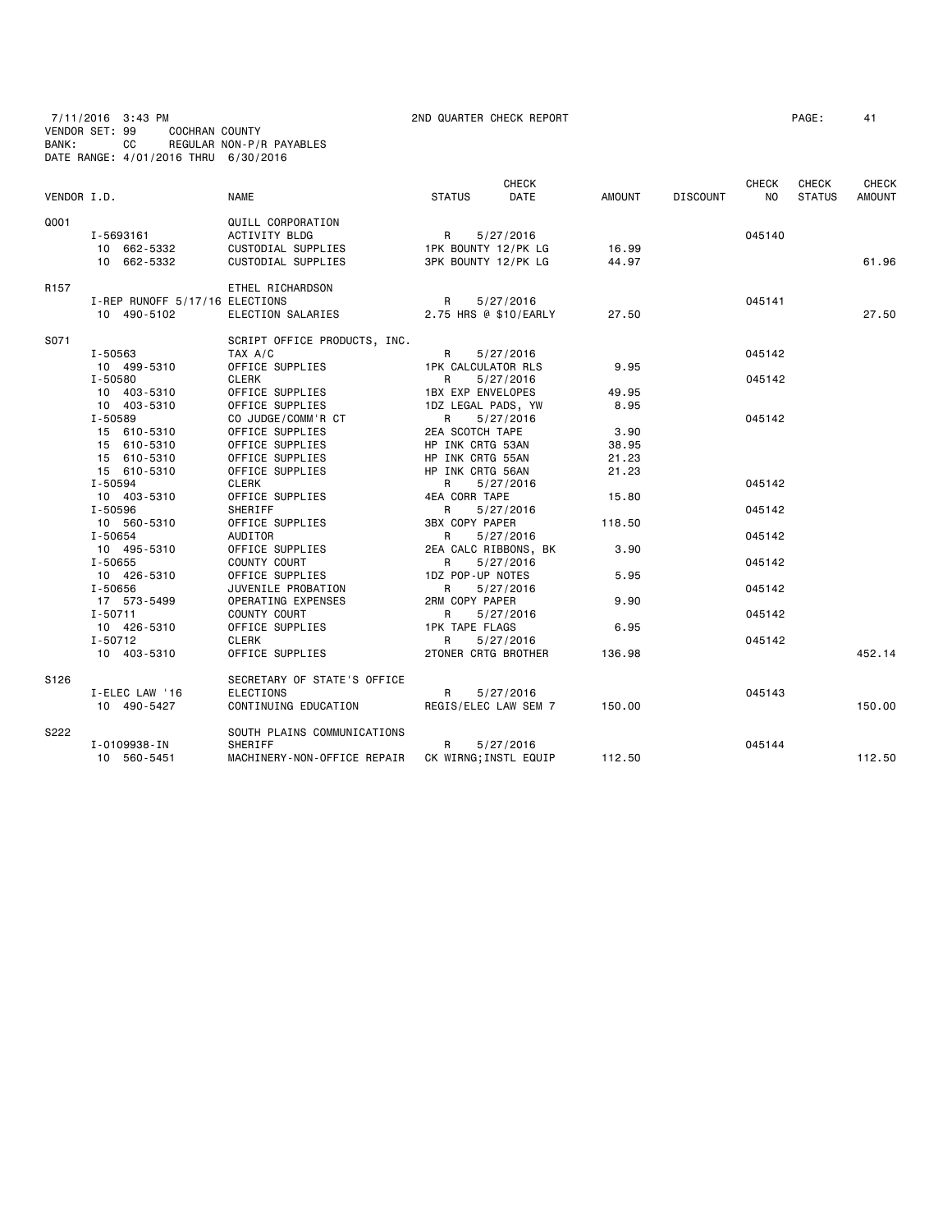| 7/11/2016 3:43 PM |                                      |                          |
|-------------------|--------------------------------------|--------------------------|
| VENDOR SET: 99    | COCHRAN COUNTY                       |                          |
| BANK:             | CC.                                  | REGULAR NON-P/R PAYABLES |
|                   | DATE RANGE: 4/01/2016 THRU 6/30/2016 |                          |

2ND QUARTER CHECK REPORT **PAGE:** 41

| VENDOR I.D.      |                                | <b>NAME</b>                  | <b>STATUS</b>              | <b>CHECK</b><br><b>DATE</b> | AMOUNT | <b>DISCOUNT</b> | <b>CHECK</b><br>N <sub>O</sub> | <b>CHECK</b><br><b>STATUS</b> | <b>CHECK</b><br><b>AMOUNT</b> |
|------------------|--------------------------------|------------------------------|----------------------------|-----------------------------|--------|-----------------|--------------------------------|-------------------------------|-------------------------------|
| Q001             |                                | QUILL CORPORATION            |                            |                             |        |                 |                                |                               |                               |
|                  | I-5693161                      | ACTIVITY BLDG                | R                          | 5/27/2016                   |        |                 | 045140                         |                               |                               |
|                  | 10 662-5332                    | CUSTODIAL SUPPLIES           | 1PK BOUNTY 12/PK LG        |                             | 16.99  |                 |                                |                               |                               |
|                  | 10 662-5332                    | CUSTODIAL SUPPLIES           | 3PK BOUNTY 12/PK LG        |                             | 44.97  |                 |                                |                               | 61.96                         |
| R <sub>157</sub> |                                | ETHEL RICHARDSON             |                            |                             |        |                 |                                |                               |                               |
|                  | I-REP RUNOFF 5/17/16 ELECTIONS |                              | R                          | 5/27/2016                   |        |                 | 045141                         |                               |                               |
|                  | 10 490-5102                    | ELECTION SALARIES            | 2.75 HRS @ \$10/EARLY      |                             | 27.50  |                 |                                |                               | 27.50                         |
| S071             |                                | SCRIPT OFFICE PRODUCTS, INC. |                            |                             |        |                 |                                |                               |                               |
|                  | I-50563                        | TAX A/C                      | R                          | 5/27/2016                   |        |                 | 045142                         |                               |                               |
|                  | 10 499-5310                    | OFFICE SUPPLIES              | <b>1PK CALCULATOR RLS</b>  |                             | 9.95   |                 |                                |                               |                               |
|                  | I-50580                        | CLERK                        | R                          | 5/27/2016                   |        |                 | 045142                         |                               |                               |
|                  | 10 403-5310                    | OFFICE SUPPLIES              | <b>1BX EXP ENVELOPES</b>   |                             | 49.95  |                 |                                |                               |                               |
|                  | 10 403-5310                    | OFFICE SUPPLIES              | 1DZ LEGAL PADS, YW         |                             | 8.95   |                 |                                |                               |                               |
|                  | I-50589                        | CO JUDGE/COMM'R CT           | R                          | 5/27/2016                   |        |                 | 045142                         |                               |                               |
|                  | 15 610-5310                    | OFFICE SUPPLIES              | 2EA SCOTCH TAPE            |                             | 3.90   |                 |                                |                               |                               |
|                  | 15 610-5310                    | OFFICE SUPPLIES              | HP INK CRTG 53AN           |                             | 38.95  |                 |                                |                               |                               |
|                  | 15 610-5310                    | OFFICE SUPPLIES              | HP INK CRTG 55AN           |                             | 21.23  |                 |                                |                               |                               |
|                  | 15 610-5310                    | OFFICE SUPPLIES              | HP INK CRTG 56AN           |                             | 21.23  |                 |                                |                               |                               |
|                  | I-50594                        | CLERK                        | R                          | 5/27/2016                   |        |                 | 045142                         |                               |                               |
|                  | 10 403-5310                    | OFFICE SUPPLIES              | 4EA CORR TAPE              |                             | 15.80  |                 |                                |                               |                               |
|                  | I-50596                        | SHERIFF                      | R                          | 5/27/2016                   |        |                 | 045142                         |                               |                               |
|                  | 10 560-5310                    | OFFICE SUPPLIES              | <b>3BX COPY PAPER</b>      |                             | 118.50 |                 |                                |                               |                               |
|                  | I-50654                        | AUDITOR                      | R                          | 5/27/2016                   |        |                 | 045142                         |                               |                               |
|                  | 10 495-5310                    | OFFICE SUPPLIES              | 2EA CALC RIBBONS, BK       |                             | 3.90   |                 |                                |                               |                               |
|                  | I-50655                        | COUNTY COURT                 | R                          | 5/27/2016                   |        |                 | 045142                         |                               |                               |
|                  | 10 426-5310                    | OFFICE SUPPLIES              | 1DZ POP-UP NOTES           |                             | 5.95   |                 |                                |                               |                               |
|                  | I-50656                        | JUVENILE PROBATION           | R                          | 5/27/2016                   |        |                 | 045142                         |                               |                               |
|                  | 17 573-5499                    | OPERATING EXPENSES           | 2RM COPY PAPER             |                             | 9.90   |                 |                                |                               |                               |
|                  | $I - 50711$                    | COUNTY COURT                 | R.                         | 5/27/2016                   |        |                 | 045142                         |                               |                               |
|                  | 10 426-5310                    | OFFICE SUPPLIES              | <b>1PK TAPE FLAGS</b>      |                             | 6.95   |                 |                                |                               |                               |
|                  | $I - 50712$                    | <b>CLERK</b>                 | R                          | 5/27/2016                   |        |                 | 045142                         |                               |                               |
|                  | 10 403-5310                    | OFFICE SUPPLIES              | <b>2TONER CRTG BROTHER</b> |                             | 136.98 |                 |                                |                               | 452.14                        |
| S <sub>126</sub> |                                | SECRETARY OF STATE'S OFFICE  |                            |                             |        |                 |                                |                               |                               |
|                  | I-ELEC LAW '16                 | <b>ELECTIONS</b>             | R                          | 5/27/2016                   |        |                 | 045143                         |                               |                               |
|                  | 10 490-5427                    | CONTINUING EDUCATION         | REGIS/ELEC LAW SEM 7       |                             | 150.00 |                 |                                |                               | 150.00                        |
| S222             |                                | SOUTH PLAINS COMMUNICATIONS  |                            |                             |        |                 |                                |                               |                               |
|                  | I-0109938-IN                   | SHERIFF                      | R                          | 5/27/2016                   |        |                 | 045144                         |                               |                               |
|                  | 10 560-5451                    | MACHINERY-NON-OFFICE REPAIR  | CK WIRNG; INSTL EQUIP      |                             | 112.50 |                 |                                |                               | 112.50                        |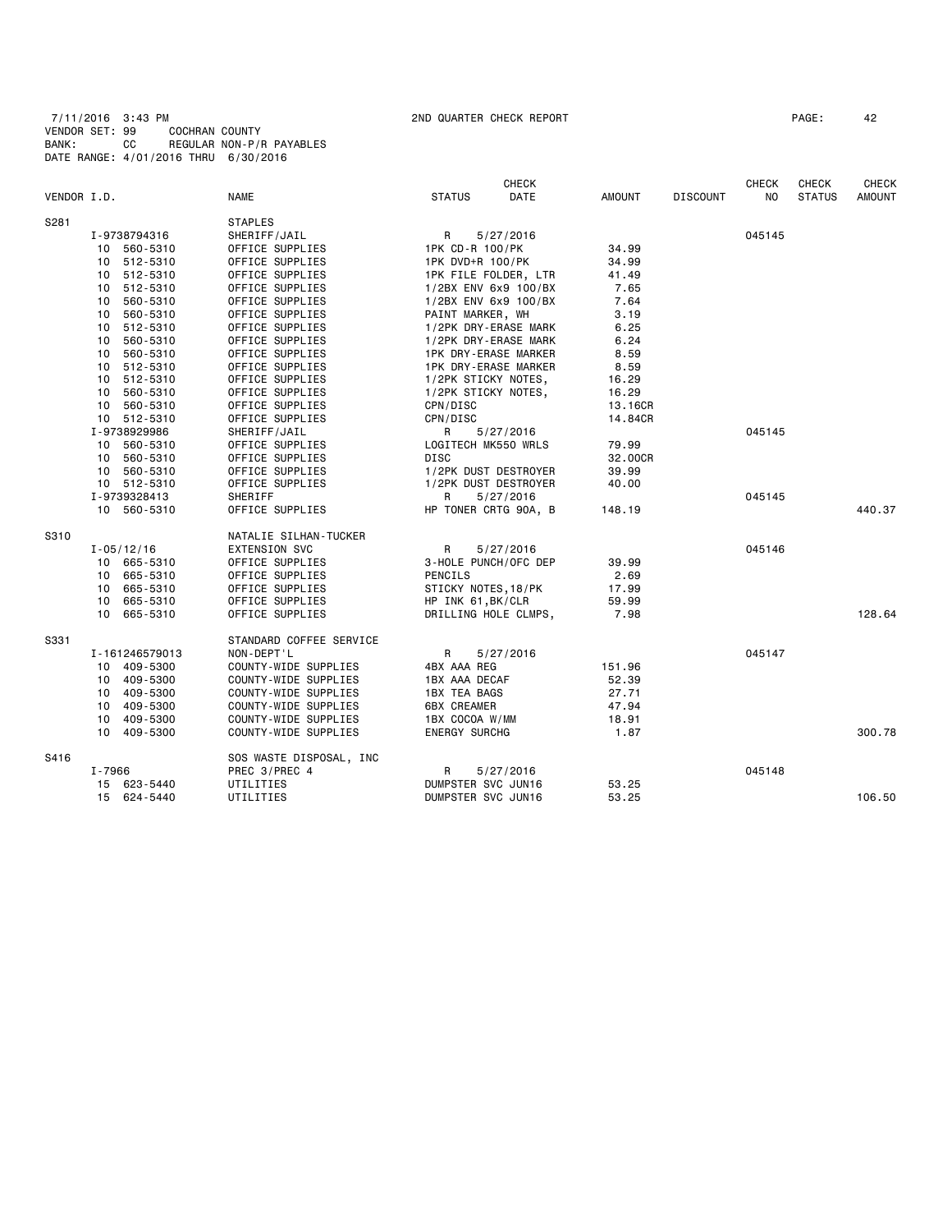|             |        |                |                         |                      | <b>CHECK</b>                |               |                 | <b>CHECK</b> | <b>CHECK</b>  | <b>CHECK</b>  |
|-------------|--------|----------------|-------------------------|----------------------|-----------------------------|---------------|-----------------|--------------|---------------|---------------|
| VENDOR I.D. |        |                | <b>NAME</b>             | <b>STATUS</b>        | DATE                        | <b>AMOUNT</b> | <b>DISCOUNT</b> | NO           | <b>STATUS</b> | <b>AMOUNT</b> |
| S281        |        |                | <b>STAPLES</b>          |                      |                             |               |                 |              |               |               |
|             |        | I-9738794316   | SHERIFF/JAIL            | R                    | 5/27/2016                   |               |                 | 045145       |               |               |
|             |        | 10 560-5310    | OFFICE SUPPLIES         | 1PK CD-R 100/PK      |                             | 34.99         |                 |              |               |               |
|             |        | 10 512-5310    | OFFICE SUPPLIES         | 1PK DVD+R 100/PK     |                             | 34.99         |                 |              |               |               |
|             |        | 10 512-5310    | OFFICE SUPPLIES         |                      | 1PK FILE FOLDER, LTR        | 41.49         |                 |              |               |               |
|             |        | 10 512-5310    | OFFICE SUPPLIES         |                      | 1/2BX ENV 6x9 100/BX        | 7.65          |                 |              |               |               |
|             |        | 10 560-5310    | OFFICE SUPPLIES         |                      | 1/2BX ENV 6x9 100/BX        | 7.64          |                 |              |               |               |
|             | 10     | 560-5310       | OFFICE SUPPLIES         | PAINT MARKER, WH     |                             | 3.19          |                 |              |               |               |
|             |        | 10 512-5310    | OFFICE SUPPLIES         |                      | 1/2PK DRY-ERASE MARK        | 6.25          |                 |              |               |               |
|             | 10     | 560-5310       | OFFICE SUPPLIES         |                      | 1/2PK DRY-ERASE MARK        | 6.24          |                 |              |               |               |
|             |        | 10 560-5310    | OFFICE SUPPLIES         |                      | <b>1PK DRY-ERASE MARKER</b> | 8.59          |                 |              |               |               |
|             |        | 10 512-5310    | OFFICE SUPPLIES         |                      | <b>1PK DRY-ERASE MARKER</b> | 8.59          |                 |              |               |               |
|             |        | 10 512-5310    | OFFICE SUPPLIES         | 1/2PK STICKY NOTES,  |                             | 16.29         |                 |              |               |               |
|             |        | 10 560-5310    | OFFICE SUPPLIES         | 1/2PK STICKY NOTES,  |                             | 16.29         |                 |              |               |               |
|             |        | 10 560-5310    | OFFICE SUPPLIES         | CPN/DISC             |                             | 13.16CR       |                 |              |               |               |
|             |        | 10 512-5310    | OFFICE SUPPLIES         | CPN/DISC             |                             | 14.84CR       |                 |              |               |               |
|             |        | I-9738929986   | SHERIFF/JAIL            | R                    | 5/27/2016                   |               |                 | 045145       |               |               |
|             |        | 10 560-5310    | OFFICE SUPPLIES         | LOGITECH MK550 WRLS  |                             | 79.99         |                 |              |               |               |
|             |        | 10 560-5310    | OFFICE SUPPLIES         | DISC                 |                             | 32.00CR       |                 |              |               |               |
|             |        | 10 560-5310    | OFFICE SUPPLIES         |                      | 1/2PK DUST DESTROYER        | 39.99         |                 |              |               |               |
|             |        | 10 512-5310    | OFFICE SUPPLIES         |                      | 1/2PK DUST DESTROYER        | 40.00         |                 |              |               |               |
|             |        | I-9739328413   | SHERIFF                 | R                    | 5/27/2016                   |               |                 | 045145       |               |               |
|             |        | 10 560-5310    | OFFICE SUPPLIES         |                      | HP TONER CRTG 90A, B        | 148.19        |                 |              |               | 440.37        |
| S310        |        |                | NATALIE SILHAN-TUCKER   |                      |                             |               |                 |              |               |               |
|             |        | $I - 05/12/16$ | <b>EXTENSION SVC</b>    | R                    | 5/27/2016                   |               |                 | 045146       |               |               |
|             |        | 10 665-5310    | OFFICE SUPPLIES         |                      | 3-HOLE PUNCH/OFC DEP        | 39.99         |                 |              |               |               |
|             |        | 10 665-5310    | OFFICE SUPPLIES         | PENCILS              |                             | 2.69          |                 |              |               |               |
|             | 10     | 665-5310       | OFFICE SUPPLIES         | STICKY NOTES, 18/PK  |                             | 17.99         |                 |              |               |               |
|             |        | 10 665-5310    | OFFICE SUPPLIES         | HP INK 61, BK/CLR    |                             | 59.99         |                 |              |               |               |
|             |        | 10 665-5310    | OFFICE SUPPLIES         |                      | DRILLING HOLE CLMPS,        | 7.98          |                 |              |               | 128.64        |
| S331        |        |                | STANDARD COFFEE SERVICE |                      |                             |               |                 |              |               |               |
|             |        | I-161246579013 | NON-DEPT'L              | R                    | 5/27/2016                   |               |                 | 045147       |               |               |
|             |        | 10 409-5300    | COUNTY-WIDE SUPPLIES    | 4BX AAA REG          |                             | 151.96        |                 |              |               |               |
|             |        | 10 409-5300    | COUNTY-WIDE SUPPLIES    | 1BX AAA DECAF        |                             | 52.39         |                 |              |               |               |
|             |        | 10 409-5300    | COUNTY-WIDE SUPPLIES    | 1BX TEA BAGS         |                             | 27.71         |                 |              |               |               |
|             |        | 10 409-5300    | COUNTY-WIDE SUPPLIES    | <b>6BX CREAMER</b>   |                             | 47.94         |                 |              |               |               |
|             |        | 10 409-5300    | COUNTY-WIDE SUPPLIES    | 1BX COCOA W/MM       |                             | 18.91         |                 |              |               |               |
|             |        |                |                         |                      |                             |               |                 |              |               | 300.78        |
|             |        | 10 409-5300    | COUNTY-WIDE SUPPLIES    | <b>ENERGY SURCHG</b> |                             | 1.87          |                 |              |               |               |
| S416        |        |                | SOS WASTE DISPOSAL, INC |                      |                             |               |                 |              |               |               |
|             | I-7966 |                | PREC 3/PREC 4           | R                    | 5/27/2016                   |               |                 | 045148       |               |               |
|             |        | 15 623-5440    | UTILITIES               | DUMPSTER SVC JUN16   |                             | 53.25         |                 |              |               |               |
|             |        | 15 624-5440    | UTILITIES               | DUMPSTER SVC JUN16   |                             | 53.25         |                 |              |               | 106.50        |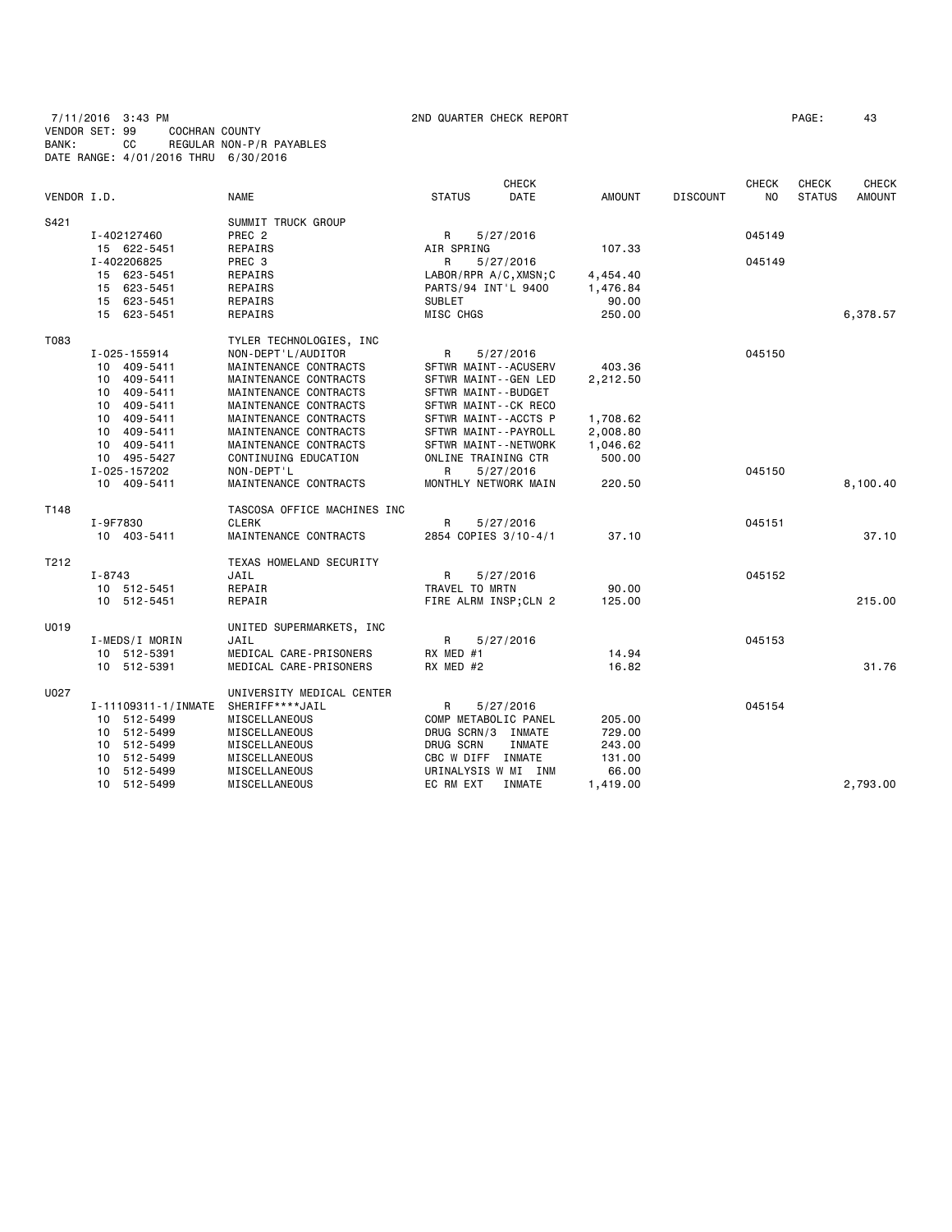7/11/2016 3:43 PM 2ND QUARTER CHECK REPORT PAGE: 43 VENDOR SET: 99 COCHRAN COUNTY BANK: CC REGULAR NON-P/R PAYABLES DATE RANGE: 4/01/2016 THRU 6/30/2016

|             |                     |                             |                     | <b>CHECK</b>            |               |                 | <b>CHECK</b> | <b>CHECK</b>  | <b>CHECK</b>  |
|-------------|---------------------|-----------------------------|---------------------|-------------------------|---------------|-----------------|--------------|---------------|---------------|
| VENDOR I.D. |                     | <b>NAME</b>                 | <b>STATUS</b>       | DATE                    | <b>AMOUNT</b> | <b>DISCOUNT</b> | NO.          | <b>STATUS</b> | <b>AMOUNT</b> |
| S421        |                     | SUMMIT TRUCK GROUP          |                     |                         |               |                 |              |               |               |
|             | I-402127460         | PREC <sub>2</sub>           | R                   | 5/27/2016               |               |                 | 045149       |               |               |
|             | 15 622-5451         | REPAIRS                     | AIR SPRING          |                         | 107.33        |                 |              |               |               |
|             | I-402206825         | PREC 3                      | R                   | 5/27/2016               |               |                 | 045149       |               |               |
|             | 15 623-5451         | REPAIRS                     |                     | LABOR/RPR A/C, XMSN; C  | 4,454.40      |                 |              |               |               |
|             | 15 623-5451         | REPAIRS                     | PARTS/94 INT'L 9400 |                         | 1,476.84      |                 |              |               |               |
|             | 15 623-5451         | REPAIRS                     | SUBLET              |                         | 90.00         |                 |              |               |               |
|             | 15 623-5451         | REPAIRS                     | MISC CHGS           |                         | 250.00        |                 |              |               | 6,378.57      |
| T083        |                     | TYLER TECHNOLOGIES, INC     |                     |                         |               |                 |              |               |               |
|             | I-025-155914        | NON-DEPT'L/AUDITOR          | R                   | 5/27/2016               |               |                 | 045150       |               |               |
|             | 10 409-5411         | MAINTENANCE CONTRACTS       |                     | SFTWR MAINT - - ACUSERV | 403.36        |                 |              |               |               |
|             | 10 409-5411         | MAINTENANCE CONTRACTS       |                     | SFTWR MAINT--GEN LED    | 2,212.50      |                 |              |               |               |
|             | 10 409-5411         | MAINTENANCE CONTRACTS       | SFTWR MAINT--BUDGET |                         |               |                 |              |               |               |
|             | 409-5411<br>10      | MAINTENANCE CONTRACTS       |                     | SFTWR MAINT--CK RECO    |               |                 |              |               |               |
|             | 10 409-5411         | MAINTENANCE CONTRACTS       |                     | SFTWR MAINT--ACCTS P    | 1,708.62      |                 |              |               |               |
|             | 10 409-5411         | MAINTENANCE CONTRACTS       |                     | SFTWR MAINT--PAYROLL    | 2,008.80      |                 |              |               |               |
|             | 10 409-5411         | MAINTENANCE CONTRACTS       |                     | SFTWR MAINT--NETWORK    | 1,046.62      |                 |              |               |               |
|             | 10 495-5427         | CONTINUING EDUCATION        | ONLINE TRAINING CTR |                         | 500.00        |                 |              |               |               |
|             | I-025-157202        | NON-DEPT'L                  | R                   | 5/27/2016               |               |                 | 045150       |               |               |
|             | 10 409-5411         | MAINTENANCE CONTRACTS       |                     | MONTHLY NETWORK MAIN    | 220.50        |                 |              |               | 8,100.40      |
| T148        |                     | TASCOSA OFFICE MACHINES INC |                     |                         |               |                 |              |               |               |
|             | I-9F7830            | <b>CLERK</b>                | R                   | 5/27/2016               |               |                 | 045151       |               |               |
|             | 10 403-5411         | MAINTENANCE CONTRACTS       |                     | 2854 COPIES 3/10-4/1    | 37.10         |                 |              |               | 37.10         |
| T212        |                     | TEXAS HOMELAND SECURITY     |                     |                         |               |                 |              |               |               |
|             | $I - 8743$          | JAIL                        | R                   | 5/27/2016               |               |                 | 045152       |               |               |
|             | 10 512-5451         | REPAIR                      | TRAVEL TO MRTN      |                         | 90.00         |                 |              |               |               |
|             | 10 512-5451         | REPAIR                      |                     | FIRE ALRM INSP; CLN 2   | 125.00        |                 |              |               | 215.00        |
| U019        |                     | UNITED SUPERMARKETS, INC    |                     |                         |               |                 |              |               |               |
|             | I-MEDS/I MORIN      | JAIL                        | R                   | 5/27/2016               |               |                 | 045153       |               |               |
|             | 10 512-5391         | MEDICAL CARE-PRISONERS      | RX MED #1           |                         | 14.94         |                 |              |               |               |
|             | 10 512-5391         | MEDICAL CARE-PRISONERS      | RX MED #2           |                         | 16.82         |                 |              |               | 31.76         |
| U027        |                     | UNIVERSITY MEDICAL CENTER   |                     |                         |               |                 |              |               |               |
|             | I-11109311-1/INMATE | SHERIFF****JAIL             | R                   | 5/27/2016               |               |                 | 045154       |               |               |
|             | 10 512-5499         | MISCELLANEOUS               |                     | COMP METABOLIC PANEL    | 205.00        |                 |              |               |               |
|             | 10 512-5499         | MISCELLANEOUS               | DRUG SCRN/3 INMATE  |                         | 729.00        |                 |              |               |               |
|             | 10 512-5499         | MISCELLANEOUS               | DRUG SCRN           | INMATE                  | 243.00        |                 |              |               |               |
|             | 10 512-5499         | MISCELLANEOUS               | CBC W DIFF INMATE   |                         | 131.00        |                 |              |               |               |
|             | 10 512-5499         | MISCELLANEOUS               |                     | URINALYSIS W MI INM     | 66.00         |                 |              |               |               |
|             | 10 512-5499         | MISCELLANEOUS               | EC RM EXT           | INMATE                  | 1,419.00      |                 |              |               | 2,793.00      |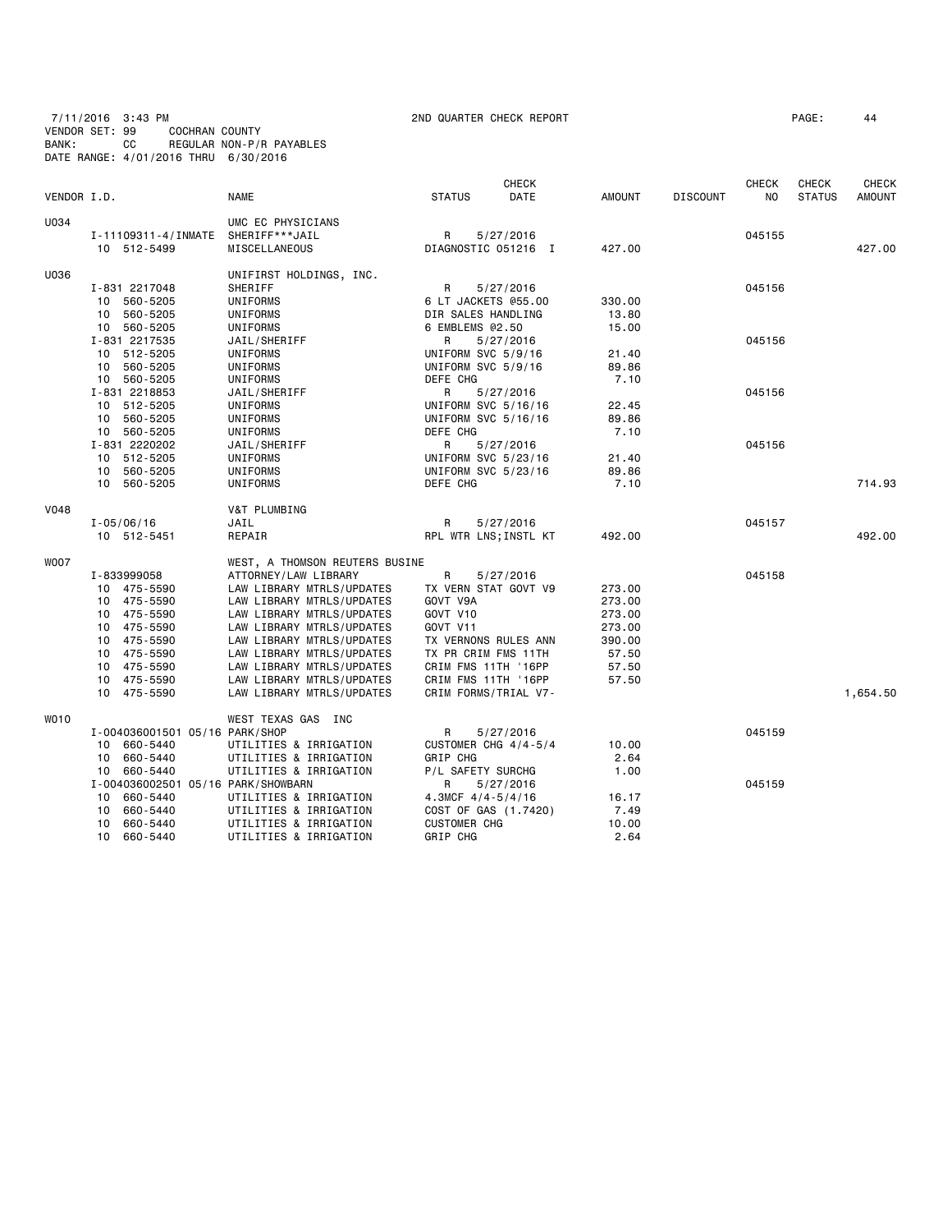7/11/2016 3:43 PM 2ND QUARTER CHECK REPORT PAGE: 44 VENDOR SET: 99 COCHRAN COUNTY BANK: CC REGULAR NON-P/R PAYABLES DATE RANGE: 4/01/2016 THRU 6/30/2016

| VENDOR I.D. |                                    | <b>NAME</b>                    | <b>STATUS</b>                   | CHECK<br>DATE | <b>AMOUNT</b> | <b>DISCOUNT</b> | <b>CHECK</b><br>N <sub>O</sub> | <b>CHECK</b><br><b>STATUS</b> | CHECK<br><b>AMOUNT</b> |
|-------------|------------------------------------|--------------------------------|---------------------------------|---------------|---------------|-----------------|--------------------------------|-------------------------------|------------------------|
| U034        |                                    | UMC EC PHYSICIANS              |                                 |               |               |                 |                                |                               |                        |
|             | I-11109311-4/INMATE                | SHERIFF***JAIL                 | R                               | 5/27/2016     |               |                 | 045155                         |                               |                        |
|             | 10 512-5499                        | <b>MISCELLANEOUS</b>           | DIAGNOSTIC 051216 I             |               | 427.00        |                 |                                |                               | 427.00                 |
| U036        |                                    | UNIFIRST HOLDINGS, INC.        |                                 |               |               |                 |                                |                               |                        |
|             | I-831 2217048                      | SHERIFF                        | R                               | 5/27/2016     |               |                 | 045156                         |                               |                        |
|             | 10 560-5205                        | UNIFORMS                       | 6 LT JACKETS @55.00             |               | 330.00        |                 |                                |                               |                        |
|             | 10 560-5205                        | UNIFORMS                       | DIR SALES HANDLING              |               | 13.80         |                 |                                |                               |                        |
|             | 10 560-5205                        | UNIFORMS                       | 6 EMBLEMS @2.50                 |               | 15.00         |                 |                                |                               |                        |
|             | I-831 2217535                      | JAIL/SHERIFF                   | R                               | 5/27/2016     |               |                 | 045156                         |                               |                        |
|             | 10 512-5205                        | UNIFORMS                       | UNIFORM SVC 5/9/16              |               | 21.40         |                 |                                |                               |                        |
|             | 10 560-5205                        | UNIFORMS                       | UNIFORM SVC 5/9/16              |               | 89.86         |                 |                                |                               |                        |
|             | 10 560-5205                        | UNIFORMS                       | DEFE CHG                        |               | 7.10          |                 |                                |                               |                        |
|             | I-831 2218853                      | JAIL/SHERIFF                   | R                               | 5/27/2016     |               |                 | 045156                         |                               |                        |
|             | 10 512-5205                        | UNIFORMS                       | UNIFORM SVC 5/16/16             |               | 22.45         |                 |                                |                               |                        |
|             | 10 560-5205                        | UNIFORMS                       | UNIFORM SVC 5/16/16             |               | 89.86         |                 |                                |                               |                        |
|             | 10 560-5205                        | UNIFORMS                       | DEFE CHG                        |               | 7.10          |                 |                                |                               |                        |
|             | I-831 2220202<br>10 512-5205       | JAIL/SHERIFF                   | R                               | 5/27/2016     |               |                 | 045156                         |                               |                        |
|             | 10 560-5205                        | UNIFORMS                       | UNIFORM SVC 5/23/16             |               | 21.40         |                 |                                |                               |                        |
|             | 10 560-5205                        | UNIFORMS<br>UNIFORMS           | UNIFORM SVC 5/23/16<br>DEFE CHG |               | 89.86<br>7.10 |                 |                                |                               | 714.93                 |
|             |                                    |                                |                                 |               |               |                 |                                |                               |                        |
| <b>V048</b> |                                    | V&T PLUMBING                   |                                 |               |               |                 |                                |                               |                        |
|             | $I - 05/06/16$                     | JAIL                           | R                               | 5/27/2016     |               |                 | 045157                         |                               |                        |
|             | 10 512-5451                        | REPAIR                         | RPL WTR LNS; INSTL KT           |               | 492.00        |                 |                                |                               | 492.00                 |
| <b>WOO7</b> |                                    | WEST, A THOMSON REUTERS BUSINE |                                 |               |               |                 |                                |                               |                        |
|             | I-833999058                        | ATTORNEY/LAW LIBRARY           | R                               | 5/27/2016     |               |                 | 045158                         |                               |                        |
|             | 10 475-5590                        | LAW LIBRARY MTRLS/UPDATES      | TX VERN STAT GOVT V9            |               | 273.00        |                 |                                |                               |                        |
|             | 10 475-5590                        | LAW LIBRARY MTRLS/UPDATES      | GOVT V9A                        |               | 273.00        |                 |                                |                               |                        |
|             | 10 475-5590                        | LAW LIBRARY MTRLS/UPDATES      | GOVT V10                        |               | 273.00        |                 |                                |                               |                        |
|             | 10 475-5590                        | LAW LIBRARY MTRLS/UPDATES      | GOVT V11                        |               | 273.00        |                 |                                |                               |                        |
|             | 10 475-5590                        | LAW LIBRARY MTRLS/UPDATES      | TX VERNONS RULES ANN            |               | 390.00        |                 |                                |                               |                        |
|             | 10 475-5590                        | LAW LIBRARY MTRLS/UPDATES      | TX PR CRIM FMS 11TH             |               | 57.50         |                 |                                |                               |                        |
|             | 10 475-5590                        | LAW LIBRARY MTRLS/UPDATES      | CRIM FMS 11TH '16PP             |               | 57.50         |                 |                                |                               |                        |
|             | 10 475-5590                        | LAW LIBRARY MTRLS/UPDATES      | CRIM FMS 11TH '16PP             |               | 57.50         |                 |                                |                               |                        |
|             | 10 475-5590                        | LAW LIBRARY MTRLS/UPDATES      | CRIM FORMS/TRIAL V7-            |               |               |                 |                                |                               | 1,654.50               |
| WO10        |                                    | WEST TEXAS GAS INC             |                                 |               |               |                 |                                |                               |                        |
|             | I-004036001501 05/16 PARK/SHOP     |                                | R                               | 5/27/2016     |               |                 | 045159                         |                               |                        |
|             | 10 660-5440                        | UTILITIES & IRRIGATION         | CUSTOMER CHG 4/4-5/4            |               | 10.00         |                 |                                |                               |                        |
|             | 10 660-5440                        | UTILITIES & IRRIGATION         | GRIP CHG                        |               | 2.64          |                 |                                |                               |                        |
|             | 10 660-5440                        | UTILITIES & IRRIGATION         | P/L SAFETY SURCHG               |               | 1.00          |                 |                                |                               |                        |
|             | I-004036002501 05/16 PARK/SHOWBARN |                                | R                               | 5/27/2016     |               |                 | 045159                         |                               |                        |
|             | 660-5440<br>10                     | UTILITIES & IRRIGATION         | 4.3MCF $4/4 - 5/4/16$           |               | 16.17         |                 |                                |                               |                        |
|             | 660-5440<br>10                     | UTILITIES & IRRIGATION         | COST OF GAS (1.7420)            |               | 7.49          |                 |                                |                               |                        |
|             | 10 660-5440                        | UTILITIES & IRRIGATION         | <b>CUSTOMER CHG</b>             |               | 10.00         |                 |                                |                               |                        |
|             | 10 660-5440                        | UTILITIES & IRRIGATION         | GRIP CHG                        |               | 2.64          |                 |                                |                               |                        |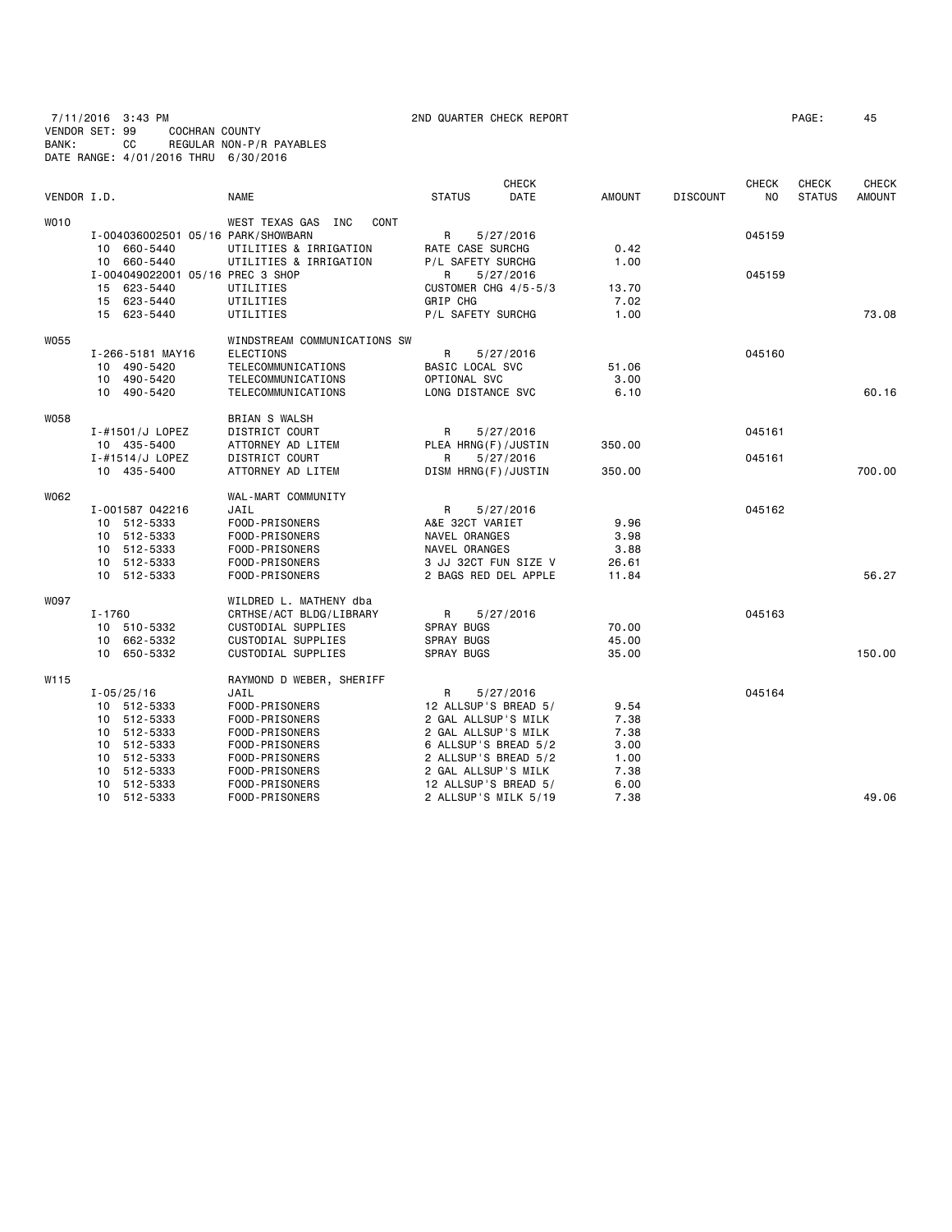7/11/2016 3:43 PM 2ND QUARTER CHECK REPORT PAGE: 45 VENDOR SET: 99 COCHRAN COUNTY BANK: CC REGULAR NON-P/R PAYABLES DATE RANGE: 4/01/2016 THRU 6/30/2016

| VENDOR I.D. |                                    | <b>NAME</b>                              | <b>STATUS</b>                                | <b>CHECK</b><br>DATE | <b>AMOUNT</b> | <b>DISCOUNT</b> | <b>CHECK</b><br>NO | <b>CHECK</b><br><b>STATUS</b> | <b>CHECK</b><br><b>AMOUNT</b> |
|-------------|------------------------------------|------------------------------------------|----------------------------------------------|----------------------|---------------|-----------------|--------------------|-------------------------------|-------------------------------|
| <b>WO10</b> |                                    | WEST TEXAS GAS INC<br>CONT               |                                              |                      |               |                 |                    |                               |                               |
|             | I-004036002501 05/16 PARK/SHOWBARN |                                          | R                                            | 5/27/2016            |               |                 | 045159             |                               |                               |
|             | 10 660-5440                        | UTILITIES & IRRIGATION                   | RATE CASE SURCHG                             |                      | 0.42          |                 |                    |                               |                               |
|             | 10 660-5440                        | UTILITIES & IRRIGATION                   | P/L SAFETY SURCHG                            |                      | 1.00          |                 |                    |                               |                               |
|             | I-004049022001 05/16 PREC 3 SHOP   |                                          | R<br>5/27/2016                               |                      |               |                 | 045159             |                               |                               |
|             | 15 623-5440                        | UTILITIES                                | CUSTOMER CHG 4/5-5/3                         |                      | 13.70         |                 |                    |                               |                               |
|             | 15 623-5440                        | UTILITIES                                | GRIP CHG                                     |                      | 7.02          |                 |                    |                               |                               |
|             | 15 623-5440                        | UTILITIES                                | P/L SAFETY SURCHG                            |                      | 1.00          |                 |                    |                               | 73.08                         |
| W055        |                                    | WINDSTREAM COMMUNICATIONS SW             |                                              |                      |               |                 |                    |                               |                               |
|             | I-266-5181 MAY16                   | <b>ELECTIONS</b>                         | R                                            | 5/27/2016            |               |                 | 045160             |                               |                               |
|             | 10 490-5420                        | TELECOMMUNICATIONS                       | BASIC LOCAL SVC                              |                      | 51.06         |                 |                    |                               |                               |
|             | 10 490-5420                        | TELECOMMUNICATIONS                       | OPTIONAL SVC                                 |                      | 3.00          |                 |                    |                               |                               |
|             | 10 490-5420                        | TELECOMMUNICATIONS                       | LONG DISTANCE SVC                            |                      | 6.10          |                 |                    |                               | 60.16                         |
| W058        |                                    | BRIAN S WALSH                            |                                              |                      |               |                 |                    |                               |                               |
|             | I-#1501/J LOPEZ                    | DISTRICT COURT                           | R                                            | 5/27/2016            |               |                 | 045161             |                               |                               |
|             | 10 435-5400                        | ATTORNEY AD LITEM                        | PLEA HRNG(F)/JUSTIN                          |                      | 350.00        |                 |                    |                               |                               |
|             | $I - #1514/J$ LOPEZ                | DISTRICT COURT                           | R                                            | 5/27/2016            |               |                 | 045161             |                               |                               |
|             | 10 435-5400                        | ATTORNEY AD LITEM                        | DISM HRNG(F)/JUSTIN                          |                      | 350.00        |                 |                    |                               | 700.00                        |
| W062        |                                    | WAL-MART COMMUNITY                       |                                              |                      |               |                 |                    |                               |                               |
|             | I-001587 042216                    | JAIL                                     | R                                            | 5/27/2016            |               |                 | 045162             |                               |                               |
|             | 10 512-5333                        | FOOD-PRISONERS                           | A&E 32CT VARIET                              |                      | 9.96          |                 |                    |                               |                               |
|             | 10 512-5333                        | FOOD-PRISONERS                           | NAVEL ORANGES                                |                      | 3.98          |                 |                    |                               |                               |
|             | 10 512-5333<br>10 512-5333         | FOOD-PRISONERS<br>FOOD-PRISONERS         | NAVEL ORANGES<br>3 JJ 32CT FUN SIZE V        |                      | 3.88<br>26.61 |                 |                    |                               |                               |
|             | 10 512-5333                        | FOOD-PRISONERS                           | 2 BAGS RED DEL APPLE                         |                      | 11.84         |                 |                    |                               | 56.27                         |
|             |                                    |                                          |                                              |                      |               |                 |                    |                               |                               |
| W097        |                                    | WILDRED L. MATHENY dba                   |                                              |                      |               |                 |                    |                               |                               |
|             | I-1760                             | CRTHSE/ACT BLDG/LIBRARY                  | R<br><b>SPRAY BUGS</b>                       | 5/27/2016            | 70.00         |                 | 045163             |                               |                               |
|             | 10 510-5332<br>10 662-5332         | CUSTODIAL SUPPLIES<br>CUSTODIAL SUPPLIES | <b>SPRAY BUGS</b>                            |                      | 45.00         |                 |                    |                               |                               |
|             | 10 650-5332                        | CUSTODIAL SUPPLIES                       | SPRAY BUGS                                   |                      | 35.00         |                 |                    |                               | 150.00                        |
|             |                                    |                                          |                                              |                      |               |                 |                    |                               |                               |
| W115        |                                    | RAYMOND D WEBER, SHERIFF                 |                                              |                      |               |                 |                    |                               |                               |
|             | $I - 05/25/16$                     | JAIL                                     | R                                            | 5/27/2016            |               |                 | 045164             |                               |                               |
|             | 10 512-5333                        | FOOD-PRISONERS                           | 12 ALLSUP'S BREAD 5/                         |                      | 9.54          |                 |                    |                               |                               |
|             | 10 512-5333                        | FOOD-PRISONERS                           | 2 GAL ALLSUP'S MILK                          |                      | 7.38          |                 |                    |                               |                               |
|             | 512-5333<br>10                     | FOOD-PRISONERS                           | 2 GAL ALLSUP'S MILK                          |                      | 7.38          |                 |                    |                               |                               |
|             | 512-5333<br>10                     | FOOD-PRISONERS                           | 6 ALLSUP'S BREAD 5/2                         |                      | 3.00          |                 |                    |                               |                               |
|             | 10 512-5333                        | FOOD-PRISONERS                           | 2 ALLSUP'S BREAD 5/2                         |                      | 1.00          |                 |                    |                               |                               |
|             | 512-5333<br>10                     | FOOD-PRISONERS                           | 2 GAL ALLSUP'S MILK                          |                      | 7.38          |                 |                    |                               |                               |
|             | 512-5333<br>10<br>10 512-5333      | FOOD-PRISONERS<br>FOOD-PRISONERS         | 12 ALLSUP'S BREAD 5/<br>2 ALLSUP'S MILK 5/19 |                      | 6.00<br>7.38  |                 |                    |                               | 49,06                         |
|             |                                    |                                          |                                              |                      |               |                 |                    |                               |                               |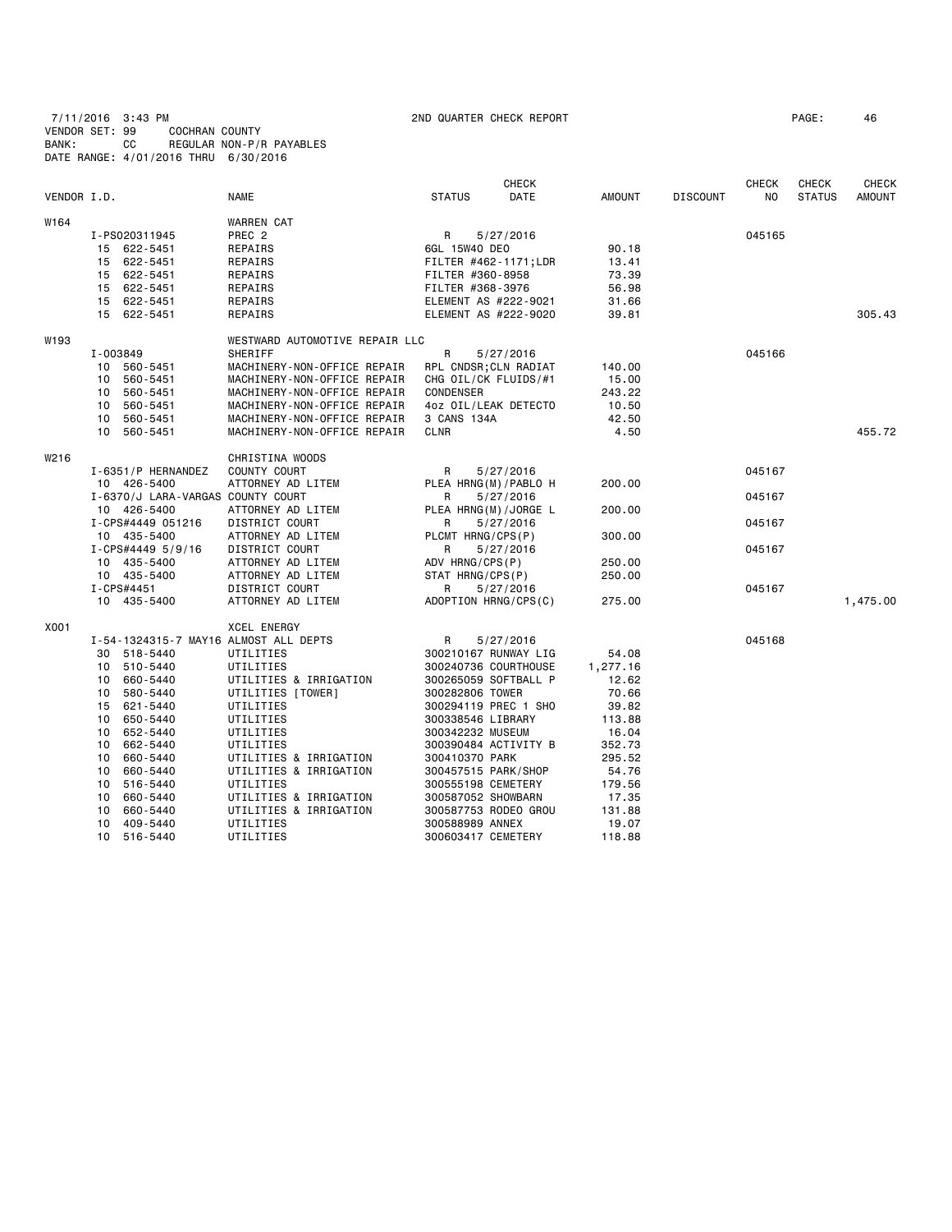7/11/2016 3:43 PM 2ND QUARTER CHECK REPORT PAGE: 46 VENDOR SET: 99 COCHRAN COUNTY BANK: CC REGULAR NON-P/R PAYABLES DATE RANGE: 4/01/2016 THRU 6/30/2016

|             |          |                                   |                                       |                                               | <b>CHECK</b> |               |                 | <b>CHECK</b>   | <b>CHECK</b>  | <b>CHECK</b>  |
|-------------|----------|-----------------------------------|---------------------------------------|-----------------------------------------------|--------------|---------------|-----------------|----------------|---------------|---------------|
| VENDOR I.D. |          |                                   | <b>NAME</b>                           | <b>STATUS</b>                                 | <b>DATE</b>  | <b>AMOUNT</b> | <b>DISCOUNT</b> | N <sub>O</sub> | <b>STATUS</b> | <b>AMOUNT</b> |
| W164        |          |                                   | WARREN CAT                            |                                               |              |               |                 |                |               |               |
|             |          | I-PS020311945                     | PREC <sub>2</sub>                     | R                                             | 5/27/2016    |               |                 | 045165         |               |               |
|             |          | 15 622-5451                       | REPAIRS                               | 6GL 15W40 DEO                                 |              | 90.18         |                 |                |               |               |
|             |          | 15 622-5451                       | REPAIRS                               | FILTER #462-1171;LDR                          |              | 13.41         |                 |                |               |               |
|             |          | 15 622-5451                       | REPAIRS                               | FILTER #360-8958                              |              | 73.39         |                 |                |               |               |
|             |          | 15 622-5451                       | REPAIRS                               | FILTER #368-3976                              |              | 56.98         |                 |                |               |               |
|             |          | 15 622-5451                       | REPAIRS                               | ELEMENT AS #222-9021                          |              | 31.66         |                 |                |               |               |
|             |          | 15 622-5451                       | REPAIRS                               | ELEMENT AS #222-9020                          |              | 39.81         |                 |                |               | 305.43        |
| W193        |          |                                   | WESTWARD AUTOMOTIVE REPAIR LLC        |                                               |              |               |                 |                |               |               |
|             | I-003849 |                                   | SHERIFF                               | R                                             |              |               |                 | 045166         |               |               |
|             |          | 10 560-5451                       | MACHINERY-NON-OFFICE REPAIR           |                                               | 5/27/2016    | 140.00        |                 |                |               |               |
|             |          | 10 560-5451                       | MACHINERY-NON-OFFICE REPAIR           | RPL CNDSR; CLN RADIAT<br>CHG OIL/CK FLUIDS/#1 |              | 15.00         |                 |                |               |               |
|             | 10       | 560-5451                          | MACHINERY-NON-OFFICE REPAIR           | CONDENSER                                     |              | 243.22        |                 |                |               |               |
|             | 10       |                                   |                                       |                                               |              | 10.50         |                 |                |               |               |
|             |          | 560-5451                          | MACHINERY-NON-OFFICE REPAIR           | 4oz OIL/LEAK DETECTO                          |              |               |                 |                |               |               |
|             | 10       | 560-5451                          | MACHINERY-NON-OFFICE REPAIR           | 3 CANS 134A                                   |              | 42.50         |                 |                |               | 455.72        |
|             |          | 10 560-5451                       | MACHINERY-NON-OFFICE REPAIR           | <b>CLNR</b>                                   |              | 4.50          |                 |                |               |               |
| W216        |          |                                   | CHRISTINA WOODS                       |                                               |              |               |                 |                |               |               |
|             |          | I-6351/P HERNANDEZ                | COUNTY COURT                          | R                                             | 5/27/2016    |               |                 | 045167         |               |               |
|             |          | 10 426-5400                       | ATTORNEY AD LITEM                     | PLEA HRNG(M)/PABLO H                          |              | 200.00        |                 |                |               |               |
|             |          | I-6370/J LARA-VARGAS COUNTY COURT |                                       | R                                             | 5/27/2016    |               |                 | 045167         |               |               |
|             |          | 10 426-5400                       | ATTORNEY AD LITEM                     | PLEA HRNG(M)/JORGE L                          |              | 200.00        |                 |                |               |               |
|             |          | I-CPS#4449 051216                 | DISTRICT COURT                        | R                                             | 5/27/2016    |               |                 | 045167         |               |               |
|             |          | 10 435-5400                       | ATTORNEY AD LITEM                     | PLCMT HRNG/CPS(P)                             |              | 300.00        |                 |                |               |               |
|             |          | I-CPS#4449 5/9/16                 | DISTRICT COURT                        | R                                             | 5/27/2016    |               |                 | 045167         |               |               |
|             |          | 10 435-5400                       | ATTORNEY AD LITEM                     | ADV HRNG/CPS(P)                               |              | 250.00        |                 |                |               |               |
|             |          | 10 435-5400                       | ATTORNEY AD LITEM                     | STAT HRNG/CPS(P)                              |              | 250.00        |                 |                |               |               |
|             |          | I-CPS#4451                        | DISTRICT COURT                        | R                                             | 5/27/2016    |               |                 | 045167         |               |               |
|             |          | 10 435-5400                       | ATTORNEY AD LITEM                     | ADOPTION HRNG/CPS(C)                          |              | 275.00        |                 |                |               | 1,475.00      |
| X001        |          |                                   | <b>XCEL ENERGY</b>                    |                                               |              |               |                 |                |               |               |
|             |          |                                   | I-54-1324315-7 MAY16 ALMOST ALL DEPTS | R                                             | 5/27/2016    |               |                 | 045168         |               |               |
|             |          | 30 518-5440                       | UTILITIES                             | 300210167 RUNWAY LIG                          |              | 54.08         |                 |                |               |               |
|             | 10       | 510-5440                          | UTILITIES                             | 300240736 COURTHOUSE                          |              | 1,277.16      |                 |                |               |               |
|             | 10       | 660-5440                          | UTILITIES & IRRIGATION                | 300265059 SOFTBALL P                          |              | 12.62         |                 |                |               |               |
|             | 10       | 580-5440                          | UTILITIES [TOWER]                     | 300282806 TOWER                               |              | 70.66         |                 |                |               |               |
|             |          | 15 621-5440                       | UTILITIES                             | 300294119 PREC 1 SHO                          |              | 39.82         |                 |                |               |               |
|             | 10       | 650-5440                          | UTILITIES                             | 300338546 LIBRARY                             |              | 113.88        |                 |                |               |               |
|             | 10       | 652-5440                          | UTILITIES                             | 300342232 MUSEUM                              |              | 16.04         |                 |                |               |               |
|             | 10       | 662-5440                          | UTILITIES                             | 300390484 ACTIVITY B                          |              | 352.73        |                 |                |               |               |
|             | 10       | 660-5440                          | UTILITIES & IRRIGATION                | 300410370 PARK                                |              | 295.52        |                 |                |               |               |
|             | 10       | 660-5440                          | UTILITIES & IRRIGATION                | 300457515 PARK/SHOP                           |              | 54.76         |                 |                |               |               |
|             | 10       | 516-5440                          | UTILITIES                             | 300555198 CEMETERY                            |              | 179.56        |                 |                |               |               |
|             | 10       | 660-5440                          | UTILITIES & IRRIGATION                | 300587052 SHOWBARN                            |              | 17.35         |                 |                |               |               |
|             | 10       | 660-5440                          | UTILITIES & IRRIGATION                | 300587753 RODEO GROU                          |              | 131.88        |                 |                |               |               |
|             |          | 10 409-5440                       | UTILITIES                             | 300588989 ANNEX                               |              | 19.07         |                 |                |               |               |
|             |          |                                   |                                       |                                               |              |               |                 |                |               |               |

10 516-5440 UTILITIES 300603417 CEMETERY 118.88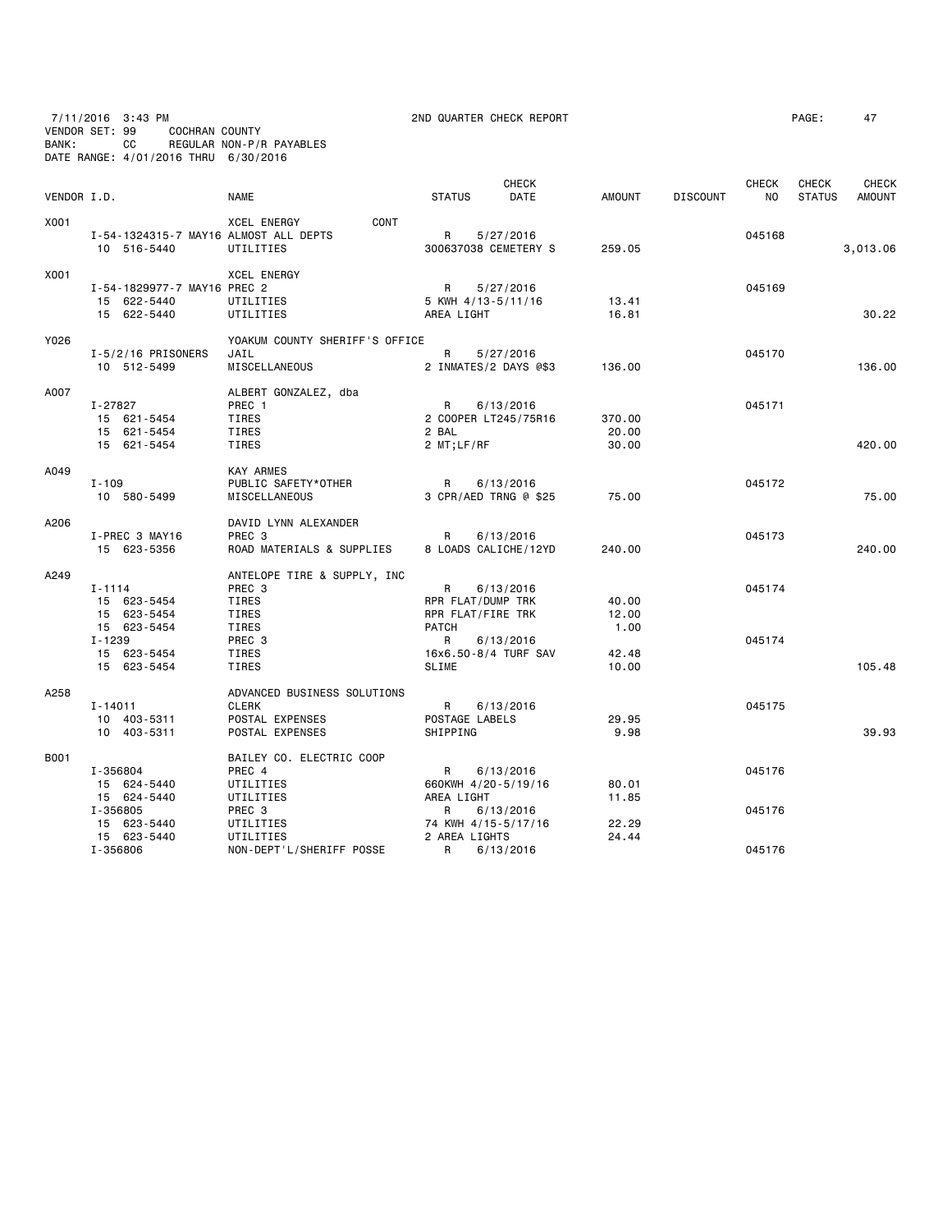7/11/2016 3:43 PM 2ND QUARTER CHECK REPORT PAGE: 47

| VENDOR I.D. |                                       | <b>NAME</b>                        | <b>CHECK</b><br><b>STATUS</b><br>DATE | AMOUNT        | <b>DISCOUNT</b> | <b>CHECK</b><br>NO. | CHECK<br><b>STATUS</b> | <b>CHECK</b><br><b>AMOUNT</b> |
|-------------|---------------------------------------|------------------------------------|---------------------------------------|---------------|-----------------|---------------------|------------------------|-------------------------------|
| X001        |                                       | XCEL ENERGY<br>CONT                |                                       |               |                 |                     |                        |                               |
|             | I-54-1324315-7 MAY16 ALMOST ALL DEPTS |                                    | R<br>5/27/2016                        |               |                 | 045168              |                        |                               |
|             | 10 516-5440                           | UTILITIES                          | 300637038 CEMETERY S                  | 259.05        |                 |                     |                        | 3,013.06                      |
| X001        |                                       | <b>XCEL ENERGY</b>                 |                                       |               |                 |                     |                        |                               |
|             | I-54-1829977-7 MAY16 PREC 2           |                                    | R<br>5/27/2016                        |               |                 | 045169              |                        |                               |
|             | 15 622-5440                           | UTILITIES                          | 5 KWH 4/13-5/11/16                    | 13.41         |                 |                     |                        |                               |
|             | 15 622-5440                           | UTILITIES                          | AREA LIGHT                            | 16.81         |                 |                     |                        | 30.22                         |
| Y026        |                                       | YOAKUM COUNTY SHERIFF'S OFFICE     |                                       |               |                 |                     |                        |                               |
|             | $I - 5/2/16$ PRISONERS                | JAIL                               | R<br>5/27/2016                        |               |                 | 045170              |                        |                               |
|             | 10 512-5499                           | MISCELLANEOUS                      | 2 INMATES/2 DAYS @\$3                 | 136.00        |                 |                     |                        | 136.00                        |
| A007        |                                       | ALBERT GONZALEZ, dba               |                                       |               |                 |                     |                        |                               |
|             | I-27827                               | PREC 1                             | R<br>6/13/2016                        |               |                 | 045171              |                        |                               |
|             | 15 621-5454                           | TIRES                              | 2 COOPER LT245/75R16                  | 370.00        |                 |                     |                        |                               |
|             | 15 621-5454                           | TIRES                              | 2 BAL                                 | 20.00         |                 |                     |                        |                               |
|             | 15 621-5454                           | TIRES                              | 2 MT;LF/RF                            | 30.00         |                 |                     |                        | 420.00                        |
| A049        |                                       | <b>KAY ARMES</b>                   |                                       |               |                 |                     |                        |                               |
|             | $I - 109$                             | PUBLIC SAFETY*OTHER                | $\mathsf{R}$<br>6/13/2016             |               |                 | 045172              |                        |                               |
|             | 10 580-5499                           | MISCELLANEOUS                      | 3 CPR/AED TRNG @ \$25                 | 75.00         |                 |                     |                        | 75.00                         |
| A206        |                                       | DAVID LYNN ALEXANDER               |                                       |               |                 |                     |                        |                               |
|             | I-PREC 3 MAY16                        | PREC 3                             | R<br>6/13/2016                        |               |                 | 045173              |                        |                               |
|             | 15 623-5356                           | ROAD MATERIALS & SUPPLIES          | 8 LOADS CALICHE/12YD                  | 240.00        |                 |                     |                        | 240.00                        |
| A249        |                                       | ANTELOPE TIRE & SUPPLY, INC        |                                       |               |                 |                     |                        |                               |
|             | $I - 1114$                            | PREC 3                             | R<br>6/13/2016                        |               |                 | 045174              |                        |                               |
|             | 15 623-5454                           | TIRES                              | RPR FLAT/DUMP TRK                     | 40.00         |                 |                     |                        |                               |
|             | 15 623-5454                           | TIRES                              | RPR FLAT/FIRE TRK                     | 12.00         |                 |                     |                        |                               |
|             | 15 623-5454                           | TIRES                              | <b>PATCH</b>                          | 1.00          |                 |                     |                        |                               |
|             | I-1239                                | PREC 3                             | R<br>6/13/2016                        |               |                 | 045174              |                        |                               |
|             | 15 623-5454                           | TIRES                              | 16x6.50-8/4 TURF SAV<br><b>SLIME</b>  | 42.48         |                 |                     |                        |                               |
|             | 15 623-5454                           | TIRES                              |                                       | 10.00         |                 |                     |                        | 105.48                        |
| A258        |                                       | ADVANCED BUSINESS SOLUTIONS        |                                       |               |                 |                     |                        |                               |
|             | I-14011                               | <b>CLERK</b>                       | $\mathsf{R}$<br>6/13/2016             |               |                 | 045175              |                        |                               |
|             | 10 403-5311<br>10 403-5311            | POSTAL EXPENSES<br>POSTAL EXPENSES | POSTAGE LABELS<br>SHIPPING            | 29.95<br>9.98 |                 |                     |                        | 39.93                         |
|             |                                       |                                    |                                       |               |                 |                     |                        |                               |
| B001        | I-356804                              | BAILEY CO. ELECTRIC COOP<br>PREC 4 | R<br>6/13/2016                        |               |                 | 045176              |                        |                               |
|             | 15 624-5440                           | UTILITIES                          | 660KWH 4/20-5/19/16                   | 80.01         |                 |                     |                        |                               |
|             | 15 624-5440                           | UTILITIES                          | AREA LIGHT                            | 11.85         |                 |                     |                        |                               |
|             | I-356805                              | PREC 3                             | R<br>6/13/2016                        |               |                 | 045176              |                        |                               |
|             | 15 623-5440                           | UTILITIES                          | 74 KWH 4/15-5/17/16                   | 22.29         |                 |                     |                        |                               |
|             | 15 623-5440                           | UTILITIES                          | 2 AREA LIGHTS                         | 24.44         |                 |                     |                        |                               |
|             | I-356806                              | NON-DEPT'L/SHERIFF POSSE           | R<br>6/13/2016                        |               |                 | 045176              |                        |                               |

VENDOR SET: 99 COCHRAN COUNTY

BANK: CC REGULAR NON-P/R PAYABLES DATE RANGE: 4/01/2016 THRU 6/30/2016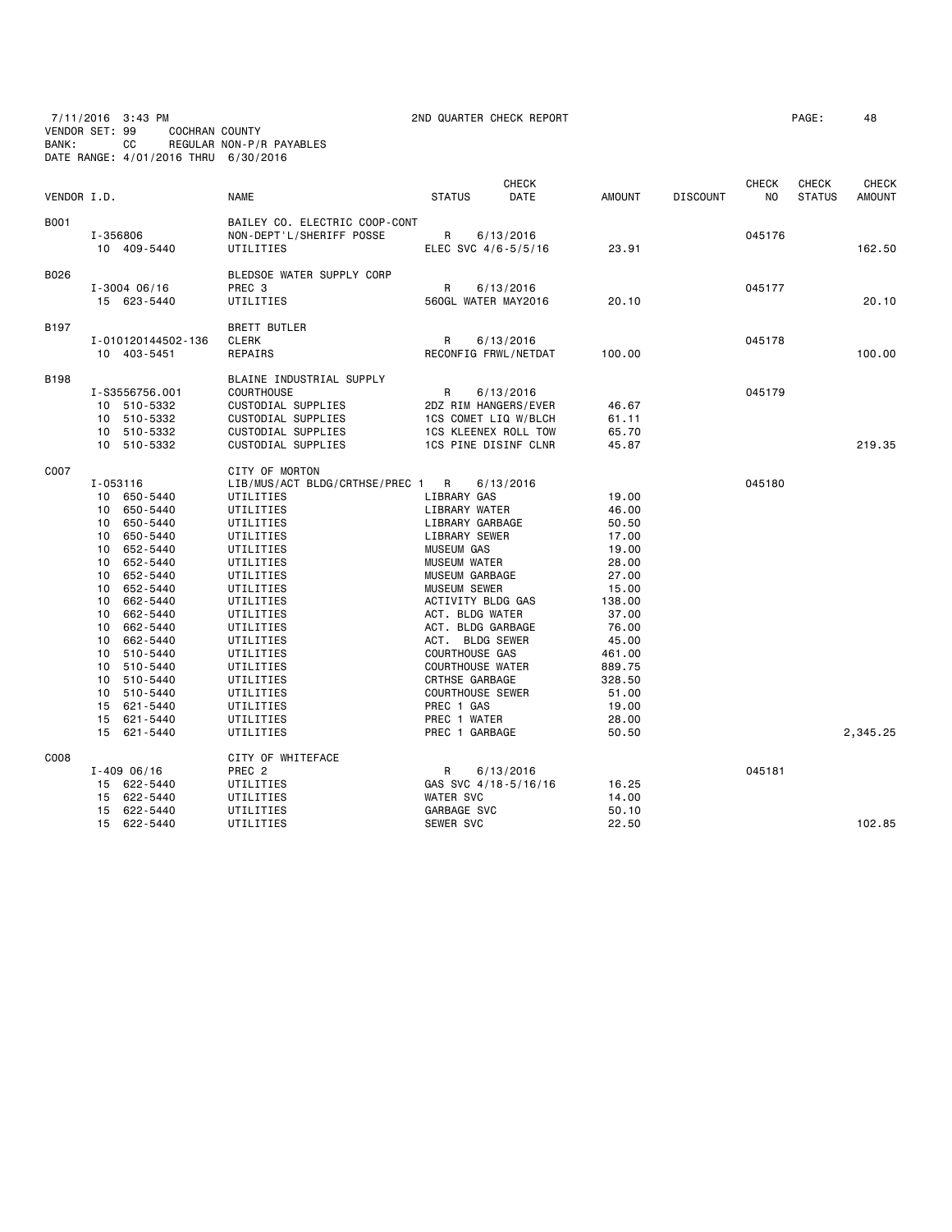7/11/2016 3:43 PM 2ND QUARTER CHECK REPORT PAGE: 48 VENDOR SET: 99 COCHRAN COUNTY BANK: CC REGULAR NON-P/R PAYABLES DATE RANGE: 4/01/2016 THRU 6/30/2016

| VENDOR I.D.      |                                                                                                                                                                                                                                                                                                                                      | <b>NAME</b>                                                                                                                                                                                                                                                                                               | <b>CHECK</b><br><b>STATUS</b><br>DATE                                                                                                                                                                                                                                                                                                                                                        | AMOUNT<br><b>DISCOUNT</b>                                                                                                                                                   | <b>CHECK</b><br>N <sub>0</sub> | <b>CHECK</b><br><b>STATUS</b> | <b>CHECK</b><br><b>AMOUNT</b> |
|------------------|--------------------------------------------------------------------------------------------------------------------------------------------------------------------------------------------------------------------------------------------------------------------------------------------------------------------------------------|-----------------------------------------------------------------------------------------------------------------------------------------------------------------------------------------------------------------------------------------------------------------------------------------------------------|----------------------------------------------------------------------------------------------------------------------------------------------------------------------------------------------------------------------------------------------------------------------------------------------------------------------------------------------------------------------------------------------|-----------------------------------------------------------------------------------------------------------------------------------------------------------------------------|--------------------------------|-------------------------------|-------------------------------|
| B001             | I-356806<br>10 409-5440                                                                                                                                                                                                                                                                                                              | BAILEY CO. ELECTRIC COOP-CONT<br>NON-DEPT'L/SHERIFF POSSE<br>UTILITIES                                                                                                                                                                                                                                    | R<br>6/13/2016<br>ELEC SVC 4/6-5/5/16                                                                                                                                                                                                                                                                                                                                                        | 23.91                                                                                                                                                                       | 045176                         |                               | 162.50                        |
| B026             | $I - 3004 06/16$<br>15 623-5440                                                                                                                                                                                                                                                                                                      | BLEDSOE WATER SUPPLY CORP<br>PREC 3<br>UTILITIES                                                                                                                                                                                                                                                          | R<br>6/13/2016<br>560GL WATER MAY2016                                                                                                                                                                                                                                                                                                                                                        | 20.10                                                                                                                                                                       | 045177                         |                               | 20.10                         |
| B <sub>197</sub> | I-010120144502-136<br>10 403-5451                                                                                                                                                                                                                                                                                                    | <b>BRETT BUTLER</b><br><b>CLERK</b><br>REPAIRS                                                                                                                                                                                                                                                            | $\mathsf{R}$<br>6/13/2016<br>RECONFIG FRWL/NETDAT                                                                                                                                                                                                                                                                                                                                            | 100.00                                                                                                                                                                      | 045178                         |                               | 100.00                        |
| <b>B198</b>      | I-S3556756.001<br>10 510-5332<br>10 510-5332<br>10 510-5332<br>10 510-5332                                                                                                                                                                                                                                                           | BLAINE INDUSTRIAL SUPPLY<br>COURTHOUSE<br>CUSTODIAL SUPPLIES<br>CUSTODIAL SUPPLIES<br>CUSTODIAL SUPPLIES<br>CUSTODIAL SUPPLIES                                                                                                                                                                            | $\mathsf{R}$<br>6/13/2016<br>2DZ RIM HANGERS/EVER<br>1CS COMET LIQ W/BLCH<br><b>1CS KLEENEX ROLL TOW</b><br>1CS PINE DISINF CLNR                                                                                                                                                                                                                                                             | 46.67<br>61.11<br>65.70<br>45.87                                                                                                                                            | 045179                         |                               | 219.35                        |
| C007             | $I - 053116$<br>10 650-5440<br>650-5440<br>10<br>650-5440<br>10<br>10<br>650-5440<br>652-5440<br>10<br>10 652-5440<br>10 652-5440<br>10 652-5440<br>10 662-5440<br>10 662-5440<br>662-5440<br>10<br>10<br>662-5440<br>10<br>510-5440<br>510-5440<br>10<br>10 510-5440<br>10 510-5440<br>15 621-5440<br>15<br>621-5440<br>15 621-5440 | CITY OF MORTON<br>LIB/MUS/ACT BLDG/CRTHSE/PREC 1 R<br>UTILITIES<br>UTILITIES<br>UTILITIES<br>UTILITIES<br>UTILITIES<br>UTILITIES<br>UTILITIES<br>UTILITIES<br>UTILITIES<br>UTILITIES<br>UTILITIES<br>UTILITIES<br>UTILITIES<br>UTILITIES<br>UTILITIES<br>UTILITIES<br>UTILITIES<br>UTILITIES<br>UTILITIES | 6/13/2016<br>LIBRARY GAS<br>LIBRARY WATER<br>LIBRARY GARBAGE<br>LIBRARY SEWER<br><b>MUSEUM GAS</b><br><b>MUSEUM WATER</b><br>MUSEUM GARBAGE<br><b>MUSEUM SEWER</b><br>ACTIVITY BLDG GAS<br>ACT. BLDG WATER<br>ACT. BLDG GARBAGE<br>ACT. BLDG SEWER<br>COURTHOUSE GAS<br><b>COURTHOUSE WATER</b><br>CRTHSE GARBAGE<br><b>COURTHOUSE SEWER</b><br>PREC 1 GAS<br>PREC 1 WATER<br>PREC 1 GARBAGE | 19.00<br>46.00<br>50.50<br>17.00<br>19.00<br>28.00<br>27,00<br>15.00<br>138.00<br>37.00<br>76.00<br>45.00<br>461.00<br>889.75<br>328.50<br>51.00<br>19.00<br>28.00<br>50.50 | 045180                         |                               | 2,345.25                      |
| C008             | $I - 40906/16$<br>15 622-5440                                                                                                                                                                                                                                                                                                        | CITY OF WHITEFACE<br>PREC <sub>2</sub><br>UTILITIES                                                                                                                                                                                                                                                       | R<br>6/13/2016<br>GAS SVC 4/18-5/16/16                                                                                                                                                                                                                                                                                                                                                       | 16.25                                                                                                                                                                       | 045181                         |                               |                               |
|                  | 15 622-5440<br>15 622-5440<br>15 622-5440                                                                                                                                                                                                                                                                                            | UTILITIES<br>UTILITIES<br>UTILITIES                                                                                                                                                                                                                                                                       | <b>WATER SVC</b><br>GARBAGE SVC<br><b>SEWER SVC</b>                                                                                                                                                                                                                                                                                                                                          | 14.00<br>50.10<br>22.50                                                                                                                                                     |                                |                               | 102.85                        |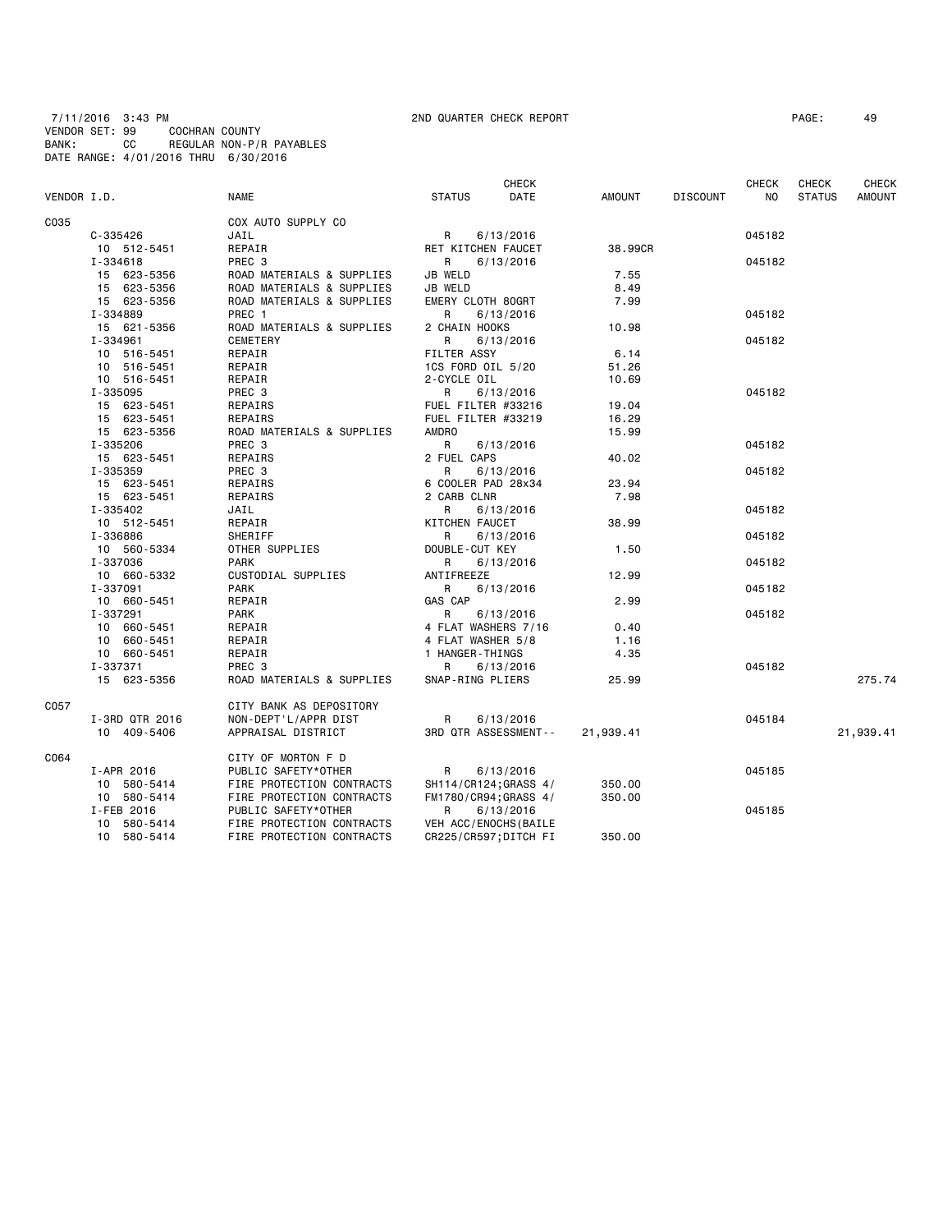7/11/2016 3:43 PM 2ND QUARTER CHECK REPORT PAGE: 49 VENDOR SET: 99 COCHRAN COUNTY BANK: CC REGULAR NON-P/R PAYABLES DATE RANGE: 4/01/2016 THRU 6/30/2016

| DATE<br>NO<br>VENDOR I.D.<br><b>NAME</b><br><b>STATUS</b><br>AMOUNT<br><b>DISCOUNT</b><br><b>STATUS</b><br><b>AMOUNT</b><br>COX AUTO SUPPLY CO<br>C-335426<br>JAIL<br>R<br>6/13/2016<br>045182<br>REPAIR<br>38,99CR<br>10 512-5451<br>RET KITCHEN FAUCET<br>PREC 3<br>I-334618<br>R.<br>6/13/2016<br>045182<br>15 623-5356<br>JB WELD<br>7.55<br>ROAD MATERIALS & SUPPLIES<br>15 623-5356<br>ROAD MATERIALS & SUPPLIES<br>JB WELD<br>8.49<br>15 623-5356<br>ROAD MATERIALS & SUPPLIES<br>EMERY CLOTH 80GRT<br>7.99<br>045182<br>I-334889<br>PREC 1<br>R<br>6/13/2016<br>ROAD MATERIALS & SUPPLIES<br>10.98<br>15 621-5356<br>2 CHAIN HOOKS<br>I-334961<br>CEMETERY<br>045182<br>R<br>6/13/2016<br>FILTER ASSY<br>10 516-5451<br>REPAIR<br>6.14<br>10 516-5451<br>REPAIR<br>1CS FORD OIL 5/20<br>51.26<br>10 516-5451<br>REPAIR<br>2-CYCLE OIL<br>10.69<br>PREC 3<br>045182<br>I-335095<br>R<br>6/13/2016<br>15 623-5451<br>REPAIRS<br>FUEL FILTER #33216<br>19.04<br>15 623-5451<br>REPAIRS<br>FUEL FILTER #33219<br>16.29<br>ROAD MATERIALS & SUPPLIES<br><b>AMDRO</b><br>15 623-5356<br>15.99<br>PREC 3<br>I-335206<br>R<br>6/13/2016<br>045182<br>REPAIRS<br>2 FUEL CAPS<br>15 623-5451<br>40.02<br>I-335359<br>PREC 3<br>R<br>6/13/2016<br>045182<br>15 623-5451<br>REPAIRS<br>6 COOLER PAD 28x34<br>23.94<br>15 623-5451<br>REPAIRS<br>2 CARB CLNR<br>7.98<br>045182<br>I-335402<br>JAIL<br>R<br>6/13/2016<br>38.99<br>10 512-5451<br>REPAIR<br>KITCHEN FAUCET<br>I-336886<br>SHERIFF<br>045182<br>R<br>6/13/2016<br>OTHER SUPPLIES<br>10 560-5334<br>DOUBLE-CUT KEY<br>1.50<br>045182<br>I-337036<br>PARK<br>R<br>6/13/2016<br>12.99<br>10 660-5332<br>CUSTODIAL SUPPLIES<br>ANTIFREEZE<br><b>PARK</b><br>6/13/2016<br>045182<br>I-337091<br>R<br>GAS CAP<br>2.99<br>10 660-5451<br>REPAIR<br><b>PARK</b><br>R<br>I-337291<br>6/13/2016<br>045182<br>10 660-5451<br>REPAIR<br>4 FLAT WASHERS 7/16<br>0.40<br>1.16<br>10 660-5451<br>REPAIR<br>4 FLAT WASHER 5/8<br>4.35<br>10 660-5451<br>REPAIR<br>1 HANGER-THINGS<br>PREC 3<br>I-337371<br>R<br>6/13/2016<br>045182<br>ROAD MATERIALS & SUPPLIES<br>SNAP-RING PLIERS<br>275.74<br>15 623-5356<br>25.99<br>CITY BANK AS DEPOSITORY<br>NON-DEPT'L/APPR DIST<br>R<br>045184<br>I-3RD QTR 2016<br>6/13/2016<br>APPRAISAL DISTRICT<br>21,939.41<br>10 409-5406<br>3RD QTR ASSESSMENT--<br>21,939.41<br>CITY OF MORTON F D<br>I-APR 2016<br>PUBLIC SAFETY*OTHER<br>R<br>045185<br>6/13/2016<br>SH114/CR124; GRASS 4/<br>350.00<br>10 580-5414<br>FIRE PROTECTION CONTRACTS<br>10 580-5414<br>FIRE PROTECTION CONTRACTS<br>FM1780/CR94; GRASS 4/<br>350.00<br>I-FEB 2016<br>PUBLIC SAFETY*OTHER<br>6/13/2016<br>045185<br>R<br>10 580-5414<br>FIRE PROTECTION CONTRACTS<br>VEH ACC/ENOCHS (BAILE<br>10 580-5414<br>CR225/CR597;DITCH FI<br>FIRE PROTECTION CONTRACTS<br>350.00 |      |  | <b>CHECK</b> |  | CHECK | <b>CHECK</b> | <b>CHECK</b> |
|---------------------------------------------------------------------------------------------------------------------------------------------------------------------------------------------------------------------------------------------------------------------------------------------------------------------------------------------------------------------------------------------------------------------------------------------------------------------------------------------------------------------------------------------------------------------------------------------------------------------------------------------------------------------------------------------------------------------------------------------------------------------------------------------------------------------------------------------------------------------------------------------------------------------------------------------------------------------------------------------------------------------------------------------------------------------------------------------------------------------------------------------------------------------------------------------------------------------------------------------------------------------------------------------------------------------------------------------------------------------------------------------------------------------------------------------------------------------------------------------------------------------------------------------------------------------------------------------------------------------------------------------------------------------------------------------------------------------------------------------------------------------------------------------------------------------------------------------------------------------------------------------------------------------------------------------------------------------------------------------------------------------------------------------------------------------------------------------------------------------------------------------------------------------------------------------------------------------------------------------------------------------------------------------------------------------------------------------------------------------------------------------------------------------------------------------------------------------------------------------------------------------------------------------------------------------------------------------------------------------------------------------------------------------------------------------------------------------------------------------------------------------------------------------------------------------------------|------|--|--------------|--|-------|--------------|--------------|
|                                                                                                                                                                                                                                                                                                                                                                                                                                                                                                                                                                                                                                                                                                                                                                                                                                                                                                                                                                                                                                                                                                                                                                                                                                                                                                                                                                                                                                                                                                                                                                                                                                                                                                                                                                                                                                                                                                                                                                                                                                                                                                                                                                                                                                                                                                                                                                                                                                                                                                                                                                                                                                                                                                                                                                                                                                 |      |  |              |  |       |              |              |
|                                                                                                                                                                                                                                                                                                                                                                                                                                                                                                                                                                                                                                                                                                                                                                                                                                                                                                                                                                                                                                                                                                                                                                                                                                                                                                                                                                                                                                                                                                                                                                                                                                                                                                                                                                                                                                                                                                                                                                                                                                                                                                                                                                                                                                                                                                                                                                                                                                                                                                                                                                                                                                                                                                                                                                                                                                 | C035 |  |              |  |       |              |              |
|                                                                                                                                                                                                                                                                                                                                                                                                                                                                                                                                                                                                                                                                                                                                                                                                                                                                                                                                                                                                                                                                                                                                                                                                                                                                                                                                                                                                                                                                                                                                                                                                                                                                                                                                                                                                                                                                                                                                                                                                                                                                                                                                                                                                                                                                                                                                                                                                                                                                                                                                                                                                                                                                                                                                                                                                                                 |      |  |              |  |       |              |              |
|                                                                                                                                                                                                                                                                                                                                                                                                                                                                                                                                                                                                                                                                                                                                                                                                                                                                                                                                                                                                                                                                                                                                                                                                                                                                                                                                                                                                                                                                                                                                                                                                                                                                                                                                                                                                                                                                                                                                                                                                                                                                                                                                                                                                                                                                                                                                                                                                                                                                                                                                                                                                                                                                                                                                                                                                                                 |      |  |              |  |       |              |              |
|                                                                                                                                                                                                                                                                                                                                                                                                                                                                                                                                                                                                                                                                                                                                                                                                                                                                                                                                                                                                                                                                                                                                                                                                                                                                                                                                                                                                                                                                                                                                                                                                                                                                                                                                                                                                                                                                                                                                                                                                                                                                                                                                                                                                                                                                                                                                                                                                                                                                                                                                                                                                                                                                                                                                                                                                                                 |      |  |              |  |       |              |              |
|                                                                                                                                                                                                                                                                                                                                                                                                                                                                                                                                                                                                                                                                                                                                                                                                                                                                                                                                                                                                                                                                                                                                                                                                                                                                                                                                                                                                                                                                                                                                                                                                                                                                                                                                                                                                                                                                                                                                                                                                                                                                                                                                                                                                                                                                                                                                                                                                                                                                                                                                                                                                                                                                                                                                                                                                                                 |      |  |              |  |       |              |              |
|                                                                                                                                                                                                                                                                                                                                                                                                                                                                                                                                                                                                                                                                                                                                                                                                                                                                                                                                                                                                                                                                                                                                                                                                                                                                                                                                                                                                                                                                                                                                                                                                                                                                                                                                                                                                                                                                                                                                                                                                                                                                                                                                                                                                                                                                                                                                                                                                                                                                                                                                                                                                                                                                                                                                                                                                                                 |      |  |              |  |       |              |              |
|                                                                                                                                                                                                                                                                                                                                                                                                                                                                                                                                                                                                                                                                                                                                                                                                                                                                                                                                                                                                                                                                                                                                                                                                                                                                                                                                                                                                                                                                                                                                                                                                                                                                                                                                                                                                                                                                                                                                                                                                                                                                                                                                                                                                                                                                                                                                                                                                                                                                                                                                                                                                                                                                                                                                                                                                                                 |      |  |              |  |       |              |              |
|                                                                                                                                                                                                                                                                                                                                                                                                                                                                                                                                                                                                                                                                                                                                                                                                                                                                                                                                                                                                                                                                                                                                                                                                                                                                                                                                                                                                                                                                                                                                                                                                                                                                                                                                                                                                                                                                                                                                                                                                                                                                                                                                                                                                                                                                                                                                                                                                                                                                                                                                                                                                                                                                                                                                                                                                                                 |      |  |              |  |       |              |              |
|                                                                                                                                                                                                                                                                                                                                                                                                                                                                                                                                                                                                                                                                                                                                                                                                                                                                                                                                                                                                                                                                                                                                                                                                                                                                                                                                                                                                                                                                                                                                                                                                                                                                                                                                                                                                                                                                                                                                                                                                                                                                                                                                                                                                                                                                                                                                                                                                                                                                                                                                                                                                                                                                                                                                                                                                                                 |      |  |              |  |       |              |              |
|                                                                                                                                                                                                                                                                                                                                                                                                                                                                                                                                                                                                                                                                                                                                                                                                                                                                                                                                                                                                                                                                                                                                                                                                                                                                                                                                                                                                                                                                                                                                                                                                                                                                                                                                                                                                                                                                                                                                                                                                                                                                                                                                                                                                                                                                                                                                                                                                                                                                                                                                                                                                                                                                                                                                                                                                                                 |      |  |              |  |       |              |              |
|                                                                                                                                                                                                                                                                                                                                                                                                                                                                                                                                                                                                                                                                                                                                                                                                                                                                                                                                                                                                                                                                                                                                                                                                                                                                                                                                                                                                                                                                                                                                                                                                                                                                                                                                                                                                                                                                                                                                                                                                                                                                                                                                                                                                                                                                                                                                                                                                                                                                                                                                                                                                                                                                                                                                                                                                                                 |      |  |              |  |       |              |              |
|                                                                                                                                                                                                                                                                                                                                                                                                                                                                                                                                                                                                                                                                                                                                                                                                                                                                                                                                                                                                                                                                                                                                                                                                                                                                                                                                                                                                                                                                                                                                                                                                                                                                                                                                                                                                                                                                                                                                                                                                                                                                                                                                                                                                                                                                                                                                                                                                                                                                                                                                                                                                                                                                                                                                                                                                                                 |      |  |              |  |       |              |              |
|                                                                                                                                                                                                                                                                                                                                                                                                                                                                                                                                                                                                                                                                                                                                                                                                                                                                                                                                                                                                                                                                                                                                                                                                                                                                                                                                                                                                                                                                                                                                                                                                                                                                                                                                                                                                                                                                                                                                                                                                                                                                                                                                                                                                                                                                                                                                                                                                                                                                                                                                                                                                                                                                                                                                                                                                                                 |      |  |              |  |       |              |              |
|                                                                                                                                                                                                                                                                                                                                                                                                                                                                                                                                                                                                                                                                                                                                                                                                                                                                                                                                                                                                                                                                                                                                                                                                                                                                                                                                                                                                                                                                                                                                                                                                                                                                                                                                                                                                                                                                                                                                                                                                                                                                                                                                                                                                                                                                                                                                                                                                                                                                                                                                                                                                                                                                                                                                                                                                                                 |      |  |              |  |       |              |              |
|                                                                                                                                                                                                                                                                                                                                                                                                                                                                                                                                                                                                                                                                                                                                                                                                                                                                                                                                                                                                                                                                                                                                                                                                                                                                                                                                                                                                                                                                                                                                                                                                                                                                                                                                                                                                                                                                                                                                                                                                                                                                                                                                                                                                                                                                                                                                                                                                                                                                                                                                                                                                                                                                                                                                                                                                                                 |      |  |              |  |       |              |              |
|                                                                                                                                                                                                                                                                                                                                                                                                                                                                                                                                                                                                                                                                                                                                                                                                                                                                                                                                                                                                                                                                                                                                                                                                                                                                                                                                                                                                                                                                                                                                                                                                                                                                                                                                                                                                                                                                                                                                                                                                                                                                                                                                                                                                                                                                                                                                                                                                                                                                                                                                                                                                                                                                                                                                                                                                                                 |      |  |              |  |       |              |              |
|                                                                                                                                                                                                                                                                                                                                                                                                                                                                                                                                                                                                                                                                                                                                                                                                                                                                                                                                                                                                                                                                                                                                                                                                                                                                                                                                                                                                                                                                                                                                                                                                                                                                                                                                                                                                                                                                                                                                                                                                                                                                                                                                                                                                                                                                                                                                                                                                                                                                                                                                                                                                                                                                                                                                                                                                                                 |      |  |              |  |       |              |              |
|                                                                                                                                                                                                                                                                                                                                                                                                                                                                                                                                                                                                                                                                                                                                                                                                                                                                                                                                                                                                                                                                                                                                                                                                                                                                                                                                                                                                                                                                                                                                                                                                                                                                                                                                                                                                                                                                                                                                                                                                                                                                                                                                                                                                                                                                                                                                                                                                                                                                                                                                                                                                                                                                                                                                                                                                                                 |      |  |              |  |       |              |              |
|                                                                                                                                                                                                                                                                                                                                                                                                                                                                                                                                                                                                                                                                                                                                                                                                                                                                                                                                                                                                                                                                                                                                                                                                                                                                                                                                                                                                                                                                                                                                                                                                                                                                                                                                                                                                                                                                                                                                                                                                                                                                                                                                                                                                                                                                                                                                                                                                                                                                                                                                                                                                                                                                                                                                                                                                                                 |      |  |              |  |       |              |              |
|                                                                                                                                                                                                                                                                                                                                                                                                                                                                                                                                                                                                                                                                                                                                                                                                                                                                                                                                                                                                                                                                                                                                                                                                                                                                                                                                                                                                                                                                                                                                                                                                                                                                                                                                                                                                                                                                                                                                                                                                                                                                                                                                                                                                                                                                                                                                                                                                                                                                                                                                                                                                                                                                                                                                                                                                                                 |      |  |              |  |       |              |              |
|                                                                                                                                                                                                                                                                                                                                                                                                                                                                                                                                                                                                                                                                                                                                                                                                                                                                                                                                                                                                                                                                                                                                                                                                                                                                                                                                                                                                                                                                                                                                                                                                                                                                                                                                                                                                                                                                                                                                                                                                                                                                                                                                                                                                                                                                                                                                                                                                                                                                                                                                                                                                                                                                                                                                                                                                                                 |      |  |              |  |       |              |              |
|                                                                                                                                                                                                                                                                                                                                                                                                                                                                                                                                                                                                                                                                                                                                                                                                                                                                                                                                                                                                                                                                                                                                                                                                                                                                                                                                                                                                                                                                                                                                                                                                                                                                                                                                                                                                                                                                                                                                                                                                                                                                                                                                                                                                                                                                                                                                                                                                                                                                                                                                                                                                                                                                                                                                                                                                                                 |      |  |              |  |       |              |              |
|                                                                                                                                                                                                                                                                                                                                                                                                                                                                                                                                                                                                                                                                                                                                                                                                                                                                                                                                                                                                                                                                                                                                                                                                                                                                                                                                                                                                                                                                                                                                                                                                                                                                                                                                                                                                                                                                                                                                                                                                                                                                                                                                                                                                                                                                                                                                                                                                                                                                                                                                                                                                                                                                                                                                                                                                                                 |      |  |              |  |       |              |              |
|                                                                                                                                                                                                                                                                                                                                                                                                                                                                                                                                                                                                                                                                                                                                                                                                                                                                                                                                                                                                                                                                                                                                                                                                                                                                                                                                                                                                                                                                                                                                                                                                                                                                                                                                                                                                                                                                                                                                                                                                                                                                                                                                                                                                                                                                                                                                                                                                                                                                                                                                                                                                                                                                                                                                                                                                                                 |      |  |              |  |       |              |              |
|                                                                                                                                                                                                                                                                                                                                                                                                                                                                                                                                                                                                                                                                                                                                                                                                                                                                                                                                                                                                                                                                                                                                                                                                                                                                                                                                                                                                                                                                                                                                                                                                                                                                                                                                                                                                                                                                                                                                                                                                                                                                                                                                                                                                                                                                                                                                                                                                                                                                                                                                                                                                                                                                                                                                                                                                                                 |      |  |              |  |       |              |              |
|                                                                                                                                                                                                                                                                                                                                                                                                                                                                                                                                                                                                                                                                                                                                                                                                                                                                                                                                                                                                                                                                                                                                                                                                                                                                                                                                                                                                                                                                                                                                                                                                                                                                                                                                                                                                                                                                                                                                                                                                                                                                                                                                                                                                                                                                                                                                                                                                                                                                                                                                                                                                                                                                                                                                                                                                                                 |      |  |              |  |       |              |              |
|                                                                                                                                                                                                                                                                                                                                                                                                                                                                                                                                                                                                                                                                                                                                                                                                                                                                                                                                                                                                                                                                                                                                                                                                                                                                                                                                                                                                                                                                                                                                                                                                                                                                                                                                                                                                                                                                                                                                                                                                                                                                                                                                                                                                                                                                                                                                                                                                                                                                                                                                                                                                                                                                                                                                                                                                                                 |      |  |              |  |       |              |              |
|                                                                                                                                                                                                                                                                                                                                                                                                                                                                                                                                                                                                                                                                                                                                                                                                                                                                                                                                                                                                                                                                                                                                                                                                                                                                                                                                                                                                                                                                                                                                                                                                                                                                                                                                                                                                                                                                                                                                                                                                                                                                                                                                                                                                                                                                                                                                                                                                                                                                                                                                                                                                                                                                                                                                                                                                                                 |      |  |              |  |       |              |              |
|                                                                                                                                                                                                                                                                                                                                                                                                                                                                                                                                                                                                                                                                                                                                                                                                                                                                                                                                                                                                                                                                                                                                                                                                                                                                                                                                                                                                                                                                                                                                                                                                                                                                                                                                                                                                                                                                                                                                                                                                                                                                                                                                                                                                                                                                                                                                                                                                                                                                                                                                                                                                                                                                                                                                                                                                                                 |      |  |              |  |       |              |              |
|                                                                                                                                                                                                                                                                                                                                                                                                                                                                                                                                                                                                                                                                                                                                                                                                                                                                                                                                                                                                                                                                                                                                                                                                                                                                                                                                                                                                                                                                                                                                                                                                                                                                                                                                                                                                                                                                                                                                                                                                                                                                                                                                                                                                                                                                                                                                                                                                                                                                                                                                                                                                                                                                                                                                                                                                                                 |      |  |              |  |       |              |              |
|                                                                                                                                                                                                                                                                                                                                                                                                                                                                                                                                                                                                                                                                                                                                                                                                                                                                                                                                                                                                                                                                                                                                                                                                                                                                                                                                                                                                                                                                                                                                                                                                                                                                                                                                                                                                                                                                                                                                                                                                                                                                                                                                                                                                                                                                                                                                                                                                                                                                                                                                                                                                                                                                                                                                                                                                                                 |      |  |              |  |       |              |              |
|                                                                                                                                                                                                                                                                                                                                                                                                                                                                                                                                                                                                                                                                                                                                                                                                                                                                                                                                                                                                                                                                                                                                                                                                                                                                                                                                                                                                                                                                                                                                                                                                                                                                                                                                                                                                                                                                                                                                                                                                                                                                                                                                                                                                                                                                                                                                                                                                                                                                                                                                                                                                                                                                                                                                                                                                                                 |      |  |              |  |       |              |              |
|                                                                                                                                                                                                                                                                                                                                                                                                                                                                                                                                                                                                                                                                                                                                                                                                                                                                                                                                                                                                                                                                                                                                                                                                                                                                                                                                                                                                                                                                                                                                                                                                                                                                                                                                                                                                                                                                                                                                                                                                                                                                                                                                                                                                                                                                                                                                                                                                                                                                                                                                                                                                                                                                                                                                                                                                                                 |      |  |              |  |       |              |              |
|                                                                                                                                                                                                                                                                                                                                                                                                                                                                                                                                                                                                                                                                                                                                                                                                                                                                                                                                                                                                                                                                                                                                                                                                                                                                                                                                                                                                                                                                                                                                                                                                                                                                                                                                                                                                                                                                                                                                                                                                                                                                                                                                                                                                                                                                                                                                                                                                                                                                                                                                                                                                                                                                                                                                                                                                                                 |      |  |              |  |       |              |              |
|                                                                                                                                                                                                                                                                                                                                                                                                                                                                                                                                                                                                                                                                                                                                                                                                                                                                                                                                                                                                                                                                                                                                                                                                                                                                                                                                                                                                                                                                                                                                                                                                                                                                                                                                                                                                                                                                                                                                                                                                                                                                                                                                                                                                                                                                                                                                                                                                                                                                                                                                                                                                                                                                                                                                                                                                                                 |      |  |              |  |       |              |              |
|                                                                                                                                                                                                                                                                                                                                                                                                                                                                                                                                                                                                                                                                                                                                                                                                                                                                                                                                                                                                                                                                                                                                                                                                                                                                                                                                                                                                                                                                                                                                                                                                                                                                                                                                                                                                                                                                                                                                                                                                                                                                                                                                                                                                                                                                                                                                                                                                                                                                                                                                                                                                                                                                                                                                                                                                                                 |      |  |              |  |       |              |              |
|                                                                                                                                                                                                                                                                                                                                                                                                                                                                                                                                                                                                                                                                                                                                                                                                                                                                                                                                                                                                                                                                                                                                                                                                                                                                                                                                                                                                                                                                                                                                                                                                                                                                                                                                                                                                                                                                                                                                                                                                                                                                                                                                                                                                                                                                                                                                                                                                                                                                                                                                                                                                                                                                                                                                                                                                                                 |      |  |              |  |       |              |              |
|                                                                                                                                                                                                                                                                                                                                                                                                                                                                                                                                                                                                                                                                                                                                                                                                                                                                                                                                                                                                                                                                                                                                                                                                                                                                                                                                                                                                                                                                                                                                                                                                                                                                                                                                                                                                                                                                                                                                                                                                                                                                                                                                                                                                                                                                                                                                                                                                                                                                                                                                                                                                                                                                                                                                                                                                                                 | C057 |  |              |  |       |              |              |
|                                                                                                                                                                                                                                                                                                                                                                                                                                                                                                                                                                                                                                                                                                                                                                                                                                                                                                                                                                                                                                                                                                                                                                                                                                                                                                                                                                                                                                                                                                                                                                                                                                                                                                                                                                                                                                                                                                                                                                                                                                                                                                                                                                                                                                                                                                                                                                                                                                                                                                                                                                                                                                                                                                                                                                                                                                 |      |  |              |  |       |              |              |
|                                                                                                                                                                                                                                                                                                                                                                                                                                                                                                                                                                                                                                                                                                                                                                                                                                                                                                                                                                                                                                                                                                                                                                                                                                                                                                                                                                                                                                                                                                                                                                                                                                                                                                                                                                                                                                                                                                                                                                                                                                                                                                                                                                                                                                                                                                                                                                                                                                                                                                                                                                                                                                                                                                                                                                                                                                 |      |  |              |  |       |              |              |
|                                                                                                                                                                                                                                                                                                                                                                                                                                                                                                                                                                                                                                                                                                                                                                                                                                                                                                                                                                                                                                                                                                                                                                                                                                                                                                                                                                                                                                                                                                                                                                                                                                                                                                                                                                                                                                                                                                                                                                                                                                                                                                                                                                                                                                                                                                                                                                                                                                                                                                                                                                                                                                                                                                                                                                                                                                 | C064 |  |              |  |       |              |              |
|                                                                                                                                                                                                                                                                                                                                                                                                                                                                                                                                                                                                                                                                                                                                                                                                                                                                                                                                                                                                                                                                                                                                                                                                                                                                                                                                                                                                                                                                                                                                                                                                                                                                                                                                                                                                                                                                                                                                                                                                                                                                                                                                                                                                                                                                                                                                                                                                                                                                                                                                                                                                                                                                                                                                                                                                                                 |      |  |              |  |       |              |              |
|                                                                                                                                                                                                                                                                                                                                                                                                                                                                                                                                                                                                                                                                                                                                                                                                                                                                                                                                                                                                                                                                                                                                                                                                                                                                                                                                                                                                                                                                                                                                                                                                                                                                                                                                                                                                                                                                                                                                                                                                                                                                                                                                                                                                                                                                                                                                                                                                                                                                                                                                                                                                                                                                                                                                                                                                                                 |      |  |              |  |       |              |              |
|                                                                                                                                                                                                                                                                                                                                                                                                                                                                                                                                                                                                                                                                                                                                                                                                                                                                                                                                                                                                                                                                                                                                                                                                                                                                                                                                                                                                                                                                                                                                                                                                                                                                                                                                                                                                                                                                                                                                                                                                                                                                                                                                                                                                                                                                                                                                                                                                                                                                                                                                                                                                                                                                                                                                                                                                                                 |      |  |              |  |       |              |              |
|                                                                                                                                                                                                                                                                                                                                                                                                                                                                                                                                                                                                                                                                                                                                                                                                                                                                                                                                                                                                                                                                                                                                                                                                                                                                                                                                                                                                                                                                                                                                                                                                                                                                                                                                                                                                                                                                                                                                                                                                                                                                                                                                                                                                                                                                                                                                                                                                                                                                                                                                                                                                                                                                                                                                                                                                                                 |      |  |              |  |       |              |              |
|                                                                                                                                                                                                                                                                                                                                                                                                                                                                                                                                                                                                                                                                                                                                                                                                                                                                                                                                                                                                                                                                                                                                                                                                                                                                                                                                                                                                                                                                                                                                                                                                                                                                                                                                                                                                                                                                                                                                                                                                                                                                                                                                                                                                                                                                                                                                                                                                                                                                                                                                                                                                                                                                                                                                                                                                                                 |      |  |              |  |       |              |              |
|                                                                                                                                                                                                                                                                                                                                                                                                                                                                                                                                                                                                                                                                                                                                                                                                                                                                                                                                                                                                                                                                                                                                                                                                                                                                                                                                                                                                                                                                                                                                                                                                                                                                                                                                                                                                                                                                                                                                                                                                                                                                                                                                                                                                                                                                                                                                                                                                                                                                                                                                                                                                                                                                                                                                                                                                                                 |      |  |              |  |       |              |              |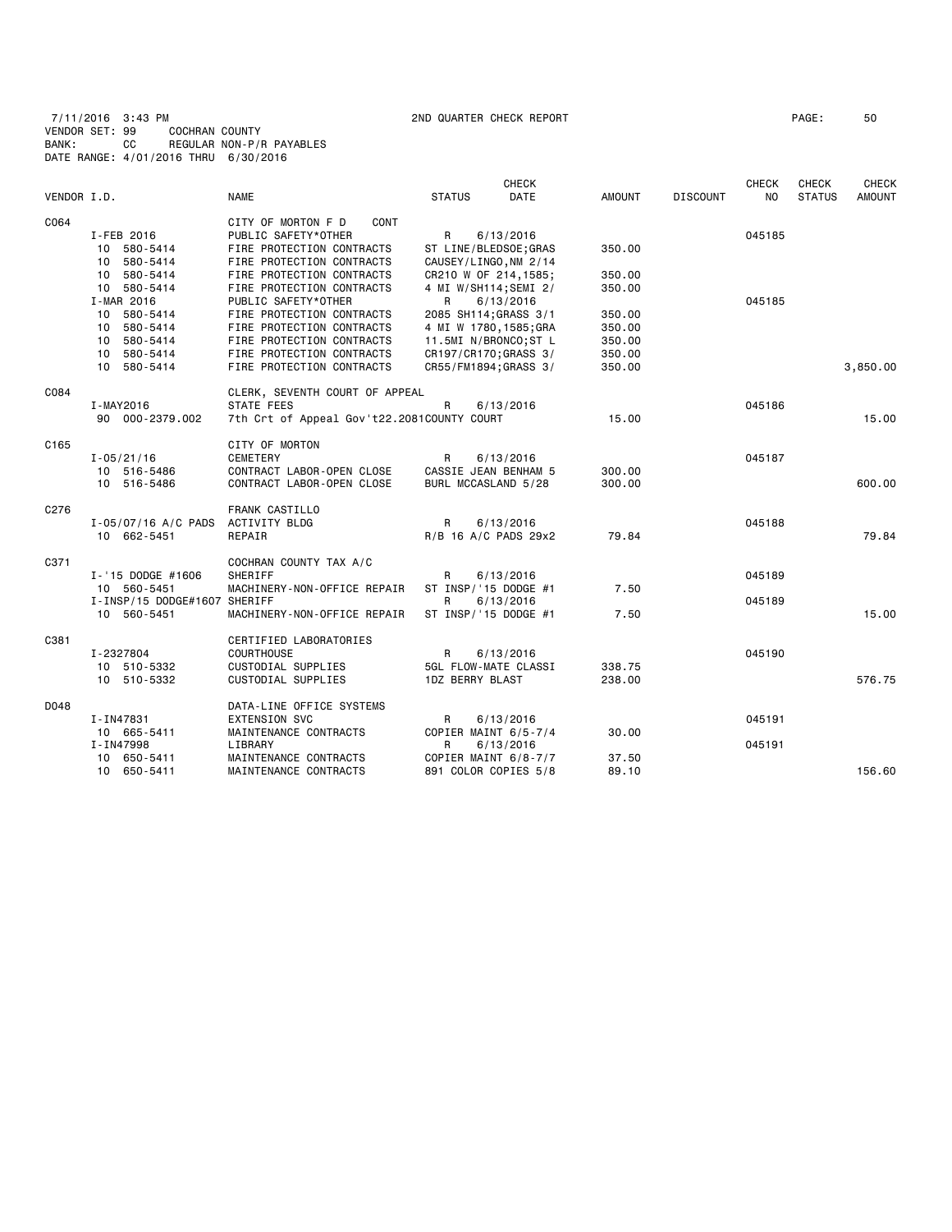7/11/2016 3:43 PM 2ND QUARTER CHECK REPORT PAGE: 50 VENDOR SET: 99 COCHRAN COUNTY BANK: CC REGULAR NON-P/R PAYABLES DATE RANGE: 4/01/2016 THRU 6/30/2016

| VENDOR I.D. |                                   | <b>NAME</b>                                | <b>STATUS</b>          | <b>CHECK</b><br><b>DATE</b> | <b>AMOUNT</b> | <b>DISCOUNT</b> | <b>CHECK</b><br>NO. | CHECK<br><b>STATUS</b> | CHECK<br><b>AMOUNT</b> |
|-------------|-----------------------------------|--------------------------------------------|------------------------|-----------------------------|---------------|-----------------|---------------------|------------------------|------------------------|
| C064        |                                   | CITY OF MORTON F D<br>CONT                 |                        |                             |               |                 |                     |                        |                        |
|             | I-FEB 2016                        | PUBLIC SAFETY*OTHER                        | $\mathsf{R}$           | 6/13/2016                   |               |                 | 045185              |                        |                        |
|             | 10 580-5414                       | FIRE PROTECTION CONTRACTS                  | ST LINE/BLEDSOE; GRAS  |                             | 350.00        |                 |                     |                        |                        |
|             | 10 580-5414                       | FIRE PROTECTION CONTRACTS                  | CAUSEY/LINGO, NM 2/14  |                             |               |                 |                     |                        |                        |
|             | 10 580-5414                       | FIRE PROTECTION CONTRACTS                  | CR210 W OF 214,1585;   |                             | 350.00        |                 |                     |                        |                        |
|             | 10 580-5414                       | FIRE PROTECTION CONTRACTS                  | 4 MI W/SH114; SEMI 2/  |                             | 350.00        |                 |                     |                        |                        |
|             | I-MAR 2016                        | PUBLIC SAFETY*OTHER                        | R                      | 6/13/2016                   |               |                 | 045185              |                        |                        |
|             | 10 580-5414                       | FIRE PROTECTION CONTRACTS                  | 2085 SH114; GRASS 3/1  |                             | 350.00        |                 |                     |                        |                        |
|             | 10 580-5414                       | FIRE PROTECTION CONTRACTS                  | 4 MI W 1780, 1585; GRA |                             | 350.00        |                 |                     |                        |                        |
|             | 10 580-5414                       | FIRE PROTECTION CONTRACTS                  | 11.5MI N/BRONCO;ST L   |                             | 350.00        |                 |                     |                        |                        |
|             | 10 580-5414                       | FIRE PROTECTION CONTRACTS                  | CR197/CR170; GRASS 3/  |                             | 350.00        |                 |                     |                        |                        |
|             | 10 580-5414                       | FIRE PROTECTION CONTRACTS                  | CR55/FM1894;GRASS 3/   |                             | 350.00        |                 |                     |                        | 3,850.00               |
| C084        |                                   | CLERK, SEVENTH COURT OF APPEAL             |                        |                             |               |                 |                     |                        |                        |
|             | I-MAY2016                         | <b>STATE FEES</b>                          | R                      | 6/13/2016                   |               |                 | 045186              |                        |                        |
|             | 90 000-2379.002                   | 7th Crt of Appeal Gov't22.2081COUNTY COURT |                        |                             | 15.00         |                 |                     |                        | 15.00                  |
| C165        |                                   | CITY OF MORTON                             |                        |                             |               |                 |                     |                        |                        |
|             | $I - 05/21/16$                    | CEMETERY                                   | R                      | 6/13/2016                   |               |                 | 045187              |                        |                        |
|             | 10 516-5486                       | CONTRACT LABOR-OPEN CLOSE                  | CASSIE JEAN BENHAM 5   |                             | 300.00        |                 |                     |                        |                        |
|             | 10 516-5486                       | CONTRACT LABOR-OPEN CLOSE                  | BURL MCCASLAND 5/28    |                             | 300.00        |                 |                     |                        | 600.00                 |
| C276        |                                   | FRANK CASTILLO                             |                        |                             |               |                 |                     |                        |                        |
|             | I-05/07/16 A/C PADS ACTIVITY BLDG |                                            | $\mathsf{R}$           | 6/13/2016                   |               |                 | 045188              |                        |                        |
|             | 10 662-5451                       | REPAIR                                     | R/B 16 A/C PADS 29x2   |                             | 79.84         |                 |                     |                        | 79.84                  |
|             |                                   |                                            |                        |                             |               |                 |                     |                        |                        |
| C371        |                                   | COCHRAN COUNTY TAX A/C                     |                        |                             |               |                 |                     |                        |                        |
|             | I-'15 DODGE #1606                 | SHERIFF                                    | R                      | 6/13/2016                   |               |                 | 045189              |                        |                        |
|             | 10 560-5451                       | MACHINERY-NON-OFFICE REPAIR                | ST INSP/'15 DODGE #1   |                             | 7.50          |                 |                     |                        |                        |
|             | I-INSP/15 DODGE#1607 SHERIFF      |                                            | R                      | 6/13/2016                   |               |                 | 045189              |                        |                        |
|             | 10 560-5451                       | MACHINERY-NON-OFFICE REPAIR                | ST INSP/'15 DODGE #1   |                             | 7.50          |                 |                     |                        | 15.00                  |
| C381        |                                   | CERTIFIED LABORATORIES                     |                        |                             |               |                 |                     |                        |                        |
|             | I-2327804                         | <b>COURTHOUSE</b>                          | R                      | 6/13/2016                   |               |                 | 045190              |                        |                        |
|             | 10 510-5332                       | CUSTODIAL SUPPLIES                         | 5GL FLOW-MATE CLASSI   |                             | 338.75        |                 |                     |                        |                        |
|             | 10 510-5332                       | CUSTODIAL SUPPLIES                         | <b>1DZ BERRY BLAST</b> |                             | 238.00        |                 |                     |                        | 576.75                 |
| DO48        |                                   | DATA-LINE OFFICE SYSTEMS                   |                        |                             |               |                 |                     |                        |                        |

| D048 |                 | DATA-LINE OFFICE SYSTEMS |                      |       |        |        |
|------|-----------------|--------------------------|----------------------|-------|--------|--------|
|      | I-IN47831       | EXTENSION SVC            | 6/13/2016<br>R       |       | 045191 |        |
|      | 665-5411<br>10. | MAINTENANCE CONTRACTS    | COPIER MAINT 6/5-7/4 | 30.00 |        |        |
|      | I-IN47998       | ∟IBRARY                  | 6/13/2016<br>R       |       | 045191 |        |
|      | 650-5411<br>10. | MAINTENANCE CONTRACTS    | COPIER MAINT 6/8-7/7 | 37.50 |        |        |
|      | 650-5411<br>10. | MAINTENANCE CONTRACTS    | 891 COLOR COPIES 5/8 | 89.10 |        | 156.60 |
|      |                 |                          |                      |       |        |        |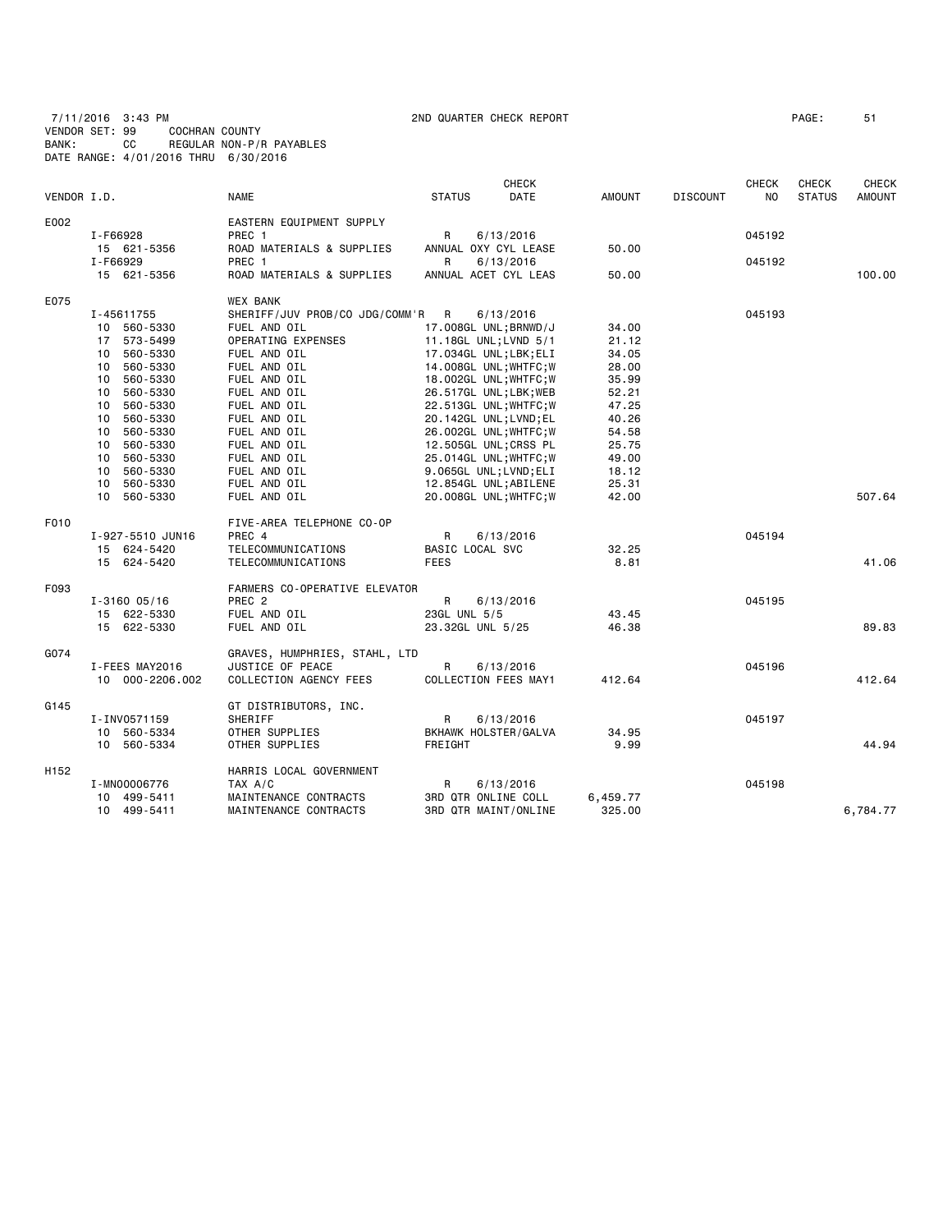7/11/2016 3:43 PM 2ND QUARTER CHECK REPORT PAGE: 51 VENDOR SET: 99 COCHRAN COUNTY BANK: CC REGULAR NON-P/R PAYABLES DATE RANGE: 4/01/2016 THRU 6/30/2016

| VENDOR I.D.      |                  | <b>NAME</b>                    | <b>STATUS</b>       | CHECK<br>DATE          | <b>AMOUNT</b> | <b>DISCOUNT</b> | <b>CHECK</b><br>NO. | <b>CHECK</b><br><b>STATUS</b> | CHECK<br><b>AMOUNT</b> |
|------------------|------------------|--------------------------------|---------------------|------------------------|---------------|-----------------|---------------------|-------------------------------|------------------------|
| E002             |                  | EASTERN EQUIPMENT SUPPLY       |                     |                        |               |                 |                     |                               |                        |
|                  | I-F66928         | PREC 1                         | R                   | 6/13/2016              |               |                 | 045192              |                               |                        |
|                  | 15 621-5356      | ROAD MATERIALS & SUPPLIES      |                     | ANNUAL OXY CYL LEASE   | 50.00         |                 |                     |                               |                        |
|                  | I-F66929         | PREC <sub>1</sub>              | R                   | 6/13/2016              |               |                 | 045192              |                               |                        |
|                  | 15 621-5356      | ROAD MATERIALS & SUPPLIES      |                     | ANNUAL ACET CYL LEAS   | 50.00         |                 |                     |                               | 100,00                 |
| E075             |                  | <b>WEX BANK</b>                |                     |                        |               |                 |                     |                               |                        |
|                  | I-45611755       | SHERIFF/JUV PROB/CO JDG/COMM'R | R                   | 6/13/2016              |               |                 | 045193              |                               |                        |
|                  | 10 560-5330      | FUEL AND OIL                   |                     | 17.008GL UNL; BRNWD/J  | 34.00         |                 |                     |                               |                        |
|                  | 17 573-5499      | OPERATING EXPENSES             |                     | 11.18GL UNL; LVND 5/1  | 21.12         |                 |                     |                               |                        |
|                  | 10 560-5330      | FUEL AND OIL                   |                     | 17.034GL UNL;LBK;ELI   | 34.05         |                 |                     |                               |                        |
|                  | 560-5330<br>10   | FUEL AND OIL                   |                     | 14.008GL UNL; WHTFC; W | 28.00         |                 |                     |                               |                        |
|                  | 560-5330<br>10   | FUEL AND OIL                   |                     | 18.002GL UNL; WHTFC; W | 35.99         |                 |                     |                               |                        |
|                  | 560-5330<br>10   | FUEL AND OIL                   |                     | 26.517GL UNL;LBK;WEB   | 52.21         |                 |                     |                               |                        |
|                  | 10<br>560-5330   | FUEL AND OIL                   |                     | 22.513GL UNL; WHTFC; W | 47.25         |                 |                     |                               |                        |
|                  | 560-5330<br>10   | FUEL AND OIL                   |                     | 20.142GL UNL;LVND;EL   | 40.26         |                 |                     |                               |                        |
|                  | 560-5330<br>10   | FUEL AND OIL                   |                     | 26.002GL UNL; WHTFC; W | 54.58         |                 |                     |                               |                        |
|                  | 560-5330<br>10   | FUEL AND OIL                   |                     | 12.505GL UNL;CRSS PL   | 25.75         |                 |                     |                               |                        |
|                  | 10<br>560-5330   | FUEL AND OIL                   |                     | 25.014GL UNL; WHTFC; W | 49.00         |                 |                     |                               |                        |
|                  | 10 560-5330      | FUEL AND OIL                   |                     | 9.065GL UNL;LVND;ELI   | 18.12         |                 |                     |                               |                        |
|                  | 560-5330<br>10   | FUEL AND OIL                   |                     | 12.854GL UNL;ABILENE   | 25.31         |                 |                     |                               |                        |
|                  | 10 560-5330      | FUEL AND OIL                   |                     | 20.008GL UNL; WHTFC; W | 42.00         |                 |                     |                               | 507.64                 |
| F010             |                  | FIVE-AREA TELEPHONE CO-OP      |                     |                        |               |                 |                     |                               |                        |
|                  | I-927-5510 JUN16 | PREC 4                         | R                   | 6/13/2016              |               |                 | 045194              |                               |                        |
|                  | 15 624-5420      | TELECOMMUNICATIONS             | BASIC LOCAL SVC     |                        | 32.25         |                 |                     |                               |                        |
|                  | 15 624-5420      | TELECOMMUNICATIONS             | FEES                |                        | 8.81          |                 |                     |                               | 41.06                  |
| F093             |                  | FARMERS CO-OPERATIVE ELEVATOR  |                     |                        |               |                 |                     |                               |                        |
|                  | $I - 3160005/16$ | PREC <sub>2</sub>              | R                   | 6/13/2016              |               |                 | 045195              |                               |                        |
|                  | 15 622-5330      | FUEL AND OIL                   | 23GL UNL 5/5        |                        | 43.45         |                 |                     |                               |                        |
|                  | 15 622-5330      | FUEL AND OIL                   | 23.32GL UNL 5/25    |                        | 46.38         |                 |                     |                               | 89.83                  |
| G074             |                  | GRAVES, HUMPHRIES, STAHL, LTD  |                     |                        |               |                 |                     |                               |                        |
|                  | I-FEES MAY2016   | JUSTICE OF PEACE               | R                   | 6/13/2016              |               |                 | 045196              |                               |                        |
|                  | 10 000-2206.002  | COLLECTION AGENCY FEES         |                     | COLLECTION FEES MAY1   | 412.64        |                 |                     |                               | 412.64                 |
| G145             |                  | GT DISTRIBUTORS, INC.          |                     |                        |               |                 |                     |                               |                        |
|                  | I-INV0571159     | SHERIFF                        | R                   | 6/13/2016              |               |                 | 045197              |                               |                        |
|                  | 10 560-5334      | OTHER SUPPLIES                 |                     | BKHAWK HOLSTER/GALVA   | 34.95         |                 |                     |                               |                        |
|                  | 10 560-5334      | OTHER SUPPLIES                 | FREIGHT             |                        | 9.99          |                 |                     |                               | 44.94                  |
| H <sub>152</sub> |                  | HARRIS LOCAL GOVERNMENT        |                     |                        |               |                 |                     |                               |                        |
|                  | I-MN00006776     | TAX A/C                        | R                   | 6/13/2016              |               |                 | 045198              |                               |                        |
|                  | 10 499-5411      | MAINTENANCE CONTRACTS          | 3RD QTR ONLINE COLL |                        | 6,459.77      |                 |                     |                               |                        |
|                  | 10 499-5411      | MAINTENANCE CONTRACTS          |                     | 3RD QTR MAINT/ONLINE   | 325.00        |                 |                     |                               | 6,784.77               |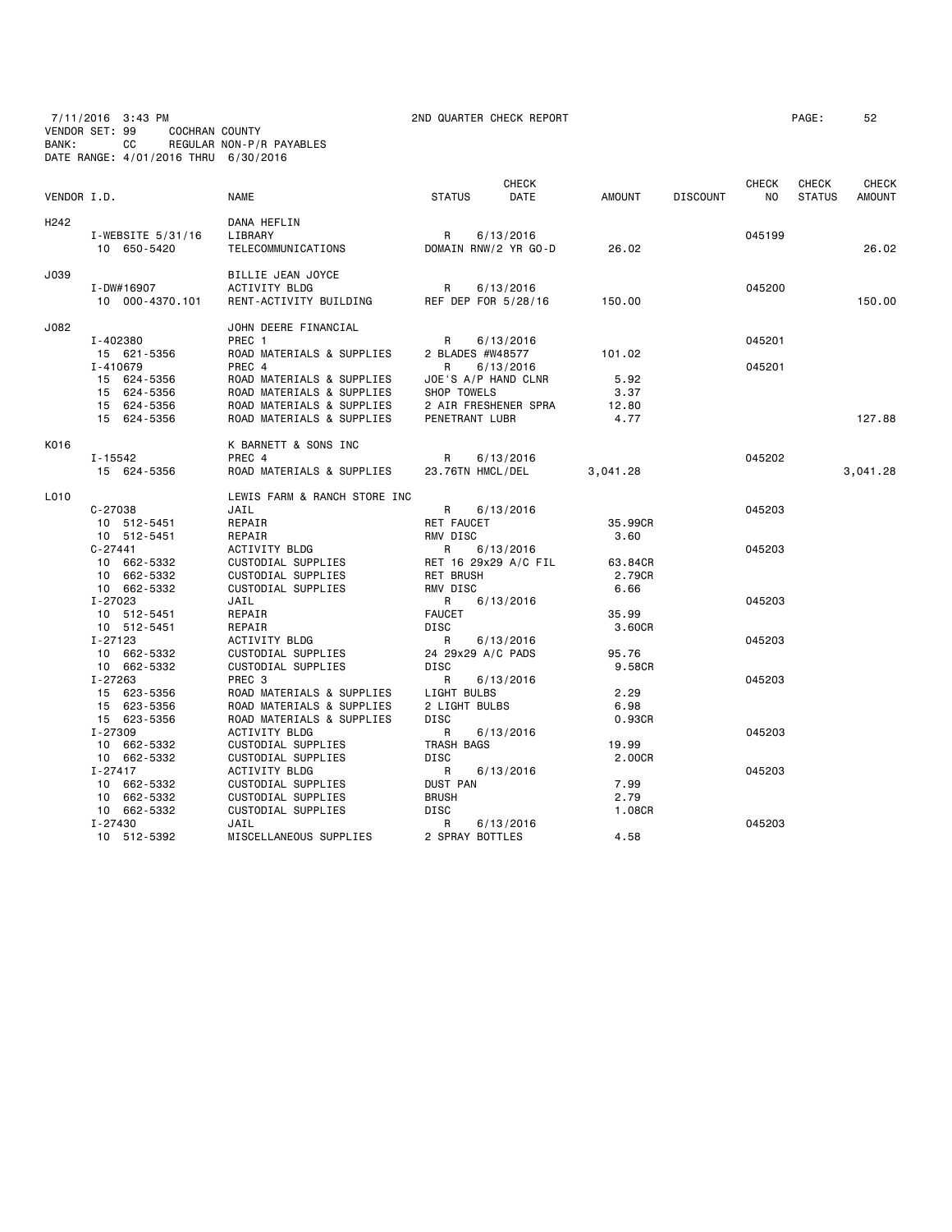7/11/2016 3:43 PM 2ND QUARTER CHECK REPORT PAGE: 52 VENDOR SET: 99 COCHRAN COUNTY BANK: CC REGULAR NON-P/R PAYABLES DATE RANGE: 4/01/2016 THRU 6/30/2016

| VENDOR I.D.      |                                  | <b>NAME</b>                                    | <b>STATUS</b>            | <b>CHECK</b><br>DATE              | <b>AMOUNT</b> | <b>DISCOUNT</b> | <b>CHECK</b><br>NO. | CHECK<br><b>STATUS</b> | CHECK<br><b>AMOUNT</b> |
|------------------|----------------------------------|------------------------------------------------|--------------------------|-----------------------------------|---------------|-----------------|---------------------|------------------------|------------------------|
| H <sub>242</sub> |                                  | DANA HEFLIN                                    |                          |                                   |               |                 |                     |                        |                        |
|                  | I-WEBSITE 5/31/16<br>10 650-5420 | LIBRARY<br>TELECOMMUNICATIONS                  | R                        | 6/13/2016<br>DOMAIN RNW/2 YR GO-D | 26.02         |                 | 045199              |                        | 26,02                  |
|                  |                                  |                                                |                          |                                   |               |                 |                     |                        |                        |
| J039             |                                  | BILLIE JEAN JOYCE                              |                          |                                   |               |                 |                     |                        |                        |
|                  | I-DW#16907<br>10 000-4370.101    | <b>ACTIVITY BLDG</b><br>RENT-ACTIVITY BUILDING | R<br>REF DEP FOR 5/28/16 | 6/13/2016                         | 150.00        |                 | 045200              |                        | 150.00                 |
| J082             |                                  | JOHN DEERE FINANCIAL                           |                          |                                   |               |                 |                     |                        |                        |
|                  | I-402380                         | PREC 1                                         | R                        | 6/13/2016                         |               |                 | 045201              |                        |                        |
|                  | 15 621-5356                      | ROAD MATERIALS & SUPPLIES                      | 2 BLADES #W48577         |                                   | 101.02        |                 |                     |                        |                        |
|                  | I-410679                         | PREC 4                                         | R                        | 6/13/2016                         |               |                 | 045201              |                        |                        |
|                  | 15 624-5356                      | ROAD MATERIALS & SUPPLIES                      | JOE'S A/P HAND CLNR      |                                   | 5.92          |                 |                     |                        |                        |
|                  | 15 624-5356                      | ROAD MATERIALS & SUPPLIES                      | SHOP TOWELS              |                                   | 3.37          |                 |                     |                        |                        |
|                  | 15 624-5356                      | ROAD MATERIALS & SUPPLIES                      |                          | 2 AIR FRESHENER SPRA              | 12.80         |                 |                     |                        |                        |
|                  | 15 624-5356                      | ROAD MATERIALS & SUPPLIES                      | PENETRANT LUBR           |                                   | 4.77          |                 |                     |                        | 127.88                 |
| K016             |                                  | K BARNETT & SONS INC                           |                          |                                   |               |                 |                     |                        |                        |
|                  | I-15542                          | PREC 4                                         | R                        | 6/13/2016                         |               |                 | 045202              |                        |                        |
|                  | 15 624-5356                      | ROAD MATERIALS & SUPPLIES                      | 23.76TN HMCL/DEL         |                                   | 3,041.28      |                 |                     |                        | 3,041.28               |
| L010             |                                  | LEWIS FARM & RANCH STORE INC                   |                          |                                   |               |                 |                     |                        |                        |
|                  | $C - 27038$                      | JAIL                                           | R                        | 6/13/2016                         |               |                 | 045203              |                        |                        |
|                  | 10 512-5451                      | REPAIR                                         | RET FAUCET               |                                   | 35,99CR       |                 |                     |                        |                        |
|                  | 10 512-5451                      | REPAIR                                         | RMV DISC                 |                                   | 3.60          |                 |                     |                        |                        |
|                  | $C - 27441$                      | ACTIVITY BLDG                                  | R                        | 6/13/2016                         |               |                 | 045203              |                        |                        |
|                  | 10 662-5332                      | CUSTODIAL SUPPLIES                             |                          | RET 16 29x29 A/C FIL              | 63.84CR       |                 |                     |                        |                        |
|                  | 10 662-5332                      | CUSTODIAL SUPPLIES                             | <b>RET BRUSH</b>         |                                   | 2.79CR        |                 |                     |                        |                        |
|                  | 10 662-5332                      | CUSTODIAL SUPPLIES                             | RMV DISC                 |                                   | 6.66          |                 |                     |                        |                        |
|                  | I-27023                          | JAIL                                           | R<br><b>FAUCET</b>       | 6/13/2016                         | 35.99         |                 | 045203              |                        |                        |
|                  | 10 512-5451<br>10 512-5451       | REPAIR<br>REPAIR                               | <b>DISC</b>              |                                   | 3.60CR        |                 |                     |                        |                        |
|                  | $I - 27123$                      | ACTIVITY BLDG                                  | R                        | 6/13/2016                         |               |                 | 045203              |                        |                        |
|                  | 10 662-5332                      | CUSTODIAL SUPPLIES                             | 24 29x29 A/C PADS        |                                   | 95.76         |                 |                     |                        |                        |
|                  | 10 662-5332                      | CUSTODIAL SUPPLIES                             | <b>DISC</b>              |                                   | 9.58CR        |                 |                     |                        |                        |
|                  | I-27263                          | PREC 3                                         | R                        | 6/13/2016                         |               |                 | 045203              |                        |                        |
|                  | 15 623-5356                      | ROAD MATERIALS & SUPPLIES                      | LIGHT BULBS              |                                   | 2.29          |                 |                     |                        |                        |
|                  | 15 623-5356                      | ROAD MATERIALS & SUPPLIES                      | 2 LIGHT BULBS            |                                   | 6.98          |                 |                     |                        |                        |
|                  | 15 623-5356                      | ROAD MATERIALS & SUPPLIES                      | <b>DISC</b>              |                                   | 0.93CR        |                 |                     |                        |                        |
|                  | I-27309                          | <b>ACTIVITY BLDG</b>                           | R                        | 6/13/2016                         |               |                 | 045203              |                        |                        |
|                  | 10 662-5332                      | CUSTODIAL SUPPLIES                             | TRASH BAGS               |                                   | 19.99         |                 |                     |                        |                        |
|                  | 10 662-5332                      | CUSTODIAL SUPPLIES                             | <b>DISC</b>              |                                   | 2.00CR        |                 |                     |                        |                        |
|                  | $I - 27417$                      | <b>ACTIVITY BLDG</b>                           | R                        | 6/13/2016                         |               |                 | 045203              |                        |                        |
|                  | 10 662-5332                      | CUSTODIAL SUPPLIES                             | DUST PAN                 |                                   | 7.99          |                 |                     |                        |                        |
|                  | 10 662-5332                      | CUSTODIAL SUPPLIES                             | <b>BRUSH</b>             |                                   | 2.79          |                 |                     |                        |                        |
|                  | 10 662-5332                      | CUSTODIAL SUPPLIES                             | <b>DISC</b>              |                                   | 1.08CR        |                 |                     |                        |                        |
|                  | I-27430                          | JAIL                                           | R                        | 6/13/2016                         |               |                 | 045203              |                        |                        |
|                  | 10 512-5392                      | MISCELLANEOUS SUPPLIES                         | 2 SPRAY BOTTLES          |                                   | 4.58          |                 |                     |                        |                        |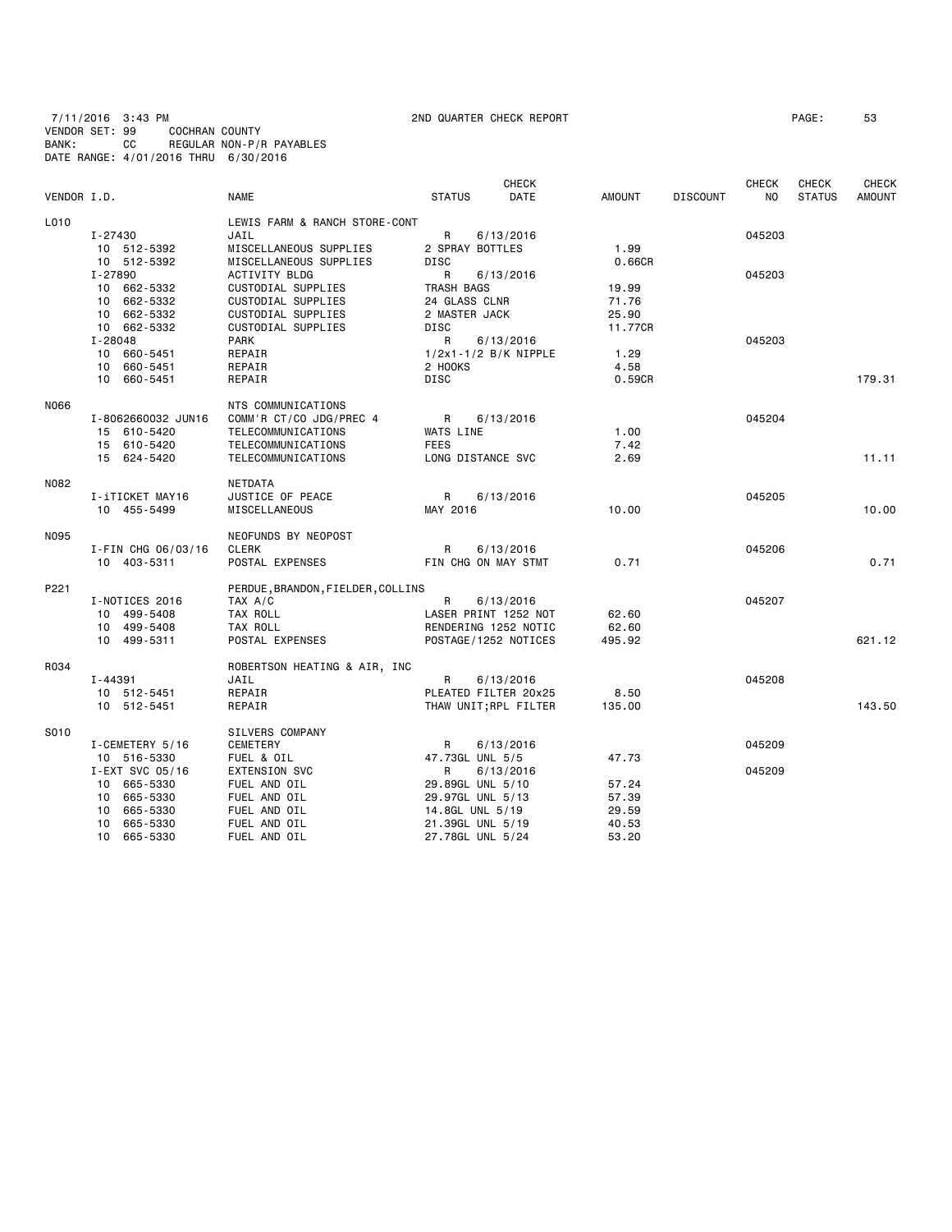7/11/2016 3:43 PM 2ND QUARTER CHECK REPORT PAGE: 53 VENDOR SET: 99 COCHRAN COUNTY BANK: CC REGULAR NON-P/R PAYABLES DATE RANGE: 4/01/2016 THRU 6/30/2016

|             |                            |                                          |                              | <b>CHECK</b>          |                  |                 | <b>CHECK</b>   | <b>CHECK</b>  | <b>CHECK</b>  |
|-------------|----------------------------|------------------------------------------|------------------------------|-----------------------|------------------|-----------------|----------------|---------------|---------------|
| VENDOR I.D. |                            | <b>NAME</b>                              | <b>STATUS</b>                | DATE                  | <b>AMOUNT</b>    | <b>DISCOUNT</b> | N <sub>O</sub> | <b>STATUS</b> | <b>AMOUNT</b> |
| L010        |                            | LEWIS FARM & RANCH STORE-CONT            |                              |                       |                  |                 |                |               |               |
|             | I-27430                    | JAIL                                     | R                            | 6/13/2016             |                  |                 | 045203         |               |               |
|             | 10 512-5392                | MISCELLANEOUS SUPPLIES                   | 2 SPRAY BOTTLES              |                       | 1.99             |                 |                |               |               |
|             | 10 512-5392                | MISCELLANEOUS SUPPLIES                   | DISC                         |                       | 0.66CR           |                 |                |               |               |
|             | I-27890                    | ACTIVITY BLDG                            | R                            | 6/13/2016             |                  |                 | 045203         |               |               |
|             | 10 662-5332                | CUSTODIAL SUPPLIES                       | TRASH BAGS                   |                       | 19.99            |                 |                |               |               |
|             | 10 662-5332                | CUSTODIAL SUPPLIES                       | 24 GLASS CLNR                |                       | 71.76            |                 |                |               |               |
|             | 10 662-5332<br>10 662-5332 | CUSTODIAL SUPPLIES<br>CUSTODIAL SUPPLIES | 2 MASTER JACK<br><b>DISC</b> |                       | 25.90<br>11.77CR |                 |                |               |               |
|             | $I - 28048$                | PARK                                     | R                            | 6/13/2016             |                  |                 | 045203         |               |               |
|             | 10 660-5451                | REPAIR                                   |                              | 1/2x1-1/2 B/K NIPPLE  | 1.29             |                 |                |               |               |
|             | 10 660-5451                | REPAIR                                   | 2 HOOKS                      |                       | 4.58             |                 |                |               |               |
|             | 10 660-5451                | REPAIR                                   | <b>DISC</b>                  |                       | 0.59CR           |                 |                |               | 179.31        |
|             |                            |                                          |                              |                       |                  |                 |                |               |               |
| N066        |                            | NTS COMMUNICATIONS                       |                              |                       |                  |                 |                |               |               |
|             | I-8062660032 JUN16         | COMM'R CT/CO JDG/PREC 4                  | R                            | 6/13/2016             |                  |                 | 045204         |               |               |
|             | 15 610-5420                | TELECOMMUNICATIONS                       | WATS LINE                    |                       | 1.00             |                 |                |               |               |
|             | 15 610-5420                | TELECOMMUNICATIONS                       | <b>FEES</b>                  |                       | 7.42             |                 |                |               |               |
|             | 15 624-5420                | TELECOMMUNICATIONS                       | LONG DISTANCE SVC            |                       | 2.69             |                 |                |               | 11.11         |
| N082        |                            | NETDATA                                  |                              |                       |                  |                 |                |               |               |
|             | I-iTICKET MAY16            | JUSTICE OF PEACE                         | R                            | 6/13/2016             |                  |                 | 045205         |               |               |
|             | 10 455-5499                | MISCELLANEOUS                            | MAY 2016                     |                       | 10.00            |                 |                |               | 10.00         |
| N095        |                            | NEOFUNDS BY NEOPOST                      |                              |                       |                  |                 |                |               |               |
|             | I-FIN CHG 06/03/16         | <b>CLERK</b>                             | R                            | 6/13/2016             |                  |                 | 045206         |               |               |
|             | 10 403-5311                | POSTAL EXPENSES                          | FIN CHG ON MAY STMT          |                       | 0.71             |                 |                |               | 0.71          |
| P221        |                            | PERDUE, BRANDON, FIELDER, COLLINS        |                              |                       |                  |                 |                |               |               |
|             | I-NOTICES 2016             | TAX A/C                                  | R                            | 6/13/2016             |                  |                 | 045207         |               |               |
|             | 10 499-5408                | TAX ROLL                                 |                              | LASER PRINT 1252 NOT  | 62.60            |                 |                |               |               |
|             | 10 499-5408                | TAX ROLL                                 |                              | RENDERING 1252 NOTIC  | 62.60            |                 |                |               |               |
|             | 10 499-5311                | POSTAL EXPENSES                          |                              | POSTAGE/1252 NOTICES  | 495.92           |                 |                |               | 621.12        |
| R034        |                            | ROBERTSON HEATING & AIR, INC             |                              |                       |                  |                 |                |               |               |
|             | I-44391                    | JAIL                                     | R                            | 6/13/2016             |                  |                 | 045208         |               |               |
|             | 10 512-5451                | REPAIR                                   |                              | PLEATED FILTER 20x25  | 8.50             |                 |                |               |               |
|             | 10 512-5451                | REPAIR                                   |                              | THAW UNIT; RPL FILTER | 135.00           |                 |                |               | 143.50        |
| S010        |                            | SILVERS COMPANY                          |                              |                       |                  |                 |                |               |               |
|             | I-CEMETERY 5/16            | CEMETERY                                 | R                            | 6/13/2016             |                  |                 | 045209         |               |               |
|             | 10 516-5330                | FUEL & OIL                               | 47.73GL UNL 5/5              |                       | 47.73            |                 |                |               |               |
|             | I-EXT SVC 05/16            | <b>EXTENSION SVC</b>                     | R                            | 6/13/2016             |                  |                 | 045209         |               |               |
|             | 10 665-5330                | FUEL AND OIL                             | 29.89GL UNL 5/10             |                       | 57.24            |                 |                |               |               |
|             | 10 665-5330                | FUEL AND OIL                             | 29.97GL UNL 5/13             |                       | 57.39            |                 |                |               |               |
|             | 10 665-5330                | FUEL AND OIL                             | 14.8GL UNL 5/19              |                       | 29.59            |                 |                |               |               |
|             | 10 665-5330                | FUEL AND OIL                             | 21.39GL UNL 5/19             |                       | 40.53            |                 |                |               |               |
|             | 10 665-5330                | FUEL AND OIL                             | 27.78GL UNL 5/24             |                       | 53.20            |                 |                |               |               |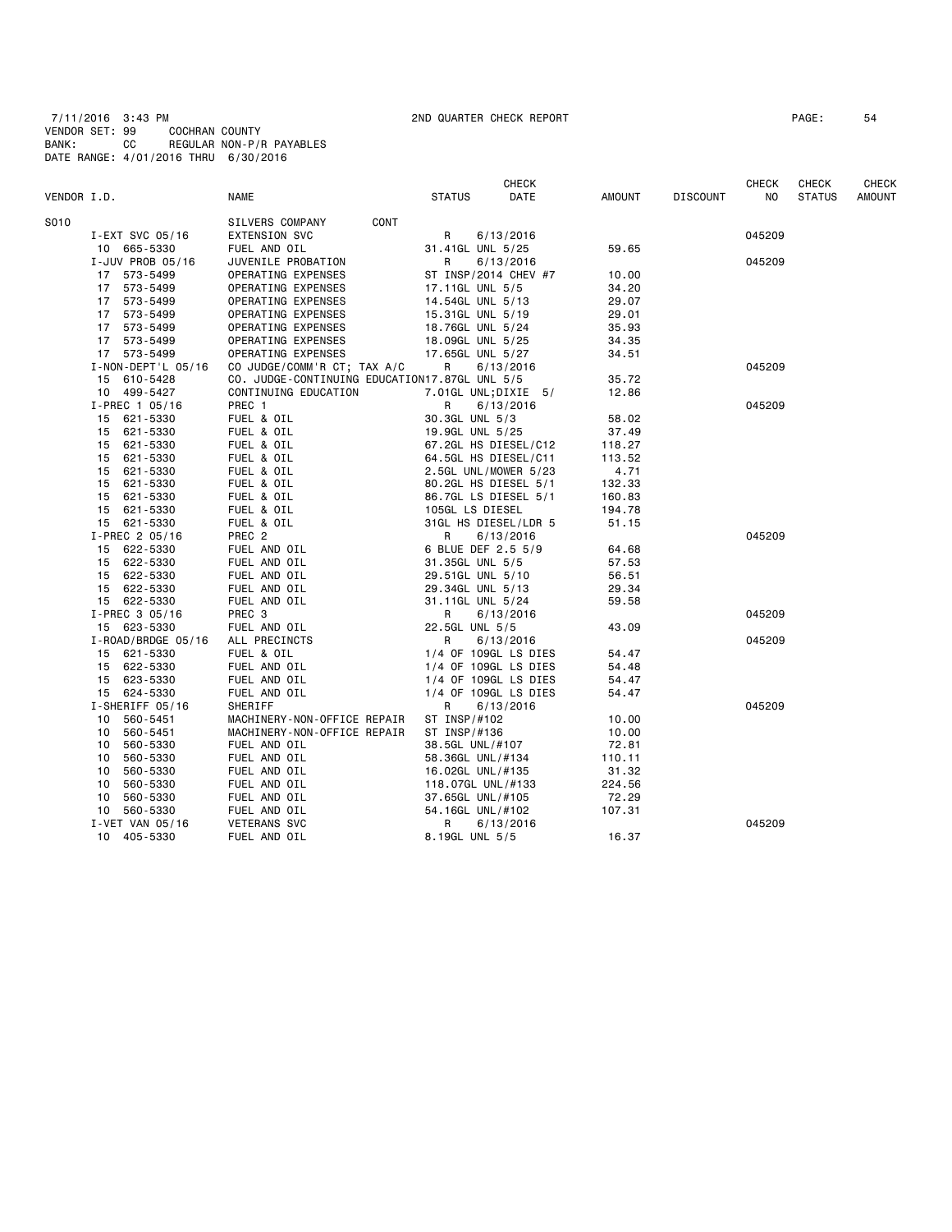7/11/2016 3:43 PM 2ND QUARTER CHECK REPORT PAGE: 54 VENDOR SET: 99 COCHRAN COUNTY BANK: CC REGULAR NON-P/R PAYABLES DATE RANGE: 4/01/2016 THRU 6/30/2016

|             |                    |                                               |                      | CHECK                |        |                 | CHECK  | CHECK         | CHECK         |
|-------------|--------------------|-----------------------------------------------|----------------------|----------------------|--------|-----------------|--------|---------------|---------------|
| VENDOR I.D. |                    | <b>NAME</b>                                   | <b>STATUS</b>        | DATE                 | AMOUNT | <b>DISCOUNT</b> | NO.    | <b>STATUS</b> | <b>AMOUNT</b> |
| S010        |                    | SILVERS COMPANY<br>CONT                       |                      |                      |        |                 |        |               |               |
|             | I-EXT SVC 05/16    | EXTENSION SVC                                 | R                    | 6/13/2016            |        |                 | 045209 |               |               |
|             | 10 665-5330        | FUEL AND OIL                                  | 31.41GL UNL 5/25     |                      | 59.65  |                 |        |               |               |
|             | I-JUV PROB 05/16   | JUVENILE PROBATION                            | R                    | 6/13/2016            |        |                 | 045209 |               |               |
|             | 17 573-5499        | OPERATING EXPENSES                            |                      | ST INSP/2014 CHEV #7 | 10.00  |                 |        |               |               |
|             | 17 573-5499        | OPERATING EXPENSES                            | 17.11GL UNL 5/5      |                      | 34.20  |                 |        |               |               |
|             | 17 573-5499        | OPERATING EXPENSES                            | 14.54GL UNL 5/13     |                      | 29.07  |                 |        |               |               |
|             | 17 573-5499        | OPERATING EXPENSES                            | 15.31GL UNL 5/19     |                      | 29.01  |                 |        |               |               |
|             | 17 573-5499        | OPERATING EXPENSES                            | 18.76GL UNL 5/24     |                      | 35.93  |                 |        |               |               |
|             | 17 573-5499        | OPERATING EXPENSES                            | 18.09GL UNL 5/25     |                      | 34.35  |                 |        |               |               |
|             | 17 573-5499        | OPERATING EXPENSES                            | 17.65GL UNL 5/27     |                      | 34.51  |                 |        |               |               |
|             | I-NON-DEPT'L 05/16 | CO JUDGE/COMM'R CT; TAX A/C                   | R                    | 6/13/2016            |        |                 | 045209 |               |               |
|             | 15 610-5428        | CO. JUDGE-CONTINUING EDUCATION17.87GL UNL 5/5 |                      |                      | 35.72  |                 |        |               |               |
|             | 10 499-5427        | CONTINUING EDUCATION                          |                      | 7.01GL UNL; DIXIE 5/ | 12.86  |                 |        |               |               |
|             | $I-PREC$ 1 05/16   | PREC 1                                        | R.                   | 6/13/2016            |        |                 | 045209 |               |               |
|             | 15 621-5330        | FUEL & OIL                                    | 30.3GL UNL 5/3       |                      | 58.02  |                 |        |               |               |
|             | 15 621-5330        | FUEL & OIL                                    | 19.9GL UNL 5/25      |                      | 37.49  |                 |        |               |               |
|             | 15 621-5330        | FUEL & OIL                                    |                      | 67.2GL HS DIESEL/C12 | 118.27 |                 |        |               |               |
|             | 15 621-5330        | FUEL & OIL                                    | 64.5GL HS DIESEL/C11 |                      | 113.52 |                 |        |               |               |
|             | 15 621-5330        | FUEL & OIL                                    |                      | 2.5GL UNL/MOWER 5/23 | 4.71   |                 |        |               |               |
|             | 15 621-5330        | FUEL & OIL                                    | 80.2GL HS DIESEL 5/1 |                      | 132.33 |                 |        |               |               |
|             | 15 621-5330        | FUEL & OIL                                    | 86.7GL LS DIESEL 5/1 |                      | 160.83 |                 |        |               |               |
|             | 15 621-5330        | FUEL & OIL                                    | 105GL LS DIESEL      |                      | 194.78 |                 |        |               |               |
|             | 15 621-5330        | FUEL & OIL                                    |                      | 31GL HS DIESEL/LDR 5 | 51.15  |                 |        |               |               |
|             | I-PREC 2 05/16     | PREC 2                                        | R                    |                      |        |                 | 045209 |               |               |
|             | 15 622-5330        | FUEL AND OIL                                  | 6 BLUE DEF 2.5 5/9   | 6/13/2016            | 64.68  |                 |        |               |               |
|             | 15 622-5330        | FUEL AND OIL                                  | 31.35GL UNL 5/5      |                      | 57.53  |                 |        |               |               |
|             |                    |                                               |                      |                      |        |                 |        |               |               |
|             | 15 622-5330        | FUEL AND OIL                                  | 29.51GL UNL 5/10     |                      | 56.51  |                 |        |               |               |
|             | 15 622-5330        | FUEL AND OIL                                  | 29.34GL UNL 5/13     |                      | 29.34  |                 |        |               |               |
|             | 15 622-5330        | FUEL AND OIL                                  | 31.11GL UNL 5/24     |                      | 59.58  |                 |        |               |               |
|             | I-PREC 3 05/16     | PREC 3                                        | R                    | 6/13/2016            |        |                 | 045209 |               |               |
|             | 15 623-5330        | FUEL AND OIL                                  | 22.5GL UNL 5/5       |                      | 43.09  |                 |        |               |               |
|             | I-ROAD/BRDGE 05/16 | ALL PRECINCTS                                 | R                    | 6/13/2016            |        |                 | 045209 |               |               |
|             | 15 621-5330        | FUEL & OIL                                    |                      | 1/4 OF 109GL LS DIES | 54.47  |                 |        |               |               |
|             | 15 622-5330        | FUEL AND OIL                                  |                      | 1/4 OF 109GL LS DIES | 54.48  |                 |        |               |               |
|             | 15 623-5330        | FUEL AND OIL                                  |                      | 1/4 OF 109GL LS DIES | 54.47  |                 |        |               |               |
|             | 15 624-5330        | FUEL AND OIL                                  |                      | 1/4 OF 109GL LS DIES | 54.47  |                 |        |               |               |
|             | I-SHERIFF 05/16    | SHERIFF                                       | R                    | 6/13/2016            |        |                 | 045209 |               |               |
|             | 10 560-5451        | MACHINERY-NON-OFFICE REPAIR                   | ST INSP/#102         |                      | 10.00  |                 |        |               |               |
|             | 10 560-5451        | MACHINERY-NON-OFFICE REPAIR                   | ST INSP/#136         |                      | 10.00  |                 |        |               |               |
|             | 10 560-5330        | FUEL AND OIL                                  | 38.5GL UNL/#107      |                      | 72.81  |                 |        |               |               |
|             | 10 560-5330        | FUEL AND OIL                                  | 58.36GL UNL/#134     |                      | 110.11 |                 |        |               |               |
|             | 560-5330<br>10     | FUEL AND OIL                                  | 16.02GL UNL/#135     |                      | 31.32  |                 |        |               |               |
|             | 560-5330<br>10     | FUEL AND OIL                                  | 118.07GL UNL/#133    |                      | 224.56 |                 |        |               |               |
|             | 10 560-5330        | FUEL AND OIL                                  | 37.65GL UNL/#105     |                      | 72.29  |                 |        |               |               |
|             | 560-5330<br>10     | FUEL AND OIL                                  | 54.16GL UNL/#102     |                      | 107.31 |                 |        |               |               |
|             | I-VET VAN 05/16    | <b>VETERANS SVC</b>                           | R                    | 6/13/2016            |        |                 | 045209 |               |               |
|             | 10 405-5330        | FUEL AND OIL                                  | 8.19GL UNL 5/5       |                      | 16.37  |                 |        |               |               |
|             |                    |                                               |                      |                      |        |                 |        |               |               |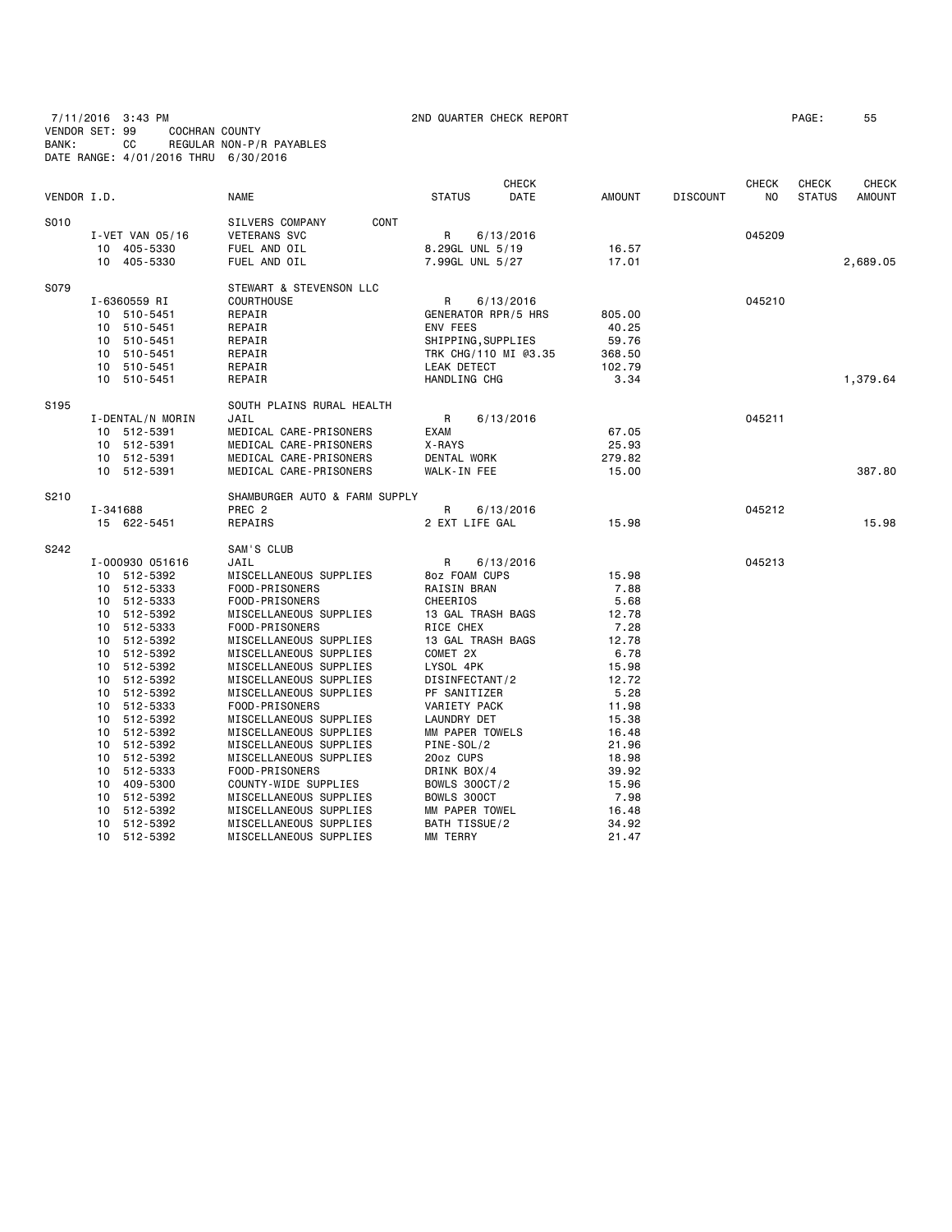7/11/2016 3:43 PM 2ND QUARTER CHECK REPORT PAGE: 55 VENDOR SET: 99 COCHRAN COUNTY BANK: CC REGULAR NON-P/R PAYABLES DATE RANGE: 4/01/2016 THRU 6/30/2016

| VENDOR I.D. |                  | <b>NAME</b>                   | <b>STATUS</b>              | <b>CHECK</b><br>DATE | <b>AMOUNT</b> | <b>DISCOUNT</b> | <b>CHECK</b><br>N <sub>O</sub> | <b>CHECK</b><br><b>STATUS</b> | <b>CHECK</b><br><b>AMOUNT</b> |
|-------------|------------------|-------------------------------|----------------------------|----------------------|---------------|-----------------|--------------------------------|-------------------------------|-------------------------------|
| S010        |                  | SILVERS COMPANY<br>CONT       |                            |                      |               |                 |                                |                               |                               |
|             | I-VET VAN 05/16  | <b>VETERANS SVC</b>           | R                          | 6/13/2016            |               |                 | 045209                         |                               |                               |
|             | 10 405-5330      | FUEL AND OIL                  | 8.29GL UNL 5/19            |                      | 16.57         |                 |                                |                               |                               |
|             | 10 405-5330      | FUEL AND OIL                  | 7.99GL UNL 5/27            |                      | 17.01         |                 |                                |                               | 2,689.05                      |
| S079        |                  | STEWART & STEVENSON LLC       |                            |                      |               |                 |                                |                               |                               |
|             | I-6360559 RI     | <b>COURTHOUSE</b>             | R                          | 6/13/2016            |               |                 | 045210                         |                               |                               |
|             | 10 510-5451      | REPAIR                        | <b>GENERATOR RPR/5 HRS</b> |                      | 805.00        |                 |                                |                               |                               |
|             | 10<br>510-5451   | REPAIR                        | ENV FEES                   |                      | 40.25         |                 |                                |                               |                               |
|             | 10<br>510-5451   | REPAIR                        | SHIPPING, SUPPLIES         |                      | 59.76         |                 |                                |                               |                               |
|             | 510-5451<br>10   | REPAIR                        |                            | TRK CHG/110 MI @3.35 | 368.50        |                 |                                |                               |                               |
|             | 510-5451<br>10   | REPAIR                        | LEAK DETECT                |                      | 102.79        |                 |                                |                               |                               |
|             | 10 510-5451      | REPAIR                        | HANDLING CHG               |                      | 3.34          |                 |                                |                               | 1,379.64                      |
| S195        |                  | SOUTH PLAINS RURAL HEALTH     |                            |                      |               |                 |                                |                               |                               |
|             | I-DENTAL/N MORIN | JAIL                          | R                          | 6/13/2016            |               |                 | 045211                         |                               |                               |
|             | 512-5391<br>10   | MEDICAL CARE-PRISONERS        | <b>EXAM</b>                |                      | 67.05         |                 |                                |                               |                               |
|             | 10 512-5391      | MEDICAL CARE-PRISONERS        |                            |                      | 25.93         |                 |                                |                               |                               |
|             |                  |                               | X-RAYS                     |                      |               |                 |                                |                               |                               |
|             | 10 512-5391      | MEDICAL CARE-PRISONERS        | DENTAL WORK                |                      | 279.82        |                 |                                |                               |                               |
|             | 10 512-5391      | MEDICAL CARE-PRISONERS        | WALK-IN FEE                |                      | 15.00         |                 |                                |                               | 387.80                        |
| S210        |                  | SHAMBURGER AUTO & FARM SUPPLY |                            |                      |               |                 |                                |                               |                               |
|             | I-341688         | PREC <sub>2</sub>             | R                          | 6/13/2016            |               |                 | 045212                         |                               |                               |
|             | 15 622-5451      | REPAIRS                       | 2 EXT LIFE GAL             |                      | 15.98         |                 |                                |                               | 15.98                         |
| S242        |                  | SAM'S CLUB                    |                            |                      |               |                 |                                |                               |                               |
|             | I-000930 051616  | JAIL                          | R                          | 6/13/2016            |               |                 | 045213                         |                               |                               |
|             | 10 512-5392      | MISCELLANEOUS SUPPLIES        | 8oz FOAM CUPS              |                      | 15.98         |                 |                                |                               |                               |
|             | 10 512-5333      | FOOD-PRISONERS                | RAISIN BRAN                |                      | 7.88          |                 |                                |                               |                               |
|             | 512-5333<br>10   | FOOD-PRISONERS                | CHEERIOS                   |                      | 5.68          |                 |                                |                               |                               |
|             | 512-5392<br>10   | MISCELLANEOUS SUPPLIES        | 13 GAL TRASH BAGS          |                      | 12.78         |                 |                                |                               |                               |
|             | 512-5333<br>10   | FOOD-PRISONERS                | RICE CHEX                  |                      | 7.28          |                 |                                |                               |                               |
|             | 512-5392<br>10   | MISCELLANEOUS SUPPLIES        | 13 GAL TRASH BAGS          |                      | 12.78         |                 |                                |                               |                               |
|             | 10<br>512-5392   | MISCELLANEOUS SUPPLIES        | COMET 2X                   |                      | 6.78          |                 |                                |                               |                               |
|             | 512-5392<br>10   | MISCELLANEOUS SUPPLIES        | LYSOL 4PK                  |                      | 15.98         |                 |                                |                               |                               |
|             | 10 512-5392      | MISCELLANEOUS SUPPLIES        | DISINFECTANT/2             |                      | 12.72         |                 |                                |                               |                               |
|             | 10<br>512-5392   | MISCELLANEOUS SUPPLIES        | PF SANITIZER               |                      | 5.28          |                 |                                |                               |                               |
|             | 512-5333<br>10   | FOOD-PRISONERS                | VARIETY PACK               |                      | 11.98         |                 |                                |                               |                               |
|             | 512-5392<br>10   | MISCELLANEOUS SUPPLIES        | LAUNDRY DET                |                      | 15.38         |                 |                                |                               |                               |
|             | 512-5392<br>10   | MISCELLANEOUS SUPPLIES        | MM PAPER TOWELS            |                      | 16.48         |                 |                                |                               |                               |
|             | 512-5392<br>10   | MISCELLANEOUS SUPPLIES        | PINE-SOL/2                 |                      | 21.96         |                 |                                |                               |                               |
|             | 512-5392<br>10   | MISCELLANEOUS SUPPLIES        | 20oz CUPS                  |                      | 18.98         |                 |                                |                               |                               |
|             | 512-5333<br>10   | FOOD-PRISONERS                | DRINK BOX/4                |                      | 39.92         |                 |                                |                               |                               |
|             | 409-5300<br>10   | COUNTY-WIDE SUPPLIES          | <b>BOWLS 300CT/2</b>       |                      | 15.96         |                 |                                |                               |                               |
|             | 10<br>512-5392   | MISCELLANEOUS SUPPLIES        | BOWLS 300CT                |                      | 7.98          |                 |                                |                               |                               |
|             | 512-5392<br>10   | MISCELLANEOUS SUPPLIES        | MM PAPER TOWEL             |                      | 16.48         |                 |                                |                               |                               |
|             | 512-5392<br>10   | MISCELLANEOUS SUPPLIES        | BATH TISSUE/2              |                      | 34.92         |                 |                                |                               |                               |
|             | 512-5392<br>10   | MISCELLANEOUS SUPPLIES        | MM TERRY                   |                      | 21.47         |                 |                                |                               |                               |
|             |                  |                               |                            |                      |               |                 |                                |                               |                               |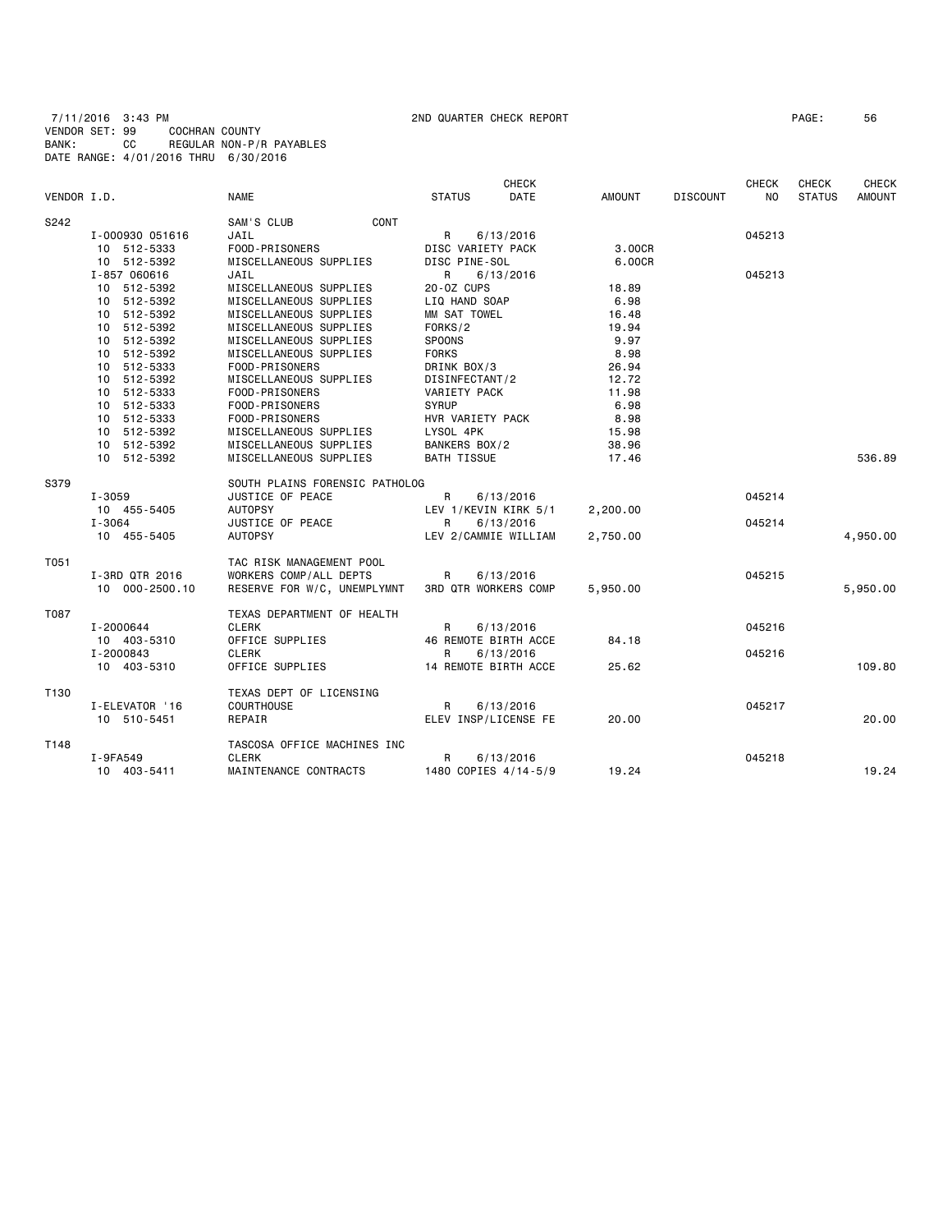7/11/2016 3:43 PM 2ND QUARTER CHECK REPORT PAGE: 56 VENDOR SET: 99 COCHRAN COUNTY BANK: CC REGULAR NON-P/R PAYABLES DATE RANGE: 4/01/2016 THRU 6/30/2016

|             |                 |                                |                             | <b>CHECK</b>         |               |                 | <b>CHECK</b> | CHECK         | <b>CHECK</b>  |
|-------------|-----------------|--------------------------------|-----------------------------|----------------------|---------------|-----------------|--------------|---------------|---------------|
| VENDOR I.D. |                 | <b>NAME</b>                    | <b>STATUS</b>               | <b>DATE</b>          | <b>AMOUNT</b> | <b>DISCOUNT</b> | NO.          | <b>STATUS</b> | <b>AMOUNT</b> |
| S242        |                 | SAM'S CLUB<br><b>CONT</b>      |                             |                      |               |                 |              |               |               |
|             | I-000930 051616 | JAIL                           | R                           | 6/13/2016            |               |                 | 045213       |               |               |
|             | 10 512-5333     | FOOD-PRISONERS                 | DISC VARIETY PACK           |                      | 3.00CR        |                 |              |               |               |
|             | 10 512-5392     | MISCELLANEOUS SUPPLIES         | DISC PINE-SOL               |                      | 6.00CR        |                 |              |               |               |
|             | I-857 060616    | JAIL                           | R                           | 6/13/2016            |               |                 | 045213       |               |               |
|             | 10 512-5392     | MISCELLANEOUS SUPPLIES         | 20-0Z CUPS                  |                      | 18.89         |                 |              |               |               |
|             | 10 512-5392     | MISCELLANEOUS SUPPLIES         | LIQ HAND SOAP               |                      | 6.98          |                 |              |               |               |
|             | 10 512-5392     | MISCELLANEOUS SUPPLIES         | MM SAT TOWEL                |                      | 16.48         |                 |              |               |               |
|             | 10 512-5392     | MISCELLANEOUS SUPPLIES         | FORKS/2                     |                      | 19.94         |                 |              |               |               |
|             | 10 512-5392     | MISCELLANEOUS SUPPLIES         | <b>SPOONS</b>               |                      | 9.97          |                 |              |               |               |
|             | 10 512-5392     | MISCELLANEOUS SUPPLIES         | <b>FORKS</b>                |                      | 8.98          |                 |              |               |               |
|             | 10 512-5333     | FOOD-PRISONERS                 | DRINK BOX/3                 |                      | 26.94         |                 |              |               |               |
|             | 10 512-5392     | MISCELLANEOUS SUPPLIES         | DISINFECTANT/2              |                      | 12.72         |                 |              |               |               |
|             | 10 512-5333     | FOOD-PRISONERS                 | VARIETY PACK                |                      | 11.98         |                 |              |               |               |
|             | 10 512-5333     | FOOD-PRISONERS                 | <b>SYRUP</b>                |                      | 6.98          |                 |              |               |               |
|             | 10 512-5333     | FOOD-PRISONERS                 | HVR VARIETY PACK            |                      | 8.98          |                 |              |               |               |
|             | 10 512-5392     | MISCELLANEOUS SUPPLIES         | LYSOL 4PK                   |                      | 15.98         |                 |              |               |               |
|             | 10 512-5392     | MISCELLANEOUS SUPPLIES         | BANKERS BOX/2               |                      | 38.96         |                 |              |               |               |
|             | 10 512-5392     | MISCELLANEOUS SUPPLIES         | <b>BATH TISSUE</b>          |                      | 17.46         |                 |              |               | 536.89        |
|             |                 |                                |                             |                      |               |                 |              |               |               |
| S379        |                 | SOUTH PLAINS FORENSIC PATHOLOG |                             |                      |               |                 |              |               |               |
|             | $I - 3059$      | JUSTICE OF PEACE               | R                           | 6/13/2016            |               |                 | 045214       |               |               |
|             | 10 455-5405     | <b>AUTOPSY</b>                 |                             | LEV 1/KEVIN KIRK 5/1 | 2,200.00      |                 |              |               |               |
|             | $I - 3064$      | JUSTICE OF PEACE               | R                           | 6/13/2016            |               |                 | 045214       |               |               |
|             | 10 455-5405     | <b>AUTOPSY</b>                 |                             | LEV 2/CAMMIE WILLIAM | 2,750.00      |                 |              |               | 4,950.00      |
|             |                 |                                |                             |                      |               |                 |              |               |               |
| T051        |                 | TAC RISK MANAGEMENT POOL       |                             |                      |               |                 |              |               |               |
|             | I-3RD QTR 2016  | WORKERS COMP/ALL DEPTS         | $\mathsf{R}$                | 6/13/2016            |               |                 | 045215       |               |               |
|             | 10 000-2500.10  | RESERVE FOR W/C, UNEMPLYMNT    | <b>3RD QTR WORKERS COMP</b> |                      | 5,950.00      |                 |              |               | 5,950.00      |
| T087        |                 | TEXAS DEPARTMENT OF HEALTH     |                             |                      |               |                 |              |               |               |
|             | I-2000644       | <b>CLERK</b>                   | R                           | 6/13/2016            |               |                 | 045216       |               |               |
|             | 10 403-5310     | OFFICE SUPPLIES                | 46 REMOTE BIRTH ACCE        |                      | 84.18         |                 |              |               |               |
|             | I-2000843       | <b>CLERK</b>                   | R                           | 6/13/2016            |               |                 | 045216       |               |               |
|             | 10 403-5310     | OFFICE SUPPLIES                | 14 REMOTE BIRTH ACCE        |                      | 25.62         |                 |              |               | 109.80        |
|             |                 |                                |                             |                      |               |                 |              |               |               |
| T130        |                 | TEXAS DEPT OF LICENSING        |                             |                      |               |                 |              |               |               |
|             | I-ELEVATOR '16  | COURTHOUSE                     | $\mathsf{R}$                | 6/13/2016            |               |                 | 045217       |               |               |
|             | 10 510-5451     | REPAIR                         |                             | ELEV INSP/LICENSE FE | 20.00         |                 |              |               | 20.00         |
| T148        |                 | TASCOSA OFFICE MACHINES INC    |                             |                      |               |                 |              |               |               |
|             | I-9FA549        | <b>CLERK</b>                   | R                           | 6/13/2016            |               |                 | 045218       |               |               |
|             | 10 403-5411     | MAINTENANCE CONTRACTS          |                             | 1480 COPIES 4/14-5/9 | 19.24         |                 |              |               | 19.24         |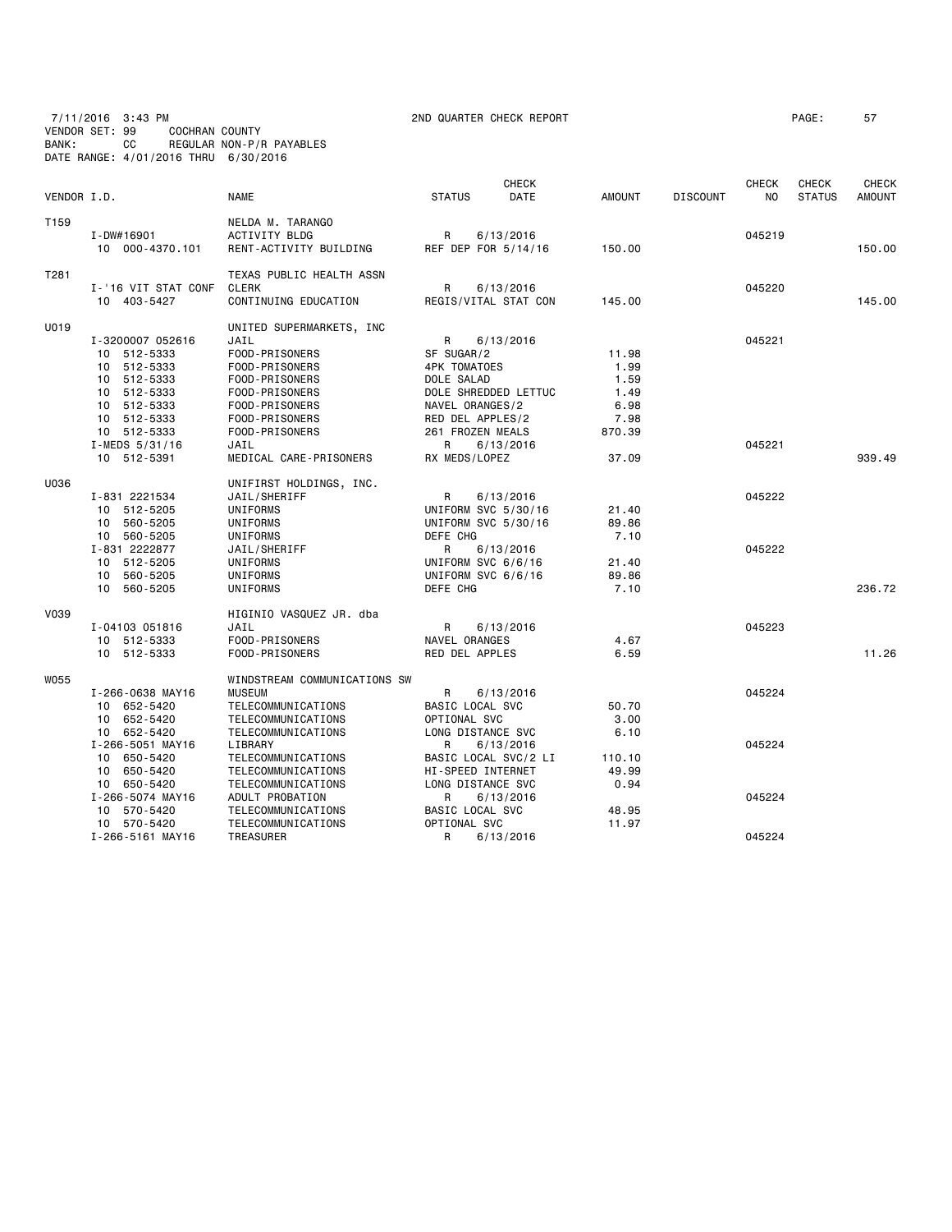7/11/2016 3:43 PM 2ND QUARTER CHECK REPORT PAGE: 57 VENDOR SET: 99 COCHRAN COUNTY BANK: CC REGULAR NON-P/R PAYABLES DATE RANGE: 4/01/2016 THRU 6/30/2016

| VENDOR I.D. |                                                                                                                                                              | <b>NAME</b>                                                                                                                                                                                      | <b>STATUS</b>                                                                                                                                                 | <b>CHECK</b><br>DATE                | <b>AMOUNT</b>                                                    | <b>DISCOUNT</b> | <b>CHECK</b><br>NO         | <b>CHECK</b><br><b>STATUS</b> | <b>CHECK</b><br><b>AMOUNT</b> |
|-------------|--------------------------------------------------------------------------------------------------------------------------------------------------------------|--------------------------------------------------------------------------------------------------------------------------------------------------------------------------------------------------|---------------------------------------------------------------------------------------------------------------------------------------------------------------|-------------------------------------|------------------------------------------------------------------|-----------------|----------------------------|-------------------------------|-------------------------------|
| T159        | I-DW#16901<br>10 000-4370.101                                                                                                                                | NELDA M. TARANGO<br><b>ACTIVITY BLDG</b><br>RENT-ACTIVITY BUILDING                                                                                                                               | R<br>REF DEP FOR 5/14/16                                                                                                                                      | 6/13/2016                           | 150.00                                                           |                 | 045219                     |                               | 150.00                        |
| T281        | I-'16 VIT STAT CONF<br>10 403-5427                                                                                                                           | TEXAS PUBLIC HEALTH ASSN<br><b>CLERK</b><br>CONTINUING EDUCATION                                                                                                                                 | R<br>REGIS/VITAL STAT CON                                                                                                                                     | 6/13/2016                           | 145.00                                                           |                 | 045220                     |                               | 145.00                        |
| U019        | I-3200007 052616<br>10 512-5333<br>10 512-5333<br>10 512-5333<br>10 512-5333<br>10 512-5333<br>10 512-5333<br>10 512-5333<br>$I-MEDS$ 5/31/16<br>10 512-5391 | UNITED SUPERMARKETS, INC<br>JAIL<br>FOOD-PRISONERS<br>FOOD-PRISONERS<br>FOOD-PRISONERS<br>FOOD-PRISONERS<br>FOOD-PRISONERS<br>FOOD-PRISONERS<br>FOOD-PRISONERS<br>JAIL<br>MEDICAL CARE-PRISONERS | R<br>SF SUGAR/2<br><b>4PK TOMATOES</b><br>DOLE SALAD<br>DOLE SHREDDED LETTUC<br>NAVEL ORANGES/2<br>RED DEL APPLES/2<br>261 FROZEN MEALS<br>R<br>RX MEDS/LOPEZ | 6/13/2016<br>6/13/2016              | 11.98<br>1.99<br>1.59<br>1.49<br>6.98<br>7.98<br>870.39<br>37.09 |                 | 045221<br>045221           |                               | 939.49                        |
| U036        | I-831 2221534<br>10 512-5205<br>10 560-5205<br>10 560-5205<br>I-831 2222877<br>10 512-5205<br>10 560-5205<br>10<br>560-5205                                  | UNIFIRST HOLDINGS, INC.<br>JAIL/SHERIFF<br>UNIFORMS<br>UNIFORMS<br>UNIFORMS<br>JAIL/SHERIFF<br>UNIFORMS<br>UNIFORMS<br>UNIFORMS                                                                  | R<br>UNIFORM SVC 5/30/16<br>UNIFORM SVC 5/30/16<br>DEFE CHG<br>R<br>UNIFORM SVC 6/6/16<br>UNIFORM SVC 6/6/16<br>DEFE CHG                                      | 6/13/2016<br>6/13/2016              | 21.40<br>89.86<br>7.10<br>21.40<br>89.86<br>7.10                 |                 | 045222<br>045222           |                               | 236.72                        |
| V039        | I-04103 051816<br>10 512-5333<br>10 512-5333                                                                                                                 | HIGINIO VASQUEZ JR. dba<br>JAIL<br>FOOD-PRISONERS<br>FOOD-PRISONERS                                                                                                                              | R<br>NAVEL ORANGES<br><b>RED DEL APPLES</b>                                                                                                                   | 6/13/2016                           | 4.67<br>6.59                                                     |                 | 045223                     |                               | 11.26                         |
| W055        | I-266-0638 MAY16<br>10 652-5420<br>652-5420<br>10<br>10 652-5420                                                                                             | WINDSTREAM COMMUNICATIONS SW<br><b>MUSEUM</b><br>TELECOMMUNICATIONS<br>TELECOMMUNICATIONS<br>TELECOMMUNICATIONS                                                                                  | R<br>BASIC LOCAL SVC<br>OPTIONAL SVC<br>LONG DISTANCE SVC                                                                                                     | 6/13/2016                           | 50.70<br>3.00<br>6.10                                            |                 | 045224                     |                               |                               |
|             | I-266-5051 MAY16<br>10 650-5420<br>10 650-5420<br>10 650-5420<br>I-266-5074 MAY16<br>10 570-5420<br>10 570-5420<br>I-266-5161 MAY16                          | LIBRARY<br>TELECOMMUNICATIONS<br>TELECOMMUNICATIONS<br>TELECOMMUNICATIONS<br>ADULT PROBATION<br>TELECOMMUNICATIONS<br>TELECOMMUNICATIONS<br>TREASURER                                            | R<br>BASIC LOCAL SVC/2 LI<br>HI-SPEED INTERNET<br>LONG DISTANCE SVC<br>R<br>BASIC LOCAL SVC<br>OPTIONAL SVC<br>R                                              | 6/13/2016<br>6/13/2016<br>6/13/2016 | 110.10<br>49.99<br>0.94<br>48.95<br>11.97                        |                 | 045224<br>045224<br>045224 |                               |                               |
|             |                                                                                                                                                              |                                                                                                                                                                                                  |                                                                                                                                                               |                                     |                                                                  |                 |                            |                               |                               |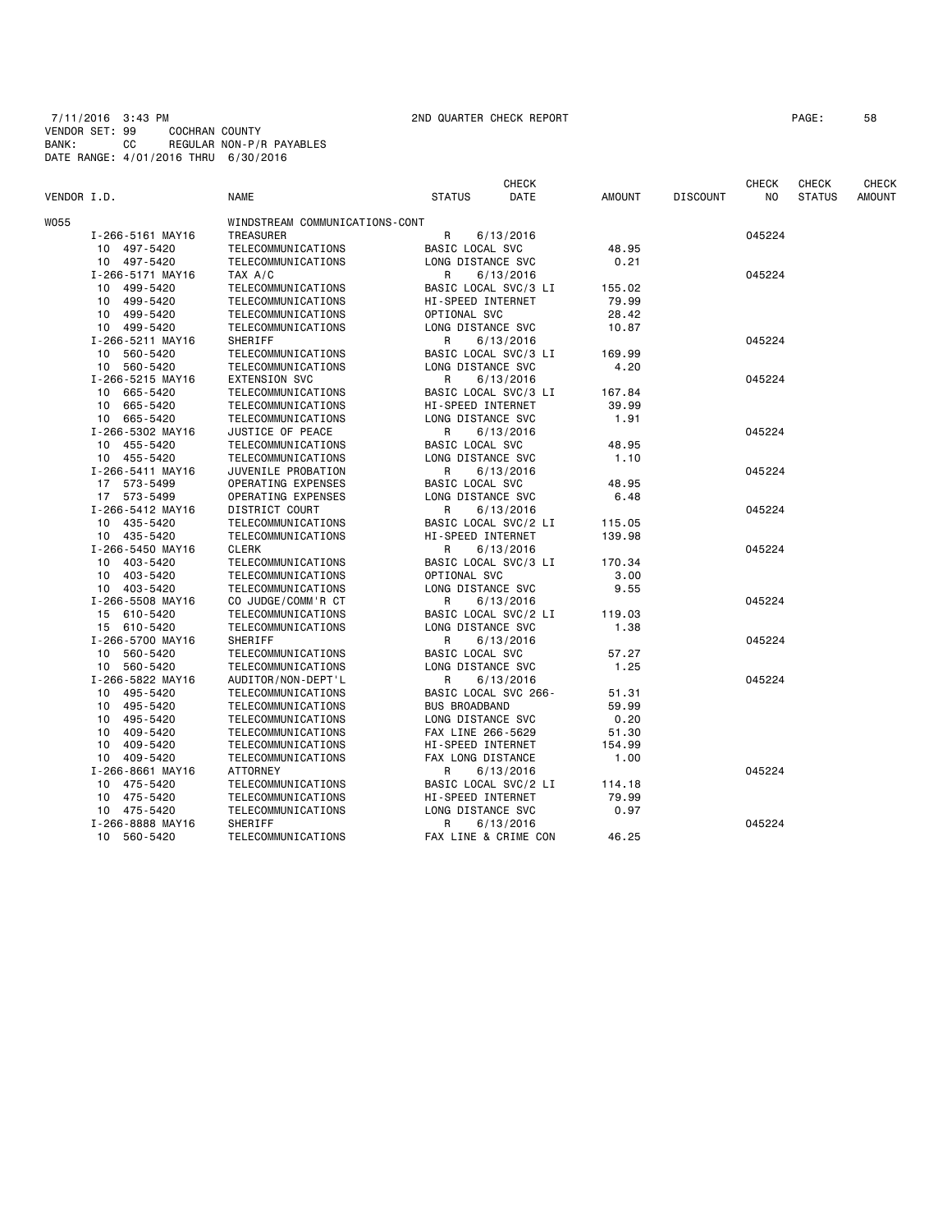7/11/2016 3:43 PM 2ND QUARTER CHECK REPORT PAGE: 58 VENDOR SET: 99 COCHRAN COUNTY BANK: CC REGULAR NON-P/R PAYABLES DATE RANGE: 4/01/2016 THRU 6/30/2016

|             |                  |                                |                          | CHECK       |               |                 | <b>CHECK</b> | <b>CHECK</b>  | CHECK         |
|-------------|------------------|--------------------------------|--------------------------|-------------|---------------|-----------------|--------------|---------------|---------------|
| VENDOR I.D. |                  | <b>NAME</b>                    | <b>STATUS</b>            | <b>DATE</b> | <b>AMOUNT</b> | <b>DISCOUNT</b> | NO.          | <b>STATUS</b> | <b>AMOUNT</b> |
| <b>W055</b> |                  | WINDSTREAM COMMUNICATIONS-CONT |                          |             |               |                 |              |               |               |
|             | I-266-5161 MAY16 | TREASURER                      | R                        | 6/13/2016   |               |                 | 045224       |               |               |
|             | 10 497-5420      | TELECOMMUNICATIONS             | BASIC LOCAL SVC          |             | 48.95         |                 |              |               |               |
|             | 10 497-5420      | TELECOMMUNICATIONS             | LONG DISTANCE SVC        |             | 0.21          |                 |              |               |               |
|             | I-266-5171 MAY16 | TAX A/C                        | R                        | 6/13/2016   |               |                 | 045224       |               |               |
|             | 10 499-5420      | TELECOMMUNICATIONS             | BASIC LOCAL SVC/3 LI     |             | 155.02        |                 |              |               |               |
|             | 499-5420<br>10   | TELECOMMUNICATIONS             | <b>HI-SPEED INTERNET</b> |             | 79.99         |                 |              |               |               |
|             | 10 499-5420      | TELECOMMUNICATIONS             | OPTIONAL SVC             |             | 28.42         |                 |              |               |               |
|             | 10 499-5420      | TELECOMMUNICATIONS             | LONG DISTANCE SVC        |             | 10.87         |                 |              |               |               |
|             | I-266-5211 MAY16 | SHERIFF                        | R                        | 6/13/2016   |               |                 | 045224       |               |               |
|             | 10 560-5420      | TELECOMMUNICATIONS             | BASIC LOCAL SVC/3 LI     |             | 169.99        |                 |              |               |               |
|             | 10 560-5420      | TELECOMMUNICATIONS             | LONG DISTANCE SVC        |             | 4.20          |                 |              |               |               |
|             | I-266-5215 MAY16 | <b>EXTENSION SVC</b>           | R                        | 6/13/2016   |               |                 | 045224       |               |               |
|             | 10 665-5420      | TELECOMMUNICATIONS             | BASIC LOCAL SVC/3 LI     |             | 167.84        |                 |              |               |               |
|             | 10 665-5420      | TELECOMMUNICATIONS             | HI-SPEED INTERNET        |             | 39.99         |                 |              |               |               |
|             | 10 665-5420      | TELECOMMUNICATIONS             | LONG DISTANCE SVC        |             | 1.91          |                 |              |               |               |
|             | I-266-5302 MAY16 | JUSTICE OF PEACE               | R                        | 6/13/2016   |               |                 | 045224       |               |               |
|             | 10 455-5420      | TELECOMMUNICATIONS             | BASIC LOCAL SVC          |             | 48.95         |                 |              |               |               |
|             | 10 455-5420      | TELECOMMUNICATIONS             | LONG DISTANCE SVC        |             | 1.10          |                 |              |               |               |
|             | I-266-5411 MAY16 | JUVENILE PROBATION             | R                        | 6/13/2016   |               |                 | 045224       |               |               |
|             | 17 573-5499      | OPERATING EXPENSES             | BASIC LOCAL SVC          |             | 48.95         |                 |              |               |               |
|             | 17 573-5499      | OPERATING EXPENSES             | LONG DISTANCE SVC        |             | 6.48          |                 |              |               |               |
|             | I-266-5412 MAY16 | DISTRICT COURT                 | R                        | 6/13/2016   |               |                 | 045224       |               |               |
|             | 10 435-5420      | TELECOMMUNICATIONS             | BASIC LOCAL SVC/2 LI     |             | 115.05        |                 |              |               |               |
|             | 10 435-5420      | TELECOMMUNICATIONS             | HI-SPEED INTERNET        |             | 139.98        |                 |              |               |               |
|             | I-266-5450 MAY16 | <b>CLERK</b>                   | R                        | 6/13/2016   |               |                 | 045224       |               |               |
|             | 10 403-5420      | TELECOMMUNICATIONS             | BASIC LOCAL SVC/3 LI     |             | 170.34        |                 |              |               |               |
|             | 10 403-5420      | TELECOMMUNICATIONS             | OPTIONAL SVC             |             | 3.00          |                 |              |               |               |
|             | 10 403-5420      | TELECOMMUNICATIONS             | LONG DISTANCE SVC        |             | 9.55          |                 |              |               |               |
|             | I-266-5508 MAY16 | CO JUDGE/COMM'R CT             | R                        | 6/13/2016   |               |                 | 045224       |               |               |
|             | 15 610-5420      | TELECOMMUNICATIONS             | BASIC LOCAL SVC/2 LI     |             | 119.03        |                 |              |               |               |
|             | 15 610-5420      | TELECOMMUNICATIONS             | LONG DISTANCE SVC        |             | 1.38          |                 |              |               |               |
|             | I-266-5700 MAY16 | SHERIFF                        | R                        | 6/13/2016   |               |                 | 045224       |               |               |
|             | 10 560-5420      | TELECOMMUNICATIONS             | BASIC LOCAL SVC          |             | 57.27         |                 |              |               |               |
|             | 10 560-5420      | TELECOMMUNICATIONS             | LONG DISTANCE SVC        |             | 1.25          |                 |              |               |               |
|             | I-266-5822 MAY16 | AUDITOR/NON-DEPT'L             | R                        | 6/13/2016   |               |                 | 045224       |               |               |
|             | 10 495-5420      | TELECOMMUNICATIONS             | BASIC LOCAL SVC 266-     |             | 51.31         |                 |              |               |               |
|             | 10 495-5420      | TELECOMMUNICATIONS             | <b>BUS BROADBAND</b>     |             | 59.99         |                 |              |               |               |
|             | 495-5420<br>10   | TELECOMMUNICATIONS             | LONG DISTANCE SVC        |             | 0.20          |                 |              |               |               |
|             | 409-5420<br>10   | TELECOMMUNICATIONS             | FAX LINE 266-5629        |             | 51.30         |                 |              |               |               |
|             | 10<br>409-5420   | TELECOMMUNICATIONS             | HI-SPEED INTERNET        |             | 154.99        |                 |              |               |               |
|             | 10 409-5420      | TELECOMMUNICATIONS             | FAX LONG DISTANCE        |             | 1.00          |                 |              |               |               |
|             | I-266-8661 MAY16 | ATTORNEY                       | R                        | 6/13/2016   |               |                 | 045224       |               |               |
|             | 10 475-5420      | TELECOMMUNICATIONS             | BASIC LOCAL SVC/2 LI     |             | 114.18        |                 |              |               |               |
|             | 10 475-5420      | TELECOMMUNICATIONS             | HI-SPEED INTERNET        |             | 79.99         |                 |              |               |               |
|             | 10 475-5420      | TELECOMMUNICATIONS             | LONG DISTANCE SVC        |             | 0.97          |                 |              |               |               |
|             | I-266-8888 MAY16 | SHERIFF                        | R                        | 6/13/2016   |               |                 | 045224       |               |               |
|             | 10 560-5420      | TELECOMMUNICATIONS             | FAX LINE & CRIME CON     |             | 46.25         |                 |              |               |               |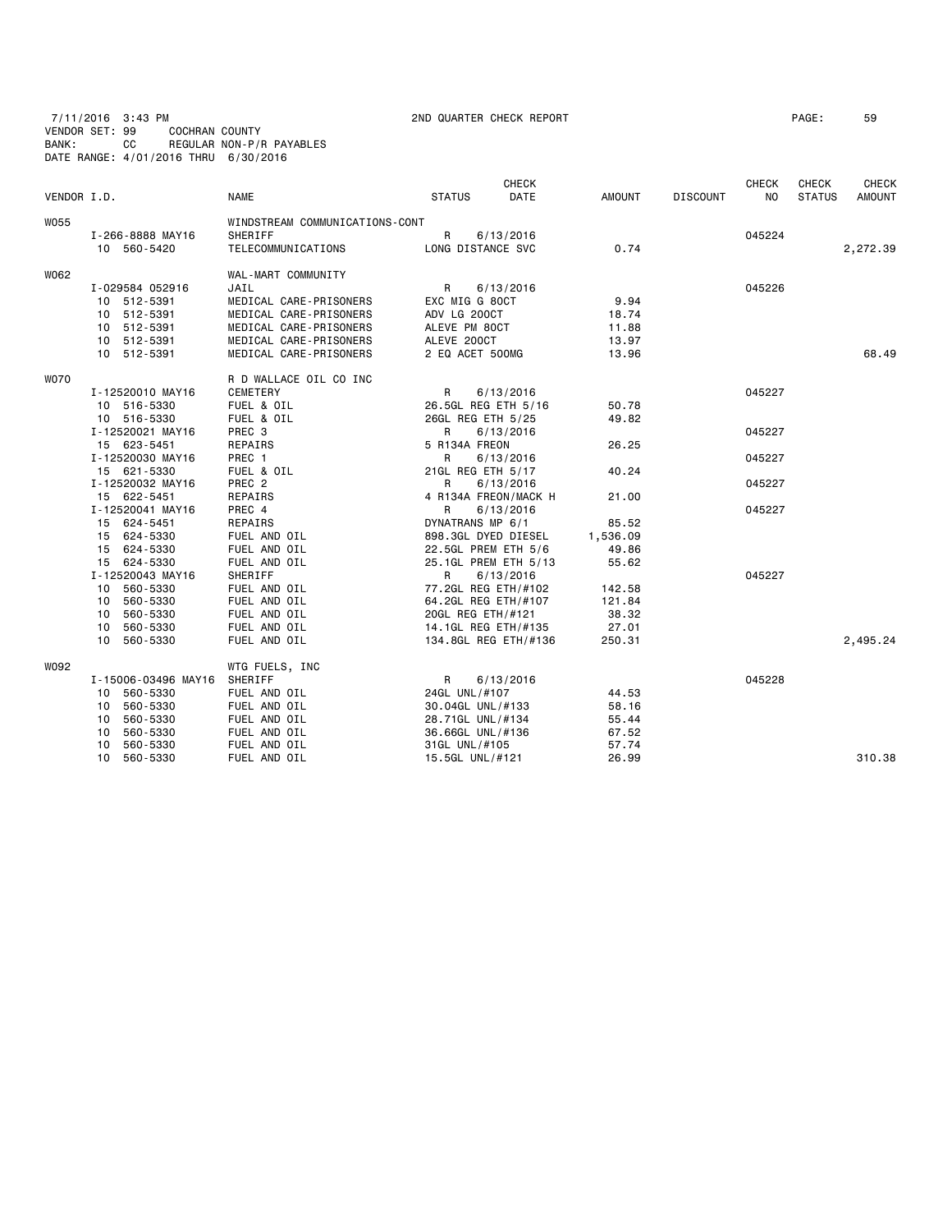7/11/2016 3:43 PM 2ND QUARTER CHECK REPORT PAGE: 59 VENDOR SET: 99 COCHRAN COUNTY BANK: CC REGULAR NON-P/R PAYABLES DATE RANGE: 4/01/2016 THRU 6/30/2016

| VENDOR I.D. |                     | <b>NAME</b>                    | <b>STATUS</b>        | <b>CHECK</b><br>DATE | <b>AMOUNT</b> | <b>DISCOUNT</b> | <b>CHECK</b><br>NO. | CHECK<br><b>STATUS</b> | <b>CHECK</b><br><b>AMOUNT</b> |
|-------------|---------------------|--------------------------------|----------------------|----------------------|---------------|-----------------|---------------------|------------------------|-------------------------------|
| <b>W055</b> |                     | WINDSTREAM COMMUNICATIONS-CONT |                      |                      |               |                 |                     |                        |                               |
|             | I-266-8888 MAY16    | SHERIFF                        | R                    | 6/13/2016            |               |                 | 045224              |                        |                               |
|             | 10 560-5420         | TELECOMMUNICATIONS             | LONG DISTANCE SVC    |                      | 0.74          |                 |                     |                        | 2,272.39                      |
| W062        |                     | WAL-MART COMMUNITY             |                      |                      |               |                 |                     |                        |                               |
|             | I-029584 052916     | JAIL                           | $\mathsf{R}$         | 6/13/2016            |               |                 | 045226              |                        |                               |
|             | 10 512-5391         | MEDICAL CARE-PRISONERS         | EXC MIG G 80CT       |                      | 9.94          |                 |                     |                        |                               |
|             | 10 512-5391         | MEDICAL CARE-PRISONERS         | ADV LG 200CT         |                      | 18.74         |                 |                     |                        |                               |
|             | 10 512-5391         | MEDICAL CARE-PRISONERS         | ALEVE PM 80CT        |                      | 11.88         |                 |                     |                        |                               |
|             | 10 512-5391         | MEDICAL CARE-PRISONERS         | ALEVE 200CT          |                      | 13.97         |                 |                     |                        |                               |
|             | 10 512-5391         | MEDICAL CARE-PRISONERS         | 2 EQ ACET 500MG      |                      | 13.96         |                 |                     |                        | 68.49                         |
| <b>WO70</b> |                     | R D WALLACE OIL CO INC         |                      |                      |               |                 |                     |                        |                               |
|             | I-12520010 MAY16    | <b>CEMETERY</b>                | R                    | 6/13/2016            |               |                 | 045227              |                        |                               |
|             | 10 516-5330         | FUEL & OIL                     | 26.5GL REG ETH 5/16  |                      | 50.78         |                 |                     |                        |                               |
|             | 10 516-5330         | FUEL & OIL                     | 26GL REG ETH 5/25    |                      | 49.82         |                 |                     |                        |                               |
|             | I-12520021 MAY16    | PREC <sub>3</sub>              | R                    | 6/13/2016            |               |                 | 045227              |                        |                               |
|             | 15 623-5451         | REPAIRS                        | 5 R134A FREON        |                      | 26.25         |                 |                     |                        |                               |
|             | I-12520030 MAY16    | PREC 1                         | R                    | 6/13/2016            |               |                 | 045227              |                        |                               |
|             | 15 621-5330         | FUEL & OIL                     | 21GL REG ETH 5/17    |                      | 40.24         |                 |                     |                        |                               |
|             | I-12520032 MAY16    | PREC <sub>2</sub>              | R                    | 6/13/2016            |               |                 | 045227              |                        |                               |
|             | 15 622-5451         | REPAIRS                        | 4 R134A FREON/MACK H |                      | 21.00         |                 |                     |                        |                               |
|             | I-12520041 MAY16    | PREC 4                         | R                    | 6/13/2016            |               |                 | 045227              |                        |                               |
|             | 15 624-5451         | REPAIRS                        | DYNATRANS MP 6/1     |                      | 85.52         |                 |                     |                        |                               |
|             | 15 624-5330         | FUEL AND OIL                   | 898.3GL DYED DIESEL  |                      | 1,536.09      |                 |                     |                        |                               |
|             | 15 624-5330         | FUEL AND OIL                   | 22.5GL PREM ETH 5/6  |                      | 49.86         |                 |                     |                        |                               |
|             | 15 624-5330         | FUEL AND OIL                   | 25.1GL PREM ETH 5/13 |                      | 55.62         |                 |                     |                        |                               |
|             | I-12520043 MAY16    | SHERIFF                        | R                    | 6/13/2016            |               |                 | 045227              |                        |                               |
|             | 10 560-5330         | FUEL AND OIL                   | 77.2GL REG ETH/#102  |                      | 142.58        |                 |                     |                        |                               |
|             | 560-5330<br>10      | FUEL AND OIL                   | 64.2GL REG ETH/#107  |                      | 121.84        |                 |                     |                        |                               |
|             | 10 560-5330         | FUEL AND OIL                   | 20GL REG ETH/#121    |                      | 38.32         |                 |                     |                        |                               |
|             | 560-5330<br>10      | FUEL AND OIL                   | 14.1GL REG ETH/#135  |                      | 27.01         |                 |                     |                        |                               |
|             | 560-5330<br>10      | FUEL AND OIL                   | 134.8GL REG ETH/#136 |                      | 250.31        |                 |                     |                        | 2,495.24                      |
| W092        |                     | WTG FUELS, INC                 |                      |                      |               |                 |                     |                        |                               |
|             | I-15006-03496 MAY16 | SHERIFF                        | R                    | 6/13/2016            |               |                 | 045228              |                        |                               |
|             | 560-5330<br>10      | FUEL AND OIL                   | 24GL UNL/#107        |                      | 44.53         |                 |                     |                        |                               |
|             | 560-5330<br>10      | FUEL AND OIL                   | 30.04GL UNL/#133     |                      | 58.16         |                 |                     |                        |                               |
|             | 560-5330<br>10      | FUEL AND OIL                   | 28.71GL UNL/#134     |                      | 55.44         |                 |                     |                        |                               |
|             | 560-5330<br>10      | FUEL AND OIL                   | 36.66GL UNL/#136     |                      | 67.52         |                 |                     |                        |                               |
|             | 10<br>560-5330      | FUEL AND OIL                   | 31GL UNL/#105        |                      | 57.74         |                 |                     |                        |                               |
|             | 560-5330<br>10      | FUEL AND OIL                   | 15.5GL UNL/#121      |                      | 26.99         |                 |                     |                        | 310.38                        |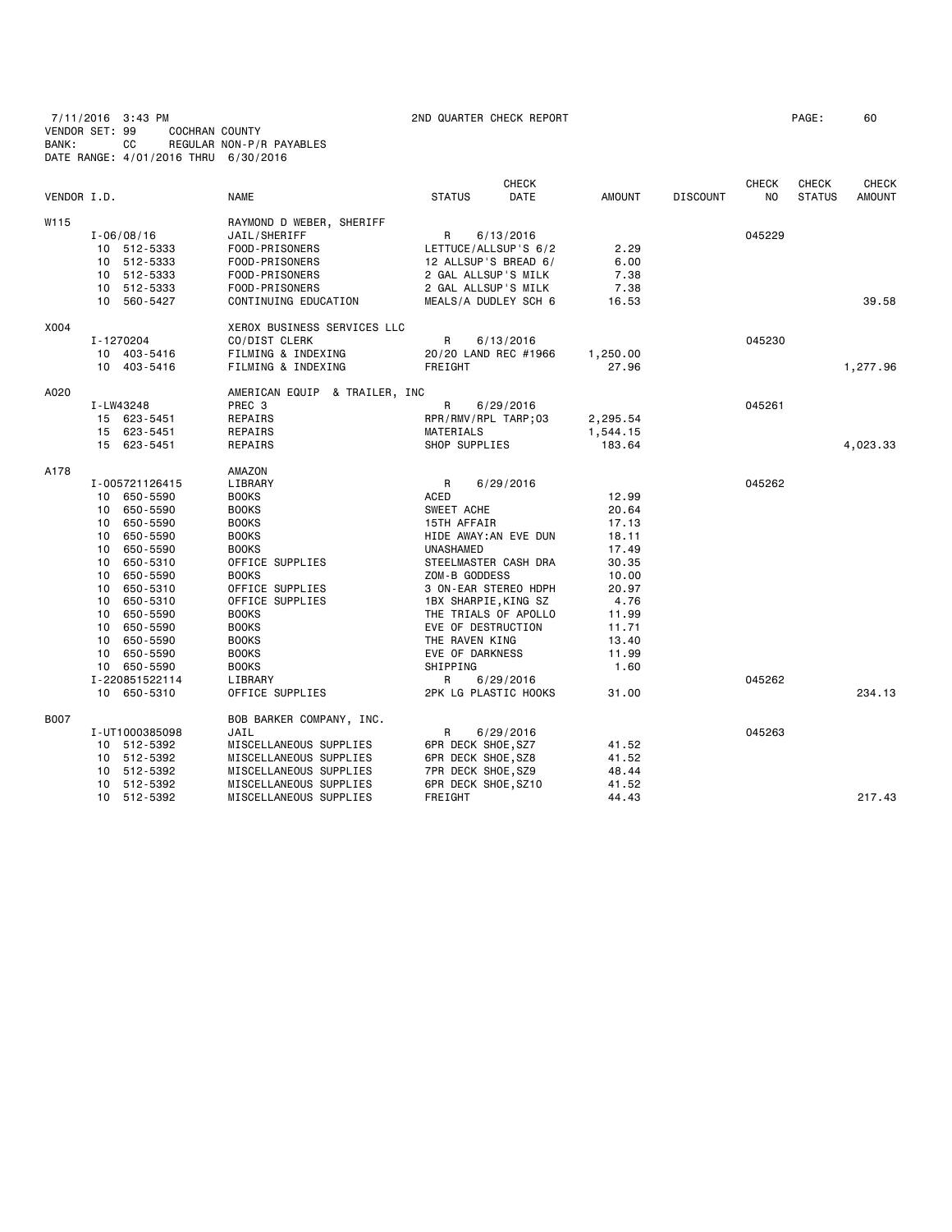7/11/2016 3:43 PM 2ND QUARTER CHECK REPORT PAGE: 60 VENDOR SET: 99 COCHRAN COUNTY BANK: CC REGULAR NON-P/R PAYABLES DATE RANGE: 4/01/2016 THRU 6/30/2016

| VENDOR I.D. |    |                | <b>NAME</b>                   | <b>STATUS</b>        | <b>CHECK</b><br><b>DATE</b> | <b>AMOUNT</b> | <b>DISCOUNT</b> | <b>CHECK</b><br>N <sub>0</sub> | <b>CHECK</b><br><b>STATUS</b> | <b>CHECK</b><br><b>AMOUNT</b> |
|-------------|----|----------------|-------------------------------|----------------------|-----------------------------|---------------|-----------------|--------------------------------|-------------------------------|-------------------------------|
| W115        |    |                | RAYMOND D WEBER, SHERIFF      |                      |                             |               |                 |                                |                               |                               |
|             |    | $I - 06/08/16$ | JAIL/SHERIFF                  | R                    | 6/13/2016                   |               |                 | 045229                         |                               |                               |
|             |    | 10 512-5333    | FOOD-PRISONERS                |                      | LETTUCE/ALLSUP'S 6/2        | 2.29          |                 |                                |                               |                               |
|             |    | 10 512-5333    | FOOD-PRISONERS                |                      | 12 ALLSUP'S BREAD 6/        | 6.00          |                 |                                |                               |                               |
|             |    | 10 512-5333    | FOOD-PRISONERS                | 2 GAL ALLSUP'S MILK  |                             | 7.38          |                 |                                |                               |                               |
|             |    | 10 512-5333    | FOOD-PRISONERS                | 2 GAL ALLSUP'S MILK  |                             | 7.38          |                 |                                |                               |                               |
|             |    | 10 560-5427    | CONTINUING EDUCATION          |                      | MEALS/A DUDLEY SCH 6        | 16.53         |                 |                                |                               | 39.58                         |
| X004        |    |                | XEROX BUSINESS SERVICES LLC   |                      |                             |               |                 |                                |                               |                               |
|             |    | I-1270204      | CO/DIST CLERK                 | R                    | 6/13/2016                   |               |                 | 045230                         |                               |                               |
|             |    | 10 403-5416    | FILMING & INDEXING            |                      | 20/20 LAND REC #1966        | 1,250.00      |                 |                                |                               |                               |
|             |    | 10 403-5416    | FILMING & INDEXING            | FREIGHT              |                             | 27.96         |                 |                                |                               | 1,277.96                      |
| A020        |    |                | AMERICAN EQUIP & TRAILER, INC |                      |                             |               |                 |                                |                               |                               |
|             |    | I-LW43248      | PREC 3                        | R                    | 6/29/2016                   |               |                 | 045261                         |                               |                               |
|             |    | 15 623-5451    | REPAIRS                       | RPR/RMV/RPL TARP;03  |                             | 2,295.54      |                 |                                |                               |                               |
|             |    | 15 623-5451    | REPAIRS                       | MATERIALS            |                             | 1,544.15      |                 |                                |                               |                               |
|             |    | 15 623-5451    | REPAIRS                       | SHOP SUPPLIES        |                             | 183.64        |                 |                                |                               | 4,023.33                      |
| A178        |    |                | AMAZON                        |                      |                             |               |                 |                                |                               |                               |
|             |    | I-005721126415 | LIBRARY                       | $\mathsf{R}$         | 6/29/2016                   |               |                 | 045262                         |                               |                               |
|             |    | 10 650-5590    | <b>BOOKS</b>                  | ACED                 |                             | 12.99         |                 |                                |                               |                               |
|             |    | 10 650-5590    | <b>BOOKS</b>                  | SWEET ACHE           |                             | 20.64         |                 |                                |                               |                               |
|             |    | 10 650-5590    | <b>BOOKS</b>                  | 15TH AFFAIR          |                             | 17.13         |                 |                                |                               |                               |
|             |    | 10 650-5590    | <b>BOOKS</b>                  |                      | HIDE AWAY: AN EVE DUN       | 18.11         |                 |                                |                               |                               |
|             |    | 10 650-5590    | <b>BOOKS</b>                  | <b>UNASHAMED</b>     |                             | 17.49         |                 |                                |                               |                               |
|             |    | 10 650-5310    | OFFICE SUPPLIES               |                      | STEELMASTER CASH DRA        | 30.35         |                 |                                |                               |                               |
|             |    | 10 650-5590    | <b>BOOKS</b>                  | ZOM-B GODDESS        |                             | 10.00         |                 |                                |                               |                               |
|             | 10 | 650-5310       | OFFICE SUPPLIES               |                      | 3 ON-EAR STEREO HDPH        | 20.97         |                 |                                |                               |                               |
|             |    | 10 650-5310    | OFFICE SUPPLIES               | 1BX SHARPIE, KING SZ |                             | 4.76          |                 |                                |                               |                               |
|             | 10 | 650-5590       | <b>BOOKS</b>                  |                      | THE TRIALS OF APOLLO        | 11.99         |                 |                                |                               |                               |
|             |    | 10 650-5590    | <b>BOOKS</b>                  | EVE OF DESTRUCTION   |                             | 11.71         |                 |                                |                               |                               |
|             | 10 | 650-5590       | <b>BOOKS</b>                  | THE RAVEN KING       |                             | 13.40         |                 |                                |                               |                               |
|             | 10 | 650-5590       | <b>BOOKS</b>                  | EVE OF DARKNESS      |                             | 11.99         |                 |                                |                               |                               |
|             |    | 10 650-5590    | <b>BOOKS</b>                  | SHIPPING             |                             | 1.60          |                 |                                |                               |                               |
|             |    | I-220851522114 | LIBRARY                       | R                    | 6/29/2016                   |               |                 | 045262                         |                               |                               |
|             |    | 10 650-5310    | OFFICE SUPPLIES               |                      | 2PK LG PLASTIC HOOKS        | 31.00         |                 |                                |                               | 234.13                        |
| B007        |    |                | BOB BARKER COMPANY, INC.      |                      |                             |               |                 |                                |                               |                               |
|             |    | I-UT1000385098 | JAIL                          | R                    | 6/29/2016                   |               |                 | 045263                         |                               |                               |
|             |    | 10 512-5392    | MISCELLANEOUS SUPPLIES        | 6PR DECK SHOE, SZ7   |                             | 41.52         |                 |                                |                               |                               |
|             |    | 10 512-5392    | MISCELLANEOUS SUPPLIES        | 6PR DECK SHOE, SZ8   |                             | 41.52         |                 |                                |                               |                               |
|             |    | 10 512-5392    | MISCELLANEOUS SUPPLIES        | 7PR DECK SHOE, SZ9   |                             | 48.44         |                 |                                |                               |                               |
|             |    | 10 512-5392    | MISCELLANEOUS SUPPLIES        | 6PR DECK SHOE, SZ10  |                             | 41.52         |                 |                                |                               |                               |
|             |    | 10 512-5392    | MISCELLANEOUS SUPPLIES        | FREIGHT              |                             | 44.43         |                 |                                |                               | 217.43                        |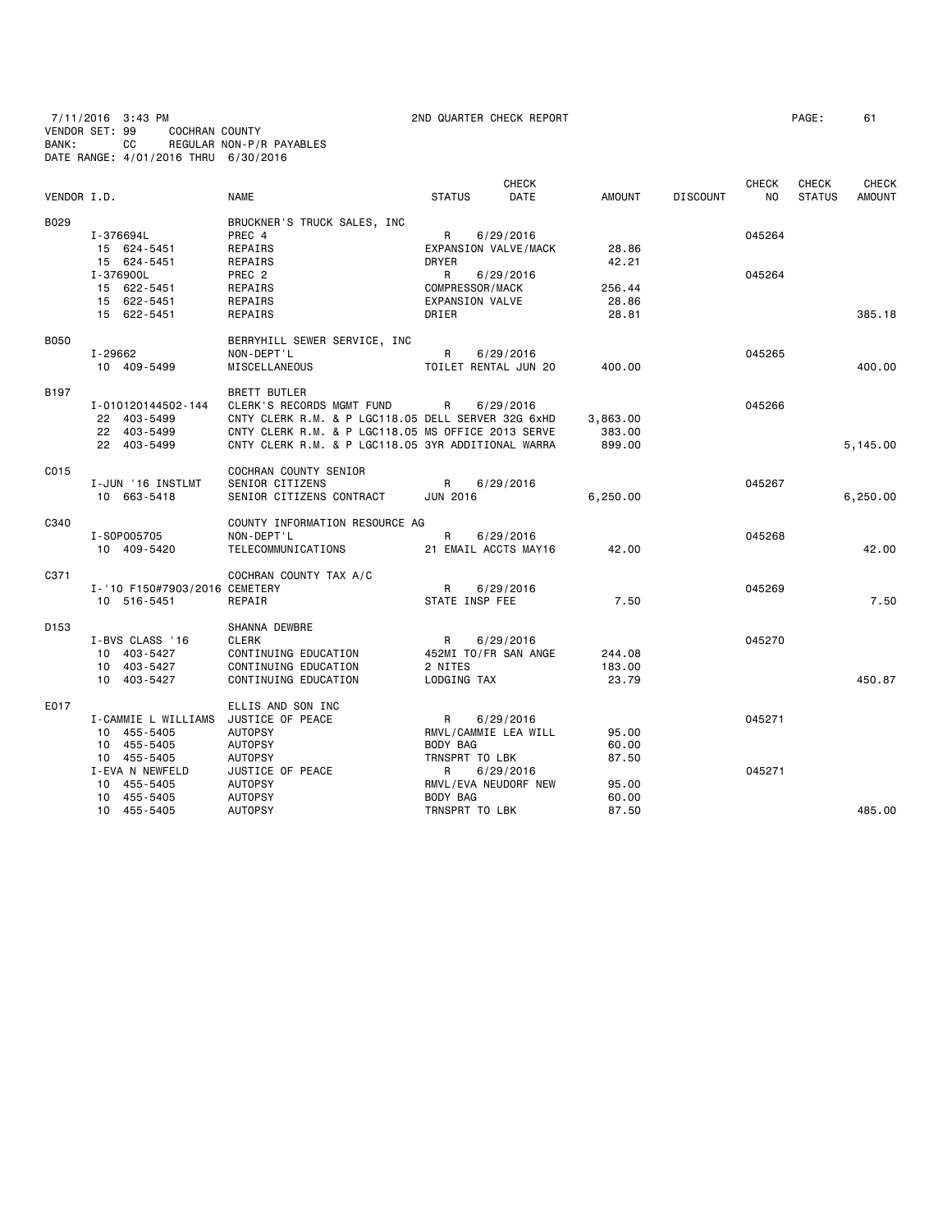7/11/2016 3:43 PM 2ND QUARTER CHECK REPORT PAGE: 61

VENDOR SET: 99 COCHRAN COUNTY

BANK: CC REGULAR NON-P/R PAYABLES DATE RANGE: 4/01/2016 THRU 6/30/2016

| VENDOR I.D.      |                                                                  | <b>NAME</b>                                                                                                                                                                                                        | <b>STATUS</b>                                           | <b>CHECK</b><br><b>DATE</b> | AMOUNT                       | <b>DISCOUNT</b> | <b>CHECK</b><br>NO | <b>CHECK</b><br><b>STATUS</b> | <b>CHECK</b><br><b>AMOUNT</b> |
|------------------|------------------------------------------------------------------|--------------------------------------------------------------------------------------------------------------------------------------------------------------------------------------------------------------------|---------------------------------------------------------|-----------------------------|------------------------------|-----------------|--------------------|-------------------------------|-------------------------------|
| B029             | I-376694L<br>15 624-5451                                         | BRUCKNER'S TRUCK SALES, INC<br>PREC 4<br>REPAIRS                                                                                                                                                                   | R<br>EXPANSION VALVE/MACK                               | 6/29/2016                   | 28.86                        |                 | 045264             |                               |                               |
|                  | 15 624-5451<br>I-376900L                                         | REPAIRS<br>PREC 2                                                                                                                                                                                                  | <b>DRYER</b><br>R                                       | 6/29/2016                   | 42.21                        |                 | 045264             |                               |                               |
|                  | 15 622-5451<br>15 622-5451<br>15 622-5451                        | REPAIRS<br>REPAIRS<br>REPAIRS                                                                                                                                                                                      | <b>COMPRESSOR/MACK</b><br>EXPANSION VALVE<br>DRIER      |                             | 256.44<br>28.86<br>28,81     |                 |                    |                               | 385.18                        |
| <b>B050</b>      |                                                                  | BERRYHILL SEWER SERVICE, INC                                                                                                                                                                                       |                                                         |                             |                              |                 |                    |                               |                               |
|                  | $I - 29662$<br>10 409-5499                                       | NON-DEPT'L<br><b>MISCELLANEOUS</b>                                                                                                                                                                                 | R<br>TOILET RENTAL JUN 20                               | 6/29/2016                   | 400.00                       |                 | 045265             |                               | 400.00                        |
| B197             | I-010120144502-144<br>22 403-5499<br>22 403-5499<br>22 403-5499  | <b>BRETT BUTLER</b><br>CLERK'S RECORDS MGMT FUND<br>CNTY CLERK R.M. & P LGC118.05 DELL SERVER 32G 6xHD<br>CNTY CLERK R.M. & P LGC118.05 MS OFFICE 2013 SERVE<br>CNTY CLERK R.M. & P LGC118.05 3YR ADDITIONAL WARRA | R                                                       | 6/29/2016                   | 3,863.00<br>383,00<br>899.00 |                 | 045266             |                               | 5,145.00                      |
| C015             | I-JUN '16 INSTLMT<br>10 663-5418                                 | COCHRAN COUNTY SENIOR<br>SENIOR CITIZENS<br>SENIOR CITIZENS CONTRACT                                                                                                                                               | R<br><b>JUN 2016</b>                                    | 6/29/2016                   | 6,250.00                     |                 | 045267             |                               | 6,250.00                      |
| C340             | I-S0P005705<br>10 409-5420                                       | COUNTY INFORMATION RESOURCE AG<br>NON-DEPT'L<br>TELECOMMUNICATIONS                                                                                                                                                 | R<br>21 EMAIL ACCTS MAY16                               | 6/29/2016                   | 42.00                        |                 | 045268             |                               | 42.00                         |
| C371             | I-'10 F150#7903/2016 CEMETERY<br>10 516-5451                     | COCHRAN COUNTY TAX A/C<br>REPAIR                                                                                                                                                                                   | R<br>STATE INSP FEE                                     | 6/29/2016                   | 7.50                         |                 | 045269             |                               | 7.50                          |
| D <sub>153</sub> | I-BVS CLASS '16<br>10 403-5427<br>10 403-5427<br>10 403-5427     | SHANNA DEWBRE<br><b>CLERK</b><br>CONTINUING EDUCATION<br>CONTINUING EDUCATION<br>CONTINUING EDUCATION                                                                                                              | R<br>452MI TO/FR SAN ANGE<br>2 NITES<br>LODGING TAX     | 6/29/2016                   | 244.08<br>183.00<br>23.79    |                 | 045270             |                               | 450.87                        |
| E017             |                                                                  | ELLIS AND SON INC                                                                                                                                                                                                  |                                                         |                             |                              |                 |                    |                               |                               |
|                  | I-CAMMIE L WILLIAMS<br>10 455-5405<br>10 455-5405<br>10 455-5405 | JUSTICE OF PEACE<br><b>AUTOPSY</b><br><b>AUTOPSY</b><br><b>AUTOPSY</b>                                                                                                                                             | R<br>RMVL/CAMMIE LEA WILL<br>BODY BAG<br>TRNSPRT TO LBK | 6/29/2016                   | 95.00<br>60.00<br>87.50      |                 | 045271             |                               |                               |
|                  | I-EVA N NEWFELD<br>10 455-5405<br>10 455-5405                    | JUSTICE OF PEACE<br>AUTOPSY<br>AUTOPSY                                                                                                                                                                             | R<br>RMVL/EVA NEUDORF NEW<br>BODY BAG                   | 6/29/2016                   | 95.00<br>60.00               |                 | 045271             |                               |                               |
|                  | 10 455-5405                                                      | <b>AUTOPSY</b>                                                                                                                                                                                                     | TRNSPRT TO LBK                                          |                             | 87.50                        |                 |                    |                               | 485.00                        |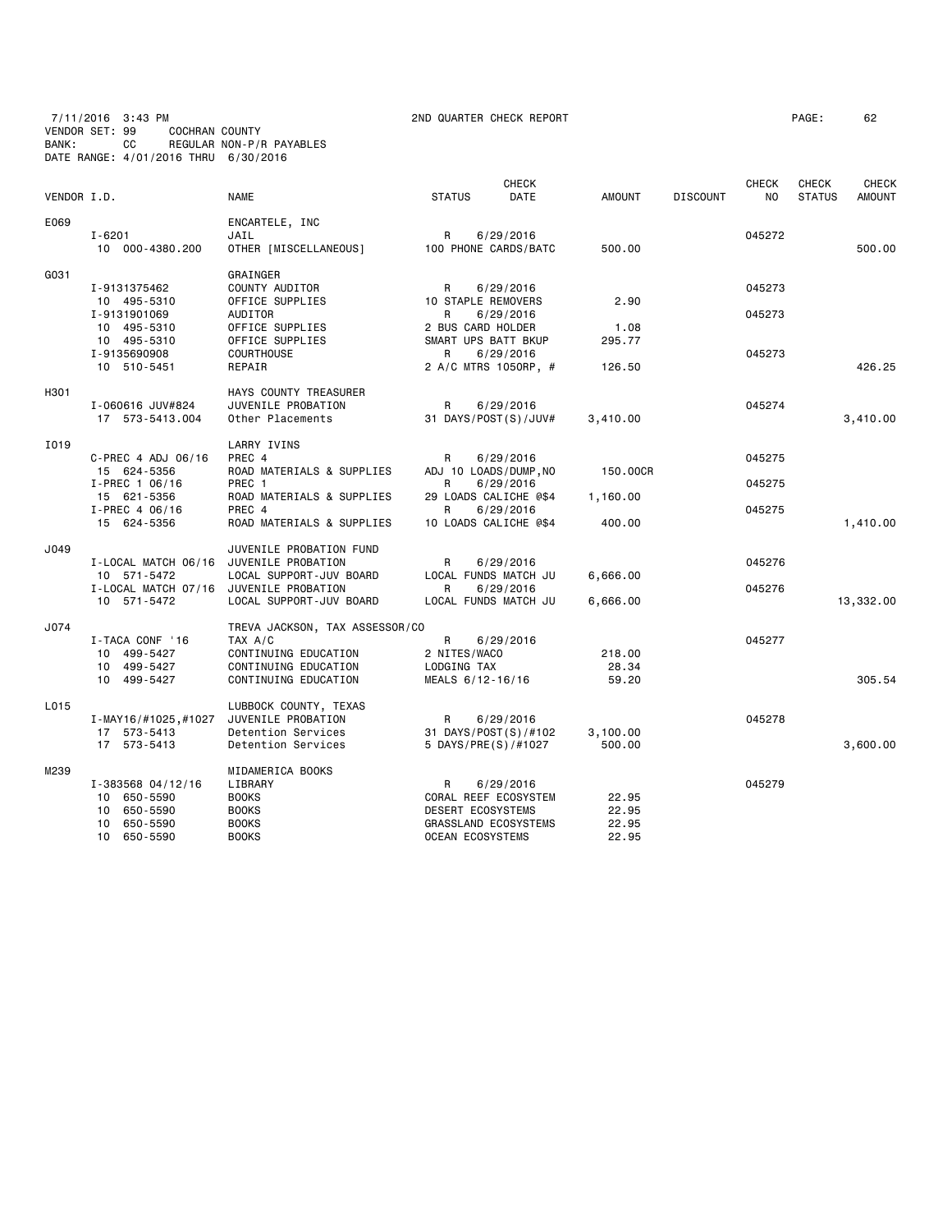7/11/2016 3:43 PM 2ND QUARTER CHECK REPORT PAGE: 62 VENDOR SET: 99 COCHRAN COUNTY BANK: CC REGULAR NON-P/R PAYABLES DATE RANGE: 4/01/2016 THRU 6/30/2016

| 'AGE : | 6. |
|--------|----|
|        |    |

| VENDOR I.D. |                                                       | <b>NAME</b>                              | <b>STATUS</b>               | <b>CHECK</b><br>DATE              | <b>AMOUNT</b>      | <b>DISCOUNT</b> | <b>CHECK</b><br>N <sub>0</sub> | <b>CHECK</b><br><b>STATUS</b> | <b>CHECK</b><br><b>AMOUNT</b> |
|-------------|-------------------------------------------------------|------------------------------------------|-----------------------------|-----------------------------------|--------------------|-----------------|--------------------------------|-------------------------------|-------------------------------|
|             |                                                       |                                          |                             |                                   |                    |                 |                                |                               |                               |
| E069        | $I - 6201$                                            | ENCARTELE, INC<br>JAIL                   | R                           | 6/29/2016                         |                    |                 | 045272                         |                               |                               |
|             | 10 000-4380.200                                       | OTHER [MISCELLANEOUS]                    | 100 PHONE CARDS/BATC        |                                   | 500.00             |                 |                                |                               | 500.00                        |
| G031        |                                                       | GRAINGER                                 |                             |                                   |                    |                 |                                |                               |                               |
|             | I-9131375462                                          | COUNTY AUDITOR                           | R                           | 6/29/2016                         |                    |                 | 045273                         |                               |                               |
|             | 10 495-5310                                           | OFFICE SUPPLIES                          | 10 STAPLE REMOVERS          |                                   | 2.90               |                 |                                |                               |                               |
|             | I-9131901069<br>10 495-5310                           | AUDITOR<br>OFFICE SUPPLIES               | R<br>2 BUS CARD HOLDER      | 6/29/2016                         | 1.08               |                 | 045273                         |                               |                               |
|             | 10 495-5310                                           | OFFICE SUPPLIES                          | SMART UPS BATT BKUP         |                                   | 295.77             |                 |                                |                               |                               |
|             | I-9135690908                                          | <b>COURTHOUSE</b>                        | R                           | 6/29/2016                         |                    |                 | 045273                         |                               |                               |
|             | 10 510-5451                                           | REPAIR                                   |                             | 2 A/C MTRS 1050RP, #              | 126.50             |                 |                                |                               | 426.25                        |
| H301        |                                                       | HAYS COUNTY TREASURER                    |                             |                                   |                    |                 |                                |                               |                               |
|             | I-060616 JUV#824                                      | JUVENILE PROBATION                       | R                           | 6/29/2016                         |                    |                 | 045274                         |                               |                               |
|             | 17 573-5413.004                                       | Other Placements                         |                             | 31 DAYS/POST(S)/JUV#              | 3,410.00           |                 |                                |                               | 3,410.00                      |
| I019        |                                                       | LARRY IVINS                              |                             |                                   |                    |                 |                                |                               |                               |
|             | C-PREC 4 ADJ 06/16<br>15 624-5356                     | PREC 4<br>ROAD MATERIALS & SUPPLIES      | R<br>ADJ 10 LOADS/DUMP, NO  | 6/29/2016                         | 150.00CR           |                 | 045275                         |                               |                               |
|             | $I-PREC$ 1 06/16                                      | PREC 1                                   | R                           | 6/29/2016                         |                    |                 | 045275                         |                               |                               |
|             | 15 621-5356                                           | ROAD MATERIALS & SUPPLIES                |                             | 29 LOADS CALICHE @\$4             | 1,160.00           |                 |                                |                               |                               |
|             | I-PREC 4 06/16                                        | PREC 4                                   | R                           | 6/29/2016                         |                    |                 | 045275                         |                               |                               |
|             | 15 624-5356                                           | ROAD MATERIALS & SUPPLIES                |                             | 10 LOADS CALICHE @\$4             | 400.00             |                 |                                |                               | 1,410.00                      |
| J049        |                                                       | JUVENILE PROBATION FUND                  |                             |                                   |                    |                 |                                |                               |                               |
|             | I-LOCAL MATCH 06/16 JUVENILE PROBATION                |                                          | R                           | 6/29/2016                         |                    |                 | 045276                         |                               |                               |
|             | 10 571-5472<br>I-LOCAL MATCH 07/16 JUVENILE PROBATION | LOCAL SUPPORT-JUV BOARD                  | R                           | LOCAL FUNDS MATCH JU<br>6/29/2016 | 6,666.00           |                 | 045276                         |                               |                               |
|             | 10 571-5472                                           | LOCAL SUPPORT-JUV BOARD                  |                             | LOCAL FUNDS MATCH JU              | 6,666.00           |                 |                                |                               | 13,332.00                     |
| J074        |                                                       | TREVA JACKSON, TAX ASSESSOR/CO           |                             |                                   |                    |                 |                                |                               |                               |
|             | I-TACA CONF '16                                       | TAX A/C                                  | R                           | 6/29/2016                         |                    |                 | 045277                         |                               |                               |
|             | 10 499-5427                                           | CONTINUING EDUCATION                     | 2 NITES/WACO                |                                   | 218.00             |                 |                                |                               |                               |
|             | 10 499-5427                                           | CONTINUING EDUCATION                     | LODGING TAX                 |                                   | 28.34              |                 |                                |                               |                               |
|             | 10 499-5427                                           | CONTINUING EDUCATION                     | MEALS 6/12-16/16            |                                   | 59.20              |                 |                                |                               | 305.54                        |
| L015        |                                                       | LUBBOCK COUNTY, TEXAS                    |                             |                                   |                    |                 |                                |                               |                               |
|             | I-MAY16/#1025,#1027                                   | JUVENILE PROBATION                       | R                           | 6/29/2016                         |                    |                 | 045278                         |                               |                               |
|             | 17 573-5413<br>17 573-5413                            | Detention Services<br>Detention Services | 5 DAYS/PRE(S)/#1027         | 31 DAYS/POST(S)/#102              | 3,100.00<br>500.00 |                 |                                |                               | 3,600.00                      |
|             |                                                       |                                          |                             |                                   |                    |                 |                                |                               |                               |
| M239        |                                                       | MIDAMERICA BOOKS                         |                             |                                   |                    |                 |                                |                               |                               |
|             | $I - 383568$ 04/12/16<br>10 650-5590                  | LIBRARY<br><b>BOOKS</b>                  | R<br>CORAL REEF ECOSYSTEM   | 6/29/2016                         | 22.95              |                 | 045279                         |                               |                               |
|             | 10 650-5590                                           | <b>BOOKS</b>                             | DESERT ECOSYSTEMS           |                                   | 22.95              |                 |                                |                               |                               |
|             | 10 650-5590                                           | <b>BOOKS</b>                             | <b>GRASSLAND ECOSYSTEMS</b> |                                   | 22.95              |                 |                                |                               |                               |
|             | 10 650-5590                                           | <b>BOOKS</b>                             | OCEAN ECOSYSTEMS            |                                   | 22.95              |                 |                                |                               |                               |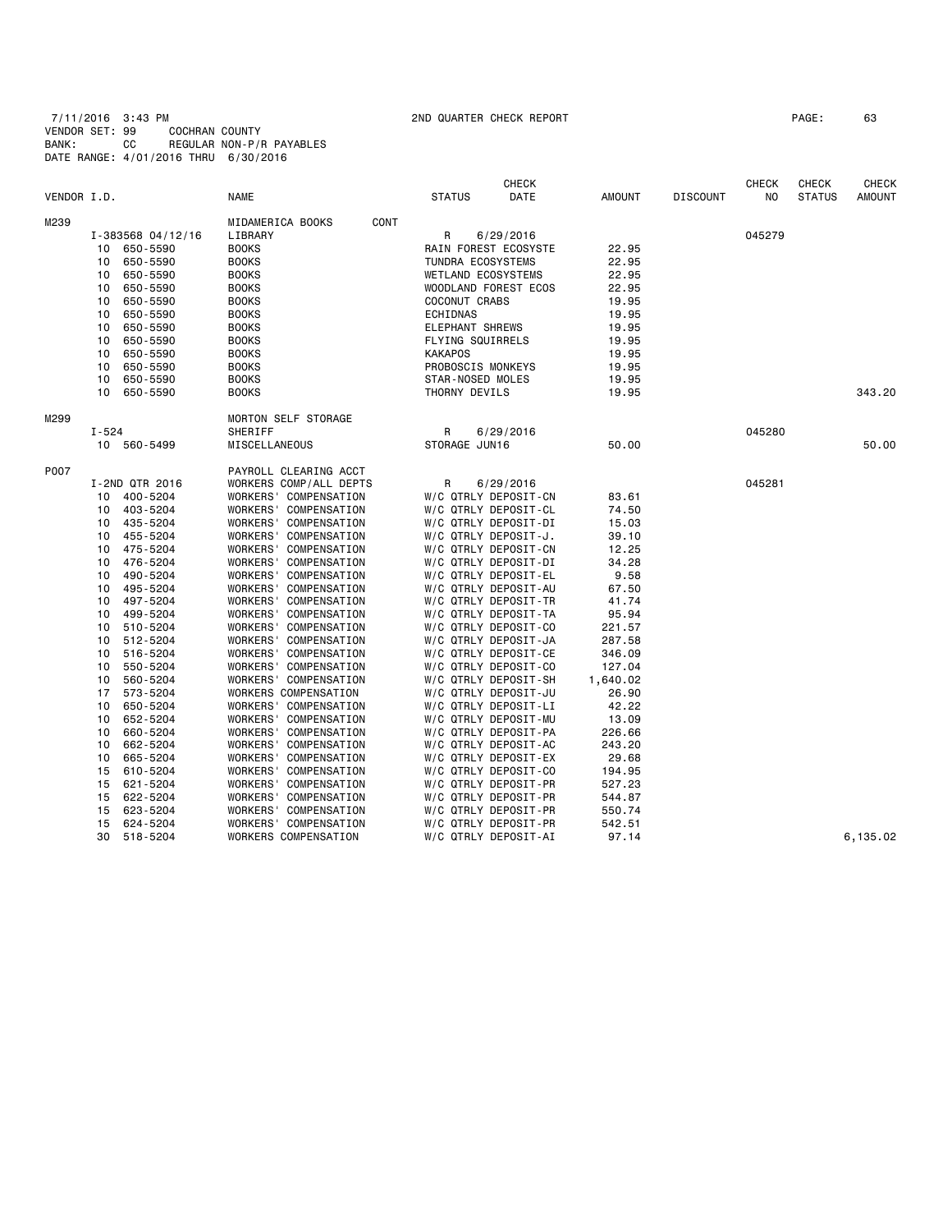7/11/2016 3:43 PM 2ND QUARTER CHECK REPORT PAGE: 63 VENDOR SET: 99 COCHRAN COUNTY BANK: CC REGULAR NON-P/R PAYABLES DATE RANGE: 4/01/2016 THRU 6/30/2016

|             |       |                   |                          |                           | <b>CHECK</b>         |               |                 | <b>CHECK</b> | <b>CHECK</b>  | <b>CHECK</b>  |
|-------------|-------|-------------------|--------------------------|---------------------------|----------------------|---------------|-----------------|--------------|---------------|---------------|
| VENDOR I.D. |       |                   | <b>NAME</b>              | <b>STATUS</b>             | DATE                 | <b>AMOUNT</b> | <b>DISCOUNT</b> | NO.          | <b>STATUS</b> | <b>AMOUNT</b> |
| M239        |       |                   | MIDAMERICA BOOKS<br>CONT |                           |                      |               |                 |              |               |               |
|             |       | I-383568 04/12/16 | LIBRARY                  | R                         | 6/29/2016            |               |                 | 045279       |               |               |
|             | 10    | 650-5590          | <b>BOOKS</b>             |                           | RAIN FOREST ECOSYSTE | 22.95         |                 |              |               |               |
|             | 10    | 650-5590          | <b>BOOKS</b>             | <b>TUNDRA ECOSYSTEMS</b>  |                      | 22.95         |                 |              |               |               |
|             | 10    | 650-5590          | <b>BOOKS</b>             | <b>WETLAND ECOSYSTEMS</b> |                      | 22.95         |                 |              |               |               |
|             | 10    | 650-5590          | <b>BOOKS</b>             |                           | WOODLAND FOREST ECOS | 22.95         |                 |              |               |               |
|             | 10    | 650-5590          | <b>BOOKS</b>             | COCONUT CRABS             |                      | 19.95         |                 |              |               |               |
|             | 10    | 650-5590          | <b>BOOKS</b>             | ECHIDNAS                  |                      | 19.95         |                 |              |               |               |
|             | 10    | 650-5590          | <b>BOOKS</b>             | <b>ELEPHANT SHREWS</b>    |                      | 19.95         |                 |              |               |               |
|             | 10    | 650-5590          | <b>BOOKS</b>             | FLYING SQUIRRELS          |                      | 19.95         |                 |              |               |               |
|             | 10    | 650-5590          | <b>BOOKS</b>             | <b>KAKAPOS</b>            |                      | 19.95         |                 |              |               |               |
|             | 10    | 650-5590          | <b>BOOKS</b>             | PROBOSCIS MONKEYS         |                      | 19.95         |                 |              |               |               |
|             | 10    | 650-5590          | <b>BOOKS</b>             | STAR-NOSED MOLES          |                      | 19.95         |                 |              |               |               |
|             | 10    | 650-5590          | <b>BOOKS</b>             | THORNY DEVILS             |                      | 19.95         |                 |              |               | 343.20        |
| M299        |       |                   | MORTON SELF STORAGE      |                           |                      |               |                 |              |               |               |
|             | I-524 |                   | SHERIFF                  | R                         | 6/29/2016            |               |                 | 045280       |               |               |
|             |       | 10 560-5499       | MISCELLANEOUS            | STORAGE JUN16             |                      | 50.00         |                 |              |               | 50.00         |
| P007        |       |                   | PAYROLL CLEARING ACCT    |                           |                      |               |                 |              |               |               |
|             |       | I-2ND QTR 2016    | WORKERS COMP/ALL DEPTS   | R                         | 6/29/2016            |               |                 | 045281       |               |               |
|             | 10    | 400-5204          | WORKERS' COMPENSATION    |                           | W/C QTRLY DEPOSIT-CN | 83.61         |                 |              |               |               |
|             | 10    | 403-5204          | WORKERS' COMPENSATION    |                           | W/C QTRLY DEPOSIT-CL | 74.50         |                 |              |               |               |
|             | 10    | 435-5204          | WORKERS' COMPENSATION    |                           | W/C QTRLY DEPOSIT-DI | 15.03         |                 |              |               |               |
|             | 10    | 455-5204          | WORKERS' COMPENSATION    |                           | W/C QTRLY DEPOSIT-J. | 39.10         |                 |              |               |               |
|             | 10    | 475-5204          | WORKERS' COMPENSATION    |                           | W/C QTRLY DEPOSIT-CN | 12.25         |                 |              |               |               |
|             | 10    | 476-5204          | WORKERS' COMPENSATION    |                           | W/C QTRLY DEPOSIT-DI | 34.28         |                 |              |               |               |
|             | 10    | 490-5204          | WORKERS' COMPENSATION    |                           | W/C QTRLY DEPOSIT-EL | 9.58          |                 |              |               |               |
|             | 10    | 495-5204          | WORKERS' COMPENSATION    |                           | W/C QTRLY DEPOSIT-AU | 67.50         |                 |              |               |               |
|             | 10    | 497-5204          | WORKERS' COMPENSATION    |                           | W/C QTRLY DEPOSIT-TR | 41.74         |                 |              |               |               |
|             | 10    | 499-5204          | WORKERS' COMPENSATION    |                           | W/C QTRLY DEPOSIT-TA | 95.94         |                 |              |               |               |
|             | 10    | 510-5204          | WORKERS' COMPENSATION    |                           | W/C QTRLY DEPOSIT-CO | 221.57        |                 |              |               |               |
|             | 10    | 512-5204          | WORKERS' COMPENSATION    |                           | W/C QTRLY DEPOSIT-JA | 287.58        |                 |              |               |               |
|             | 10    | 516-5204          | WORKERS' COMPENSATION    |                           | W/C QTRLY DEPOSIT-CE | 346.09        |                 |              |               |               |
|             | 10    | 550-5204          | WORKERS' COMPENSATION    |                           | W/C QTRLY DEPOSIT-CO | 127.04        |                 |              |               |               |
|             | 10    | 560-5204          | WORKERS' COMPENSATION    |                           | W/C QTRLY DEPOSIT-SH | 1,640.02      |                 |              |               |               |
|             | 17    | 573-5204          | WORKERS COMPENSATION     |                           | W/C QTRLY DEPOSIT-JU | 26.90         |                 |              |               |               |
|             | 10    | 650-5204          | WORKERS' COMPENSATION    |                           | W/C QTRLY DEPOSIT-LI | 42.22         |                 |              |               |               |
|             | 10    | 652-5204          | WORKERS' COMPENSATION    |                           | W/C QTRLY DEPOSIT-MU | 13.09         |                 |              |               |               |
|             | 10    | 660-5204          | WORKERS' COMPENSATION    |                           | W/C QTRLY DEPOSIT-PA | 226.66        |                 |              |               |               |
|             | 10    | 662-5204          | WORKERS' COMPENSATION    |                           | W/C QTRLY DEPOSIT-AC | 243.20        |                 |              |               |               |
|             | 10    | 665-5204          | WORKERS' COMPENSATION    |                           | W/C QTRLY DEPOSIT-EX | 29.68         |                 |              |               |               |
|             | 15    | 610-5204          | WORKERS' COMPENSATION    |                           | W/C QTRLY DEPOSIT-CO | 194.95        |                 |              |               |               |
|             | 15    | 621-5204          | WORKERS' COMPENSATION    |                           | W/C QTRLY DEPOSIT-PR | 527.23        |                 |              |               |               |
|             | 15    | 622-5204          | WORKERS' COMPENSATION    |                           | W/C QTRLY DEPOSIT-PR | 544.87        |                 |              |               |               |
|             | 15    | 623-5204          | WORKERS' COMPENSATION    |                           | W/C QTRLY DEPOSIT-PR | 550.74        |                 |              |               |               |
|             | 15    | 624-5204          | WORKERS' COMPENSATION    |                           | W/C QTRLY DEPOSIT-PR | 542.51        |                 |              |               |               |
|             | 30    | 518-5204          | WORKERS COMPENSATION     |                           | W/C QTRLY DEPOSIT-AI | 97.14         |                 |              |               | 6,135.02      |
|             |       |                   |                          |                           |                      |               |                 |              |               |               |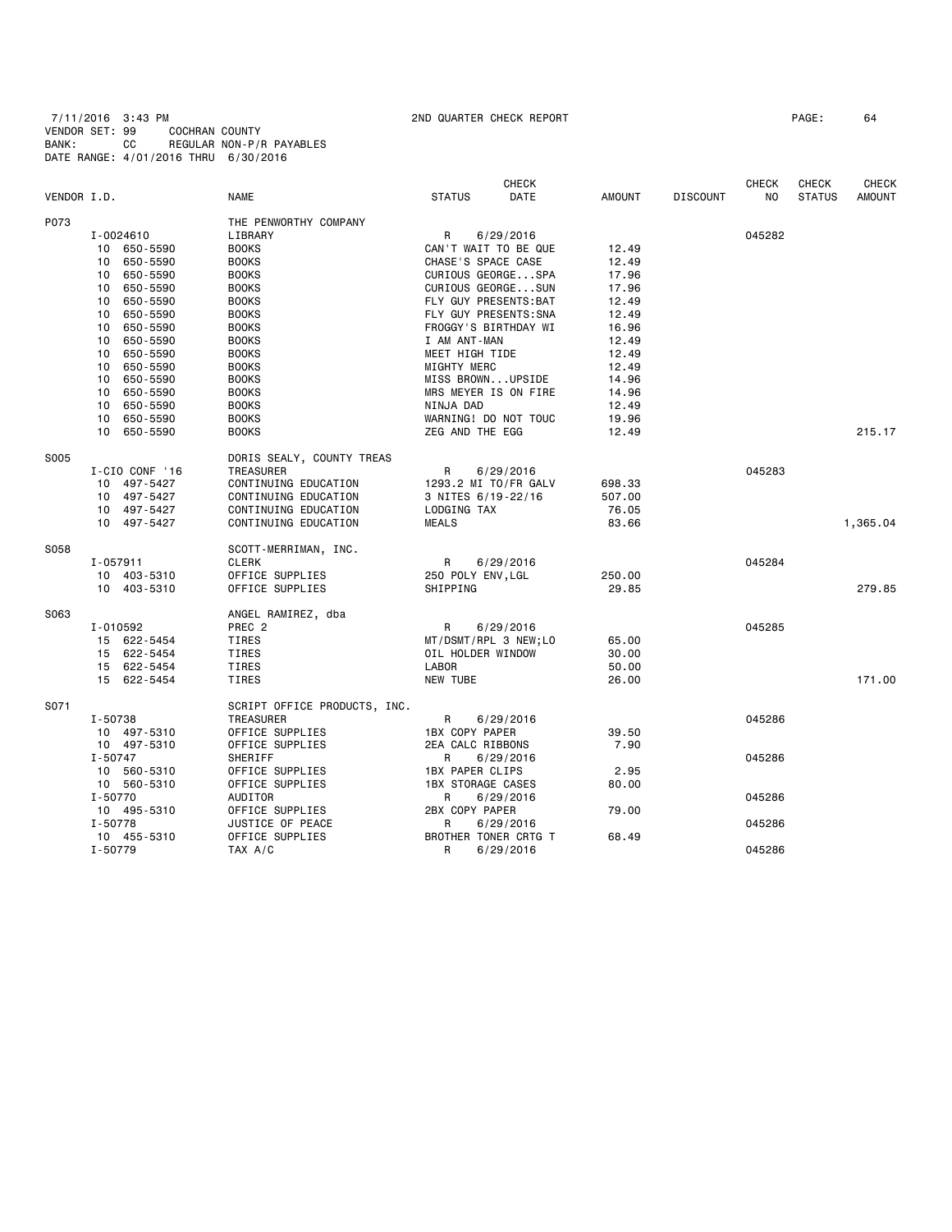7/11/2016 3:43 PM 2ND QUARTER CHECK REPORT PAGE: 64 VENDOR SET: 99 COCHRAN COUNTY BANK: CC REGULAR NON-P/R PAYABLES DATE RANGE: 4/01/2016 THRU 6/30/2016

|             |                             |                              | <b>CHECK</b>             |        |                 | <b>CHECK</b>   | <b>CHECK</b>  | <b>CHECK</b>  |
|-------------|-----------------------------|------------------------------|--------------------------|--------|-----------------|----------------|---------------|---------------|
| VENDOR I.D. |                             | <b>NAME</b>                  | <b>STATUS</b><br>DATE    | AMOUNT | <b>DISCOUNT</b> | N <sub>O</sub> | <b>STATUS</b> | <b>AMOUNT</b> |
| P073        |                             | THE PENWORTHY COMPANY        |                          |        |                 |                |               |               |
|             | I-0024610                   | LIBRARY                      | R<br>6/29/2016           |        |                 | 045282         |               |               |
|             | 10 650-5590                 | <b>BOOKS</b>                 | CAN'T WAIT TO BE QUE     | 12.49  |                 |                |               |               |
|             | 650-5590<br>10              | <b>BOOKS</b>                 | CHASE'S SPACE CASE       | 12.49  |                 |                |               |               |
|             | 650-5590<br>10              | <b>BOOKS</b>                 | CURIOUS GEORGESPA        | 17.96  |                 |                |               |               |
|             | 650-5590<br>10              | <b>BOOKS</b>                 | CURIOUS GEORGESUN        | 17.96  |                 |                |               |               |
|             | 650-5590<br>10              | <b>BOOKS</b>                 | FLY GUY PRESENTS: BAT    | 12.49  |                 |                |               |               |
|             | 650-5590<br>10              | <b>BOOKS</b>                 | FLY GUY PRESENTS: SNA    | 12.49  |                 |                |               |               |
|             | 10<br>650-5590              | <b>BOOKS</b>                 | FROGGY'S BIRTHDAY WI     | 16.96  |                 |                |               |               |
|             | 650-5590<br>10              | <b>BOOKS</b>                 | I AM ANT-MAN             | 12.49  |                 |                |               |               |
|             | 10 <sup>1</sup><br>650-5590 | <b>BOOKS</b>                 | MEET HIGH TIDE           | 12.49  |                 |                |               |               |
|             | 10<br>650-5590              | <b>BOOKS</b>                 | MIGHTY MERC              | 12.49  |                 |                |               |               |
|             | 650-5590<br>10              | <b>BOOKS</b>                 | MISS BROWNUPSIDE         | 14.96  |                 |                |               |               |
|             | 10<br>650-5590              | <b>BOOKS</b>                 | MRS MEYER IS ON FIRE     | 14.96  |                 |                |               |               |
|             | 650-5590<br>10              | <b>BOOKS</b>                 | NINJA DAD                | 12.49  |                 |                |               |               |
|             | 10 650-5590                 | <b>BOOKS</b>                 | WARNING! DO NOT TOUC     | 19.96  |                 |                |               |               |
|             | 10 650-5590                 | <b>BOOKS</b>                 | ZEG AND THE EGG          | 12.49  |                 |                |               | 215.17        |
|             |                             |                              |                          |        |                 |                |               |               |
| S005        |                             | DORIS SEALY, COUNTY TREAS    |                          |        |                 |                |               |               |
|             | I-CIO CONF '16              | TREASURER                    | R<br>6/29/2016           |        |                 | 045283         |               |               |
|             | 10 497-5427                 | CONTINUING EDUCATION         | 1293.2 MI TO/FR GALV     | 698.33 |                 |                |               |               |
|             | 10 497-5427                 | CONTINUING EDUCATION         | 3 NITES 6/19-22/16       | 507.00 |                 |                |               |               |
|             | 10 497-5427                 | CONTINUING EDUCATION         | LODGING TAX              | 76.05  |                 |                |               |               |
|             | 10 497-5427                 | CONTINUING EDUCATION         | <b>MEALS</b>             | 83.66  |                 |                |               | 1,365.04      |
| S058        |                             | SCOTT-MERRIMAN, INC.         |                          |        |                 |                |               |               |
|             | I-057911                    | <b>CLERK</b>                 | R<br>6/29/2016           |        |                 | 045284         |               |               |
|             | 10 403-5310                 | OFFICE SUPPLIES              | 250 POLY ENV, LGL        | 250.00 |                 |                |               |               |
|             | 10 403-5310                 | OFFICE SUPPLIES              | SHIPPING                 | 29.85  |                 |                |               | 279.85        |
| S063        |                             | ANGEL RAMIREZ, dba           |                          |        |                 |                |               |               |
|             | I-010592                    | PREC <sub>2</sub>            | R<br>6/29/2016           |        |                 | 045285         |               |               |
|             | 15 622-5454                 | TIRES                        | MT/DSMT/RPL 3 NEW;LO     | 65.00  |                 |                |               |               |
|             | 15 622-5454                 | TIRES                        | OIL HOLDER WINDOW        | 30.00  |                 |                |               |               |
|             | 15 622-5454                 | TIRES                        | <b>LABOR</b>             | 50.00  |                 |                |               |               |
|             | 15 622-5454                 | TIRES                        | NEW TUBE                 | 26.00  |                 |                |               | 171.00        |
|             |                             |                              |                          |        |                 |                |               |               |
| S071        |                             | SCRIPT OFFICE PRODUCTS, INC. |                          |        |                 |                |               |               |
|             | I-50738                     | TREASURER                    | R<br>6/29/2016           |        |                 | 045286         |               |               |
|             | 10 497-5310                 | OFFICE SUPPLIES              | 1BX COPY PAPER           | 39.50  |                 |                |               |               |
|             | 10 497-5310                 | OFFICE SUPPLIES              | 2EA CALC RIBBONS         | 7.90   |                 |                |               |               |
|             | I-50747                     | SHERIFF                      | R<br>6/29/2016           |        |                 | 045286         |               |               |
|             | 10 560-5310                 | OFFICE SUPPLIES              | <b>1BX PAPER CLIPS</b>   | 2.95   |                 |                |               |               |
|             | 10 560-5310                 | OFFICE SUPPLIES              | <b>1BX STORAGE CASES</b> | 80.00  |                 |                |               |               |
|             | I-50770                     | AUDITOR                      | R<br>6/29/2016           |        |                 | 045286         |               |               |
|             | 10 495-5310                 | OFFICE SUPPLIES              | 2BX COPY PAPER           | 79.00  |                 |                |               |               |
|             | I-50778                     | JUSTICE OF PEACE             | R<br>6/29/2016           |        |                 | 045286         |               |               |
|             | 10 455-5310                 | OFFICE SUPPLIES              | BROTHER TONER CRTG T     | 68.49  |                 |                |               |               |
|             | I-50779                     | TAX A/C                      | R<br>6/29/2016           |        |                 | 045286         |               |               |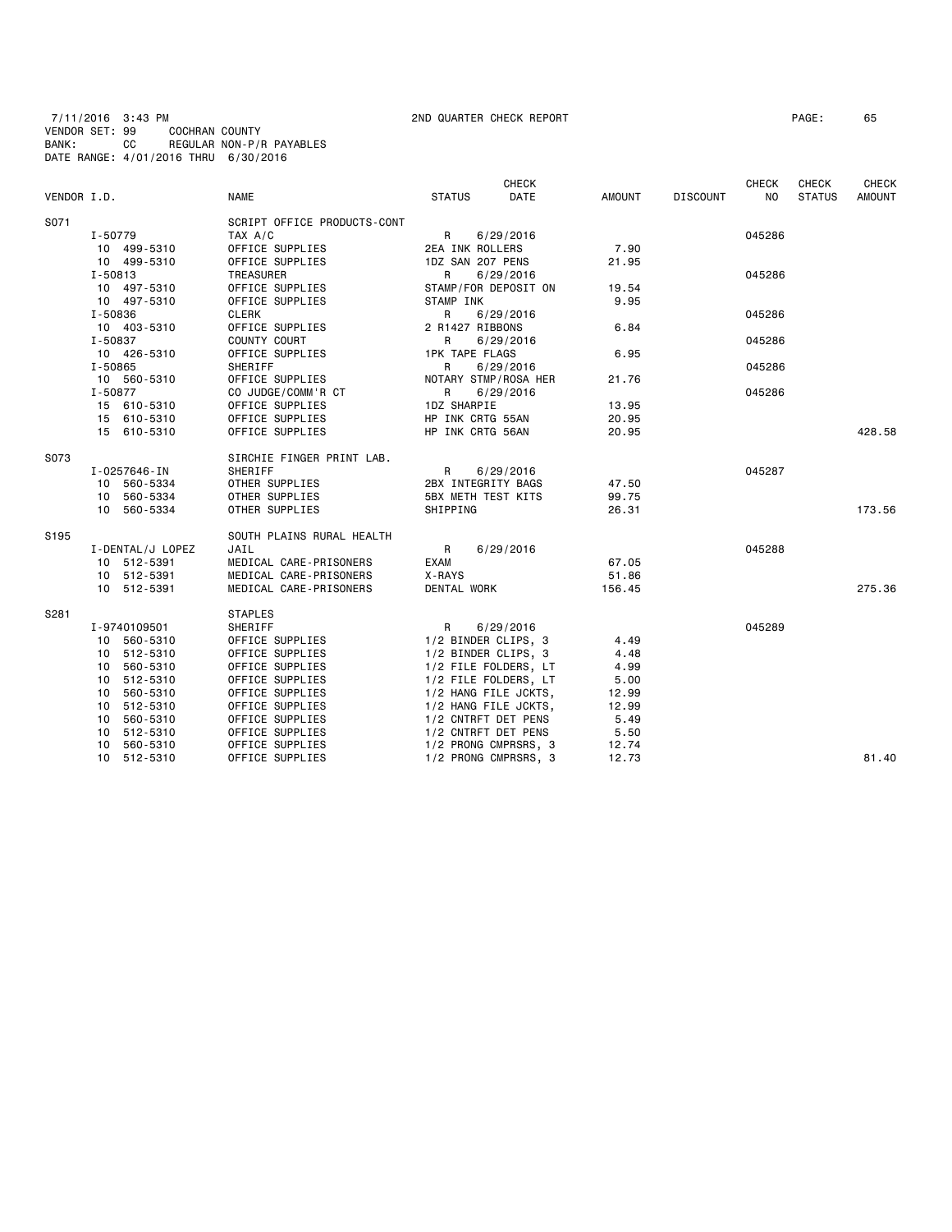7/11/2016 3:43 PM 2ND QUARTER CHECK REPORT PAGE: 65 VENDOR SET: 99 COCHRAN COUNTY BANK: CC REGULAR NON-P/R PAYABLES DATE RANGE: 4/01/2016 THRU 6/30/2016

|                  |                  |                             |                           | <b>CHECK</b>         |        |                 | CHECK          | <b>CHECK</b>  | <b>CHECK</b>  |
|------------------|------------------|-----------------------------|---------------------------|----------------------|--------|-----------------|----------------|---------------|---------------|
| VENDOR I.D.      |                  | NAME                        | <b>STATUS</b>             | DATE                 | AMOUNT | <b>DISCOUNT</b> | N <sub>0</sub> | <b>STATUS</b> | <b>AMOUNT</b> |
| S071             |                  | SCRIPT OFFICE PRODUCTS-CONT |                           |                      |        |                 |                |               |               |
|                  | I-50779          | TAX A/C                     | R                         | 6/29/2016            |        |                 | 045286         |               |               |
|                  | 10 499-5310      | OFFICE SUPPLIES             | <b>2EA INK ROLLERS</b>    |                      | 7.90   |                 |                |               |               |
|                  | 10 499-5310      | OFFICE SUPPLIES             | 1DZ SAN 207 PENS          |                      | 21.95  |                 |                |               |               |
|                  | I-50813          | TREASURER                   | 6/29/2016<br>R            |                      |        |                 | 045286         |               |               |
|                  | 10 497-5310      | OFFICE SUPPLIES             |                           | STAMP/FOR DEPOSIT ON | 19.54  |                 |                |               |               |
|                  | 10 497-5310      | OFFICE SUPPLIES             | STAMP INK                 |                      | 9.95   |                 |                |               |               |
|                  | I-50836          | <b>CLERK</b>                | R                         | 6/29/2016            |        |                 | 045286         |               |               |
|                  | 10 403-5310      | OFFICE SUPPLIES             | 2 R1427 RIBBONS           |                      | 6.84   |                 |                |               |               |
|                  | I-50837          | COUNTY COURT                | R                         | 6/29/2016            |        |                 | 045286         |               |               |
|                  | 10 426-5310      | OFFICE SUPPLIES             | <b>1PK TAPE FLAGS</b>     |                      | 6.95   |                 |                |               |               |
|                  | $I - 50865$      | SHERIFF                     | R                         | 6/29/2016            |        |                 | 045286         |               |               |
|                  | 10 560-5310      | OFFICE SUPPLIES             |                           | NOTARY STMP/ROSA HER | 21.76  |                 |                |               |               |
|                  | I-50877          | CO JUDGE/COMM'R CT          | R                         | 6/29/2016            |        |                 | 045286         |               |               |
|                  | 15 610-5310      | OFFICE SUPPLIES             | <b>1DZ SHARPIE</b>        |                      | 13.95  |                 |                |               |               |
|                  | 15 610-5310      | OFFICE SUPPLIES             | HP INK CRTG 55AN          |                      | 20.95  |                 |                |               |               |
|                  | 15 610-5310      | OFFICE SUPPLIES             | HP INK CRTG 56AN          |                      | 20.95  |                 |                |               | 428.58        |
| S073             |                  | SIRCHIE FINGER PRINT LAB.   |                           |                      |        |                 |                |               |               |
|                  | I-0257646-IN     | SHERIFF                     | R                         | 6/29/2016            |        |                 | 045287         |               |               |
|                  | 10 560-5334      | OTHER SUPPLIES              | 2BX INTEGRITY BAGS        |                      | 47.50  |                 |                |               |               |
|                  | 10 560-5334      | OTHER SUPPLIES              | <b>5BX METH TEST KITS</b> |                      | 99.75  |                 |                |               |               |
|                  | 10 560-5334      | OTHER SUPPLIES              | SHIPPING                  |                      | 26.31  |                 |                |               | 173.56        |
| S <sub>195</sub> |                  | SOUTH PLAINS RURAL HEALTH   |                           |                      |        |                 |                |               |               |
|                  | I-DENTAL/J LOPEZ | JAIL                        | $\mathsf{R}$              | 6/29/2016            |        |                 | 045288         |               |               |
|                  | 10 512-5391      | MEDICAL CARE-PRISONERS      | EXAM                      |                      | 67.05  |                 |                |               |               |
|                  | 10 512-5391      | MEDICAL CARE-PRISONERS      | X-RAYS                    |                      | 51.86  |                 |                |               |               |
|                  | 10 512-5391      | MEDICAL CARE-PRISONERS      | DENTAL WORK               |                      | 156.45 |                 |                |               | 275.36        |
| S281             |                  | <b>STAPLES</b>              |                           |                      |        |                 |                |               |               |
|                  | I-9740109501     | SHERIFF                     | R                         | 6/29/2016            |        |                 | 045289         |               |               |
|                  | 10 560-5310      | OFFICE SUPPLIES             | 1/2 BINDER CLIPS, 3       |                      | 4.49   |                 |                |               |               |
|                  | 10 512-5310      | OFFICE SUPPLIES             | 1/2 BINDER CLIPS, 3       |                      | 4.48   |                 |                |               |               |
|                  | 10 560-5310      | OFFICE SUPPLIES             |                           | 1/2 FILE FOLDERS, LT | 4.99   |                 |                |               |               |
|                  | 10 512-5310      | OFFICE SUPPLIES             |                           | 1/2 FILE FOLDERS, LT | 5.00   |                 |                |               |               |
|                  | 10 560-5310      | OFFICE SUPPLIES             |                           | 1/2 HANG FILE JCKTS, | 12.99  |                 |                |               |               |
|                  | 10 512-5310      | OFFICE SUPPLIES             |                           | 1/2 HANG FILE JCKTS, | 12.99  |                 |                |               |               |
|                  | 10 560-5310      | OFFICE SUPPLIES             | 1/2 CNTRFT DET PENS       |                      | 5.49   |                 |                |               |               |
|                  | 10 512-5310      | OFFICE SUPPLIES             | 1/2 CNTRFT DET PENS       |                      | 5.50   |                 |                |               |               |
|                  | 10 560-5310      | OFFICE SUPPLIES             |                           | 1/2 PRONG CMPRSRS, 3 | 12.74  |                 |                |               |               |
|                  | 10 512-5310      | OFFICE SUPPLIES             |                           | 1/2 PRONG CMPRSRS, 3 | 12.73  |                 |                |               | 81.40         |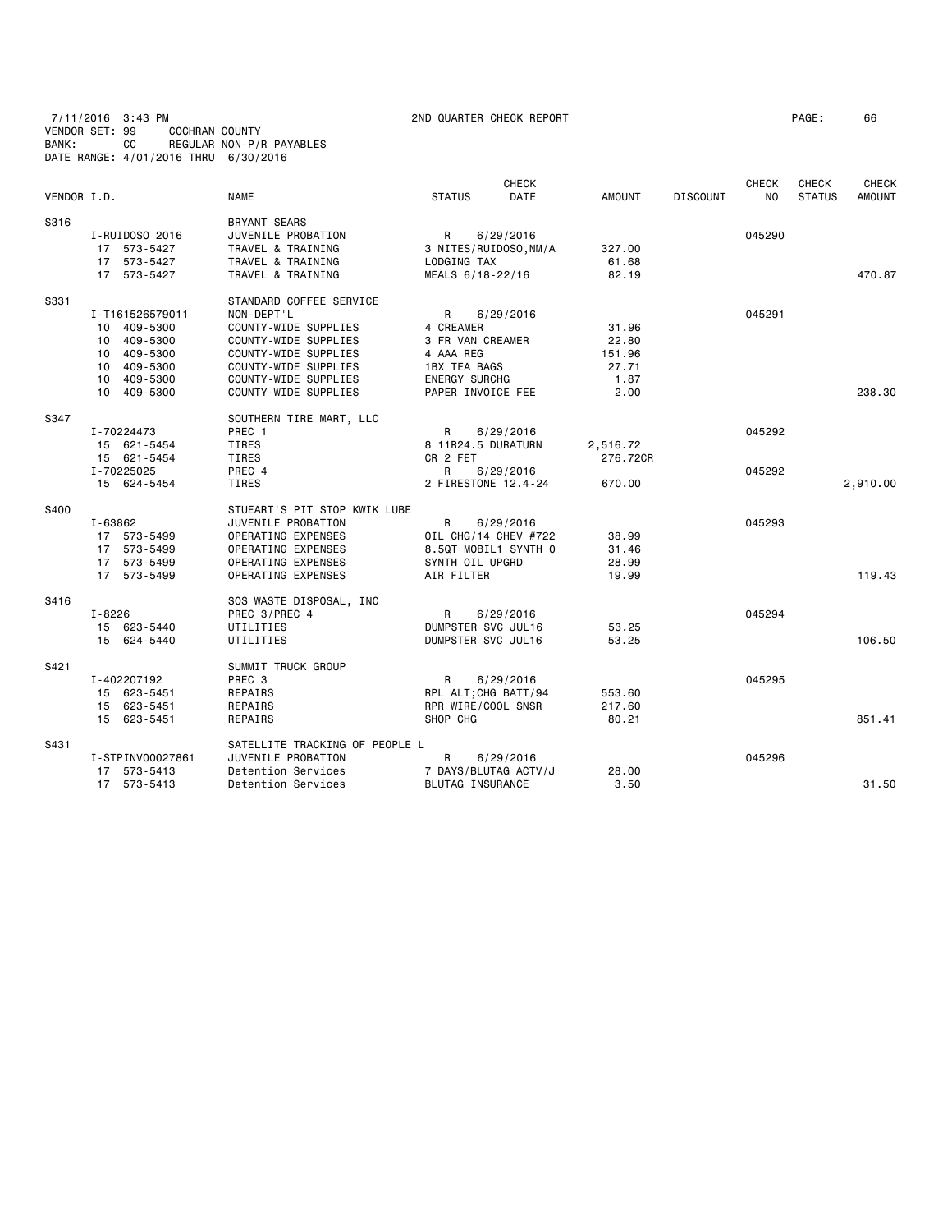7/11/2016 3:43 PM 2ND QUARTER CHECK REPORT PAGE: 66 VENDOR SET: 99 COCHRAN COUNTY BANK: CC REGULAR NON-P/R PAYABLES DATE RANGE: 4/01/2016 THRU 6/30/2016

|             |                  |                                |                       | <b>CHECK</b>         |               |                 | <b>CHECK</b>   | <b>CHECK</b>  | <b>CHECK</b>  |
|-------------|------------------|--------------------------------|-----------------------|----------------------|---------------|-----------------|----------------|---------------|---------------|
| VENDOR I.D. |                  | <b>NAME</b>                    | <b>STATUS</b>         | DATE                 | <b>AMOUNT</b> | <b>DISCOUNT</b> | N <sub>0</sub> | <b>STATUS</b> | <b>AMOUNT</b> |
| S316        |                  | <b>BRYANT SEARS</b>            |                       |                      |               |                 |                |               |               |
|             | I-RUIDOSO 2016   | JUVENILE PROBATION             | R                     | 6/29/2016            |               |                 | 045290         |               |               |
|             | 17 573-5427      | TRAVEL & TRAINING              | 3 NITES/RUIDOSO, NM/A |                      | 327.00        |                 |                |               |               |
|             | 17 573-5427      | TRAVEL & TRAINING              | LODGING TAX           |                      | 61.68         |                 |                |               |               |
|             | 17 573-5427      | TRAVEL & TRAINING              | MEALS 6/18-22/16      |                      | 82.19         |                 |                |               | 470.87        |
| S331        |                  | STANDARD COFFEE SERVICE        |                       |                      |               |                 |                |               |               |
|             | I-T161526579011  | NON-DEPT'L                     | R                     | 6/29/2016            |               |                 | 045291         |               |               |
|             | 10 409-5300      | COUNTY-WIDE SUPPLIES           | 4 CREAMER             |                      | 31.96         |                 |                |               |               |
|             | 10 409-5300      | COUNTY-WIDE SUPPLIES           | 3 FR VAN CREAMER      |                      | 22.80         |                 |                |               |               |
|             | 10 409-5300      | COUNTY-WIDE SUPPLIES           | 4 AAA REG             |                      | 151.96        |                 |                |               |               |
|             | 10 409-5300      | COUNTY-WIDE SUPPLIES           | 1BX TEA BAGS          |                      | 27.71         |                 |                |               |               |
|             | 10 409-5300      | COUNTY-WIDE SUPPLIES           | <b>ENERGY SURCHG</b>  |                      | 1.87          |                 |                |               |               |
|             | 10 409-5300      | COUNTY-WIDE SUPPLIES           | PAPER INVOICE FEE     |                      | 2.00          |                 |                |               | 238.30        |
| S347        |                  | SOUTHERN TIRE MART, LLC        |                       |                      |               |                 |                |               |               |
|             | I-70224473       | PREC 1                         | R                     | 6/29/2016            |               |                 | 045292         |               |               |
|             | 15 621-5454      | <b>TIRES</b>                   | 8 11R24.5 DURATURN    |                      | 2,516.72      |                 |                |               |               |
|             | 15 621-5454      | TIRES                          | CR 2 FET              |                      | 276.72CR      |                 |                |               |               |
|             | I-70225025       | PREC 4                         | R                     | 6/29/2016            |               |                 | 045292         |               |               |
|             | 15 624-5454      | <b>TIRES</b>                   |                       | 2 FIRESTONE 12.4-24  | 670.00        |                 |                |               | 2,910.00      |
| S400        |                  | STUEART'S PIT STOP KWIK LUBE   |                       |                      |               |                 |                |               |               |
|             | I-63862          | JUVENILE PROBATION             | R                     | 6/29/2016            |               |                 | 045293         |               |               |
|             | 17 573-5499      | OPERATING EXPENSES             |                       | OIL CHG/14 CHEV #722 | 38.99         |                 |                |               |               |
|             | 17 573-5499      | OPERATING EXPENSES             |                       | 8.5QT MOBIL1 SYNTH 0 | 31.46         |                 |                |               |               |
|             | 17 573-5499      | OPERATING EXPENSES             | SYNTH OIL UPGRD       |                      | 28.99         |                 |                |               |               |
|             | 17 573-5499      | OPERATING EXPENSES             | AIR FILTER            |                      | 19.99         |                 |                |               | 119.43        |
| S416        |                  | SOS WASTE DISPOSAL, INC        |                       |                      |               |                 |                |               |               |
|             | I-8226           | PREC 3/PREC 4                  | R                     | 6/29/2016            |               |                 | 045294         |               |               |
|             | 15 623-5440      | UTILITIES                      | DUMPSTER SVC JUL16    |                      | 53.25         |                 |                |               |               |
|             | 15 624-5440      | UTILITIES                      | DUMPSTER SVC JUL16    |                      | 53.25         |                 |                |               | 106.50        |
| S421        |                  | SUMMIT TRUCK GROUP             |                       |                      |               |                 |                |               |               |
|             | I-402207192      | PREC 3                         | R                     | 6/29/2016            |               |                 | 045295         |               |               |
|             | 15 623-5451      | REPAIRS                        | RPL ALT; CHG BATT/94  |                      | 553.60        |                 |                |               |               |
|             | 15 623-5451      | REPAIRS                        | RPR WIRE/COOL SNSR    |                      | 217.60        |                 |                |               |               |
|             | 15 623-5451      | REPAIRS                        | SHOP CHG              |                      | 80.21         |                 |                |               | 851.41        |
| S431        |                  | SATELLITE TRACKING OF PEOPLE L |                       |                      |               |                 |                |               |               |
|             | I-STPINV00027861 | JUVENILE PROBATION             | R                     | 6/29/2016            |               |                 | 045296         |               |               |
|             | 17 573-5413      | Detention Services             |                       | 7 DAYS/BLUTAG ACTV/J | 28.00         |                 |                |               |               |
|             | 17 573-5413      | Detention Services             | BLUTAG INSURANCE      |                      | 3.50          |                 |                |               | 31.50         |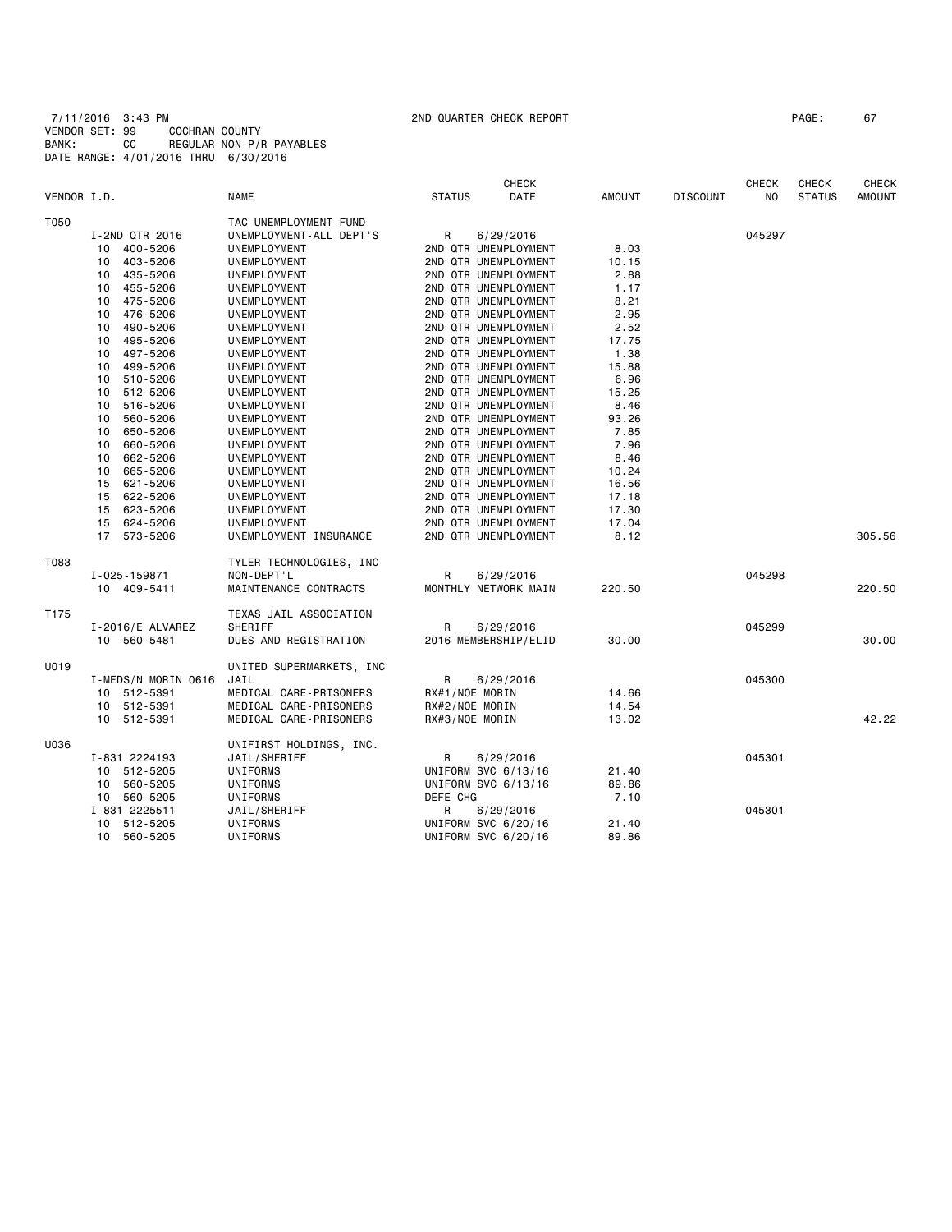|             |                        |                          | <b>CHECK</b>         |                       |                 | <b>CHECK</b> | <b>CHECK</b>  | <b>CHECK</b>  |
|-------------|------------------------|--------------------------|----------------------|-----------------------|-----------------|--------------|---------------|---------------|
| VENDOR I.D. |                        | <b>NAME</b>              | <b>STATUS</b>        | DATE<br><b>AMOUNT</b> | <b>DISCOUNT</b> | NO.          | <b>STATUS</b> | <b>AMOUNT</b> |
| T050        |                        | TAC UNEMPLOYMENT FUND    |                      |                       |                 |              |               |               |
|             | I-2ND QTR 2016         | UNEMPLOYMENT-ALL DEPT'S  | R<br>6/29/2016       |                       |                 | 045297       |               |               |
|             | 10 400-5206            | UNEMPLOYMENT             | 2ND QTR UNEMPLOYMENT | 8.03                  |                 |              |               |               |
|             | 403-5206<br>10         | UNEMPLOYMENT             | 2ND QTR UNEMPLOYMENT | 10.15                 |                 |              |               |               |
|             | 435-5206<br>10         | UNEMPLOYMENT             | 2ND QTR UNEMPLOYMENT | 2.88                  |                 |              |               |               |
|             | 455-5206<br>10         | UNEMPLOYMENT             | 2ND QTR UNEMPLOYMENT | 1.17                  |                 |              |               |               |
|             | 475-5206<br>10         | UNEMPLOYMENT             | 2ND QTR UNEMPLOYMENT | 8.21                  |                 |              |               |               |
|             | 476-5206<br>10         | UNEMPLOYMENT             | 2ND QTR UNEMPLOYMENT | 2.95                  |                 |              |               |               |
|             | 490-5206<br>10         | UNEMPLOYMENT             | 2ND QTR UNEMPLOYMENT | 2.52                  |                 |              |               |               |
|             | 495-5206<br>10         | UNEMPLOYMENT             | 2ND QTR UNEMPLOYMENT | 17.75                 |                 |              |               |               |
|             | 497-5206<br>10         | UNEMPLOYMENT             | 2ND QTR UNEMPLOYMENT | 1.38                  |                 |              |               |               |
|             | 499-5206<br>10         | UNEMPLOYMENT             | 2ND QTR UNEMPLOYMENT | 15.88                 |                 |              |               |               |
|             | 510-5206<br>10         | UNEMPLOYMENT             | 2ND QTR UNEMPLOYMENT | 6.96                  |                 |              |               |               |
|             | 512-5206<br>10         | UNEMPLOYMENT             | 2ND QTR UNEMPLOYMENT | 15.25                 |                 |              |               |               |
|             | 516-5206<br>10         | UNEMPLOYMENT             | 2ND QTR UNEMPLOYMENT | 8.46                  |                 |              |               |               |
|             | 560-5206<br>10         | UNEMPLOYMENT             | 2ND QTR UNEMPLOYMENT | 93.26                 |                 |              |               |               |
|             | 650-5206<br>10         | UNEMPLOYMENT             | 2ND QTR UNEMPLOYMENT | 7.85                  |                 |              |               |               |
|             | 660-5206<br>10         | UNEMPLOYMENT             | 2ND QTR UNEMPLOYMENT | 7.96                  |                 |              |               |               |
|             | 662-5206<br>10         | UNEMPLOYMENT             | 2ND QTR UNEMPLOYMENT | 8.46                  |                 |              |               |               |
|             | 665-5206<br>10         | UNEMPLOYMENT             | 2ND QTR UNEMPLOYMENT | 10.24                 |                 |              |               |               |
|             | 621-5206<br>15         | UNEMPLOYMENT             | 2ND QTR UNEMPLOYMENT | 16.56                 |                 |              |               |               |
|             | 622-5206<br>15         | UNEMPLOYMENT             | 2ND QTR UNEMPLOYMENT | 17.18                 |                 |              |               |               |
|             | 623-5206<br>15         | UNEMPLOYMENT             | 2ND QTR UNEMPLOYMENT | 17.30                 |                 |              |               |               |
|             | 624-5206<br>15         | UNEMPLOYMENT             | 2ND QTR UNEMPLOYMENT | 17.04                 |                 |              |               |               |
|             | 17 573-5206            | UNEMPLOYMENT INSURANCE   | 2ND QTR UNEMPLOYMENT | 8.12                  |                 |              |               | 305.56        |
| T083        |                        | TYLER TECHNOLOGIES, INC  |                      |                       |                 |              |               |               |
|             | I-025-159871           | NON-DEPT'L               | R<br>6/29/2016       |                       |                 | 045298       |               |               |
|             | 10 409-5411            | MAINTENANCE CONTRACTS    | MONTHLY NETWORK MAIN | 220.50                |                 |              |               | 220.50        |
| T175        |                        | TEXAS JAIL ASSOCIATION   |                      |                       |                 |              |               |               |
|             | $I - 2016 / E$ ALVAREZ | SHERIFF                  | R<br>6/29/2016       |                       |                 | 045299       |               |               |
|             | 10 560-5481            | DUES AND REGISTRATION    | 2016 MEMBERSHIP/ELID | 30.00                 |                 |              |               | 30,00         |
| U019        |                        | UNITED SUPERMARKETS, INC |                      |                       |                 |              |               |               |
|             | I-MEDS/N MORIN 0616    | JAIL                     | R<br>6/29/2016       |                       |                 | 045300       |               |               |
|             | 10 512-5391            | MEDICAL CARE-PRISONERS   | RX#1/NOE MORIN       | 14.66                 |                 |              |               |               |
|             | 10 512-5391            | MEDICAL CARE-PRISONERS   | RX#2/NOE MORIN       | 14.54                 |                 |              |               |               |
|             | 10 512-5391            | MEDICAL CARE-PRISONERS   | RX#3/NOE MORIN       | 13.02                 |                 |              |               | 42.22         |
| U036        |                        | UNIFIRST HOLDINGS, INC.  |                      |                       |                 |              |               |               |
|             | I-831 2224193          | JAIL/SHERIFF             | R<br>6/29/2016       |                       |                 | 045301       |               |               |
|             | 512-5205<br>10         | UNIFORMS                 | UNIFORM SVC 6/13/16  | 21.40                 |                 |              |               |               |
|             | 560-5205<br>10         | UNIFORMS                 | UNIFORM SVC 6/13/16  | 89.86                 |                 |              |               |               |
|             | 10 560-5205            | UNIFORMS                 | DEFE CHG             | 7.10                  |                 |              |               |               |
|             | I-831 2225511          | JAIL/SHERIFF             | R<br>6/29/2016       |                       |                 | 045301       |               |               |
|             | 512-5205<br>10         | UNIFORMS                 | UNIFORM SVC 6/20/16  | 21.40                 |                 |              |               |               |
|             | 10<br>560-5205         | UNIFORMS                 | UNIFORM SVC 6/20/16  | 89.86                 |                 |              |               |               |
|             |                        |                          |                      |                       |                 |              |               |               |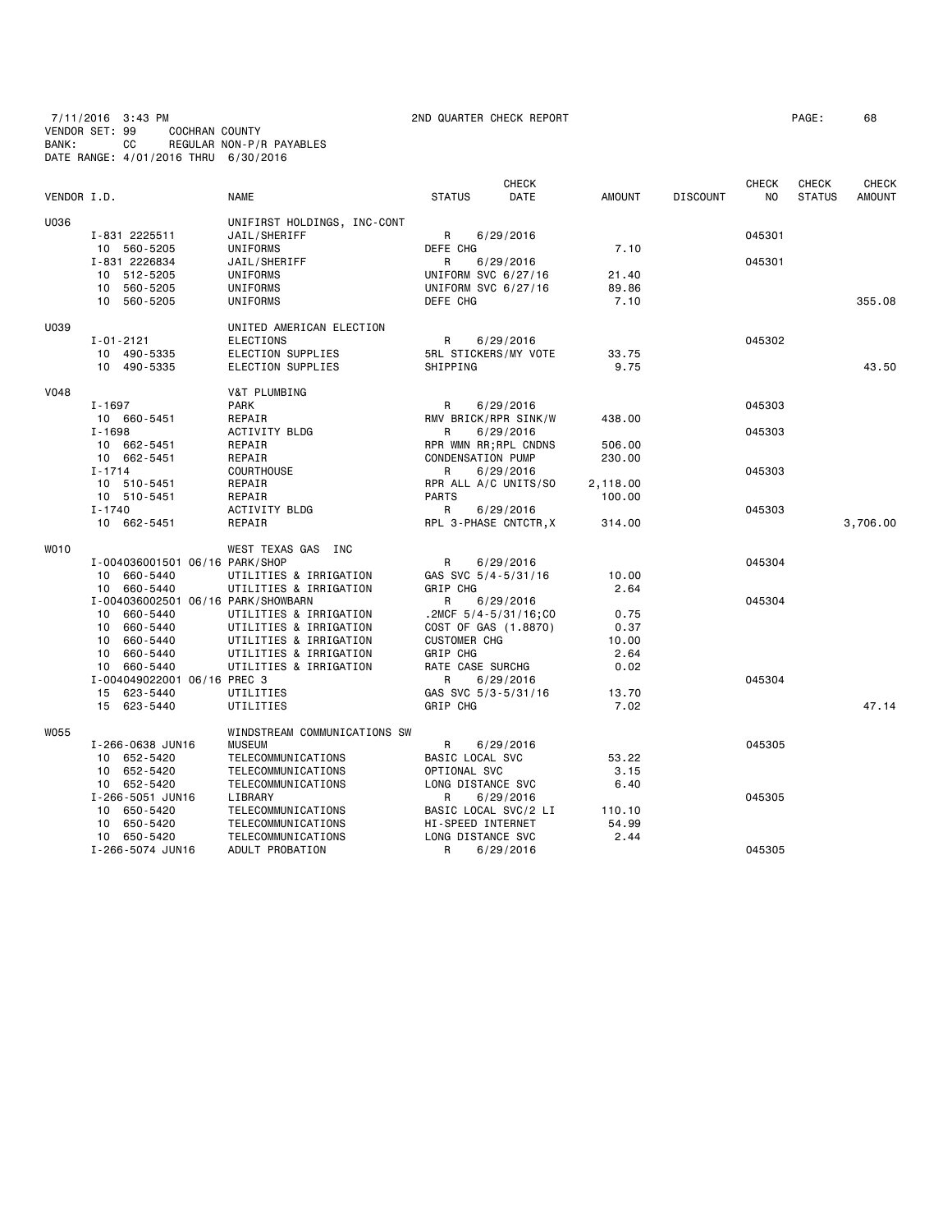7/11/2016 3:43 PM 2ND QUARTER CHECK REPORT PAGE: 68 VENDOR SET: 99 COCHRAN COUNTY BANK: CC REGULAR NON-P/R PAYABLES DATE RANGE: 4/01/2016 THRU 6/30/2016

| VENDOR I.D. |                                               | <b>NAME</b>                  | <b>STATUS</b>                                     | CHECK<br><b>DATE</b>       | <b>AMOUNT</b>    | <b>DISCOUNT</b> | <b>CHECK</b><br>N <sub>O</sub> | CHECK<br><b>STATUS</b> | <b>CHECK</b><br><b>AMOUNT</b> |
|-------------|-----------------------------------------------|------------------------------|---------------------------------------------------|----------------------------|------------------|-----------------|--------------------------------|------------------------|-------------------------------|
| U036        |                                               | UNIFIRST HOLDINGS, INC-CONT  |                                                   |                            |                  |                 |                                |                        |                               |
|             | I-831 2225511                                 | JAIL/SHERIFF                 | R                                                 | 6/29/2016                  |                  |                 | 045301                         |                        |                               |
|             | 10 560-5205                                   | UNIFORMS                     | DEFE CHG                                          |                            | 7.10             |                 |                                |                        |                               |
|             | I-831 2226834                                 | JAIL/SHERIFF                 | R                                                 | 6/29/2016                  |                  |                 | 045301                         |                        |                               |
|             | 10 512-5205                                   | UNIFORMS                     | UNIFORM SVC 6/27/16                               |                            | 21.40            |                 |                                |                        |                               |
|             | 10 560-5205                                   | UNIFORMS                     | UNIFORM SVC 6/27/16                               |                            | 89.86            |                 |                                |                        |                               |
|             | 10 560-5205                                   | UNIFORMS                     | DEFE CHG                                          |                            | 7.10             |                 |                                |                        | 355.08                        |
| U039        |                                               | UNITED AMERICAN ELECTION     |                                                   |                            |                  |                 |                                |                        |                               |
|             | $I - 01 - 2121$                               | <b>ELECTIONS</b>             | R                                                 | 6/29/2016                  |                  |                 | 045302                         |                        |                               |
|             | 10 490-5335                                   | ELECTION SUPPLIES            | 5RL STICKERS/MY VOTE                              |                            | 33.75            |                 |                                |                        |                               |
|             | 10 490-5335                                   | ELECTION SUPPLIES            | SHIPPING                                          |                            | 9.75             |                 |                                |                        | 43.50                         |
| <b>V048</b> |                                               | V&T PLUMBING                 |                                                   |                            |                  |                 |                                |                        |                               |
|             | $I - 1697$                                    | <b>PARK</b>                  | R                                                 | 6/29/2016                  |                  |                 | 045303                         |                        |                               |
|             | 10 660-5451                                   | REPAIR                       | RMV BRICK/RPR SINK/W                              |                            | 438.00           |                 |                                |                        |                               |
|             | $I - 1698$                                    | <b>ACTIVITY BLDG</b>         | R                                                 | 6/29/2016                  |                  |                 | 045303                         |                        |                               |
|             | 10 662-5451<br>10 662-5451                    | REPAIR<br>REPAIR             | RPR WMN RR; RPL CNDNS<br><b>CONDENSATION PUMP</b> |                            | 506.00<br>230.00 |                 |                                |                        |                               |
|             | $I - 1714$                                    | <b>COURTHOUSE</b>            | R                                                 | 6/29/2016                  |                  |                 | 045303                         |                        |                               |
|             | 10 510-5451                                   | REPAIR                       | RPR ALL A/C UNITS/SO                              |                            | 2,118.00         |                 |                                |                        |                               |
|             | 10 510-5451                                   | REPAIR                       | <b>PARTS</b>                                      |                            | 100.00           |                 |                                |                        |                               |
|             | $I - 1740$                                    | <b>ACTIVITY BLDG</b>         | R                                                 | 6/29/2016                  |                  |                 | 045303                         |                        |                               |
|             | 10 662-5451                                   | REPAIR                       | RPL 3-PHASE CNTCTR, X                             |                            | 314.00           |                 |                                |                        | 3,706.00                      |
| <b>WO10</b> |                                               | WEST TEXAS GAS INC           |                                                   |                            |                  |                 |                                |                        |                               |
|             | I-004036001501 06/16 PARK/SHOP                |                              | R                                                 | 6/29/2016                  |                  |                 | 045304                         |                        |                               |
|             | 10 660-5440                                   | UTILITIES & IRRIGATION       | GAS SVC 5/4-5/31/16                               |                            | 10.00            |                 |                                |                        |                               |
|             | 10 660-5440                                   | UTILITIES & IRRIGATION       | GRIP CHG                                          |                            | 2.64             |                 |                                |                        |                               |
|             | I-004036002501 06/16 PARK/SHOWBARN            |                              | R                                                 | 6/29/2016                  |                  |                 | 045304                         |                        |                               |
|             | 10 660-5440                                   | UTILITIES & IRRIGATION       |                                                   | .2MCF $5/4 - 5/31/16$ ; CO | 0.75             |                 |                                |                        |                               |
|             | 10 660-5440                                   | UTILITIES & IRRIGATION       | COST OF GAS (1.8870)                              |                            | 0.37             |                 |                                |                        |                               |
|             | 10<br>660-5440                                | UTILITIES & IRRIGATION       | <b>CUSTOMER CHG</b>                               |                            | 10.00            |                 |                                |                        |                               |
|             | 660-5440<br>10                                | UTILITIES & IRRIGATION       | <b>GRIP CHG</b>                                   |                            | 2.64             |                 |                                |                        |                               |
|             | 660-5440<br>10<br>I-004049022001 06/16 PREC 3 | UTILITIES & IRRIGATION       | RATE CASE SURCHG<br>R                             | 6/29/2016                  | 0.02             |                 | 045304                         |                        |                               |
|             | 15 623-5440                                   | UTILITIES                    | GAS SVC 5/3-5/31/16                               |                            | 13.70            |                 |                                |                        |                               |
|             | 15 623-5440                                   | UTILITIES                    | GRIP CHG                                          |                            | 7.02             |                 |                                |                        | 47.14                         |
| W055        |                                               | WINDSTREAM COMMUNICATIONS SW |                                                   |                            |                  |                 |                                |                        |                               |
|             | I-266-0638 JUN16                              | <b>MUSEUM</b>                | R                                                 | 6/29/2016                  |                  |                 | 045305                         |                        |                               |
|             | 10 652-5420                                   | TELECOMMUNICATIONS           | BASIC LOCAL SVC                                   |                            | 53.22            |                 |                                |                        |                               |
|             | 10 652-5420                                   | TELECOMMUNICATIONS           | OPTIONAL SVC                                      |                            | 3.15             |                 |                                |                        |                               |
|             | 10 652-5420                                   | TELECOMMUNICATIONS           | LONG DISTANCE SVC                                 |                            | 6.40             |                 |                                |                        |                               |
|             | I-266-5051 JUN16                              | LIBRARY                      | R                                                 | 6/29/2016                  |                  |                 | 045305                         |                        |                               |
|             | 10<br>650-5420                                | TELECOMMUNICATIONS           | BASIC LOCAL SVC/2 LI                              |                            | 110.10           |                 |                                |                        |                               |
|             | 10<br>650-5420                                | TELECOMMUNICATIONS           | HI-SPEED INTERNET                                 |                            | 54.99            |                 |                                |                        |                               |
|             | 10 650-5420                                   | TELECOMMUNICATIONS           | LONG DISTANCE SVC                                 |                            | 2.44             |                 |                                |                        |                               |
|             | I-266-5074 JUN16                              | ADULT PROBATION              | R                                                 | 6/29/2016                  |                  |                 | 045305                         |                        |                               |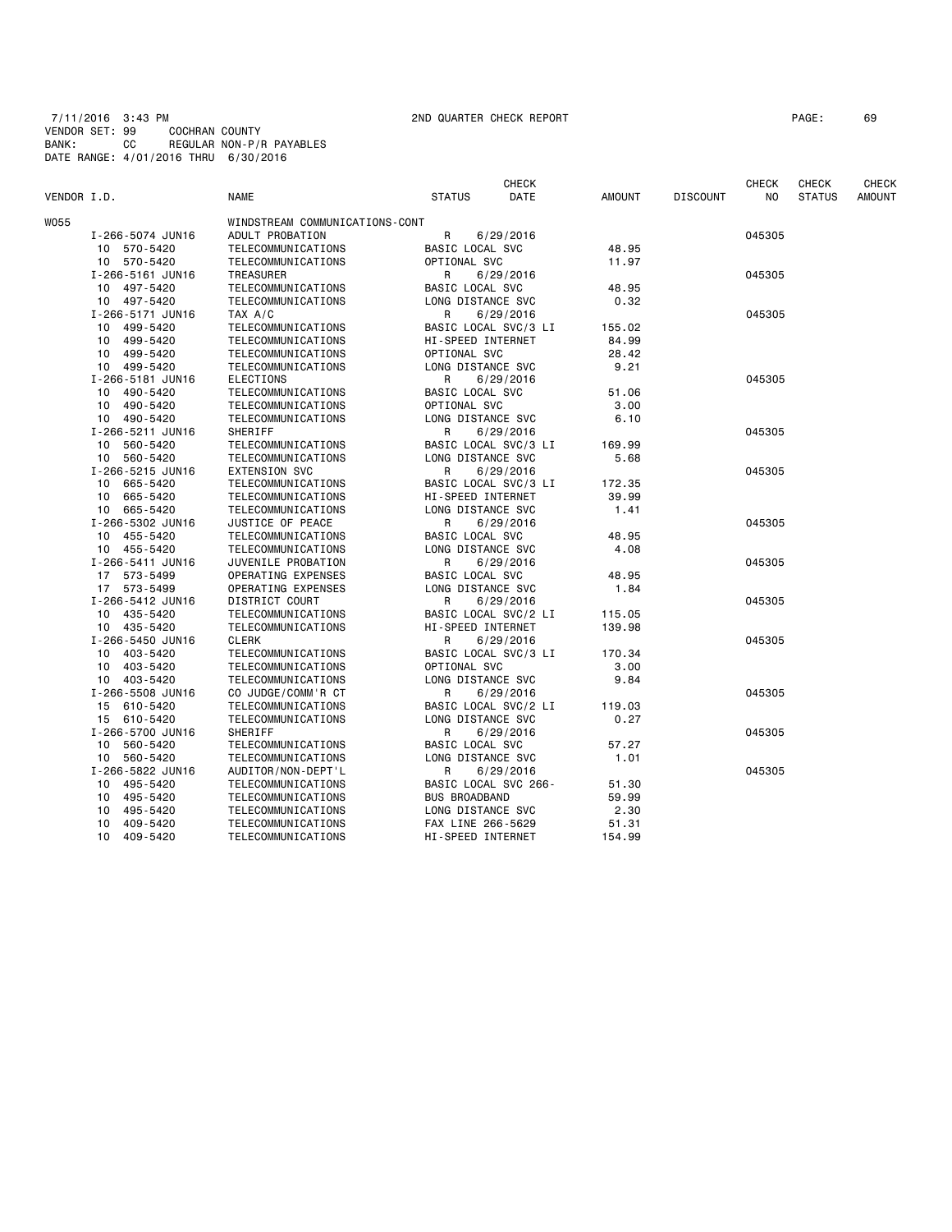7/11/2016 3:43 PM 2ND QUARTER CHECK REPORT PAGE: 69 VENDOR SET: 99 COCHRAN COUNTY BANK: CC REGULAR NON-P/R PAYABLES DATE RANGE: 4/01/2016 THRU 6/30/2016

|             |                             |                                |                      | CHECK                |               |                 | <b>CHECK</b> | <b>CHECK</b>  | CHECK         |
|-------------|-----------------------------|--------------------------------|----------------------|----------------------|---------------|-----------------|--------------|---------------|---------------|
| VENDOR I.D. |                             | <b>NAME</b>                    | <b>STATUS</b>        | DATE                 | <b>AMOUNT</b> | <b>DISCOUNT</b> | NO           | <b>STATUS</b> | <b>AMOUNT</b> |
| W055        |                             | WINDSTREAM COMMUNICATIONS-CONT |                      |                      |               |                 |              |               |               |
|             | I-266-5074 JUN16            | ADULT PROBATION                | $\mathsf R$          | 6/29/2016            |               |                 | 045305       |               |               |
|             | 10 570-5420                 | TELECOMMUNICATIONS             | BASIC LOCAL SVC      |                      | 48.95         |                 |              |               |               |
|             | 10 570-5420                 | TELECOMMUNICATIONS             | OPTIONAL SVC         |                      | 11.97         |                 |              |               |               |
|             | I-266-5161 JUN16            | TREASURER                      | R                    | 6/29/2016            |               |                 | 045305       |               |               |
|             | 10 497-5420                 | TELECOMMUNICATIONS             | BASIC LOCAL SVC      |                      | 48.95         |                 |              |               |               |
|             | 10 497-5420                 | TELECOMMUNICATIONS             | LONG DISTANCE SVC    |                      | 0.32          |                 |              |               |               |
|             | I-266-5171 JUN16            | TAX A/C                        | R                    | 6/29/2016            |               |                 | 045305       |               |               |
|             | 499-5420<br>10              | TELECOMMUNICATIONS             | BASIC LOCAL SVC/3 LI |                      | 155.02        |                 |              |               |               |
|             | 499-5420<br>10              | TELECOMMUNICATIONS             | HI-SPEED INTERNET    |                      | 84.99         |                 |              |               |               |
|             | 499-5420<br>10              | TELECOMMUNICATIONS             | OPTIONAL SVC         |                      | 28.42         |                 |              |               |               |
|             | 10 499-5420                 | TELECOMMUNICATIONS             | LONG DISTANCE SVC    |                      | 9.21          |                 |              |               |               |
|             | I-266-5181 JUN16            | <b>ELECTIONS</b>               | R                    | 6/29/2016            |               |                 | 045305       |               |               |
|             | 10 490-5420                 | TELECOMMUNICATIONS             | BASIC LOCAL SVC      |                      | 51.06         |                 |              |               |               |
|             | 490-5420<br>10              | TELECOMMUNICATIONS             | OPTIONAL SVC         |                      | 3.00          |                 |              |               |               |
|             | 10 490-5420                 | TELECOMMUNICATIONS             | LONG DISTANCE SVC    |                      | 6.10          |                 |              |               |               |
|             | I-266-5211 JUN16            | SHERIFF                        | R                    | 6/29/2016            |               |                 | 045305       |               |               |
|             | 10 560-5420                 | TELECOMMUNICATIONS             | BASIC LOCAL SVC/3 LI |                      | 169.99        |                 |              |               |               |
|             | 10 560-5420                 | TELECOMMUNICATIONS             | LONG DISTANCE SVC    |                      | 5.68          |                 |              |               |               |
|             | I-266-5215 JUN16            | <b>EXTENSION SVC</b>           | R                    | 6/29/2016            |               |                 | 045305       |               |               |
|             | 10 665-5420                 | TELECOMMUNICATIONS             |                      | BASIC LOCAL SVC/3 LI | 172.35        |                 |              |               |               |
|             | 665-5420<br>10              | TELECOMMUNICATIONS             | HI-SPEED INTERNET    |                      | 39.99         |                 |              |               |               |
|             | 10 665-5420                 | TELECOMMUNICATIONS             | LONG DISTANCE SVC    |                      | 1.41          |                 |              |               |               |
|             | I-266-5302 JUN16            | JUSTICE OF PEACE               | R                    | 6/29/2016            |               |                 | 045305       |               |               |
|             | 10 455-5420                 | TELECOMMUNICATIONS             | BASIC LOCAL SVC      |                      | 48.95         |                 |              |               |               |
|             | 10 455-5420                 | TELECOMMUNICATIONS             | LONG DISTANCE SVC    |                      | 4.08          |                 |              |               |               |
|             | I-266-5411 JUN16            | JUVENILE PROBATION             | R                    | 6/29/2016            |               |                 | 045305       |               |               |
|             | 17 573-5499                 | OPERATING EXPENSES             | BASIC LOCAL SVC      |                      | 48.95         |                 |              |               |               |
|             | 17 573-5499                 | OPERATING EXPENSES             | LONG DISTANCE SVC    |                      | 1.84          |                 |              |               |               |
|             | I-266-5412 JUN16            | DISTRICT COURT                 | R                    | 6/29/2016            |               |                 | 045305       |               |               |
|             | 10 435-5420                 | TELECOMMUNICATIONS             | BASIC LOCAL SVC/2 LI |                      | 115.05        |                 |              |               |               |
|             | 10 435-5420                 | TELECOMMUNICATIONS             | HI-SPEED INTERNET    |                      | 139.98        |                 |              |               |               |
|             | I-266-5450 JUN16            | <b>CLERK</b>                   | R                    | 6/29/2016            |               |                 | 045305       |               |               |
|             | 403-5420<br>10              | TELECOMMUNICATIONS             |                      | BASIC LOCAL SVC/3 LI | 170.34        |                 |              |               |               |
|             | 403-5420<br>10              | TELECOMMUNICATIONS             | OPTIONAL SVC         |                      | 3.00          |                 |              |               |               |
|             | 10 403-5420                 | TELECOMMUNICATIONS             | LONG DISTANCE SVC    |                      | 9.84          |                 |              |               |               |
|             | I-266-5508 JUN16            | CO JUDGE/COMM'R CT             | R                    | 6/29/2016            |               |                 | 045305       |               |               |
|             | 610-5420<br>15              | TELECOMMUNICATIONS             |                      | BASIC LOCAL SVC/2 LI | 119.03        |                 |              |               |               |
|             | 15 610-5420                 | TELECOMMUNICATIONS             | LONG DISTANCE SVC    |                      | 0.27          |                 |              |               |               |
|             | I-266-5700 JUN16            | SHERIFF                        | R                    | 6/29/2016            |               |                 | 045305       |               |               |
|             | 10 560-5420                 | TELECOMMUNICATIONS             | BASIC LOCAL SVC      |                      | 57.27         |                 |              |               |               |
|             | 10 560-5420                 | TELECOMMUNICATIONS             | LONG DISTANCE SVC    |                      | 1.01          |                 |              |               |               |
|             | I-266-5822 JUN16            | AUDITOR/NON-DEPT'L             | R                    | 6/29/2016            |               |                 | 045305       |               |               |
|             | 10 495-5420                 | TELECOMMUNICATIONS             | BASIC LOCAL SVC 266- |                      | 51.30         |                 |              |               |               |
|             | 495-5420<br>10              | TELECOMMUNICATIONS             | <b>BUS BROADBAND</b> |                      | 59.99         |                 |              |               |               |
|             | 495-5420<br>10              | TELECOMMUNICATIONS             | LONG DISTANCE SVC    |                      | 2.30          |                 |              |               |               |
|             | 409-5420<br>10              | TELECOMMUNICATIONS             | FAX LINE 266-5629    |                      | 51.31         |                 |              |               |               |
|             | 10 <sup>1</sup><br>409-5420 | TELECOMMUNICATIONS             | HI-SPEED INTERNET    |                      | 154.99        |                 |              |               |               |
|             |                             |                                |                      |                      |               |                 |              |               |               |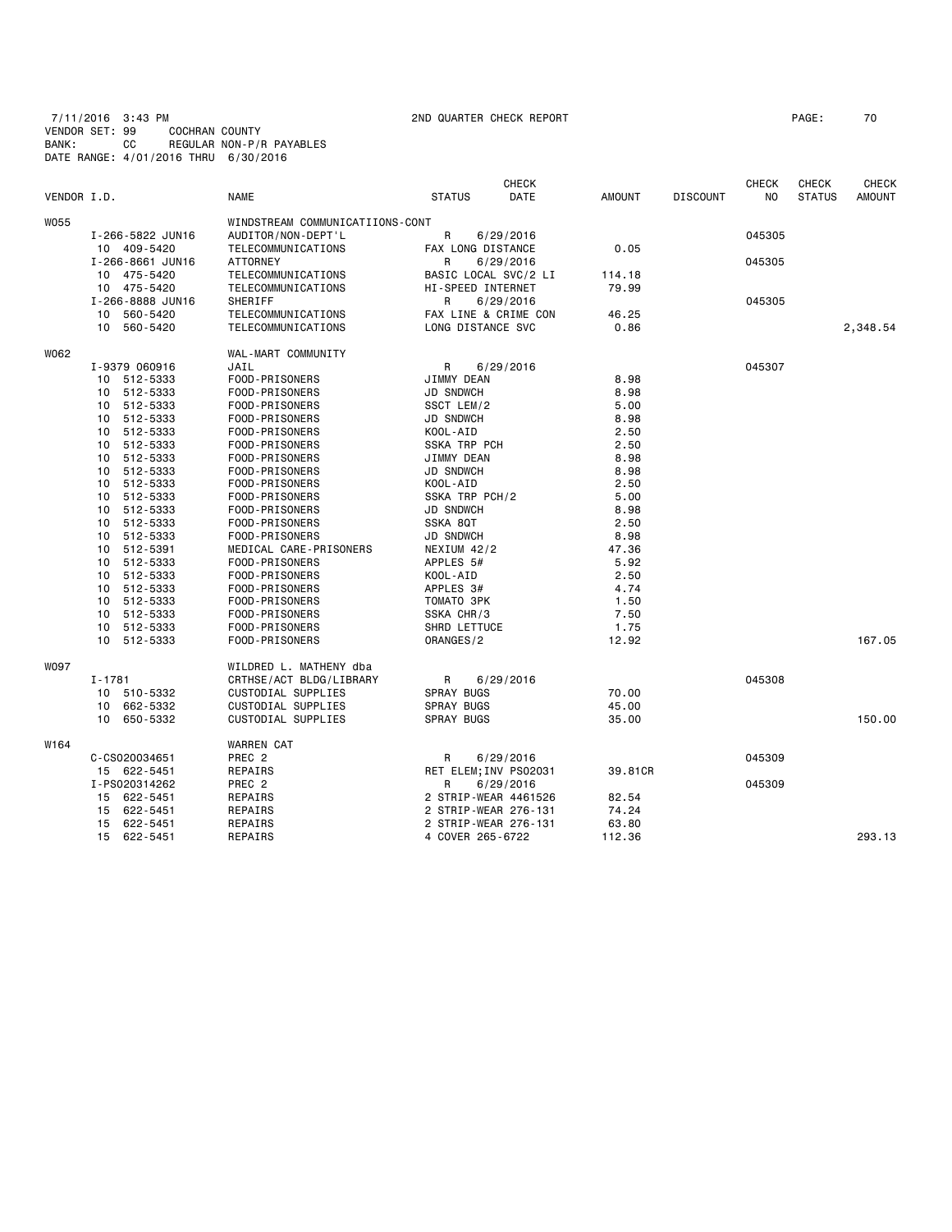7/11/2016 3:43 PM 2ND QUARTER CHECK REPORT PAGE: 70 VENDOR SET: 99 COCHRAN COUNTY BANK: CC REGULAR NON-P/R PAYABLES DATE RANGE: 4/01/2016 THRU 6/30/2016

| VENDOR I.D. |                  | <b>NAME</b>                     | <b>STATUS</b>            | <b>CHECK</b><br><b>DATE</b> | <b>AMOUNT</b> | <b>DISCOUNT</b> | <b>CHECK</b><br>NO | <b>CHECK</b><br><b>STATUS</b> | <b>CHECK</b><br><b>AMOUNT</b> |
|-------------|------------------|---------------------------------|--------------------------|-----------------------------|---------------|-----------------|--------------------|-------------------------------|-------------------------------|
| <b>W055</b> |                  | WINDSTREAM COMMUNICATIIONS-CONT |                          |                             |               |                 |                    |                               |                               |
|             | I-266-5822 JUN16 | AUDITOR/NON-DEPT'L              | R                        | 6/29/2016                   |               |                 | 045305             |                               |                               |
|             | 10 409-5420      | TELECOMMUNICATIONS              | FAX LONG DISTANCE        |                             | 0.05          |                 |                    |                               |                               |
|             | I-266-8661 JUN16 | <b>ATTORNEY</b>                 | R                        | 6/29/2016                   |               |                 | 045305             |                               |                               |
|             | 10 475-5420      | TELECOMMUNICATIONS              | BASIC LOCAL SVC/2 LI     |                             | 114.18        |                 |                    |                               |                               |
|             | 10 475-5420      | TELECOMMUNICATIONS              | <b>HI-SPEED INTERNET</b> |                             | 79.99         |                 |                    |                               |                               |
|             | I-266-8888 JUN16 | SHERIFF                         | R                        | 6/29/2016                   |               |                 | 045305             |                               |                               |
|             | 10<br>560-5420   | TELECOMMUNICATIONS              | FAX LINE & CRIME CON     |                             | 46.25         |                 |                    |                               |                               |
|             | 560-5420<br>10   | TELECOMMUNICATIONS              | LONG DISTANCE SVC        |                             | 0.86          |                 |                    |                               | 2,348.54                      |
| W062        |                  | WAL-MART COMMUNITY              |                          |                             |               |                 |                    |                               |                               |
|             | I-9379 060916    | JAIL                            | R                        | 6/29/2016                   |               |                 | 045307             |                               |                               |
|             | 512-5333<br>10   | FOOD-PRISONERS                  | JIMMY DEAN               |                             | 8.98          |                 |                    |                               |                               |
|             | 10 512-5333      | FOOD-PRISONERS                  | <b>JD SNDWCH</b>         |                             | 8.98          |                 |                    |                               |                               |
|             | 512-5333<br>10   | FOOD-PRISONERS                  | SSCT LEM/2               |                             | 5.00          |                 |                    |                               |                               |
|             | 512-5333<br>10   | FOOD-PRISONERS                  | <b>JD SNDWCH</b>         |                             | 8.98          |                 |                    |                               |                               |
|             | 512-5333<br>10   | FOOD-PRISONERS                  | KOOL-AID                 |                             | 2.50          |                 |                    |                               |                               |
|             | 512-5333<br>10   | FOOD-PRISONERS                  | SSKA TRP PCH             |                             | 2.50          |                 |                    |                               |                               |
|             | 512-5333<br>10   | FOOD-PRISONERS                  | JIMMY DEAN               |                             | 8.98          |                 |                    |                               |                               |
|             | 512-5333<br>10   | FOOD-PRISONERS                  | <b>JD SNDWCH</b>         |                             | 8.98          |                 |                    |                               |                               |
|             | 512-5333<br>10   | FOOD-PRISONERS                  | KOOL-AID                 |                             | 2.50          |                 |                    |                               |                               |
|             | 512-5333<br>10   | FOOD-PRISONERS                  | SSKA TRP PCH/2           |                             | 5.00          |                 |                    |                               |                               |
|             | 512-5333<br>10   | FOOD-PRISONERS                  | <b>JD SNDWCH</b>         |                             | 8.98          |                 |                    |                               |                               |
|             | 512-5333<br>10   | FOOD-PRISONERS                  | SSKA 8QT                 |                             | 2.50          |                 |                    |                               |                               |
|             | 512-5333<br>10   | FOOD-PRISONERS                  | <b>JD SNDWCH</b>         |                             | 8.98          |                 |                    |                               |                               |
|             | 512-5391<br>10   | MEDICAL CARE-PRISONERS          | NEXIUM 42/2              |                             | 47.36         |                 |                    |                               |                               |
|             | 512-5333<br>10   | FOOD-PRISONERS                  | APPLES 5#                |                             | 5.92          |                 |                    |                               |                               |
|             | 512-5333<br>10   | FOOD-PRISONERS                  | KOOL-AID                 |                             | 2.50          |                 |                    |                               |                               |
|             | 512-5333<br>10   | FOOD-PRISONERS                  | APPLES 3#                |                             | 4.74          |                 |                    |                               |                               |
|             | 512-5333<br>10   | FOOD-PRISONERS                  | TOMATO 3PK               |                             | 1.50          |                 |                    |                               |                               |
|             | 512-5333<br>10   | FOOD-PRISONERS                  | SSKA CHR/3               |                             | 7.50          |                 |                    |                               |                               |
|             | 512-5333<br>10   | FOOD-PRISONERS                  | SHRD LETTUCE             |                             | 1.75          |                 |                    |                               |                               |
|             | 512-5333<br>10   | FOOD-PRISONERS                  | ORANGES/2                |                             | 12.92         |                 |                    |                               | 167.05                        |
| <b>WO97</b> |                  | WILDRED L. MATHENY dba          |                          |                             |               |                 |                    |                               |                               |
|             | I-1781           | CRTHSE/ACT BLDG/LIBRARY         | R                        | 6/29/2016                   |               |                 | 045308             |                               |                               |
|             | 510-5332<br>10   | CUSTODIAL SUPPLIES              | <b>SPRAY BUGS</b>        |                             | 70.00         |                 |                    |                               |                               |
|             | 662-5332<br>10   | CUSTODIAL SUPPLIES              | <b>SPRAY BUGS</b>        |                             | 45.00         |                 |                    |                               |                               |
|             | 650-5332<br>10   | CUSTODIAL SUPPLIES              | <b>SPRAY BUGS</b>        |                             | 35.00         |                 |                    |                               | 150.00                        |
| W164        |                  | <b>WARREN CAT</b>               |                          |                             |               |                 |                    |                               |                               |
|             | C-CS020034651    | PREC <sub>2</sub>               | R                        | 6/29/2016                   |               |                 | 045309             |                               |                               |
|             | 15 622-5451      | REPAIRS                         | RET ELEM; INV PS02031    |                             | 39.81CR       |                 |                    |                               |                               |
|             | I-PS020314262    | PREC 2                          | R                        | 6/29/2016                   |               |                 | 045309             |                               |                               |
|             | 15 622-5451      | REPAIRS                         | 2 STRIP-WEAR 4461526     |                             | 82.54         |                 |                    |                               |                               |
|             | 622-5451<br>15   | REPAIRS                         | 2 STRIP-WEAR 276-131     |                             | 74.24         |                 |                    |                               |                               |
|             | 622-5451<br>15   | REPAIRS                         | 2 STRIP-WEAR 276-131     |                             | 63.80         |                 |                    |                               |                               |
|             | 15 622-5451      | REPAIRS                         | 4 COVER 265-6722         |                             | 112.36        |                 |                    |                               | 293.13                        |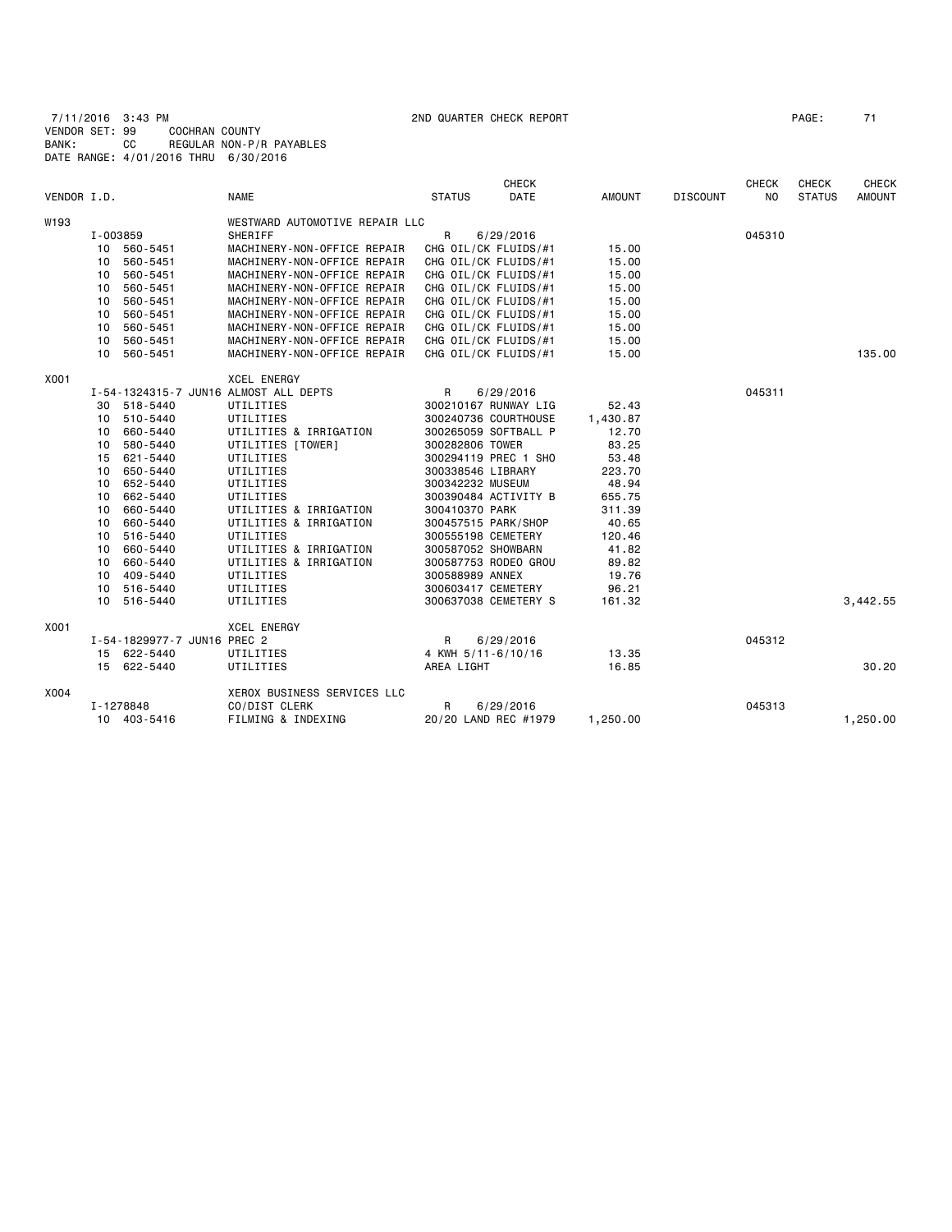7/11/2016 3:43 PM 2ND QUARTER CHECK REPORT PAGE: 71 VENDOR SET: 99 COCHRAN COUNTY BANK: CC REGULAR NON-P/R PAYABLES DATE RANGE: 4/01/2016 THRU 6/30/2016

|             |                     |                             |                                       |                      | <b>CHECK</b> |               |                 | <b>CHECK</b> | CHECK         | <b>CHECK</b>  |
|-------------|---------------------|-----------------------------|---------------------------------------|----------------------|--------------|---------------|-----------------|--------------|---------------|---------------|
| VENDOR I.D. |                     |                             | <b>NAME</b>                           | <b>STATUS</b>        | <b>DATE</b>  | <b>AMOUNT</b> | <b>DISCOUNT</b> | NO.          | <b>STATUS</b> | <b>AMOUNT</b> |
| W193        |                     |                             | WESTWARD AUTOMOTIVE REPAIR LLC        |                      |              |               |                 |              |               |               |
|             | I-003859<br>SHERIFF |                             | R<br>6/29/2016                        |                      |              | 045310        |                 |              |               |               |
|             |                     | 10 560-5451                 | MACHINERY-NON-OFFICE REPAIR           | CHG OIL/CK FLUIDS/#1 |              | 15.00         |                 |              |               |               |
|             | 10                  | 560-5451                    | MACHINERY-NON-OFFICE REPAIR           | CHG OIL/CK FLUIDS/#1 |              | 15.00         |                 |              |               |               |
|             |                     | 10 560-5451                 | MACHINERY-NON-OFFICE REPAIR           | CHG OIL/CK FLUIDS/#1 |              | 15.00         |                 |              |               |               |
|             | 10                  | 560-5451                    | MACHINERY-NON-OFFICE REPAIR           | CHG OIL/CK FLUIDS/#1 |              | 15.00         |                 |              |               |               |
|             | 10                  | 560-5451                    | MACHINERY-NON-OFFICE REPAIR           | CHG OIL/CK FLUIDS/#1 |              | 15.00         |                 |              |               |               |
|             | 10                  | 560-5451                    | MACHINERY-NON-OFFICE REPAIR           | CHG OIL/CK FLUIDS/#1 |              | 15.00         |                 |              |               |               |
|             | 10                  | 560-5451                    | MACHINERY-NON-OFFICE REPAIR           | CHG OIL/CK FLUIDS/#1 |              | 15.00         |                 |              |               |               |
|             |                     | 10 560-5451                 | MACHINERY-NON-OFFICE REPAIR           | CHG OIL/CK FLUIDS/#1 |              | 15.00         |                 |              |               |               |
|             | 10                  | 560-5451                    | MACHINERY-NON-OFFICE REPAIR           | CHG OIL/CK FLUIDS/#1 |              | 15.00         |                 |              |               | 135.00        |
| X001        |                     |                             | <b>XCEL ENERGY</b>                    |                      |              |               |                 |              |               |               |
|             |                     |                             | I-54-1324315-7 JUN16 ALMOST ALL DEPTS | $\mathsf{R}$         | 6/29/2016    |               |                 | 045311       |               |               |
|             |                     | 30 518-5440                 | UTILITIES                             | 300210167 RUNWAY LIG |              | 52.43         |                 |              |               |               |
|             | 10                  | 510-5440                    | UTILITIES                             | 300240736 COURTHOUSE |              | 1,430.87      |                 |              |               |               |
|             | 10                  | 660-5440                    | UTILITIES & IRRIGATION                | 300265059 SOFTBALL P |              | 12.70         |                 |              |               |               |
|             | 10                  | 580-5440                    | UTILITIES [TOWER]                     | 300282806 TOWER      |              | 83.25         |                 |              |               |               |
|             | 15                  | 621-5440                    | UTILITIES                             | 300294119 PREC 1 SHO |              | 53.48         |                 |              |               |               |
|             | 10                  | 650-5440                    | UTILITIES                             | 300338546 LIBRARY    |              | 223.70        |                 |              |               |               |
|             | 10                  | 652-5440                    | UTILITIES                             | 300342232 MUSEUM     |              | 48.94         |                 |              |               |               |
|             |                     | 10 662-5440                 | UTILITIES                             | 300390484 ACTIVITY B |              | 655.75        |                 |              |               |               |
|             | 10                  | 660-5440                    | UTILITIES & IRRIGATION                | 300410370 PARK       |              | 311.39        |                 |              |               |               |
|             | 10                  | 660-5440                    | UTILITIES & IRRIGATION                | 300457515 PARK/SHOP  |              | 40.65         |                 |              |               |               |
|             | 10                  | 516-5440                    | UTILITIES                             | 300555198 CEMETERY   |              | 120.46        |                 |              |               |               |
|             |                     | 10 660-5440                 | UTILITIES & IRRIGATION                | 300587052 SHOWBARN   |              | 41.82         |                 |              |               |               |
|             | 10                  | 660-5440                    | UTILITIES & IRRIGATION                | 300587753 RODEO GROU |              | 89.82         |                 |              |               |               |
|             | 10                  | 409-5440                    | UTILITIES                             | 300588989 ANNEX      |              | 19.76         |                 |              |               |               |
|             | 10                  | 516-5440                    | UTILITIES                             | 300603417 CEMETERY   |              | 96.21         |                 |              |               |               |
|             |                     | 10 516-5440                 | UTILITIES                             | 300637038 CEMETERY S |              | 161.32        |                 |              |               | 3,442.55      |
| X001        |                     |                             | <b>XCEL ENERGY</b>                    |                      |              |               |                 |              |               |               |
|             |                     | I-54-1829977-7 JUN16 PREC 2 |                                       | R                    | 6/29/2016    |               |                 | 045312       |               |               |
|             |                     | 15 622-5440                 | UTILITIES                             | 4 KWH 5/11-6/10/16   |              | 13.35         |                 |              |               |               |
|             |                     | 15 622-5440                 | UTILITIES                             | AREA LIGHT           |              | 16.85         |                 |              |               | 30.20         |
| X004        |                     |                             | XEROX BUSINESS SERVICES LLC           |                      |              |               |                 |              |               |               |
|             |                     | I-1278848                   | CO/DIST CLERK                         | R                    | 6/29/2016    |               |                 | 045313       |               |               |
|             |                     | 10 403-5416                 | FILMING & INDEXING                    | 20/20 LAND REC #1979 |              | 1,250.00      |                 |              |               | 1,250.00      |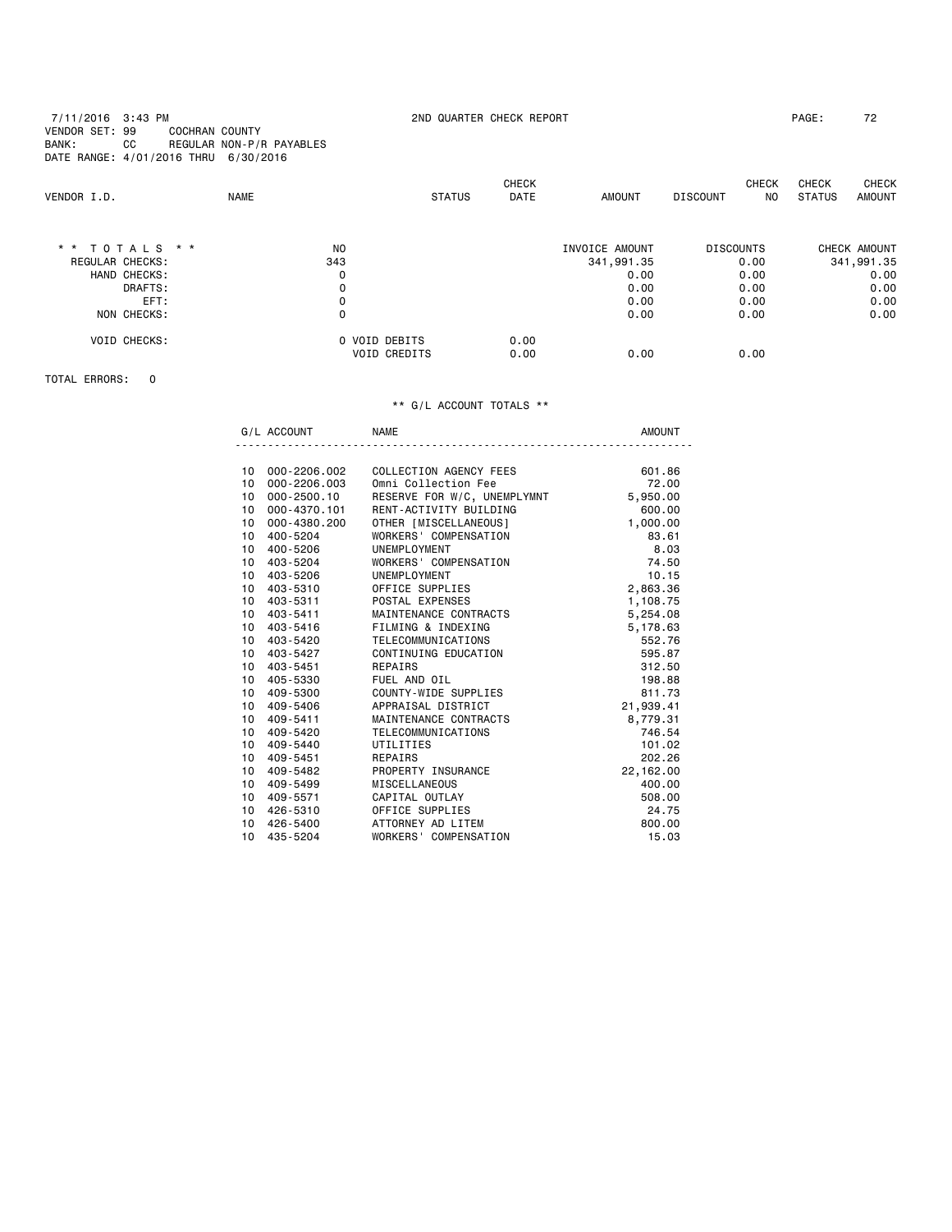7/11/2016 3:43 PM 2ND QUARTER CHECK REPORT PAGE: 72 VENDOR SET: 99 COCHRAN COUNTY BANK: CC REGULAR NON-P/R PAYABLES DATE RANGE: 4/01/2016 THRU 6/30/2016

| VENDOR I.D.         | <b>NAME</b>    | <b>STATUS</b>       | <b>CHECK</b><br><b>DATE</b> | <b>AMOUNT</b>  | <b>CHECK</b><br><b>DISCOUNT</b> | <b>CHECK</b><br>N <sub>0</sub><br><b>STATUS</b> | <b>CHECK</b><br><b>AMOUNT</b> |
|---------------------|----------------|---------------------|-----------------------------|----------------|---------------------------------|-------------------------------------------------|-------------------------------|
| * * TOTALS * *      | N <sub>O</sub> |                     |                             | INVOICE AMOUNT | <b>DISCOUNTS</b>                | CHECK AMOUNT                                    |                               |
| REGULAR CHECKS:     | 343            |                     |                             | 341,991.35     | 0.00                            | 341,991.35                                      |                               |
| HAND CHECKS:        | 0              |                     |                             | 0.00           | 0.00                            |                                                 | 0.00                          |
| DRAFTS:             | 0              |                     |                             | 0.00           | 0.00                            |                                                 | 0.00                          |
| EFT:                | 0              |                     |                             | 0.00           | 0.00                            |                                                 | 0.00                          |
| NON CHECKS:         | 0              |                     |                             | 0.00           | 0.00                            |                                                 | 0.00                          |
| <b>VOID CHECKS:</b> |                | O VOID DEBITS       | 0.00                        |                |                                 |                                                 |                               |
|                     |                | <b>VOID CREDITS</b> | 0.00                        | 0.00           | 0.00                            |                                                 |                               |

TOTAL ERRORS: 0

## \*\* G/L ACCOUNT TOTALS \*\*

G/L ACCOUNT NAME NAME ----------------------------------------------------------------------

| 10              | 000-2206.002 | COLLECTION AGENCY FEES      | 601.86    |
|-----------------|--------------|-----------------------------|-----------|
| 10              | 000-2206.003 | Omni Collection Fee         | 72.00     |
| 10              | 000-2500.10  | RESERVE FOR W/C, UNEMPLYMNT | 5,950.00  |
| 10              | 000-4370.101 | RENT-ACTIVITY BUILDING      | 600.00    |
| 10              | 000-4380.200 | OTHER [MISCELLANEOUS]       | 1,000.00  |
| 10              | 400-5204     | WORKERS' COMPENSATION       | 83.61     |
| 10              | 400-5206     | UNEMPLOYMENT                | 8.03      |
| 10              | 403-5204     | WORKERS' COMPENSATION       | 74.50     |
| 10              | 403-5206     | UNEMPLOYMENT                | 10.15     |
| 10              | 403-5310     | OFFICE SUPPLIES             | 2,863.36  |
| 10              | 403-5311     | POSTAL EXPENSES             | 1,108.75  |
| 10              | 403-5411     | MAINTENANCE CONTRACTS       | 5,254.08  |
| 10              | 403-5416     | FILMING & INDEXING          | 5,178.63  |
| 10 <sup>1</sup> | 403-5420     | TELECOMMUNICATIONS          | 552.76    |
| 10              | 403-5427     | CONTINUING EDUCATION        | 595.87    |
| 10              | 403-5451     | REPAIRS                     | 312.50    |
| 10              | 405-5330     | FUEL AND OIL                | 198.88    |
| 10              | 409-5300     | COUNTY-WIDE SUPPLIES        | 811.73    |
| 10              | 409-5406     | APPRAISAL DISTRICT          | 21,939.41 |
| 10              | 409-5411     | MAINTENANCE CONTRACTS       | 8,779.31  |
| 10              | 409-5420     | TELECOMMUNICATIONS          | 746.54    |
| 10              | 409-5440     | UTILITIES                   | 101.02    |
| 10              | 409-5451     | REPAIRS                     | 202.26    |
| 10              | 409-5482     | PROPERTY INSURANCE          | 22,162.00 |
| 10              | 409-5499     | <b>MISCELLANEOUS</b>        | 400.00    |
| 10              | 409-5571     | CAPITAL OUTLAY              | 508.00    |
| 10              | 426-5310     | OFFICE SUPPLIES             | 24.75     |
| 10              | 426-5400     | ATTORNEY AD LITEM           | 800.00    |
| 10              | 435-5204     | WORKERS' COMPENSATION       | 15.03     |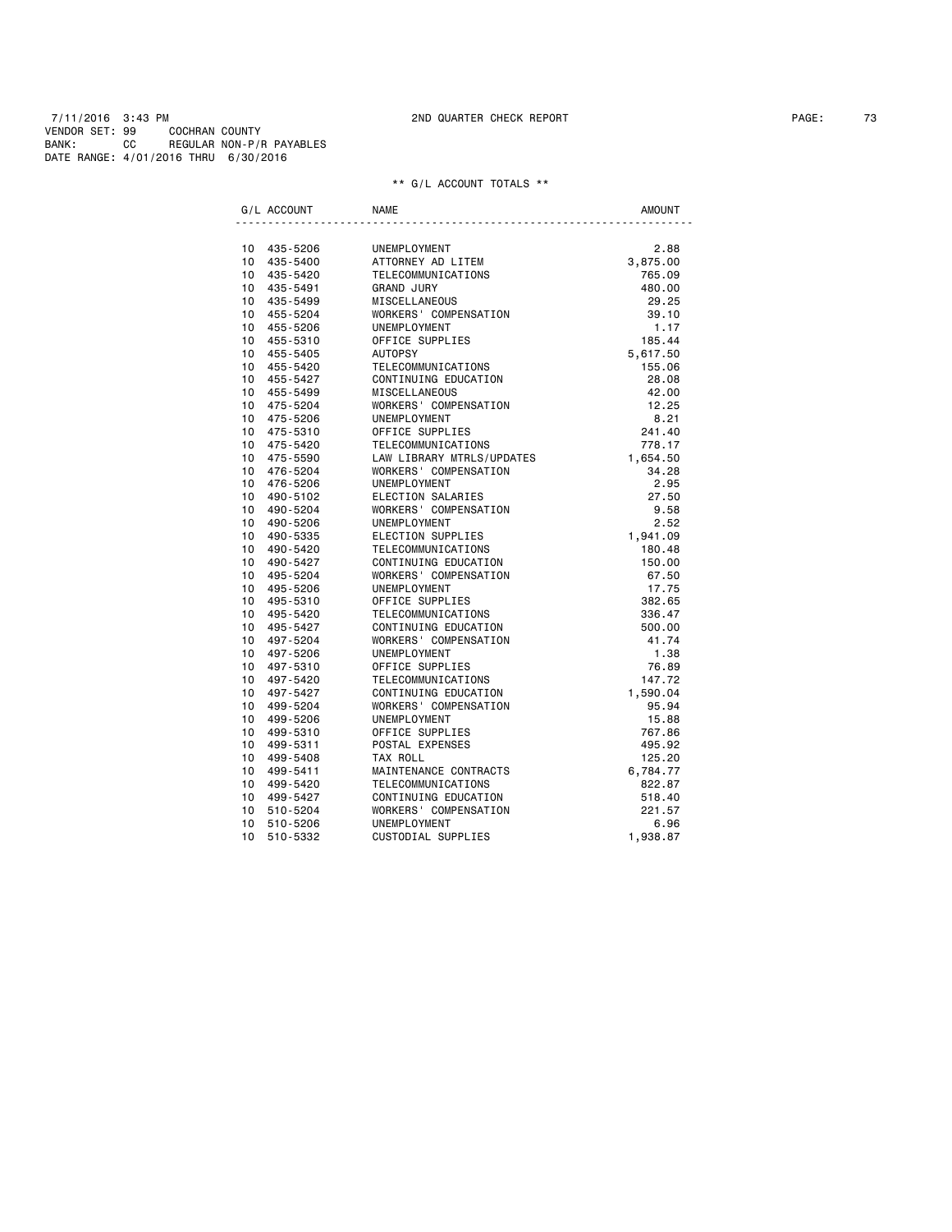|                 | G/L ACCOUNT | <b>NAME</b>               | <b>AMOUNT</b> |
|-----------------|-------------|---------------------------|---------------|
|                 | 10 435-5206 | UNEMPLOYMENT              | 2.88          |
| 10              | 435-5400    | ATTORNEY AD LITEM         | 3,875.00      |
|                 | 10 435-5420 | TELECOMMUNICATIONS        | 765.09        |
| 10              | 435-5491    | <b>GRAND JURY</b>         | 480.00        |
|                 | 10 435-5499 | MISCELLANEOUS             | 29.25         |
| 10              | 455-5204    | WORKERS' COMPENSATION     | 39.10         |
| 10 <sup>1</sup> | 455-5206    | <b>UNEMPLOYMENT</b>       | 1.17          |
| 10              | 455-5310    | OFFICE SUPPLIES           | 185.44        |
|                 | 10 455-5405 | <b>AUTOPSY</b>            | 5,617.50      |
| 10              | 455-5420    | TELECOMMUNICATIONS        | 155.06        |
|                 | 10 455-5427 | CONTINUING EDUCATION      | 28.08         |
| 10              | 455-5499    | MISCELLANEOUS             | 42.00         |
| 10              | 475-5204    | WORKERS' COMPENSATION     | 12.25         |
| 10              | 475-5206    | UNEMPLOYMENT              | 8.21          |
| 10 <sup>1</sup> | 475-5310    | OFFICE SUPPLIES           | 241.40        |
| 10              | 475-5420    | TELECOMMUNICATIONS        | 778.17        |
| 10              | 475-5590    | LAW LIBRARY MTRLS/UPDATES | 1,654.50      |
| 10              | 476-5204    | WORKERS' COMPENSATION     | 34.28         |
| 10              | 476-5206    | <b>UNEMPLOYMENT</b>       | 2.95          |
| 10              | 490-5102    | ELECTION SALARIES         | 27.50         |
| 10              | 490-5204    | WORKERS' COMPENSATION     | 9.58          |
| 10              | 490-5206    | UNEMPLOYMENT              | 2.52          |
| 10              | 490-5335    | ELECTION SUPPLIES         | 1,941.09      |
| 10              | 490-5420    | TELECOMMUNICATIONS        | 180.48        |
| 10              | 490-5427    | CONTINUING EDUCATION      | 150.00        |
| 10              | 495-5204    | WORKERS' COMPENSATION     | 67.50         |
| 10              | 495-5206    | UNEMPLOYMENT              | 17.75         |
| 10              | 495-5310    | OFFICE SUPPLIES           | 382.65        |
| 10              | 495-5420    | TELECOMMUNICATIONS        | 336.47        |
| 10 <sup>1</sup> | 495-5427    | CONTINUING EDUCATION      | 500.00        |
| 10              | 497-5204    | WORKERS' COMPENSATION     | 41.74         |
| 10 <sup>1</sup> | 497-5206    | <b>UNEMPLOYMENT</b>       | 1.38          |
| 10              | 497-5310    | OFFICE SUPPLIES           | 76.89         |
| 10 <sup>1</sup> | 497-5420    | TELECOMMUNICATIONS        | 147.72        |
| 10              | 497-5427    | CONTINUING EDUCATION      | 1,590.04      |
| 10              | 499-5204    | WORKERS' COMPENSATION     | 95.94         |
| 10              | 499-5206    | UNEMPLOYMENT              | 15.88         |
| 10              | 499-5310    | OFFICE SUPPLIES           | 767.86        |
| 10              | 499-5311    | POSTAL EXPENSES           | 495.92        |
| 10              | 499-5408    | TAX ROLL                  | 125.20        |
| 10              | 499-5411    | MAINTENANCE CONTRACTS     | 6,784.77      |
| 10              | 499-5420    | TELECOMMUNICATIONS        | 822.87        |
| 10              | 499-5427    | CONTINUING EDUCATION      | 518.40        |
| 10              | 510-5204    | WORKERS' COMPENSATION     | 221.57        |
| 10              | 510-5206    | UNEMPLOYMENT              | 6.96          |
| 10              | 510-5332    | CUSTODIAL SUPPLIES        | 1,938.87      |
|                 |             |                           |               |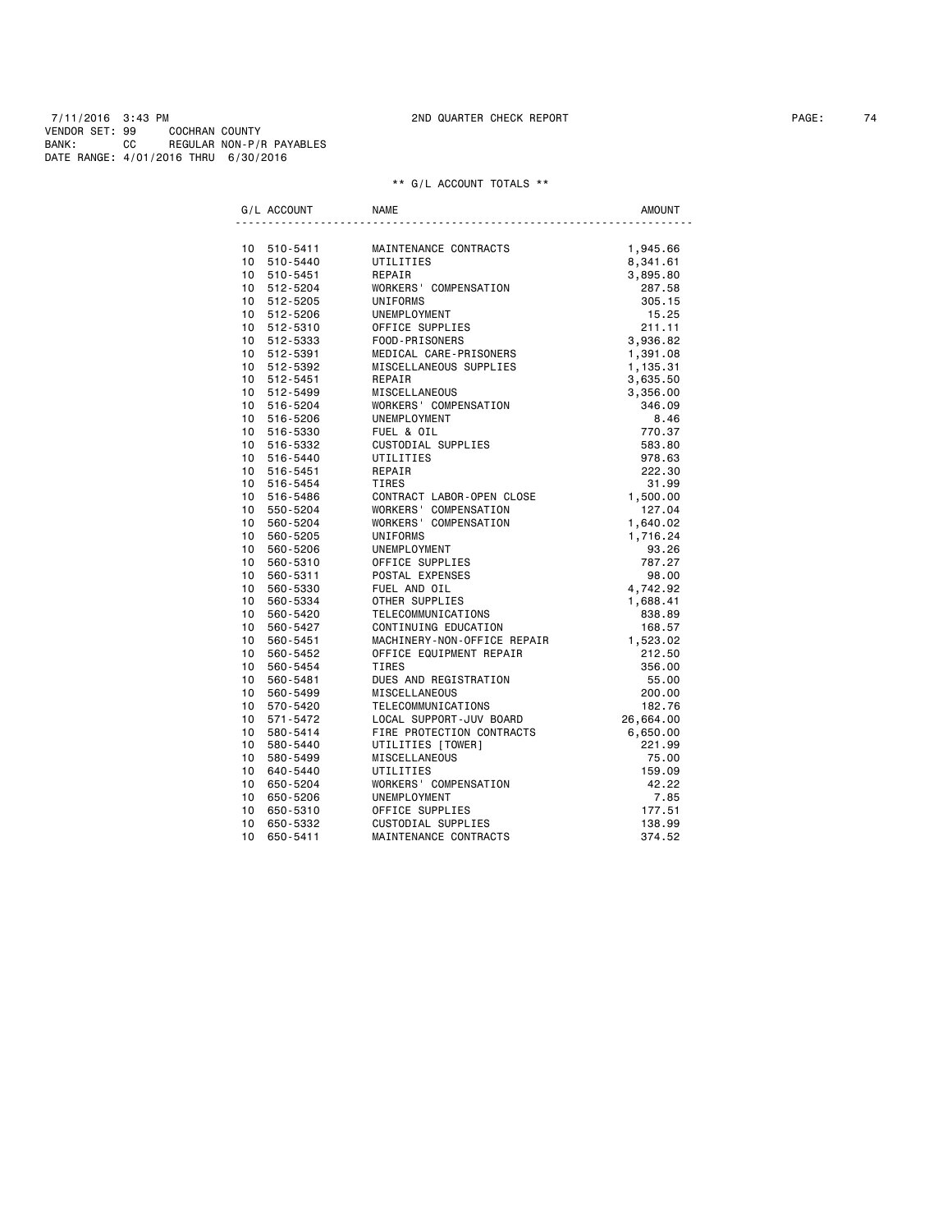7/11/2016 3:43 PM 2ND QUARTER CHECK REPORT PAGE: 74 VENDOR SET: 99 COCHRAN COUNTY BANK: CC REGULAR NON-P/R PAYABLES DATE RANGE: 4/01/2016 THRU 6/30/2016

|         | G/L ACCOUNT                | <b>NAME</b>                                                     | <b>AMOUNT</b>        |
|---------|----------------------------|-----------------------------------------------------------------|----------------------|
|         |                            | MAINTENANCE CONTRACTS                                           |                      |
|         | 10 510-5411<br>10 510-5440 | UTILITIES                                                       | 1,945.66<br>8,341.61 |
|         | 10 510-5451                | REPAIR                                                          | 3,895.80             |
|         | 10 512-5204                | WORKERS' COMPENSATION                                           | 287.58               |
|         | 10 512-5205                | UNIFORMS                                                        | 305.15               |
|         | 10 512-5206                | UNEMPLOYMENT                                                    | 15.25                |
|         | 10 512-5310                | OFFICE SUPPLIES                                                 | 211.11               |
|         | 10 512-5333                | FOOD-PRISONERS                                                  | 3,936.82             |
|         | 10 512-5391                | MEDICAL CARE-PRISONERS                                          | 1,391.08             |
|         | 10 512-5392                | MISCELLANEOUS SUPPLIES                                          | 1,135.31             |
|         | 10 512-5451                | REPAIR                                                          | 3,635.50             |
|         | 10 512-5499                | MISCELLANEOUS                                                   | 3,356.00             |
|         | 10 516-5204                | WORKERS' COMPENSATION                                           | 346.09               |
|         | 10 516-5206                | UNEMPLOYMENT                                                    | 8.46                 |
|         | 10 516-5330                | FUEL & OIL                                                      | 770.37               |
|         | 10 516-5332                | CUSTODIAL SUPPLIES                                              | 583.80               |
|         | 10 516-5440                | UTILITIES                                                       | 978.63               |
|         | 10 516-5451                | REPAIR                                                          | 222.30               |
|         | 10 516-5454                | <b>TIRES</b>                                                    | 31.99                |
|         | 10 516-5486                | CONTRACT LABOR-OPEN CLOSE                                       | 1,500.00             |
|         | 10 550-5204                | WORKERS' COMPENSATION                                           | 127.04               |
|         | 10 560-5204                | WORKERS' COMPENSATION                                           | 1,640.02             |
| $10-10$ | 560-5205                   | UNIFORMS                                                        | 1,716.24             |
|         | 10 560-5206                | UNEMPLOYMENT                                                    | 93.26                |
|         | 10 560-5310                |                                                                 | 787.27               |
| 10      | 560-5311                   | OFFICE SUPPLIES<br>POSTAL EXPENSES<br>FUEL AND OIL<br>CIUPPLIES | 98.00                |
| $10-10$ | 560-5330                   |                                                                 | 4,742.92             |
|         | 10 560-5334                |                                                                 | 1,688.41             |
| 10      | 560-5420                   | TELECOMMUNICATIONS                                              | 838.89               |
|         | 10 560-5427                | CONTINUING EDUCATION                                            | 168.57               |
|         | 10 560-5451                | MACHINERY-NON-OFFICE REPAIR                                     | 1,523.02             |
|         | 10 560-5452                | OFFICE EQUIPMENT REPAIR                                         | 212.50               |
|         | 10 560-5454                | <b>TIRES</b>                                                    | 356.00               |
|         | 10 560-5481                | DUES AND REGISTRATION                                           | 55.00                |
|         | 10 560-5499                | <b>MISCELLANEOUS</b>                                            | 200.00               |
|         | 10 570-5420                | TELECOMMUNICATIONS                                              | 182.76               |
|         | 10 571-5472                | LOCAL SUPPORT-JUV BOARD                                         | 26,664.00            |
|         | 10 580-5414                | FIRE PROTECTION CONTRACTS                                       | 6,650.00             |
|         | 10 580-5440                | UTILITIES [TOWER]                                               | 221.99               |
|         | 10 580-5499                | MISCELLANEOUS                                                   | 75.00                |
|         | 10 640-5440                | UTILITIES                                                       | 159.09               |
| $10-10$ | 650-5204                   | WORKERS' COMPENSATION                                           | 42.22                |
| 10      | 650-5206                   | UNEMPLOYMENT                                                    | 7.85                 |
| 10      | 650-5310                   | OFFICE SUPPLIES                                                 | 177.51               |
| 10      | 650-5332                   | CUSTODIAL SUPPLIES                                              | 138.99               |
| 10      | 650-5411                   | MAINTENANCE CONTRACTS                                           | 374.52               |
|         |                            |                                                                 |                      |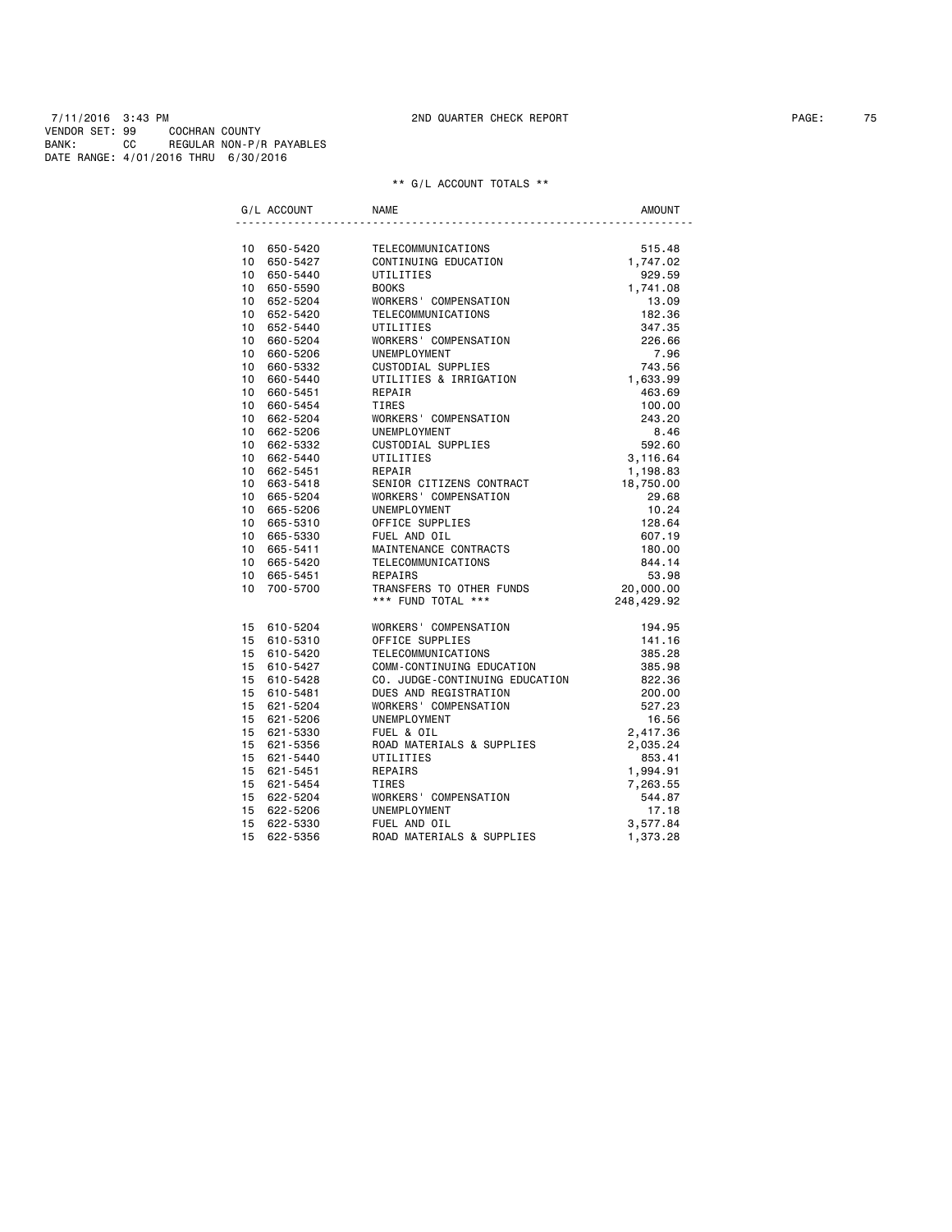|                 | G/L ACCOUNT | <b>NAME</b>                    | <b>AMOUNT</b> |
|-----------------|-------------|--------------------------------|---------------|
|                 | 10 650-5420 | TELECOMMUNICATIONS             | 515.48        |
| 10              | 650-5427    | CONTINUING EDUCATION           | 1,747.02      |
|                 | 10 650-5440 | UTILITIES                      | 929.59        |
|                 | 10 650-5590 | <b>BOOKS</b>                   | 1,741.08      |
|                 | 10 652-5204 | WORKERS' COMPENSATION          | 13.09         |
|                 | 10 652-5420 | TELECOMMUNICATIONS             | 182.36        |
|                 | 10 652-5440 | UTILITIES                      | 347.35        |
| 10              | 660-5204    | WORKERS' COMPENSATION          | 226.66        |
| 10 <sup>1</sup> | 660-5206    | UNEMPLOYMENT                   | 7.96          |
| $10-10$         | 660-5332    | CUSTODIAL SUPPLIES             | 743.56        |
| 10              | 660-5440    | UTILITIES & IRRIGATION         | 1,633.99      |
| $10-10$         | 660-5451    | REPAIR                         | 463.69        |
| 10 <sup>1</sup> | 660-5454    | TIRES                          | 100.00        |
| 10              | 662-5204    | WORKERS' COMPENSATION          | 243.20        |
| 10              | 662-5206    | UNEMPLOYMENT                   | 8.46          |
|                 | 10 662-5332 | CUSTODIAL SUPPLIES             | 592.60        |
|                 | 10 662-5440 | UTILITIES                      | 3,116.64      |
| 10              | 662-5451    | REPAIR                         | 1,198.83      |
| 10              | 663-5418    | SENIOR CITIZENS CONTRACT       | 18,750.00     |
|                 | 10 665-5204 | WORKERS' COMPENSATION          | 29.68         |
| 10              | 665-5206    | UNEMPLOYMENT                   | 10.24         |
| 10              | 665-5310    | OFFICE SUPPLIES                | 128.64        |
| 10              | 665-5330    | FUEL AND OIL                   | 607.19        |
|                 | 10 665-5411 | MAINTENANCE CONTRACTS          | 180.00        |
| 10              | 665-5420    | TELECOMMUNICATIONS             | 844.14        |
| 10 <sup>1</sup> | 665-5451    | <b>REPAIRS</b>                 | 53.98         |
| 10              | 700-5700    | TRANSFERS TO OTHER FUNDS       | 20,000.00     |
|                 |             | *** FUND TOTAL ***             | 248,429.92    |
| 15              | 610-5204    | WORKERS' COMPENSATION          | 194.95        |
| 15              | 610-5310    | OFFICE SUPPLIES                | 141.16        |
|                 | 15 610-5420 | TELECOMMUNICATIONS             | 385.28        |
|                 | 15 610-5427 | COMM-CONTINUING EDUCATION      | 385.98        |
|                 | 15 610-5428 | CO. JUDGE-CONTINUING EDUCATION | 822.36        |
|                 | 15 610-5481 | DUES AND REGISTRATION          | 200.00        |
|                 | 15 621-5204 | WORKERS' COMPENSATION          | 527.23        |
|                 | 15 621-5206 | UNEMPLOYMENT                   | 16.56         |
| 15              | 621-5330    | FUEL & OIL                     | 2,417.36      |
|                 | 15 621-5356 | ROAD MATERIALS & SUPPLIES      | 2,035.24      |
| 15              | 621-5440    | UTILITIES                      | 853.41        |
| 15              | 621-5451    | REPAIRS                        | 1,994.91      |
| 15              | 621-5454    | TIRES                          | 7,263.55      |
| 15              | 622-5204    | WORKERS' COMPENSATION          | 544.87        |
| 15              | 622-5206    | UNEMPLOYMENT                   | 17.18         |
| 15              | 622-5330    | FUEL AND OIL                   | 3,577.84      |
| 15              | 622-5356    | ROAD MATERIALS & SUPPLIES      | 1,373.28      |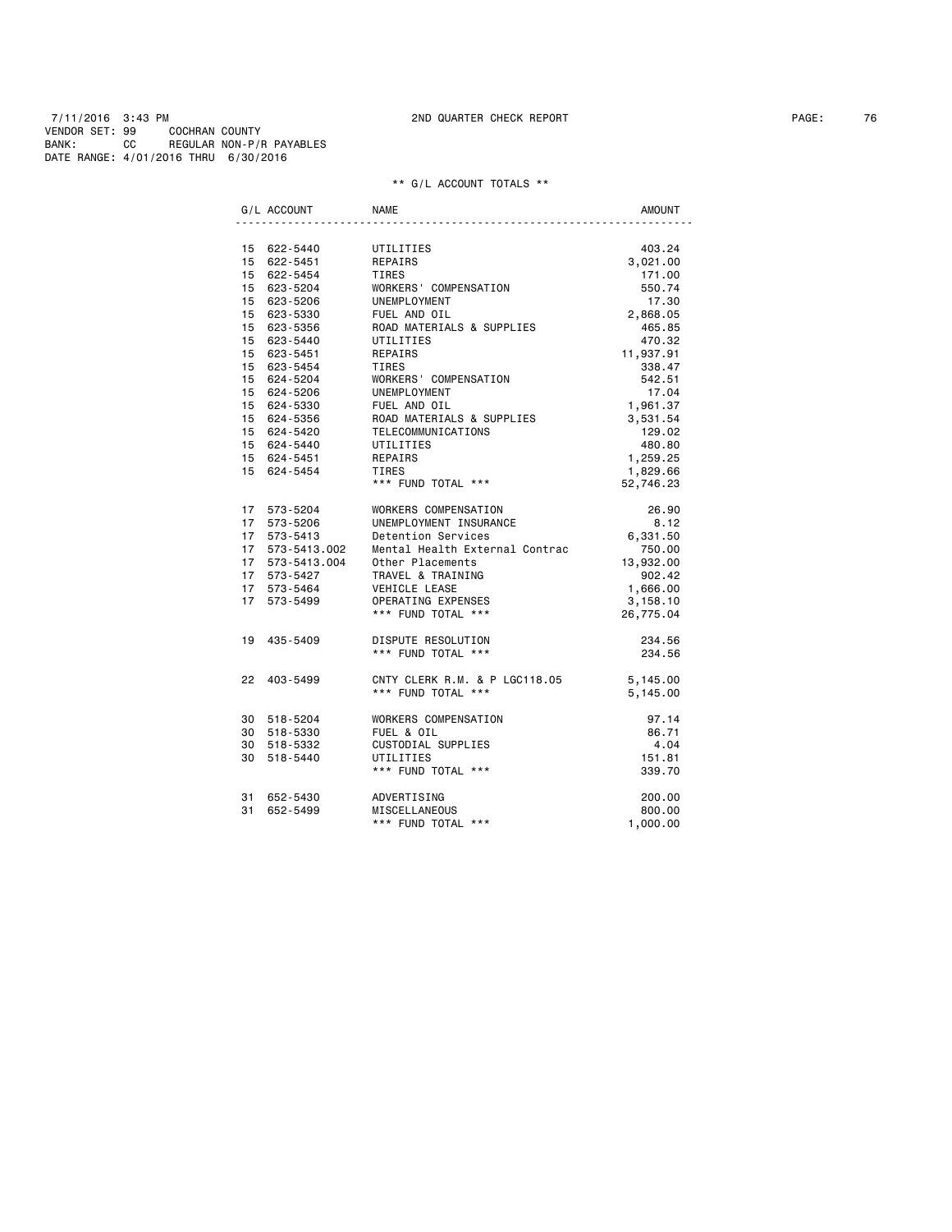7/11/2016 3:43 PM 2ND QUARTER CHECK REPORT PAGE: 76 VENDOR SET: 99 COCHRAN COUNTY BANK: CC REGULAR NON-P/R PAYABLES DATE RANGE: 4/01/2016 THRU 6/30/2016

|    | G/L ACCOUNT                        | NAME                           | <b>AMOUNT</b> |
|----|------------------------------------|--------------------------------|---------------|
|    | 15 622-5440                        | UTILITIES                      | 403.24        |
|    | 15 622-5451                        | REPAIRS                        | 3,021.00      |
|    | 15 622-5454                        | TIRES                          | 171.00        |
|    | 15 623-5204                        | WORKERS' COMPENSATION          | 550.74        |
|    | 15 623-5206                        | UNEMPLOYMENT                   | 17.30         |
|    | 15 623-5330                        | FUEL AND OIL                   | 2,868.05      |
|    | 15 623-5356                        | ROAD MATERIALS & SUPPLIES      | 465.85        |
|    | 15 623-5440                        | UTILITIES                      | 470.32        |
|    | 15 623-5451                        | REPAIRS                        | 11,937.91     |
|    | 15 623-5454                        | TIRES                          | 338.47        |
|    | 15 624-5204                        | WORKERS' COMPENSATION          | 542.51        |
|    | 15 624-5206                        | UNEMPLOYMENT                   | 17.04         |
|    | 15 624-5330                        | FUEL AND OIL                   | 1,961.37      |
|    | 15 624-5356                        | ROAD MATERIALS & SUPPLIES      | 3,531.54      |
|    | 15 624-5420                        | TELECOMMUNICATIONS             | 129.02        |
|    | 15 624-5440                        | UTILITIES                      | 480.80        |
|    | 15 624-5451                        | REPAIRS                        | 1,259.25      |
|    | 15 624-5454                        | TIRES                          | 1,829.66      |
|    |                                    | *** FUND TOTAL ***             | 52,746.23     |
|    | 17 573-5204                        | WORKERS COMPENSATION           | 26.90         |
|    | 17 573-5206                        | UNEMPLOYMENT INSURANCE         | 8.12          |
| 17 | 573-5413                           | Detention Services             | 6,331.50      |
|    |                                    | Mental Health External Contrac | 750.00        |
|    | 17 573-5413.002<br>17 573-5413.004 | Other Placements               | 13,932.00     |
|    | 17 573-5427                        | TRAVEL & TRAINING              | 902.42        |
|    | 17 573-5464                        | VEHICLE LEASE                  | 1,666.00      |
| 17 | 573-5499                           | OPERATING EXPENSES             | 3,158.10      |
|    |                                    | *** FUND TOTAL ***             | 26,775.04     |
| 19 | 435-5409                           | DISPUTE RESOLUTION             | 234.56        |
|    |                                    | *** FUND TOTAL ***             | 234.56        |
|    | 22 403-5499                        | CNTY CLERK R.M. & P LGC118.05  | 5,145.00      |
|    |                                    | *** FUND TOTAL ***             | 5,145.00      |
|    | 30 518-5204                        | WORKERS COMPENSATION           | 97.14         |
|    | 30 518-5330                        | FUEL & OIL                     | 86.71         |
|    | 30 518-5332                        | CUSTODIAL SUPPLIES             | 4.04          |
| 30 | 518-5440                           | UTILITIES                      | 151.81        |
|    |                                    | *** FUND TOTAL ***             | 339.70        |
| 31 | 652-5430                           | ADVERTISING                    | 200.00        |
| 31 | 652-5499                           | MISCELLANEOUS                  | 800.00        |
|    |                                    | *** FUND TOTAL ***             | 1,000.00      |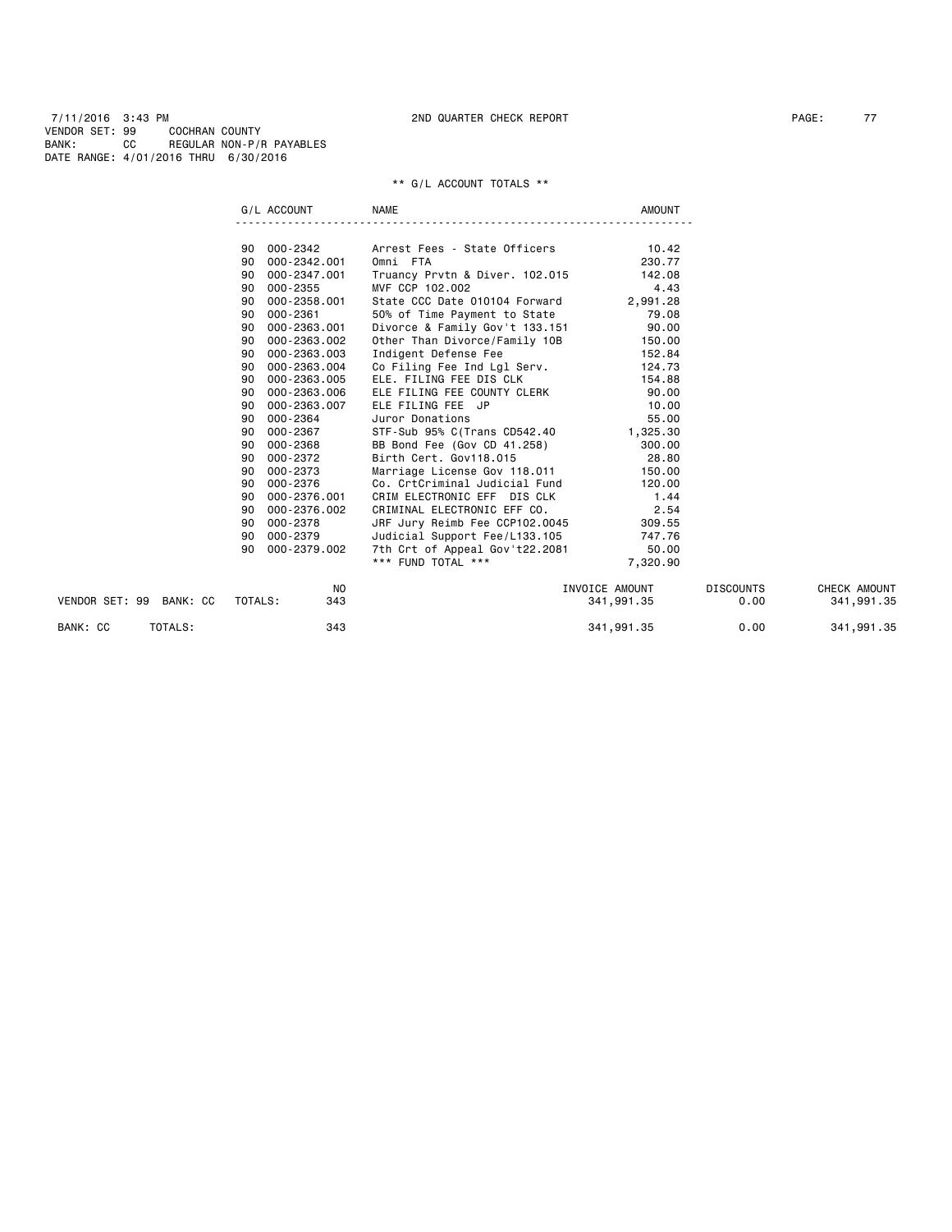7/11/2016 3:43 PM 2ND QUARTER CHECK REPORT PAGE: 77 VENDOR SET: 99 COCHRAN COUNTY BANK: CC REGULAR NON-P/R PAYABLES DATE RANGE: 4/01/2016 THRU 6/30/2016

|                         | G/L ACCOUNT        | <b>NAME</b>                                                                   | <b>AMOUNT</b>  |                  |              |
|-------------------------|--------------------|-------------------------------------------------------------------------------|----------------|------------------|--------------|
|                         |                    |                                                                               |                |                  |              |
|                         | 90 000-2342        | Arrest Fees - State Officers 10.42                                            |                |                  |              |
|                         | 000-2342.001<br>90 | Omni FTA                                                                      | 230.77         |                  |              |
|                         | 000-2347.001<br>90 | Truancy Prvtn & Diver. 102.015 142.08                                         |                |                  |              |
|                         | 000-2355<br>90     | MVF CCP 102.002                                                               | 4.43           |                  |              |
|                         | 000-2358.001<br>90 | State CCC Date 010104 Forward                                                 | 2,991.28       |                  |              |
|                         | 000-2361<br>90     | 50% of Time Payment to State                                                  | 79.08          |                  |              |
|                         | 000-2363.001<br>90 | Divorce & Family Gov't 133.151                                                | 90.00          |                  |              |
|                         | 000-2363.002<br>90 | Other Than Divorce/Family 10B                                                 | 150.00         |                  |              |
|                         | 000-2363.003<br>90 | Indigent Defense Fee                                                          | 152.84         |                  |              |
|                         | 000-2363.004<br>90 | Co Filing Fee Ind Lgl Serv.                                                   | 124.73         |                  |              |
|                         | 000-2363.005<br>90 | ELE. FILING FEE DIS CLK                                                       | 154.88         |                  |              |
|                         | 000-2363.006<br>90 | ELE FILING FEE COUNTY CLERK                                                   | 90.00          |                  |              |
|                         | 000-2363.007<br>90 | ELE FILING FEE JP                                                             | 10.00          |                  |              |
|                         | 000-2364<br>90     | Juror Donations                                                               | 55.00          |                  |              |
|                         | 000-2367<br>90     | STF-Sub 95% C(Trans CD542.40 1,325.30                                         |                |                  |              |
|                         | 000-2368<br>90     | BB Bond Fee (Gov CD 41.258)                                                   | 300.00         |                  |              |
|                         | 000-2372<br>90     | Birth Cert. Gov118.015                                                        | 28.80          |                  |              |
|                         | 000-2373<br>90     | Marriage License Gov 118.011                                                  | 150.00         |                  |              |
|                         | 000-2376<br>90     | Co. CrtCriminal Judicial Fund                                                 | 120.00         |                  |              |
|                         | 000-2376.001<br>90 | CRIM ELECTRONIC EFF DIS CLK                                                   | 1.44           |                  |              |
|                         | 000-2376.002<br>90 | CRIMINAL ELECTRONIC EFF CO.                                                   | 2.54           |                  |              |
|                         | 000-2378<br>90     |                                                                               |                |                  |              |
|                         | 000-2379<br>90     | JRF Jury Reimb Fee CCP102.0045 309.55<br>Judicial Support Fee/L133.105 747.76 |                |                  |              |
|                         | 90<br>000-2379.002 | 7th Crt of Appeal Gov't22.2081                                                | 50.00          |                  |              |
|                         |                    | *** FUND TOTAL ***                                                            | 7,320.90       |                  |              |
|                         | NO                 |                                                                               | INVOICE AMOUNT | <b>DISCOUNTS</b> | CHECK AMOUNT |
| VENDOR SET: 99 BANK: CC | TOTALS:<br>343     |                                                                               | 341,991.35     | 0.00             | 341,991.35   |
| TOTALS:<br>BANK: CC     | 343                |                                                                               | 341,991.35     | 0.00             | 341,991.35   |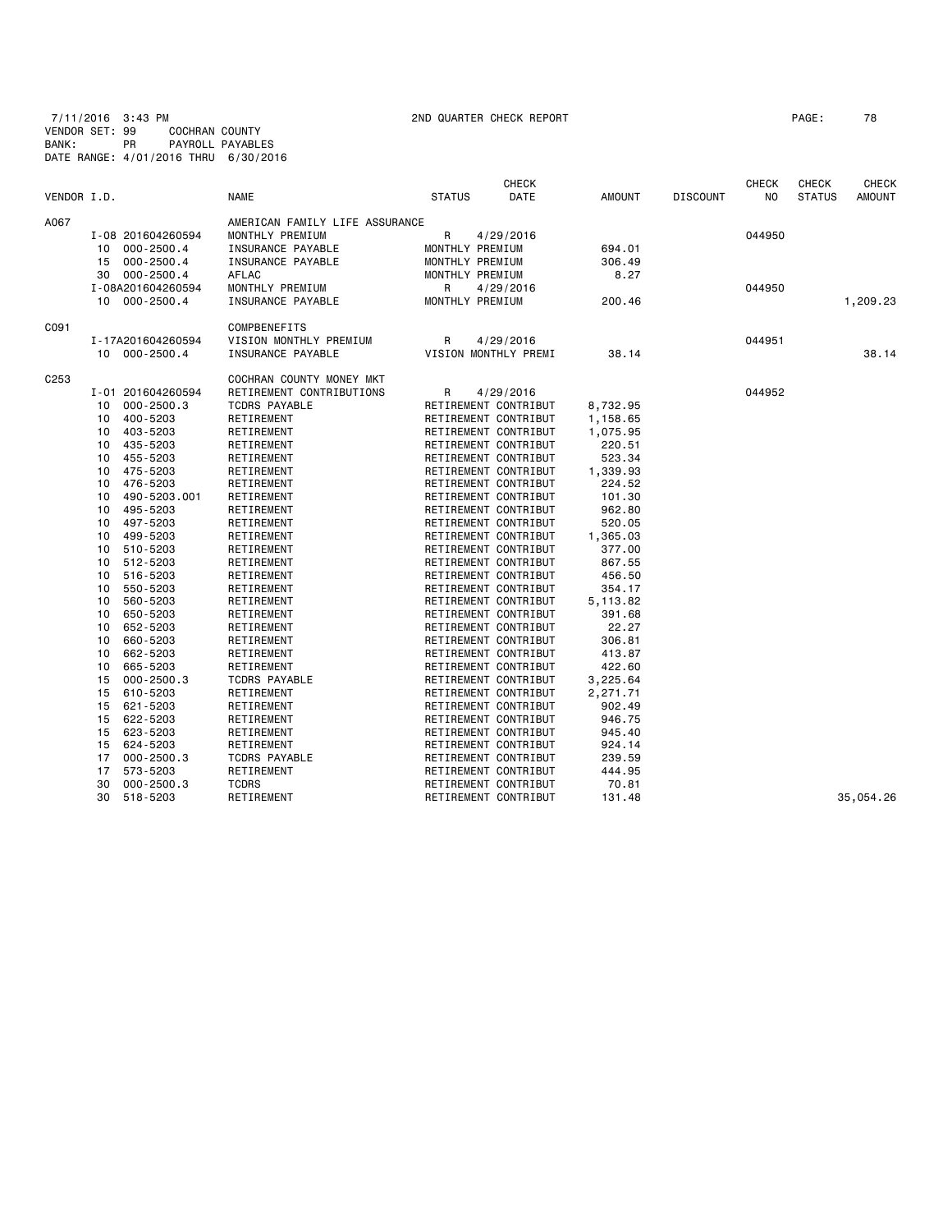7/11/2016 3:43 PM 2ND QUARTER CHECK REPORT PAGE: 78 VENDOR SET: 99 COCHRAN COUNTY BANK: PR PAYROLL PAYABLES DATE RANGE: 4/01/2016 THRU 6/30/2016

| VENDOR I.D.      |                      | <b>NAME</b>                    | <b>STATUS</b> | <b>CHECK</b><br>DATE | <b>AMOUNT</b> | <b>DISCOUNT</b> | <b>CHECK</b><br>NO. | CHECK<br><b>STATUS</b> | <b>CHECK</b><br><b>AMOUNT</b> |
|------------------|----------------------|--------------------------------|---------------|----------------------|---------------|-----------------|---------------------|------------------------|-------------------------------|
| A067             |                      | AMERICAN FAMILY LIFE ASSURANCE |               |                      |               |                 |                     |                        |                               |
|                  | I-08 201604260594    | MONTHLY PREMIUM                | R             | 4/29/2016            |               |                 | 044950              |                        |                               |
|                  | $000 - 2500.4$<br>10 | INSURANCE PAYABLE              |               | MONTHLY PREMIUM      | 694.01        |                 |                     |                        |                               |
|                  | 15<br>$000 - 2500.4$ | <b>INSURANCE PAYABLE</b>       |               | MONTHLY PREMIUM      | 306.49        |                 |                     |                        |                               |
|                  | $000 - 2500.4$<br>30 | AFLAC                          |               | MONTHLY PREMIUM      | 8.27          |                 |                     |                        |                               |
|                  | I-08A201604260594    | MONTHLY PREMIUM                | R             |                      |               |                 | 044950              |                        |                               |
|                  | 10 000-2500.4        | INSURANCE PAYABLE              |               | 4/29/2016            | 200.46        |                 |                     |                        |                               |
|                  |                      |                                |               | MONTHLY PREMIUM      |               |                 |                     |                        | 1,209.23                      |
| C091             |                      | COMPBENEFITS                   |               |                      |               |                 |                     |                        |                               |
|                  | I-17A201604260594    | VISION MONTHLY PREMIUM         | R             | 4/29/2016            |               |                 | 044951              |                        |                               |
|                  | $000 - 2500.4$<br>10 | INSURANCE PAYABLE              |               | VISION MONTHLY PREMI | 38.14         |                 |                     |                        | 38.14                         |
| C <sub>253</sub> |                      | COCHRAN COUNTY MONEY MKT       |               |                      |               |                 |                     |                        |                               |
|                  | I-01 201604260594    | RETIREMENT CONTRIBUTIONS       | R             | 4/29/2016            |               |                 | 044952              |                        |                               |
|                  | $000 - 2500.3$<br>10 | <b>TCDRS PAYABLE</b>           |               | RETIREMENT CONTRIBUT | 8,732.95      |                 |                     |                        |                               |
|                  | 400-5203<br>10       | RETIREMENT                     |               | RETIREMENT CONTRIBUT | 1,158.65      |                 |                     |                        |                               |
|                  | 403-5203<br>10       | RETIREMENT                     |               | RETIREMENT CONTRIBUT | 1,075.95      |                 |                     |                        |                               |
|                  | 435-5203<br>10       | RETIREMENT                     |               | RETIREMENT CONTRIBUT | 220.51        |                 |                     |                        |                               |
|                  | 455-5203<br>10       | RETIREMENT                     |               | RETIREMENT CONTRIBUT | 523.34        |                 |                     |                        |                               |
|                  | 475-5203<br>10       | RETIREMENT                     |               | RETIREMENT CONTRIBUT | 1,339.93      |                 |                     |                        |                               |
|                  | 476-5203<br>10       | RETIREMENT                     |               | RETIREMENT CONTRIBUT | 224.52        |                 |                     |                        |                               |
|                  | 490-5203.001<br>10   | RETIREMENT                     |               | RETIREMENT CONTRIBUT | 101.30        |                 |                     |                        |                               |
|                  | 495-5203<br>10       | RETIREMENT                     |               | RETIREMENT CONTRIBUT | 962.80        |                 |                     |                        |                               |
|                  | 497-5203<br>10       | RETIREMENT                     |               | RETIREMENT CONTRIBUT | 520.05        |                 |                     |                        |                               |
|                  | 499-5203<br>10       | RETIREMENT                     |               | RETIREMENT CONTRIBUT | 1,365.03      |                 |                     |                        |                               |
|                  | 510-5203<br>10       | RETIREMENT                     |               | RETIREMENT CONTRIBUT | 377.00        |                 |                     |                        |                               |
|                  | 512-5203<br>10       | RETIREMENT                     |               | RETIREMENT CONTRIBUT | 867.55        |                 |                     |                        |                               |
|                  | 516-5203<br>10       | RETIREMENT                     |               | RETIREMENT CONTRIBUT | 456.50        |                 |                     |                        |                               |
|                  | 550-5203<br>10       | RETIREMENT                     |               | RETIREMENT CONTRIBUT | 354.17        |                 |                     |                        |                               |
|                  | 560-5203<br>10       | RETIREMENT                     |               | RETIREMENT CONTRIBUT | 5,113.82      |                 |                     |                        |                               |
|                  | 650-5203<br>10       | RETIREMENT                     |               | RETIREMENT CONTRIBUT | 391.68        |                 |                     |                        |                               |
|                  | 652-5203<br>10       | RETIREMENT                     |               | RETIREMENT CONTRIBUT | 22.27         |                 |                     |                        |                               |
|                  | 660-5203<br>10       | RETIREMENT                     |               | RETIREMENT CONTRIBUT | 306.81        |                 |                     |                        |                               |
|                  | 662-5203<br>10       | RETIREMENT                     |               | RETIREMENT CONTRIBUT | 413.87        |                 |                     |                        |                               |
|                  | 665-5203<br>10       | RETIREMENT                     |               | RETIREMENT CONTRIBUT | 422.60        |                 |                     |                        |                               |
|                  | $000 - 2500.3$<br>15 | <b>TCDRS PAYABLE</b>           |               | RETIREMENT CONTRIBUT | 3,225.64      |                 |                     |                        |                               |
|                  | 610-5203<br>15       | RETIREMENT                     |               | RETIREMENT CONTRIBUT | 2,271.71      |                 |                     |                        |                               |
|                  | 621-5203<br>15       | RETIREMENT                     |               | RETIREMENT CONTRIBUT | 902.49        |                 |                     |                        |                               |
|                  | 622-5203<br>15       | RETIREMENT                     |               | RETIREMENT CONTRIBUT | 946.75        |                 |                     |                        |                               |
|                  | 623-5203<br>15       | RETIREMENT                     |               | RETIREMENT CONTRIBUT | 945.40        |                 |                     |                        |                               |
|                  | 624-5203<br>15       | RETIREMENT                     |               | RETIREMENT CONTRIBUT | 924.14        |                 |                     |                        |                               |
|                  | $000 - 2500.3$<br>17 | <b>TCDRS PAYABLE</b>           |               | RETIREMENT CONTRIBUT | 239.59        |                 |                     |                        |                               |
|                  | 573-5203<br>17       | RETIREMENT                     |               | RETIREMENT CONTRIBUT | 444.95        |                 |                     |                        |                               |
|                  | $000 - 2500.3$<br>30 | TCDRS                          |               | RETIREMENT CONTRIBUT | 70.81         |                 |                     |                        |                               |
|                  | 30<br>518-5203       | RETIREMENT                     |               | RETIREMENT CONTRIBUT | 131.48        |                 |                     |                        | 35,054.26                     |
|                  |                      |                                |               |                      |               |                 |                     |                        |                               |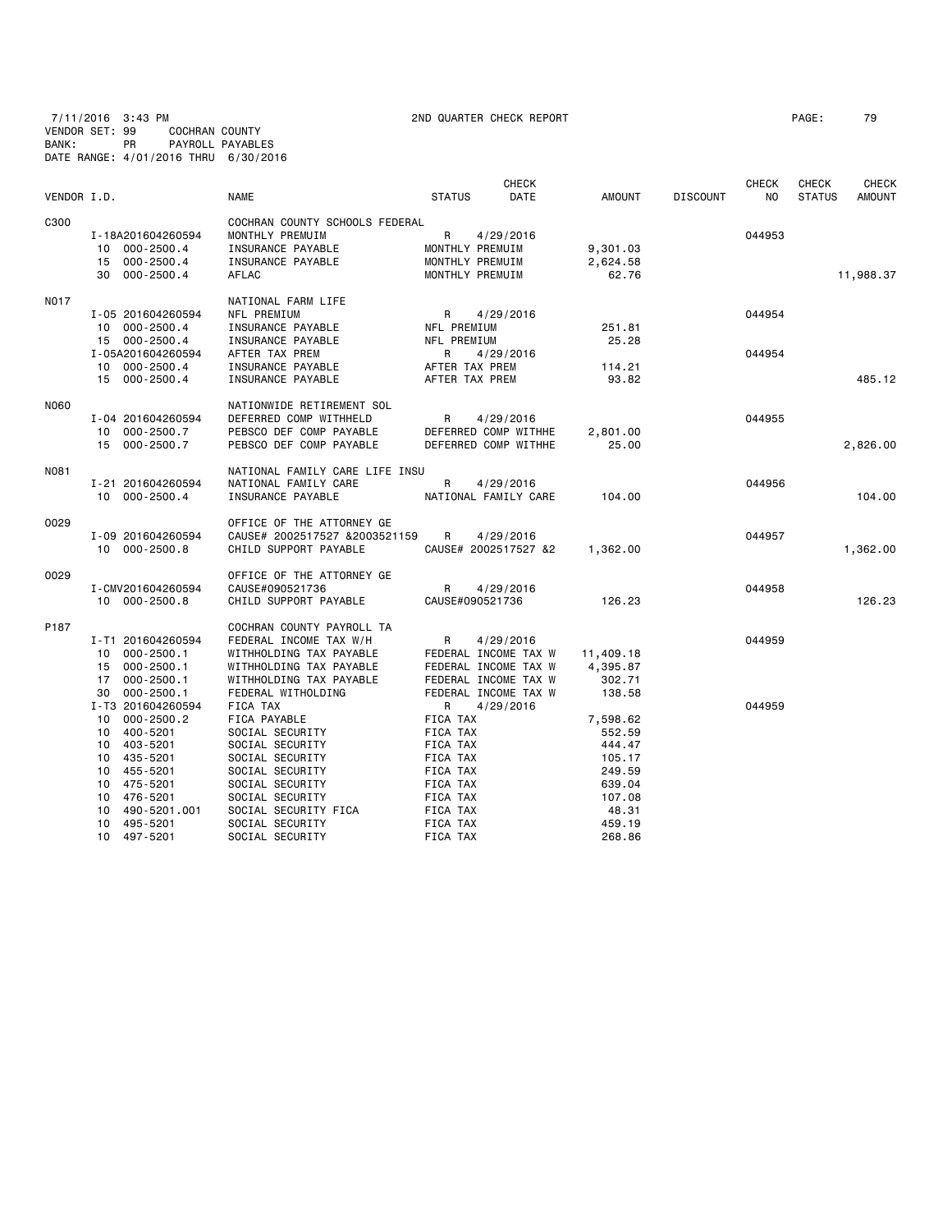7/11/2016 3:43 PM 2ND QUARTER CHECK REPORT PAGE: 79 VENDOR SET: 99 COCHRAN COUNTY BANK: PR PAYROLL PAYABLES DATE RANGE: 4/01/2016 THRU 6/30/2016

| VENDOR I.D. |                    | <b>NAME</b>                    | <b>CHECK</b><br><b>STATUS</b><br>DATE | AMOUNT    | <b>DISCOUNT</b> | <b>CHECK</b><br>NO. | CHECK<br><b>STATUS</b> | <b>CHECK</b><br><b>AMOUNT</b> |
|-------------|--------------------|--------------------------------|---------------------------------------|-----------|-----------------|---------------------|------------------------|-------------------------------|
| C300        |                    | COCHRAN COUNTY SCHOOLS FEDERAL |                                       |           |                 |                     |                        |                               |
|             | I-18A201604260594  | MONTHLY PREMUIM                | $\mathsf{R}$<br>4/29/2016             |           |                 | 044953              |                        |                               |
|             | 10 000-2500.4      | INSURANCE PAYABLE              | MONTHLY PREMUIM                       | 9,301.03  |                 |                     |                        |                               |
|             | 15 000-2500.4      | INSURANCE PAYABLE              | MONTHLY PREMUIM                       | 2,624.58  |                 |                     |                        |                               |
|             | 30 000-2500.4      | AFLAC                          | MONTHLY PREMUIM                       | 62.76     |                 |                     |                        | 11,988.37                     |
| N017        |                    | NATIONAL FARM LIFE             |                                       |           |                 |                     |                        |                               |
|             | I-05 201604260594  | NFL PREMIUM                    | R<br>4/29/2016                        |           |                 | 044954              |                        |                               |
|             | 10 000-2500.4      | INSURANCE PAYABLE              | NFL PREMIUM                           | 251.81    |                 |                     |                        |                               |
|             | 15 000-2500.4      | INSURANCE PAYABLE              | NFL PREMIUM                           | 25.28     |                 |                     |                        |                               |
|             | I-05A201604260594  | AFTER TAX PREM                 | R<br>4/29/2016                        |           |                 | 044954              |                        |                               |
|             | 10 000-2500.4      | INSURANCE PAYABLE              | AFTER TAX PREM                        | 114.21    |                 |                     |                        |                               |
|             | 15 000-2500.4      | INSURANCE PAYABLE              | AFTER TAX PREM                        | 93.82     |                 |                     |                        | 485.12                        |
| N060        |                    | NATIONWIDE RETIREMENT SOL      |                                       |           |                 |                     |                        |                               |
|             | I-04 201604260594  | DEFERRED COMP WITHHELD         | R<br>4/29/2016                        |           |                 | 044955              |                        |                               |
|             | 10 000-2500.7      | PEBSCO DEF COMP PAYABLE        | DEFERRED COMP WITHHE                  | 2,801.00  |                 |                     |                        |                               |
|             | 15 000-2500.7      | PEBSCO DEF COMP PAYABLE        | DEFERRED COMP WITHHE                  | 25.00     |                 |                     |                        | 2,826.00                      |
| N081        |                    | NATIONAL FAMILY CARE LIFE INSU |                                       |           |                 |                     |                        |                               |
|             | I-21 201604260594  | NATIONAL FAMILY CARE           | $\mathsf{R}$<br>4/29/2016             |           |                 | 044956              |                        |                               |
|             | 10 000-2500.4      | INSURANCE PAYABLE              | NATIONAL FAMILY CARE                  | 104.00    |                 |                     |                        | 104.00                        |
| 0029        |                    | OFFICE OF THE ATTORNEY GE      |                                       |           |                 |                     |                        |                               |
|             | I-09 201604260594  | CAUSE# 2002517527 &2003521159  | $\mathsf{R}$<br>4/29/2016             |           |                 | 044957              |                        |                               |
|             | 10 000-2500.8      | CHILD SUPPORT PAYABLE          | CAUSE# 2002517527 &2                  | 1,362.00  |                 |                     |                        | 1,362.00                      |
| 0029        |                    | OFFICE OF THE ATTORNEY GE      |                                       |           |                 |                     |                        |                               |
|             | I-CMV201604260594  | CAUSE#090521736                | R<br>4/29/2016                        |           |                 | 044958              |                        |                               |
|             | 10 000-2500.8      | CHILD SUPPORT PAYABLE          | CAUSE#090521736                       | 126.23    |                 |                     |                        | 126.23                        |
| P187        |                    | COCHRAN COUNTY PAYROLL TA      |                                       |           |                 |                     |                        |                               |
|             | I-T1 201604260594  | FEDERAL INCOME TAX W/H         | R<br>4/29/2016                        |           |                 | 044959              |                        |                               |
|             | 10 000-2500.1      | WITHHOLDING TAX PAYABLE        | FEDERAL INCOME TAX W                  | 11,409.18 |                 |                     |                        |                               |
|             | 15 000-2500.1      | WITHHOLDING TAX PAYABLE        | FEDERAL INCOME TAX W                  | 4,395.87  |                 |                     |                        |                               |
|             | 17 000-2500.1      | WITHHOLDING TAX PAYABLE        | FEDERAL INCOME TAX W                  | 302.71    |                 |                     |                        |                               |
|             | 000-2500.1<br>30   | FEDERAL WITHOLDING             | FEDERAL INCOME TAX W                  | 138.58    |                 |                     |                        |                               |
|             | I-T3 201604260594  | <b>FICA TAX</b>                | R<br>4/29/2016                        |           |                 | 044959              |                        |                               |
|             | 10 000-2500.2      | FICA PAYABLE                   | FICA TAX                              | 7,598.62  |                 |                     |                        |                               |
|             | 10 400-5201        | SOCIAL SECURITY                | FICA TAX                              | 552.59    |                 |                     |                        |                               |
|             | 10 403-5201        | SOCIAL SECURITY                | FICA TAX                              | 444.47    |                 |                     |                        |                               |
|             | 10 435-5201        | SOCIAL SECURITY                | FICA TAX                              | 105.17    |                 |                     |                        |                               |
|             | 10 455-5201        | SOCIAL SECURITY                | FICA TAX                              | 249.59    |                 |                     |                        |                               |
|             | 10 475-5201        | SOCIAL SECURITY                | FICA TAX                              | 639.04    |                 |                     |                        |                               |
|             | 476-5201<br>10     | SOCIAL SECURITY                | FICA TAX                              | 107.08    |                 |                     |                        |                               |
|             | 490-5201.001<br>10 | SOCIAL SECURITY FICA           | FICA TAX                              | 48.31     |                 |                     |                        |                               |
|             | 10 495-5201        | SOCIAL SECURITY                | FICA TAX                              | 459.19    |                 |                     |                        |                               |

10 497-5201 SOCIAL SECURITY FICA TAX 268.86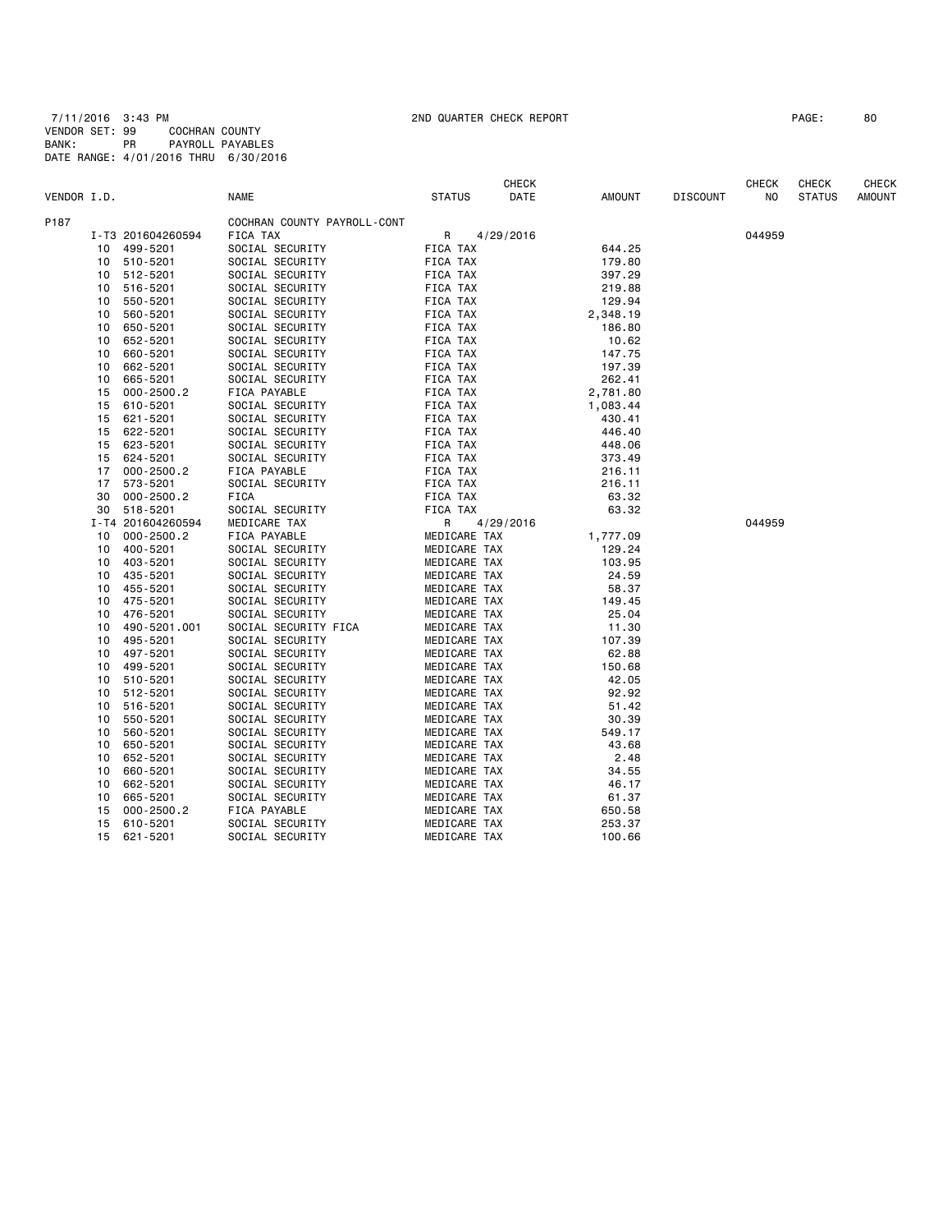7/11/2016 3:43 PM 2ND QUARTER CHECK REPORT PAGE: 80 VENDOR SET: 99 COCHRAN COUNTY BANK: PR PAYROLL PAYABLES DATE RANGE: 4/01/2016 THRU 6/30/2016

|             |    |                   |                             |               | <b>CHECK</b> |               |                 | <b>CHECK</b> | <b>CHECK</b>  | <b>CHECK</b> |
|-------------|----|-------------------|-----------------------------|---------------|--------------|---------------|-----------------|--------------|---------------|--------------|
| VENDOR I.D. |    |                   | <b>NAME</b>                 | <b>STATUS</b> | DATE         | <b>AMOUNT</b> | <b>DISCOUNT</b> | NO           | <b>STATUS</b> | AMOUNT       |
| P187        |    |                   | COCHRAN COUNTY PAYROLL-CONT |               |              |               |                 |              |               |              |
|             |    | I-T3 201604260594 | FICA TAX                    | R             | 4/29/2016    |               |                 | 044959       |               |              |
|             | 10 | 499-5201          | SOCIAL SECURITY             | FICA TAX      |              | 644.25        |                 |              |               |              |
|             | 10 | 510-5201          | SOCIAL SECURITY             | FICA TAX      |              | 179.80        |                 |              |               |              |
|             | 10 | 512-5201          | SOCIAL SECURITY             | FICA TAX      |              | 397.29        |                 |              |               |              |
|             | 10 | 516-5201          | SOCIAL SECURITY             | FICA TAX      |              | 219.88        |                 |              |               |              |
|             | 10 | 550-5201          | SOCIAL SECURITY             | FICA TAX      |              | 129.94        |                 |              |               |              |
|             | 10 | 560-5201          | SOCIAL SECURITY             | FICA TAX      |              | 2,348.19      |                 |              |               |              |
|             | 10 | 650-5201          | SOCIAL SECURITY             | FICA TAX      |              | 186.80        |                 |              |               |              |
|             | 10 | 652-5201          | SOCIAL SECURITY             | FICA TAX      |              | 10.62         |                 |              |               |              |
|             | 10 | 660-5201          | SOCIAL SECURITY             | FICA TAX      |              | 147.75        |                 |              |               |              |
|             | 10 | 662-5201          | SOCIAL SECURITY             | FICA TAX      |              | 197.39        |                 |              |               |              |
|             | 10 | 665-5201          | SOCIAL SECURITY             | FICA TAX      |              | 262.41        |                 |              |               |              |
|             | 15 | $000 - 2500.2$    | FICA PAYABLE                | FICA TAX      |              | 2,781.80      |                 |              |               |              |
|             | 15 | 610-5201          | SOCIAL SECURITY             | FICA TAX      |              | 1,083.44      |                 |              |               |              |
|             | 15 | 621-5201          | SOCIAL SECURITY             | FICA TAX      |              | 430.41        |                 |              |               |              |
|             | 15 | 622-5201          | SOCIAL SECURITY             | FICA TAX      |              | 446.40        |                 |              |               |              |
|             | 15 | 623-5201          | SOCIAL SECURITY             | FICA TAX      |              | 448.06        |                 |              |               |              |
|             | 15 | 624-5201          | SOCIAL SECURITY             | FICA TAX      |              | 373.49        |                 |              |               |              |
|             | 17 | $000 - 2500.2$    | FICA PAYABLE                | FICA TAX      |              | 216.11        |                 |              |               |              |
|             | 17 | 573-5201          | SOCIAL SECURITY             | FICA TAX      |              | 216.11        |                 |              |               |              |
|             | 30 | $000 - 2500.2$    | FICA                        | FICA TAX      |              | 63.32         |                 |              |               |              |
|             | 30 | 518-5201          | SOCIAL SECURITY             | FICA TAX      |              | 63.32         |                 |              |               |              |
|             |    | I-T4 201604260594 | MEDICARE TAX                | R             | 4/29/2016    |               |                 | 044959       |               |              |
|             | 10 | $000 - 2500.2$    | FICA PAYABLE                | MEDICARE TAX  |              | 1,777.09      |                 |              |               |              |
|             | 10 | 400-5201          | SOCIAL SECURITY             | MEDICARE TAX  |              | 129.24        |                 |              |               |              |
|             | 10 | 403-5201          | SOCIAL SECURITY             | MEDICARE TAX  |              | 103.95        |                 |              |               |              |
|             | 10 | 435-5201          | SOCIAL SECURITY             | MEDICARE TAX  |              | 24.59         |                 |              |               |              |
|             | 10 | 455-5201          | SOCIAL SECURITY             | MEDICARE TAX  |              | 58.37         |                 |              |               |              |
|             | 10 | 475-5201          | SOCIAL SECURITY             | MEDICARE TAX  |              | 149.45        |                 |              |               |              |
|             | 10 | 476-5201          | SOCIAL SECURITY             | MEDICARE TAX  |              | 25.04         |                 |              |               |              |
|             | 10 | 490-5201.001      | SOCIAL SECURITY FICA        | MEDICARE TAX  |              | 11.30         |                 |              |               |              |
|             | 10 | 495-5201          | SOCIAL SECURITY             | MEDICARE TAX  |              | 107.39        |                 |              |               |              |
|             | 10 | 497-5201          | SOCIAL SECURITY             | MEDICARE TAX  |              | 62.88         |                 |              |               |              |
|             | 10 | 499-5201          | SOCIAL SECURITY             | MEDICARE TAX  |              | 150.68        |                 |              |               |              |
|             | 10 | 510-5201          | SOCIAL SECURITY             | MEDICARE TAX  |              | 42.05         |                 |              |               |              |
|             | 10 | 512-5201          | SOCIAL SECURITY             | MEDICARE TAX  |              | 92.92         |                 |              |               |              |
|             | 10 | 516-5201          | SOCIAL SECURITY             | MEDICARE TAX  |              | 51.42         |                 |              |               |              |
|             | 10 | 550-5201          | SOCIAL SECURITY             | MEDICARE TAX  |              | 30.39         |                 |              |               |              |
|             | 10 | 560-5201          | SOCIAL SECURITY             | MEDICARE TAX  |              | 549.17        |                 |              |               |              |
|             | 10 | 650-5201          | SOCIAL SECURITY             | MEDICARE TAX  |              | 43.68         |                 |              |               |              |
|             | 10 | 652-5201          | SOCIAL SECURITY             | MEDICARE TAX  |              | 2.48          |                 |              |               |              |
|             | 10 | 660-5201          | SOCIAL SECURITY             | MEDICARE TAX  |              | 34.55         |                 |              |               |              |
|             | 10 | 662-5201          | SOCIAL SECURITY             | MEDICARE TAX  |              | 46.17         |                 |              |               |              |
|             | 10 | 665-5201          | SOCIAL SECURITY             | MEDICARE TAX  |              | 61.37         |                 |              |               |              |
|             | 15 | $000 - 2500.2$    | FICA PAYABLE                | MEDICARE TAX  |              | 650.58        |                 |              |               |              |
|             | 15 | 610-5201          | SOCIAL SECURITY             | MEDICARE TAX  |              | 253.37        |                 |              |               |              |
|             | 15 | 621-5201          | SOCIAL SECURITY             | MEDICARE TAX  |              | 100.66        |                 |              |               |              |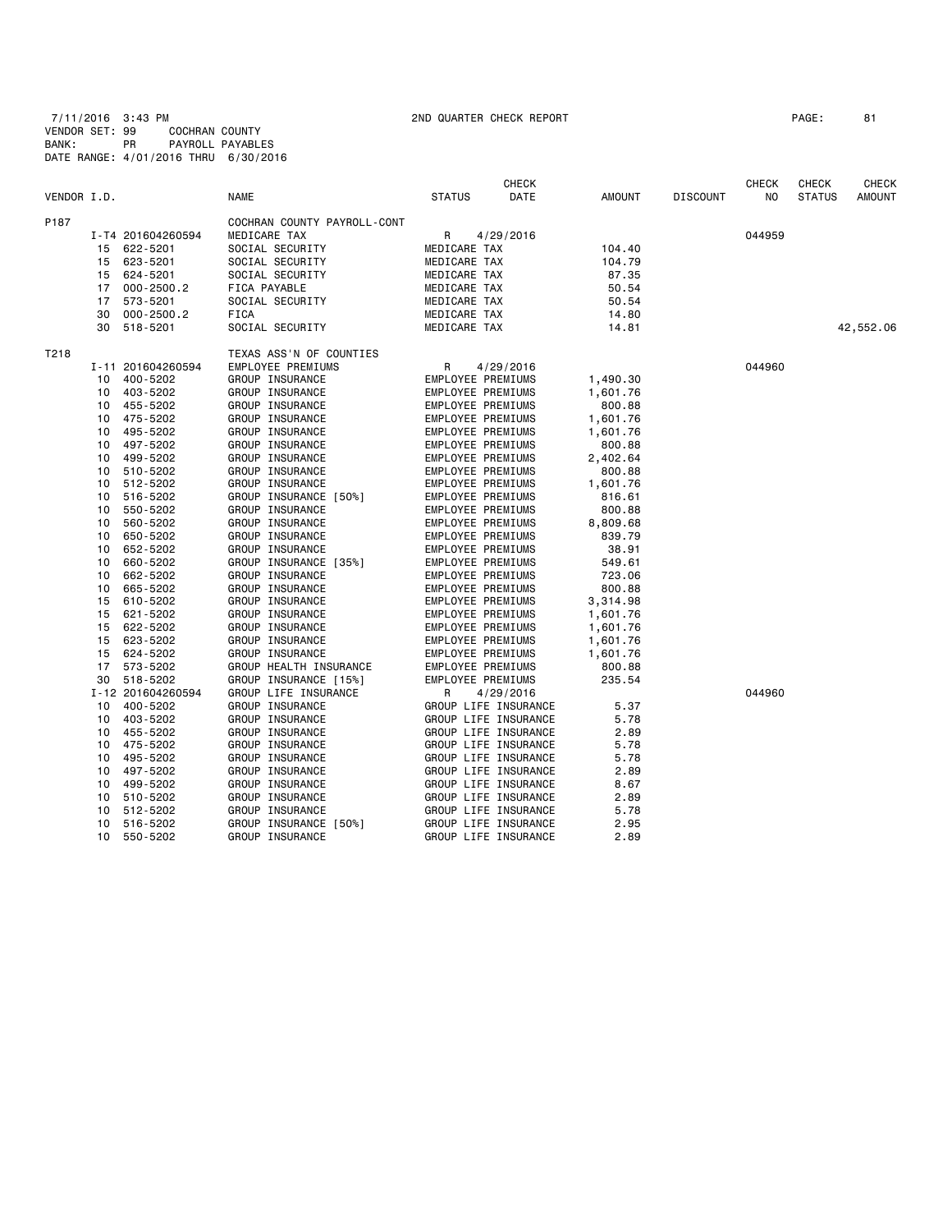7/11/2016 3:43 PM 2ND QUARTER CHECK REPORT PAGE: 81 VENDOR SET: 99 COCHRAN COUNTY BANK: PR PAYROLL PAYABLES DATE RANGE: 4/01/2016 THRU 6/30/2016

|             |    |                   |                             |                   | <b>CHECK</b>         |          |                 | CHECK  | <b>CHECK</b>  | <b>CHECK</b>  |
|-------------|----|-------------------|-----------------------------|-------------------|----------------------|----------|-----------------|--------|---------------|---------------|
| VENDOR I.D. |    |                   | <b>NAME</b>                 | <b>STATUS</b>     | DATE                 | AMOUNT   | <b>DISCOUNT</b> | NO     | <b>STATUS</b> | <b>AMOUNT</b> |
| P187        |    |                   | COCHRAN COUNTY PAYROLL-CONT |                   |                      |          |                 |        |               |               |
|             |    | I-T4 201604260594 | MEDICARE TAX                | R                 | 4/29/2016            |          |                 | 044959 |               |               |
|             |    | 15 622-5201       | SOCIAL SECURITY             | MEDICARE TAX      |                      | 104.40   |                 |        |               |               |
|             |    | 15 623-5201       | SOCIAL SECURITY             | MEDICARE TAX      |                      | 104.79   |                 |        |               |               |
|             |    | 15 624-5201       | SOCIAL SECURITY             | MEDICARE TAX      |                      | 87.35    |                 |        |               |               |
|             | 17 | 000-2500.2        | FICA PAYABLE                | MEDICARE TAX      |                      | 50.54    |                 |        |               |               |
|             | 17 | 573-5201          | SOCIAL SECURITY             | MEDICARE TAX      |                      | 50.54    |                 |        |               |               |
|             | 30 | $000 - 2500.2$    | FICA                        | MEDICARE TAX      |                      | 14.80    |                 |        |               |               |
|             |    | 30 518-5201       | SOCIAL SECURITY             | MEDICARE TAX      |                      | 14.81    |                 |        |               | 42,552.06     |
| T218        |    |                   | TEXAS ASS'N OF COUNTIES     |                   |                      |          |                 |        |               |               |
|             |    | I-11 201604260594 | EMPLOYEE PREMIUMS           | R                 | 4/29/2016            |          |                 | 044960 |               |               |
|             | 10 | 400-5202          | GROUP INSURANCE             | EMPLOYEE PREMIUMS |                      | 1,490.30 |                 |        |               |               |
|             | 10 | 403-5202          | GROUP INSURANCE             | EMPLOYEE PREMIUMS |                      | 1,601.76 |                 |        |               |               |
|             | 10 | 455-5202          | GROUP INSURANCE             | EMPLOYEE PREMIUMS |                      | 800.88   |                 |        |               |               |
|             | 10 | 475-5202          | GROUP INSURANCE             | EMPLOYEE PREMIUMS |                      | 1,601.76 |                 |        |               |               |
|             | 10 | 495-5202          | GROUP INSURANCE             | EMPLOYEE PREMIUMS |                      | 1,601.76 |                 |        |               |               |
|             | 10 | 497-5202          | GROUP INSURANCE             | EMPLOYEE PREMIUMS |                      | 800.88   |                 |        |               |               |
|             | 10 | 499-5202          | GROUP INSURANCE             | EMPLOYEE PREMIUMS |                      | 2,402.64 |                 |        |               |               |
|             | 10 | 510-5202          | GROUP INSURANCE             | EMPLOYEE PREMIUMS |                      | 800.88   |                 |        |               |               |
|             | 10 | 512-5202          | GROUP INSURANCE             | EMPLOYEE PREMIUMS |                      | 1,601.76 |                 |        |               |               |
|             | 10 | 516-5202          | GROUP INSURANCE [50%]       | EMPLOYEE PREMIUMS |                      | 816.61   |                 |        |               |               |
|             | 10 | 550-5202          | GROUP INSURANCE             | EMPLOYEE PREMIUMS |                      | 800.88   |                 |        |               |               |
|             | 10 | 560-5202          | GROUP INSURANCE             | EMPLOYEE PREMIUMS |                      | 8,809.68 |                 |        |               |               |
|             | 10 | 650-5202          | GROUP INSURANCE             | EMPLOYEE PREMIUMS |                      | 839.79   |                 |        |               |               |
|             | 10 | 652-5202          | GROUP INSURANCE             | EMPLOYEE PREMIUMS |                      | 38.91    |                 |        |               |               |
|             | 10 | 660-5202          | GROUP INSURANCE [35%]       | EMPLOYEE PREMIUMS |                      | 549.61   |                 |        |               |               |
|             | 10 | 662-5202          | GROUP INSURANCE             | EMPLOYEE PREMIUMS |                      | 723.06   |                 |        |               |               |
|             | 10 | 665-5202          | GROUP INSURANCE             | EMPLOYEE PREMIUMS |                      | 800.88   |                 |        |               |               |
|             | 15 | 610-5202          | GROUP INSURANCE             | EMPLOYEE PREMIUMS |                      | 3,314.98 |                 |        |               |               |
|             | 15 | 621-5202          | GROUP INSURANCE             | EMPLOYEE PREMIUMS |                      | 1,601.76 |                 |        |               |               |
|             | 15 | 622-5202          | GROUP INSURANCE             | EMPLOYEE PREMIUMS |                      | 1,601.76 |                 |        |               |               |
|             | 15 | 623-5202          | GROUP INSURANCE             | EMPLOYEE PREMIUMS |                      | 1,601.76 |                 |        |               |               |
|             | 15 | 624-5202          | GROUP INSURANCE             | EMPLOYEE PREMIUMS |                      | 1,601.76 |                 |        |               |               |
|             | 17 | 573-5202          | GROUP HEALTH INSURANCE      | EMPLOYEE PREMIUMS |                      | 800.88   |                 |        |               |               |
|             |    | 30 518-5202       | GROUP INSURANCE [15%]       | EMPLOYEE PREMIUMS |                      | 235.54   |                 |        |               |               |
|             |    | I-12 201604260594 | GROUP LIFE INSURANCE        | R                 | 4/29/2016            |          |                 | 044960 |               |               |
|             |    | 10 400-5202       | GROUP INSURANCE             |                   | GROUP LIFE INSURANCE | 5.37     |                 |        |               |               |
|             |    | 10 403-5202       | GROUP INSURANCE             |                   | GROUP LIFE INSURANCE | 5.78     |                 |        |               |               |
|             |    | 10 455-5202       | GROUP INSURANCE             |                   | GROUP LIFE INSURANCE | 2.89     |                 |        |               |               |
|             | 10 | 475-5202          | GROUP INSURANCE             |                   | GROUP LIFE INSURANCE | 5.78     |                 |        |               |               |
|             | 10 | 495-5202          | GROUP INSURANCE             |                   | GROUP LIFE INSURANCE | 5.78     |                 |        |               |               |
|             | 10 | 497-5202          | GROUP INSURANCE             |                   | GROUP LIFE INSURANCE | 2.89     |                 |        |               |               |
|             | 10 | 499-5202          | GROUP INSURANCE             |                   | GROUP LIFE INSURANCE | 8.67     |                 |        |               |               |
|             | 10 | 510-5202          | GROUP INSURANCE             |                   | GROUP LIFE INSURANCE | 2.89     |                 |        |               |               |
|             | 10 | 512-5202          | GROUP INSURANCE             |                   | GROUP LIFE INSURANCE | 5.78     |                 |        |               |               |
|             | 10 | 516-5202          | GROUP INSURANCE [50%]       |                   | GROUP LIFE INSURANCE | 2.95     |                 |        |               |               |
|             | 10 | 550-5202          | GROUP INSURANCE             |                   | GROUP LIFE INSURANCE | 2.89     |                 |        |               |               |
|             |    |                   |                             |                   |                      |          |                 |        |               |               |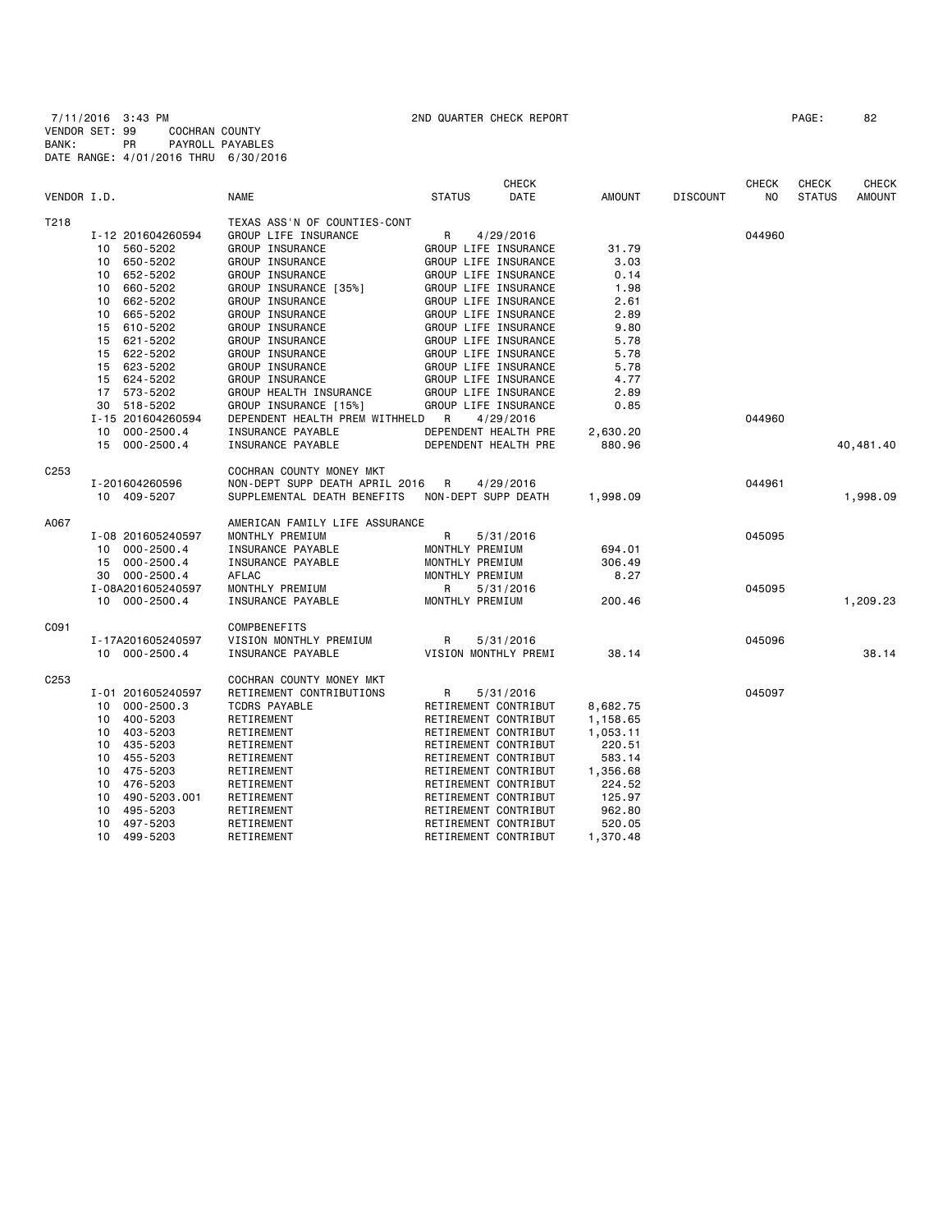7/11/2016 3:43 PM 2ND QUARTER CHECK REPORT PAGE: 82 VENDOR SET: 99 COCHRAN COUNTY BANK: PR PAYROLL PAYABLES DATE RANGE: 4/01/2016 THRU 6/30/2016

|                  |                        |                                | <b>CHECK</b>          |          |                 | <b>CHECK</b> | <b>CHECK</b>  | <b>CHECK</b>  |
|------------------|------------------------|--------------------------------|-----------------------|----------|-----------------|--------------|---------------|---------------|
| VENDOR I.D.      |                        | <b>NAME</b>                    | <b>STATUS</b><br>DATE | AMOUNT   | <b>DISCOUNT</b> | NO           | <b>STATUS</b> | <b>AMOUNT</b> |
| T218             |                        | TEXAS ASS'N OF COUNTIES-CONT   |                       |          |                 |              |               |               |
|                  | I-12 201604260594      | GROUP LIFE INSURANCE           | R<br>4/29/2016        |          |                 | 044960       |               |               |
|                  | 560-5202<br>10         | GROUP INSURANCE                | GROUP LIFE INSURANCE  | 31.79    |                 |              |               |               |
|                  | 650-5202<br>10         | GROUP INSURANCE                | GROUP LIFE INSURANCE  | 3.03     |                 |              |               |               |
|                  | 652-5202<br>10         | GROUP INSURANCE                | GROUP LIFE INSURANCE  | 0.14     |                 |              |               |               |
|                  | 660-5202<br>10         | GROUP INSURANCE [35%]          | GROUP LIFE INSURANCE  | 1.98     |                 |              |               |               |
|                  | 662-5202<br>10         | GROUP INSURANCE                | GROUP LIFE INSURANCE  | 2.61     |                 |              |               |               |
|                  | 665-5202<br>10         | GROUP INSURANCE                | GROUP LIFE INSURANCE  | 2.89     |                 |              |               |               |
|                  | 610-5202<br>15         | GROUP INSURANCE                | GROUP LIFE INSURANCE  | 9.80     |                 |              |               |               |
|                  | 621-5202<br>15         | GROUP INSURANCE                | GROUP LIFE INSURANCE  | 5.78     |                 |              |               |               |
|                  | 622-5202<br>15         | GROUP INSURANCE                | GROUP LIFE INSURANCE  | 5.78     |                 |              |               |               |
|                  | 15 623-5202            | GROUP INSURANCE                | GROUP LIFE INSURANCE  | 5.78     |                 |              |               |               |
|                  | 624-5202<br>15         | GROUP INSURANCE                | GROUP LIFE INSURANCE  | 4.77     |                 |              |               |               |
|                  | 573-5202<br>17         | GROUP HEALTH INSURANCE         | GROUP LIFE INSURANCE  | 2.89     |                 |              |               |               |
|                  | 518-5202<br>30         | GROUP INSURANCE [15%]          | GROUP LIFE INSURANCE  | 0.85     |                 |              |               |               |
|                  | I-15 201604260594      | DEPENDENT HEALTH PREM WITHHELD | R<br>4/29/2016        |          |                 | 044960       |               |               |
|                  | $000 - 2500.4$<br>10   | INSURANCE PAYABLE              | DEPENDENT HEALTH PRE  | 2,630.20 |                 |              |               |               |
|                  | $000 - 2500.4$<br>15   | INSURANCE PAYABLE              | DEPENDENT HEALTH PRE  | 880.96   |                 |              |               | 40,481.40     |
|                  |                        |                                |                       |          |                 |              |               |               |
| C <sub>253</sub> |                        | COCHRAN COUNTY MONEY MKT       |                       |          |                 |              |               |               |
|                  | I-201604260596         | NON-DEPT SUPP DEATH APRIL 2016 | R<br>4/29/2016        |          |                 | 044961       |               |               |
|                  | 10 409-5207            | SUPPLEMENTAL DEATH BENEFITS    | NON-DEPT SUPP DEATH   | 1,998.09 |                 |              |               | 1,998.09      |
| A067             |                        | AMERICAN FAMILY LIFE ASSURANCE |                       |          |                 |              |               |               |
|                  | I-08 201605240597      | MONTHLY PREMIUM                | R<br>5/31/2016        |          |                 | 045095       |               |               |
|                  | $000 - 2500.4$<br>10   | INSURANCE PAYABLE              | MONTHLY PREMIUM       | 694.01   |                 |              |               |               |
|                  | 000-2500.4<br>15       | INSURANCE PAYABLE              | MONTHLY PREMIUM       | 306.49   |                 |              |               |               |
|                  | $000 - 2500.4$<br>30 - | AFLAC                          | MONTHLY PREMIUM       | 8.27     |                 |              |               |               |
|                  | I-08A201605240597      | MONTHLY PREMIUM                | R<br>5/31/2016        |          |                 | 045095       |               |               |
|                  | 10 000-2500.4          | INSURANCE PAYABLE              | MONTHLY PREMIUM       | 200.46   |                 |              |               | 1,209.23      |
| C091             |                        |                                |                       |          |                 |              |               |               |
|                  |                        | COMPBENEFITS                   |                       |          |                 |              |               |               |
|                  | I-17A201605240597      | VISION MONTHLY PREMIUM         | R<br>5/31/2016        |          |                 | 045096       |               |               |
|                  | 10 000-2500.4          | INSURANCE PAYABLE              | VISION MONTHLY PREMI  | 38.14    |                 |              |               | 38.14         |
| C253             |                        | COCHRAN COUNTY MONEY MKT       |                       |          |                 |              |               |               |
|                  | I-01 201605240597      | RETIREMENT CONTRIBUTIONS       | R<br>5/31/2016        |          |                 | 045097       |               |               |
|                  | $000 - 2500.3$<br>10   | TCDRS PAYABLE                  | RETIREMENT CONTRIBUT  | 8,682.75 |                 |              |               |               |
|                  | 400-5203<br>10         | RETIREMENT                     | RETIREMENT CONTRIBUT  | 1,158.65 |                 |              |               |               |
|                  | 403-5203<br>10         | RETIREMENT                     | RETIREMENT CONTRIBUT  | 1,053.11 |                 |              |               |               |
|                  | 435-5203<br>10         | RETIREMENT                     | RETIREMENT CONTRIBUT  | 220.51   |                 |              |               |               |
|                  | 10<br>455-5203         | RETIREMENT                     | RETIREMENT CONTRIBUT  | 583.14   |                 |              |               |               |
|                  | 475-5203<br>10         | RETIREMENT                     | RETIREMENT CONTRIBUT  | 1,356.68 |                 |              |               |               |
|                  | 10<br>476-5203         | RETIREMENT                     | RETIREMENT CONTRIBUT  | 224.52   |                 |              |               |               |
|                  | 10<br>490-5203.001     | RETIREMENT                     | RETIREMENT CONTRIBUT  | 125.97   |                 |              |               |               |
|                  | 495-5203<br>10         | RETIREMENT                     | RETIREMENT CONTRIBUT  | 962.80   |                 |              |               |               |
|                  | 10<br>497-5203         | RETIREMENT                     | RETIREMENT CONTRIBUT  | 520.05   |                 |              |               |               |
|                  |                        |                                |                       |          |                 |              |               |               |

10 499-5203 RETIREMENT RETIREMENT CONTRIBUT 1,370.48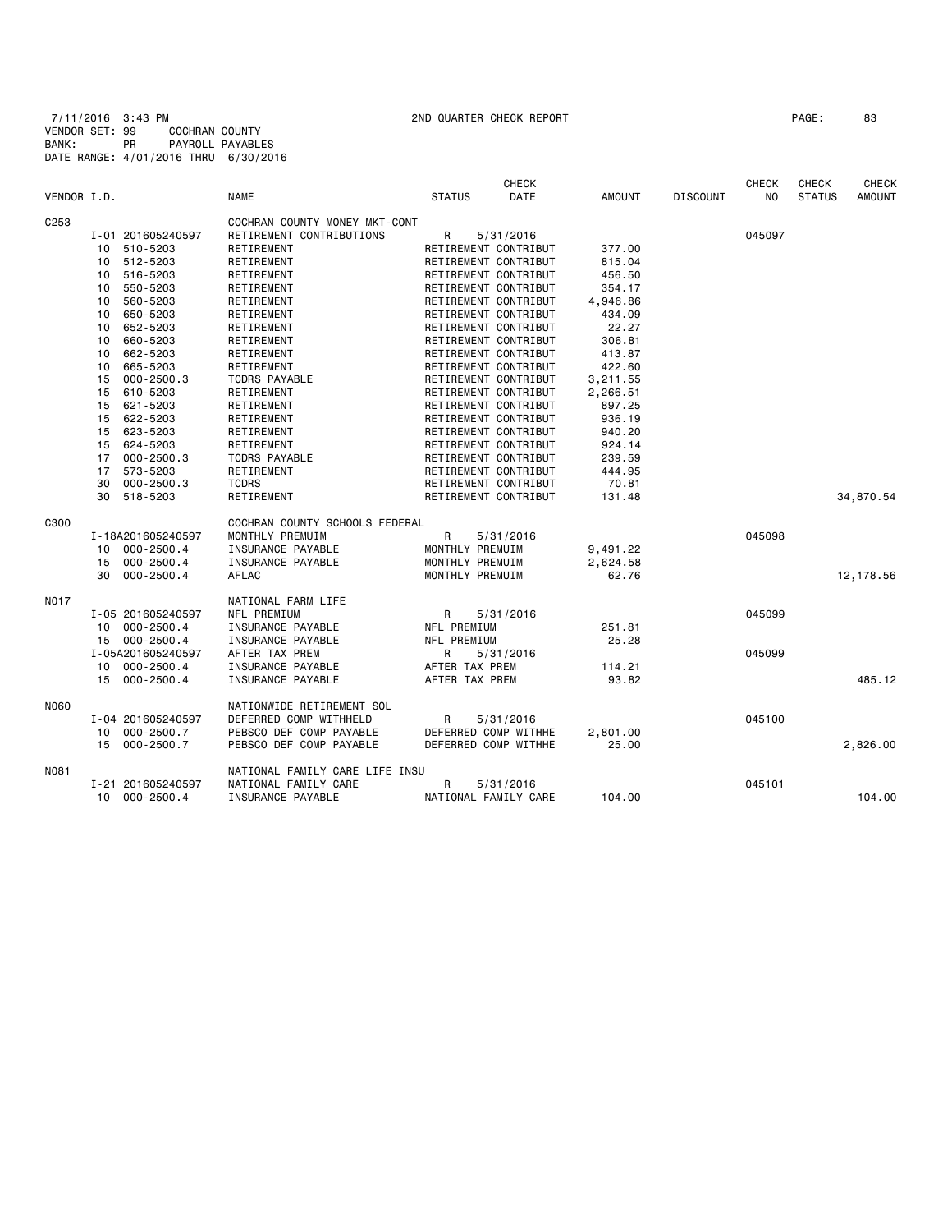|                  |    |                   |                                |                      | <b>CHECK</b> |               |                 | <b>CHECK</b>   | <b>CHECK</b>  | <b>CHECK</b>  |
|------------------|----|-------------------|--------------------------------|----------------------|--------------|---------------|-----------------|----------------|---------------|---------------|
| VENDOR I.D.      |    |                   | <b>NAME</b>                    | <b>STATUS</b>        | DATE         | <b>AMOUNT</b> | <b>DISCOUNT</b> | N <sub>O</sub> | <b>STATUS</b> | <b>AMOUNT</b> |
| C <sub>253</sub> |    |                   | COCHRAN COUNTY MONEY MKT-CONT  |                      |              |               |                 |                |               |               |
|                  |    | I-01 201605240597 | RETIREMENT CONTRIBUTIONS       | R                    | 5/31/2016    |               |                 | 045097         |               |               |
|                  | 10 | 510-5203          | RETIREMENT                     | RETIREMENT CONTRIBUT |              | 377.00        |                 |                |               |               |
|                  | 10 | 512-5203          | RETIREMENT                     | RETIREMENT CONTRIBUT |              | 815.04        |                 |                |               |               |
|                  | 10 | 516-5203          | RETIREMENT                     | RETIREMENT CONTRIBUT |              | 456.50        |                 |                |               |               |
|                  | 10 | 550-5203          | RETIREMENT                     | RETIREMENT CONTRIBUT |              | 354.17        |                 |                |               |               |
|                  | 10 | 560-5203          | RETIREMENT                     | RETIREMENT CONTRIBUT |              | 4,946.86      |                 |                |               |               |
|                  | 10 | 650-5203          | RETIREMENT                     | RETIREMENT CONTRIBUT |              | 434.09        |                 |                |               |               |
|                  | 10 | 652-5203          | RETIREMENT                     | RETIREMENT CONTRIBUT |              | 22.27         |                 |                |               |               |
|                  | 10 | 660-5203          | RETIREMENT                     | RETIREMENT CONTRIBUT |              | 306.81        |                 |                |               |               |
|                  | 10 | 662-5203          | RETIREMENT                     | RETIREMENT CONTRIBUT |              | 413.87        |                 |                |               |               |
|                  | 10 | 665-5203          | RETIREMENT                     | RETIREMENT CONTRIBUT |              | 422.60        |                 |                |               |               |
|                  | 15 | $000 - 2500.3$    | <b>TCDRS PAYABLE</b>           | RETIREMENT CONTRIBUT |              | 3,211.55      |                 |                |               |               |
|                  | 15 | 610-5203          | RETIREMENT                     | RETIREMENT CONTRIBUT |              | 2,266.51      |                 |                |               |               |
|                  | 15 | 621-5203          | RETIREMENT                     | RETIREMENT CONTRIBUT |              | 897.25        |                 |                |               |               |
|                  | 15 | 622-5203          | RETIREMENT                     | RETIREMENT CONTRIBUT |              | 936.19        |                 |                |               |               |
|                  | 15 | 623-5203          | RETIREMENT                     | RETIREMENT CONTRIBUT |              | 940.20        |                 |                |               |               |
|                  | 15 | 624-5203          | RETIREMENT                     | RETIREMENT CONTRIBUT |              | 924.14        |                 |                |               |               |
|                  | 17 | $000 - 2500.3$    | <b>TCDRS PAYABLE</b>           | RETIREMENT CONTRIBUT |              | 239.59        |                 |                |               |               |
|                  | 17 | 573-5203          | RETIREMENT                     | RETIREMENT CONTRIBUT |              | 444.95        |                 |                |               |               |
|                  | 30 | $000 - 2500.3$    | <b>TCDRS</b>                   | RETIREMENT CONTRIBUT |              | 70.81         |                 |                |               |               |
|                  | 30 | 518-5203          | RETIREMENT                     | RETIREMENT CONTRIBUT |              | 131.48        |                 |                |               | 34,870.54     |
| C300             |    |                   | COCHRAN COUNTY SCHOOLS FEDERAL |                      |              |               |                 |                |               |               |
|                  |    | I-18A201605240597 | MONTHLY PREMUIM                | R                    | 5/31/2016    |               |                 | 045098         |               |               |
|                  | 10 | $000 - 2500.4$    | INSURANCE PAYABLE              | MONTHLY PREMUIM      |              | 9,491.22      |                 |                |               |               |
|                  | 15 | $000 - 2500.4$    | INSURANCE PAYABLE              | MONTHLY PREMUIM      |              | 2,624.58      |                 |                |               |               |
|                  | 30 | $000 - 2500.4$    | AFLAC                          | MONTHLY PREMUIM      |              | 62.76         |                 |                |               | 12,178.56     |
| <b>NO17</b>      |    |                   | NATIONAL FARM LIFE             |                      |              |               |                 |                |               |               |
|                  |    | I-05 201605240597 | NFL PREMIUM                    | R                    | 5/31/2016    |               |                 | 045099         |               |               |
|                  | 10 | $000 - 2500.4$    | INSURANCE PAYABLE              | NFL PREMIUM          |              | 251.81        |                 |                |               |               |
|                  | 15 | $000 - 2500.4$    | INSURANCE PAYABLE              | NFL PREMIUM          |              | 25.28         |                 |                |               |               |
|                  |    | I-05A201605240597 | AFTER TAX PREM                 | R                    | 5/31/2016    |               |                 | 045099         |               |               |
|                  | 10 | $000 - 2500.4$    | INSURANCE PAYABLE              | AFTER TAX PREM       |              | 114.21        |                 |                |               |               |
|                  | 15 | $000 - 2500.4$    | INSURANCE PAYABLE              | AFTER TAX PREM       |              | 93.82         |                 |                |               | 485.12        |
| N060             |    |                   | NATIONWIDE RETIREMENT SOL      |                      |              |               |                 |                |               |               |
|                  |    | I-04 201605240597 | DEFERRED COMP WITHHELD         | R                    | 5/31/2016    |               |                 | 045100         |               |               |
|                  | 10 | $000 - 2500.7$    | PEBSCO DEF COMP PAYABLE        | DEFERRED COMP WITHHE |              | 2,801.00      |                 |                |               |               |
|                  | 15 | $000 - 2500.7$    | PEBSCO DEF COMP PAYABLE        | DEFERRED COMP WITHHE |              | 25.00         |                 |                |               | 2,826.00      |
|                  |    |                   |                                |                      |              |               |                 |                |               |               |
| <b>N081</b>      |    |                   | NATIONAL FAMILY CARE LIFE INSU |                      |              |               |                 |                |               |               |
|                  |    | I-21 201605240597 | NATIONAL FAMILY CARE           | R                    | 5/31/2016    |               |                 | 045101         |               |               |
|                  | 10 | $000 - 2500.4$    | INSURANCE PAYABLE              | NATIONAL FAMILY CARE |              | 104.00        |                 |                |               | 104,00        |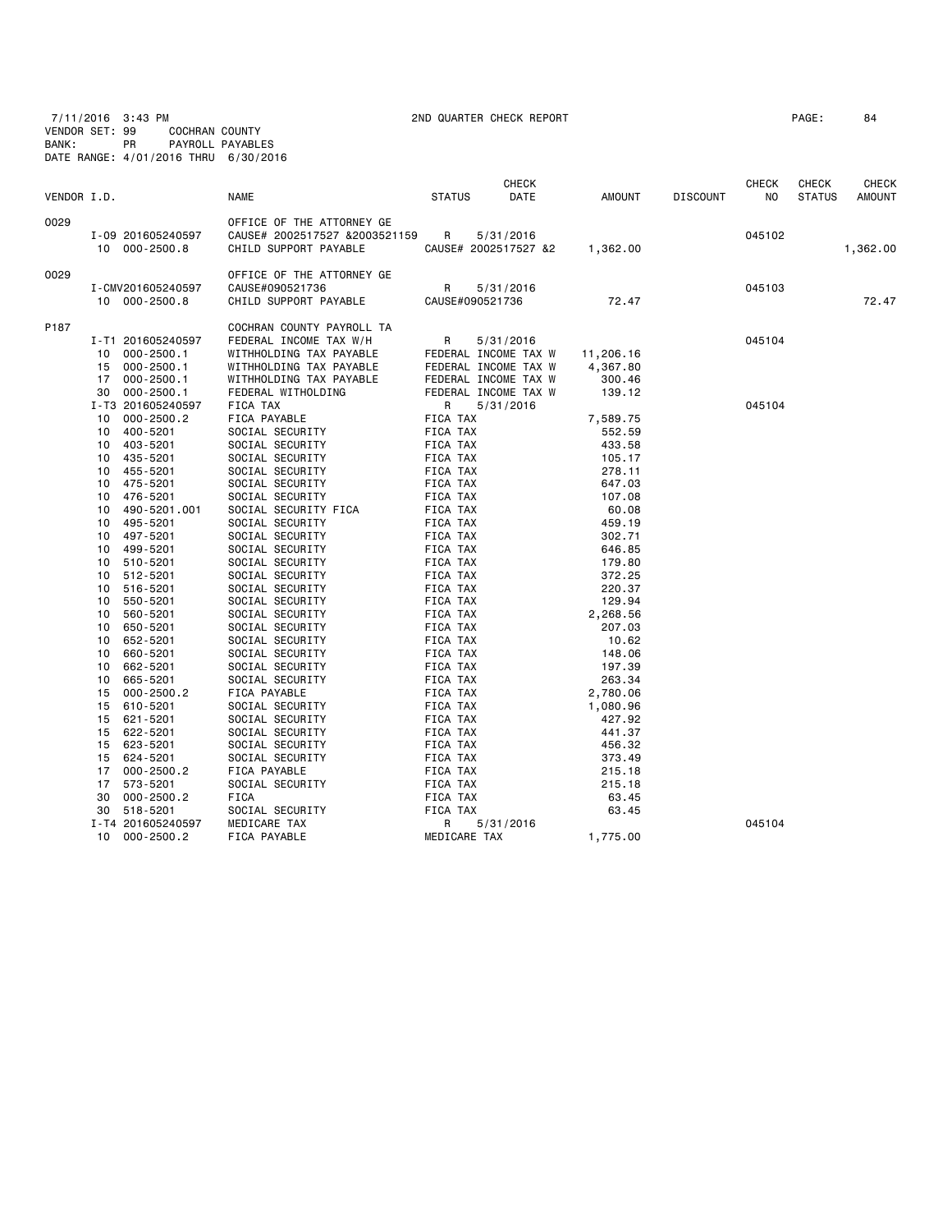7/11/2016 3:43 PM 2ND QUARTER CHECK REPORT PAGE: 84 VENDOR SET: 99 COCHRAN COUNTY BANK: PR PAYROLL PAYABLES DATE RANGE: 4/01/2016 THRU 6/30/2016

|             |    |                   |                               |               |                 | CHECK                |               |                 | <b>CHECK</b>   | CHECK         | CHECK         |
|-------------|----|-------------------|-------------------------------|---------------|-----------------|----------------------|---------------|-----------------|----------------|---------------|---------------|
| VENDOR I.D. |    |                   | <b>NAME</b>                   | <b>STATUS</b> |                 | DATE                 | <b>AMOUNT</b> | <b>DISCOUNT</b> | N <sub>O</sub> | <b>STATUS</b> | <b>AMOUNT</b> |
| 0029        |    |                   | OFFICE OF THE ATTORNEY GE     |               |                 |                      |               |                 |                |               |               |
|             |    | I-09 201605240597 | CAUSE# 2002517527 &2003521159 | R             |                 | 5/31/2016            |               |                 | 045102         |               |               |
|             |    | 10 000-2500.8     | CHILD SUPPORT PAYABLE         |               |                 | CAUSE# 2002517527 &2 | 1,362.00      |                 |                |               | 1,362.00      |
| 0029        |    |                   | OFFICE OF THE ATTORNEY GE     |               |                 |                      |               |                 |                |               |               |
|             |    | I-CMV201605240597 | CAUSE#090521736               | R             |                 | 5/31/2016            |               |                 | 045103         |               |               |
|             |    | 10 000-2500.8     | CHILD SUPPORT PAYABLE         |               | CAUSE#090521736 |                      | 72.47         |                 |                |               | 72.47         |
| P187        |    |                   | COCHRAN COUNTY PAYROLL TA     |               |                 |                      |               |                 |                |               |               |
|             |    | I-T1 201605240597 | FEDERAL INCOME TAX W/H        | R             |                 | 5/31/2016            |               |                 | 045104         |               |               |
|             | 10 | $000 - 2500.1$    | WITHHOLDING TAX PAYABLE       |               |                 | FEDERAL INCOME TAX W | 11,206.16     |                 |                |               |               |
|             | 15 | $000 - 2500.1$    | WITHHOLDING TAX PAYABLE       |               |                 | FEDERAL INCOME TAX W | 4,367.80      |                 |                |               |               |
|             | 17 | $000 - 2500.1$    | WITHHOLDING TAX PAYABLE       |               |                 | FEDERAL INCOME TAX W | 300.46        |                 |                |               |               |
|             | 30 | $000 - 2500.1$    | FEDERAL WITHOLDING            |               |                 | FEDERAL INCOME TAX W | 139.12        |                 |                |               |               |
|             |    | I-T3 201605240597 | FICA TAX                      | R             |                 | 5/31/2016            |               |                 | 045104         |               |               |
|             | 10 | $000 - 2500.2$    | FICA PAYABLE                  | FICA TAX      |                 |                      | 7,589.75      |                 |                |               |               |
|             | 10 | 400-5201          | SOCIAL SECURITY               | FICA TAX      |                 |                      | 552.59        |                 |                |               |               |
|             | 10 | 403-5201          | SOCIAL SECURITY               | FICA TAX      |                 |                      | 433.58        |                 |                |               |               |
|             | 10 | 435-5201          | SOCIAL SECURITY               | FICA TAX      |                 |                      | 105.17        |                 |                |               |               |
|             | 10 | 455-5201          | SOCIAL SECURITY               | FICA TAX      |                 |                      | 278.11        |                 |                |               |               |
|             | 10 | 475-5201          | SOCIAL SECURITY               | FICA TAX      |                 |                      | 647.03        |                 |                |               |               |
|             | 10 | 476-5201          | SOCIAL SECURITY               | FICA TAX      |                 |                      | 107.08        |                 |                |               |               |
|             | 10 | 490-5201.001      | SOCIAL SECURITY FICA          | FICA TAX      |                 |                      | 60.08         |                 |                |               |               |
|             | 10 | 495-5201          | SOCIAL SECURITY               | FICA TAX      |                 |                      | 459.19        |                 |                |               |               |
|             | 10 | 497-5201          | SOCIAL SECURITY               | FICA TAX      |                 |                      | 302.71        |                 |                |               |               |
|             | 10 | 499-5201          | SOCIAL SECURITY               | FICA TAX      |                 |                      | 646.85        |                 |                |               |               |
|             | 10 | 510-5201          | SOCIAL SECURITY               | FICA TAX      |                 |                      | 179.80        |                 |                |               |               |
|             | 10 | 512-5201          | SOCIAL SECURITY               | FICA TAX      |                 |                      | 372.25        |                 |                |               |               |
|             | 10 | 516-5201          | SOCIAL SECURITY               | FICA TAX      |                 |                      | 220.37        |                 |                |               |               |
|             | 10 | 550-5201          | SOCIAL SECURITY               | FICA TAX      |                 |                      | 129.94        |                 |                |               |               |
|             | 10 | 560-5201          | SOCIAL SECURITY               | FICA TAX      |                 |                      | 2,268.56      |                 |                |               |               |
|             | 10 | 650-5201          | SOCIAL SECURITY               | FICA TAX      |                 |                      | 207.03        |                 |                |               |               |
|             | 10 | 652-5201          | SOCIAL SECURITY               | FICA TAX      |                 |                      | 10.62         |                 |                |               |               |
|             | 10 | 660-5201          | SOCIAL SECURITY               | FICA TAX      |                 |                      | 148.06        |                 |                |               |               |
|             | 10 | 662-5201          | SOCIAL SECURITY               | FICA TAX      |                 |                      | 197.39        |                 |                |               |               |
|             | 10 | 665-5201          | SOCIAL SECURITY               | FICA TAX      |                 |                      | 263.34        |                 |                |               |               |
|             | 15 | $000 - 2500.2$    | FICA PAYABLE                  | FICA TAX      |                 |                      | 2,780.06      |                 |                |               |               |
|             | 15 | 610-5201          | SOCIAL SECURITY               | FICA TAX      |                 |                      | 1,080.96      |                 |                |               |               |
|             | 15 | 621-5201          | SOCIAL SECURITY               | FICA TAX      |                 |                      | 427.92        |                 |                |               |               |
|             | 15 | 622-5201          | SOCIAL SECURITY               | FICA TAX      |                 |                      | 441.37        |                 |                |               |               |
|             | 15 | 623-5201          | SOCIAL SECURITY               | FICA TAX      |                 |                      | 456.32        |                 |                |               |               |
|             | 15 | 624-5201          | SOCIAL SECURITY               | FICA TAX      |                 |                      | 373.49        |                 |                |               |               |
|             | 17 | $000 - 2500.2$    | FICA PAYABLE                  | FICA TAX      |                 |                      | 215.18        |                 |                |               |               |
|             | 17 | 573-5201          | SOCIAL SECURITY               | FICA TAX      |                 |                      | 215.18        |                 |                |               |               |
|             | 30 | $000 - 2500.2$    | FICA                          | FICA TAX      |                 |                      | 63.45         |                 |                |               |               |
|             | 30 | 518-5201          | SOCIAL SECURITY               | FICA TAX      |                 |                      | 63.45         |                 |                |               |               |
|             |    | I-T4 201605240597 | MEDICARE TAX                  | R             |                 | 5/31/2016            |               |                 | 045104         |               |               |
|             | 10 | $000 - 2500.2$    | FICA PAYABLE                  |               | MEDICARE TAX    |                      | 1,775.00      |                 |                |               |               |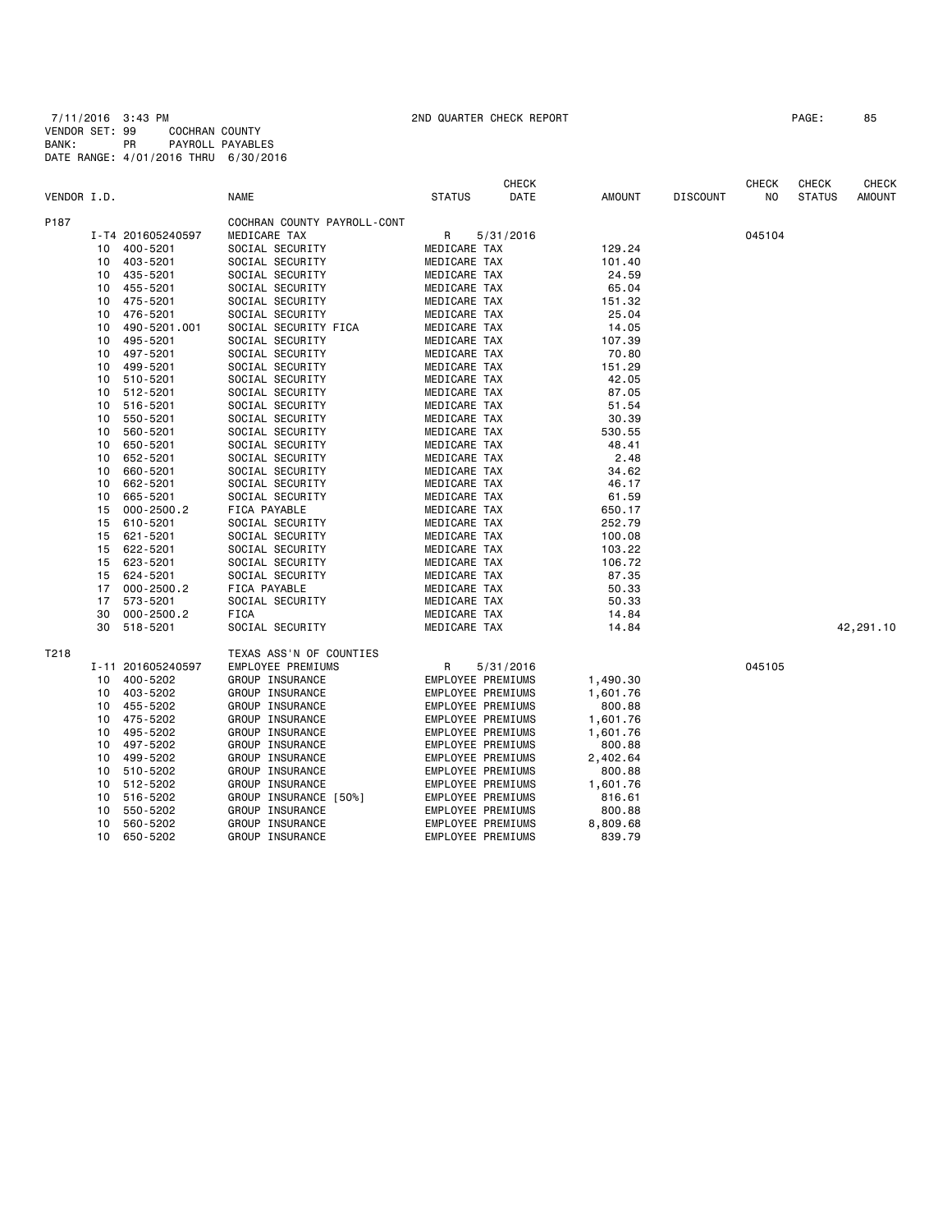7/11/2016 3:43 PM 2ND QUARTER CHECK REPORT PAGE: 85 VENDOR SET: 99 COCHRAN COUNTY BANK: PR PAYROLL PAYABLES DATE RANGE: 4/01/2016 THRU 6/30/2016

|             |    |                   |                             |                   | <b>CHECK</b> |          |                 | <b>CHECK</b>   | <b>CHECK</b>  | CHECK         |
|-------------|----|-------------------|-----------------------------|-------------------|--------------|----------|-----------------|----------------|---------------|---------------|
| VENDOR I.D. |    |                   | <b>NAME</b>                 | <b>STATUS</b>     | DATE         | AMOUNT   | <b>DISCOUNT</b> | N <sub>O</sub> | <b>STATUS</b> | <b>AMOUNT</b> |
| P187        |    |                   | COCHRAN COUNTY PAYROLL-CONT |                   |              |          |                 |                |               |               |
|             |    | I-T4 201605240597 | MEDICARE TAX                | R                 | 5/31/2016    |          |                 | 045104         |               |               |
|             | 10 | 400-5201          | SOCIAL SECURITY             | MEDICARE TAX      |              | 129.24   |                 |                |               |               |
|             | 10 | 403-5201          | SOCIAL SECURITY             | MEDICARE TAX      |              | 101.40   |                 |                |               |               |
|             | 10 | 435-5201          | SOCIAL SECURITY             | MEDICARE TAX      |              | 24.59    |                 |                |               |               |
|             | 10 | 455-5201          | SOCIAL SECURITY             | MEDICARE TAX      |              | 65.04    |                 |                |               |               |
|             | 10 | 475-5201          | SOCIAL SECURITY             | MEDICARE TAX      |              | 151.32   |                 |                |               |               |
|             | 10 | 476-5201          | SOCIAL SECURITY             | MEDICARE TAX      |              | 25.04    |                 |                |               |               |
|             | 10 | 490-5201.001      | SOCIAL SECURITY FICA        | MEDICARE TAX      |              | 14.05    |                 |                |               |               |
|             | 10 | 495-5201          |                             |                   |              | 107.39   |                 |                |               |               |
|             |    |                   | SOCIAL SECURITY             | MEDICARE TAX      |              |          |                 |                |               |               |
|             | 10 | 497-5201          | SOCIAL SECURITY             | MEDICARE TAX      |              | 70.80    |                 |                |               |               |
|             | 10 | 499-5201          | SOCIAL SECURITY             | MEDICARE TAX      |              | 151.29   |                 |                |               |               |
|             | 10 | 510-5201          | SOCIAL SECURITY             | MEDICARE TAX      |              | 42.05    |                 |                |               |               |
|             | 10 | 512-5201          | SOCIAL SECURITY             | MEDICARE TAX      |              | 87.05    |                 |                |               |               |
|             | 10 | 516-5201          | SOCIAL SECURITY             | MEDICARE TAX      |              | 51.54    |                 |                |               |               |
|             | 10 | 550-5201          | SOCIAL SECURITY             | MEDICARE TAX      |              | 30.39    |                 |                |               |               |
|             | 10 | 560-5201          | SOCIAL SECURITY             | MEDICARE TAX      |              | 530.55   |                 |                |               |               |
|             | 10 | 650-5201          | SOCIAL SECURITY             | MEDICARE TAX      |              | 48.41    |                 |                |               |               |
|             | 10 | 652-5201          | SOCIAL SECURITY             | MEDICARE TAX      |              | 2.48     |                 |                |               |               |
|             | 10 | 660-5201          | SOCIAL SECURITY             | MEDICARE TAX      |              | 34.62    |                 |                |               |               |
|             | 10 | 662-5201          | SOCIAL SECURITY             | MEDICARE TAX      |              | 46.17    |                 |                |               |               |
|             | 10 | 665-5201          | SOCIAL SECURITY             | MEDICARE TAX      |              | 61.59    |                 |                |               |               |
|             | 15 | $000 - 2500.2$    | FICA PAYABLE                | MEDICARE TAX      |              | 650.17   |                 |                |               |               |
|             | 15 | 610-5201          | SOCIAL SECURITY             | MEDICARE TAX      |              | 252.79   |                 |                |               |               |
|             | 15 | 621-5201          | SOCIAL SECURITY             | MEDICARE TAX      |              | 100.08   |                 |                |               |               |
|             | 15 | 622-5201          | SOCIAL SECURITY             | MEDICARE TAX      |              | 103.22   |                 |                |               |               |
|             | 15 | 623-5201          | SOCIAL SECURITY             | MEDICARE TAX      |              | 106.72   |                 |                |               |               |
|             | 15 | 624-5201          | SOCIAL SECURITY             | MEDICARE TAX      |              | 87.35    |                 |                |               |               |
|             | 17 | $000 - 2500.2$    | FICA PAYABLE                | MEDICARE TAX      |              | 50.33    |                 |                |               |               |
|             | 17 | 573-5201          | SOCIAL SECURITY             | MEDICARE TAX      |              | 50.33    |                 |                |               |               |
|             | 30 | $000 - 2500.2$    | <b>FICA</b>                 | MEDICARE TAX      |              | 14.84    |                 |                |               |               |
|             | 30 | 518-5201          | SOCIAL SECURITY             | MEDICARE TAX      |              | 14.84    |                 |                |               | 42,291.10     |
| T218        |    |                   | TEXAS ASS'N OF COUNTIES     |                   |              |          |                 |                |               |               |
|             |    | I-11 201605240597 | EMPLOYEE PREMIUMS           | R                 | 5/31/2016    |          |                 | 045105         |               |               |
|             | 10 | 400-5202          | GROUP INSURANCE             | EMPLOYEE PREMIUMS |              | 1,490.30 |                 |                |               |               |
|             | 10 | 403-5202          | GROUP INSURANCE             | EMPLOYEE PREMIUMS |              | 1,601.76 |                 |                |               |               |
|             | 10 | 455-5202          | GROUP INSURANCE             | EMPLOYEE PREMIUMS |              | 800.88   |                 |                |               |               |
|             | 10 | 475-5202          | GROUP INSURANCE             | EMPLOYEE PREMIUMS |              | 1,601.76 |                 |                |               |               |
|             | 10 | 495-5202          | GROUP INSURANCE             | EMPLOYEE PREMIUMS |              | 1,601.76 |                 |                |               |               |
|             | 10 | 497-5202          | GROUP INSURANCE             | EMPLOYEE PREMIUMS |              | 800.88   |                 |                |               |               |
|             |    |                   |                             |                   |              |          |                 |                |               |               |
|             | 10 | 499-5202          | GROUP INSURANCE             | EMPLOYEE PREMIUMS |              | 2,402.64 |                 |                |               |               |
|             | 10 | 510-5202          | GROUP INSURANCE             | EMPLOYEE PREMIUMS |              | 800.88   |                 |                |               |               |
|             | 10 | 512-5202          | GROUP INSURANCE             | EMPLOYEE PREMIUMS |              | 1,601.76 |                 |                |               |               |
|             | 10 | 516-5202          | GROUP INSURANCE [50%]       | EMPLOYEE PREMIUMS |              | 816.61   |                 |                |               |               |
|             | 10 | 550-5202          | GROUP INSURANCE             | EMPLOYEE PREMIUMS |              | 800.88   |                 |                |               |               |
|             | 10 | 560-5202          | GROUP INSURANCE             | EMPLOYEE PREMIUMS |              | 8,809.68 |                 |                |               |               |
|             | 10 | 650-5202          | GROUP INSURANCE             | EMPLOYEE PREMIUMS |              | 839.79   |                 |                |               |               |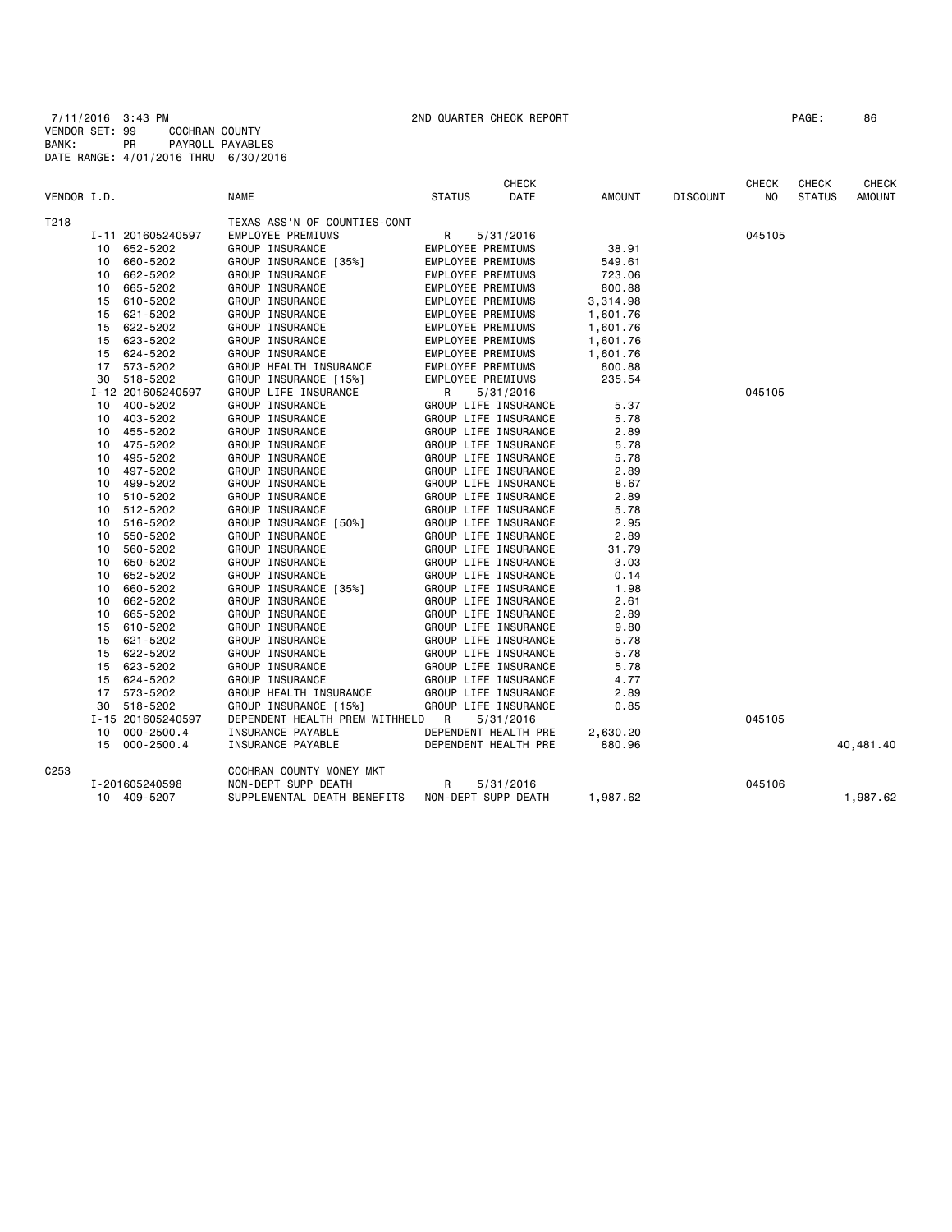7/11/2016 3:43 PM 2ND QUARTER CHECK REPORT PAGE: 86 VENDOR SET: 99 COCHRAN COUNTY BANK: PR PAYROLL PAYABLES DATE RANGE: 4/01/2016 THRU 6/30/2016

| VENDOR I.D.      |          |                      | <b>NAME</b>                              | <b>STATUS</b> | <b>CHECK</b><br>DATE                         | <b>AMOUNT</b> | <b>DISCOUNT</b> | <b>CHECK</b><br>NO | CHECK<br><b>STATUS</b> | <b>CHECK</b><br><b>AMOUNT</b> |
|------------------|----------|----------------------|------------------------------------------|---------------|----------------------------------------------|---------------|-----------------|--------------------|------------------------|-------------------------------|
|                  |          |                      |                                          |               |                                              |               |                 |                    |                        |                               |
| T218             |          |                      | TEXAS ASS'N OF COUNTIES-CONT             |               |                                              |               |                 |                    |                        |                               |
|                  |          | I-11 201605240597    | EMPLOYEE PREMIUMS                        | R             | 5/31/2016                                    |               |                 | 045105             |                        |                               |
|                  | 10       | 652-5202             | GROUP INSURANCE                          |               | EMPLOYEE PREMIUMS                            | 38.91         |                 |                    |                        |                               |
|                  | 10       | 660-5202             | GROUP INSURANCE [35%]                    |               | EMPLOYEE PREMIUMS                            | 549.61        |                 |                    |                        |                               |
|                  | 10       | 662-5202             | GROUP INSURANCE                          |               | EMPLOYEE PREMIUMS                            | 723.06        |                 |                    |                        |                               |
|                  | 10       | 665-5202             | GROUP INSURANCE                          |               | EMPLOYEE PREMIUMS                            | 800.88        |                 |                    |                        |                               |
|                  | 15       | 610-5202             | GROUP INSURANCE                          |               | EMPLOYEE PREMIUMS                            | 3,314.98      |                 |                    |                        |                               |
|                  | 15       | 621-5202             | GROUP INSURANCE                          |               | EMPLOYEE PREMIUMS                            | 1,601.76      |                 |                    |                        |                               |
|                  | 15       | 622-5202             | GROUP INSURANCE                          |               | EMPLOYEE PREMIUMS                            | 1,601.76      |                 |                    |                        |                               |
|                  | 15       | 623-5202             | GROUP INSURANCE                          |               | EMPLOYEE PREMIUMS                            | 1,601.76      |                 |                    |                        |                               |
|                  | 15       | 624-5202             | GROUP INSURANCE                          |               | EMPLOYEE PREMIUMS                            | 1,601.76      |                 |                    |                        |                               |
|                  | 17       | 573-5202             | GROUP HEALTH INSURANCE                   |               | EMPLOYEE PREMIUMS                            | 800.88        |                 |                    |                        |                               |
|                  | 30       | 518-5202             | GROUP INSURANCE [15%]                    |               | EMPLOYEE PREMIUMS                            | 235.54        |                 |                    |                        |                               |
|                  |          | I-12 201605240597    | GROUP LIFE INSURANCE                     | R             | 5/31/2016                                    |               |                 | 045105             |                        |                               |
|                  | 10       | 400-5202             | GROUP INSURANCE                          |               | GROUP LIFE INSURANCE                         | 5.37          |                 |                    |                        |                               |
|                  | 10       | 403-5202             | GROUP INSURANCE                          |               | GROUP LIFE INSURANCE                         | 5.78          |                 |                    |                        |                               |
|                  | 10       | 455-5202             | GROUP INSURANCE                          |               | GROUP LIFE INSURANCE                         | 2.89          |                 |                    |                        |                               |
|                  | 10       | 475-5202             | GROUP INSURANCE                          |               | GROUP LIFE INSURANCE                         | 5.78          |                 |                    |                        |                               |
|                  | 10       | 495-5202             | GROUP INSURANCE                          |               | GROUP LIFE INSURANCE                         | 5.78          |                 |                    |                        |                               |
|                  | 10       | 497-5202             | GROUP INSURANCE                          |               | GROUP LIFE INSURANCE                         | 2.89          |                 |                    |                        |                               |
|                  | 10       | 499-5202             | GROUP INSURANCE                          |               | GROUP LIFE INSURANCE                         | 8.67          |                 |                    |                        |                               |
|                  | 10       | 510-5202             | GROUP INSURANCE                          |               | GROUP LIFE INSURANCE                         | 2.89          |                 |                    |                        |                               |
|                  | 10       | 512-5202             | GROUP INSURANCE                          |               | GROUP LIFE INSURANCE                         | 5.78          |                 |                    |                        |                               |
|                  | 10       | 516-5202<br>550-5202 | GROUP INSURANCE [50%]<br>GROUP INSURANCE |               | GROUP LIFE INSURANCE<br>GROUP LIFE INSURANCE | 2.95<br>2.89  |                 |                    |                        |                               |
|                  | 10<br>10 | 560-5202             | GROUP INSURANCE                          |               | GROUP LIFE INSURANCE                         | 31.79         |                 |                    |                        |                               |
|                  | 10       | 650-5202             | GROUP INSURANCE                          |               | GROUP LIFE INSURANCE                         | 3.03          |                 |                    |                        |                               |
|                  | 10       | 652-5202             | GROUP INSURANCE                          |               | GROUP LIFE INSURANCE                         | 0.14          |                 |                    |                        |                               |
|                  | 10       | 660-5202             | GROUP INSURANCE [35%]                    |               | GROUP LIFE INSURANCE                         | 1.98          |                 |                    |                        |                               |
|                  | 10       | 662-5202             | GROUP INSURANCE                          |               | GROUP LIFE INSURANCE                         | 2.61          |                 |                    |                        |                               |
|                  | 10       | 665-5202             | GROUP INSURANCE                          |               | GROUP LIFE INSURANCE                         | 2.89          |                 |                    |                        |                               |
|                  | 15       | 610-5202             | GROUP INSURANCE                          |               | GROUP LIFE INSURANCE                         | 9.80          |                 |                    |                        |                               |
|                  | 15       | 621-5202             | GROUP INSURANCE                          |               | GROUP LIFE INSURANCE                         | 5.78          |                 |                    |                        |                               |
|                  | 15       | 622-5202             | GROUP INSURANCE                          |               | GROUP LIFE INSURANCE                         | 5.78          |                 |                    |                        |                               |
|                  | 15       | 623-5202             | GROUP INSURANCE                          |               | GROUP LIFE INSURANCE                         | 5.78          |                 |                    |                        |                               |
|                  | 15       | 624-5202             | GROUP INSURANCE                          |               | GROUP LIFE INSURANCE                         | 4.77          |                 |                    |                        |                               |
|                  | 17       | 573-5202             | GROUP HEALTH INSURANCE                   |               | GROUP LIFE INSURANCE                         | 2.89          |                 |                    |                        |                               |
|                  | 30       | 518-5202             | GROUP INSURANCE [15%]                    |               | GROUP LIFE INSURANCE                         | 0.85          |                 |                    |                        |                               |
|                  |          | I-15 201605240597    | DEPENDENT HEALTH PREM WITHHELD R         |               | 5/31/2016                                    |               |                 | 045105             |                        |                               |
|                  | 10       | $000 - 2500.4$       | INSURANCE PAYABLE                        |               | DEPENDENT HEALTH PRE                         | 2,630.20      |                 |                    |                        |                               |
|                  |          | 15 000-2500.4        | INSURANCE PAYABLE                        |               | DEPENDENT HEALTH PRE                         | 880.96        |                 |                    |                        | 40,481.40                     |
| C <sub>253</sub> |          |                      | COCHRAN COUNTY MONEY MKT                 |               |                                              |               |                 |                    |                        |                               |
|                  |          | I-201605240598       | NON-DEPT SUPP DEATH                      | R             | 5/31/2016                                    |               |                 | 045106             |                        |                               |
|                  |          | 10 409-5207          | SUPPLEMENTAL DEATH BENEFITS              |               | NON-DEPT SUPP DEATH                          | 1,987.62      |                 |                    |                        | 1,987.62                      |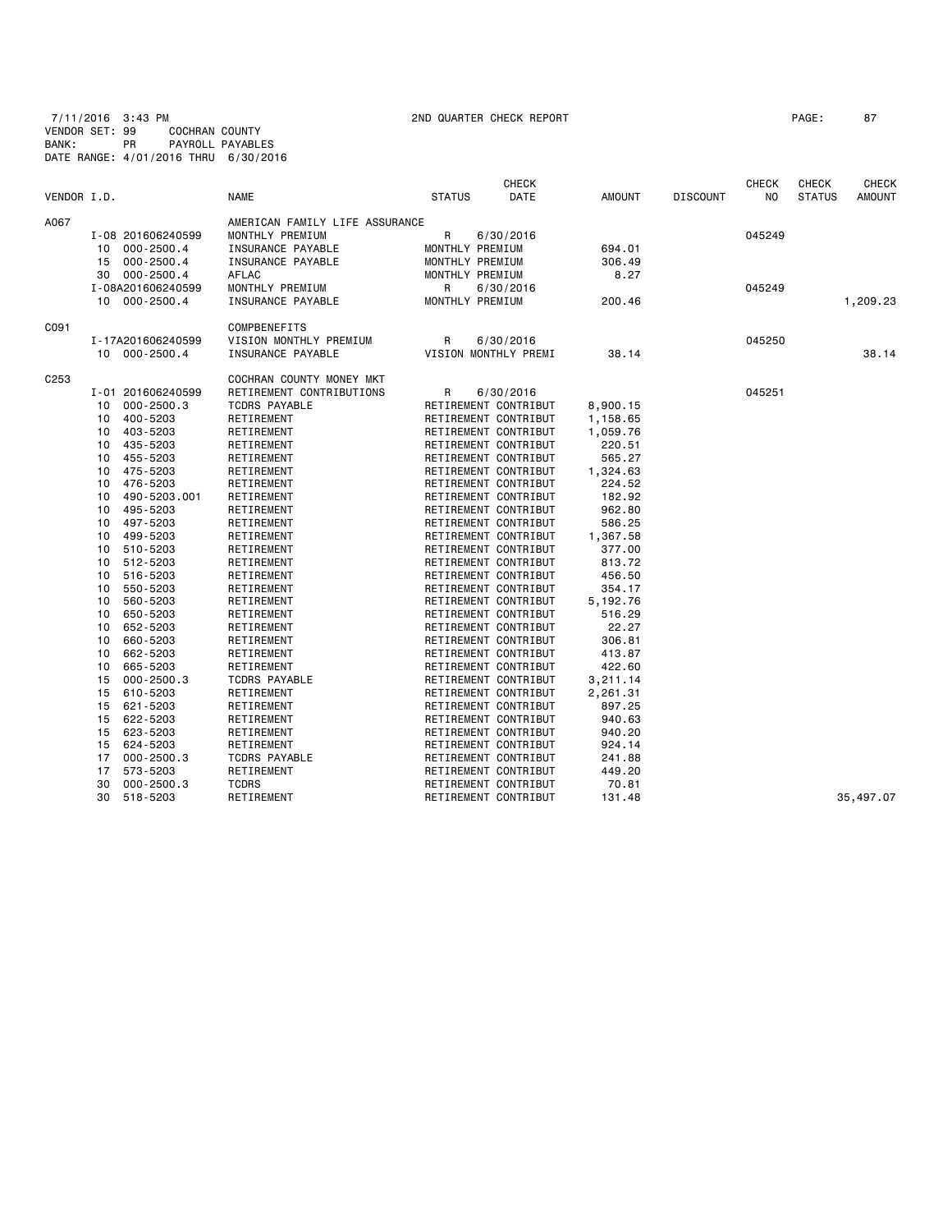7/11/2016 3:43 PM 2ND QUARTER CHECK REPORT PAGE: 87 VENDOR SET: 99 COCHRAN COUNTY BANK: PR PAYROLL PAYABLES DATE RANGE: 4/01/2016 THRU 6/30/2016

| VENDOR I.D.      |                                  | <b>NAME</b>                    | <b>STATUS</b>   | <b>CHECK</b><br>DATE | AMOUNT   | <b>DISCOUNT</b> | <b>CHECK</b><br>NO | <b>CHECK</b><br><b>STATUS</b> | CHECK<br><b>AMOUNT</b> |
|------------------|----------------------------------|--------------------------------|-----------------|----------------------|----------|-----------------|--------------------|-------------------------------|------------------------|
|                  |                                  |                                |                 |                      |          |                 |                    |                               |                        |
| A067             |                                  | AMERICAN FAMILY LIFE ASSURANCE |                 |                      |          |                 |                    |                               |                        |
|                  | I-08 201606240599                | MONTHLY PREMIUM                | R               | 6/30/2016            |          |                 | 045249             |                               |                        |
|                  | 000-2500.4<br>10                 | INSURANCE PAYABLE              | MONTHLY PREMIUM |                      | 694.01   |                 |                    |                               |                        |
|                  | $000 - 2500.4$<br>15             | INSURANCE PAYABLE              | MONTHLY PREMIUM |                      | 306.49   |                 |                    |                               |                        |
|                  | $000 - 2500.4$<br>30             | AFLAC                          | MONTHLY PREMIUM |                      | 8.27     |                 |                    |                               |                        |
|                  | I-08A201606240599                | MONTHLY PREMIUM                | R               | 6/30/2016            |          |                 | 045249             |                               |                        |
|                  | 10 000-2500.4                    | INSURANCE PAYABLE              | MONTHLY PREMIUM |                      | 200.46   |                 |                    |                               | 1,209.23               |
| C091             |                                  | COMPBENEFITS                   |                 |                      |          |                 |                    |                               |                        |
|                  | I-17A201606240599                | VISION MONTHLY PREMIUM         | R               | 6/30/2016            |          |                 | 045250             |                               |                        |
|                  | 10 000-2500.4                    | INSURANCE PAYABLE              |                 | VISION MONTHLY PREMI | 38.14    |                 |                    |                               | 38.14                  |
| C <sub>253</sub> |                                  | COCHRAN COUNTY MONEY MKT       |                 |                      |          |                 |                    |                               |                        |
|                  | I-01 201606240599                | RETIREMENT CONTRIBUTIONS       | R               | 6/30/2016            |          |                 | 045251             |                               |                        |
|                  | $000 - 2500.3$<br>10             | <b>TCDRS PAYABLE</b>           |                 | RETIREMENT CONTRIBUT | 8,900.15 |                 |                    |                               |                        |
|                  | 400-5203<br>10                   | RETIREMENT                     |                 | RETIREMENT CONTRIBUT | 1,158.65 |                 |                    |                               |                        |
|                  | 403-5203<br>10                   | RETIREMENT                     |                 | RETIREMENT CONTRIBUT | 1,059.76 |                 |                    |                               |                        |
|                  | 10<br>435-5203                   | RETIREMENT                     |                 | RETIREMENT CONTRIBUT | 220.51   |                 |                    |                               |                        |
|                  | 455-5203<br>10                   | RETIREMENT                     |                 | RETIREMENT CONTRIBUT | 565.27   |                 |                    |                               |                        |
|                  | 475-5203<br>10                   | RETIREMENT                     |                 | RETIREMENT CONTRIBUT | 1,324.63 |                 |                    |                               |                        |
|                  | 476-5203<br>10                   | RETIREMENT                     |                 | RETIREMENT CONTRIBUT | 224.52   |                 |                    |                               |                        |
|                  | 490-5203.001<br>10               | RETIREMENT                     |                 | RETIREMENT CONTRIBUT | 182.92   |                 |                    |                               |                        |
|                  | 495-5203<br>10                   | RETIREMENT                     |                 | RETIREMENT CONTRIBUT | 962.80   |                 |                    |                               |                        |
|                  | 497-5203<br>10                   | RETIREMENT                     |                 | RETIREMENT CONTRIBUT | 586.25   |                 |                    |                               |                        |
|                  | 499-5203<br>10                   | RETIREMENT                     |                 | RETIREMENT CONTRIBUT | 1,367.58 |                 |                    |                               |                        |
|                  | 510-5203<br>10                   | RETIREMENT                     |                 | RETIREMENT CONTRIBUT | 377.00   |                 |                    |                               |                        |
|                  | 512-5203<br>10                   | RETIREMENT                     |                 | RETIREMENT CONTRIBUT | 813.72   |                 |                    |                               |                        |
|                  | 516-5203<br>10                   | RETIREMENT                     |                 | RETIREMENT CONTRIBUT | 456.50   |                 |                    |                               |                        |
|                  | 550-5203<br>10                   | RETIREMENT                     |                 | RETIREMENT CONTRIBUT | 354.17   |                 |                    |                               |                        |
|                  | 560-5203<br>10                   | RETIREMENT                     |                 | RETIREMENT CONTRIBUT | 5,192.76 |                 |                    |                               |                        |
|                  | 650-5203<br>10                   | RETIREMENT                     |                 | RETIREMENT CONTRIBUT | 516.29   |                 |                    |                               |                        |
|                  | 652-5203<br>10                   | RETIREMENT                     |                 | RETIREMENT CONTRIBUT | 22.27    |                 |                    |                               |                        |
|                  | 660-5203<br>10                   | RETIREMENT                     |                 | RETIREMENT CONTRIBUT | 306.81   |                 |                    |                               |                        |
|                  | 662-5203<br>10                   | RETIREMENT                     |                 | RETIREMENT CONTRIBUT | 413.87   |                 |                    |                               |                        |
|                  | 665-5203<br>10                   | RETIREMENT                     |                 | RETIREMENT CONTRIBUT | 422.60   |                 |                    |                               |                        |
|                  | 15<br>$000 - 2500.3$             | <b>TCDRS PAYABLE</b>           |                 | RETIREMENT CONTRIBUT | 3,211.14 |                 |                    |                               |                        |
|                  | 610-5203<br>15                   | RETIREMENT                     |                 | RETIREMENT CONTRIBUT | 2,261.31 |                 |                    |                               |                        |
|                  | 621-5203<br>15                   | RETIREMENT                     |                 | RETIREMENT CONTRIBUT | 897.25   |                 |                    |                               |                        |
|                  | 622-5203<br>15                   | RETIREMENT                     |                 | RETIREMENT CONTRIBUT | 940.63   |                 |                    |                               |                        |
|                  |                                  |                                |                 |                      |          |                 |                    |                               |                        |
|                  | 15<br>623-5203<br>624-5203<br>15 | RETIREMENT                     |                 | RETIREMENT CONTRIBUT | 940.20   |                 |                    |                               |                        |
|                  |                                  | RETIREMENT                     |                 | RETIREMENT CONTRIBUT | 924.14   |                 |                    |                               |                        |
|                  | $000 - 2500.3$<br>17             | <b>TCDRS PAYABLE</b>           |                 | RETIREMENT CONTRIBUT | 241.88   |                 |                    |                               |                        |
|                  | 573-5203<br>17                   | RETIREMENT                     |                 | RETIREMENT CONTRIBUT | 449.20   |                 |                    |                               |                        |
|                  | 30<br>$000 - 2500.3$             | <b>TCDRS</b>                   |                 | RETIREMENT CONTRIBUT | 70.81    |                 |                    |                               |                        |
|                  | 518-5203<br>30                   | RETIREMENT                     |                 | RETIREMENT CONTRIBUT | 131.48   |                 |                    |                               | 35,497.07              |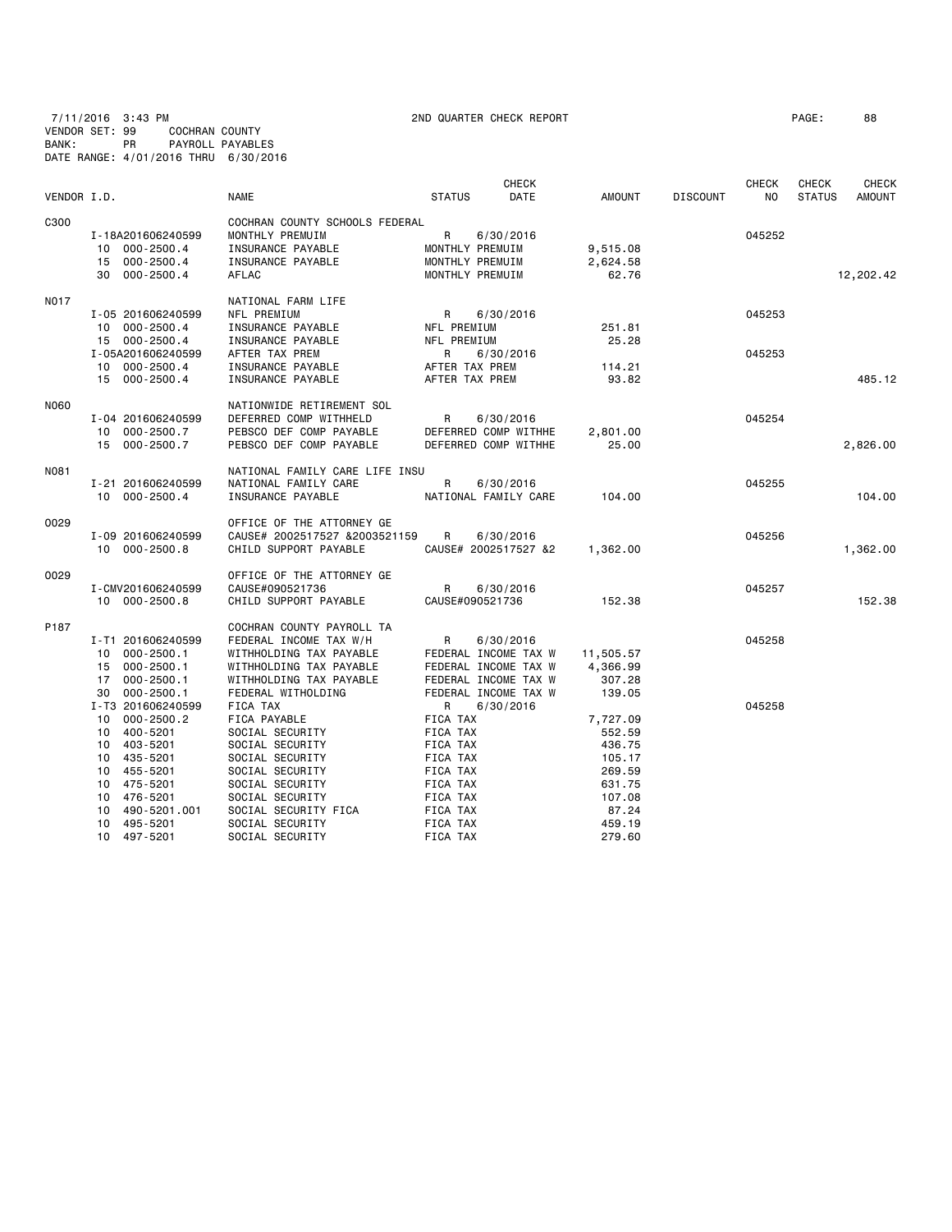7/11/2016 3:43 PM 2ND QUARTER CHECK REPORT PAGE: 88 VENDOR SET: 99 COCHRAN COUNTY BANK: PR PAYROLL PAYABLES DATE RANGE: 4/01/2016 THRU 6/30/2016

| VENDOR I.D. |                                                                                                                        | <b>NAME</b>                                                                                                                                                | <b>CHECK</b><br><b>STATUS</b><br>DATE                                                                          | <b>AMOUNT</b>                                              | <b>DISCOUNT</b> | <b>CHECK</b><br>NO. | <b>CHECK</b><br><b>STATUS</b> | <b>CHECK</b><br><b>AMOUNT</b> |
|-------------|------------------------------------------------------------------------------------------------------------------------|------------------------------------------------------------------------------------------------------------------------------------------------------------|----------------------------------------------------------------------------------------------------------------|------------------------------------------------------------|-----------------|---------------------|-------------------------------|-------------------------------|
| C300        | I-18A201606240599<br>000-2500.4<br>10<br>15 000-2500.4<br>30 000-2500.4                                                | COCHRAN COUNTY SCHOOLS FEDERAL<br>MONTHLY PREMUIM<br>INSURANCE PAYABLE<br>INSURANCE PAYABLE<br>AFLAC                                                       | R<br>6/30/2016<br>MONTHLY PREMUIM<br>MONTHLY PREMUIM<br>MONTHLY PREMUIM                                        | 9,515.08<br>2,624.58<br>62.76                              |                 | 045252              |                               | 12,202.42                     |
| <b>NO17</b> | I-05 201606240599<br>10 000-2500.4<br>15 000-2500.4                                                                    | NATIONAL FARM LIFE<br>NFL PREMIUM<br>INSURANCE PAYABLE<br>INSURANCE PAYABLE                                                                                | R<br>6/30/2016<br>NFL PREMIUM<br>NFL PREMIUM                                                                   | 251.81<br>25.28                                            |                 | 045253              |                               |                               |
|             | I-05A201606240599<br>10 000-2500.4<br>15 000-2500.4                                                                    | AFTER TAX PREM<br>INSURANCE PAYABLE<br>INSURANCE PAYABLE                                                                                                   | R<br>6/30/2016<br>AFTER TAX PREM<br>AFTER TAX PREM                                                             | 114.21<br>93.82                                            |                 | 045253              |                               | 485.12                        |
| N060        | I-04 201606240599<br>10 000-2500.7<br>15 000-2500.7                                                                    | NATIONWIDE RETIREMENT SOL<br>DEFERRED COMP WITHHELD<br>PEBSCO DEF COMP PAYABLE<br>PEBSCO DEF COMP PAYABLE                                                  | R<br>6/30/2016<br>DEFERRED COMP WITHHE<br>DEFERRED COMP WITHHE                                                 | 2,801.00<br>25.00                                          |                 | 045254              |                               | 2,826.00                      |
| N081        | I-21 201606240599<br>10 000-2500.4                                                                                     | NATIONAL FAMILY CARE LIFE INSU<br>NATIONAL FAMILY CARE<br>INSURANCE PAYABLE                                                                                | R<br>6/30/2016<br>NATIONAL FAMILY CARE                                                                         | 104,00                                                     |                 | 045255              |                               | 104,00                        |
| 0029        | I-09 201606240599<br>10 000-2500.8                                                                                     | OFFICE OF THE ATTORNEY GE<br>CAUSE# 2002517527 &2003521159<br>CHILD SUPPORT PAYABLE                                                                        | R<br>6/30/2016<br>CAUSE# 2002517527 &2                                                                         | 1,362.00                                                   |                 | 045256              |                               | 1,362.00                      |
| 0029        | I-CMV201606240599<br>10 000-2500.8                                                                                     | OFFICE OF THE ATTORNEY GE<br>CAUSE#090521736<br>CHILD SUPPORT PAYABLE                                                                                      | R<br>6/30/2016<br>CAUSE#090521736                                                                              | 152.38                                                     |                 | 045257              |                               | 152.38                        |
| P187        | I-T1 201606240599<br>$000 - 2500.1$<br>10<br>15<br>000-2500.1<br>000-2500.1<br>17<br>$000 - 2500.1$<br>30              | COCHRAN COUNTY PAYROLL TA<br>FEDERAL INCOME TAX W/H<br>WITHHOLDING TAX PAYABLE<br>WITHHOLDING TAX PAYABLE<br>WITHHOLDING TAX PAYABLE<br>FEDERAL WITHOLDING | R<br>6/30/2016<br>FEDERAL INCOME TAX W<br>FEDERAL INCOME TAX W<br>FEDERAL INCOME TAX W<br>FEDERAL INCOME TAX W | 11,505.57<br>4,366.99<br>307.28<br>139.05                  |                 | 045258              |                               |                               |
|             | I-T3 201606240599<br>10 000-2500.2<br>400-5201<br>10<br>10 403-5201<br>10 435-5201<br>455-5201<br>10<br>475-5201<br>10 | FICA TAX<br>FICA PAYABLE<br>SOCIAL SECURITY<br>SOCIAL SECURITY<br>SOCIAL SECURITY<br>SOCIAL SECURITY<br>SOCIAL SECURITY                                    | R<br>6/30/2016<br>FICA TAX<br>FICA TAX<br>FICA TAX<br>FICA TAX<br>FICA TAX<br>FICA TAX                         | 7,727.09<br>552.59<br>436.75<br>105.17<br>269.59<br>631.75 |                 | 045258              |                               |                               |
|             | 10<br>476-5201<br>10<br>490-5201.001<br>10 495-5201                                                                    | SOCIAL SECURITY<br>SOCIAL SECURITY FICA<br>SOCIAL SECURITY                                                                                                 | FICA TAX<br>FICA TAX<br>FICA TAX                                                                               | 107.08<br>87.24<br>459.19                                  |                 |                     |                               |                               |

10 497-5201 SOCIAL SECURITY FICA TAX 279.60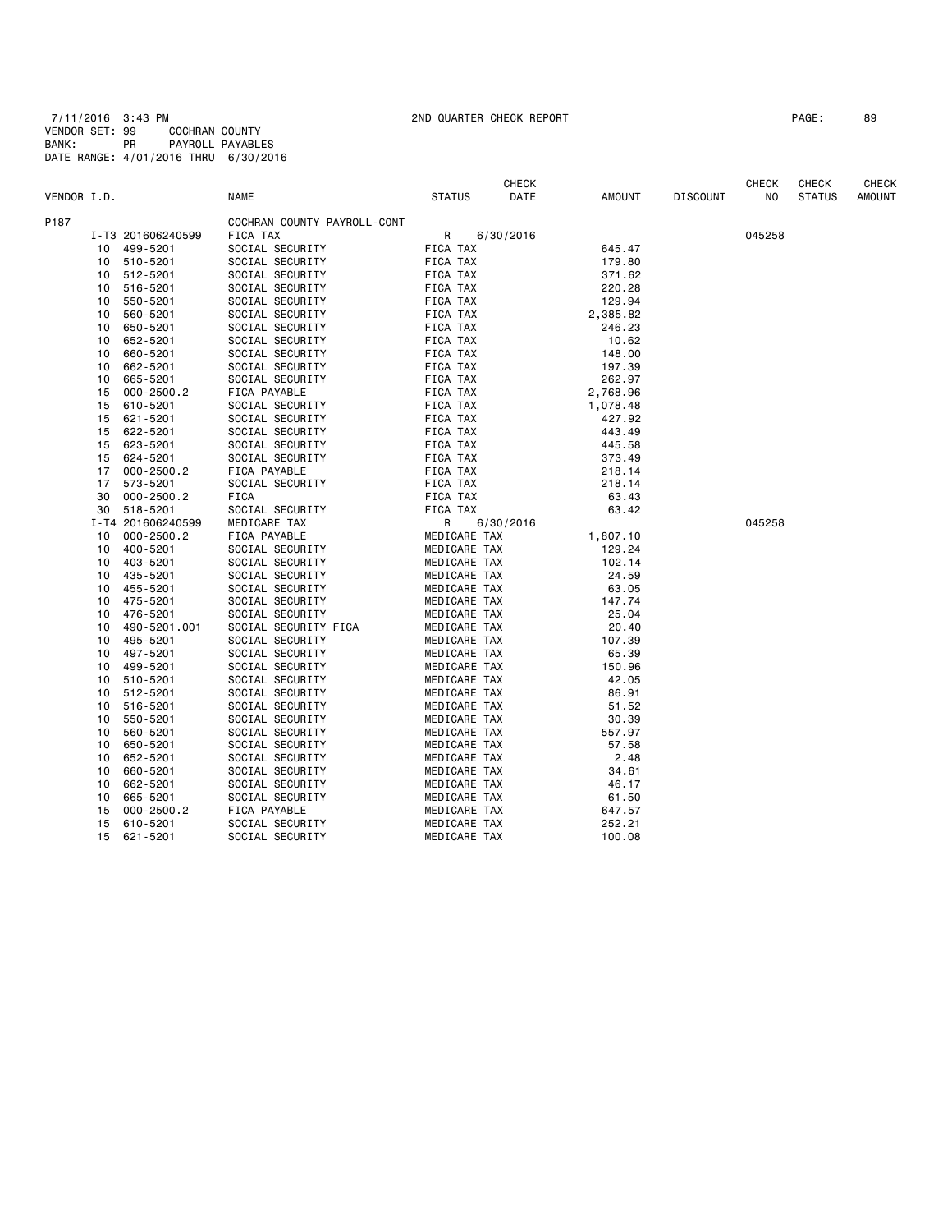7/11/2016 3:43 PM 2ND QUARTER CHECK REPORT PAGE: 89 VENDOR SET: 99 COCHRAN COUNTY BANK: PR PAYROLL PAYABLES DATE RANGE: 4/01/2016 THRU 6/30/2016

|             |    |                   |                             |               | <b>CHECK</b> |               |                 | <b>CHECK</b> | <b>CHECK</b>  | <b>CHECK</b>  |
|-------------|----|-------------------|-----------------------------|---------------|--------------|---------------|-----------------|--------------|---------------|---------------|
| VENDOR I.D. |    |                   | <b>NAME</b>                 | <b>STATUS</b> | DATE         | <b>AMOUNT</b> | <b>DISCOUNT</b> | NO.          | <b>STATUS</b> | <b>AMOUNT</b> |
| P187        |    |                   | COCHRAN COUNTY PAYROLL-CONT |               |              |               |                 |              |               |               |
|             |    | I-T3 201606240599 | FICA TAX                    | R             | 6/30/2016    |               |                 | 045258       |               |               |
|             | 10 | 499-5201          | SOCIAL SECURITY             | FICA TAX      |              | 645.47        |                 |              |               |               |
|             | 10 | 510-5201          | SOCIAL SECURITY             | FICA TAX      |              | 179.80        |                 |              |               |               |
|             | 10 | 512-5201          | SOCIAL SECURITY             | FICA TAX      |              | 371.62        |                 |              |               |               |
|             | 10 | 516-5201          | SOCIAL SECURITY             | FICA TAX      |              | 220.28        |                 |              |               |               |
|             | 10 | 550-5201          | SOCIAL SECURITY             | FICA TAX      |              | 129.94        |                 |              |               |               |
|             | 10 | 560-5201          | SOCIAL SECURITY             | FICA TAX      |              | 2,385.82      |                 |              |               |               |
|             | 10 | 650-5201          | SOCIAL SECURITY             | FICA TAX      |              | 246.23        |                 |              |               |               |
|             | 10 | 652-5201          | SOCIAL SECURITY             | FICA TAX      |              | 10.62         |                 |              |               |               |
|             | 10 | 660-5201          | SOCIAL SECURITY             | FICA TAX      |              | 148.00        |                 |              |               |               |
|             | 10 | 662-5201          | SOCIAL SECURITY             | FICA TAX      |              | 197.39        |                 |              |               |               |
|             | 10 | 665-5201          | SOCIAL SECURITY             | FICA TAX      |              | 262.97        |                 |              |               |               |
|             | 15 | $000 - 2500.2$    | FICA PAYABLE                | FICA TAX      |              | 2,768.96      |                 |              |               |               |
|             | 15 | 610-5201          | SOCIAL SECURITY             | FICA TAX      |              | 1,078.48      |                 |              |               |               |
|             | 15 | 621-5201          | SOCIAL SECURITY             | FICA TAX      |              | 427.92        |                 |              |               |               |
|             | 15 | 622-5201          | SOCIAL SECURITY             | FICA TAX      |              | 443.49        |                 |              |               |               |
|             | 15 | 623-5201          | SOCIAL SECURITY             | FICA TAX      |              | 445.58        |                 |              |               |               |
|             | 15 | 624-5201          | SOCIAL SECURITY             | FICA TAX      |              | 373.49        |                 |              |               |               |
|             | 17 | $000 - 2500.2$    | FICA PAYABLE                | FICA TAX      |              | 218.14        |                 |              |               |               |
|             | 17 | 573-5201          | SOCIAL SECURITY             | FICA TAX      |              | 218.14        |                 |              |               |               |
|             | 30 | $000 - 2500.2$    | FICA                        | FICA TAX      |              | 63.43         |                 |              |               |               |
|             | 30 | 518-5201          | SOCIAL SECURITY             | FICA TAX      |              | 63.42         |                 |              |               |               |
|             |    | I-T4 201606240599 | MEDICARE TAX                | R             | 6/30/2016    |               |                 | 045258       |               |               |
|             | 10 | $000 - 2500.2$    | FICA PAYABLE                | MEDICARE TAX  |              | 1,807.10      |                 |              |               |               |
|             | 10 | 400-5201          | SOCIAL SECURITY             | MEDICARE TAX  |              | 129.24        |                 |              |               |               |
|             | 10 | 403-5201          | SOCIAL SECURITY             | MEDICARE TAX  |              | 102.14        |                 |              |               |               |
|             | 10 | 435-5201          | SOCIAL SECURITY             | MEDICARE TAX  |              | 24.59         |                 |              |               |               |
|             | 10 | 455-5201          | SOCIAL SECURITY             | MEDICARE TAX  |              | 63.05         |                 |              |               |               |
|             | 10 | 475-5201          | SOCIAL SECURITY             | MEDICARE TAX  |              | 147.74        |                 |              |               |               |
|             | 10 | 476-5201          | SOCIAL SECURITY             | MEDICARE TAX  |              | 25.04         |                 |              |               |               |
|             | 10 | 490-5201.001      | SOCIAL SECURITY FICA        | MEDICARE TAX  |              | 20.40         |                 |              |               |               |
|             | 10 | 495-5201          | SOCIAL SECURITY             | MEDICARE TAX  |              | 107.39        |                 |              |               |               |
|             | 10 | 497-5201          | SOCIAL SECURITY             | MEDICARE TAX  |              | 65.39         |                 |              |               |               |
|             | 10 | 499-5201          | SOCIAL SECURITY             | MEDICARE TAX  |              | 150.96        |                 |              |               |               |
|             | 10 | 510-5201          | SOCIAL SECURITY             | MEDICARE TAX  |              | 42.05         |                 |              |               |               |
|             | 10 | 512-5201          | SOCIAL SECURITY             | MEDICARE TAX  |              | 86.91         |                 |              |               |               |
|             | 10 | 516-5201          | SOCIAL SECURITY             | MEDICARE TAX  |              | 51.52         |                 |              |               |               |
|             | 10 | 550-5201          | SOCIAL SECURITY             | MEDICARE TAX  |              | 30.39         |                 |              |               |               |
|             | 10 | 560-5201          | SOCIAL SECURITY             | MEDICARE TAX  |              | 557.97        |                 |              |               |               |
|             | 10 | 650-5201          | SOCIAL SECURITY             | MEDICARE TAX  |              | 57.58         |                 |              |               |               |
|             | 10 | 652-5201          | SOCIAL SECURITY             | MEDICARE TAX  |              | 2.48          |                 |              |               |               |
|             | 10 | 660-5201          | SOCIAL SECURITY             | MEDICARE TAX  |              | 34.61         |                 |              |               |               |
|             | 10 | 662-5201          | SOCIAL SECURITY             | MEDICARE TAX  |              | 46.17         |                 |              |               |               |
|             | 10 | 665-5201          | SOCIAL SECURITY             | MEDICARE TAX  |              | 61.50         |                 |              |               |               |
|             | 15 | $000 - 2500.2$    | FICA PAYABLE                | MEDICARE TAX  |              | 647.57        |                 |              |               |               |
|             | 15 | 610-5201          | SOCIAL SECURITY             | MEDICARE TAX  |              | 252.21        |                 |              |               |               |
|             | 15 | 621-5201          | SOCIAL SECURITY             | MEDICARE TAX  |              | 100.08        |                 |              |               |               |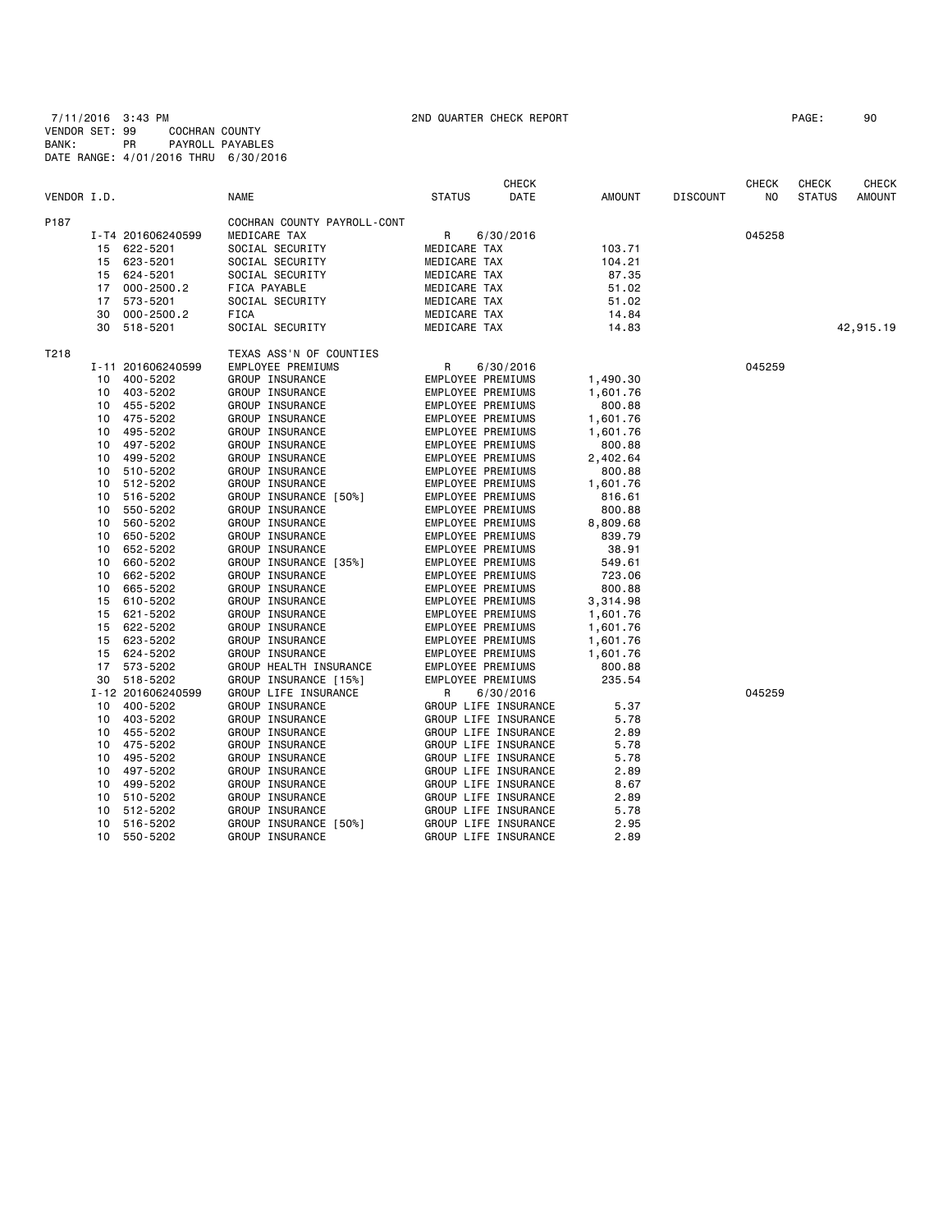7/11/2016 3:43 PM 2ND QUARTER CHECK REPORT PAGE: 90 VENDOR SET: 99 COCHRAN COUNTY BANK: PR PAYROLL PAYABLES DATE RANGE: 4/01/2016 THRU 6/30/2016

|             |    |                   |                             |                   | <b>CHECK</b>         |          |                 | CHECK  | <b>CHECK</b>  | <b>CHECK</b>  |
|-------------|----|-------------------|-----------------------------|-------------------|----------------------|----------|-----------------|--------|---------------|---------------|
| VENDOR I.D. |    |                   | <b>NAME</b>                 | <b>STATUS</b>     | DATE                 | AMOUNT   | <b>DISCOUNT</b> | NO     | <b>STATUS</b> | <b>AMOUNT</b> |
| P187        |    |                   | COCHRAN COUNTY PAYROLL-CONT |                   |                      |          |                 |        |               |               |
|             |    | I-T4 201606240599 | MEDICARE TAX                | R                 | 6/30/2016            |          |                 | 045258 |               |               |
|             |    | 15 622-5201       | SOCIAL SECURITY             | MEDICARE TAX      |                      | 103.71   |                 |        |               |               |
|             |    | 15 623-5201       | SOCIAL SECURITY             | MEDICARE TAX      |                      | 104.21   |                 |        |               |               |
|             |    | 15 624-5201       | SOCIAL SECURITY             | MEDICARE TAX      |                      | 87.35    |                 |        |               |               |
|             |    | 17 000-2500.2     | FICA PAYABLE                | MEDICARE TAX      |                      | 51.02    |                 |        |               |               |
|             | 17 | 573-5201          | SOCIAL SECURITY             | MEDICARE TAX      |                      | 51.02    |                 |        |               |               |
|             | 30 | $000 - 2500.2$    | FICA                        | MEDICARE TAX      |                      | 14.84    |                 |        |               |               |
|             |    | 30 518-5201       | SOCIAL SECURITY             | MEDICARE TAX      |                      | 14.83    |                 |        |               | 42,915.19     |
| T218        |    |                   | TEXAS ASS'N OF COUNTIES     |                   |                      |          |                 |        |               |               |
|             |    | I-11 201606240599 | EMPLOYEE PREMIUMS           | R                 | 6/30/2016            |          |                 | 045259 |               |               |
|             | 10 | 400-5202          | GROUP INSURANCE             | EMPLOYEE PREMIUMS |                      | 1,490.30 |                 |        |               |               |
|             | 10 | 403-5202          | GROUP INSURANCE             | EMPLOYEE PREMIUMS |                      | 1,601.76 |                 |        |               |               |
|             | 10 | 455-5202          | GROUP INSURANCE             | EMPLOYEE PREMIUMS |                      | 800.88   |                 |        |               |               |
|             | 10 | 475-5202          | GROUP INSURANCE             | EMPLOYEE PREMIUMS |                      | 1,601.76 |                 |        |               |               |
|             | 10 | 495-5202          | GROUP INSURANCE             | EMPLOYEE PREMIUMS |                      | 1,601.76 |                 |        |               |               |
|             | 10 | 497-5202          | GROUP INSURANCE             | EMPLOYEE PREMIUMS |                      | 800.88   |                 |        |               |               |
|             | 10 | 499-5202          | GROUP INSURANCE             | EMPLOYEE PREMIUMS |                      | 2,402.64 |                 |        |               |               |
|             | 10 | 510-5202          | GROUP INSURANCE             | EMPLOYEE PREMIUMS |                      | 800.88   |                 |        |               |               |
|             | 10 | 512-5202          | GROUP INSURANCE             | EMPLOYEE PREMIUMS |                      | 1,601.76 |                 |        |               |               |
|             | 10 | 516-5202          | GROUP INSURANCE [50%]       | EMPLOYEE PREMIUMS |                      | 816.61   |                 |        |               |               |
|             | 10 | 550-5202          | GROUP INSURANCE             | EMPLOYEE PREMIUMS |                      | 800.88   |                 |        |               |               |
|             | 10 | 560-5202          | GROUP INSURANCE             | EMPLOYEE PREMIUMS |                      | 8,809.68 |                 |        |               |               |
|             | 10 | 650-5202          | GROUP INSURANCE             | EMPLOYEE PREMIUMS |                      | 839.79   |                 |        |               |               |
|             | 10 | 652-5202          | GROUP INSURANCE             | EMPLOYEE PREMIUMS |                      | 38.91    |                 |        |               |               |
|             | 10 | 660-5202          | GROUP INSURANCE [35%]       | EMPLOYEE PREMIUMS |                      | 549.61   |                 |        |               |               |
|             | 10 | 662-5202          | GROUP INSURANCE             | EMPLOYEE PREMIUMS |                      | 723.06   |                 |        |               |               |
|             | 10 | 665-5202          | GROUP INSURANCE             | EMPLOYEE PREMIUMS |                      | 800.88   |                 |        |               |               |
|             | 15 | 610-5202          | GROUP INSURANCE             | EMPLOYEE PREMIUMS |                      | 3,314.98 |                 |        |               |               |
|             | 15 | 621-5202          | GROUP INSURANCE             | EMPLOYEE PREMIUMS |                      | 1,601.76 |                 |        |               |               |
|             | 15 | 622-5202          | GROUP INSURANCE             | EMPLOYEE PREMIUMS |                      | 1,601.76 |                 |        |               |               |
|             | 15 | 623-5202          | GROUP INSURANCE             | EMPLOYEE PREMIUMS |                      | 1,601.76 |                 |        |               |               |
|             | 15 | 624-5202          | GROUP INSURANCE             | EMPLOYEE PREMIUMS |                      | 1,601.76 |                 |        |               |               |
|             | 17 | 573-5202          | GROUP HEALTH INSURANCE      | EMPLOYEE PREMIUMS |                      | 800.88   |                 |        |               |               |
|             |    | 30 518-5202       | GROUP INSURANCE [15%]       | EMPLOYEE PREMIUMS |                      | 235.54   |                 |        |               |               |
|             |    | I-12 201606240599 | GROUP LIFE INSURANCE        | R                 | 6/30/2016            |          |                 | 045259 |               |               |
|             |    | 10 400-5202       | GROUP INSURANCE             |                   | GROUP LIFE INSURANCE | 5.37     |                 |        |               |               |
|             |    | 10 403-5202       | GROUP INSURANCE             |                   | GROUP LIFE INSURANCE | 5.78     |                 |        |               |               |
|             |    | 10 455-5202       | GROUP INSURANCE             |                   | GROUP LIFE INSURANCE | 2.89     |                 |        |               |               |
|             | 10 | 475-5202          | GROUP INSURANCE             |                   | GROUP LIFE INSURANCE | 5.78     |                 |        |               |               |
|             | 10 | 495-5202          | GROUP INSURANCE             |                   | GROUP LIFE INSURANCE | 5.78     |                 |        |               |               |
|             | 10 | 497-5202          | GROUP INSURANCE             |                   | GROUP LIFE INSURANCE | 2.89     |                 |        |               |               |
|             | 10 | 499-5202          | GROUP INSURANCE             |                   | GROUP LIFE INSURANCE | 8.67     |                 |        |               |               |
|             | 10 | 510-5202          | GROUP INSURANCE             |                   | GROUP LIFE INSURANCE | 2.89     |                 |        |               |               |
|             | 10 | 512-5202          | GROUP INSURANCE             |                   | GROUP LIFE INSURANCE | 5.78     |                 |        |               |               |
|             | 10 | 516-5202          | GROUP INSURANCE [50%]       |                   | GROUP LIFE INSURANCE | 2.95     |                 |        |               |               |
|             | 10 | 550-5202          | GROUP INSURANCE             |                   | GROUP LIFE INSURANCE | 2.89     |                 |        |               |               |
|             |    |                   |                             |                   |                      |          |                 |        |               |               |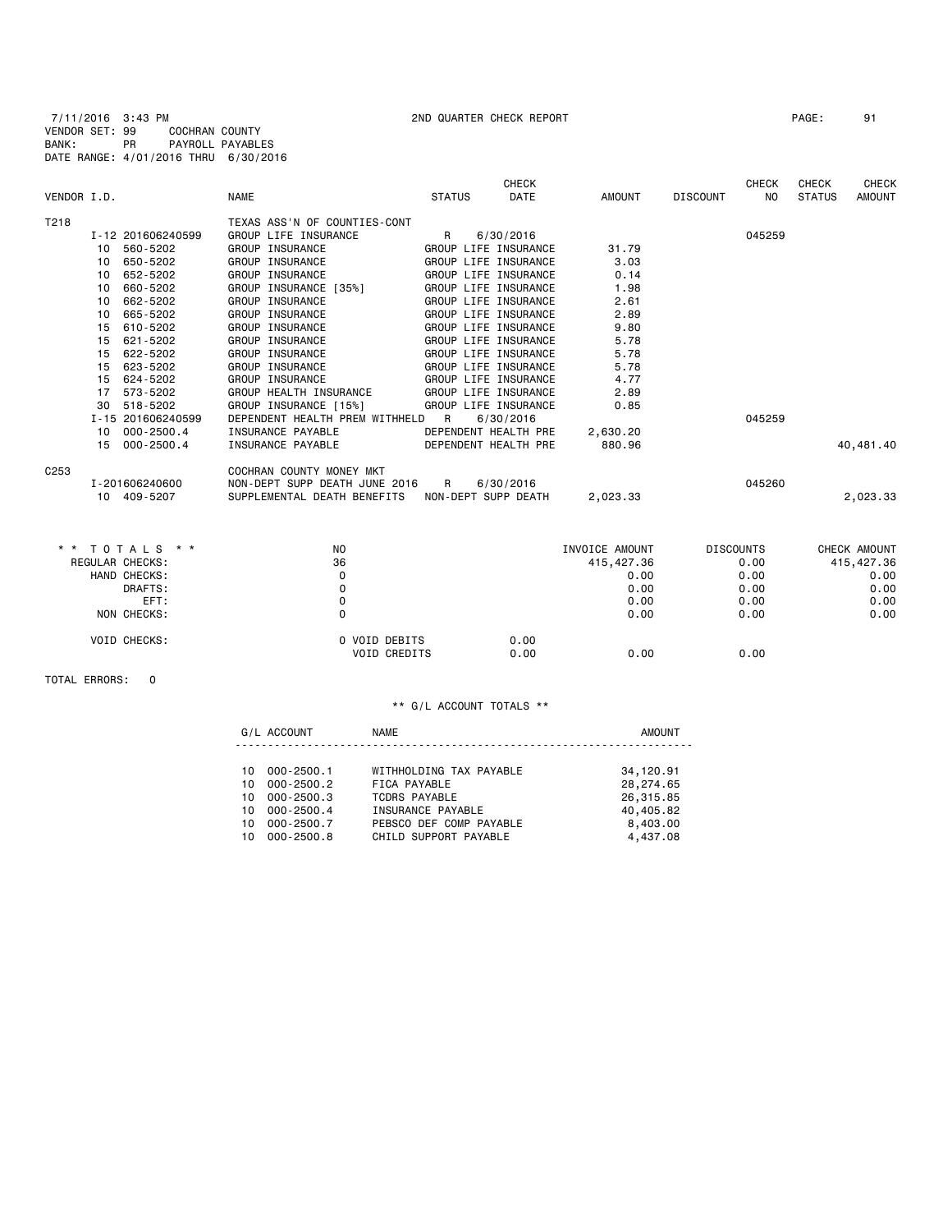7/11/2016 3:43 PM 2ND QUARTER CHECK REPORT PAGE: 91 VENDOR SET: 99 COCHRAN COUNTY BANK: PR PAYROLL PAYABLES DATE RANGE: 4/01/2016 THRU 6/30/2016

|                  |                     |                                |                      | <b>CHECK</b> |                |                 | <b>CHECK</b>     | <b>CHECK</b>  | <b>CHECK</b>  |
|------------------|---------------------|--------------------------------|----------------------|--------------|----------------|-----------------|------------------|---------------|---------------|
| VENDOR I.D.      |                     | <b>NAME</b>                    | <b>STATUS</b>        | <b>DATE</b>  | <b>AMOUNT</b>  | <b>DISCOUNT</b> | N <sub>O</sub>   | <b>STATUS</b> | <b>AMOUNT</b> |
| T218             |                     | TEXAS ASS'N OF COUNTIES-CONT   |                      |              |                |                 |                  |               |               |
|                  | I-12 201606240599   | GROUP LIFE INSURANCE           | R                    | 6/30/2016    |                |                 | 045259           |               |               |
| 10               | 560-5202            | GROUP INSURANCE                | GROUP LIFE INSURANCE |              | 31.79          |                 |                  |               |               |
| 10               | 650-5202            | <b>GROUP INSURANCE</b>         | GROUP LIFE INSURANCE |              | 3.03           |                 |                  |               |               |
| 10               | 652-5202            | GROUP INSURANCE                | GROUP LIFE INSURANCE |              | 0.14           |                 |                  |               |               |
| 10               | 660-5202            | GROUP INSURANCE [35%]          | GROUP LIFE INSURANCE |              | 1.98           |                 |                  |               |               |
| 10               | 662-5202            | GROUP INSURANCE                | GROUP LIFE INSURANCE |              | 2.61           |                 |                  |               |               |
| 10               | 665-5202            | GROUP INSURANCE                | GROUP LIFE INSURANCE |              | 2.89           |                 |                  |               |               |
| 15               | 610-5202            | <b>GROUP INSURANCE</b>         | GROUP LIFE INSURANCE |              | 9.80           |                 |                  |               |               |
| 15               | 621-5202            | GROUP INSURANCE                | GROUP LIFE INSURANCE |              | 5.78           |                 |                  |               |               |
| 15               | 622-5202            | <b>GROUP INSURANCE</b>         | GROUP LIFE INSURANCE |              | 5.78           |                 |                  |               |               |
| 15               | 623-5202            | GROUP INSURANCE                | GROUP LIFE INSURANCE |              | 5.78           |                 |                  |               |               |
| 15               | 624-5202            | GROUP INSURANCE                | GROUP LIFE INSURANCE |              | 4.77           |                 |                  |               |               |
| 17               | 573-5202            | GROUP HEALTH INSURANCE         | GROUP LIFE INSURANCE |              | 2.89           |                 |                  |               |               |
| 30               | 518-5202            | GROUP INSURANCE [15%]          | GROUP LIFE INSURANCE |              | 0.85           |                 |                  |               |               |
|                  | I-15 201606240599   | DEPENDENT HEALTH PREM WITHHELD | R                    | 6/30/2016    |                |                 | 045259           |               |               |
| 10               | $000 - 2500.4$      | INSURANCE PAYABLE              | DEPENDENT HEALTH PRE |              | 2,630.20       |                 |                  |               |               |
| 15               | $000 - 2500.4$      | INSURANCE PAYABLE              | DEPENDENT HEALTH PRE |              | 880.96         |                 |                  |               | 40,481.40     |
| C <sub>253</sub> |                     | COCHRAN COUNTY MONEY MKT       |                      |              |                |                 |                  |               |               |
|                  | I-201606240600      | NON-DEPT SUPP DEATH JUNE 2016  | R                    | 6/30/2016    |                |                 | 045260           |               |               |
|                  | 10 409-5207         | SUPPLEMENTAL DEATH BENEFITS    | NON-DEPT SUPP DEATH  |              | 2,023.33       |                 |                  |               | 2,023.33      |
|                  |                     |                                |                      |              |                |                 |                  |               |               |
| $\star$ $\star$  | TOTALS * *          | N <sub>O</sub>                 |                      |              | INVOICE AMOUNT |                 | <b>DISCOUNTS</b> |               | CHECK AMOUNT  |
| REGULAR CHECKS:  |                     | 36                             |                      |              | 415, 427.36    |                 | 0.00             |               | 415, 427.36   |
|                  | HAND CHECKS:        | 0                              |                      |              | 0.00           |                 | 0.00             |               | 0.00          |
|                  | DRAFTS:             | 0                              |                      |              | 0.00           |                 | 0.00             |               | 0.00          |
|                  | EFT:                | 0                              |                      |              | 0.00           |                 | 0.00             |               | 0.00          |
|                  | NON CHECKS:         | 0                              |                      |              | 0.00           |                 | 0.00             |               | 0.00          |
|                  | <b>VOID CHECKS:</b> | 0 VOID DEBITS                  |                      | 0.00         |                |                 |                  |               |               |
|                  |                     | VOID CREDITS                   |                      | 0.00         | 0.00           |                 | 0.00             |               |               |

TOTAL ERRORS: 0

### \*\* G/L ACCOUNT TOTALS \*\*

G/L ACCOUNT NAME NAME AMOUNT ----------------------------------------------------------------------

| 10 000-2500.1 | WITHHOLDING TAX PAYABLE | 34,120.91 |
|---------------|-------------------------|-----------|
| 10 000-2500.2 | FICA PAYABLE            | 28,274.65 |
| 10 000-2500.3 | TCDRS PAYABLE           | 26,315.85 |
| 10 000-2500.4 | INSURANCE PAYABLE       | 40,405.82 |
| 10 000-2500.7 | PEBSCO DEF COMP PAYABLE | 8,403.00  |
| 10 000-2500.8 | CHILD SUPPORT PAYABLE   | 4.437.08  |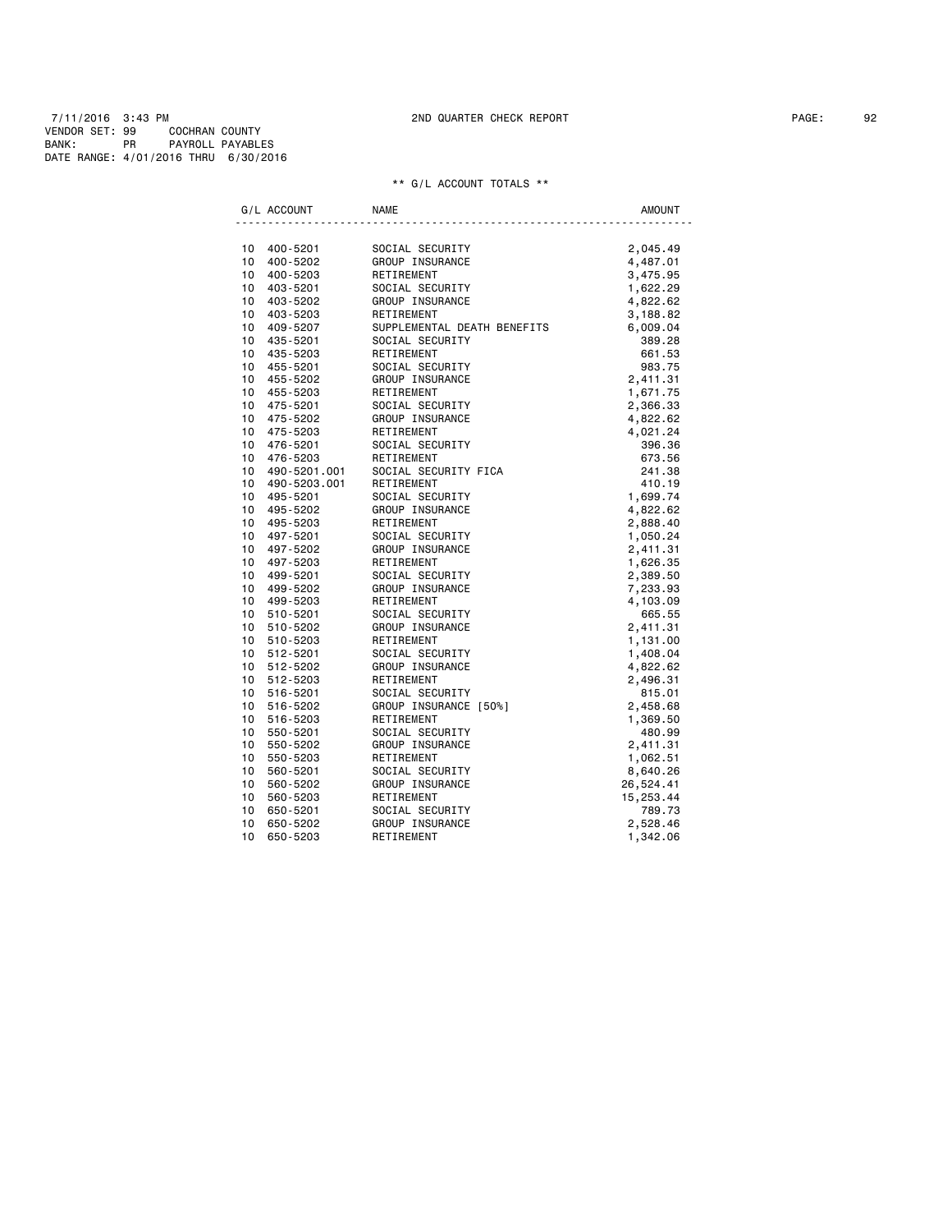7/11/2016 3:43 PM 2ND QUARTER CHECK REPORT PAGE: 92 VENDOR SET: 99 COCHRAN COUNTY BANK: PR PAYROLL PAYABLES DATE RANGE: 4/01/2016 THRU 6/30/2016

| G/L ACCOUNT                        | <b>NAME</b>                   | AMOUNT             |
|------------------------------------|-------------------------------|--------------------|
|                                    |                               |                    |
| 10<br>400-5201                     | SOCIAL SECURITY               | 2,045.49           |
| 10<br>400-5202                     | GROUP INSURANCE               | 4,487.01           |
| 10<br>400-5203                     | RETIREMENT                    | 3,475.95           |
| 10<br>403-5201                     | SOCIAL SECURITY               | 1,622.29           |
| 10<br>403-5202                     | GROUP INSURANCE               | 4,822.62           |
| 10<br>403-5203                     | RETIREMENT                    | 3,188.82           |
| 10<br>409-5207                     | SUPPLEMENTAL DEATH BENEFITS   | 6,009.04           |
| 10<br>435-5201                     | SOCIAL SECURITY               | 389.28             |
| 10<br>435-5203                     | RETIREMENT                    | 661.53             |
| 10<br>455-5201<br>10               | SOCIAL SECURITY               | 983.75             |
| 455-5202<br>10                     | GROUP INSURANCE               | 2,411.31           |
| 455-5203                           | RETIREMENT                    | 1,671.75           |
| 10<br>475-5201<br>10               | SOCIAL SECURITY               | 2,366.33           |
| 475-5202<br>10                     | GROUP INSURANCE               | 4,822.62           |
| 475-5203<br>10<br>476-5201         | RETIREMENT<br>SOCIAL SECURITY | 4,021.24<br>396.36 |
| 10<br>476-5203                     | RETIREMENT                    | 673.56             |
| 10                                 | SOCIAL SECURITY FICA          | 241.38             |
| 490-5201.001<br>10<br>490-5203.001 | RETIREMENT                    | 410.19             |
| 10<br>495-5201                     | SOCIAL SECURITY               | 1,699.74           |
| 10<br>495-5202                     | GROUP INSURANCE               | 4,822.62           |
| 10<br>495-5203                     | RETIREMENT                    | 2,888.40           |
| 10<br>497-5201                     | SOCIAL SECURITY               | 1,050.24           |
| 10<br>497-5202                     | GROUP INSURANCE               | 2,411.31           |
| 10<br>497-5203                     | RETIREMENT                    | 1,626.35           |
| 10<br>499-5201                     | SOCIAL SECURITY               | 2,389.50           |
| 10<br>499-5202                     | GROUP INSURANCE               | 7,233.93           |
| 10<br>499-5203                     | RETIREMENT                    | 4,103.09           |
| 10<br>510-5201                     | SOCIAL SECURITY               | 665.55             |
| 10<br>510-5202                     | GROUP INSURANCE               | 2,411.31           |
| 10<br>510-5203                     | RETIREMENT                    | 1,131.00           |
| 10<br>512-5201                     | SOCIAL SECURITY               | 1,408.04           |
| 512-5202<br>10                     | GROUP INSURANCE               | 4,822.62           |
| 10<br>512-5203                     | RETIREMENT                    | 2,496.31           |
| 10<br>516-5201                     | SOCIAL SECURITY               | 815.01             |
| 10<br>516-5202                     | GROUP INSURANCE [50%]         | 2,458.68           |
| 10<br>516-5203                     | RETIREMENT                    | 1,369.50           |
| 10<br>550-5201                     | SOCIAL SECURITY               | 480.99             |
| 10<br>550-5202                     | GROUP INSURANCE               | 2,411.31           |
| 10<br>550-5203                     | RETIREMENT                    | 1,062.51           |
| 10<br>560-5201                     | SOCIAL SECURITY               | 8,640.26           |
| 10<br>560-5202                     | GROUP INSURANCE               | 26,524.41          |
| 10<br>560-5203                     | RETIREMENT                    | 15,253.44          |
| 10<br>650-5201                     | SOCIAL SECURITY               | 789.73             |
| 10<br>650-5202                     | GROUP INSURANCE               | 2,528.46           |
| 10<br>650-5203                     | RETIREMENT                    | 1,342.06           |
|                                    |                               |                    |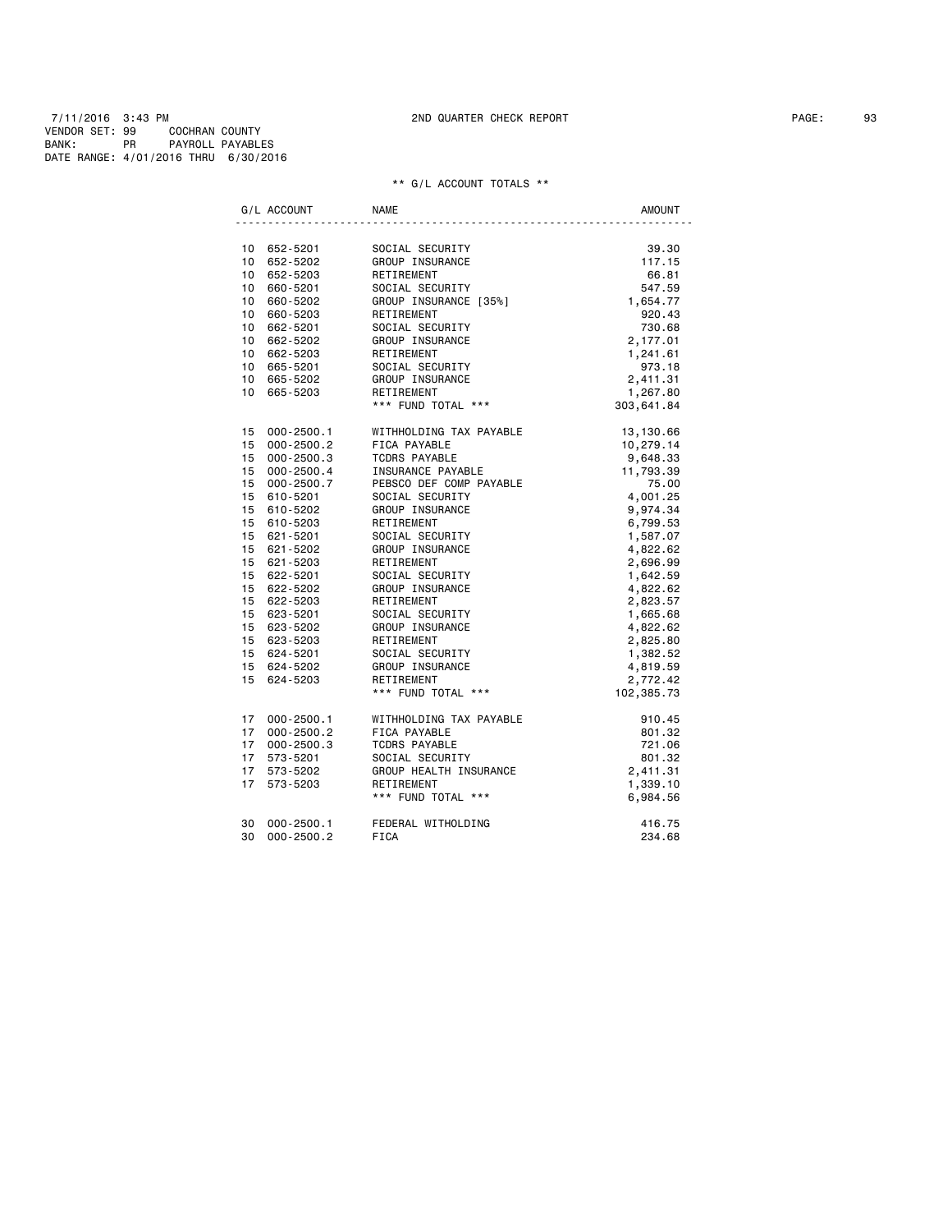7/11/2016 3:43 PM 2ND QUARTER CHECK REPORT PAGE: 93 VENDOR SET: 99 COCHRAN COUNTY BANK: PR PAYROLL PAYABLES DATE RANGE: 4/01/2016 THRU 6/30/2016

|    | G/L ACCOUNT    | <b>NAME</b>                   | <b>AMOUNT</b> |
|----|----------------|-------------------------------|---------------|
|    |                |                               |               |
|    | 10 652-5201    | SOCIAL SECURITY               | 39.30         |
|    | 10 652-5202    | GROUP INSURANCE               | 117.15        |
|    | 10 652-5203    | RETIREMENT                    | 66.81         |
|    | 10 660-5201    | SOCIAL SECURITY               | 547.59        |
|    | 10 660-5202    | GROUP INSURANCE [35%]         | 1,654.77      |
|    | 10 660-5203    | RETIREMENT                    | 920.43        |
|    | 10 662-5201    | SOCIAL SECURITY               | 730.68        |
|    | 10 662-5202    | GROUP INSURANCE               | 2,177.01      |
|    | 10 662-5203    | RETIREMENT                    | 1,241.61      |
|    | 10 665-5201    | SOCIAL SECURITY               | 973.18        |
|    | 10 665-5202    | GROUP INSURANCE               | 2,411.31      |
|    | 10 665-5203    | RETIREMENT                    | 1,267.80      |
|    |                | *** FUND TOTAL ***            | 303,641.84    |
|    | 15 000-2500.1  | WITHHOLDING TAX PAYABLE       | 13,130.66     |
|    | 15 000-2500.2  | FICA PAYABLE                  | 10,279.14     |
|    | 15 000-2500.3  | <b>TCDRS PAYABLE</b>          | 9,648.33      |
|    | 15 000-2500.4  | INSURANCE PAYABLE             | 11,793.39     |
|    | 15 000-2500.7  | PEBSCO DEF COMP PAYABLE       | 75.00         |
|    | 15 610-5201    | SOCIAL SECURITY               | 4,001.25      |
|    | 15 610-5202    | GROUP INSURANCE               | 9,974.34      |
|    | 15 610-5203    | RETIREMENT                    | 6,799.53      |
|    | 15 621-5201    | SOCIAL SECURITY               | 1,587.07      |
|    | 15 621-5202    | GROUP INSURANCE<br>RETIREMENT | 4,822.62      |
|    | 15 621-5203    | RETIREMENT                    | 2,696.99      |
|    | 15 622-5201    | SOCIAL SECURITY               | 1,642.59      |
|    | 15 622-5202    | GROUP INSURANCE               | 4,822.62      |
|    | 15 622-5203    | RETIREMENT                    | 2,823.57      |
|    | 15 623-5201    | SOCIAL SECURITY               | 1,665.68      |
|    | 15 623-5202    | GROUP INSURANCE               | 4,822.62      |
|    | 15 623-5203    | RETIREMENT                    | 2,825.80      |
|    | 15 624-5201    | SOCIAL SECURITY               | 1,382.52      |
|    | 15 624-5202    | GROUP INSURANCE               | 4,819.59      |
|    | 15 624-5203    | RETIREMENT                    | 2,772.42      |
|    |                | *** FUND TOTAL ***            | 102,385.73    |
| 17 | 000-2500.1     | WITHHOLDING TAX PAYABLE       | 910.45        |
|    | 17 000-2500.2  | FICA PAYABLE                  | 801.32        |
|    | 17 000-2500.3  | <b>TCDRS PAYABLE</b>          | 721.06        |
| 17 | 573-5201       | SOCIAL SECURITY               | 801.32        |
| 17 | 573-5202       | GROUP HEALTH INSURANCE        | 2,411.31      |
| 17 | 573-5203       | RETIREMENT                    | 1,339.10      |
|    |                | *** FUND TOTAL ***            | 6,984.56      |
| 30 | 000-2500.1     | FEDERAL WITHOLDING            | 416.75        |
| 30 | $000 - 2500.2$ | <b>FICA</b>                   | 234.68        |
|    |                |                               |               |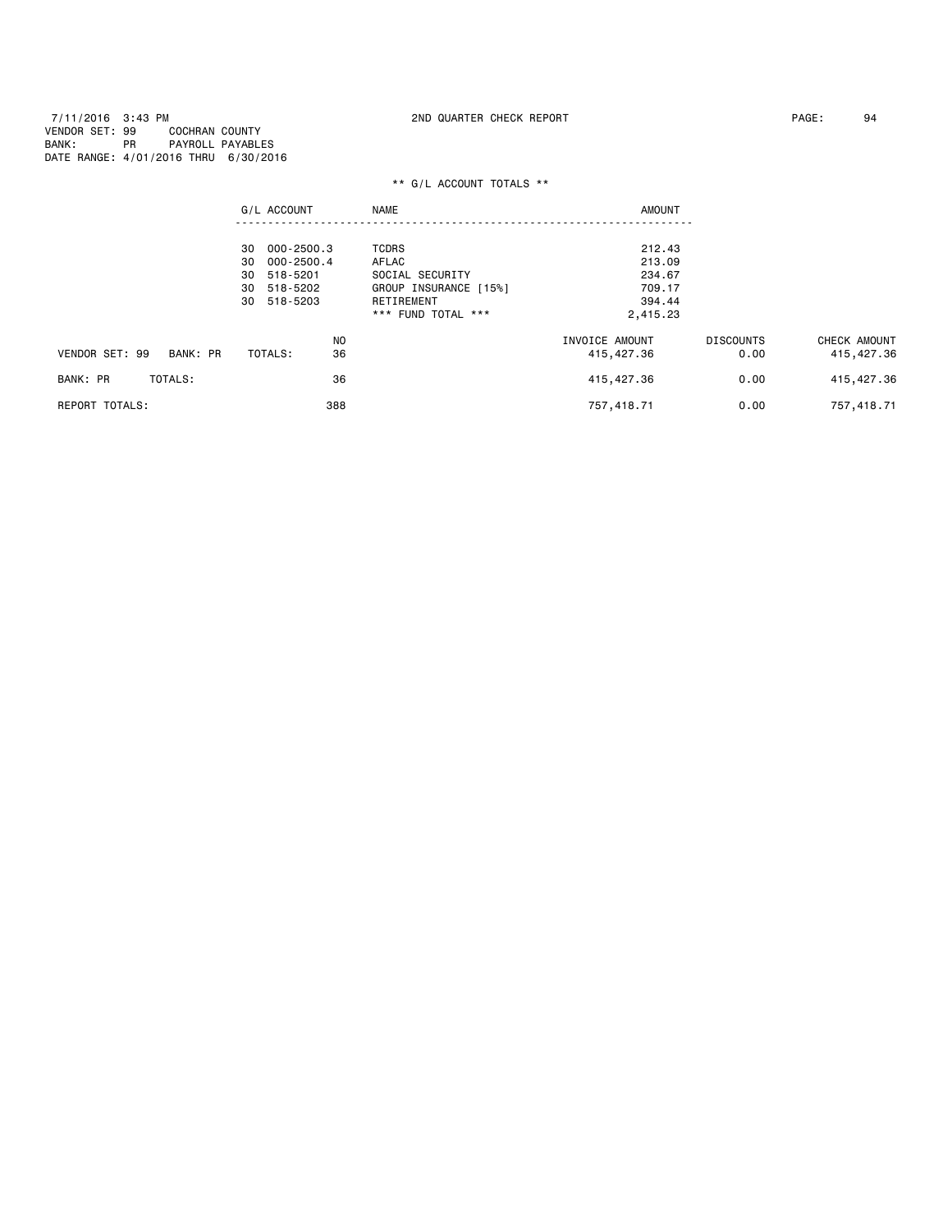7/11/2016 3:43 PM 2ND QUARTER CHECK REPORT PAGE: 94 VENDOR SET: 99 COCHRAN COUNTY BANK: PR PAYROLL PAYABLES DATE RANGE: 4/01/2016 THRU 6/30/2016

|                            | G/L ACCOUNT      | <b>NAME</b>           | <b>AMOUNT</b>  |                  |              |
|----------------------------|------------------|-----------------------|----------------|------------------|--------------|
|                            |                  |                       |                |                  |              |
|                            | 000-2500.3<br>30 | <b>TCDRS</b>          | 212.43         |                  |              |
|                            | 000-2500.4<br>30 | AFLAC                 | 213.09         |                  |              |
|                            | 518-5201<br>30   | SOCIAL SECURITY       | 234.67         |                  |              |
|                            | 30 518-5202      | GROUP INSURANCE [15%] | 709.17         |                  |              |
|                            | 518-5203<br>30   | RETIREMENT            | 394.44         |                  |              |
|                            |                  | *** FUND TOTAL ***    | 2,415.23       |                  |              |
|                            | N <sub>0</sub>   |                       | INVOICE AMOUNT | <b>DISCOUNTS</b> | CHECK AMOUNT |
| VENDOR SET: 99<br>BANK: PR | 36<br>TOTALS:    |                       | 415,427.36     | 0.00             | 415, 427.36  |
| TOTALS:<br>BANK: PR        | 36               |                       | 415,427.36     | 0.00             | 415, 427.36  |
| <b>REPORT TOTALS:</b>      | 388              |                       | 757,418.71     | 0.00             | 757,418.71   |